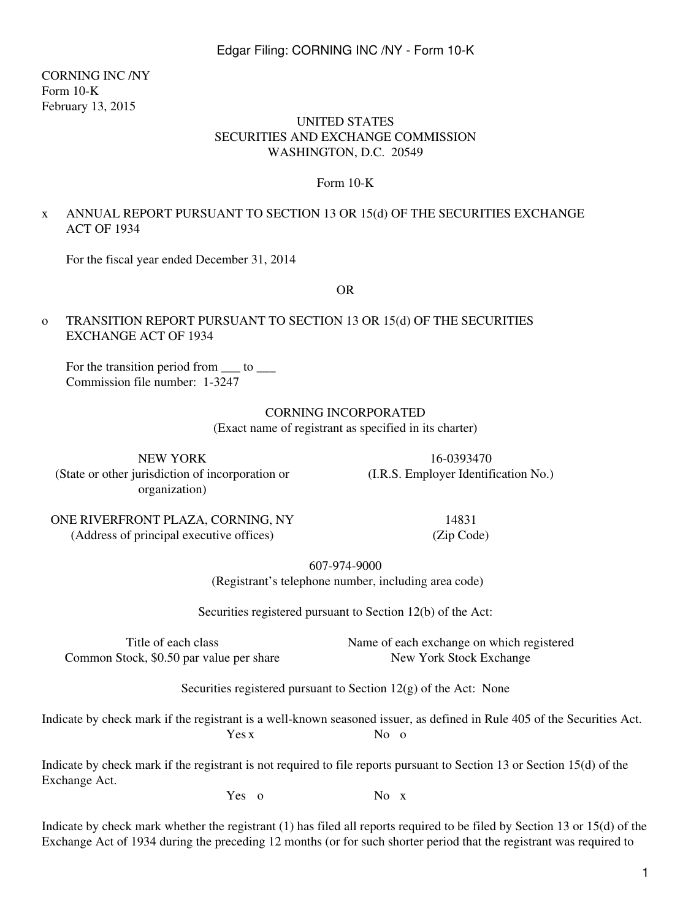CORNING INC /NY Form 10-K February 13, 2015

#### UNITED STATES SECURITIES AND EXCHANGE COMMISSION WASHINGTON, D.C. 20549

#### Form 10-K

## x ANNUAL REPORT PURSUANT TO SECTION 13 OR 15(d) OF THE SECURITIES EXCHANGE ACT OF 1934

For the fiscal year ended December 31, 2014

OR

### o TRANSITION REPORT PURSUANT TO SECTION 13 OR 15(d) OF THE SECURITIES EXCHANGE ACT OF 1934

For the transition period from to Commission file number: 1-3247

#### CORNING INCORPORATED

(Exact name of registrant as specified in its charter)

NEW YORK 16-0393470 (State or other jurisdiction of incorporation or organization)

(I.R.S. Employer Identification No.)

ONE RIVERFRONT PLAZA, CORNING, NY 14831 (Address of principal executive offices) (Zip Code)

607-974-9000

(Registrant's telephone number, including area code)

Securities registered pursuant to Section 12(b) of the Act:

Title of each class Name of each exchange on which registered Common Stock, \$0.50 par value per share New York Stock Exchange

Securities registered pursuant to Section 12(g) of the Act: None

Indicate by check mark if the registrant is a well-known seasoned issuer, as defined in Rule 405 of the Securities Act. Yes x No o

Indicate by check mark if the registrant is not required to file reports pursuant to Section 13 or Section 15(d) of the Exchange Act.

Yes o No x

Indicate by check mark whether the registrant (1) has filed all reports required to be filed by Section 13 or 15(d) of the Exchange Act of 1934 during the preceding 12 months (or for such shorter period that the registrant was required to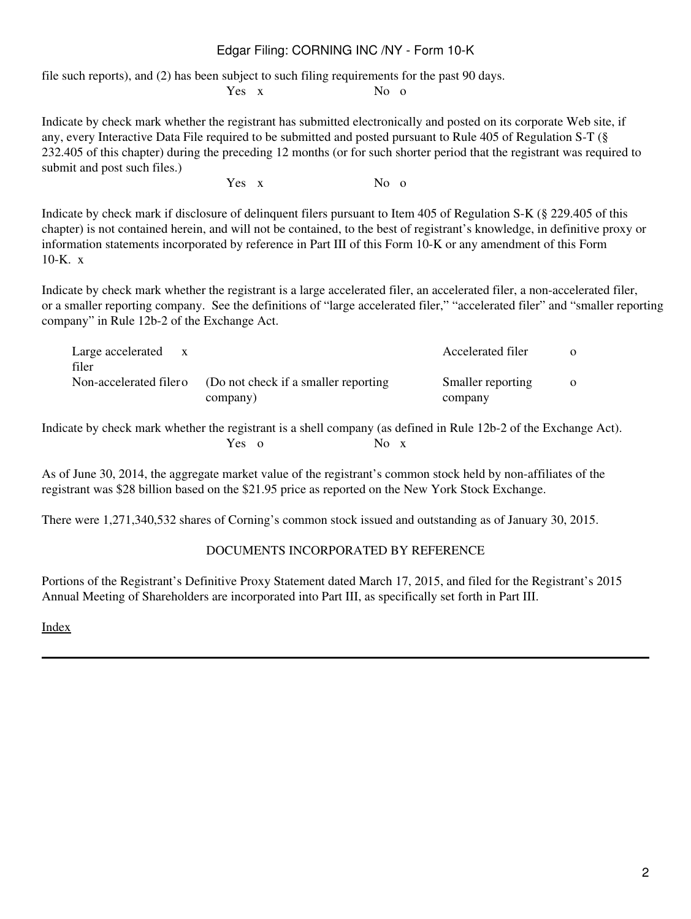file such reports), and (2) has been subject to such filing requirements for the past 90 days.

Yes x No o

Indicate by check mark whether the registrant has submitted electronically and posted on its corporate Web site, if any, every Interactive Data File required to be submitted and posted pursuant to Rule 405 of Regulation S-T (§ 232.405 of this chapter) during the preceding 12 months (or for such shorter period that the registrant was required to submit and post such files.)

Yes x No o

Indicate by check mark if disclosure of delinquent filers pursuant to Item 405 of Regulation S-K (§ 229.405 of this chapter) is not contained herein, and will not be contained, to the best of registrant's knowledge, in definitive proxy or information statements incorporated by reference in Part III of this Form 10-K or any amendment of this Form 10-K. x

Indicate by check mark whether the registrant is a large accelerated filer, an accelerated filer, a non-accelerated filer, or a smaller reporting company. See the definitions of "large accelerated filer," "accelerated filer" and "smaller reporting company" in Rule 12b-2 of the Exchange Act.

| Large accelerated<br>$\mathbf{x}$<br>filer |                                                                         | Accelerated filer            | $\Omega$ |
|--------------------------------------------|-------------------------------------------------------------------------|------------------------------|----------|
|                                            | Non-accelerated filero (Do not check if a smaller reporting<br>company) | Smaller reporting<br>company | $\Omega$ |

Indicate by check mark whether the registrant is a shell company (as defined in Rule 12b-2 of the Exchange Act). Yes o No x

As of June 30, 2014, the aggregate market value of the registrant's common stock held by non-affiliates of the registrant was \$28 billion based on the \$21.95 price as reported on the New York Stock Exchange.

There were 1,271,340,532 shares of Corning's common stock issued and outstanding as of January 30, 2015.

## DOCUMENTS INCORPORATED BY REFERENCE

Portions of the Registrant's Definitive Proxy Statement dated March 17, 2015, and filed for the Registrant's 2015 Annual Meeting of Shareholders are incorporated into Part III, as specifically set forth in Part III.

[Index](#page-155-0)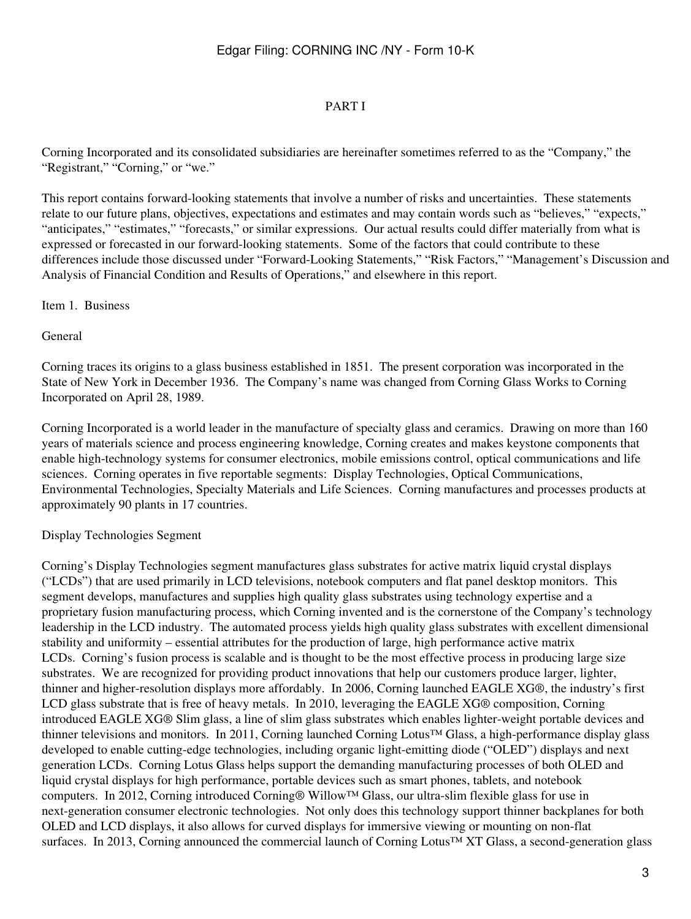### PART I

Corning Incorporated and its consolidated subsidiaries are hereinafter sometimes referred to as the "Company," the "Registrant," "Corning," or "we."

This report contains forward-looking statements that involve a number of risks and uncertainties. These statements relate to our future plans, objectives, expectations and estimates and may contain words such as "believes," "expects," "anticipates," "estimates," "forecasts," or similar expressions. Our actual results could differ materially from what is expressed or forecasted in our forward-looking statements. Some of the factors that could contribute to these differences include those discussed under "Forward-Looking Statements," "Risk Factors," "Management's Discussion and Analysis of Financial Condition and Results of Operations," and elsewhere in this report.

#### Item 1. Business

General

Corning traces its origins to a glass business established in 1851. The present corporation was incorporated in the State of New York in December 1936. The Company's name was changed from Corning Glass Works to Corning Incorporated on April 28, 1989.

Corning Incorporated is a world leader in the manufacture of specialty glass and ceramics. Drawing on more than 160 years of materials science and process engineering knowledge, Corning creates and makes keystone components that enable high-technology systems for consumer electronics, mobile emissions control, optical communications and life sciences. Corning operates in five reportable segments: Display Technologies, Optical Communications, Environmental Technologies, Specialty Materials and Life Sciences. Corning manufactures and processes products at approximately 90 plants in 17 countries.

#### Display Technologies Segment

Corning's Display Technologies segment manufactures glass substrates for active matrix liquid crystal displays ("LCDs") that are used primarily in LCD televisions, notebook computers and flat panel desktop monitors. This segment develops, manufactures and supplies high quality glass substrates using technology expertise and a proprietary fusion manufacturing process, which Corning invented and is the cornerstone of the Company's technology leadership in the LCD industry. The automated process yields high quality glass substrates with excellent dimensional stability and uniformity – essential attributes for the production of large, high performance active matrix LCDs. Corning's fusion process is scalable and is thought to be the most effective process in producing large size substrates. We are recognized for providing product innovations that help our customers produce larger, lighter, thinner and higher-resolution displays more affordably. In 2006, Corning launched EAGLE XG®, the industry's first LCD glass substrate that is free of heavy metals. In 2010, leveraging the EAGLE XG® composition, Corning introduced EAGLE XG® Slim glass, a line of slim glass substrates which enables lighter-weight portable devices and thinner televisions and monitors. In 2011, Corning launched Corning Lotus™ Glass, a high-performance display glass developed to enable cutting-edge technologies, including organic light-emitting diode ("OLED") displays and next generation LCDs. Corning Lotus Glass helps support the demanding manufacturing processes of both OLED and liquid crystal displays for high performance, portable devices such as smart phones, tablets, and notebook computers. In 2012, Corning introduced Corning® Willow™ Glass, our ultra-slim flexible glass for use in next-generation consumer electronic technologies. Not only does this technology support thinner backplanes for both OLED and LCD displays, it also allows for curved displays for immersive viewing or mounting on non-flat surfaces. In 2013, Corning announced the commercial launch of Corning Lotus™ XT Glass, a second-generation glass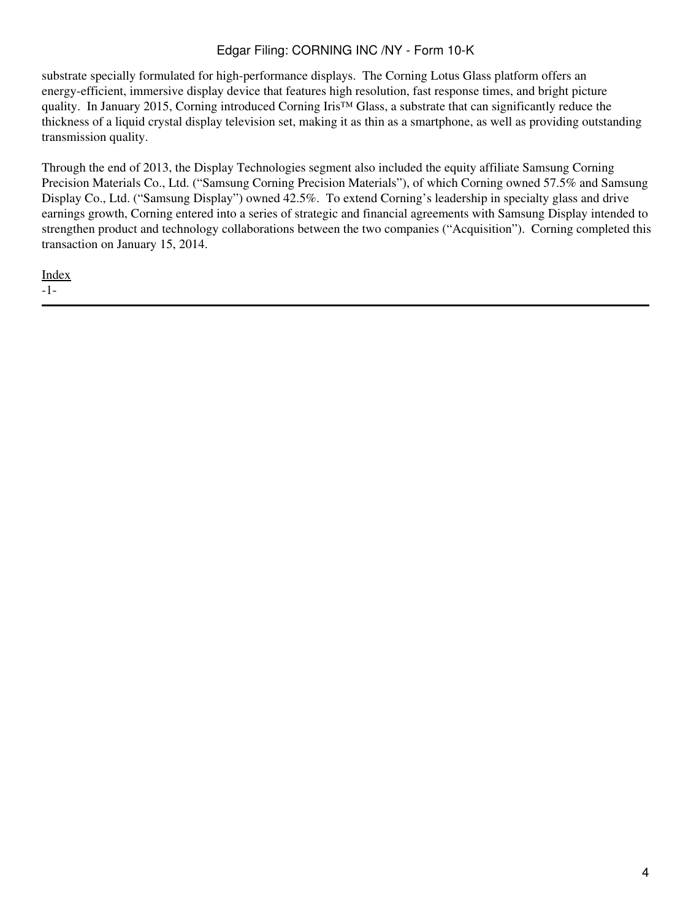substrate specially formulated for high-performance displays. The Corning Lotus Glass platform offers an energy-efficient, immersive display device that features high resolution, fast response times, and bright picture quality. In January 2015, Corning introduced Corning Iris™ Glass, a substrate that can significantly reduce the thickness of a liquid crystal display television set, making it as thin as a smartphone, as well as providing outstanding transmission quality.

Through the end of 2013, the Display Technologies segment also included the equity affiliate Samsung Corning Precision Materials Co., Ltd. ("Samsung Corning Precision Materials"), of which Corning owned 57.5% and Samsung Display Co., Ltd. ("Samsung Display") owned 42.5%. To extend Corning's leadership in specialty glass and drive earnings growth, Corning entered into a series of strategic and financial agreements with Samsung Display intended to strengthen product and technology collaborations between the two companies ("Acquisition"). Corning completed this transaction on January 15, 2014.

[Index](#page-155-0) -1-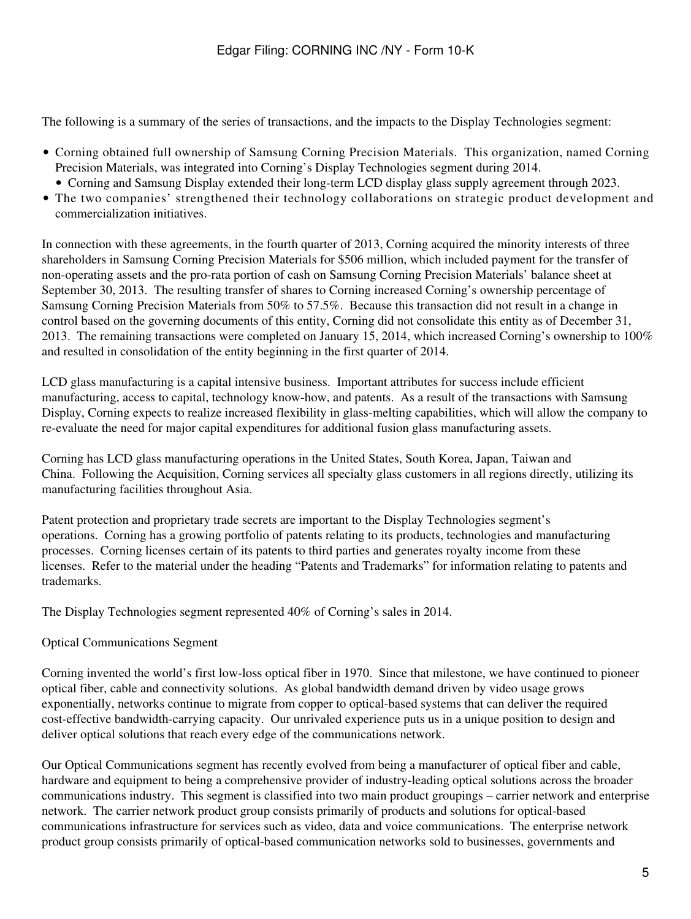The following is a summary of the series of transactions, and the impacts to the Display Technologies segment:

- Corning obtained full ownership of Samsung Corning Precision Materials. This organization, named Corning Precision Materials, was integrated into Corning's Display Technologies segment during 2014.
	- Corning and Samsung Display extended their long-term LCD display glass supply agreement through 2023.
- The two companies' strengthened their technology collaborations on strategic product development and commercialization initiatives.

In connection with these agreements, in the fourth quarter of 2013, Corning acquired the minority interests of three shareholders in Samsung Corning Precision Materials for \$506 million, which included payment for the transfer of non-operating assets and the pro-rata portion of cash on Samsung Corning Precision Materials' balance sheet at September 30, 2013. The resulting transfer of shares to Corning increased Corning's ownership percentage of Samsung Corning Precision Materials from 50% to 57.5%. Because this transaction did not result in a change in control based on the governing documents of this entity, Corning did not consolidate this entity as of December 31, 2013. The remaining transactions were completed on January 15, 2014, which increased Corning's ownership to 100% and resulted in consolidation of the entity beginning in the first quarter of 2014.

LCD glass manufacturing is a capital intensive business. Important attributes for success include efficient manufacturing, access to capital, technology know-how, and patents. As a result of the transactions with Samsung Display, Corning expects to realize increased flexibility in glass-melting capabilities, which will allow the company to re-evaluate the need for major capital expenditures for additional fusion glass manufacturing assets.

Corning has LCD glass manufacturing operations in the United States, South Korea, Japan, Taiwan and China. Following the Acquisition, Corning services all specialty glass customers in all regions directly, utilizing its manufacturing facilities throughout Asia.

Patent protection and proprietary trade secrets are important to the Display Technologies segment's operations. Corning has a growing portfolio of patents relating to its products, technologies and manufacturing processes. Corning licenses certain of its patents to third parties and generates royalty income from these licenses. Refer to the material under the heading "Patents and Trademarks" for information relating to patents and trademarks.

The Display Technologies segment represented 40% of Corning's sales in 2014.

## Optical Communications Segment

Corning invented the world's first low-loss optical fiber in 1970. Since that milestone, we have continued to pioneer optical fiber, cable and connectivity solutions. As global bandwidth demand driven by video usage grows exponentially, networks continue to migrate from copper to optical-based systems that can deliver the required cost-effective bandwidth-carrying capacity. Our unrivaled experience puts us in a unique position to design and deliver optical solutions that reach every edge of the communications network.

Our Optical Communications segment has recently evolved from being a manufacturer of optical fiber and cable, hardware and equipment to being a comprehensive provider of industry-leading optical solutions across the broader communications industry. This segment is classified into two main product groupings – carrier network and enterprise network. The carrier network product group consists primarily of products and solutions for optical-based communications infrastructure for services such as video, data and voice communications. The enterprise network product group consists primarily of optical-based communication networks sold to businesses, governments and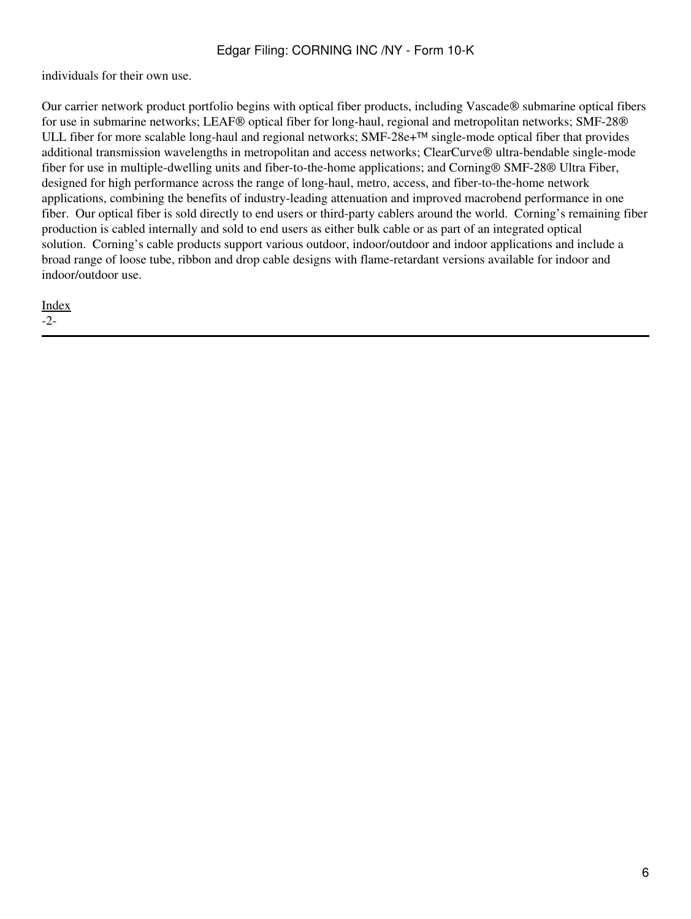individuals for their own use.

Our carrier network product portfolio begins with optical fiber products, including Vascade ® submarine optical fibers for use in submarine networks; LEAF® optical fiber for long-haul, regional and metropolitan networks; SMF-28® ULL fiber for more scalable long-haul and regional networks;  $SMF-28e+<sup>TM</sup>$  single-mode optical fiber that provides additional transmission wavelengths in metropolitan and access networks; ClearCurve® ultra-bendable single-mode fiber for use in multiple-dwelling units and fiber-to-the-home applications; and Corning® SMF-28® Ultra Fiber, designed for high performance across the range of long-haul, metro, access, and fiber-to-the-home network applications, combining the benefits of industry-leading attenuation and improved macrobend performance in one fiber. Our optical fiber is sold directly to end users or third-party cablers around the world. Corning's remaining fiber production is cabled internally and sold to end users as either bulk cable or as part of an integrated optical solution. Corning's cable products support various outdoor, indoor/outdoor and indoor applications and include a broad range of loose tube, ribbon and drop cable designs with flame-retardant versions available for indoor and indoor/outdoor use.

[Index](#page-155-0) -2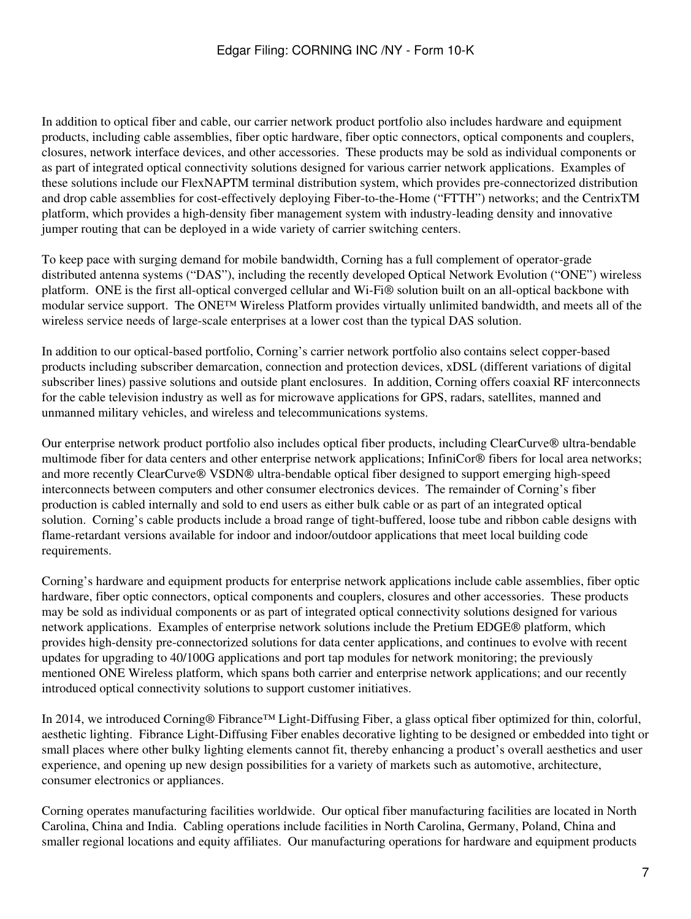In addition to optical fiber and cable, our carrier network product portfolio also includes hardware and equipment products, including cable assemblies, fiber optic hardware, fiber optic connectors, optical components and couplers, closures, network interface devices, and other accessories. These products may be sold as individual components or as part of integrated optical connectivity solutions designed for various carrier network applications. Examples of these solutions include our FlexNAPTM terminal distribution system, which provides pre-connectorized distribution and drop cable assemblies for cost-effectively deploying Fiber-to-the-Home ("FTTH") networks; and the CentrixTM platform, which provides a high-density fiber management system with industry-leading density and innovative jumper routing that can be deployed in a wide variety of carrier switching centers.

To keep pace with surging demand for mobile bandwidth, Corning has a full complement of operator-grade distributed antenna systems ("DAS"), including the recently developed Optical Network Evolution ("ONE") wireless platform. ONE is the first all-optical converged cellular and Wi-Fi® solution built on an all-optical backbone with modular service support. The ONE™ Wireless Platform provides virtually unlimited bandwidth, and meets all of the wireless service needs of large-scale enterprises at a lower cost than the typical DAS solution.

In addition to our optical-based portfolio, Corning's carrier network portfolio also contains select copper-based products including subscriber demarcation, connection and protection devices, xDSL (different variations of digital subscriber lines) passive solutions and outside plant enclosures. In addition, Corning offers coaxial RF interconnects for the cable television industry as well as for microwave applications for GPS, radars, satellites, manned and unmanned military vehicles, and wireless and telecommunications systems.

Our enterprise network product portfolio also includes optical fiber products, including ClearCurve® ultra-bendable multimode fiber for data centers and other enterprise network applications; InfiniCor® fibers for local area networks; and more recently ClearCurve® VSDN® ultra-bendable optical fiber designed to support emerging high-speed interconnects between computers and other consumer electronics devices. The remainder of Corning's fiber production is cabled internally and sold to end users as either bulk cable or as part of an integrated optical solution. Corning's cable products include a broad range of tight-buffered, loose tube and ribbon cable designs with flame-retardant versions available for indoor and indoor/outdoor applications that meet local building code requirements.

Corning's hardware and equipment products for enterprise network applications include cable assemblies, fiber optic hardware, fiber optic connectors, optical components and couplers, closures and other accessories. These products may be sold as individual components or as part of integrated optical connectivity solutions designed for various network applications. Examples of enterprise network solutions include the Pretium EDGE® platform, which provides high-density pre-connectorized solutions for data center applications, and continues to evolve with recent updates for upgrading to 40/100G applications and port tap modules for network monitoring; the previously mentioned ONE Wireless platform, which spans both carrier and enterprise network applications; and our recently introduced optical connectivity solutions to support customer initiatives.

In 2014, we introduced Corning® Fibrance™ Light-Diffusing Fiber, a glass optical fiber optimized for thin, colorful, aesthetic lighting. Fibrance Light-Diffusing Fiber enables decorative lighting to be designed or embedded into tight or small places where other bulky lighting elements cannot fit, thereby enhancing a product's overall aesthetics and user experience, and opening up new design possibilities for a variety of markets such as automotive, architecture, consumer electronics or appliances.

Corning operates manufacturing facilities worldwide. Our optical fiber manufacturing facilities are located in North Carolina, China and India. Cabling operations include facilities in North Carolina, Germany, Poland, China and smaller regional locations and equity affiliates. Our manufacturing operations for hardware and equipment products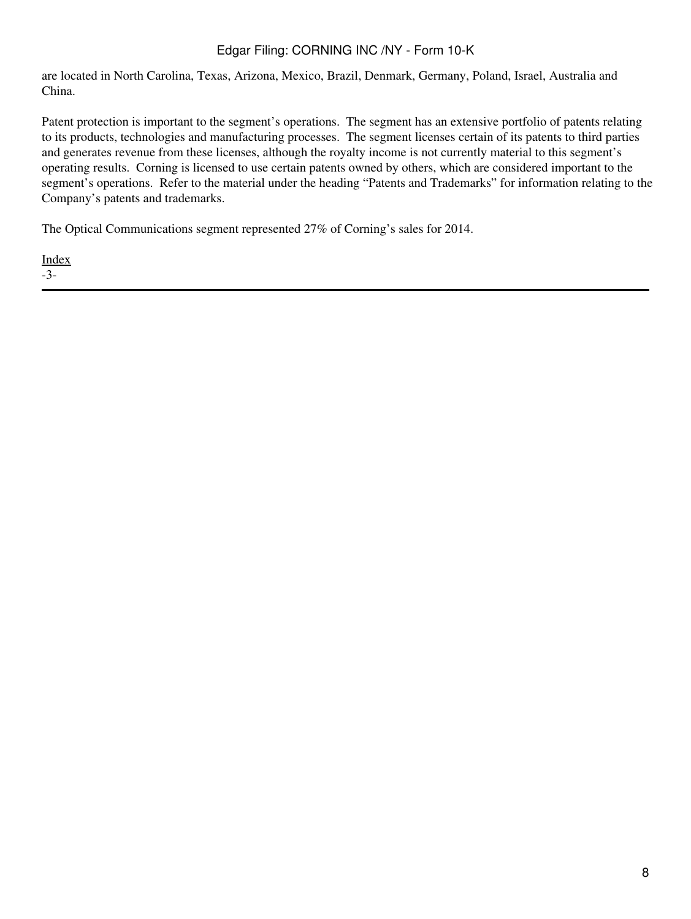are located in North Carolina, Texas, Arizona, Mexico, Brazil, Denmark, Germany, Poland, Israel, Australia and China.

Patent protection is important to the segment's operations. The segment has an extensive portfolio of patents relating to its products, technologies and manufacturing processes. The segment licenses certain of its patents to third parties and generates revenue from these licenses, although the royalty income is not currently material to this segment's operating results. Corning is licensed to use certain patents owned by others, which are considered important to the segment's operations. Refer to the material under the heading "Patents and Trademarks" for information relating to the Company's patents and trademarks.

The Optical Communications segment represented 27% of Corning's sales for 2014.

[Index](#page-155-0) -3-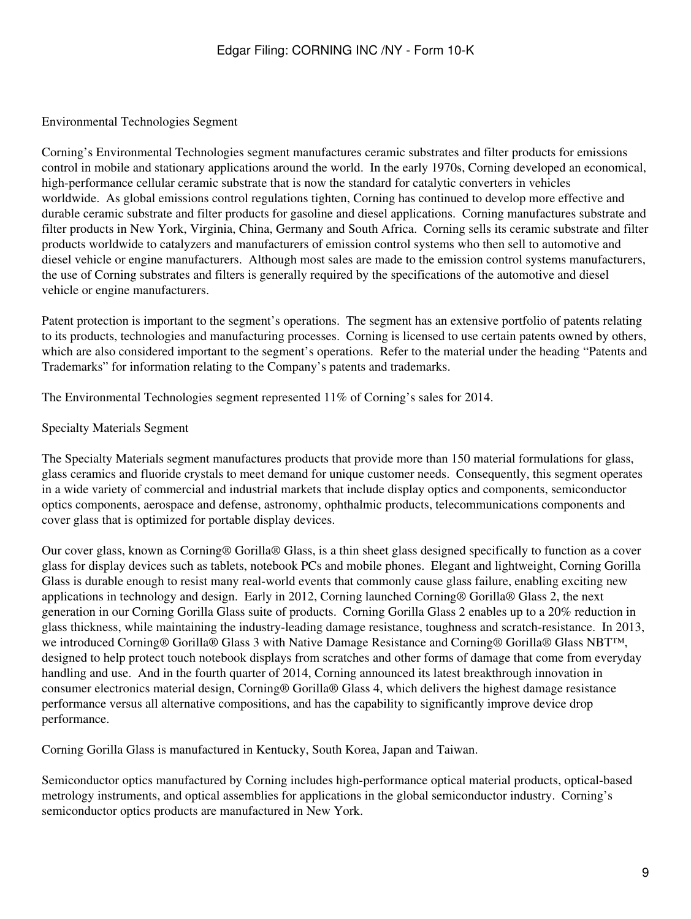### Environmental Technologies Segment

Corning's Environmental Technologies segment manufactures ceramic substrates and filter products for emissions control in mobile and stationary applications around the world. In the early 1970s, Corning developed an economical, high-performance cellular ceramic substrate that is now the standard for catalytic converters in vehicles worldwide. As global emissions control regulations tighten, Corning has continued to develop more effective and durable ceramic substrate and filter products for gasoline and diesel applications. Corning manufactures substrate and filter products in New York, Virginia, China, Germany and South Africa. Corning sells its ceramic substrate and filter products worldwide to catalyzers and manufacturers of emission control systems who then sell to automotive and diesel vehicle or engine manufacturers. Although most sales are made to the emission control systems manufacturers, the use of Corning substrates and filters is generally required by the specifications of the automotive and diesel vehicle or engine manufacturers.

Patent protection is important to the segment's operations. The segment has an extensive portfolio of patents relating to its products, technologies and manufacturing processes. Corning is licensed to use certain patents owned by others, which are also considered important to the segment's operations. Refer to the material under the heading "Patents and Trademarks" for information relating to the Company's patents and trademarks.

The Environmental Technologies segment represented 11% of Corning's sales for 2014.

### Specialty Materials Segment

The Specialty Materials segment manufactures products that provide more than 150 material formulations for glass, glass ceramics and fluoride crystals to meet demand for unique customer needs. Consequently, this segment operates in a wide variety of commercial and industrial markets that include display optics and components, semiconductor optics components, aerospace and defense, astronomy, ophthalmic products, telecommunications components and cover glass that is optimized for portable display devices.

Our cover glass, known as Corning® Gorilla® Glass, is a thin sheet glass designed specifically to function as a cover glass for display devices such as tablets, notebook PCs and mobile phones. Elegant and lightweight, Corning Gorilla Glass is durable enough to resist many real-world events that commonly cause glass failure, enabling exciting new applications in technology and design. Early in 2012, Corning launched Corning® Gorilla® Glass 2, the next generation in our Corning Gorilla Glass suite of products. Corning Gorilla Glass 2 enables up to a 20% reduction in glass thickness, while maintaining the industry-leading damage resistance, toughness and scratch-resistance. In 2013, we introduced Corning® Gorilla® Glass 3 with Native Damage Resistance and Corning® Gorilla® Glass NBT™, designed to help protect touch notebook displays from scratches and other forms of damage that come from everyday handling and use. And in the fourth quarter of 2014, Corning announced its latest breakthrough innovation in consumer electronics material design, Corning® Gorilla® Glass 4, which delivers the highest damage resistance performance versus all alternative compositions, and has the capability to significantly improve device drop performance.

Corning Gorilla Glass is manufactured in Kentucky, South Korea, Japan and Taiwan.

Semiconductor optics manufactured by Corning includes high-performance optical material products, optical-based metrology instruments, and optical assemblies for applications in the global semiconductor industry. Corning's semiconductor optics products are manufactured in New York.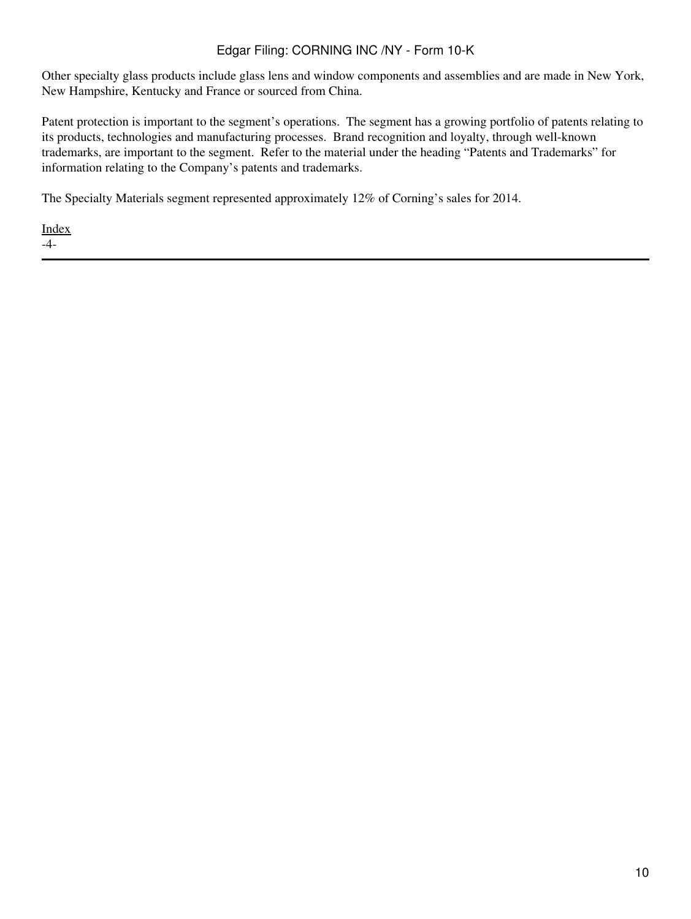Other specialty glass products include glass lens and window components and assemblies and are made in New York, New Hampshire, Kentucky and France or sourced from China.

Patent protection is important to the segment's operations. The segment has a growing portfolio of patents relating to its products, technologies and manufacturing processes. Brand recognition and loyalty, through well-known trademarks, are important to the segment. Refer to the material under the heading "Patents and Trademarks" for information relating to the Company's patents and trademarks.

The Specialty Materials segment represented approximately 12% of Corning's sales for 2014.

[Index](#page-155-0) -4-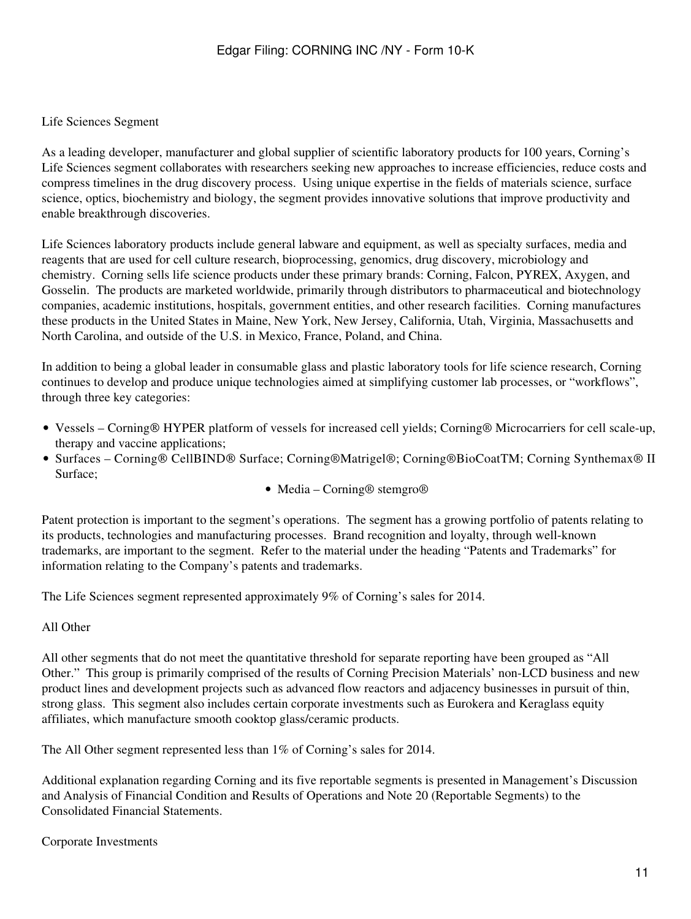### Life Sciences Segment

As a leading developer, manufacturer and global supplier of scientific laboratory products for 100 years, Corning's Life Sciences segment collaborates with researchers seeking new approaches to increase efficiencies, reduce costs and compress timelines in the drug discovery process. Using unique expertise in the fields of materials science, surface science, optics, biochemistry and biology, the segment provides innovative solutions that improve productivity and enable breakthrough discoveries.

Life Sciences laboratory products include general labware and equipment, as well as specialty surfaces, media and reagents that are used for cell culture research, bioprocessing, genomics, drug discovery, microbiology and chemistry. Corning sells life science products under these primary brands: Corning, Falcon, PYREX, Axygen, and Gosselin. The products are marketed worldwide, primarily through distributors to pharmaceutical and biotechnology companies, academic institutions, hospitals, government entities, and other research facilities. Corning manufactures these products in the United States in Maine, New York, New Jersey, California, Utah, Virginia, Massachusetts and North Carolina, and outside of the U.S. in Mexico, France, Poland, and China.

In addition to being a global leader in consumable glass and plastic laboratory tools for life science research, Corning continues to develop and produce unique technologies aimed at simplifying customer lab processes, or "workflows", through three key categories:

- Vessels Corning ® HYPER platform of vessels for increased cell yields; Corning ® Microcarriers for cell scale-up, therapy and vaccine applications;
- Surfaces Corning® CellBIND® Surface; Corning®Matrigel®; Corning®BioCoatTM; Corning Synthemax® II Surface;
	- Media Corning® stemgro®

Patent protection is important to the segment's operations. The segment has a growing portfolio of patents relating to its products, technologies and manufacturing processes. Brand recognition and loyalty, through well-known trademarks, are important to the segment. Refer to the material under the heading "Patents and Trademarks" for information relating to the Company's patents and trademarks.

The Life Sciences segment represented approximately 9% of Corning's sales for 2014.

#### All Other

All other segments that do not meet the quantitative threshold for separate reporting have been grouped as "All Other." This group is primarily comprised of the results of Corning Precision Materials' non-LCD business and new product lines and development projects such as advanced flow reactors and adjacency businesses in pursuit of thin, strong glass. This segment also includes certain corporate investments such as Eurokera and Keraglass equity affiliates, which manufacture smooth cooktop glass/ceramic products.

The All Other segment represented less than 1% of Corning's sales for 2014.

Additional explanation regarding Corning and its five reportable segments is presented in Management's Discussion and Analysis of Financial Condition and Results of Operations and Note 20 (Reportable Segments) to the Consolidated Financial Statements.

#### Corporate Investments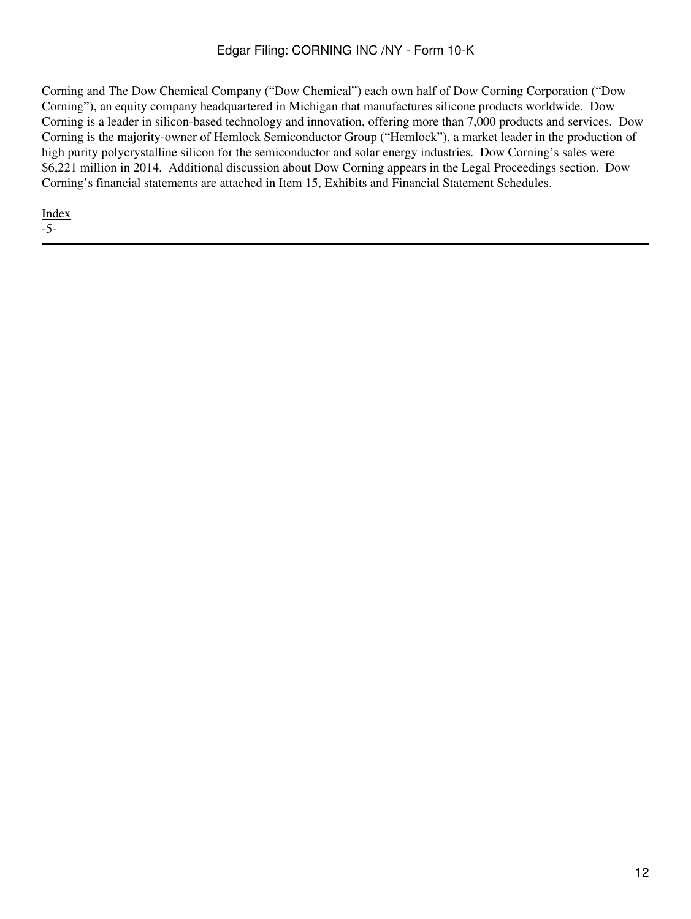Corning and The Dow Chemical Company ("Dow Chemical") each own half of Dow Corning Corporation ("Dow Corning"), an equity company headquartered in Michigan that manufactures silicone products worldwide. Dow Corning is a leader in silicon-based technology and innovation, offering more than 7,000 products and services. Dow Corning is the majority-owner of Hemlock Semiconductor Group ("Hemlock"), a market leader in the production of high purity polycrystalline silicon for the semiconductor and solar energy industries. Dow Corning's sales were \$6,221 million in 2014. Additional discussion about Dow Corning appears in the Legal Proceedings section. Dow Corning's financial statements are attached in Item 15, Exhibits and Financial Statement Schedules.

[Index](#page-155-0) -5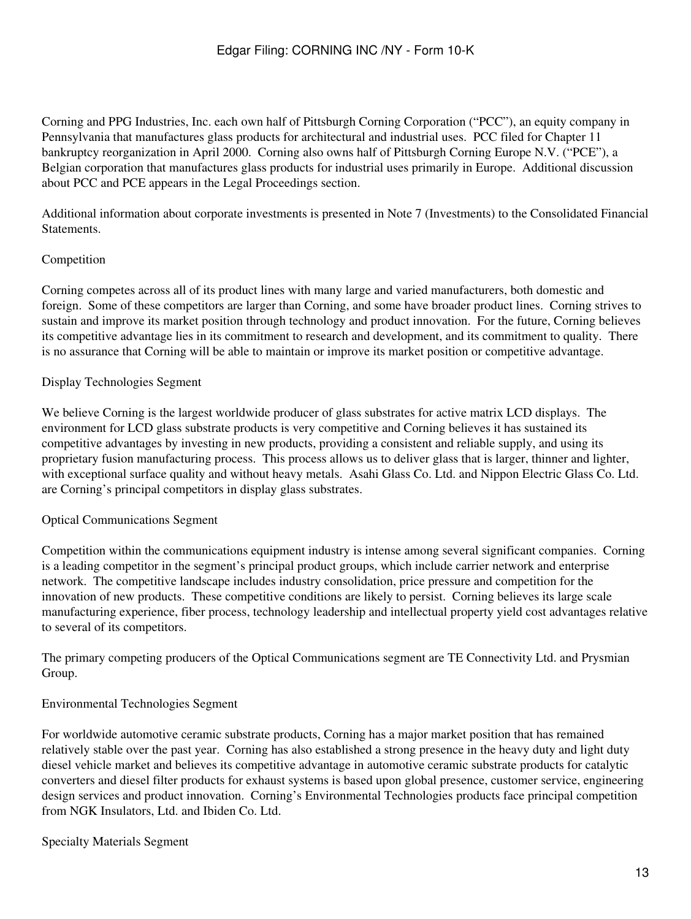Corning and PPG Industries, Inc. each own half of Pittsburgh Corning Corporation ("PCC"), an equity company in Pennsylvania that manufactures glass products for architectural and industrial uses. PCC filed for Chapter 11 bankruptcy reorganization in April 2000. Corning also owns half of Pittsburgh Corning Europe N.V. ("PCE"), a Belgian corporation that manufactures glass products for industrial uses primarily in Europe. Additional discussion about PCC and PCE appears in the Legal Proceedings section.

Additional information about corporate investments is presented in Note 7 (Investments) to the Consolidated Financial Statements.

## Competition

Corning competes across all of its product lines with many large and varied manufacturers, both domestic and foreign. Some of these competitors are larger than Corning, and some have broader product lines. Corning strives to sustain and improve its market position through technology and product innovation. For the future, Corning believes its competitive advantage lies in its commitment to research and development, and its commitment to quality. There is no assurance that Corning will be able to maintain or improve its market position or competitive advantage.

## Display Technologies Segment

We believe Corning is the largest worldwide producer of glass substrates for active matrix LCD displays. The environment for LCD glass substrate products is very competitive and Corning believes it has sustained its competitive advantages by investing in new products, providing a consistent and reliable supply, and using its proprietary fusion manufacturing process. This process allows us to deliver glass that is larger, thinner and lighter, with exceptional surface quality and without heavy metals. Asahi Glass Co. Ltd. and Nippon Electric Glass Co. Ltd. are Corning's principal competitors in display glass substrates.

## Optical Communications Segment

Competition within the communications equipment industry is intense among several significant companies. Corning is a leading competitor in the segment's principal product groups, which include carrier network and enterprise network. The competitive landscape includes industry consolidation, price pressure and competition for the innovation of new products. These competitive conditions are likely to persist. Corning believes its large scale manufacturing experience, fiber process, technology leadership and intellectual property yield cost advantages relative to several of its competitors.

The primary competing producers of the Optical Communications segment are TE Connectivity Ltd. and Prysmian Group.

## Environmental Technologies Segment

For worldwide automotive ceramic substrate products, Corning has a major market position that has remained relatively stable over the past year. Corning has also established a strong presence in the heavy duty and light duty diesel vehicle market and believes its competitive advantage in automotive ceramic substrate products for catalytic converters and diesel filter products for exhaust systems is based upon global presence, customer service, engineering design services and product innovation. Corning's Environmental Technologies products face principal competition from NGK Insulators, Ltd. and Ibiden Co. Ltd.

Specialty Materials Segment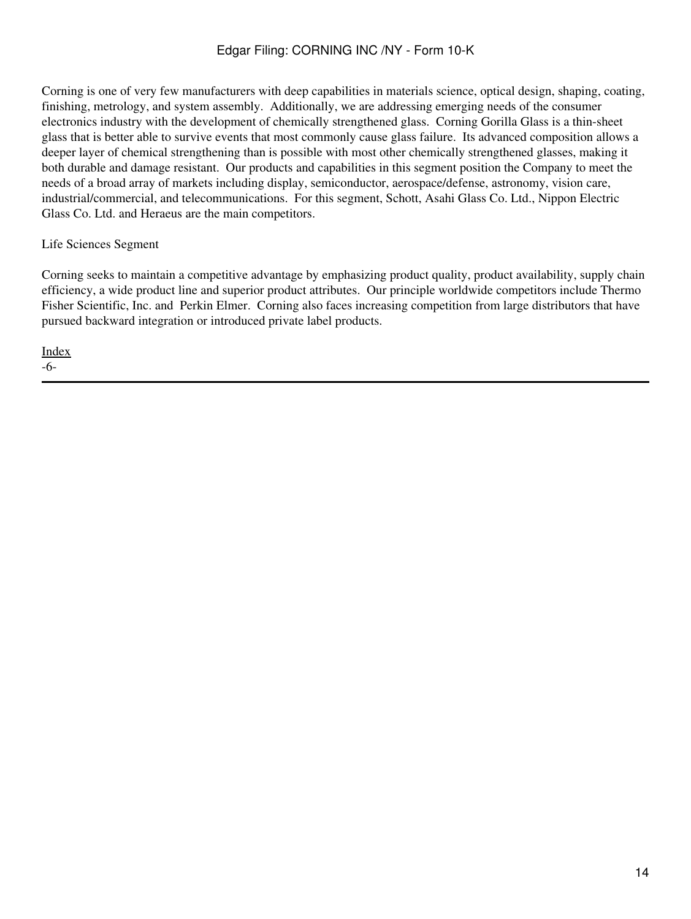Corning is one of very few manufacturers with deep capabilities in materials science, optical design, shaping, coating, finishing, metrology, and system assembly. Additionally, we are addressing emerging needs of the consumer electronics industry with the development of chemically strengthened glass. Corning Gorilla Glass is a thin-sheet glass that is better able to survive events that most commonly cause glass failure. Its advanced composition allows a deeper layer of chemical strengthening than is possible with most other chemically strengthened glasses, making it both durable and damage resistant. Our products and capabilities in this segment position the Company to meet the needs of a broad array of markets including display, semiconductor, aerospace/defense, astronomy, vision care, industrial/commercial, and telecommunications. For this segment, Schott, Asahi Glass Co. Ltd., Nippon Electric Glass Co. Ltd. and Heraeus are the main competitors.

## Life Sciences Segment

Corning seeks to maintain a competitive advantage by emphasizing product quality, product availability, supply chain efficiency, a wide product line and superior product attributes. Our principle worldwide competitors include Thermo Fisher Scientific, Inc. and Perkin Elmer. Corning also faces increasing competition from large distributors that have pursued backward integration or introduced private label products.

[Index](#page-155-0) -6-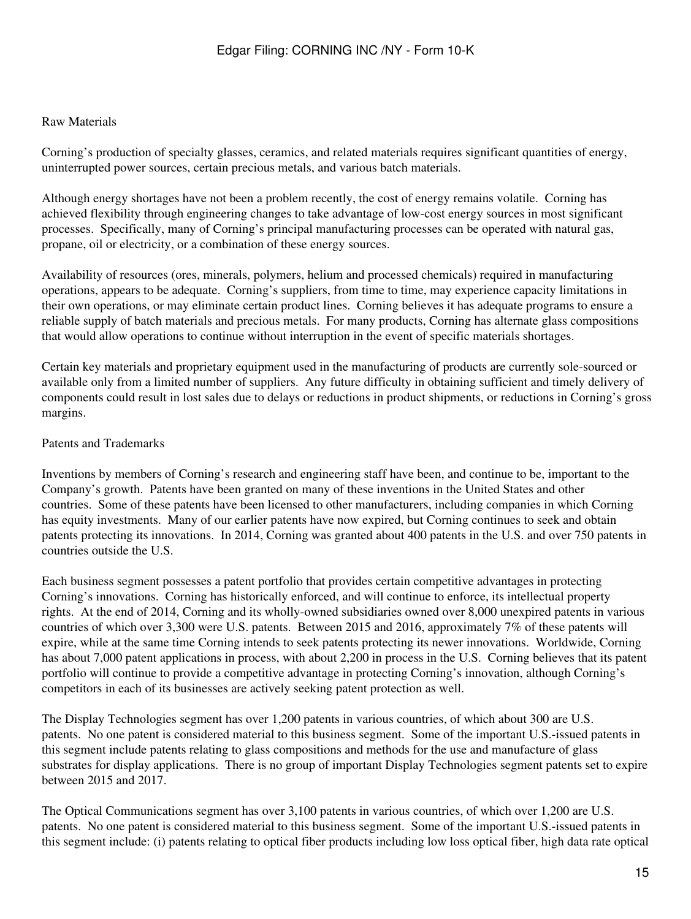#### Raw Materials

Corning's production of specialty glasses, ceramics, and related materials requires significant quantities of energy, uninterrupted power sources, certain precious metals, and various batch materials.

Although energy shortages have not been a problem recently, the cost of energy remains volatile. Corning has achieved flexibility through engineering changes to take advantage of low-cost energy sources in most significant processes. Specifically, many of Corning's principal manufacturing processes can be operated with natural gas, propane, oil or electricity, or a combination of these energy sources.

Availability of resources (ores, minerals, polymers, helium and processed chemicals) required in manufacturing operations, appears to be adequate. Corning's suppliers, from time to time, may experience capacity limitations in their own operations, or may eliminate certain product lines. Corning believes it has adequate programs to ensure a reliable supply of batch materials and precious metals. For many products, Corning has alternate glass compositions that would allow operations to continue without interruption in the event of specific materials shortages.

Certain key materials and proprietary equipment used in the manufacturing of products are currently sole-sourced or available only from a limited number of suppliers. Any future difficulty in obtaining sufficient and timely delivery of components could result in lost sales due to delays or reductions in product shipments, or reductions in Corning's gross margins.

#### Patents and Trademarks

Inventions by members of Corning's research and engineering staff have been, and continue to be, important to the Company's growth. Patents have been granted on many of these inventions in the United States and other countries. Some of these patents have been licensed to other manufacturers, including companies in which Corning has equity investments. Many of our earlier patents have now expired, but Corning continues to seek and obtain patents protecting its innovations. In 2014, Corning was granted about 400 patents in the U.S. and over 750 patents in countries outside the U.S.

Each business segment possesses a patent portfolio that provides certain competitive advantages in protecting Corning's innovations. Corning has historically enforced, and will continue to enforce, its intellectual property rights. At the end of 2014, Corning and its wholly-owned subsidiaries owned over 8,000 unexpired patents in various countries of which over 3,300 were U.S. patents. Between 2015 and 2016, approximately 7% of these patents will expire, while at the same time Corning intends to seek patents protecting its newer innovations. Worldwide, Corning has about 7,000 patent applications in process, with about 2,200 in process in the U.S. Corning believes that its patent portfolio will continue to provide a competitive advantage in protecting Corning's innovation, although Corning's competitors in each of its businesses are actively seeking patent protection as well.

The Display Technologies segment has over 1,200 patents in various countries, of which about 300 are U.S. patents. No one patent is considered material to this business segment. Some of the important U.S.-issued patents in this segment include patents relating to glass compositions and methods for the use and manufacture of glass substrates for display applications. There is no group of important Display Technologies segment patents set to expire between 2015 and 2017.

The Optical Communications segment has over 3,100 patents in various countries, of which over 1,200 are U.S. patents. No one patent is considered material to this business segment. Some of the important U.S.-issued patents in this segment include: (i) patents relating to optical fiber products including low loss optical fiber, high data rate optical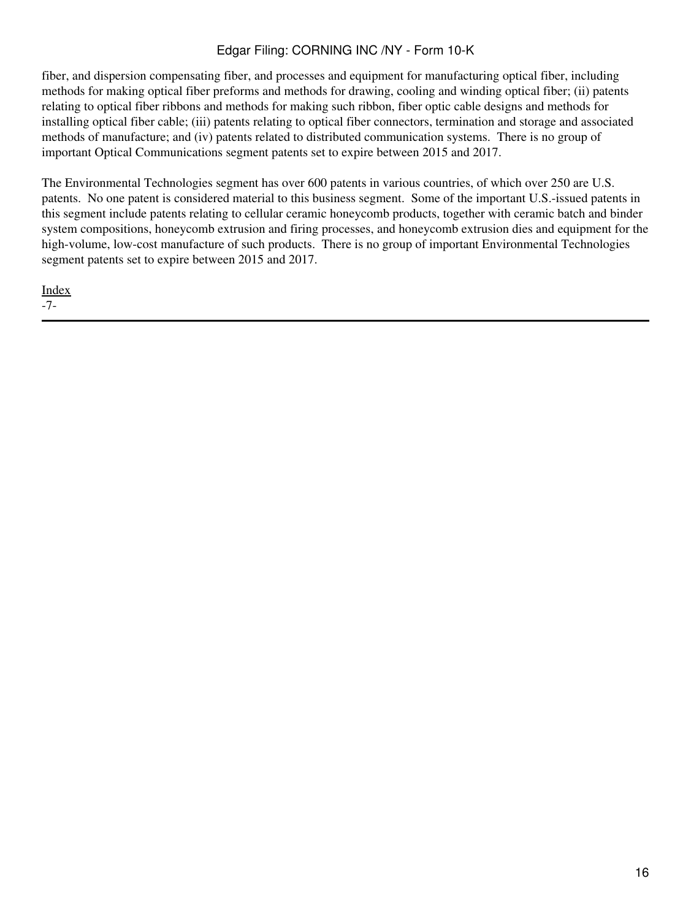fiber, and dispersion compensating fiber, and processes and equipment for manufacturing optical fiber, including methods for making optical fiber preforms and methods for drawing, cooling and winding optical fiber; (ii) patents relating to optical fiber ribbons and methods for making such ribbon, fiber optic cable designs and methods for installing optical fiber cable; (iii) patents relating to optical fiber connectors, termination and storage and associated methods of manufacture; and (iv) patents related to distributed communication systems. There is no group of important Optical Communications segment patents set to expire between 2015 and 2017.

The Environmental Technologies segment has over 600 patents in various countries, of which over 250 are U.S. patents. No one patent is considered material to this business segment. Some of the important U.S.-issued patents in this segment include patents relating to cellular ceramic honeycomb products, together with ceramic batch and binder system compositions, honeycomb extrusion and firing processes, and honeycomb extrusion dies and equipment for the high-volume, low-cost manufacture of such products. There is no group of important Environmental Technologies segment patents set to expire between 2015 and 2017.

[Index](#page-155-0) -7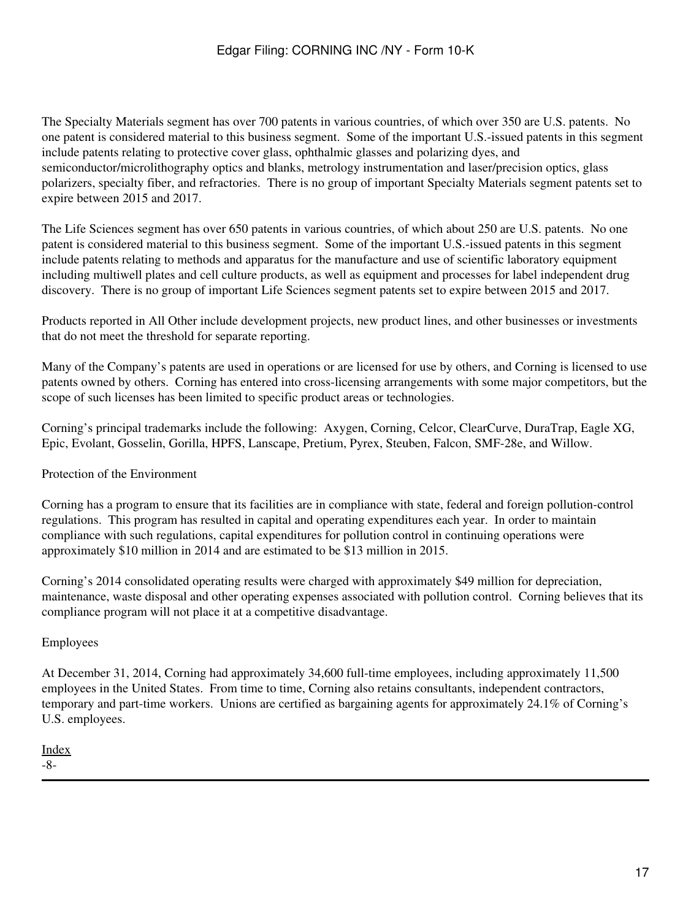The Specialty Materials segment has over 700 patents in various countries, of which over 350 are U.S. patents. No one patent is considered material to this business segment. Some of the important U.S.-issued patents in this segment include patents relating to protective cover glass, ophthalmic glasses and polarizing dyes, and semiconductor/microlithography optics and blanks, metrology instrumentation and laser/precision optics, glass polarizers, specialty fiber, and refractories. There is no group of important Specialty Materials segment patents set to expire between 2015 and 2017.

The Life Sciences segment has over 650 patents in various countries, of which about 250 are U.S. patents. No one patent is considered material to this business segment. Some of the important U.S.-issued patents in this segment include patents relating to methods and apparatus for the manufacture and use of scientific laboratory equipment including multiwell plates and cell culture products, as well as equipment and processes for label independent drug discovery. There is no group of important Life Sciences segment patents set to expire between 2015 and 2017.

Products reported in All Other include development projects, new product lines, and other businesses or investments that do not meet the threshold for separate reporting.

Many of the Company's patents are used in operations or are licensed for use by others, and Corning is licensed to use patents owned by others. Corning has entered into cross-licensing arrangements with some major competitors, but the scope of such licenses has been limited to specific product areas or technologies.

Corning's principal trademarks include the following: Axygen, Corning, Celcor, ClearCurve, DuraTrap, Eagle XG, Epic, Evolant, Gosselin, Gorilla, HPFS, Lanscape, Pretium, Pyrex, Steuben, Falcon, SMF-28e, and Willow.

Protection of the Environment

Corning has a program to ensure that its facilities are in compliance with state, federal and foreign pollution-control regulations. This program has resulted in capital and operating expenditures each year. In order to maintain compliance with such regulations, capital expenditures for pollution control in continuing operations were approximately \$10 million in 2014 and are estimated to be \$13 million in 2015.

Corning's 2014 consolidated operating results were charged with approximately \$49 million for depreciation, maintenance, waste disposal and other operating expenses associated with pollution control. Corning believes that its compliance program will not place it at a competitive disadvantage.

## Employees

At December 31, 2014, Corning had approximately 34,600 full-time employees, including approximately 11,500 employees in the United States. From time to time, Corning also retains consultants, independent contractors, temporary and part-time workers. Unions are certified as bargaining agents for approximately 24.1% of Corning's U.S. employees.

[Index](#page-155-0) -8-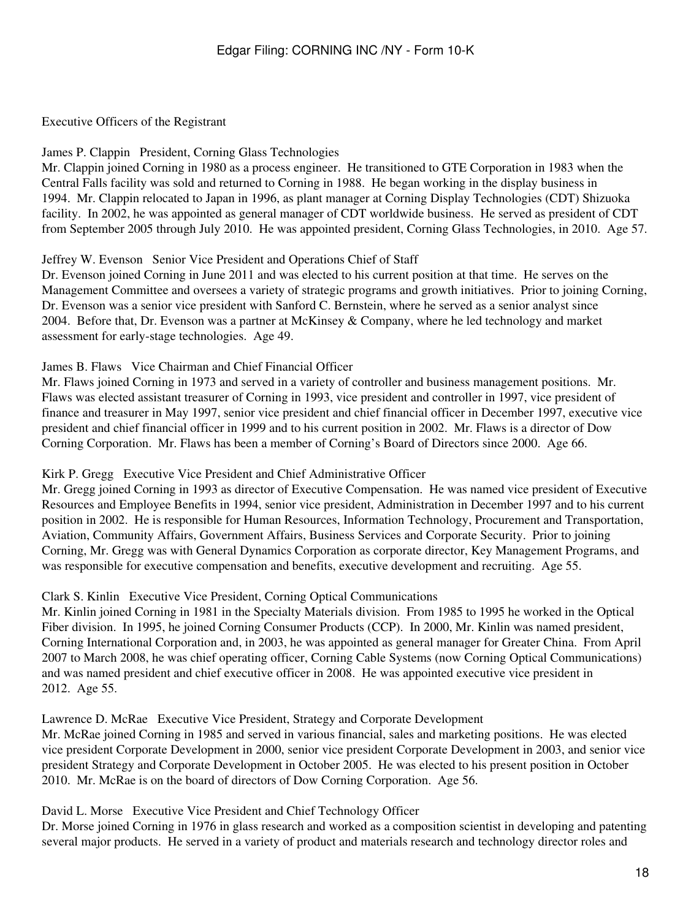### Executive Officers of the Registrant

James P. Clappin President, Corning Glass Technologies

Mr. Clappin joined Corning in 1980 as a process engineer. He transitioned to GTE Corporation in 1983 when the Central Falls facility was sold and returned to Corning in 1988. He began working in the display business in 1994. Mr. Clappin relocated to Japan in 1996, as plant manager at Corning Display Technologies (CDT) Shizuoka facility. In 2002, he was appointed as general manager of CDT worldwide business. He served as president of CDT from September 2005 through July 2010. He was appointed president, Corning Glass Technologies, in 2010. Age 57.

### Jeffrey W. Evenson Senior Vice President and Operations Chief of Staff

Dr. Evenson joined Corning in June 2011 and was elected to his current position at that time. He serves on the Management Committee and oversees a variety of strategic programs and growth initiatives. Prior to joining Corning, Dr. Evenson was a senior vice president with Sanford C. Bernstein, where he served as a senior analyst since 2004. Before that, Dr. Evenson was a partner at McKinsey & Company, where he led technology and market assessment for early-stage technologies. Age 49.

### James B. Flaws Vice Chairman and Chief Financial Officer

Mr. Flaws joined Corning in 1973 and served in a variety of controller and business management positions. Mr. Flaws was elected assistant treasurer of Corning in 1993, vice president and controller in 1997, vice president of finance and treasurer in May 1997, senior vice president and chief financial officer in December 1997, executive vice president and chief financial officer in 1999 and to his current position in 2002. Mr. Flaws is a director of Dow Corning Corporation. Mr. Flaws has been a member of Corning's Board of Directors since 2000. Age 66.

## Kirk P. Gregg Executive Vice President and Chief Administrative Officer

Mr. Gregg joined Corning in 1993 as director of Executive Compensation. He was named vice president of Executive Resources and Employee Benefits in 1994, senior vice president, Administration in December 1997 and to his current position in 2002. He is responsible for Human Resources, Information Technology, Procurement and Transportation, Aviation, Community Affairs, Government Affairs, Business Services and Corporate Security. Prior to joining Corning, Mr. Gregg was with General Dynamics Corporation as corporate director, Key Management Programs, and was responsible for executive compensation and benefits, executive development and recruiting. Age 55.

#### Clark S. Kinlin Executive Vice President, Corning Optical Communications

Mr. Kinlin joined Corning in 1981 in the Specialty Materials division. From 1985 to 1995 he worked in the Optical Fiber division. In 1995, he joined Corning Consumer Products (CCP). In 2000, Mr. Kinlin was named president, Corning International Corporation and, in 2003, he was appointed as general manager for Greater China. From April 2007 to March 2008, he was chief operating officer, Corning Cable Systems (now Corning Optical Communications) and was named president and chief executive officer in 2008. He was appointed executive vice president in 2012. Age 55.

## Lawrence D. McRae Executive Vice President, Strategy and Corporate Development

Mr. McRae joined Corning in 1985 and served in various financial, sales and marketing positions. He was elected vice president Corporate Development in 2000, senior vice president Corporate Development in 2003, and senior vice president Strategy and Corporate Development in October 2005. He was elected to his present position in October 2010. Mr. McRae is on the board of directors of Dow Corning Corporation. Age 56.

#### David L. Morse Executive Vice President and Chief Technology Officer

Dr. Morse joined Corning in 1976 in glass research and worked as a composition scientist in developing and patenting several major products. He served in a variety of product and materials research and technology director roles and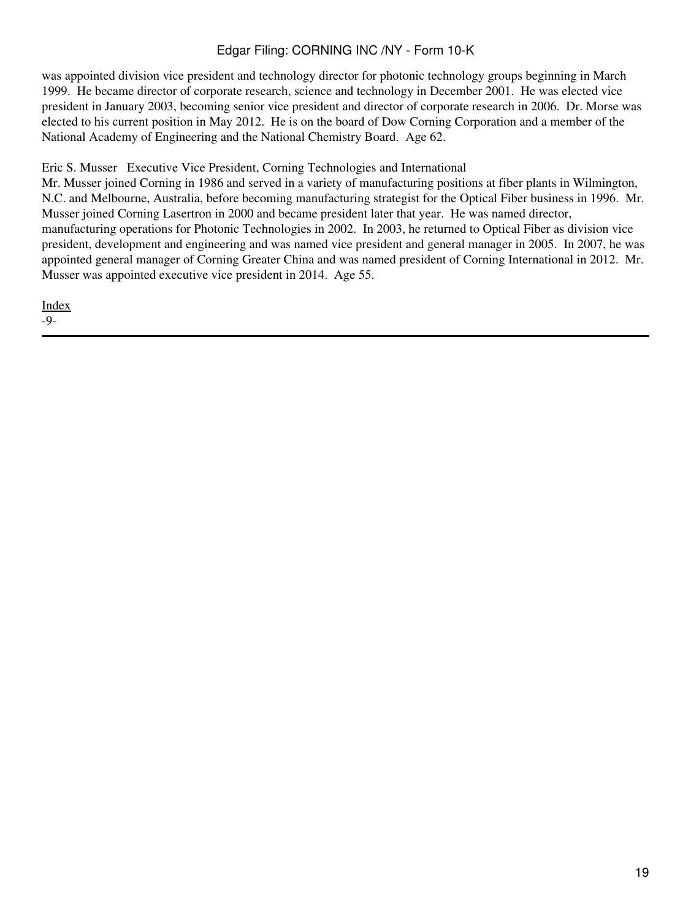was appointed division vice president and technology director for photonic technology groups beginning in March 1999. He became director of corporate research, science and technology in December 2001. He was elected vice president in January 2003, becoming senior vice president and director of corporate research in 2006. Dr. Morse was elected to his current position in May 2012. He is on the board of Dow Corning Corporation and a member of the National Academy of Engineering and the National Chemistry Board. Age 62.

Eric S. Musser Executive Vice President, Corning Technologies and International

Mr. Musser joined Corning in 1986 and served in a variety of manufacturing positions at fiber plants in Wilmington, N.C. and Melbourne, Australia, before becoming manufacturing strategist for the Optical Fiber business in 1996. Mr. Musser joined Corning Lasertron in 2000 and became president later that year. He was named director, manufacturing operations for Photonic Technologies in 2002. In 2003, he returned to Optical Fiber as division vice president, development and engineering and was named vice president and general manager in 2005. In 2007, he was appointed general manager of Corning Greater China and was named president of Corning International in 2012. Mr. Musser was appointed executive vice president in 2014. Age 55.

[Index](#page-155-0)

-9-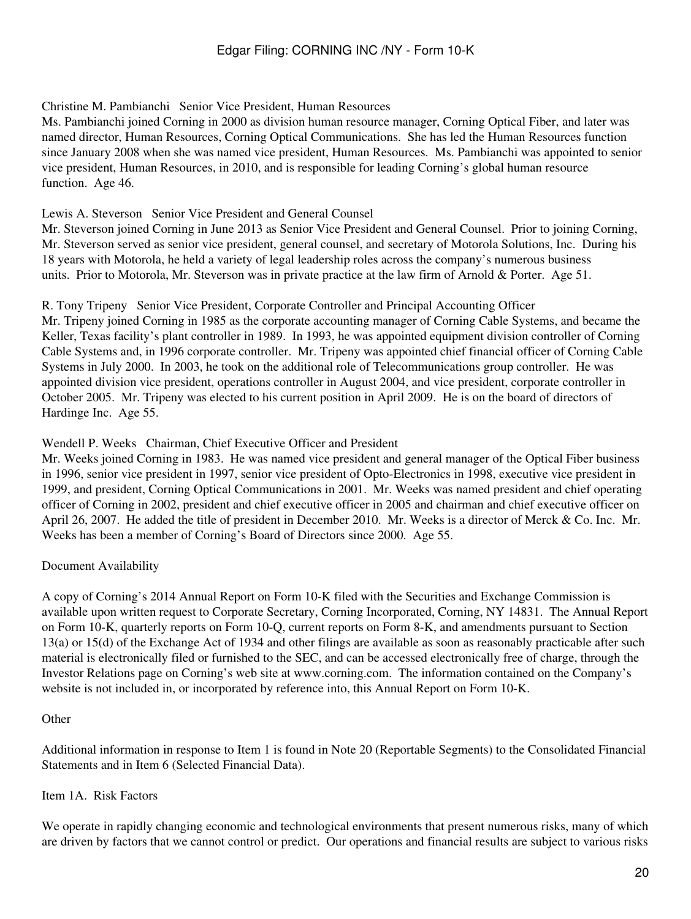### Christine M. Pambianchi Senior Vice President, Human Resources

Ms. Pambianchi joined Corning in 2000 as division human resource manager, Corning Optical Fiber, and later was named director, Human Resources, Corning Optical Communications. She has led the Human Resources function since January 2008 when she was named vice president, Human Resources. Ms. Pambianchi was appointed to senior vice president, Human Resources, in 2010, and is responsible for leading Corning's global human resource function. Age 46.

### Lewis A. Steverson Senior Vice President and General Counsel

Mr. Steverson joined Corning in June 2013 as Senior Vice President and General Counsel. Prior to joining Corning, Mr. Steverson served as senior vice president, general counsel, and secretary of Motorola Solutions, Inc. During his 18 years with Motorola, he held a variety of legal leadership roles across the company's numerous business units. Prior to Motorola, Mr. Steverson was in private practice at the law firm of Arnold & Porter. Age 51.

R. Tony Tripeny Senior Vice President, Corporate Controller and Principal Accounting Officer

Mr. Tripeny joined Corning in 1985 as the corporate accounting manager of Corning Cable Systems, and became the Keller, Texas facility's plant controller in 1989. In 1993, he was appointed equipment division controller of Corning Cable Systems and, in 1996 corporate controller. Mr. Tripeny was appointed chief financial officer of Corning Cable Systems in July 2000. In 2003, he took on the additional role of Telecommunications group controller. He was appointed division vice president, operations controller in August 2004, and vice president, corporate controller in October 2005. Mr. Tripeny was elected to his current position in April 2009. He is on the board of directors of Hardinge Inc. Age 55.

### Wendell P. Weeks Chairman, Chief Executive Officer and President

Mr. Weeks joined Corning in 1983. He was named vice president and general manager of the Optical Fiber business in 1996, senior vice president in 1997, senior vice president of Opto-Electronics in 1998, executive vice president in 1999, and president, Corning Optical Communications in 2001. Mr. Weeks was named president and chief operating officer of Corning in 2002, president and chief executive officer in 2005 and chairman and chief executive officer on April 26, 2007. He added the title of president in December 2010. Mr. Weeks is a director of Merck & Co. Inc. Mr. Weeks has been a member of Corning's Board of Directors since 2000. Age 55.

## Document Availability

A copy of Corning's 2014 Annual Report on Form 10-K filed with the Securities and Exchange Commission is available upon written request to Corporate Secretary, Corning Incorporated, Corning, NY 14831. The Annual Report on Form 10-K, quarterly reports on Form 10-Q, current reports on Form 8-K, and amendments pursuant to Section 13(a) or 15(d) of the Exchange Act of 1934 and other filings are available as soon as reasonably practicable after such material is electronically filed or furnished to the SEC, and can be accessed electronically free of charge, through the Investor Relations page on Corning's web site at www.corning.com. The information contained on the Company's website is not included in, or incorporated by reference into, this Annual Report on Form 10-K.

#### **Other**

Additional information in response to Item 1 is found in Note 20 (Reportable Segments) to the Consolidated Financial Statements and in Item 6 (Selected Financial Data).

#### Item 1A. Risk Factors

We operate in rapidly changing economic and technological environments that present numerous risks, many of which are driven by factors that we cannot control or predict. Our operations and financial results are subject to various risks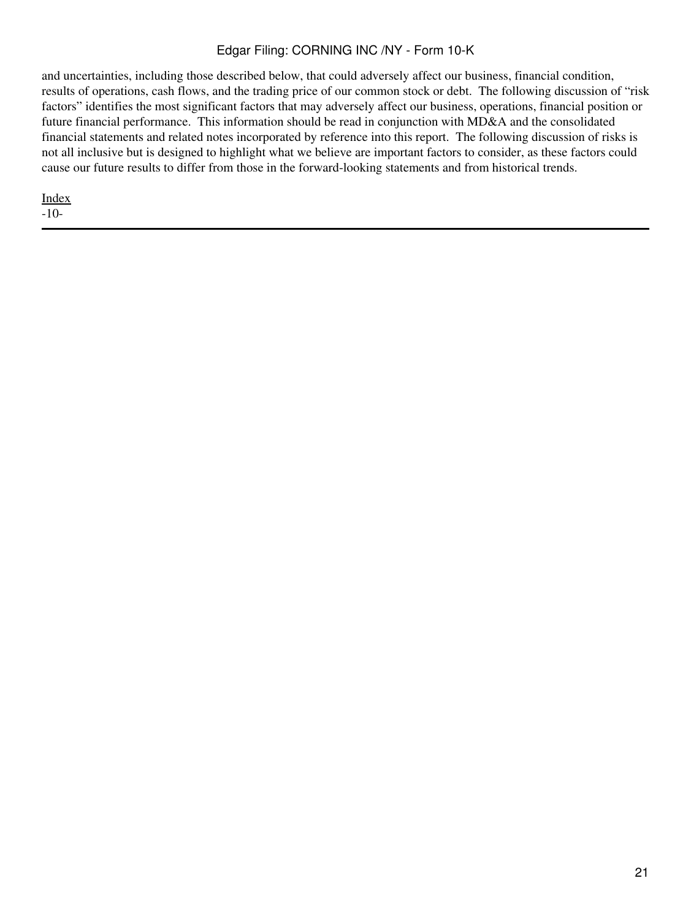and uncertainties, including those described below, that could adversely affect our business, financial condition, results of operations, cash flows, and the trading price of our common stock or debt. The following discussion of "risk factors" identifies the most significant factors that may adversely affect our business, operations, financial position or future financial performance. This information should be read in conjunction with MD&A and the consolidated financial statements and related notes incorporated by reference into this report. The following discussion of risks is not all inclusive but is designed to highlight what we believe are important factors to consider, as these factors could cause our future results to differ from those in the forward-looking statements and from historical trends.

[Index](#page-155-0) -10-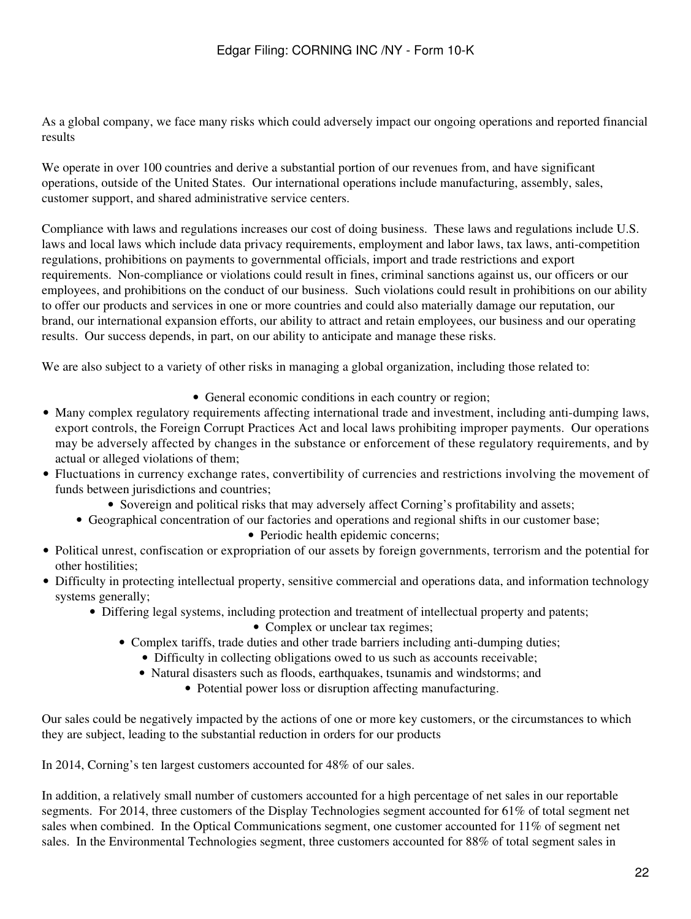As a global company, we face many risks which could adversely impact our ongoing operations and reported financial results

We operate in over 100 countries and derive a substantial portion of our revenues from, and have significant operations, outside of the United States. Our international operations include manufacturing, assembly, sales, customer support, and shared administrative service centers.

Compliance with laws and regulations increases our cost of doing business. These laws and regulations include U.S. laws and local laws which include data privacy requirements, employment and labor laws, tax laws, anti-competition regulations, prohibitions on payments to governmental officials, import and trade restrictions and export requirements. Non-compliance or violations could result in fines, criminal sanctions against us, our officers or our employees, and prohibitions on the conduct of our business. Such violations could result in prohibitions on our ability to offer our products and services in one or more countries and could also materially damage our reputation, our brand, our international expansion efforts, our ability to attract and retain employees, our business and our operating results. Our success depends, in part, on our ability to anticipate and manage these risks.

We are also subject to a variety of other risks in managing a global organization, including those related to:

- General economic conditions in each country or region;
- Many complex regulatory requirements affecting international trade and investment, including anti-dumping laws, export controls, the Foreign Corrupt Practices Act and local laws prohibiting improper payments. Our operations may be adversely affected by changes in the substance or enforcement of these regulatory requirements, and by actual or alleged violations of them;
- Fluctuations in currency exchange rates, convertibility of currencies and restrictions involving the movement of funds between jurisdictions and countries;
	- Sovereign and political risks that may adversely affect Corning's profitability and assets;
	- Geographical concentration of our factories and operations and regional shifts in our customer base;
		- Periodic health epidemic concerns;
- Political unrest, confiscation or expropriation of our assets by foreign governments, terrorism and the potential for other hostilities;
- Difficulty in protecting intellectual property, sensitive commercial and operations data, and information technology systems generally;
	- Differing legal systems, including protection and treatment of intellectual property and patents;
		- Complex or unclear tax regimes;
		- Complex tariffs, trade duties and other trade barriers including anti-dumping duties;
			- Difficulty in collecting obligations owed to us such as accounts receivable;
			- Natural disasters such as floods, earthquakes, tsunamis and windstorms; and
				- Potential power loss or disruption affecting manufacturing.

Our sales could be negatively impacted by the actions of one or more key customers, or the circumstances to which they are subject, leading to the substantial reduction in orders for our products

In 2014, Corning's ten largest customers accounted for 48% of our sales.

In addition, a relatively small number of customers accounted for a high percentage of net sales in our reportable segments. For 2014, three customers of the Display Technologies segment accounted for 61% of total segment net sales when combined. In the Optical Communications segment, one customer accounted for 11% of segment net sales. In the Environmental Technologies segment, three customers accounted for 88% of total segment sales in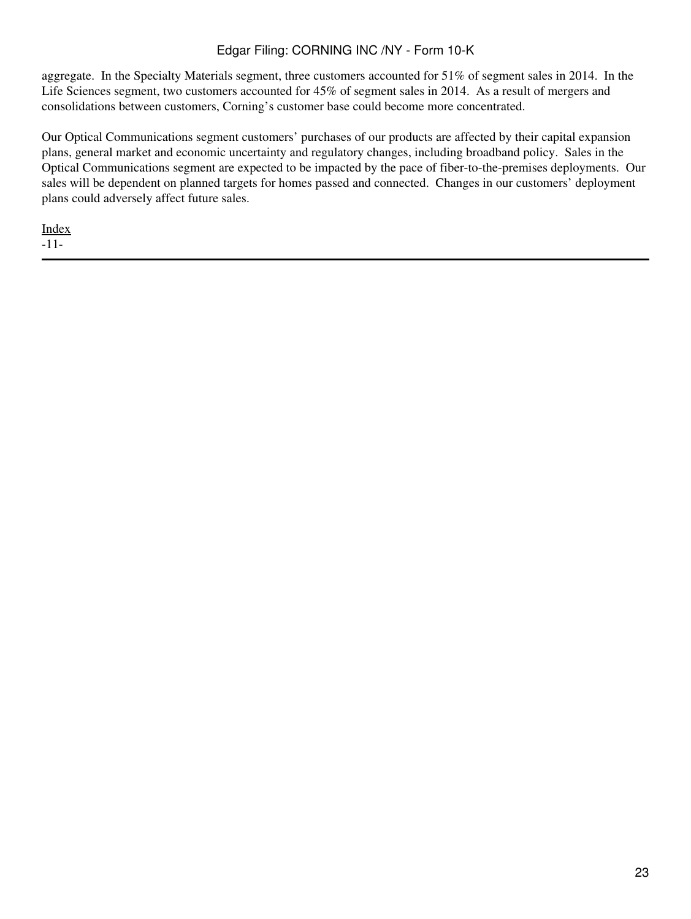aggregate. In the Specialty Materials segment, three customers accounted for 51% of segment sales in 2014. In the Life Sciences segment, two customers accounted for 45% of segment sales in 2014. As a result of mergers and consolidations between customers, Corning's customer base could become more concentrated.

Our Optical Communications segment customers' purchases of our products are affected by their capital expansion plans, general market and economic uncertainty and regulatory changes, including broadband policy. Sales in the Optical Communications segment are expected to be impacted by the pace of fiber-to-the-premises deployments. Our sales will be dependent on planned targets for homes passed and connected. Changes in our customers' deployment plans could adversely affect future sales.

[Index](#page-155-0) -11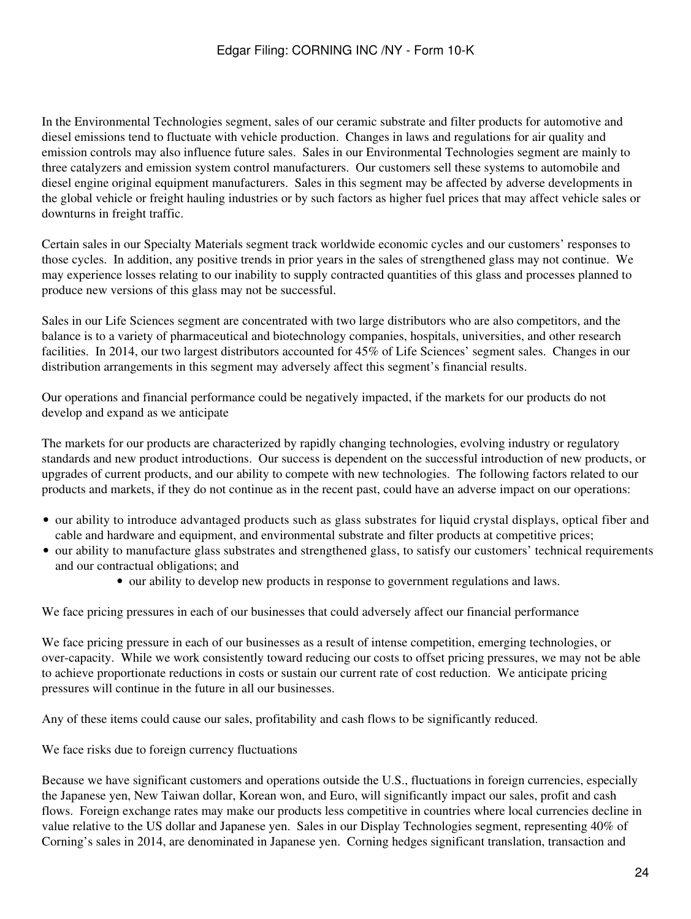In the Environmental Technologies segment, sales of our ceramic substrate and filter products for automotive and diesel emissions tend to fluctuate with vehicle production. Changes in laws and regulations for air quality and emission controls may also influence future sales. Sales in our Environmental Technologies segment are mainly to three catalyzers and emission system control manufacturers. Our customers sell these systems to automobile and diesel engine original equipment manufacturers. Sales in this segment may be affected by adverse developments in the global vehicle or freight hauling industries or by such factors as higher fuel prices that may affect vehicle sales or downturns in freight traffic.

Certain sales in our Specialty Materials segment track worldwide economic cycles and our customers' responses to those cycles. In addition, any positive trends in prior years in the sales of strengthened glass may not continue. We may experience losses relating to our inability to supply contracted quantities of this glass and processes planned to produce new versions of this glass may not be successful.

Sales in our Life Sciences segment are concentrated with two large distributors who are also competitors, and the balance is to a variety of pharmaceutical and biotechnology companies, hospitals, universities, and other research facilities. In 2014, our two largest distributors accounted for 45% of Life Sciences' segment sales. Changes in our distribution arrangements in this segment may adversely affect this segment's financial results.

Our operations and financial performance could be negatively impacted, if the markets for our products do not develop and expand as we anticipate

The markets for our products are characterized by rapidly changing technologies, evolving industry or regulatory standards and new product introductions. Our success is dependent on the successful introduction of new products, or upgrades of current products, and our ability to compete with new technologies. The following factors related to our products and markets, if they do not continue as in the recent past, could have an adverse impact on our operations:

- our ability to introduce advantaged products such as glass substrates for liquid crystal displays, optical fiber and cable and hardware and equipment, and environmental substrate and filter products at competitive prices;
- our ability to manufacture glass substrates and strengthened glass, to satisfy our customers' technical requirements and our contractual obligations; and
	- our ability to develop new products in response to government regulations and laws.

We face pricing pressures in each of our businesses that could adversely affect our financial performance

We face pricing pressure in each of our businesses as a result of intense competition, emerging technologies, or over-capacity. While we work consistently toward reducing our costs to offset pricing pressures, we may not be able to achieve proportionate reductions in costs or sustain our current rate of cost reduction. We anticipate pricing pressures will continue in the future in all our businesses.

Any of these items could cause our sales, profitability and cash flows to be significantly reduced.

We face risks due to foreign currency fluctuations

Because we have significant customers and operations outside the U.S., fluctuations in foreign currencies, especially the Japanese yen, New Taiwan dollar, Korean won, and Euro, will significantly impact our sales, profit and cash flows. Foreign exchange rates may make our products less competitive in countries where local currencies decline in value relative to the US dollar and Japanese yen. Sales in our Display Technologies segment, representing 40% of Corning's sales in 2014, are denominated in Japanese yen. Corning hedges significant translation, transaction and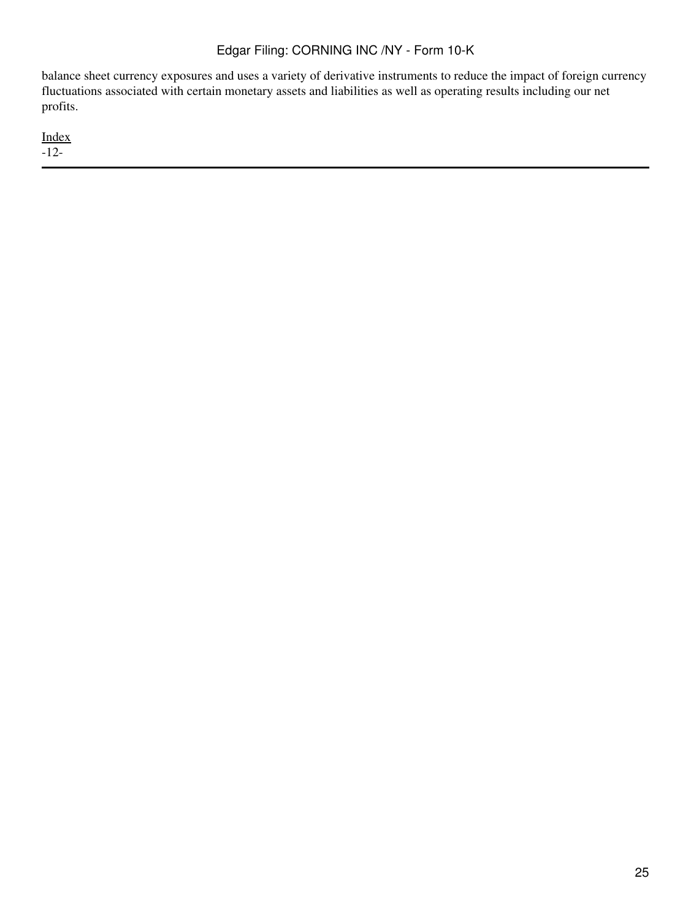balance sheet currency exposures and uses a variety of derivative instruments to reduce the impact of foreign currency fluctuations associated with certain monetary assets and liabilities as well as operating results including our net profits.

[Index](#page-155-0) -12-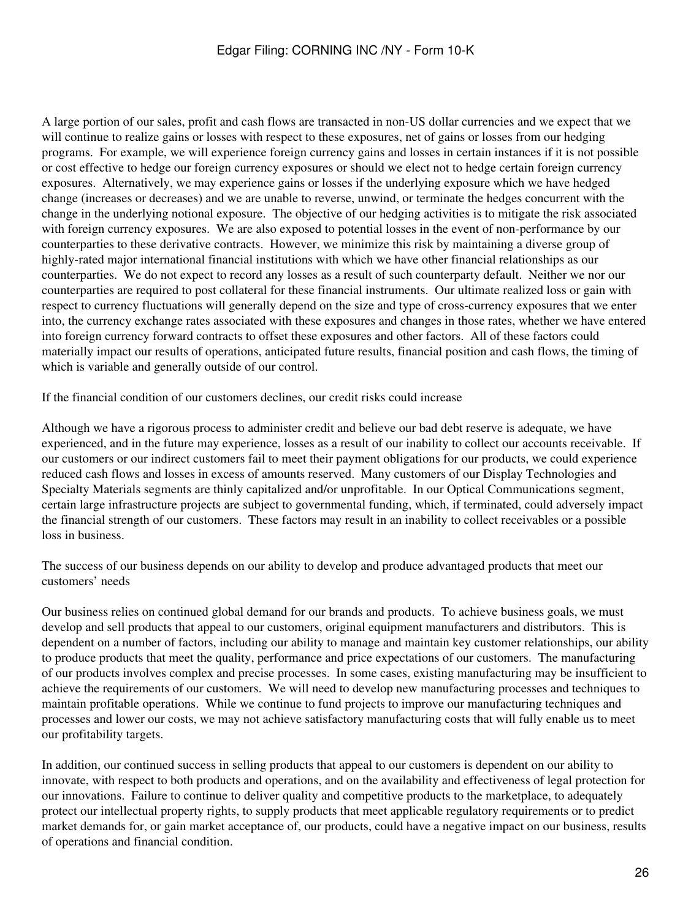A large portion of our sales, profit and cash flows are transacted in non-US dollar currencies and we expect that we will continue to realize gains or losses with respect to these exposures, net of gains or losses from our hedging programs. For example, we will experience foreign currency gains and losses in certain instances if it is not possible or cost effective to hedge our foreign currency exposures or should we elect not to hedge certain foreign currency exposures. Alternatively, we may experience gains or losses if the underlying exposure which we have hedged change (increases or decreases) and we are unable to reverse, unwind, or terminate the hedges concurrent with the change in the underlying notional exposure. The objective of our hedging activities is to mitigate the risk associated with foreign currency exposures. We are also exposed to potential losses in the event of non-performance by our counterparties to these derivative contracts. However, we minimize this risk by maintaining a diverse group of highly-rated major international financial institutions with which we have other financial relationships as our counterparties. We do not expect to record any losses as a result of such counterparty default. Neither we nor our counterparties are required to post collateral for these financial instruments. Our ultimate realized loss or gain with respect to currency fluctuations will generally depend on the size and type of cross-currency exposures that we enter into, the currency exchange rates associated with these exposures and changes in those rates, whether we have entered into foreign currency forward contracts to offset these exposures and other factors. All of these factors could materially impact our results of operations, anticipated future results, financial position and cash flows, the timing of which is variable and generally outside of our control.

If the financial condition of our customers declines, our credit risks could increase

Although we have a rigorous process to administer credit and believe our bad debt reserve is adequate, we have experienced, and in the future may experience, losses as a result of our inability to collect our accounts receivable. If our customers or our indirect customers fail to meet their payment obligations for our products, we could experience reduced cash flows and losses in excess of amounts reserved. Many customers of our Display Technologies and Specialty Materials segments are thinly capitalized and/or unprofitable. In our Optical Communications segment, certain large infrastructure projects are subject to governmental funding, which, if terminated, could adversely impact the financial strength of our customers. These factors may result in an inability to collect receivables or a possible loss in business.

The success of our business depends on our ability to develop and produce advantaged products that meet our customers' needs

Our business relies on continued global demand for our brands and products. To achieve business goals, we must develop and sell products that appeal to our customers, original equipment manufacturers and distributors. This is dependent on a number of factors, including our ability to manage and maintain key customer relationships, our ability to produce products that meet the quality, performance and price expectations of our customers. The manufacturing of our products involves complex and precise processes. In some cases, existing manufacturing may be insufficient to achieve the requirements of our customers. We will need to develop new manufacturing processes and techniques to maintain profitable operations. While we continue to fund projects to improve our manufacturing techniques and processes and lower our costs, we may not achieve satisfactory manufacturing costs that will fully enable us to meet our profitability targets.

In addition, our continued success in selling products that appeal to our customers is dependent on our ability to innovate, with respect to both products and operations, and on the availability and effectiveness of legal protection for our innovations. Failure to continue to deliver quality and competitive products to the marketplace, to adequately protect our intellectual property rights, to supply products that meet applicable regulatory requirements or to predict market demands for, or gain market acceptance of, our products, could have a negative impact on our business, results of operations and financial condition.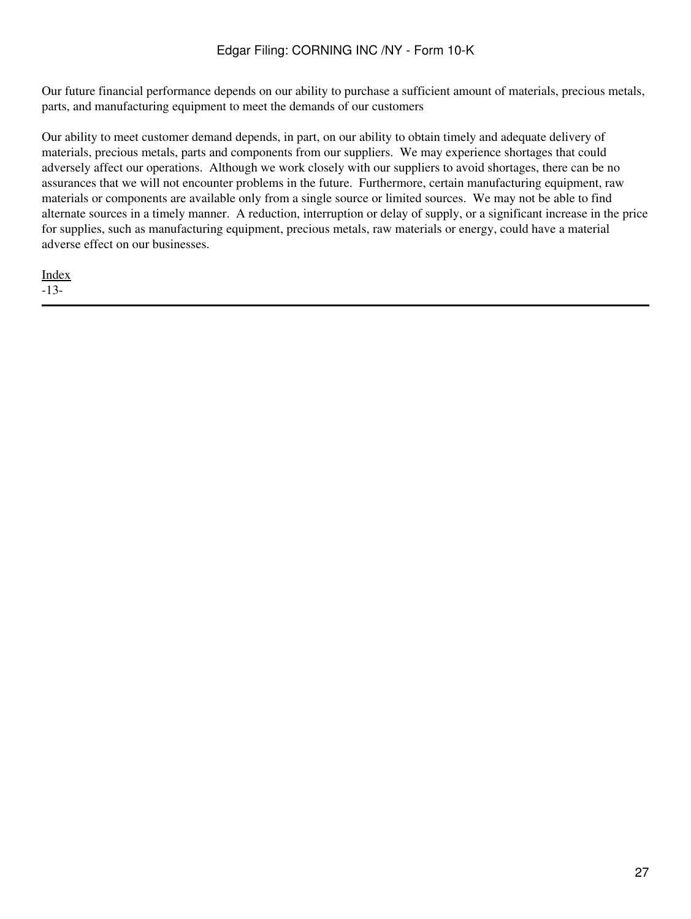Our future financial performance depends on our ability to purchase a sufficient amount of materials, precious metals, parts, and manufacturing equipment to meet the demands of our customers

Our ability to meet customer demand depends, in part, on our ability to obtain timely and adequate delivery of materials, precious metals, parts and components from our suppliers. We may experience shortages that could adversely affect our operations. Although we work closely with our suppliers to avoid shortages, there can be no assurances that we will not encounter problems in the future. Furthermore, certain manufacturing equipment, raw materials or components are available only from a single source or limited sources. We may not be able to find alternate sources in a timely manner. A reduction, interruption or delay of supply, or a significant increase in the price for supplies, such as manufacturing equipment, precious metals, raw materials or energy, could have a material adverse effect on our businesses.

[Index](#page-155-0) -13-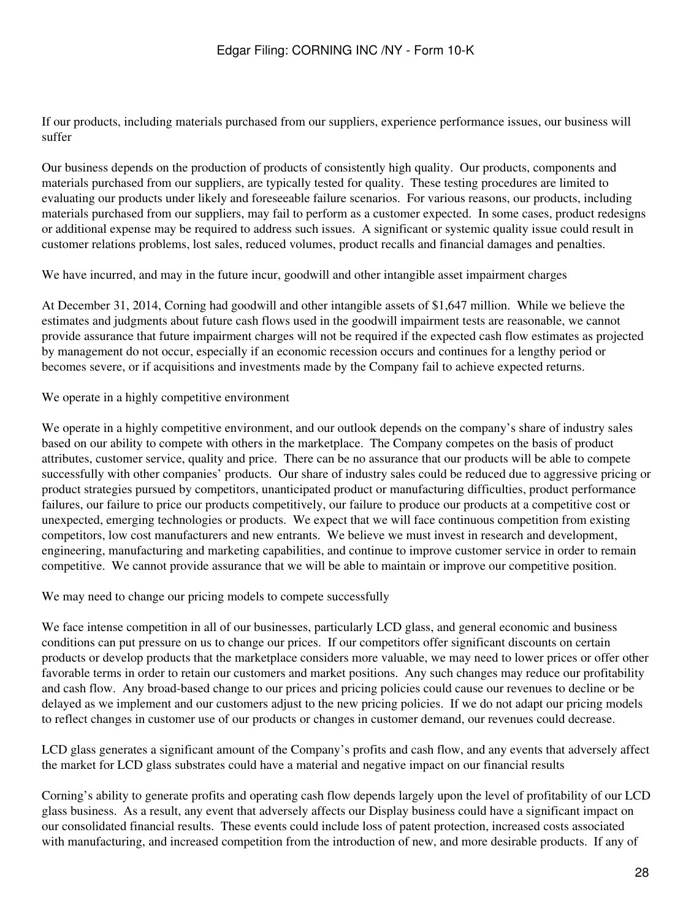If our products, including materials purchased from our suppliers, experience performance issues, our business will suffer

Our business depends on the production of products of consistently high quality. Our products, components and materials purchased from our suppliers, are typically tested for quality. These testing procedures are limited to evaluating our products under likely and foreseeable failure scenarios. For various reasons, our products, including materials purchased from our suppliers, may fail to perform as a customer expected. In some cases, product redesigns or additional expense may be required to address such issues. A significant or systemic quality issue could result in customer relations problems, lost sales, reduced volumes, product recalls and financial damages and penalties.

We have incurred, and may in the future incur, goodwill and other intangible asset impairment charges

At December 31, 2014, Corning had goodwill and other intangible assets of \$1,647 million. While we believe the estimates and judgments about future cash flows used in the goodwill impairment tests are reasonable, we cannot provide assurance that future impairment charges will not be required if the expected cash flow estimates as projected by management do not occur, especially if an economic recession occurs and continues for a lengthy period or becomes severe, or if acquisitions and investments made by the Company fail to achieve expected returns.

We operate in a highly competitive environment

We operate in a highly competitive environment, and our outlook depends on the company's share of industry sales based on our ability to compete with others in the marketplace. The Company competes on the basis of product attributes, customer service, quality and price. There can be no assurance that our products will be able to compete successfully with other companies' products. Our share of industry sales could be reduced due to aggressive pricing or product strategies pursued by competitors, unanticipated product or manufacturing difficulties, product performance failures, our failure to price our products competitively, our failure to produce our products at a competitive cost or unexpected, emerging technologies or products. We expect that we will face continuous competition from existing competitors, low cost manufacturers and new entrants. We believe we must invest in research and development, engineering, manufacturing and marketing capabilities, and continue to improve customer service in order to remain competitive. We cannot provide assurance that we will be able to maintain or improve our competitive position.

We may need to change our pricing models to compete successfully

We face intense competition in all of our businesses, particularly LCD glass, and general economic and business conditions can put pressure on us to change our prices. If our competitors offer significant discounts on certain products or develop products that the marketplace considers more valuable, we may need to lower prices or offer other favorable terms in order to retain our customers and market positions. Any such changes may reduce our profitability and cash flow. Any broad-based change to our prices and pricing policies could cause our revenues to decline or be delayed as we implement and our customers adjust to the new pricing policies. If we do not adapt our pricing models to reflect changes in customer use of our products or changes in customer demand, our revenues could decrease.

LCD glass generates a significant amount of the Company's profits and cash flow, and any events that adversely affect the market for LCD glass substrates could have a material and negative impact on our financial results

Corning's ability to generate profits and operating cash flow depends largely upon the level of profitability of our LCD glass business. As a result, any event that adversely affects our Display business could have a significant impact on our consolidated financial results. These events could include loss of patent protection, increased costs associated with manufacturing, and increased competition from the introduction of new, and more desirable products. If any of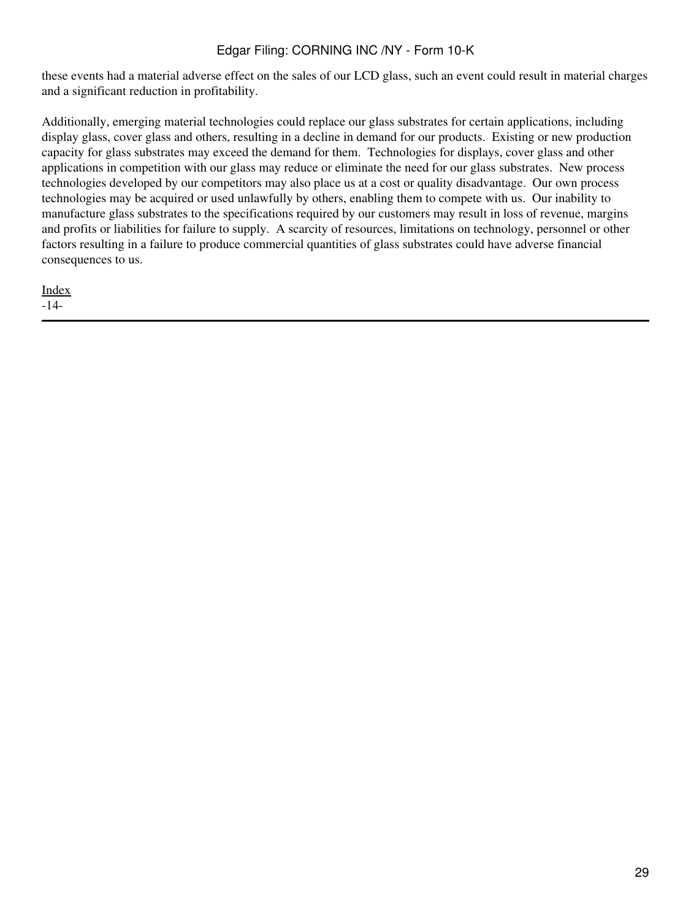these events had a material adverse effect on the sales of our LCD glass, such an event could result in material charges and a significant reduction in profitability.

Additionally, emerging material technologies could replace our glass substrates for certain applications, including display glass, cover glass and others, resulting in a decline in demand for our products. Existing or new production capacity for glass substrates may exceed the demand for them. Technologies for displays, cover glass and other applications in competition with our glass may reduce or eliminate the need for our glass substrates. New process technologies developed by our competitors may also place us at a cost or quality disadvantage. Our own process technologies may be acquired or used unlawfully by others, enabling them to compete with us. Our inability to manufacture glass substrates to the specifications required by our customers may result in loss of revenue, margins and profits or liabilities for failure to supply. A scarcity of resources, limitations on technology, personnel or other factors resulting in a failure to produce commercial quantities of glass substrates could have adverse financial consequences to us.

[Index](#page-155-0) -14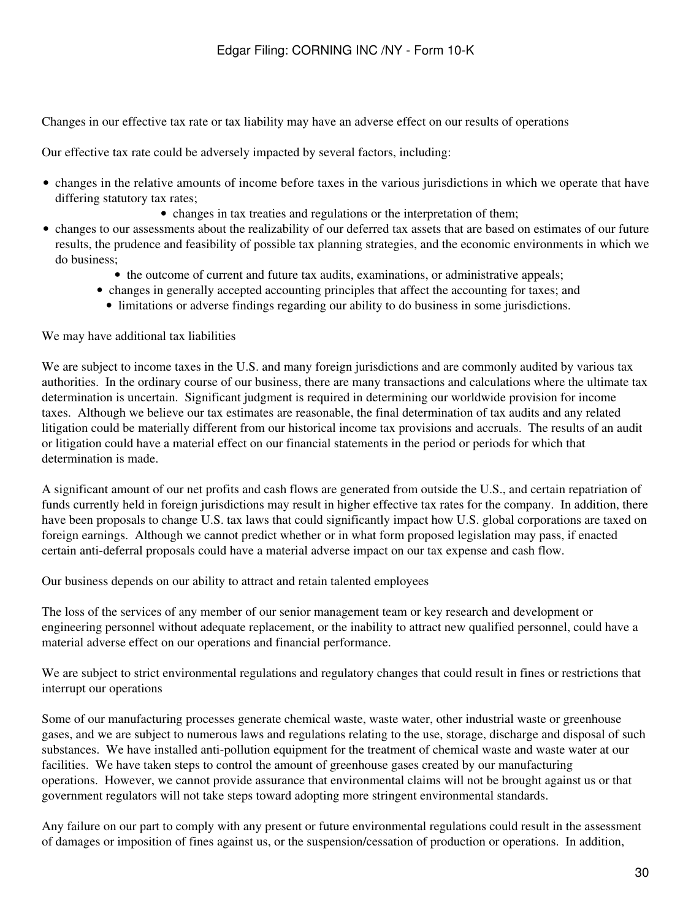Changes in our effective tax rate or tax liability may have an adverse effect on our results of operations

Our effective tax rate could be adversely impacted by several factors, including:

- changes in the relative amounts of income before taxes in the various jurisdictions in which we operate that have differing statutory tax rates;
	- changes in tax treaties and regulations or the interpretation of them;
- changes to our assessments about the realizability of our deferred tax assets that are based on estimates of our future results, the prudence and feasibility of possible tax planning strategies, and the economic environments in which we do business;
	- the outcome of current and future tax audits, examinations, or administrative appeals;
	- changes in generally accepted accounting principles that affect the accounting for taxes; and
		- limitations or adverse findings regarding our ability to do business in some jurisdictions.

We may have additional tax liabilities

We are subject to income taxes in the U.S. and many foreign jurisdictions and are commonly audited by various tax authorities. In the ordinary course of our business, there are many transactions and calculations where the ultimate tax determination is uncertain. Significant judgment is required in determining our worldwide provision for income taxes. Although we believe our tax estimates are reasonable, the final determination of tax audits and any related litigation could be materially different from our historical income tax provisions and accruals. The results of an audit or litigation could have a material effect on our financial statements in the period or periods for which that determination is made.

A significant amount of our net profits and cash flows are generated from outside the U.S., and certain repatriation of funds currently held in foreign jurisdictions may result in higher effective tax rates for the company. In addition, there have been proposals to change U.S. tax laws that could significantly impact how U.S. global corporations are taxed on foreign earnings. Although we cannot predict whether or in what form proposed legislation may pass, if enacted certain anti-deferral proposals could have a material adverse impact on our tax expense and cash flow.

Our business depends on our ability to attract and retain talented employees

The loss of the services of any member of our senior management team or key research and development or engineering personnel without adequate replacement, or the inability to attract new qualified personnel, could have a material adverse effect on our operations and financial performance.

We are subject to strict environmental regulations and regulatory changes that could result in fines or restrictions that interrupt our operations

Some of our manufacturing processes generate chemical waste, waste water, other industrial waste or greenhouse gases, and we are subject to numerous laws and regulations relating to the use, storage, discharge and disposal of such substances. We have installed anti-pollution equipment for the treatment of chemical waste and waste water at our facilities. We have taken steps to control the amount of greenhouse gases created by our manufacturing operations. However, we cannot provide assurance that environmental claims will not be brought against us or that government regulators will not take steps toward adopting more stringent environmental standards.

Any failure on our part to comply with any present or future environmental regulations could result in the assessment of damages or imposition of fines against us, or the suspension/cessation of production or operations. In addition,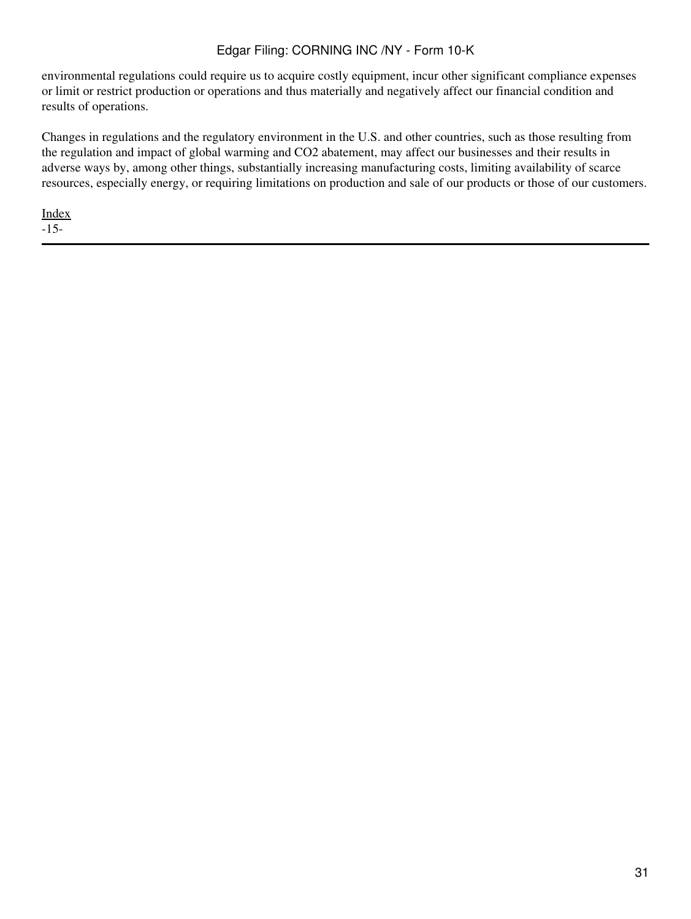environmental regulations could require us to acquire costly equipment, incur other significant compliance expenses or limit or restrict production or operations and thus materially and negatively affect our financial condition and results of operations.

Changes in regulations and the regulatory environment in the U.S. and other countries, such as those resulting from the regulation and impact of global warming and CO2 abatement, may affect our businesses and their results in adverse ways by, among other things, substantially increasing manufacturing costs, limiting availability of scarce resources, especially energy, or requiring limitations on production and sale of our products or those of our customers.

[Index](#page-155-0) -15-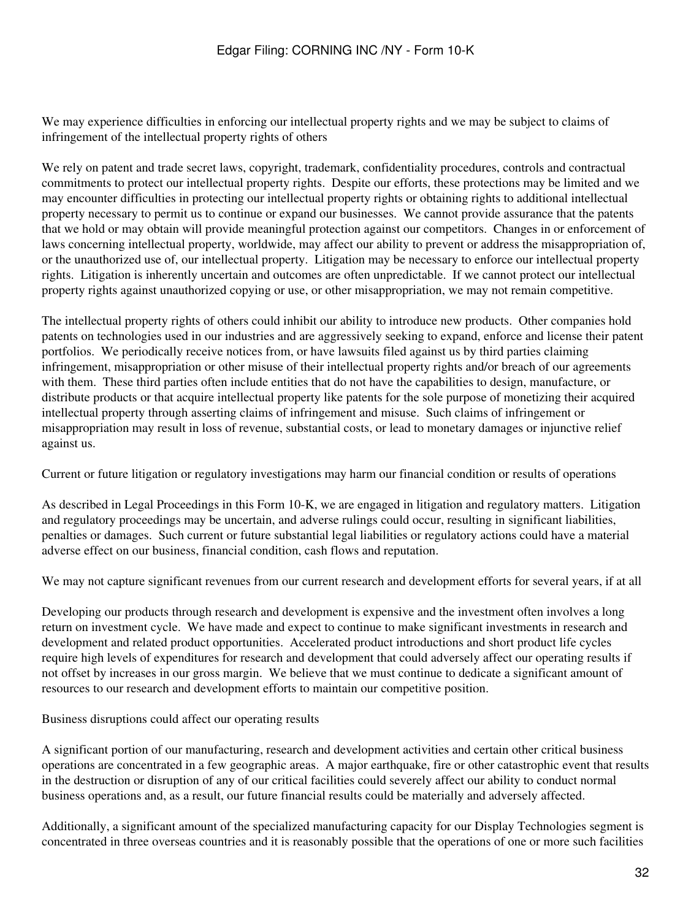We may experience difficulties in enforcing our intellectual property rights and we may be subject to claims of infringement of the intellectual property rights of others

We rely on patent and trade secret laws, copyright, trademark, confidentiality procedures, controls and contractual commitments to protect our intellectual property rights. Despite our efforts, these protections may be limited and we may encounter difficulties in protecting our intellectual property rights or obtaining rights to additional intellectual property necessary to permit us to continue or expand our businesses. We cannot provide assurance that the patents that we hold or may obtain will provide meaningful protection against our competitors. Changes in or enforcement of laws concerning intellectual property, worldwide, may affect our ability to prevent or address the misappropriation of, or the unauthorized use of, our intellectual property. Litigation may be necessary to enforce our intellectual property rights. Litigation is inherently uncertain and outcomes are often unpredictable. If we cannot protect our intellectual property rights against unauthorized copying or use, or other misappropriation, we may not remain competitive.

The intellectual property rights of others could inhibit our ability to introduce new products. Other companies hold patents on technologies used in our industries and are aggressively seeking to expand, enforce and license their patent portfolios. We periodically receive notices from, or have lawsuits filed against us by third parties claiming infringement, misappropriation or other misuse of their intellectual property rights and/or breach of our agreements with them. These third parties often include entities that do not have the capabilities to design, manufacture, or distribute products or that acquire intellectual property like patents for the sole purpose of monetizing their acquired intellectual property through asserting claims of infringement and misuse. Such claims of infringement or misappropriation may result in loss of revenue, substantial costs, or lead to monetary damages or injunctive relief against us.

Current or future litigation or regulatory investigations may harm our financial condition or results of operations

As described in Legal Proceedings in this Form 10-K, we are engaged in litigation and regulatory matters. Litigation and regulatory proceedings may be uncertain, and adverse rulings could occur, resulting in significant liabilities, penalties or damages. Such current or future substantial legal liabilities or regulatory actions could have a material adverse effect on our business, financial condition, cash flows and reputation.

We may not capture significant revenues from our current research and development efforts for several years, if at all

Developing our products through research and development is expensive and the investment often involves a long return on investment cycle. We have made and expect to continue to make significant investments in research and development and related product opportunities. Accelerated product introductions and short product life cycles require high levels of expenditures for research and development that could adversely affect our operating results if not offset by increases in our gross margin. We believe that we must continue to dedicate a significant amount of resources to our research and development efforts to maintain our competitive position.

Business disruptions could affect our operating results

A significant portion of our manufacturing, research and development activities and certain other critical business operations are concentrated in a few geographic areas. A major earthquake, fire or other catastrophic event that results in the destruction or disruption of any of our critical facilities could severely affect our ability to conduct normal business operations and, as a result, our future financial results could be materially and adversely affected.

Additionally, a significant amount of the specialized manufacturing capacity for our Display Technologies segment is concentrated in three overseas countries and it is reasonably possible that the operations of one or more such facilities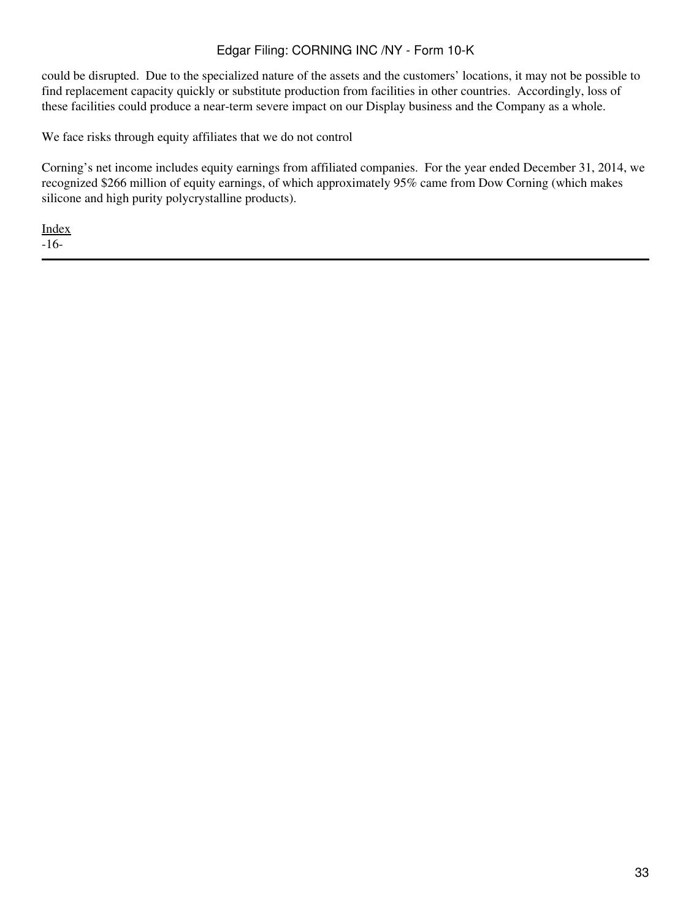could be disrupted. Due to the specialized nature of the assets and the customers' locations, it may not be possible to find replacement capacity quickly or substitute production from facilities in other countries. Accordingly, loss of these facilities could produce a near-term severe impact on our Display business and the Company as a whole.

We face risks through equity affiliates that we do not control

Corning's net income includes equity earnings from affiliated companies. For the year ended December 31, 2014, we recognized \$266 million of equity earnings, of which approximately 95% came from Dow Corning (which makes silicone and high purity polycrystalline products).

[Index](#page-155-0)

-16-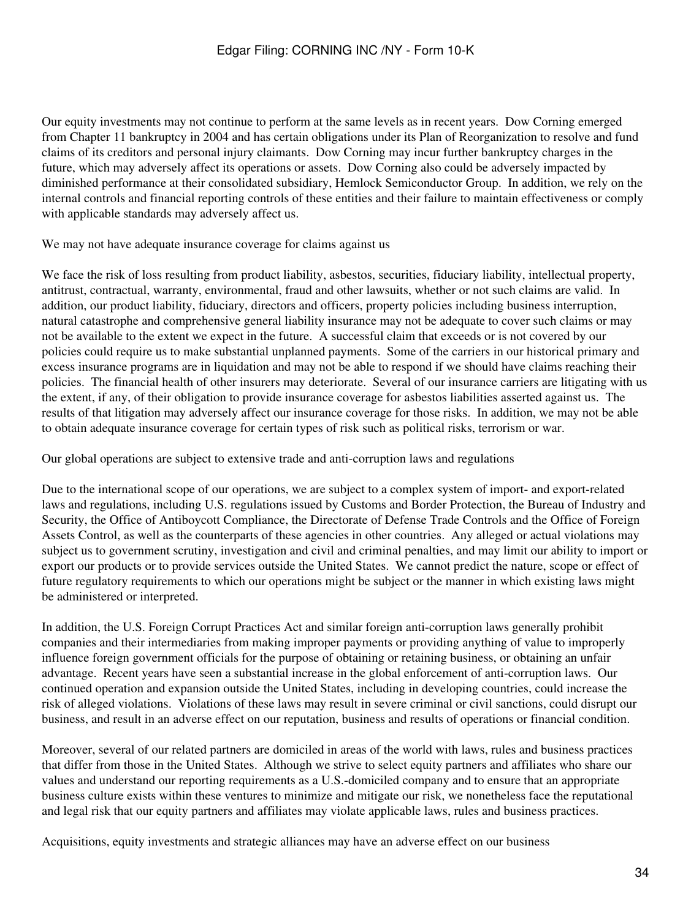Our equity investments may not continue to perform at the same levels as in recent years. Dow Corning emerged from Chapter 11 bankruptcy in 2004 and has certain obligations under its Plan of Reorganization to resolve and fund claims of its creditors and personal injury claimants. Dow Corning may incur further bankruptcy charges in the future, which may adversely affect its operations or assets. Dow Corning also could be adversely impacted by diminished performance at their consolidated subsidiary, Hemlock Semiconductor Group. In addition, we rely on the internal controls and financial reporting controls of these entities and their failure to maintain effectiveness or comply with applicable standards may adversely affect us.

We may not have adequate insurance coverage for claims against us

We face the risk of loss resulting from product liability, asbestos, securities, fiduciary liability, intellectual property, antitrust, contractual, warranty, environmental, fraud and other lawsuits, whether or not such claims are valid. In addition, our product liability, fiduciary, directors and officers, property policies including business interruption, natural catastrophe and comprehensive general liability insurance may not be adequate to cover such claims or may not be available to the extent we expect in the future. A successful claim that exceeds or is not covered by our policies could require us to make substantial unplanned payments. Some of the carriers in our historical primary and excess insurance programs are in liquidation and may not be able to respond if we should have claims reaching their policies. The financial health of other insurers may deteriorate. Several of our insurance carriers are litigating with us the extent, if any, of their obligation to provide insurance coverage for asbestos liabilities asserted against us. The results of that litigation may adversely affect our insurance coverage for those risks. In addition, we may not be able to obtain adequate insurance coverage for certain types of risk such as political risks, terrorism or war.

Our global operations are subject to extensive trade and anti-corruption laws and regulations

Due to the international scope of our operations, we are subject to a complex system of import- and export-related laws and regulations, including U.S. regulations issued by Customs and Border Protection, the Bureau of Industry and Security, the Office of Antiboycott Compliance, the Directorate of Defense Trade Controls and the Office of Foreign Assets Control, as well as the counterparts of these agencies in other countries. Any alleged or actual violations may subject us to government scrutiny, investigation and civil and criminal penalties, and may limit our ability to import or export our products or to provide services outside the United States. We cannot predict the nature, scope or effect of future regulatory requirements to which our operations might be subject or the manner in which existing laws might be administered or interpreted.

In addition, the U.S. Foreign Corrupt Practices Act and similar foreign anti-corruption laws generally prohibit companies and their intermediaries from making improper payments or providing anything of value to improperly influence foreign government officials for the purpose of obtaining or retaining business, or obtaining an unfair advantage. Recent years have seen a substantial increase in the global enforcement of anti-corruption laws. Our continued operation and expansion outside the United States, including in developing countries, could increase the risk of alleged violations. Violations of these laws may result in severe criminal or civil sanctions, could disrupt our business, and result in an adverse effect on our reputation, business and results of operations or financial condition.

Moreover, several of our related partners are domiciled in areas of the world with laws, rules and business practices that differ from those in the United States. Although we strive to select equity partners and affiliates who share our values and understand our reporting requirements as a U.S.-domiciled company and to ensure that an appropriate business culture exists within these ventures to minimize and mitigate our risk, we nonetheless face the reputational and legal risk that our equity partners and affiliates may violate applicable laws, rules and business practices.

Acquisitions, equity investments and strategic alliances may have an adverse effect on our business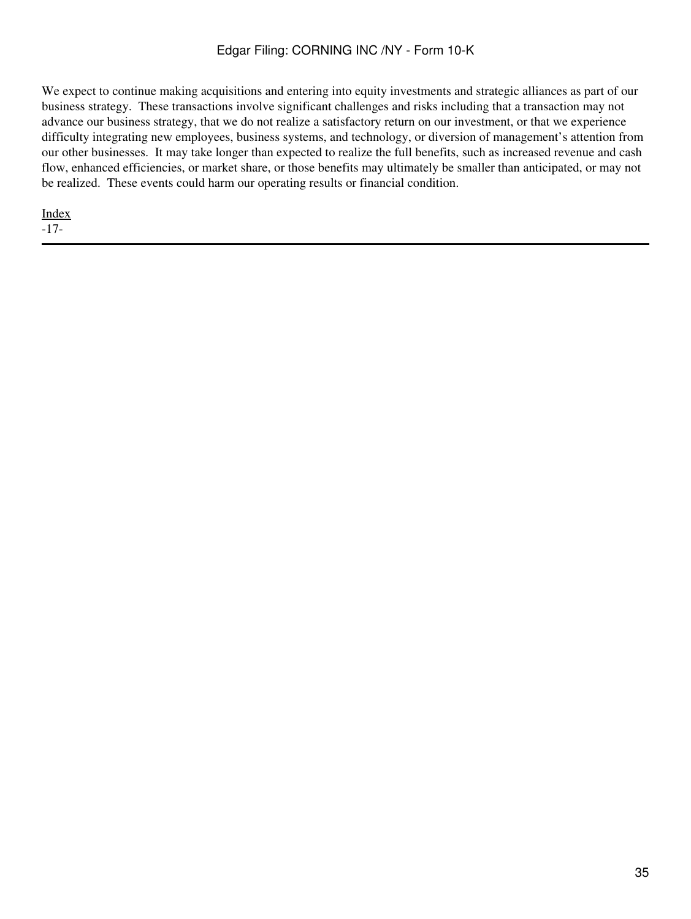We expect to continue making acquisitions and entering into equity investments and strategic alliances as part of our business strategy. These transactions involve significant challenges and risks including that a transaction may not advance our business strategy, that we do not realize a satisfactory return on our investment, or that we experience difficulty integrating new employees, business systems, and technology, or diversion of management's attention from our other businesses. It may take longer than expected to realize the full benefits, such as increased revenue and cash flow, enhanced efficiencies, or market share, or those benefits may ultimately be smaller than anticipated, or may not be realized. These events could harm our operating results or financial condition.

[Index](#page-155-0) -17-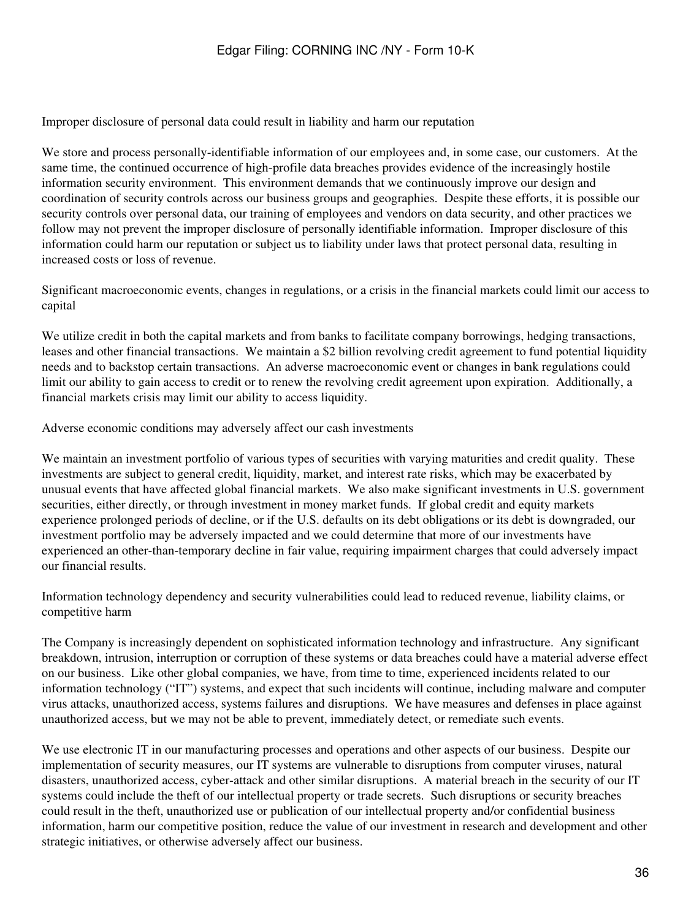Improper disclosure of personal data could result in liability and harm our reputation

We store and process personally-identifiable information of our employees and, in some case, our customers. At the same time, the continued occurrence of high-profile data breaches provides evidence of the increasingly hostile information security environment. This environment demands that we continuously improve our design and coordination of security controls across our business groups and geographies. Despite these efforts, it is possible our security controls over personal data, our training of employees and vendors on data security, and other practices we follow may not prevent the improper disclosure of personally identifiable information. Improper disclosure of this information could harm our reputation or subject us to liability under laws that protect personal data, resulting in increased costs or loss of revenue.

Significant macroeconomic events, changes in regulations, or a crisis in the financial markets could limit our access to capital

We utilize credit in both the capital markets and from banks to facilitate company borrowings, hedging transactions, leases and other financial transactions. We maintain a \$2 billion revolving credit agreement to fund potential liquidity needs and to backstop certain transactions. An adverse macroeconomic event or changes in bank regulations could limit our ability to gain access to credit or to renew the revolving credit agreement upon expiration. Additionally, a financial markets crisis may limit our ability to access liquidity.

Adverse economic conditions may adversely affect our cash investments

We maintain an investment portfolio of various types of securities with varying maturities and credit quality. These investments are subject to general credit, liquidity, market, and interest rate risks, which may be exacerbated by unusual events that have affected global financial markets. We also make significant investments in U.S. government securities, either directly, or through investment in money market funds. If global credit and equity markets experience prolonged periods of decline, or if the U.S. defaults on its debt obligations or its debt is downgraded, our investment portfolio may be adversely impacted and we could determine that more of our investments have experienced an other-than-temporary decline in fair value, requiring impairment charges that could adversely impact our financial results.

Information technology dependency and security vulnerabilities could lead to reduced revenue, liability claims, or competitive harm

The Company is increasingly dependent on sophisticated information technology and infrastructure. Any significant breakdown, intrusion, interruption or corruption of these systems or data breaches could have a material adverse effect on our business. Like other global companies, we have, from time to time, experienced incidents related to our information technology ("IT") systems, and expect that such incidents will continue, including malware and computer virus attacks, unauthorized access, systems failures and disruptions. We have measures and defenses in place against unauthorized access, but we may not be able to prevent, immediately detect, or remediate such events.

We use electronic IT in our manufacturing processes and operations and other aspects of our business. Despite our implementation of security measures, our IT systems are vulnerable to disruptions from computer viruses, natural disasters, unauthorized access, cyber-attack and other similar disruptions. A material breach in the security of our IT systems could include the theft of our intellectual property or trade secrets. Such disruptions or security breaches could result in the theft, unauthorized use or publication of our intellectual property and/or confidential business information, harm our competitive position, reduce the value of our investment in research and development and other strategic initiatives, or otherwise adversely affect our business.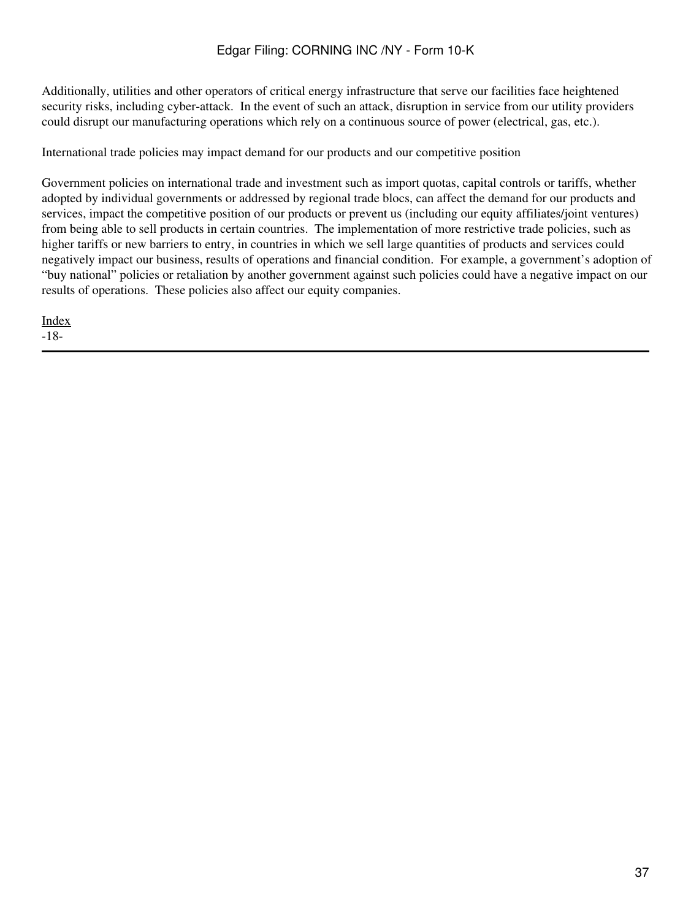Additionally, utilities and other operators of critical energy infrastructure that serve our facilities face heightened security risks, including cyber-attack. In the event of such an attack, disruption in service from our utility providers could disrupt our manufacturing operations which rely on a continuous source of power (electrical, gas, etc.).

International trade policies may impact demand for our products and our competitive position

Government policies on international trade and investment such as import quotas, capital controls or tariffs, whether adopted by individual governments or addressed by regional trade blocs, can affect the demand for our products and services, impact the competitive position of our products or prevent us (including our equity affiliates/joint ventures) from being able to sell products in certain countries. The implementation of more restrictive trade policies, such as higher tariffs or new barriers to entry, in countries in which we sell large quantities of products and services could negatively impact our business, results of operations and financial condition. For example, a government's adoption of "buy national" policies or retaliation by another government against such policies could have a negative impact on our results of operations. These policies also affect our equity companies.

[Index](#page-155-0) -18-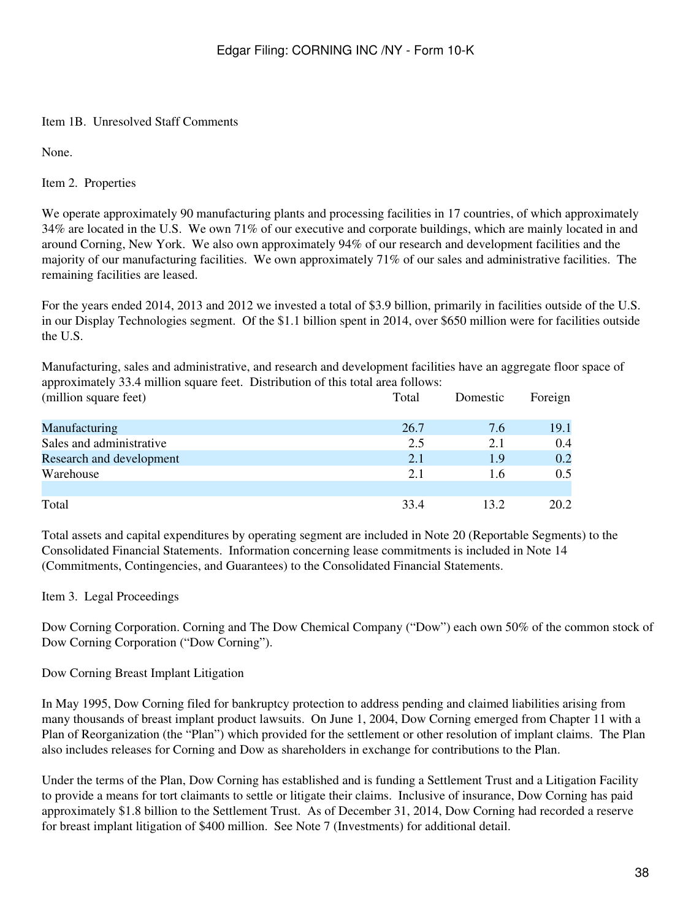#### Item 1B. Unresolved Staff Comments

None.

Item 2. Properties

We operate approximately 90 manufacturing plants and processing facilities in 17 countries, of which approximately 34% are located in the U.S. We own 71% of our executive and corporate buildings, which are mainly located in and around Corning, New York. We also own approximately 94% of our research and development facilities and the majority of our manufacturing facilities. We own approximately 71% of our sales and administrative facilities. The remaining facilities are leased.

For the years ended 2014, 2013 and 2012 we invested a total of \$3.9 billion, primarily in facilities outside of the U.S. in our Display Technologies segment. Of the \$1.1 billion spent in 2014, over \$650 million were for facilities outside the U.S.

Manufacturing, sales and administrative, and research and development facilities have an aggregate floor space of approximately 33.4 million square feet. Distribution of this total area follows:

| (million square feet)    | Total | Domestic | Foreign |
|--------------------------|-------|----------|---------|
| Manufacturing            | 26.7  | 7.6      | 19.1    |
| Sales and administrative | 2.5   | 2.1      | 0.4     |
| Research and development | 2.1   | 1.9      | 0.2     |
| Warehouse                | 2.1   | 1.6      | 0.5     |
| Total                    | 33.4  | 13.2     | 20.2    |

Total assets and capital expenditures by operating segment are included in Note 20 (Reportable Segments) to the Consolidated Financial Statements. Information concerning lease commitments is included in Note 14 (Commitments, Contingencies, and Guarantees) to the Consolidated Financial Statements.

#### Item 3. Legal Proceedings

Dow Corning Corporation. Corning and The Dow Chemical Company ("Dow") each own 50% of the common stock of Dow Corning Corporation ("Dow Corning").

#### Dow Corning Breast Implant Litigation

In May 1995, Dow Corning filed for bankruptcy protection to address pending and claimed liabilities arising from many thousands of breast implant product lawsuits. On June 1, 2004, Dow Corning emerged from Chapter 11 with a Plan of Reorganization (the "Plan") which provided for the settlement or other resolution of implant claims. The Plan also includes releases for Corning and Dow as shareholders in exchange for contributions to the Plan.

Under the terms of the Plan, Dow Corning has established and is funding a Settlement Trust and a Litigation Facility to provide a means for tort claimants to settle or litigate their claims. Inclusive of insurance, Dow Corning has paid approximately \$1.8 billion to the Settlement Trust. As of December 31, 2014, Dow Corning had recorded a reserve for breast implant litigation of \$400 million. See Note 7 (Investments) for additional detail.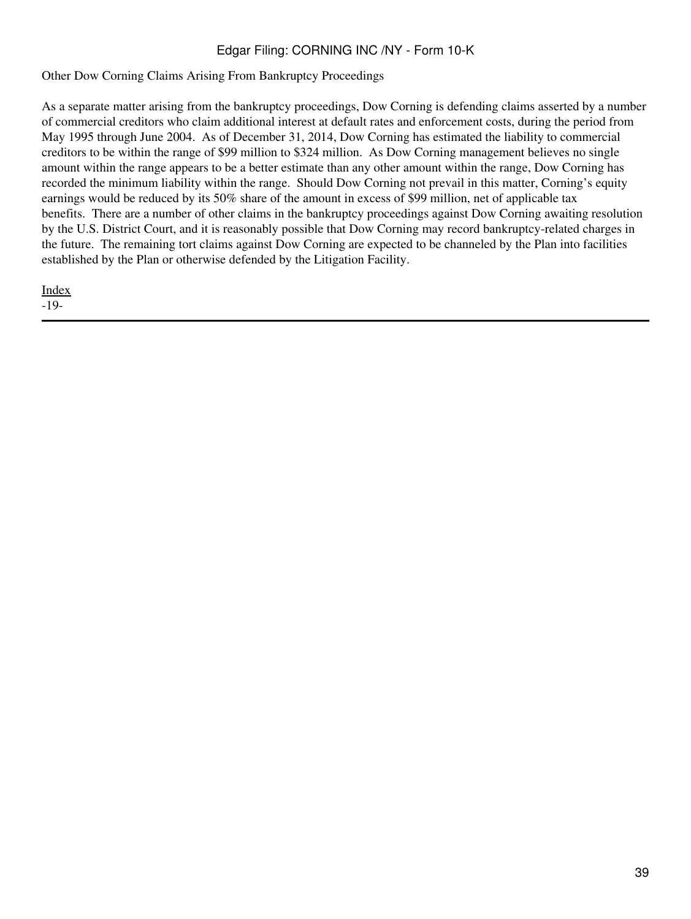Other Dow Corning Claims Arising From Bankruptcy Proceedings

As a separate matter arising from the bankruptcy proceedings, Dow Corning is defending claims asserted by a number of commercial creditors who claim additional interest at default rates and enforcement costs, during the period from May 1995 through June 2004. As of December 31, 2014, Dow Corning has estimated the liability to commercial creditors to be within the range of \$99 million to \$324 million. As Dow Corning management believes no single amount within the range appears to be a better estimate than any other amount within the range, Dow Corning has recorded the minimum liability within the range. Should Dow Corning not prevail in this matter, Corning's equity earnings would be reduced by its 50% share of the amount in excess of \$99 million, net of applicable tax benefits. There are a number of other claims in the bankruptcy proceedings against Dow Corning awaiting resolution by the U.S. District Court, and it is reasonably possible that Dow Corning may record bankruptcy-related charges in the future. The remaining tort claims against Dow Corning are expected to be channeled by the Plan into facilities established by the Plan or otherwise defended by the Litigation Facility.

[Index](#page-155-0) -19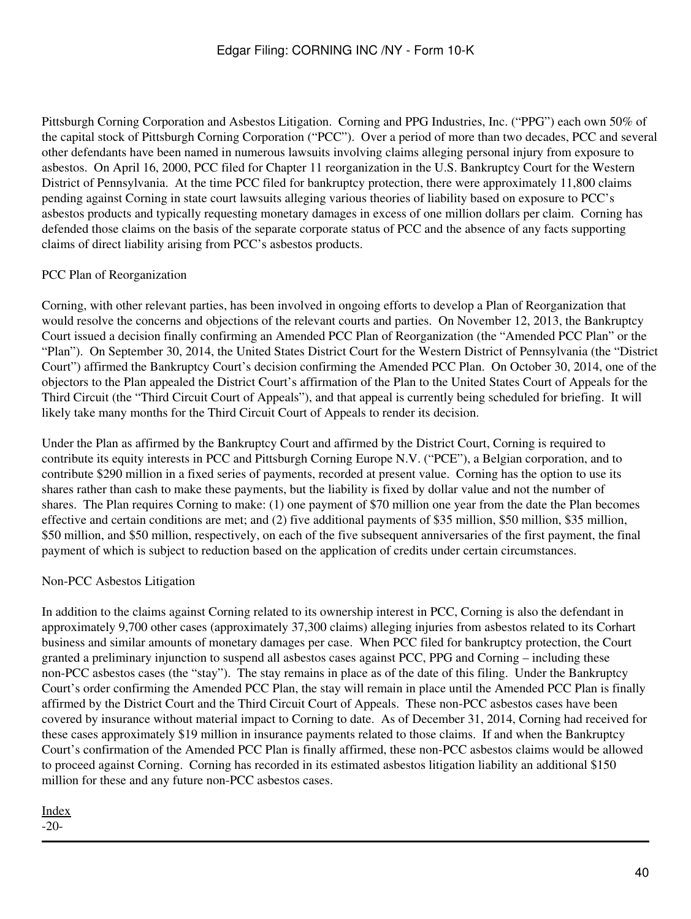Pittsburgh Corning Corporation and Asbestos Litigation. Corning and PPG Industries, Inc. ("PPG") each own 50% of the capital stock of Pittsburgh Corning Corporation ("PCC"). Over a period of more than two decades, PCC and several other defendants have been named in numerous lawsuits involving claims alleging personal injury from exposure to asbestos. On April 16, 2000, PCC filed for Chapter 11 reorganization in the U.S. Bankruptcy Court for the Western District of Pennsylvania. At the time PCC filed for bankruptcy protection, there were approximately 11,800 claims pending against Corning in state court lawsuits alleging various theories of liability based on exposure to PCC's asbestos products and typically requesting monetary damages in excess of one million dollars per claim. Corning has defended those claims on the basis of the separate corporate status of PCC and the absence of any facts supporting claims of direct liability arising from PCC's asbestos products.

## PCC Plan of Reorganization

Corning, with other relevant parties, has been involved in ongoing efforts to develop a Plan of Reorganization that would resolve the concerns and objections of the relevant courts and parties. On November 12, 2013, the Bankruptcy Court issued a decision finally confirming an Amended PCC Plan of Reorganization (the "Amended PCC Plan" or the "Plan"). On September 30, 2014, the United States District Court for the Western District of Pennsylvania (the "District Court") affirmed the Bankruptcy Court's decision confirming the Amended PCC Plan. On October 30, 2014, one of the objectors to the Plan appealed the District Court's affirmation of the Plan to the United States Court of Appeals for the Third Circuit (the "Third Circuit Court of Appeals"), and that appeal is currently being scheduled for briefing. It will likely take many months for the Third Circuit Court of Appeals to render its decision.

Under the Plan as affirmed by the Bankruptcy Court and affirmed by the District Court, Corning is required to contribute its equity interests in PCC and Pittsburgh Corning Europe N.V. ("PCE"), a Belgian corporation, and to contribute \$290 million in a fixed series of payments, recorded at present value. Corning has the option to use its shares rather than cash to make these payments, but the liability is fixed by dollar value and not the number of shares. The Plan requires Corning to make: (1) one payment of \$70 million one year from the date the Plan becomes effective and certain conditions are met; and (2) five additional payments of \$35 million, \$50 million, \$35 million, \$50 million, and \$50 million, respectively, on each of the five subsequent anniversaries of the first payment, the final payment of which is subject to reduction based on the application of credits under certain circumstances.

## Non-PCC Asbestos Litigation

In addition to the claims against Corning related to its ownership interest in PCC, Corning is also the defendant in approximately 9,700 other cases (approximately 37,300 claims) alleging injuries from asbestos related to its Corhart business and similar amounts of monetary damages per case. When PCC filed for bankruptcy protection, the Court granted a preliminary injunction to suspend all asbestos cases against PCC, PPG and Corning – including these non-PCC asbestos cases (the "stay"). The stay remains in place as of the date of this filing. Under the Bankruptcy Court's order confirming the Amended PCC Plan, the stay will remain in place until the Amended PCC Plan is finally affirmed by the District Court and the Third Circuit Court of Appeals. These non-PCC asbestos cases have been covered by insurance without material impact to Corning to date. As of December 31, 2014, Corning had received for these cases approximately \$19 million in insurance payments related to those claims. If and when the Bankruptcy Court's confirmation of the Amended PCC Plan is finally affirmed, these non-PCC asbestos claims would be allowed to proceed against Corning. Corning has recorded in its estimated asbestos litigation liability an additional \$150 million for these and any future non-PCC asbestos cases.

## [Index](#page-155-0)

-20-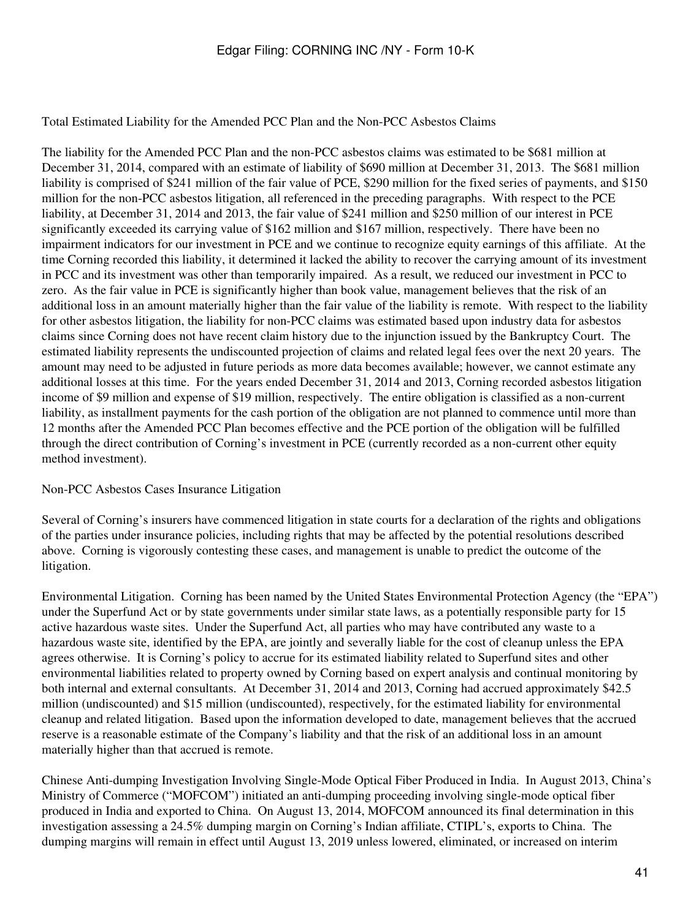Total Estimated Liability for the Amended PCC Plan and the Non-PCC Asbestos Claims

The liability for the Amended PCC Plan and the non-PCC asbestos claims was estimated to be \$681 million at December 31, 2014, compared with an estimate of liability of \$690 million at December 31, 2013. The \$681 million liability is comprised of \$241 million of the fair value of PCE, \$290 million for the fixed series of payments, and \$150 million for the non-PCC asbestos litigation, all referenced in the preceding paragraphs. With respect to the PCE liability, at December 31, 2014 and 2013, the fair value of \$241 million and \$250 million of our interest in PCE significantly exceeded its carrying value of \$162 million and \$167 million, respectively. There have been no impairment indicators for our investment in PCE and we continue to recognize equity earnings of this affiliate. At the time Corning recorded this liability, it determined it lacked the ability to recover the carrying amount of its investment in PCC and its investment was other than temporarily impaired. As a result, we reduced our investment in PCC to zero. As the fair value in PCE is significantly higher than book value, management believes that the risk of an additional loss in an amount materially higher than the fair value of the liability is remote. With respect to the liability for other asbestos litigation, the liability for non-PCC claims was estimated based upon industry data for asbestos claims since Corning does not have recent claim history due to the injunction issued by the Bankruptcy Court. The estimated liability represents the undiscounted projection of claims and related legal fees over the next 20 years. The amount may need to be adjusted in future periods as more data becomes available; however, we cannot estimate any additional losses at this time. For the years ended December 31, 2014 and 2013, Corning recorded asbestos litigation income of \$9 million and expense of \$19 million, respectively. The entire obligation is classified as a non-current liability, as installment payments for the cash portion of the obligation are not planned to commence until more than 12 months after the Amended PCC Plan becomes effective and the PCE portion of the obligation will be fulfilled through the direct contribution of Corning's investment in PCE (currently recorded as a non-current other equity method investment).

#### Non-PCC Asbestos Cases Insurance Litigation

Several of Corning's insurers have commenced litigation in state courts for a declaration of the rights and obligations of the parties under insurance policies, including rights that may be affected by the potential resolutions described above. Corning is vigorously contesting these cases, and management is unable to predict the outcome of the litigation.

Environmental Litigation. Corning has been named by the United States Environmental Protection Agency (the "EPA") under the Superfund Act or by state governments under similar state laws, as a potentially responsible party for 15 active hazardous waste sites. Under the Superfund Act, all parties who may have contributed any waste to a hazardous waste site, identified by the EPA, are jointly and severally liable for the cost of cleanup unless the EPA agrees otherwise. It is Corning's policy to accrue for its estimated liability related to Superfund sites and other environmental liabilities related to property owned by Corning based on expert analysis and continual monitoring by both internal and external consultants. At December 31, 2014 and 2013, Corning had accrued approximately \$42.5 million (undiscounted) and \$15 million (undiscounted), respectively, for the estimated liability for environmental cleanup and related litigation. Based upon the information developed to date, management believes that the accrued reserve is a reasonable estimate of the Company's liability and that the risk of an additional loss in an amount materially higher than that accrued is remote.

Chinese Anti-dumping Investigation Involving Single-Mode Optical Fiber Produced in India. In August 2013, China's Ministry of Commerce ("MOFCOM") initiated an anti-dumping proceeding involving single-mode optical fiber produced in India and exported to China. On August 13, 2014, MOFCOM announced its final determination in this investigation assessing a 24.5% dumping margin on Corning's Indian affiliate, CTIPL's, exports to China. The dumping margins will remain in effect until August 13, 2019 unless lowered, eliminated, or increased on interim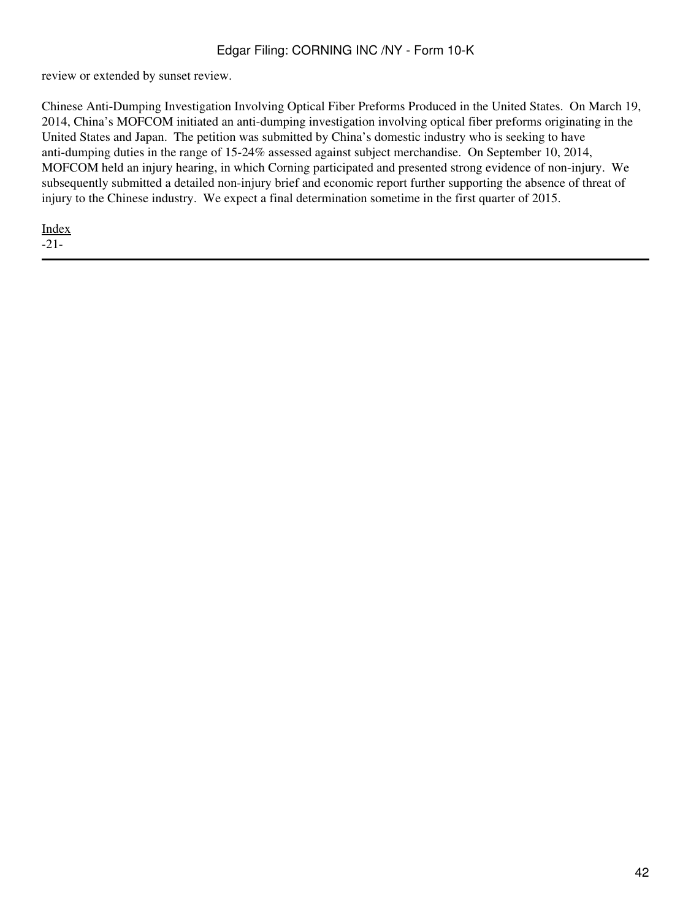review or extended by sunset review.

Chinese Anti-Dumping Investigation Involving Optical Fiber Preforms Produced in the United States. On March 19, 2014, China's MOFCOM initiated an anti-dumping investigation involving optical fiber preforms originating in the United States and Japan. The petition was submitted by China's domestic industry who is seeking to have anti-dumping duties in the range of 15-24% assessed against subject merchandise. On September 10, 2014, MOFCOM held an injury hearing, in which Corning participated and presented strong evidence of non-injury. We subsequently submitted a detailed non-injury brief and economic report further supporting the absence of threat of injury to the Chinese industry. We expect a final determination sometime in the first quarter of 2015.

[Index](#page-155-0) -21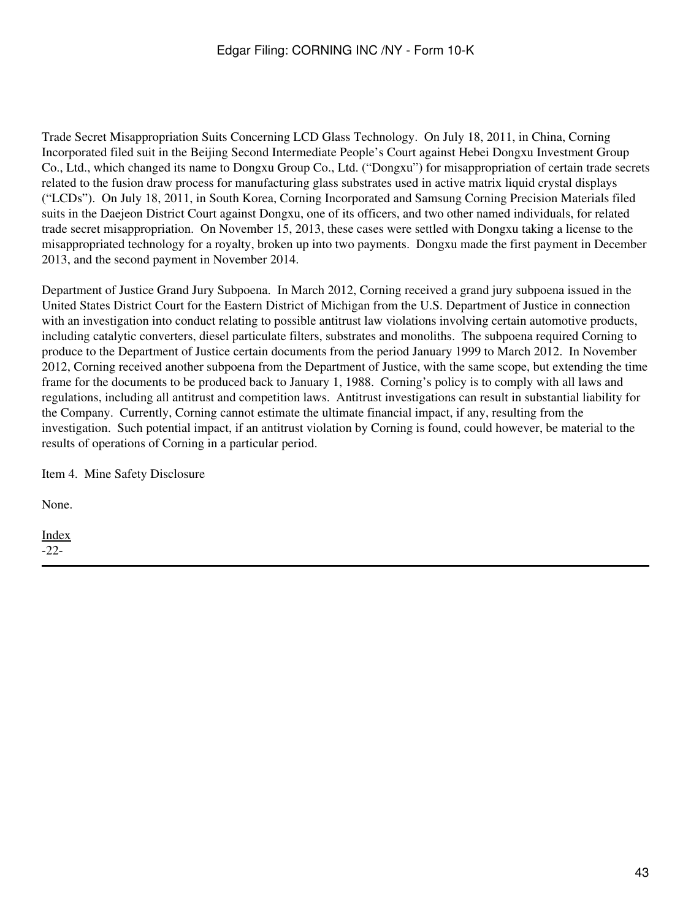Trade Secret Misappropriation Suits Concerning LCD Glass Technology. On July 18, 2011, in China, Corning Incorporated filed suit in the Beijing Second Intermediate People's Court against Hebei Dongxu Investment Group Co., Ltd., which changed its name to Dongxu Group Co., Ltd. ("Dongxu") for misappropriation of certain trade secrets related to the fusion draw process for manufacturing glass substrates used in active matrix liquid crystal displays ("LCDs"). On July 18, 2011, in South Korea, Corning Incorporated and Samsung Corning Precision Materials filed suits in the Daejeon District Court against Dongxu, one of its officers, and two other named individuals, for related trade secret misappropriation. On November 15, 2013, these cases were settled with Dongxu taking a license to the misappropriated technology for a royalty, broken up into two payments. Dongxu made the first payment in December 2013, and the second payment in November 2014.

Department of Justice Grand Jury Subpoena. In March 2012, Corning received a grand jury subpoena issued in the United States District Court for the Eastern District of Michigan from the U.S. Department of Justice in connection with an investigation into conduct relating to possible antitrust law violations involving certain automotive products, including catalytic converters, diesel particulate filters, substrates and monoliths. The subpoena required Corning to produce to the Department of Justice certain documents from the period January 1999 to March 2012. In November 2012, Corning received another subpoena from the Department of Justice, with the same scope, but extending the time frame for the documents to be produced back to January 1, 1988. Corning's policy is to comply with all laws and regulations, including all antitrust and competition laws. Antitrust investigations can result in substantial liability for the Company. Currently, Corning cannot estimate the ultimate financial impact, if any, resulting from the investigation. Such potential impact, if an antitrust violation by Corning is found, could however, be material to the results of operations of Corning in a particular period.

Item 4. Mine Safety Disclosure

None.

[Index](#page-155-0) -22-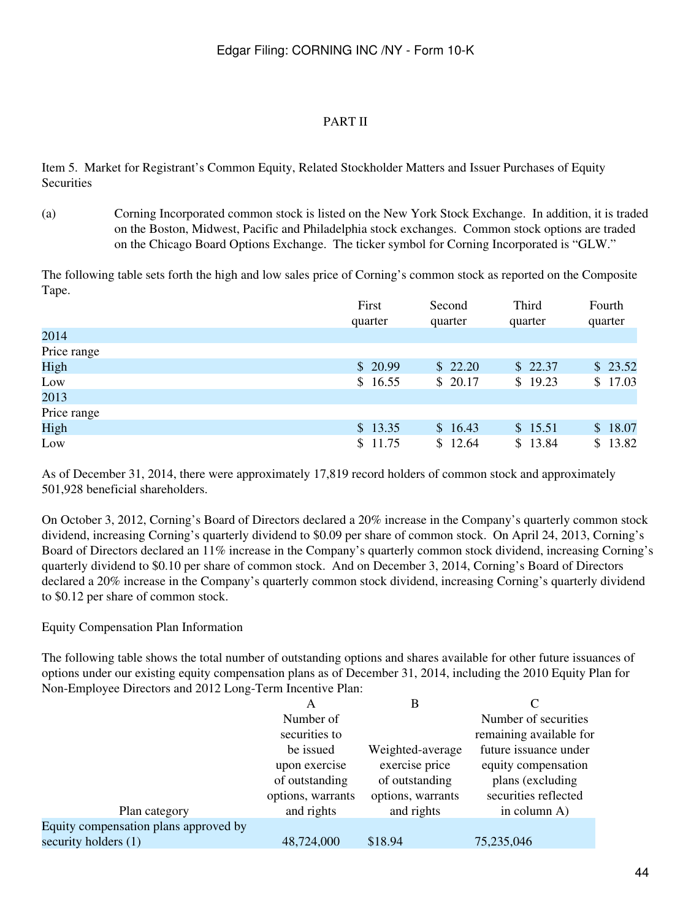#### PART II

Item 5. Market for Registrant's Common Equity, Related Stockholder Matters and Issuer Purchases of Equity **Securities** 

(a) Corning Incorporated common stock is listed on the New York Stock Exchange. In addition, it is traded on the Boston, Midwest, Pacific and Philadelphia stock exchanges. Common stock options are traded on the Chicago Board Options Exchange. The ticker symbol for Corning Incorporated is "GLW."

The following table sets forth the high and low sales price of Corning's common stock as reported on the Composite Tape.

|             | First   | Second  | Third   | Fourth      |
|-------------|---------|---------|---------|-------------|
|             | quarter | quarter | quarter | quarter     |
| 2014        |         |         |         |             |
| Price range |         |         |         |             |
| High        | \$20.99 | \$22.20 | \$22.37 | \$23.52     |
| Low         | \$16.55 | \$20.17 | \$19.23 | 17.03<br>S. |
| 2013        |         |         |         |             |
| Price range |         |         |         |             |
| High        | \$13.35 | \$16.43 | \$15.51 | \$18.07     |
| Low         | \$11.75 | \$12.64 | \$13.84 | 13.82<br>S. |

As of December 31, 2014, there were approximately 17,819 record holders of common stock and approximately 501,928 beneficial shareholders.

On October 3, 2012, Corning's Board of Directors declared a 20% increase in the Company's quarterly common stock dividend, increasing Corning's quarterly dividend to \$0.09 per share of common stock. On April 24, 2013, Corning's Board of Directors declared an 11% increase in the Company's quarterly common stock dividend, increasing Corning's quarterly dividend to \$0.10 per share of common stock. And on December 3, 2014, Corning's Board of Directors declared a 20% increase in the Company's quarterly common stock dividend, increasing Corning's quarterly dividend to \$0.12 per share of common stock.

Equity Compensation Plan Information

The following table shows the total number of outstanding options and shares available for other future issuances of options under our existing equity compensation plans as of December 31, 2014, including the 2010 Equity Plan for Non-Employee Directors and 2012 Long-Term Incentive Plan:

|                                       | A                 | B                 |                         |
|---------------------------------------|-------------------|-------------------|-------------------------|
|                                       | Number of         |                   | Number of securities    |
|                                       | securities to     |                   | remaining available for |
|                                       | be issued         | Weighted-average  | future issuance under   |
|                                       | upon exercise     | exercise price    | equity compensation     |
|                                       | of outstanding    | of outstanding    | plans (excluding        |
|                                       | options, warrants | options, warrants | securities reflected    |
| Plan category                         | and rights        | and rights        | in column A)            |
| Equity compensation plans approved by |                   |                   |                         |
| security holders (1)                  | 48,724,000        | \$18.94           | 75,235,046              |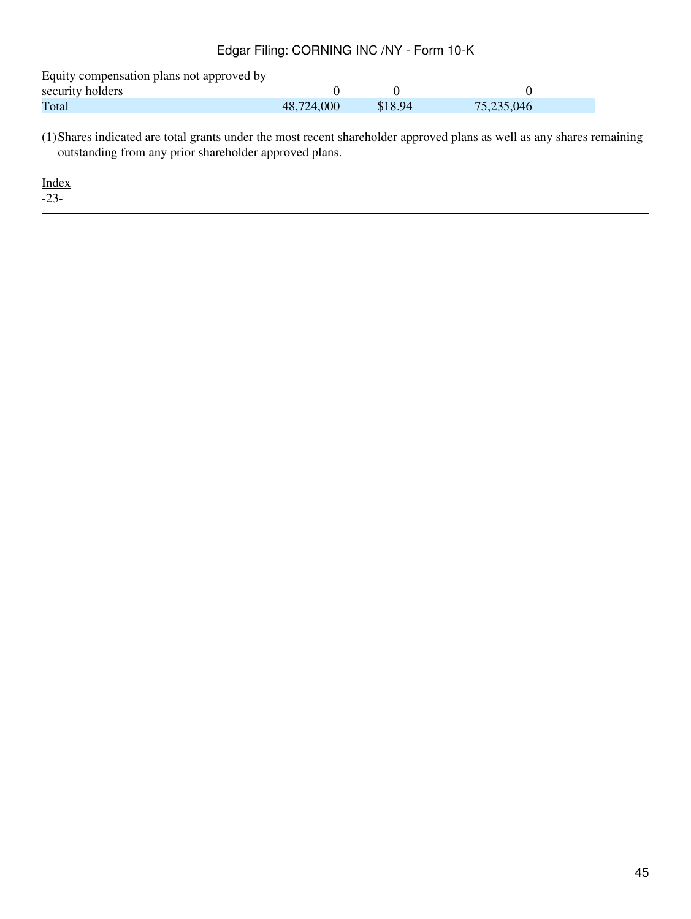Equity compensation plans not approved by

| security holders |            |         |            |  |
|------------------|------------|---------|------------|--|
| Total            | 48,724,000 | \$18.94 | 75,235,046 |  |

(1)Shares indicated are total grants under the most recent shareholder approved plans as well as any shares remaining outstanding from any prior shareholder approved plans.

[Index](#page-155-0)

-23-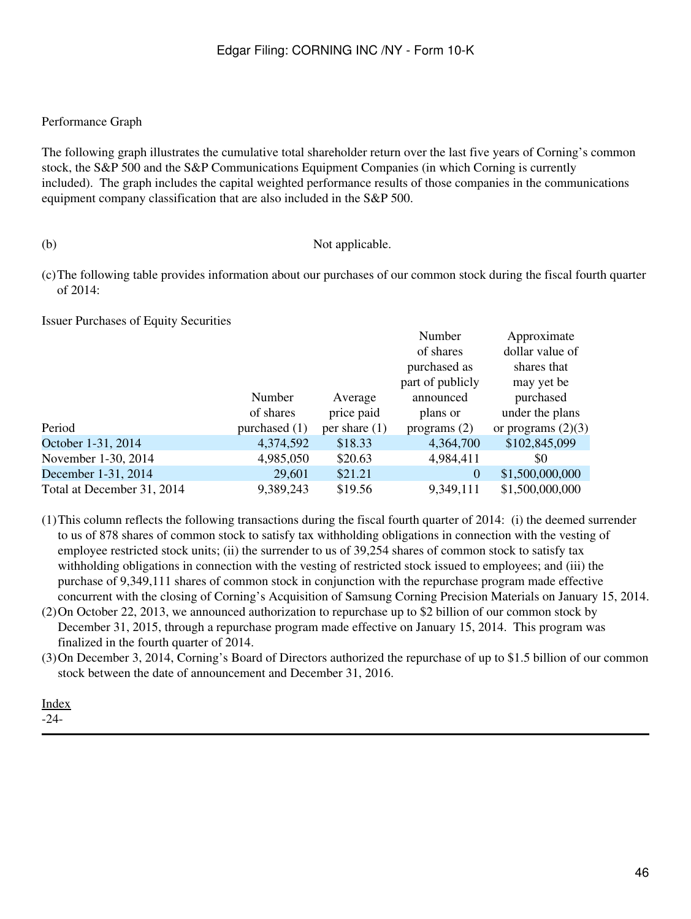#### Performance Graph

The following graph illustrates the cumulative total shareholder return over the last five years of Corning's common stock, the S&P 500 and the S&P Communications Equipment Companies (in which Corning is currently included). The graph includes the capital weighted performance results of those companies in the communications equipment company classification that are also included in the S&P 500.

#### (b) Not applicable.

(c)The following table provides information about our purchases of our common stock during the fiscal fourth quarter of 2014:

Issuer Purchases of Equity Securities

|                            |                 |                 | Number           | Approximate          |
|----------------------------|-----------------|-----------------|------------------|----------------------|
|                            |                 |                 | of shares        | dollar value of      |
|                            |                 |                 | purchased as     | shares that          |
|                            |                 |                 | part of publicly | may yet be           |
|                            | Number          | Average         | announced        | purchased            |
|                            | of shares       | price paid      | plans or         | under the plans      |
| Period                     | purchased $(1)$ | per share $(1)$ | programs $(2)$   | or programs $(2)(3)$ |
| October 1-31, 2014         | 4,374,592       | \$18.33         | 4,364,700        | \$102,845,099        |
| November 1-30, 2014        | 4,985,050       | \$20.63         | 4,984,411        | \$0                  |
| December 1-31, 2014        | 29,601          | \$21.21         | 0                | \$1,500,000,000      |
| Total at December 31, 2014 | 9,389,243       | \$19.56         | 9,349,111        | \$1,500,000,000      |

- (1)This column reflects the following transactions during the fiscal fourth quarter of 2014: (i) the deemed surrender to us of 878 shares of common stock to satisfy tax withholding obligations in connection with the vesting of employee restricted stock units; (ii) the surrender to us of 39,254 shares of common stock to satisfy tax withholding obligations in connection with the vesting of restricted stock issued to employees; and (iii) the purchase of 9,349,111 shares of common stock in conjunction with the repurchase program made effective concurrent with the closing of Corning's Acquisition of Samsung Corning Precision Materials on January 15, 2014.
- (2)On October 22, 2013, we announced authorization to repurchase up to \$2 billion of our common stock by December 31, 2015, through a repurchase program made effective on January 15, 2014. This program was finalized in the fourth quarter of 2014.
- (3)On December 3, 2014, Corning's Board of Directors authorized the repurchase of up to \$1.5 billion of our common stock between the date of announcement and December 31, 2016.

[Index](#page-155-0) -24-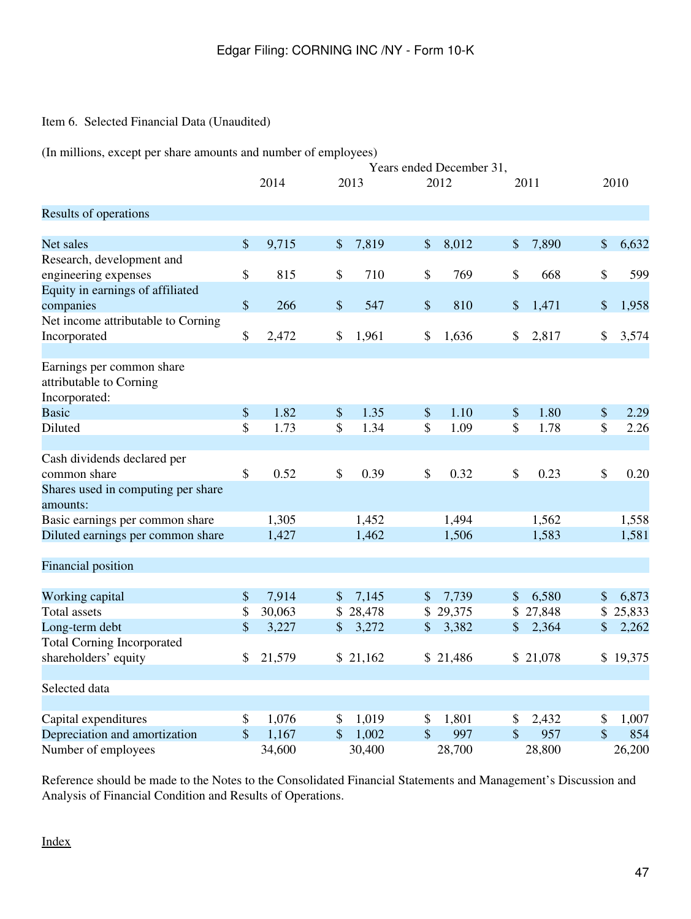## Item 6. Selected Financial Data (Unaudited)

(In millions, except per share amounts and number of employees)

|                                                                       | Years ended December 31, |        |                           |          |                           |          |               |          |    |          |
|-----------------------------------------------------------------------|--------------------------|--------|---------------------------|----------|---------------------------|----------|---------------|----------|----|----------|
|                                                                       |                          | 2014   |                           | 2013     |                           | 2012     |               | 2011     |    | 2010     |
| Results of operations                                                 |                          |        |                           |          |                           |          |               |          |    |          |
| Net sales                                                             | \$                       | 9,715  | \$                        | 7,819    | \$                        | 8,012    | \$            | 7,890    | \$ | 6,632    |
| Research, development and                                             |                          |        |                           |          |                           |          |               |          |    |          |
| engineering expenses                                                  | \$                       | 815    | \$                        | 710      | \$                        | 769      | \$            | 668      | \$ | 599      |
| Equity in earnings of affiliated                                      |                          |        |                           |          |                           |          |               |          |    |          |
| companies                                                             | $\$$                     | 266    | $\boldsymbol{\mathsf{S}}$ | 547      | $\boldsymbol{\mathsf{S}}$ | 810      | $\$\$         | 1,471    | \$ | 1,958    |
| Net income attributable to Corning                                    |                          |        |                           |          |                           |          |               |          |    |          |
| Incorporated                                                          | \$                       | 2,472  | \$                        | 1,961    | \$                        | 1,636    | \$            | 2,817    | \$ | 3,574    |
| Earnings per common share<br>attributable to Corning<br>Incorporated: |                          |        |                           |          |                           |          |               |          |    |          |
| <b>Basic</b>                                                          | \$                       | 1.82   | \$                        | 1.35     | $\$\$                     | 1.10     | $\$\$         | 1.80     | \$ | 2.29     |
| Diluted                                                               | \$                       | 1.73   | \$                        | 1.34     | \$                        | 1.09     | \$            | 1.78     | \$ | 2.26     |
|                                                                       |                          |        |                           |          |                           |          |               |          |    |          |
| Cash dividends declared per                                           |                          |        |                           |          |                           |          |               |          |    |          |
| common share                                                          | \$                       | 0.52   | \$                        | 0.39     | \$                        | 0.32     | \$            | 0.23     | \$ | 0.20     |
| Shares used in computing per share<br>amounts:                        |                          |        |                           |          |                           |          |               |          |    |          |
| Basic earnings per common share                                       |                          | 1,305  |                           | 1,452    |                           | 1,494    |               | 1,562    |    | 1,558    |
| Diluted earnings per common share                                     |                          | 1,427  |                           | 1,462    |                           | 1,506    |               | 1,583    |    | 1,581    |
| Financial position                                                    |                          |        |                           |          |                           |          |               |          |    |          |
| Working capital                                                       | \$                       | 7,914  | $\mathcal{S}$             | 7,145    | \$                        | 7,739    | $\$\$         | 6,580    | \$ | 6,873    |
| <b>Total assets</b>                                                   | \$                       | 30,063 | \$                        | 28,478   |                           | \$29,375 |               | \$27,848 |    | \$25,833 |
| Long-term debt                                                        | \$                       | 3,227  | \$                        | 3,272    | \$                        | 3,382    | $\frac{1}{2}$ | 2,364    | \$ | 2,262    |
| <b>Total Corning Incorporated</b>                                     |                          |        |                           |          |                           |          |               |          |    |          |
| shareholders' equity                                                  | \$                       | 21,579 |                           | \$21,162 |                           | \$21,486 |               | \$21,078 |    | \$19,375 |
| Selected data                                                         |                          |        |                           |          |                           |          |               |          |    |          |
| Capital expenditures                                                  | \$                       | 1,076  | \$                        | 1,019    | \$                        | 1,801    | \$            | 2,432    | \$ | 1,007    |
| Depreciation and amortization                                         | \$                       | 1,167  | $\mathbf{\$}$             | 1,002    | \$                        | 997      | \$            | 957      | \$ | 854      |
| Number of employees                                                   |                          | 34,600 |                           | 30,400   |                           | 28,700   |               | 28,800   |    | 26,200   |

Reference should be made to the Notes to the Consolidated Financial Statements and Management's Discussion and Analysis of Financial Condition and Results of Operations.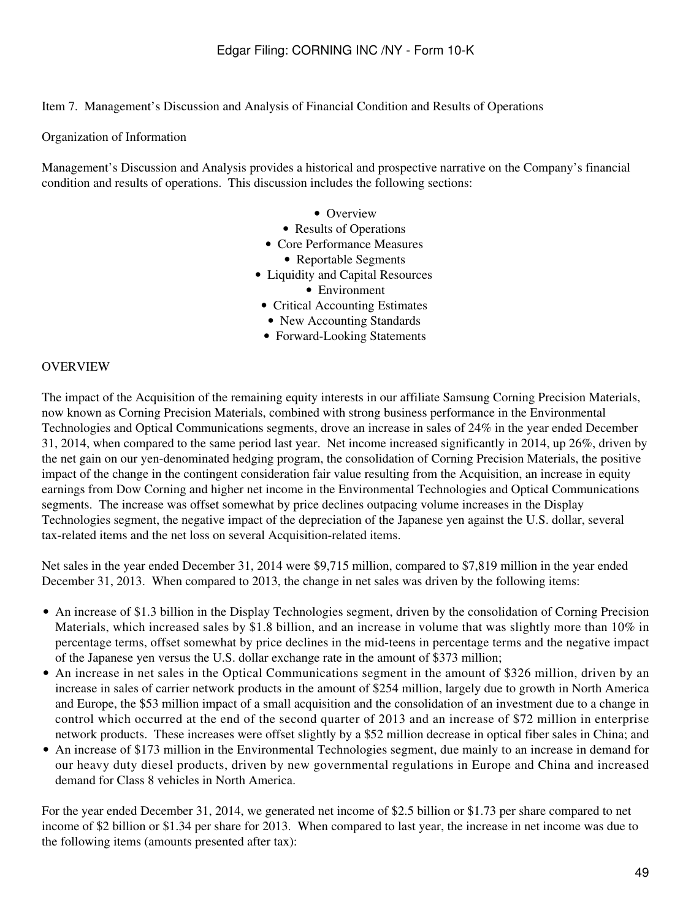Item 7. Management's Discussion and Analysis of Financial Condition and Results of Operations

Organization of Information

Management's Discussion and Analysis provides a historical and prospective narrative on the Company's financial condition and results of operations. This discussion includes the following sections:

- Overview
- Results of Operations
- Core Performance Measures
	- Reportable Segments
- Liquidity and Capital Resources
	- Environment
- Critical Accounting Estimates
- New Accounting Standards
- Forward-Looking Statements

#### **OVERVIEW**

The impact of the Acquisition of the remaining equity interests in our affiliate Samsung Corning Precision Materials, now known as Corning Precision Materials, combined with strong business performance in the Environmental Technologies and Optical Communications segments, drove an increase in sales of 24% in the year ended December 31, 2014, when compared to the same period last year. Net income increased significantly in 2014, up 26%, driven by the net gain on our yen-denominated hedging program, the consolidation of Corning Precision Materials, the positive impact of the change in the contingent consideration fair value resulting from the Acquisition, an increase in equity earnings from Dow Corning and higher net income in the Environmental Technologies and Optical Communications segments. The increase was offset somewhat by price declines outpacing volume increases in the Display Technologies segment, the negative impact of the depreciation of the Japanese yen against the U.S. dollar, several tax-related items and the net loss on several Acquisition-related items.

Net sales in the year ended December 31, 2014 were \$9,715 million, compared to \$7,819 million in the year ended December 31, 2013. When compared to 2013, the change in net sales was driven by the following items:

- An increase of \$1.3 billion in the Display Technologies segment, driven by the consolidation of Corning Precision Materials, which increased sales by \$1.8 billion, and an increase in volume that was slightly more than 10% in percentage terms, offset somewhat by price declines in the mid-teens in percentage terms and the negative impact of the Japanese yen versus the U.S. dollar exchange rate in the amount of \$373 million;
- An increase in net sales in the Optical Communications segment in the amount of \$326 million, driven by an increase in sales of carrier network products in the amount of \$254 million, largely due to growth in North America and Europe, the \$53 million impact of a small acquisition and the consolidation of an investment due to a change in control which occurred at the end of the second quarter of 2013 and an increase of \$72 million in enterprise network products. These increases were offset slightly by a \$52 million decrease in optical fiber sales in China; and
- An increase of \$173 million in the Environmental Technologies segment, due mainly to an increase in demand for our heavy duty diesel products, driven by new governmental regulations in Europe and China and increased demand for Class 8 vehicles in North America.

For the year ended December 31, 2014, we generated net income of \$2.5 billion or \$1.73 per share compared to net income of \$2 billion or \$1.34 per share for 2013. When compared to last year, the increase in net income was due to the following items (amounts presented after tax):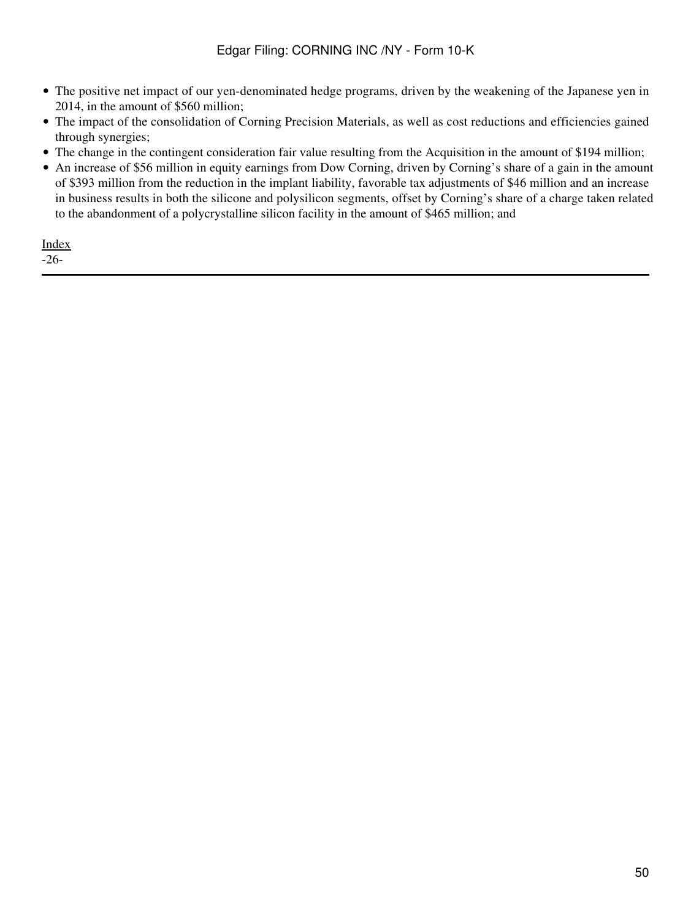- The positive net impact of our yen-denominated hedge programs, driven by the weakening of the Japanese yen in 2014, in the amount of \$560 million;
- The impact of the consolidation of Corning Precision Materials, as well as cost reductions and efficiencies gained through synergies;
- The change in the contingent consideration fair value resulting from the Acquisition in the amount of \$194 million;
- An increase of \$56 million in equity earnings from Dow Corning, driven by Corning's share of a gain in the amount of \$393 million from the reduction in the implant liability, favorable tax adjustments of \$46 million and an increase in business results in both the silicone and polysilicon segments, offset by Corning's share of a charge taken related to the abandonment of a polycrystalline silicon facility in the amount of \$465 million; and

[Index](#page-155-0) -26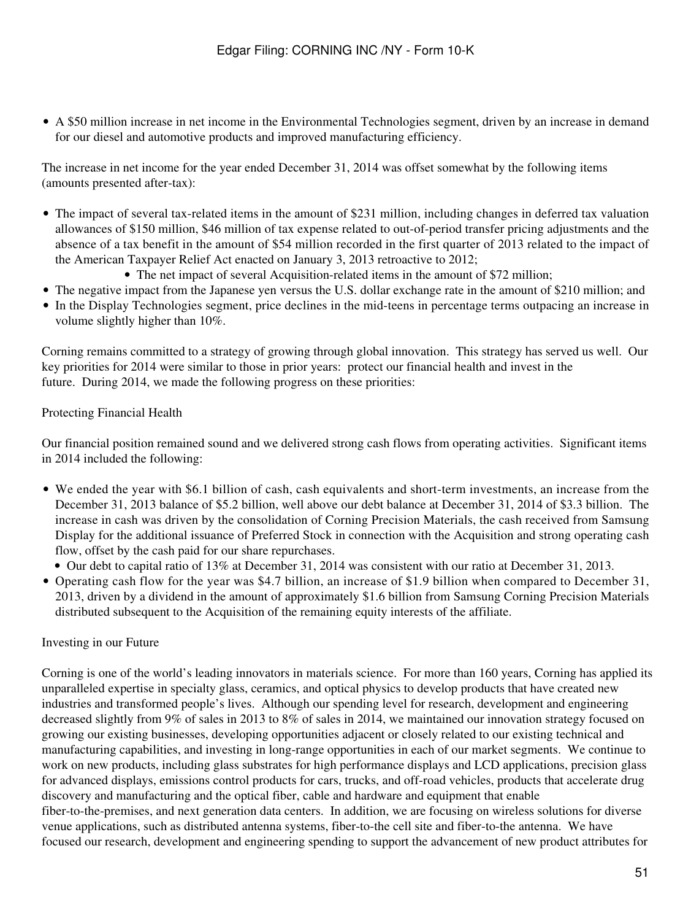• A \$50 million increase in net income in the Environmental Technologies segment, driven by an increase in demand for our diesel and automotive products and improved manufacturing efficiency.

The increase in net income for the year ended December 31, 2014 was offset somewhat by the following items (amounts presented after-tax):

- The impact of several tax-related items in the amount of \$231 million, including changes in deferred tax valuation allowances of \$150 million, \$46 million of tax expense related to out-of-period transfer pricing adjustments and the absence of a tax benefit in the amount of \$54 million recorded in the first quarter of 2013 related to the impact of the American Taxpayer Relief Act enacted on January 3, 2013 retroactive to 2012;
	- The net impact of several Acquisition-related items in the amount of \$72 million;
- The negative impact from the Japanese yen versus the U.S. dollar exchange rate in the amount of \$210 million; and
- In the Display Technologies segment, price declines in the mid-teens in percentage terms outpacing an increase in volume slightly higher than 10%.

Corning remains committed to a strategy of growing through global innovation. This strategy has served us well. Our key priorities for 2014 were similar to those in prior years: protect our financial health and invest in the future. During 2014, we made the following progress on these priorities:

#### Protecting Financial Health

Our financial position remained sound and we delivered strong cash flows from operating activities. Significant items in 2014 included the following:

- We ended the year with \$6.1 billion of cash, cash equivalents and short-term investments, an increase from the December 31, 2013 balance of \$5.2 billion, well above our debt balance at December 31, 2014 of \$3.3 billion. The increase in cash was driven by the consolidation of Corning Precision Materials, the cash received from Samsung Display for the additional issuance of Preferred Stock in connection with the Acquisition and strong operating cash flow, offset by the cash paid for our share repurchases.
	- Our debt to capital ratio of 13% at December 31, 2014 was consistent with our ratio at December 31, 2013.
- Operating cash flow for the year was \$4.7 billion, an increase of \$1.9 billion when compared to December 31, 2013, driven by a dividend in the amount of approximately \$1.6 billion from Samsung Corning Precision Materials distributed subsequent to the Acquisition of the remaining equity interests of the affiliate.

#### Investing in our Future

Corning is one of the world's leading innovators in materials science. For more than 160 years, Corning has applied its unparalleled expertise in specialty glass, ceramics, and optical physics to develop products that have created new industries and transformed people's lives. Although our spending level for research, development and engineering decreased slightly from 9% of sales in 2013 to 8% of sales in 2014, we maintained our innovation strategy focused on growing our existing businesses, developing opportunities adjacent or closely related to our existing technical and manufacturing capabilities, and investing in long-range opportunities in each of our market segments. We continue to work on new products, including glass substrates for high performance displays and LCD applications, precision glass for advanced displays, emissions control products for cars, trucks, and off-road vehicles, products that accelerate drug discovery and manufacturing and the optical fiber, cable and hardware and equipment that enable fiber-to-the-premises, and next generation data centers. In addition, we are focusing on wireless solutions for diverse venue applications, such as distributed antenna systems, fiber-to-the cell site and fiber-to-the antenna. We have focused our research, development and engineering spending to support the advancement of new product attributes for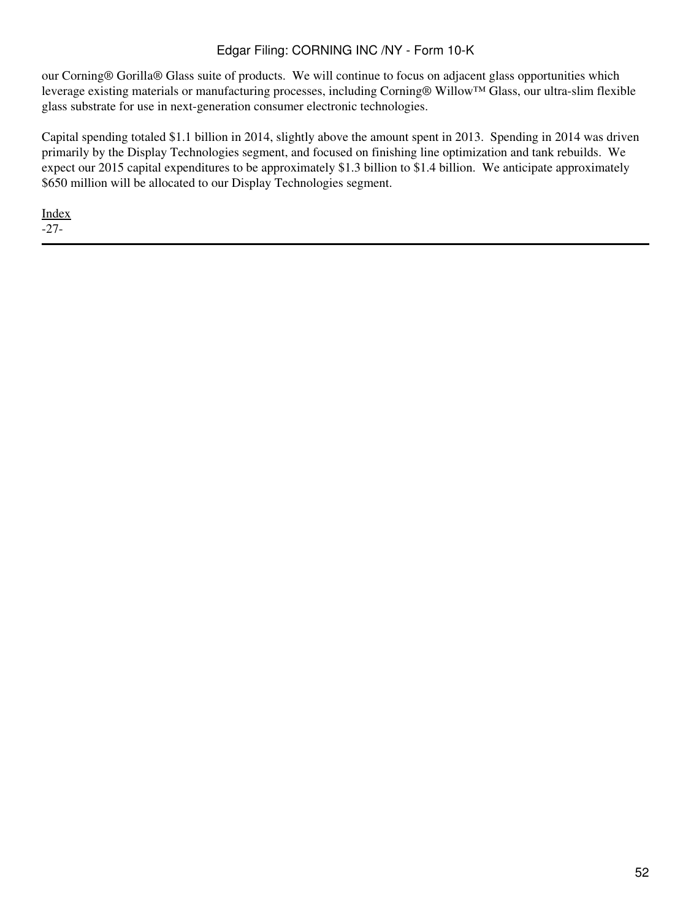our Corning® Gorilla® Glass suite of products. We will continue to focus on adjacent glass opportunities which leverage existing materials or manufacturing processes, including Corning® Willow™ Glass, our ultra-slim flexible glass substrate for use in next-generation consumer electronic technologies.

Capital spending totaled \$1.1 billion in 2014, slightly above the amount spent in 2013. Spending in 2014 was driven primarily by the Display Technologies segment, and focused on finishing line optimization and tank rebuilds. We expect our 2015 capital expenditures to be approximately \$1.3 billion to \$1.4 billion. We anticipate approximately \$650 million will be allocated to our Display Technologies segment.

[Index](#page-155-0) -27-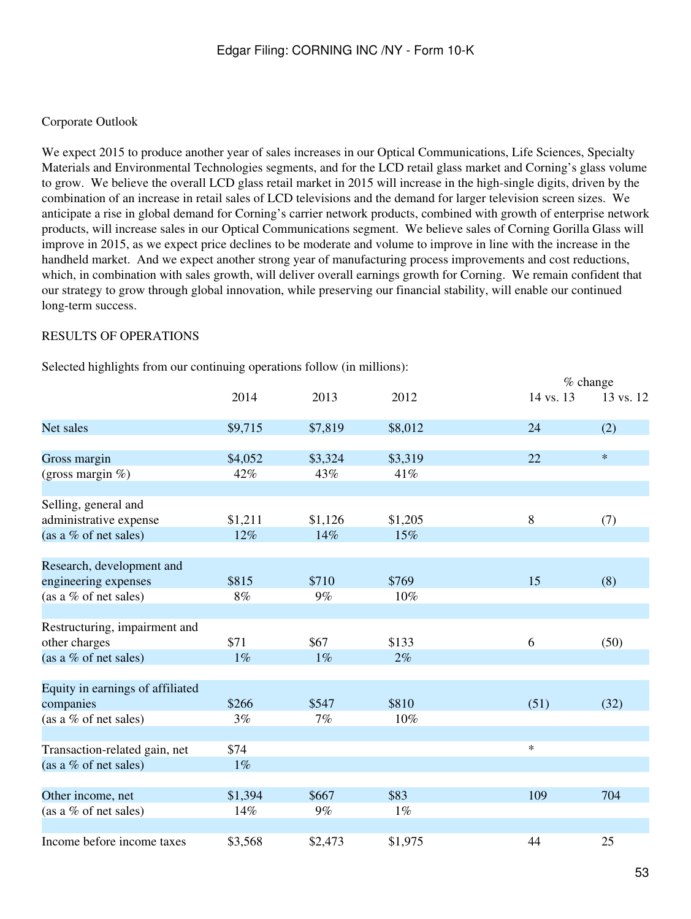#### Corporate Outlook

We expect 2015 to produce another year of sales increases in our Optical Communications, Life Sciences, Specialty Materials and Environmental Technologies segments, and for the LCD retail glass market and Corning's glass volume to grow. We believe the overall LCD glass retail market in 2015 will increase in the high-single digits, driven by the combination of an increase in retail sales of LCD televisions and the demand for larger television screen sizes. We anticipate a rise in global demand for Corning's carrier network products, combined with growth of enterprise network products, will increase sales in our Optical Communications segment. We believe sales of Corning Gorilla Glass will improve in 2015, as we expect price declines to be moderate and volume to improve in line with the increase in the handheld market. And we expect another strong year of manufacturing process improvements and cost reductions, which, in combination with sales growth, will deliver overall earnings growth for Corning. We remain confident that our strategy to grow through global innovation, while preserving our financial stability, will enable our continued long-term success.

#### RESULTS OF OPERATIONS

Selected highlights from our continuing operations follow (in millions):

|                                  |         |         |         | % change  |           |
|----------------------------------|---------|---------|---------|-----------|-----------|
|                                  | 2014    | 2013    | 2012    | 14 vs. 13 | 13 vs. 12 |
| Net sales                        | \$9,715 | \$7,819 | \$8,012 | 24        | (2)       |
| Gross margin                     | \$4,052 | \$3,324 | \$3,319 | 22        | $\ast$    |
| (gross margin %)                 | 42%     | 43%     | 41%     |           |           |
| Selling, general and             |         |         |         |           |           |
| administrative expense           | \$1,211 | \$1,126 | \$1,205 | $\, 8$    | (7)       |
| (as a % of net sales)            | 12%     | 14%     | 15%     |           |           |
| Research, development and        |         |         |         |           |           |
| engineering expenses             | \$815   | \$710   | \$769   | 15        | (8)       |
| (as a % of net sales)            | $8\%$   | $9\%$   | 10%     |           |           |
| Restructuring, impairment and    |         |         |         |           |           |
| other charges                    | \$71    | \$67    | \$133   | 6         | (50)      |
| (as a % of net sales)            | $1\%$   | $1\%$   | 2%      |           |           |
| Equity in earnings of affiliated |         |         |         |           |           |
| companies                        | \$266   | \$547   | \$810   | (51)      | (32)      |
| (as a % of net sales)            | 3%      | 7%      | 10%     |           |           |
| Transaction-related gain, net    | \$74    |         |         | $\ast$    |           |
| (as a % of net sales)            | $1\%$   |         |         |           |           |
| Other income, net                | \$1,394 | \$667   | \$83    | 109       | 704       |
| (as a % of net sales)            | 14%     | $9\%$   | $1\%$   |           |           |
| Income before income taxes       | \$3,568 | \$2,473 | \$1,975 | 44        | 25        |
|                                  |         |         |         |           |           |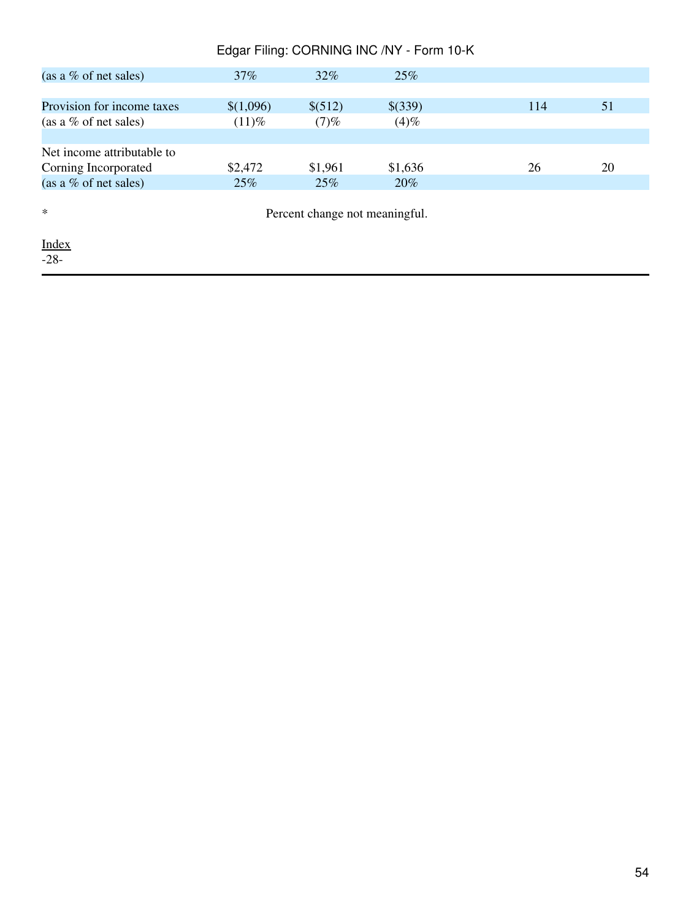| Edgar Filing: CORNING INC /NY - Form 10-K |           |         |         |     |    |
|-------------------------------------------|-----------|---------|---------|-----|----|
| (as a $\%$ of net sales)                  | 37%       | $32\%$  | 25%     |     |    |
|                                           |           |         |         |     |    |
| Provision for income taxes                | \$(1,096) | \$(512) | \$(339) | 114 | 51 |
| (as a % of net sales)                     | $(11)\%$  | (7)%    | (4)%    |     |    |
|                                           |           |         |         |     |    |
| Net income attributable to                |           |         |         |     |    |
| Corning Incorporated                      | \$2,472   | \$1,961 | \$1,636 | 26  | 20 |
| (as a $\%$ of net sales)                  | 25%       | 25%     | 20%     |     |    |
| $\ast$<br>Percent change not meaningful.  |           |         |         |     |    |
| <u>Index</u><br>$-28-$                    |           |         |         |     |    |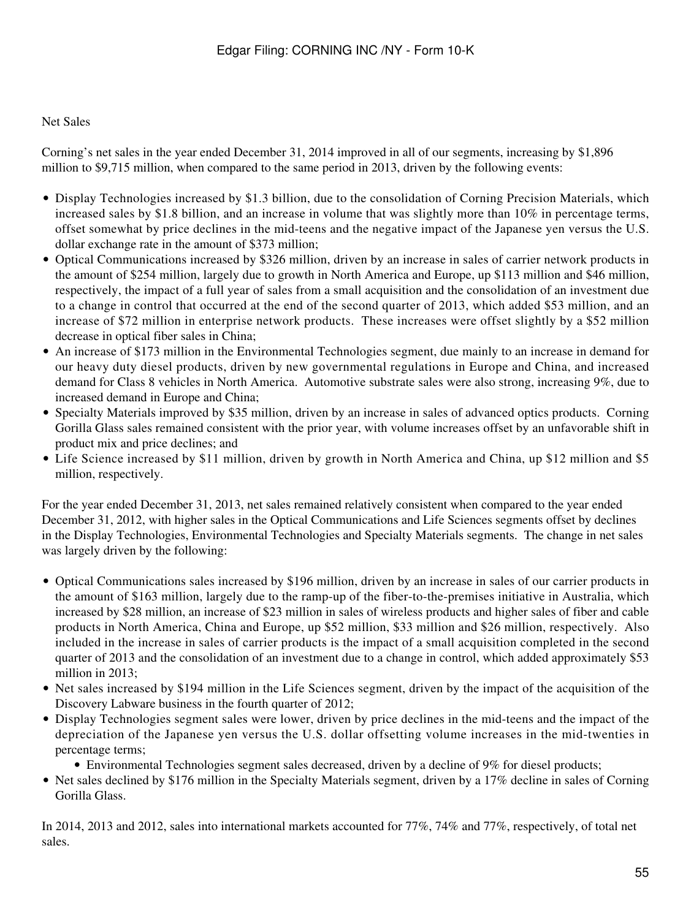#### Net Sales

Corning's net sales in the year ended December 31, 2014 improved in all of our segments, increasing by \$1,896 million to \$9,715 million, when compared to the same period in 2013, driven by the following events:

- Display Technologies increased by \$1.3 billion, due to the consolidation of Corning Precision Materials, which increased sales by \$1.8 billion, and an increase in volume that was slightly more than 10% in percentage terms, offset somewhat by price declines in the mid-teens and the negative impact of the Japanese yen versus the U.S. dollar exchange rate in the amount of \$373 million;
- Optical Communications increased by \$326 million, driven by an increase in sales of carrier network products in the amount of \$254 million, largely due to growth in North America and Europe, up \$113 million and \$46 million, respectively, the impact of a full year of sales from a small acquisition and the consolidation of an investment due to a change in control that occurred at the end of the second quarter of 2013, which added \$53 million, and an increase of \$72 million in enterprise network products. These increases were offset slightly by a \$52 million decrease in optical fiber sales in China;
- An increase of \$173 million in the Environmental Technologies segment, due mainly to an increase in demand for our heavy duty diesel products, driven by new governmental regulations in Europe and China, and increased demand for Class 8 vehicles in North America. Automotive substrate sales were also strong, increasing 9%, due to increased demand in Europe and China;
- Specialty Materials improved by \$35 million, driven by an increase in sales of advanced optics products. Corning Gorilla Glass sales remained consistent with the prior year, with volume increases offset by an unfavorable shift in product mix and price declines; and
- Life Science increased by \$11 million, driven by growth in North America and China, up \$12 million and \$5 million, respectively.

For the year ended December 31, 2013, net sales remained relatively consistent when compared to the year ended December 31, 2012, with higher sales in the Optical Communications and Life Sciences segments offset by declines in the Display Technologies, Environmental Technologies and Specialty Materials segments. The change in net sales was largely driven by the following:

- Optical Communications sales increased by \$196 million, driven by an increase in sales of our carrier products in the amount of \$163 million, largely due to the ramp-up of the fiber-to-the-premises initiative in Australia, which increased by \$28 million, an increase of \$23 million in sales of wireless products and higher sales of fiber and cable products in North America, China and Europe, up \$52 million, \$33 million and \$26 million, respectively. Also included in the increase in sales of carrier products is the impact of a small acquisition completed in the second quarter of 2013 and the consolidation of an investment due to a change in control, which added approximately \$53 million in 2013;
- Net sales increased by \$194 million in the Life Sciences segment, driven by the impact of the acquisition of the Discovery Labware business in the fourth quarter of 2012;
- Display Technologies segment sales were lower, driven by price declines in the mid-teens and the impact of the depreciation of the Japanese yen versus the U.S. dollar offsetting volume increases in the mid-twenties in percentage terms;
	- Environmental Technologies segment sales decreased, driven by a decline of 9% for diesel products;
- Net sales declined by \$176 million in the Specialty Materials segment, driven by a 17% decline in sales of Corning Gorilla Glass.

In 2014, 2013 and 2012, sales into international markets accounted for 77%, 74% and 77%, respectively, of total net sales.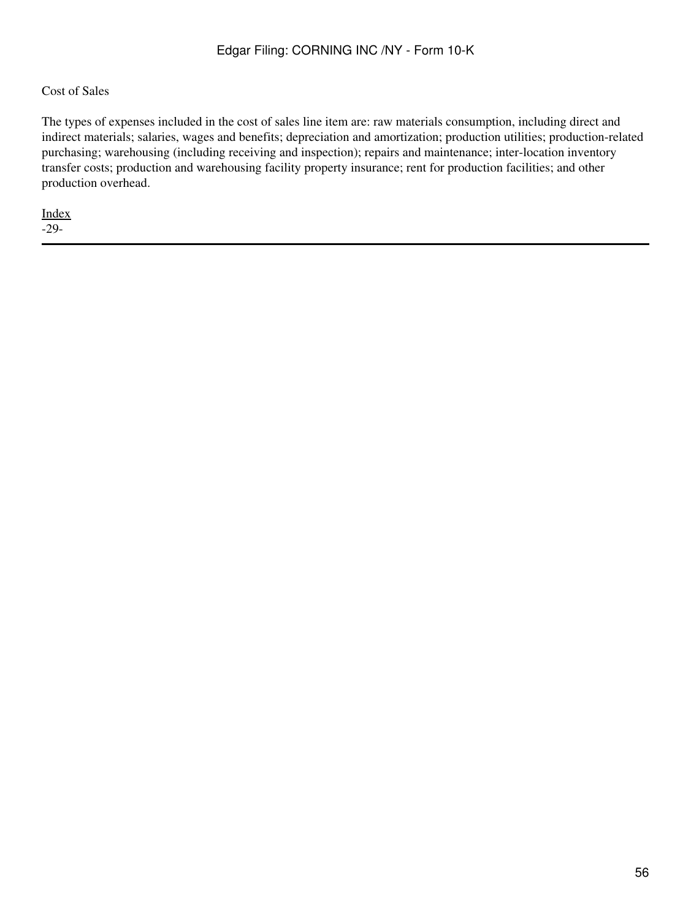#### Cost of Sales

The types of expenses included in the cost of sales line item are: raw materials consumption, including direct and indirect materials; salaries, wages and benefits; depreciation and amortization; production utilities; production-related purchasing; warehousing (including receiving and inspection); repairs and maintenance; inter-location inventory transfer costs; production and warehousing facility property insurance; rent for production facilities; and other production overhead.

[Index](#page-155-0) -29-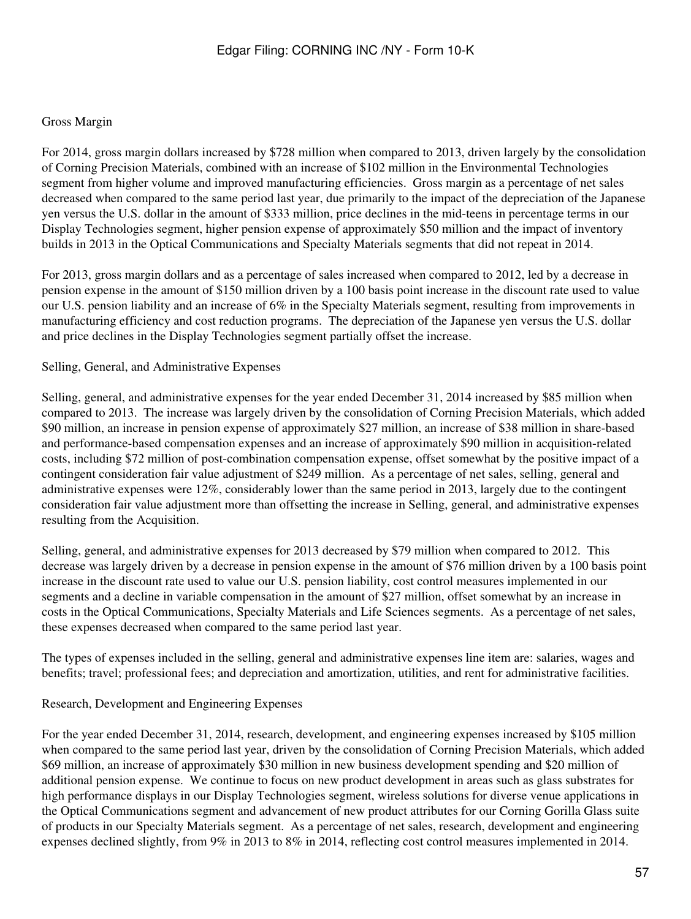#### Gross Margin

For 2014, gross margin dollars increased by \$728 million when compared to 2013, driven largely by the consolidation of Corning Precision Materials, combined with an increase of \$102 million in the Environmental Technologies segment from higher volume and improved manufacturing efficiencies. Gross margin as a percentage of net sales decreased when compared to the same period last year, due primarily to the impact of the depreciation of the Japanese yen versus the U.S. dollar in the amount of \$333 million, price declines in the mid-teens in percentage terms in our Display Technologies segment, higher pension expense of approximately \$50 million and the impact of inventory builds in 2013 in the Optical Communications and Specialty Materials segments that did not repeat in 2014.

For 2013, gross margin dollars and as a percentage of sales increased when compared to 2012, led by a decrease in pension expense in the amount of \$150 million driven by a 100 basis point increase in the discount rate used to value our U.S. pension liability and an increase of 6% in the Specialty Materials segment, resulting from improvements in manufacturing efficiency and cost reduction programs. The depreciation of the Japanese yen versus the U.S. dollar and price declines in the Display Technologies segment partially offset the increase.

#### Selling, General, and Administrative Expenses

Selling, general, and administrative expenses for the year ended December 31, 2014 increased by \$85 million when compared to 2013. The increase was largely driven by the consolidation of Corning Precision Materials, which added \$90 million, an increase in pension expense of approximately \$27 million, an increase of \$38 million in share-based and performance-based compensation expenses and an increase of approximately \$90 million in acquisition-related costs, including \$72 million of post-combination compensation expense, offset somewhat by the positive impact of a contingent consideration fair value adjustment of \$249 million. As a percentage of net sales, selling, general and administrative expenses were 12%, considerably lower than the same period in 2013, largely due to the contingent consideration fair value adjustment more than offsetting the increase in Selling, general, and administrative expenses resulting from the Acquisition.

Selling, general, and administrative expenses for 2013 decreased by \$79 million when compared to 2012. This decrease was largely driven by a decrease in pension expense in the amount of \$76 million driven by a 100 basis point increase in the discount rate used to value our U.S. pension liability, cost control measures implemented in our segments and a decline in variable compensation in the amount of \$27 million, offset somewhat by an increase in costs in the Optical Communications, Specialty Materials and Life Sciences segments. As a percentage of net sales, these expenses decreased when compared to the same period last year.

The types of expenses included in the selling, general and administrative expenses line item are: salaries, wages and benefits; travel; professional fees; and depreciation and amortization, utilities, and rent for administrative facilities.

#### Research, Development and Engineering Expenses

For the year ended December 31, 2014, research, development, and engineering expenses increased by \$105 million when compared to the same period last year, driven by the consolidation of Corning Precision Materials, which added \$69 million, an increase of approximately \$30 million in new business development spending and \$20 million of additional pension expense. We continue to focus on new product development in areas such as glass substrates for high performance displays in our Display Technologies segment, wireless solutions for diverse venue applications in the Optical Communications segment and advancement of new product attributes for our Corning Gorilla Glass suite of products in our Specialty Materials segment. As a percentage of net sales, research, development and engineering expenses declined slightly, from 9% in 2013 to 8% in 2014, reflecting cost control measures implemented in 2014.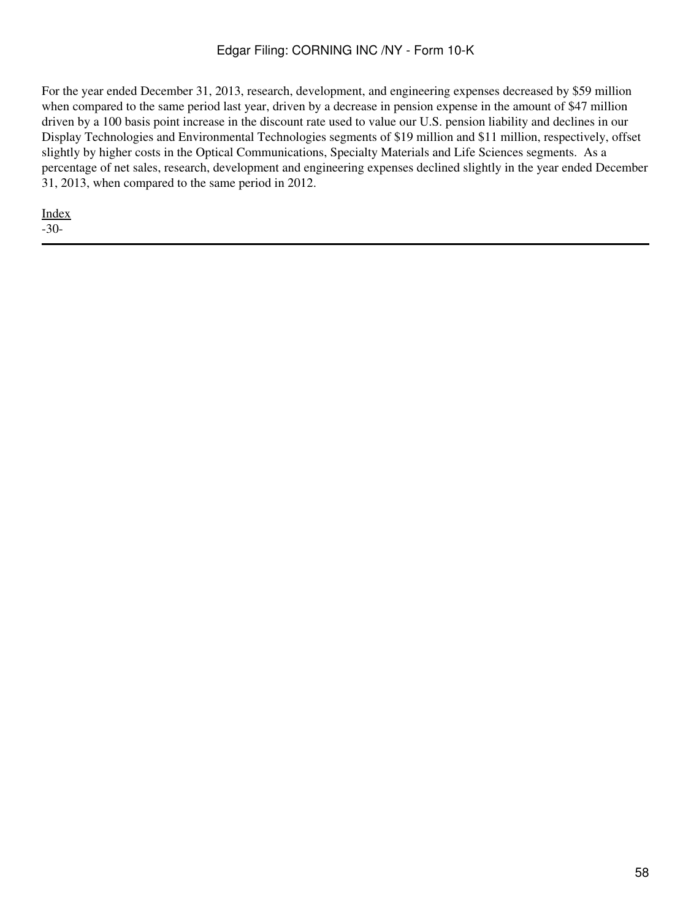For the year ended December 31, 2013, research, development, and engineering expenses decreased by \$59 million when compared to the same period last year, driven by a decrease in pension expense in the amount of \$47 million driven by a 100 basis point increase in the discount rate used to value our U.S. pension liability and declines in our Display Technologies and Environmental Technologies segments of \$19 million and \$11 million, respectively, offset slightly by higher costs in the Optical Communications, Specialty Materials and Life Sciences segments. As a percentage of net sales, research, development and engineering expenses declined slightly in the year ended December 31, 2013, when compared to the same period in 2012.

[Index](#page-155-0) -30-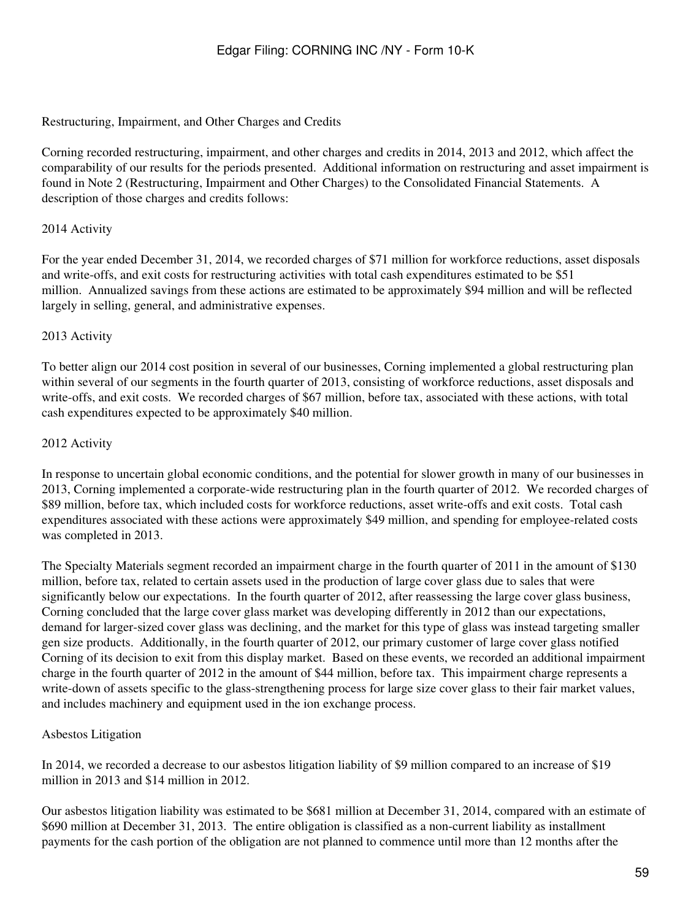#### Restructuring, Impairment, and Other Charges and Credits

Corning recorded restructuring, impairment, and other charges and credits in 2014, 2013 and 2012, which affect the comparability of our results for the periods presented. Additional information on restructuring and asset impairment is found in Note 2 (Restructuring, Impairment and Other Charges) to the Consolidated Financial Statements. A description of those charges and credits follows:

#### 2014 Activity

For the year ended December 31, 2014, we recorded charges of \$71 million for workforce reductions, asset disposals and write-offs, and exit costs for restructuring activities with total cash expenditures estimated to be \$51 million. Annualized savings from these actions are estimated to be approximately \$94 million and will be reflected largely in selling, general, and administrative expenses.

#### 2013 Activity

To better align our 2014 cost position in several of our businesses, Corning implemented a global restructuring plan within several of our segments in the fourth quarter of 2013, consisting of workforce reductions, asset disposals and write-offs, and exit costs. We recorded charges of \$67 million, before tax, associated with these actions, with total cash expenditures expected to be approximately \$40 million.

#### 2012 Activity

In response to uncertain global economic conditions, and the potential for slower growth in many of our businesses in 2013, Corning implemented a corporate-wide restructuring plan in the fourth quarter of 2012. We recorded charges of \$89 million, before tax, which included costs for workforce reductions, asset write-offs and exit costs. Total cash expenditures associated with these actions were approximately \$49 million, and spending for employee-related costs was completed in 2013.

The Specialty Materials segment recorded an impairment charge in the fourth quarter of 2011 in the amount of \$130 million, before tax, related to certain assets used in the production of large cover glass due to sales that were significantly below our expectations. In the fourth quarter of 2012, after reassessing the large cover glass business, Corning concluded that the large cover glass market was developing differently in 2012 than our expectations, demand for larger-sized cover glass was declining, and the market for this type of glass was instead targeting smaller gen size products. Additionally, in the fourth quarter of 2012, our primary customer of large cover glass notified Corning of its decision to exit from this display market. Based on these events, we recorded an additional impairment charge in the fourth quarter of 2012 in the amount of \$44 million, before tax. This impairment charge represents a write-down of assets specific to the glass-strengthening process for large size cover glass to their fair market values, and includes machinery and equipment used in the ion exchange process.

#### Asbestos Litigation

In 2014, we recorded a decrease to our asbestos litigation liability of \$9 million compared to an increase of \$19 million in 2013 and \$14 million in 2012.

Our asbestos litigation liability was estimated to be \$681 million at December 31, 2014, compared with an estimate of \$690 million at December 31, 2013. The entire obligation is classified as a non-current liability as installment payments for the cash portion of the obligation are not planned to commence until more than 12 months after the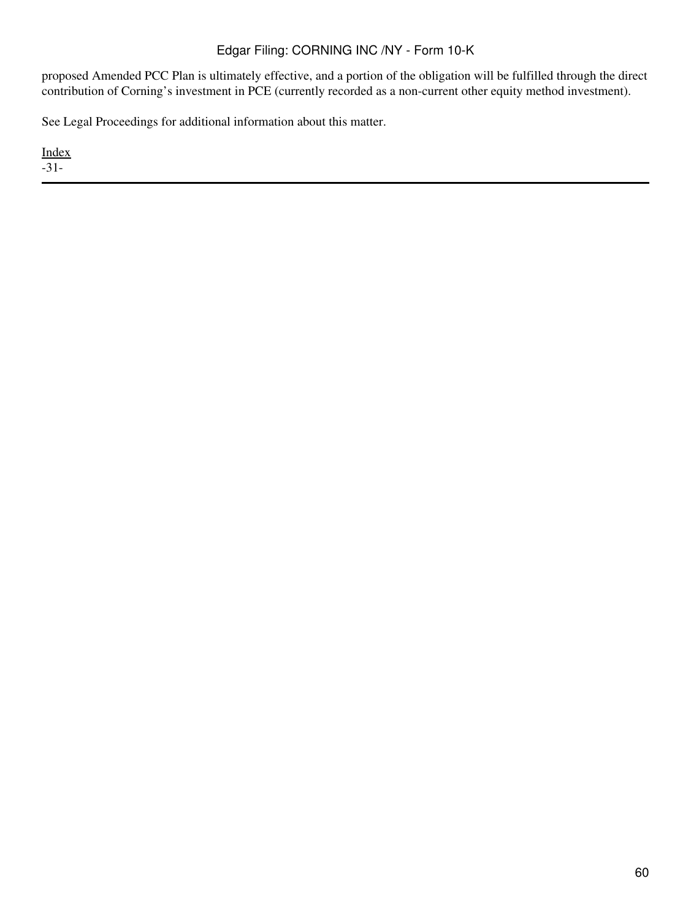proposed Amended PCC Plan is ultimately effective, and a portion of the obligation will be fulfilled through the direct contribution of Corning's investment in PCE (currently recorded as a non-current other equity method investment).

See Legal Proceedings for additional information about this matter.

[Index](#page-155-0) -31-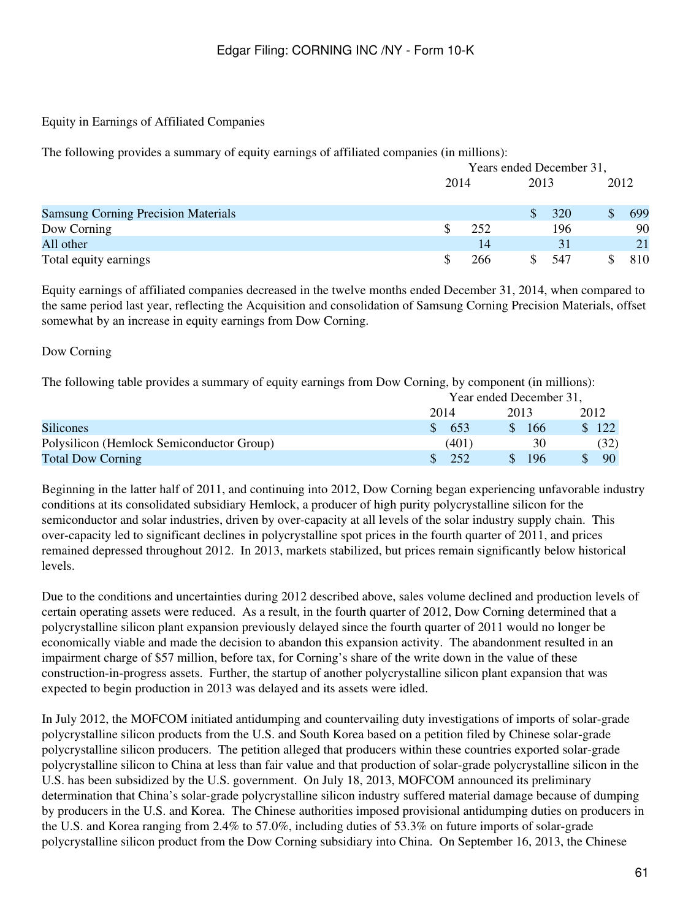#### Equity in Earnings of Affiliated Companies

The following provides a summary of equity earnings of affiliated companies (in millions):

|                                            |      | Years ended December 31, |      |     |  |      |
|--------------------------------------------|------|--------------------------|------|-----|--|------|
|                                            | 2014 |                          | 2013 |     |  | 2012 |
| <b>Samsung Corning Precision Materials</b> |      |                          |      | 320 |  | 699  |
| Dow Corning                                |      | 252                      |      | 196 |  | 90   |
| All other                                  |      | 14                       |      | 31  |  | 21   |
| Total equity earnings                      |      | 266                      |      | 547 |  | 810  |

Equity earnings of affiliated companies decreased in the twelve months ended December 31, 2014, when compared to the same period last year, reflecting the Acquisition and consolidation of Samsung Corning Precision Materials, offset somewhat by an increase in equity earnings from Dow Corning.

#### Dow Corning

The following table provides a summary of equity earnings from Dow Corning, by component (in millions):

|                                           | Year ended December 31, |                         |       |  |
|-------------------------------------------|-------------------------|-------------------------|-------|--|
|                                           | 2014                    | 2013                    | 2012  |  |
| <b>Silicones</b>                          | $\frac{1}{2}$ 653       | -166<br>$\mathcal{S}^-$ | \$122 |  |
| Polysilicon (Hemlock Semiconductor Group) | (401)                   | 30                      | (32)  |  |
| <b>Total Dow Corning</b>                  | -252                    | -196                    | 90    |  |

Beginning in the latter half of 2011, and continuing into 2012, Dow Corning began experiencing unfavorable industry conditions at its consolidated subsidiary Hemlock, a producer of high purity polycrystalline silicon for the semiconductor and solar industries, driven by over-capacity at all levels of the solar industry supply chain. This over-capacity led to significant declines in polycrystalline spot prices in the fourth quarter of 2011, and prices remained depressed throughout 2012. In 2013, markets stabilized, but prices remain significantly below historical levels.

Due to the conditions and uncertainties during 2012 described above, sales volume declined and production levels of certain operating assets were reduced. As a result, in the fourth quarter of 2012, Dow Corning determined that a polycrystalline silicon plant expansion previously delayed since the fourth quarter of 2011 would no longer be economically viable and made the decision to abandon this expansion activity. The abandonment resulted in an impairment charge of \$57 million, before tax, for Corning's share of the write down in the value of these construction-in-progress assets. Further, the startup of another polycrystalline silicon plant expansion that was expected to begin production in 2013 was delayed and its assets were idled.

In July 2012, the MOFCOM initiated antidumping and countervailing duty investigations of imports of solar-grade polycrystalline silicon products from the U.S. and South Korea based on a petition filed by Chinese solar-grade polycrystalline silicon producers. The petition alleged that producers within these countries exported solar-grade polycrystalline silicon to China at less than fair value and that production of solar-grade polycrystalline silicon in the U.S. has been subsidized by the U.S. government. On July 18, 2013, MOFCOM announced its preliminary determination that China's solar-grade polycrystalline silicon industry suffered material damage because of dumping by producers in the U.S. and Korea. The Chinese authorities imposed provisional antidumping duties on producers in the U.S. and Korea ranging from 2.4% to 57.0%, including duties of 53.3% on future imports of solar-grade polycrystalline silicon product from the Dow Corning subsidiary into China. On September 16, 2013, the Chinese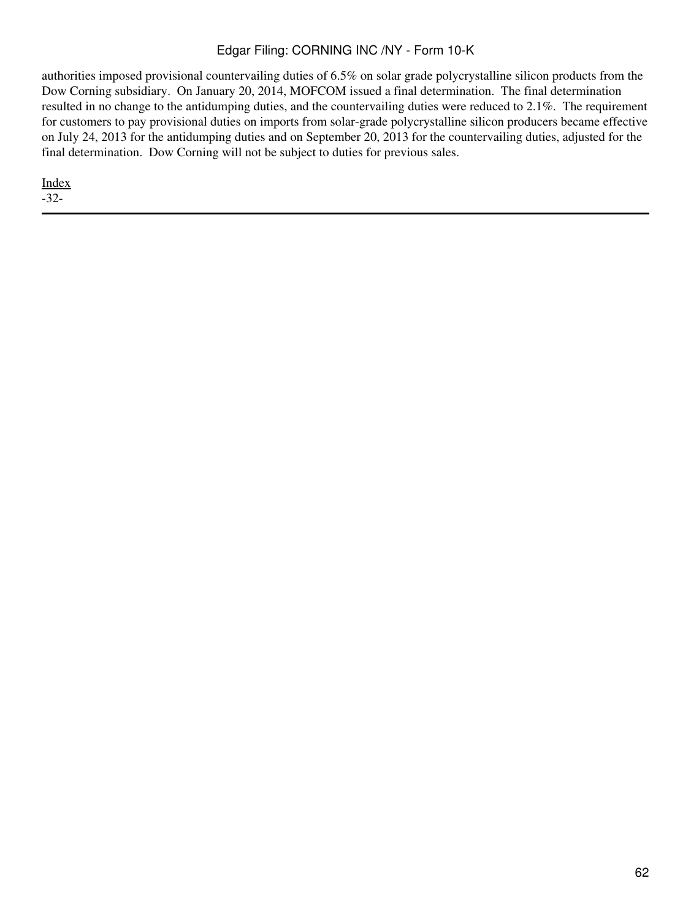authorities imposed provisional countervailing duties of 6.5% on solar grade polycrystalline silicon products from the Dow Corning subsidiary. On January 20, 2014, MOFCOM issued a final determination. The final determination resulted in no change to the antidumping duties, and the countervailing duties were reduced to 2.1%. The requirement for customers to pay provisional duties on imports from solar-grade polycrystalline silicon producers became effective on July 24, 2013 for the antidumping duties and on September 20, 2013 for the countervailing duties, adjusted for the final determination. Dow Corning will not be subject to duties for previous sales.

[Index](#page-155-0)

-32-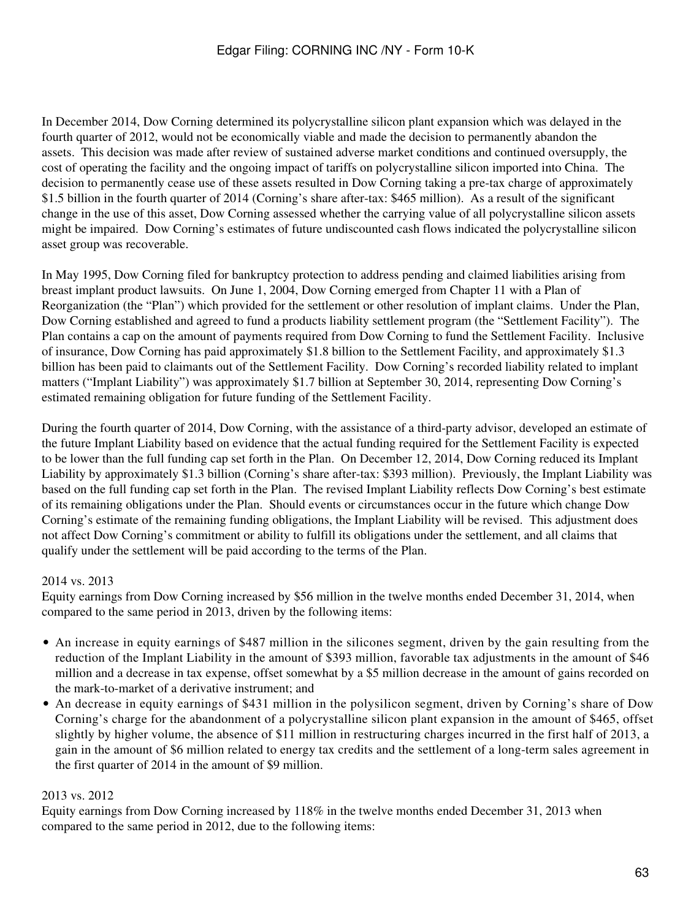In December 2014, Dow Corning determined its polycrystalline silicon plant expansion which was delayed in the fourth quarter of 2012, would not be economically viable and made the decision to permanently abandon the assets. This decision was made after review of sustained adverse market conditions and continued oversupply, the cost of operating the facility and the ongoing impact of tariffs on polycrystalline silicon imported into China. The decision to permanently cease use of these assets resulted in Dow Corning taking a pre-tax charge of approximately \$1.5 billion in the fourth quarter of 2014 (Corning's share after-tax: \$465 million). As a result of the significant change in the use of this asset, Dow Corning assessed whether the carrying value of all polycrystalline silicon assets might be impaired. Dow Corning's estimates of future undiscounted cash flows indicated the polycrystalline silicon asset group was recoverable.

In May 1995, Dow Corning filed for bankruptcy protection to address pending and claimed liabilities arising from breast implant product lawsuits. On June 1, 2004, Dow Corning emerged from Chapter 11 with a Plan of Reorganization (the "Plan") which provided for the settlement or other resolution of implant claims. Under the Plan, Dow Corning established and agreed to fund a products liability settlement program (the "Settlement Facility"). The Plan contains a cap on the amount of payments required from Dow Corning to fund the Settlement Facility. Inclusive of insurance, Dow Corning has paid approximately \$1.8 billion to the Settlement Facility, and approximately \$1.3 billion has been paid to claimants out of the Settlement Facility. Dow Corning's recorded liability related to implant matters ("Implant Liability") was approximately \$1.7 billion at September 30, 2014, representing Dow Corning's estimated remaining obligation for future funding of the Settlement Facility.

During the fourth quarter of 2014, Dow Corning, with the assistance of a third-party advisor, developed an estimate of the future Implant Liability based on evidence that the actual funding required for the Settlement Facility is expected to be lower than the full funding cap set forth in the Plan. On December 12, 2014, Dow Corning reduced its Implant Liability by approximately \$1.3 billion (Corning's share after-tax: \$393 million). Previously, the Implant Liability was based on the full funding cap set forth in the Plan. The revised Implant Liability reflects Dow Corning's best estimate of its remaining obligations under the Plan. Should events or circumstances occur in the future which change Dow Corning's estimate of the remaining funding obligations, the Implant Liability will be revised. This adjustment does not affect Dow Corning's commitment or ability to fulfill its obligations under the settlement, and all claims that qualify under the settlement will be paid according to the terms of the Plan.

#### 2014 vs. 2013

Equity earnings from Dow Corning increased by \$56 million in the twelve months ended December 31, 2014, when compared to the same period in 2013, driven by the following items:

- An increase in equity earnings of \$487 million in the silicones segment, driven by the gain resulting from the reduction of the Implant Liability in the amount of \$393 million, favorable tax adjustments in the amount of \$46 million and a decrease in tax expense, offset somewhat by a \$5 million decrease in the amount of gains recorded on the mark-to-market of a derivative instrument; and
- An decrease in equity earnings of \$431 million in the polysilicon segment, driven by Corning's share of Dow Corning's charge for the abandonment of a polycrystalline silicon plant expansion in the amount of \$465, offset slightly by higher volume, the absence of \$11 million in restructuring charges incurred in the first half of 2013, a gain in the amount of \$6 million related to energy tax credits and the settlement of a long-term sales agreement in the first quarter of 2014 in the amount of \$9 million.

#### 2013 vs. 2012

Equity earnings from Dow Corning increased by 118% in the twelve months ended December 31, 2013 when compared to the same period in 2012, due to the following items: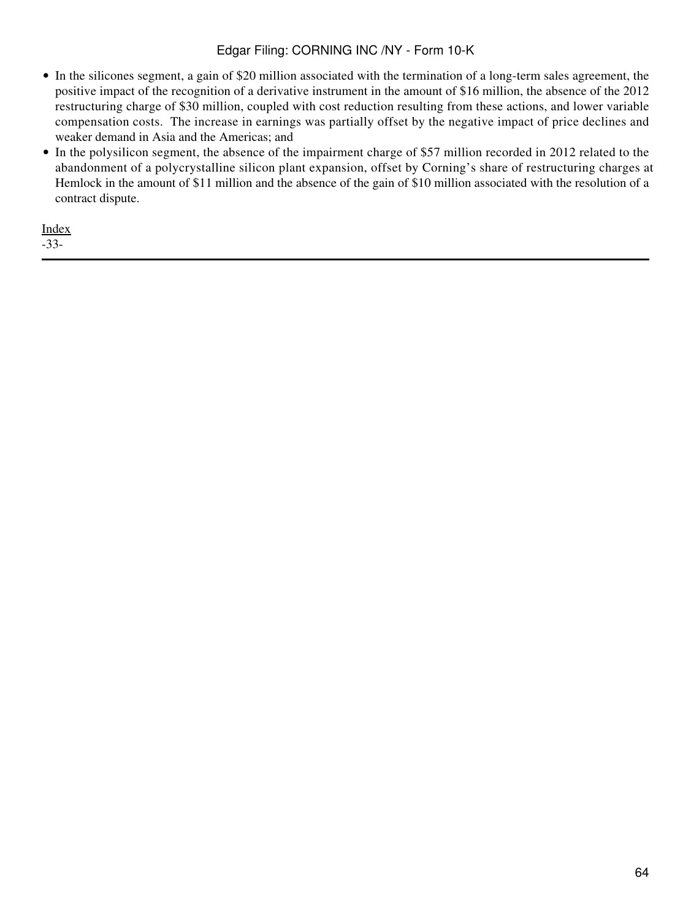- In the silicones segment, a gain of \$20 million associated with the termination of a long-term sales agreement, the positive impact of the recognition of a derivative instrument in the amount of \$16 million, the absence of the 2012 restructuring charge of \$30 million, coupled with cost reduction resulting from these actions, and lower variable compensation costs. The increase in earnings was partially offset by the negative impact of price declines and weaker demand in Asia and the Americas; and
- In the polysilicon segment, the absence of the impairment charge of \$57 million recorded in 2012 related to the abandonment of a polycrystalline silicon plant expansion, offset by Corning's share of restructuring charges at Hemlock in the amount of \$11 million and the absence of the gain of \$10 million associated with the resolution of a contract dispute.

[Index](#page-155-0) -33-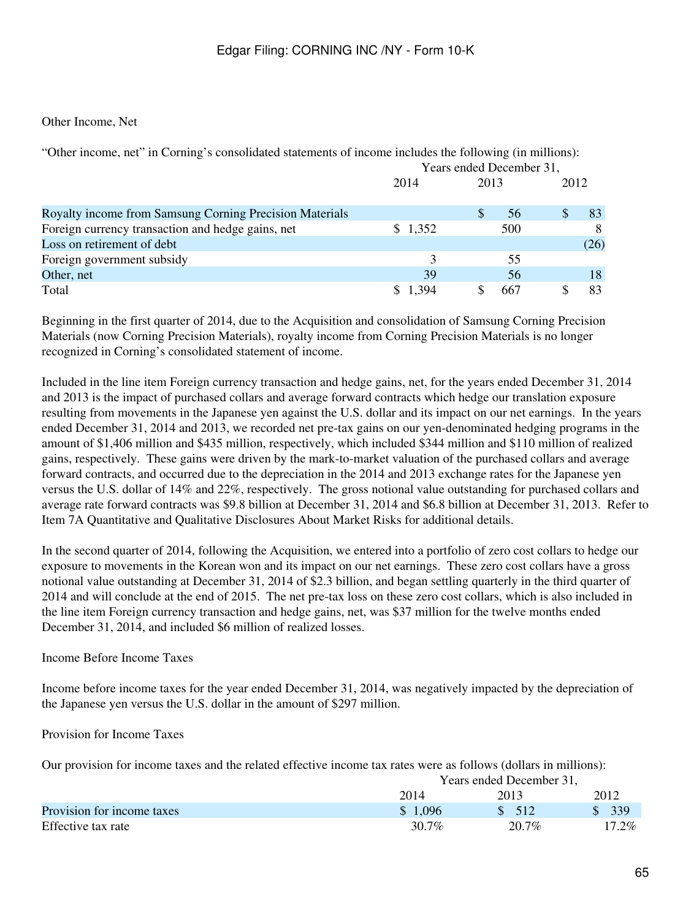#### Other Income, Net

"Other income, net" in Corning's consolidated statements of income includes the following (in millions): Years ended December 31,

|                                                         | 2014    | 2013 | 2012 |
|---------------------------------------------------------|---------|------|------|
| Royalty income from Samsung Corning Precision Materials |         | 56   | 83   |
| Foreign currency transaction and hedge gains, net       | \$1,352 | 500  |      |
| Loss on retirement of debt                              |         |      | (26) |
| Foreign government subsidy                              |         | 55   |      |
| Other, net                                              | 39      | 56   | 18   |
| Total                                                   | 1.394   | 667  | 83   |

Beginning in the first quarter of 2014, due to the Acquisition and consolidation of Samsung Corning Precision Materials (now Corning Precision Materials), royalty income from Corning Precision Materials is no longer recognized in Corning's consolidated statement of income.

Included in the line item Foreign currency transaction and hedge gains, net, for the years ended December 31, 2014 and 2013 is the impact of purchased collars and average forward contracts which hedge our translation exposure resulting from movements in the Japanese yen against the U.S. dollar and its impact on our net earnings. In the years ended December 31, 2014 and 2013, we recorded net pre-tax gains on our yen-denominated hedging programs in the amount of \$1,406 million and \$435 million, respectively, which included \$344 million and \$110 million of realized gains, respectively. These gains were driven by the mark-to-market valuation of the purchased collars and average forward contracts, and occurred due to the depreciation in the 2014 and 2013 exchange rates for the Japanese yen versus the U.S. dollar of 14% and 22%, respectively. The gross notional value outstanding for purchased collars and average rate forward contracts was \$9.8 billion at December 31, 2014 and \$6.8 billion at December 31, 2013. Refer to Item 7A Quantitative and Qualitative Disclosures About Market Risks for additional details.

In the second quarter of 2014, following the Acquisition, we entered into a portfolio of zero cost collars to hedge our exposure to movements in the Korean won and its impact on our net earnings. These zero cost collars have a gross notional value outstanding at December 31, 2014 of \$2.3 billion, and began settling quarterly in the third quarter of 2014 and will conclude at the end of 2015. The net pre-tax loss on these zero cost collars, which is also included in the line item Foreign currency transaction and hedge gains, net, was \$37 million for the twelve months ended December 31, 2014, and included \$6 million of realized losses.

#### Income Before Income Taxes

Income before income taxes for the year ended December 31, 2014, was negatively impacted by the depreciation of the Japanese yen versus the U.S. dollar in the amount of \$297 million.

#### Provision for Income Taxes

Our provision for income taxes and the related effective income tax rates were as follows (dollars in millions):

|                            | Years ended December 31, |       |          |  |
|----------------------------|--------------------------|-------|----------|--|
|                            | 2014                     | 2013  | 2012     |  |
| Provision for income taxes | \$1,096                  | \$512 | \$339    |  |
| Effective tax rate         | 30.7%                    | 20.7% | $17.2\%$ |  |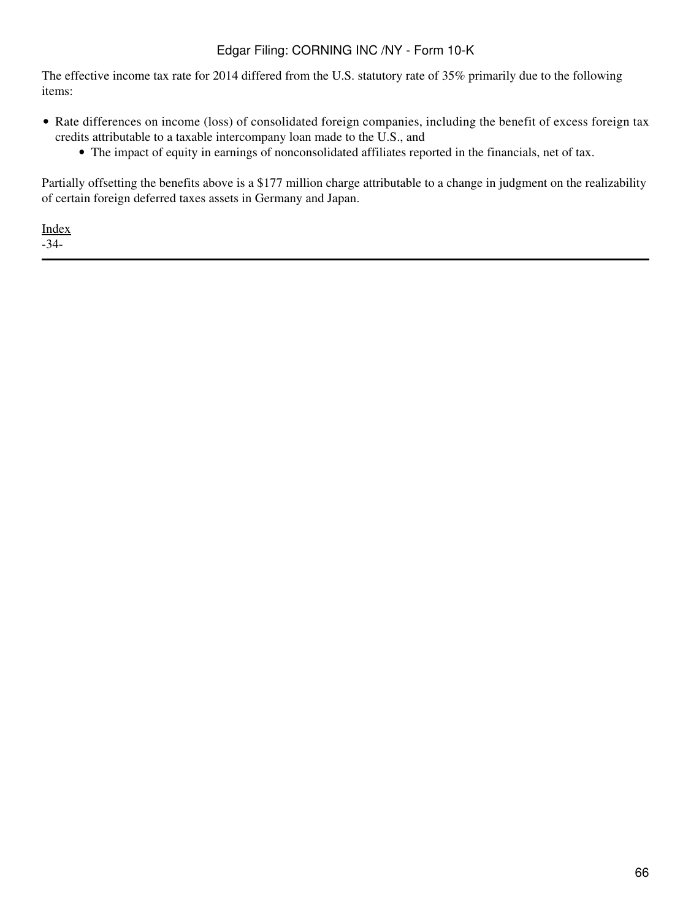The effective income tax rate for 2014 differed from the U.S. statutory rate of 35% primarily due to the following items:

- Rate differences on income (loss) of consolidated foreign companies, including the benefit of excess foreign tax credits attributable to a taxable intercompany loan made to the U.S., and
	- The impact of equity in earnings of nonconsolidated affiliates reported in the financials, net of tax.

Partially offsetting the benefits above is a \$177 million charge attributable to a change in judgment on the realizability of certain foreign deferred taxes assets in Germany and Japan.

[Index](#page-155-0) -34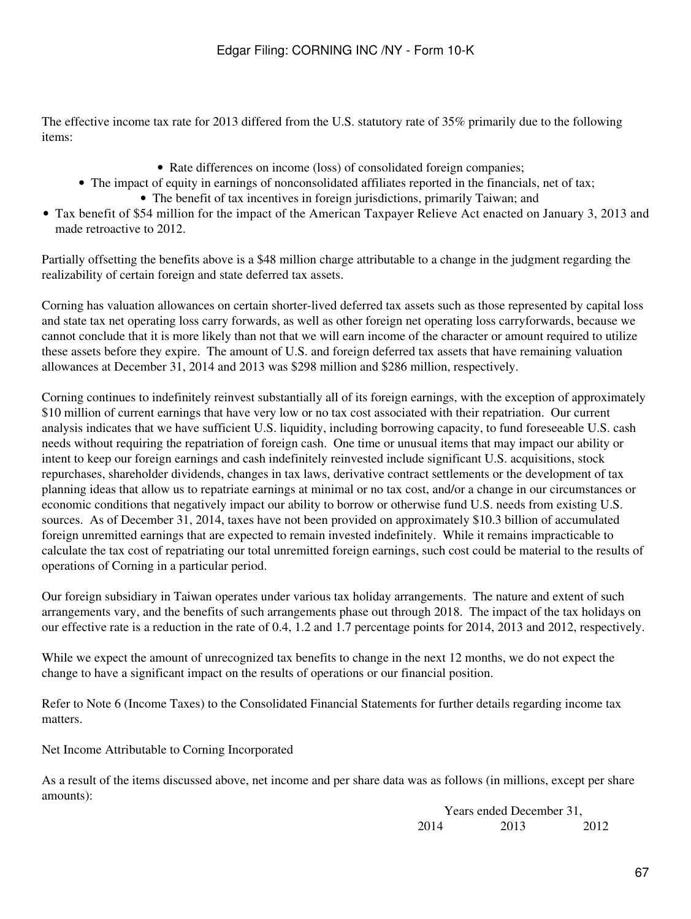The effective income tax rate for 2013 differed from the U.S. statutory rate of 35% primarily due to the following items:

- Rate differences on income (loss) of consolidated foreign companies;
- The impact of equity in earnings of nonconsolidated affiliates reported in the financials, net of tax;
	- The benefit of tax incentives in foreign jurisdictions, primarily Taiwan; and
- Tax benefit of \$54 million for the impact of the American Taxpayer Relieve Act enacted on January 3, 2013 and made retroactive to 2012.

Partially offsetting the benefits above is a \$48 million charge attributable to a change in the judgment regarding the realizability of certain foreign and state deferred tax assets.

Corning has valuation allowances on certain shorter-lived deferred tax assets such as those represented by capital loss and state tax net operating loss carry forwards, as well as other foreign net operating loss carryforwards, because we cannot conclude that it is more likely than not that we will earn income of the character or amount required to utilize these assets before they expire. The amount of U.S. and foreign deferred tax assets that have remaining valuation allowances at December 31, 2014 and 2013 was \$298 million and \$286 million, respectively.

Corning continues to indefinitely reinvest substantially all of its foreign earnings, with the exception of approximately \$10 million of current earnings that have very low or no tax cost associated with their repatriation. Our current analysis indicates that we have sufficient U.S. liquidity, including borrowing capacity, to fund foreseeable U.S. cash needs without requiring the repatriation of foreign cash. One time or unusual items that may impact our ability or intent to keep our foreign earnings and cash indefinitely reinvested include significant U.S. acquisitions, stock repurchases, shareholder dividends, changes in tax laws, derivative contract settlements or the development of tax planning ideas that allow us to repatriate earnings at minimal or no tax cost, and/or a change in our circumstances or economic conditions that negatively impact our ability to borrow or otherwise fund U.S. needs from existing U.S. sources. As of December 31, 2014, taxes have not been provided on approximately \$10.3 billion of accumulated foreign unremitted earnings that are expected to remain invested indefinitely. While it remains impracticable to calculate the tax cost of repatriating our total unremitted foreign earnings, such cost could be material to the results of operations of Corning in a particular period.

Our foreign subsidiary in Taiwan operates under various tax holiday arrangements. The nature and extent of such arrangements vary, and the benefits of such arrangements phase out through 2018. The impact of the tax holidays on our effective rate is a reduction in the rate of 0.4, 1.2 and 1.7 percentage points for 2014, 2013 and 2012, respectively.

While we expect the amount of unrecognized tax benefits to change in the next 12 months, we do not expect the change to have a significant impact on the results of operations or our financial position.

Refer to Note 6 (Income Taxes) to the Consolidated Financial Statements for further details regarding income tax matters.

Net Income Attributable to Corning Incorporated

As a result of the items discussed above, net income and per share data was as follows (in millions, except per share amounts):

> Years ended December 31, 2014 2013 2012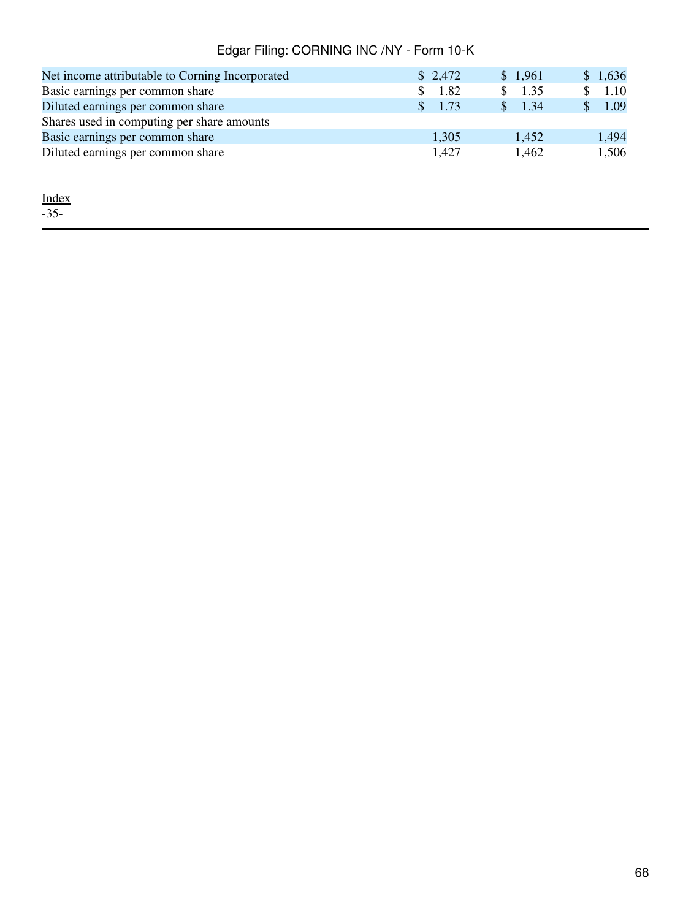| Net income attributable to Corning Incorporated | \$2,472               | \$1,961 | \$1,636 |
|-------------------------------------------------|-----------------------|---------|---------|
| Basic earnings per common share                 | 1.82                  | 1.35    | \$1.10  |
| Diluted earnings per common share               | 1.73<br>$\mathcal{S}$ | 1.34    | 1.09    |
| Shares used in computing per share amounts      |                       |         |         |
| Basic earnings per common share                 | 1,305                 | 1,452   | 1,494   |
| Diluted earnings per common share               | 1.427                 | 1.462   | 1,506   |

[Index](#page-155-0) -35-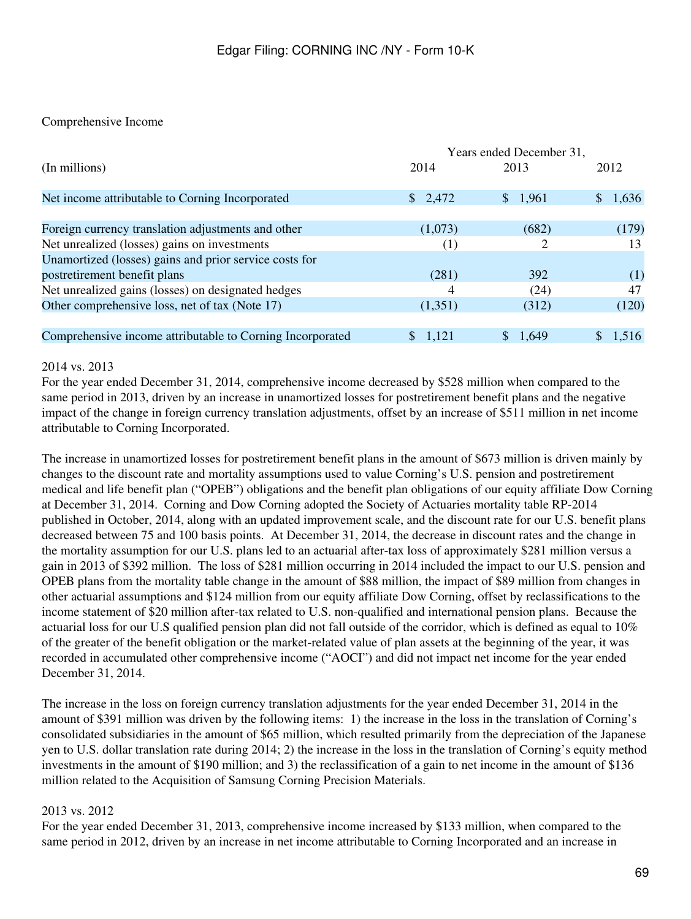### Comprehensive Income

|                                                           | Years ended December 31, |              |              |  |
|-----------------------------------------------------------|--------------------------|--------------|--------------|--|
| (In millions)                                             | 2014                     | 2013         | 2012         |  |
| Net income attributable to Corning Incorporated           | \$2,472                  | \$1,961      | 1,636<br>SS. |  |
| Foreign currency translation adjustments and other        | (1,073)                  | (682)        | (179)        |  |
| Net unrealized (losses) gains on investments              | (1)                      | 2            | 13           |  |
| Unamortized (losses) gains and prior service costs for    |                          |              |              |  |
| postretirement benefit plans                              | (281)                    | 392          | (1)          |  |
| Net unrealized gains (losses) on designated hedges        | 4                        | (24)         | 47           |  |
| Other comprehensive loss, net of tax (Note 17)            | (1,351)                  | (312)        | (120)        |  |
|                                                           |                          |              |              |  |
| Comprehensive income attributable to Corning Incorporated | \$1,121                  | 1.649<br>\$. | \$1,516      |  |

#### 2014 vs. 2013

For the year ended December 31, 2014, comprehensive income decreased by \$528 million when compared to the same period in 2013, driven by an increase in unamortized losses for postretirement benefit plans and the negative impact of the change in foreign currency translation adjustments, offset by an increase of \$511 million in net income attributable to Corning Incorporated.

The increase in unamortized losses for postretirement benefit plans in the amount of \$673 million is driven mainly by changes to the discount rate and mortality assumptions used to value Corning's U.S. pension and postretirement medical and life benefit plan ("OPEB") obligations and the benefit plan obligations of our equity affiliate Dow Corning at December 31, 2014. Corning and Dow Corning adopted the Society of Actuaries mortality table RP-2014 published in October, 2014, along with an updated improvement scale, and the discount rate for our U.S. benefit plans decreased between 75 and 100 basis points. At December 31, 2014, the decrease in discount rates and the change in the mortality assumption for our U.S. plans led to an actuarial after-tax loss of approximately \$281 million versus a gain in 2013 of \$392 million. The loss of \$281 million occurring in 2014 included the impact to our U.S. pension and OPEB plans from the mortality table change in the amount of \$88 million, the impact of \$89 million from changes in other actuarial assumptions and \$124 million from our equity affiliate Dow Corning, offset by reclassifications to the income statement of \$20 million after-tax related to U.S. non-qualified and international pension plans. Because the actuarial loss for our U.S qualified pension plan did not fall outside of the corridor, which is defined as equal to 10% of the greater of the benefit obligation or the market-related value of plan assets at the beginning of the year, it was recorded in accumulated other comprehensive income ("AOCI") and did not impact net income for the year ended December 31, 2014.

The increase in the loss on foreign currency translation adjustments for the year ended December 31, 2014 in the amount of \$391 million was driven by the following items: 1) the increase in the loss in the translation of Corning's consolidated subsidiaries in the amount of \$65 million, which resulted primarily from the depreciation of the Japanese yen to U.S. dollar translation rate during 2014; 2) the increase in the loss in the translation of Corning's equity method investments in the amount of \$190 million; and 3) the reclassification of a gain to net income in the amount of \$136 million related to the Acquisition of Samsung Corning Precision Materials.

#### 2013 vs. 2012

For the year ended December 31, 2013, comprehensive income increased by \$133 million, when compared to the same period in 2012, driven by an increase in net income attributable to Corning Incorporated and an increase in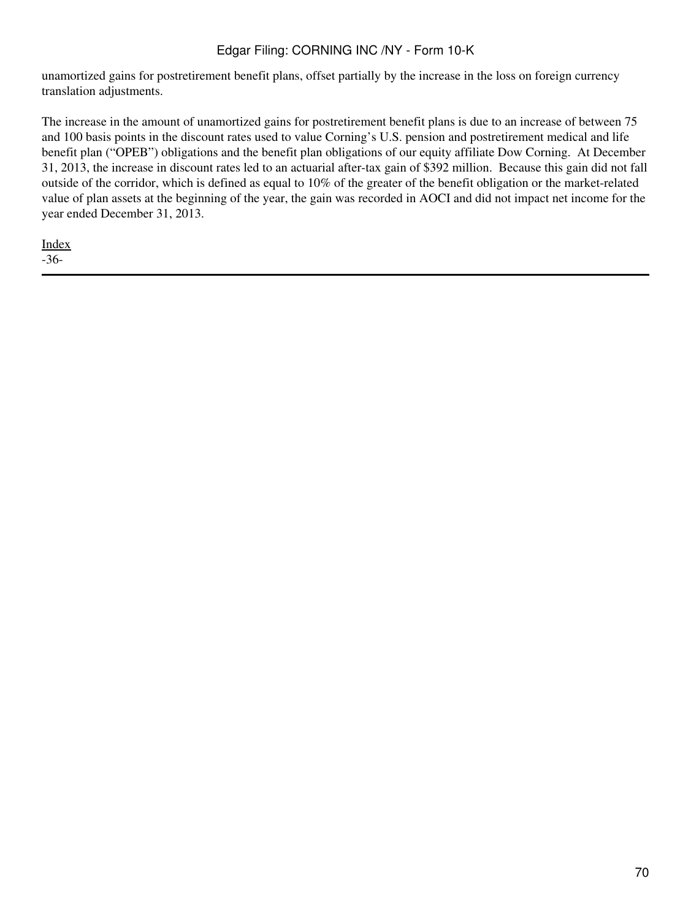unamortized gains for postretirement benefit plans, offset partially by the increase in the loss on foreign currency translation adjustments.

The increase in the amount of unamortized gains for postretirement benefit plans is due to an increase of between 75 and 100 basis points in the discount rates used to value Corning's U.S. pension and postretirement medical and life benefit plan ("OPEB") obligations and the benefit plan obligations of our equity affiliate Dow Corning. At December 31, 2013, the increase in discount rates led to an actuarial after-tax gain of \$392 million. Because this gain did not fall outside of the corridor, which is defined as equal to 10% of the greater of the benefit obligation or the market-related value of plan assets at the beginning of the year, the gain was recorded in AOCI and did not impact net income for the year ended December 31, 2013.

[Index](#page-155-0) -36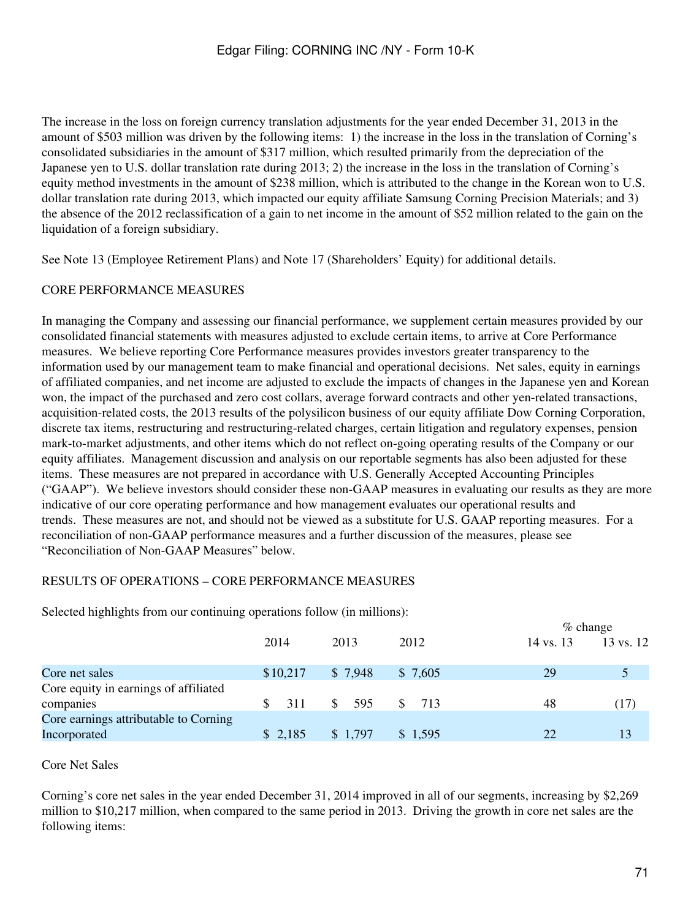The increase in the loss on foreign currency translation adjustments for the year ended December 31, 2013 in the amount of \$503 million was driven by the following items: 1) the increase in the loss in the translation of Corning's consolidated subsidiaries in the amount of \$317 million, which resulted primarily from the depreciation of the Japanese yen to U.S. dollar translation rate during 2013; 2) the increase in the loss in the translation of Corning's equity method investments in the amount of \$238 million, which is attributed to the change in the Korean won to U.S. dollar translation rate during 2013, which impacted our equity affiliate Samsung Corning Precision Materials; and 3) the absence of the 2012 reclassification of a gain to net income in the amount of \$52 million related to the gain on the liquidation of a foreign subsidiary.

See Note 13 (Employee Retirement Plans) and Note 17 (Shareholders' Equity) for additional details.

#### CORE PERFORMANCE MEASURES

In managing the Company and assessing our financial performance, we supplement certain measures provided by our consolidated financial statements with measures adjusted to exclude certain items, to arrive at Core Performance measures. We believe reporting Core Performance measures provides investors greater transparency to the information used by our management team to make financial and operational decisions. Net sales, equity in earnings of affiliated companies, and net income are adjusted to exclude the impacts of changes in the Japanese yen and Korean won, the impact of the purchased and zero cost collars, average forward contracts and other yen-related transactions, acquisition-related costs, the 2013 results of the polysilicon business of our equity affiliate Dow Corning Corporation, discrete tax items, restructuring and restructuring-related charges, certain litigation and regulatory expenses, pension mark-to-market adjustments, and other items which do not reflect on-going operating results of the Company or our equity affiliates. Management discussion and analysis on our reportable segments has also been adjusted for these items. These measures are not prepared in accordance with U.S. Generally Accepted Accounting Principles ("GAAP"). We believe investors should consider these non-GAAP measures in evaluating our results as they are more indicative of our core operating performance and how management evaluates our operational results and trends. These measures are not, and should not be viewed as a substitute for U.S. GAAP reporting measures. For a reconciliation of non-GAAP performance measures and a further discussion of the measures, please see "Reconciliation of Non-GAAP Measures" below.

#### RESULTS OF OPERATIONS – CORE PERFORMANCE MEASURES

Selected highlights from our continuing operations follow (in millions):

|                                       |          |                      | $\%$ change                     |           |           |
|---------------------------------------|----------|----------------------|---------------------------------|-----------|-----------|
|                                       | 2014     | 2013                 | 2012                            | 14 vs. 13 | 13 vs. 12 |
| Core net sales                        | \$10,217 | \$7,948              | \$7,605                         | 29        |           |
| Core equity in earnings of affiliated |          |                      |                                 |           |           |
| companies                             | 311      | 595<br><sup>\$</sup> | $\frac{\text{S}}{\text{S}}$ 713 | 48        | (17)      |
| Core earnings attributable to Corning |          |                      |                                 |           |           |
| Incorporated                          | \$2,185  | \$1,797              | \$1,595                         | 22        |           |

#### Core Net Sales

Corning's core net sales in the year ended December 31, 2014 improved in all of our segments, increasing by \$2,269 million to \$10,217 million, when compared to the same period in 2013. Driving the growth in core net sales are the following items: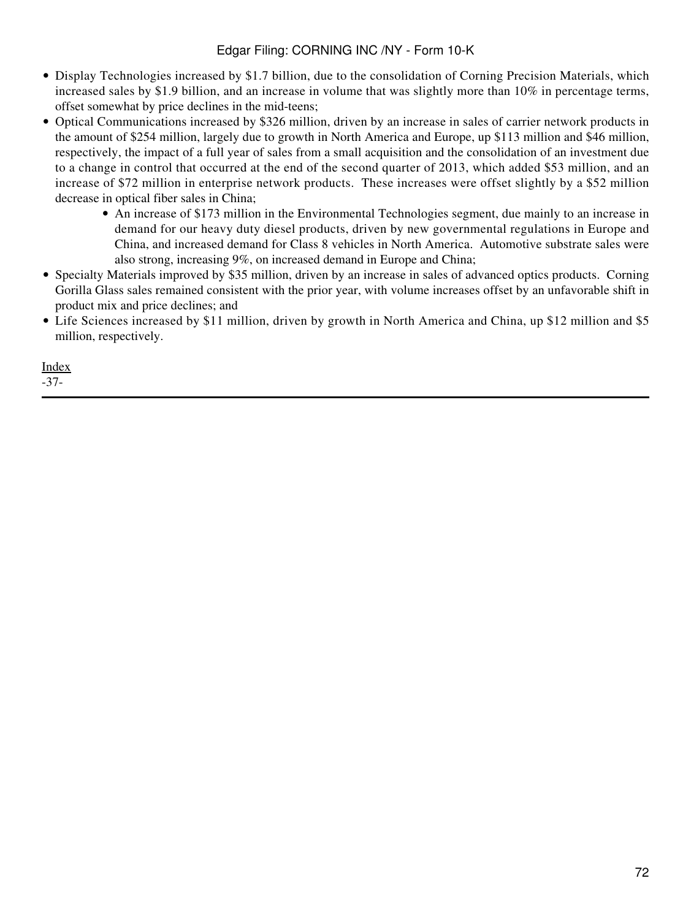- Display Technologies increased by \$1.7 billion, due to the consolidation of Corning Precision Materials, which increased sales by \$1.9 billion, and an increase in volume that was slightly more than 10% in percentage terms, offset somewhat by price declines in the mid-teens;
- Optical Communications increased by \$326 million, driven by an increase in sales of carrier network products in the amount of \$254 million, largely due to growth in North America and Europe, up \$113 million and \$46 million, respectively, the impact of a full year of sales from a small acquisition and the consolidation of an investment due to a change in control that occurred at the end of the second quarter of 2013, which added \$53 million, and an increase of \$72 million in enterprise network products. These increases were offset slightly by a \$52 million decrease in optical fiber sales in China;
	- An increase of \$173 million in the Environmental Technologies segment, due mainly to an increase in demand for our heavy duty diesel products, driven by new governmental regulations in Europe and China, and increased demand for Class 8 vehicles in North America. Automotive substrate sales were also strong, increasing 9%, on increased demand in Europe and China;
- Specialty Materials improved by \$35 million, driven by an increase in sales of advanced optics products. Corning Gorilla Glass sales remained consistent with the prior year, with volume increases offset by an unfavorable shift in product mix and price declines; and
- Life Sciences increased by \$11 million, driven by growth in North America and China, up \$12 million and \$5 million, respectively.

[Index](#page-155-0) -37-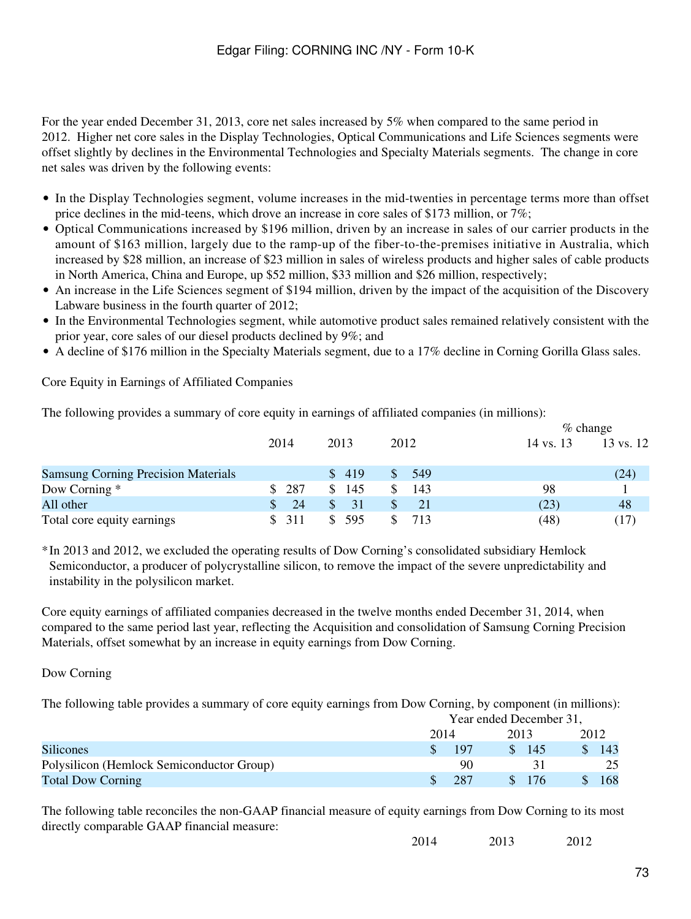For the year ended December 31, 2013, core net sales increased by 5% when compared to the same period in 2012. Higher net core sales in the Display Technologies, Optical Communications and Life Sciences segments were offset slightly by declines in the Environmental Technologies and Specialty Materials segments. The change in core net sales was driven by the following events:

- In the Display Technologies segment, volume increases in the mid-twenties in percentage terms more than offset price declines in the mid-teens, which drove an increase in core sales of \$173 million, or 7%;
- Optical Communications increased by \$196 million, driven by an increase in sales of our carrier products in the amount of \$163 million, largely due to the ramp-up of the fiber-to-the-premises initiative in Australia, which increased by \$28 million, an increase of \$23 million in sales of wireless products and higher sales of cable products in North America, China and Europe, up \$52 million, \$33 million and \$26 million, respectively;
- An increase in the Life Sciences segment of \$194 million, driven by the impact of the acquisition of the Discovery Labware business in the fourth quarter of 2012;
- In the Environmental Technologies segment, while automotive product sales remained relatively consistent with the prior year, core sales of our diesel products declined by 9%; and
- A decline of \$176 million in the Specialty Materials segment, due to a 17% decline in Corning Gorilla Glass sales.

Core Equity in Earnings of Affiliated Companies

The following provides a summary of core equity in earnings of affiliated companies (in millions):

|                                            |                      |       |               |           | $%$ change |
|--------------------------------------------|----------------------|-------|---------------|-----------|------------|
|                                            | 2014                 | 2013  | 2012          | 14 vs. 13 | 13 vs. 12  |
| <b>Samsung Corning Precision Materials</b> |                      | \$419 | 549           |           | (24)       |
| Dow Corning *                              | 287<br><sup>\$</sup> | \$145 | 143           | 98        |            |
| All other                                  | 24                   | 31    | <sup>21</sup> | (23)      | 48         |
| Total core equity earnings                 | 311                  | 595   | 713           | (48)      | (17)       |

\*In 2013 and 2012, we excluded the operating results of Dow Corning's consolidated subsidiary Hemlock Semiconductor, a producer of polycrystalline silicon, to remove the impact of the severe unpredictability and instability in the polysilicon market.

Core equity earnings of affiliated companies decreased in the twelve months ended December 31, 2014, when compared to the same period last year, reflecting the Acquisition and consolidation of Samsung Corning Precision Materials, offset somewhat by an increase in equity earnings from Dow Corning.

#### Dow Corning

The following table provides a summary of core equity earnings from Dow Corning, by component (in millions):

|                                           | Year ended December 31, |  |                 |    |      |  |
|-------------------------------------------|-------------------------|--|-----------------|----|------|--|
|                                           | 2014                    |  |                 |    | 2012 |  |
| <b>Silicones</b>                          | 197                     |  | $\frac{145}{ }$ | S. | 143  |  |
| Polysilicon (Hemlock Semiconductor Group) | 90                      |  |                 |    | 25   |  |
| <b>Total Dow Corning</b>                  | -287                    |  | \$ 176          |    | 168  |  |

The following table reconciles the non-GAAP financial measure of equity earnings from Dow Corning to its most directly comparable GAAP financial measure:

2014 2013 2012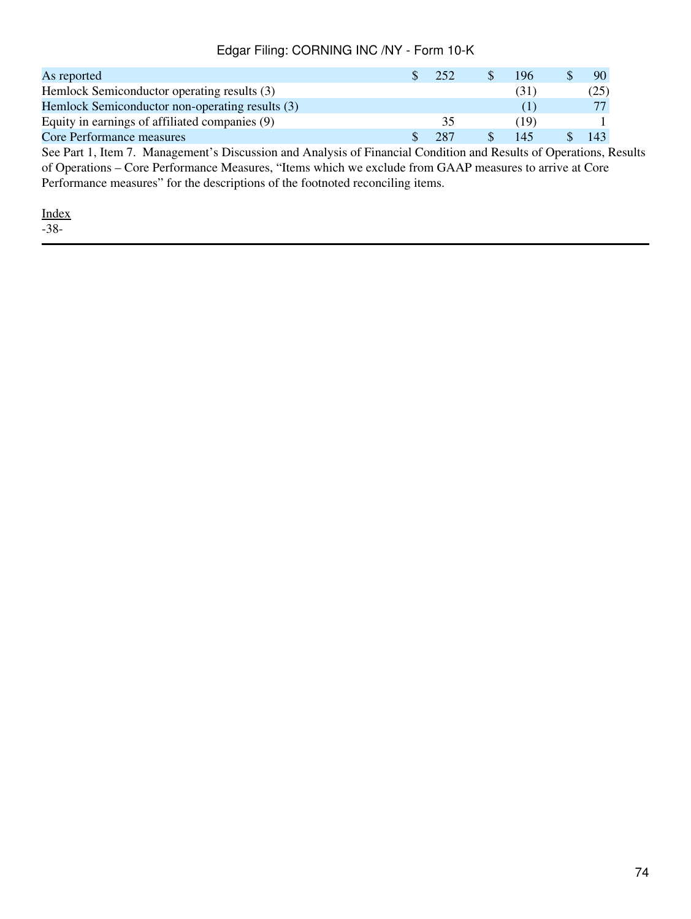| As reported                                                                                                  | 252 | 196  | 90  |  |
|--------------------------------------------------------------------------------------------------------------|-----|------|-----|--|
| Hemlock Semiconductor operating results (3)                                                                  |     | (31  | (25 |  |
| Hemlock Semiconductor non-operating results (3)                                                              |     | O    |     |  |
| Equity in earnings of affiliated companies (9)                                                               | 35  | (19) |     |  |
| Core Performance measures                                                                                    | 287 | 145  | 143 |  |
| See Dent 1, Item 7, Menogement's Discussion and Apolysic of Einengial Condition and Decults of One wations D |     |      |     |  |

See Part 1, Item 7. Management's Discussion and Analysis of Financial Condition and Results of Operations, Results of Operations – Core Performance Measures, "Items which we exclude from GAAP measures to arrive at Core Performance measures" for the descriptions of the footnoted reconciling items.

[Index](#page-155-0) -38-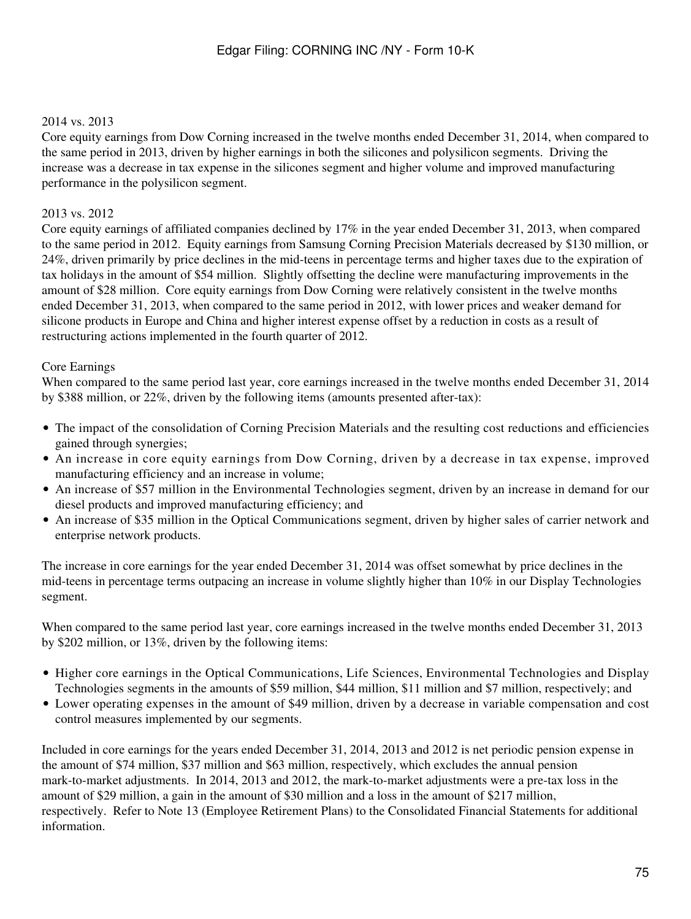### 2014 vs. 2013

Core equity earnings from Dow Corning increased in the twelve months ended December 31, 2014, when compared to the same period in 2013, driven by higher earnings in both the silicones and polysilicon segments. Driving the increase was a decrease in tax expense in the silicones segment and higher volume and improved manufacturing performance in the polysilicon segment.

#### 2013 vs. 2012

Core equity earnings of affiliated companies declined by 17% in the year ended December 31, 2013, when compared to the same period in 2012. Equity earnings from Samsung Corning Precision Materials decreased by \$130 million, or 24%, driven primarily by price declines in the mid-teens in percentage terms and higher taxes due to the expiration of tax holidays in the amount of \$54 million. Slightly offsetting the decline were manufacturing improvements in the amount of \$28 million. Core equity earnings from Dow Corning were relatively consistent in the twelve months ended December 31, 2013, when compared to the same period in 2012, with lower prices and weaker demand for silicone products in Europe and China and higher interest expense offset by a reduction in costs as a result of restructuring actions implemented in the fourth quarter of 2012.

#### Core Earnings

When compared to the same period last year, core earnings increased in the twelve months ended December 31, 2014 by \$388 million, or 22%, driven by the following items (amounts presented after-tax):

- The impact of the consolidation of Corning Precision Materials and the resulting cost reductions and efficiencies gained through synergies;
- An increase in core equity earnings from Dow Corning, driven by a decrease in tax expense, improved manufacturing efficiency and an increase in volume;
- An increase of \$57 million in the Environmental Technologies segment, driven by an increase in demand for our diesel products and improved manufacturing efficiency; and
- An increase of \$35 million in the Optical Communications segment, driven by higher sales of carrier network and enterprise network products.

The increase in core earnings for the year ended December 31, 2014 was offset somewhat by price declines in the mid-teens in percentage terms outpacing an increase in volume slightly higher than 10% in our Display Technologies segment.

When compared to the same period last year, core earnings increased in the twelve months ended December 31, 2013 by \$202 million, or 13%, driven by the following items:

- Higher core earnings in the Optical Communications, Life Sciences, Environmental Technologies and Display Technologies segments in the amounts of \$59 million, \$44 million, \$11 million and \$7 million, respectively; and
- Lower operating expenses in the amount of \$49 million, driven by a decrease in variable compensation and cost control measures implemented by our segments.

Included in core earnings for the years ended December 31, 2014, 2013 and 2012 is net periodic pension expense in the amount of \$74 million, \$37 million and \$63 million, respectively, which excludes the annual pension mark-to-market adjustments. In 2014, 2013 and 2012, the mark-to-market adjustments were a pre-tax loss in the amount of \$29 million, a gain in the amount of \$30 million and a loss in the amount of \$217 million, respectively. Refer to Note 13 (Employee Retirement Plans) to the Consolidated Financial Statements for additional information.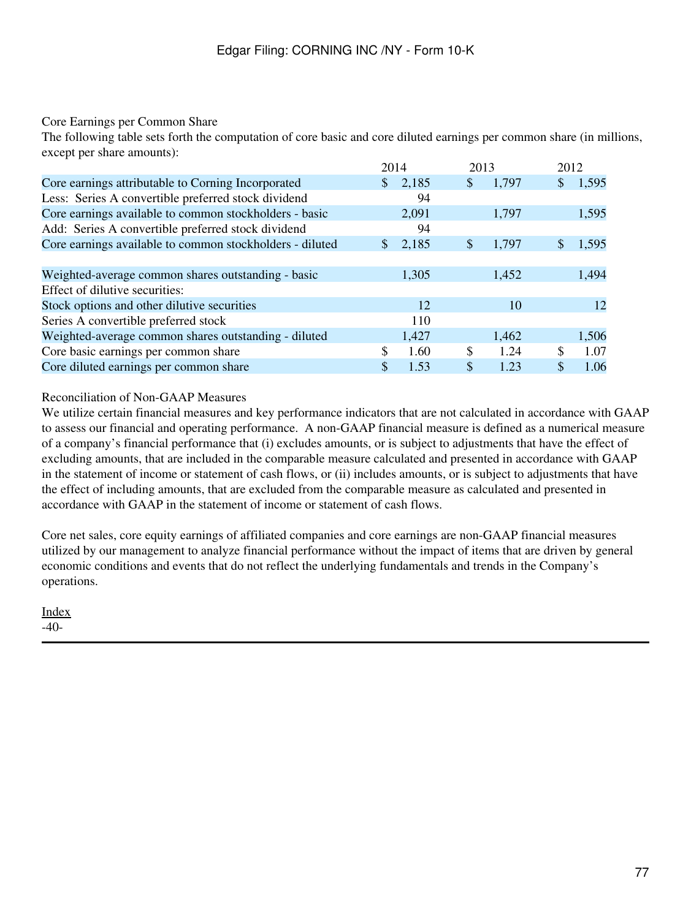### Core Earnings per Common Share

The following table sets forth the computation of core basic and core diluted earnings per common share (in millions, except per share amounts):

|                                                          | 2014         |       | 2013 |       | 2012 |       |
|----------------------------------------------------------|--------------|-------|------|-------|------|-------|
| Core earnings attributable to Corning Incorporated       | \$.          | 2,185 | \$   | 1,797 | \$   | 1,595 |
| Less: Series A convertible preferred stock dividend      |              | 94    |      |       |      |       |
| Core earnings available to common stockholders - basic   |              | 2,091 |      | 1,797 |      | 1,595 |
| Add: Series A convertible preferred stock dividend       |              | 94    |      |       |      |       |
| Core earnings available to common stockholders - diluted | <sup>S</sup> | 2,185 | \$   | 1,797 |      | 1,595 |
|                                                          |              |       |      |       |      |       |
| Weighted-average common shares outstanding - basic       |              | 1,305 |      | 1,452 |      | 1,494 |
| Effect of dilutive securities:                           |              |       |      |       |      |       |
| Stock options and other dilutive securities              |              | 12    |      | 10    |      | 12    |
| Series A convertible preferred stock                     |              | 110   |      |       |      |       |
| Weighted-average common shares outstanding - diluted     |              | 1,427 |      | 1,462 |      | 1,506 |
| Core basic earnings per common share                     | \$           | 1.60  | \$   | 1.24  | \$   | 1.07  |
| Core diluted earnings per common share                   |              | 1.53  | \$   | 1.23  | \$   | 1.06  |

#### Reconciliation of Non-GAAP Measures

We utilize certain financial measures and key performance indicators that are not calculated in accordance with GAAP to assess our financial and operating performance. A non-GAAP financial measure is defined as a numerical measure of a company's financial performance that (i) excludes amounts, or is subject to adjustments that have the effect of excluding amounts, that are included in the comparable measure calculated and presented in accordance with GAAP in the statement of income or statement of cash flows, or (ii) includes amounts, or is subject to adjustments that have the effect of including amounts, that are excluded from the comparable measure as calculated and presented in accordance with GAAP in the statement of income or statement of cash flows.

Core net sales, core equity earnings of affiliated companies and core earnings are non-GAAP financial measures utilized by our management to analyze financial performance without the impact of items that are driven by general economic conditions and events that do not reflect the underlying fundamentals and trends in the Company's operations.

[Index](#page-155-0) -40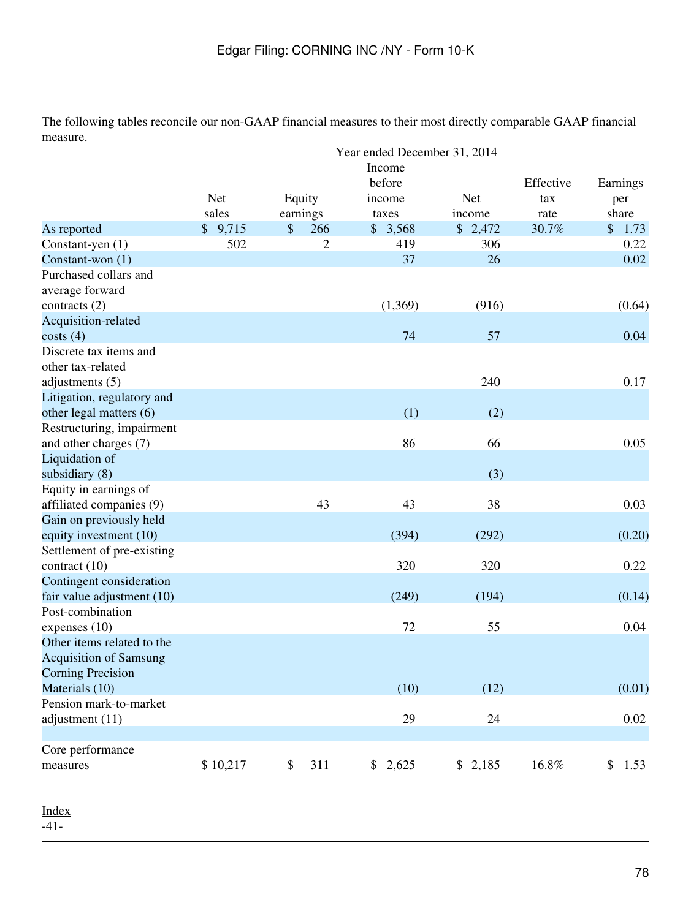The following tables reconcile our non-GAAP financial measures to their most directly comparable GAAP financial measure.

|                                                   |            | Year ended December 31, 2014 | Earnings         |             |                  |            |
|---------------------------------------------------|------------|------------------------------|------------------|-------------|------------------|------------|
|                                                   | <b>Net</b> | Equity                       | before<br>income | <b>Net</b>  | Effective<br>tax | per        |
|                                                   | sales      | earnings                     | taxes            | income      | rate             | share      |
| As reported                                       | \$9,715    | \$<br>266                    | \$3,568          | \$2,472     | 30.7%            | \$1.73     |
| Constant-yen (1)                                  | 502        | $\mathbf{2}$                 | 419              | 306         |                  | 0.22       |
| Constant-won (1)                                  |            |                              | 37               | 26          |                  | 0.02       |
| Purchased collars and<br>average forward          |            |                              |                  |             |                  |            |
| contracts (2)                                     |            |                              | (1,369)          | (916)       |                  | (0.64)     |
| Acquisition-related                               |            |                              |                  |             |                  |            |
| costs(4)                                          |            |                              | 74               | 57          |                  | 0.04       |
| Discrete tax items and<br>other tax-related       |            |                              |                  |             |                  |            |
| adjustments $(5)$                                 |            |                              |                  | 240         |                  | 0.17       |
| Litigation, regulatory and                        |            |                              |                  |             |                  |            |
| other legal matters (6)                           |            |                              | (1)              | (2)         |                  |            |
| Restructuring, impairment                         |            |                              |                  |             |                  |            |
| and other charges (7)                             |            |                              | 86               | 66          |                  | 0.05       |
| Liquidation of                                    |            |                              |                  |             |                  |            |
| subsidiary $(8)$                                  |            |                              |                  | (3)         |                  |            |
| Equity in earnings of<br>affiliated companies (9) |            | 43                           | 43               | 38          |                  | 0.03       |
| Gain on previously held                           |            |                              |                  |             |                  |            |
| equity investment (10)                            |            |                              | (394)            | (292)       |                  | (0.20)     |
| Settlement of pre-existing                        |            |                              |                  |             |                  |            |
| contract $(10)$                                   |            |                              | 320              | 320         |                  | 0.22       |
| Contingent consideration                          |            |                              |                  |             |                  |            |
| fair value adjustment (10)                        |            |                              | (249)            | (194)       |                  | (0.14)     |
| Post-combination                                  |            |                              |                  |             |                  |            |
| expenses (10)                                     |            |                              | 72               | 55          |                  | 0.04       |
| Other items related to the                        |            |                              |                  |             |                  |            |
| <b>Acquisition of Samsung</b>                     |            |                              |                  |             |                  |            |
| <b>Corning Precision</b>                          |            |                              |                  |             |                  |            |
| Materials (10)                                    |            |                              | (10)             | (12)        |                  | (0.01)     |
| Pension mark-to-market                            |            |                              |                  |             |                  |            |
| adjustment (11)                                   |            |                              | 29               | 24          |                  | $0.02\,$   |
| Core performance                                  |            |                              |                  |             |                  |            |
| measures                                          | \$10,217   | 311<br>\$                    | \$2,625          | 2,185<br>\$ | 16.8%            | \$<br>1.53 |

 $-41-$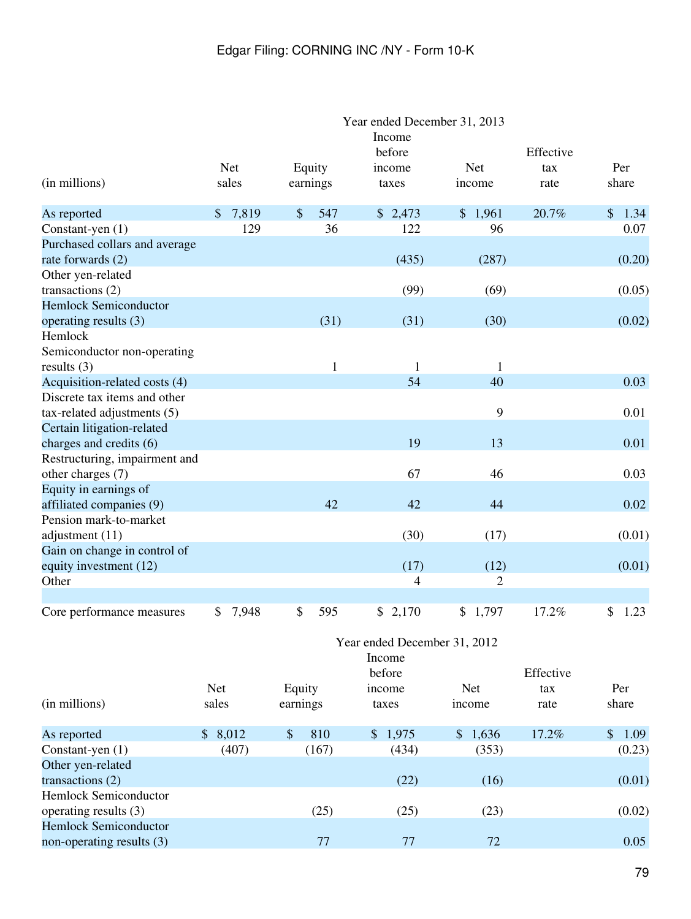|                                                               |            | Year ended December 31, 2013<br>Income<br>before |          |              |                  |                              |  |                      |             |    |              |
|---------------------------------------------------------------|------------|--------------------------------------------------|----------|--------------|------------------|------------------------------|--|----------------------|-------------|----|--------------|
|                                                               |            |                                                  |          |              |                  |                              |  |                      | Effective   |    |              |
| (in millions)                                                 |            | Net<br>sales                                     |          | Equity       |                  | income<br>taxes              |  | <b>Net</b><br>income | tax<br>rate |    | Per<br>share |
|                                                               |            |                                                  |          | earnings     |                  |                              |  |                      |             |    |              |
| As reported                                                   | \$         | 7,819                                            | $\$\$    | 547          |                  | \$2,473                      |  | \$1,961              | 20.7%       |    | \$1.34       |
| Constant-yen (1)                                              |            | 129                                              |          | 36           |                  | 122                          |  | 96                   |             |    | 0.07         |
| Purchased collars and average                                 |            |                                                  |          |              |                  |                              |  |                      |             |    |              |
| rate forwards (2)                                             |            |                                                  |          |              |                  | (435)                        |  | (287)                |             |    | (0.20)       |
| Other yen-related                                             |            |                                                  |          |              |                  |                              |  |                      |             |    |              |
| transactions (2)                                              |            |                                                  |          |              |                  | (99)                         |  | (69)                 |             |    | (0.05)       |
| <b>Hemlock Semiconductor</b>                                  |            |                                                  |          |              |                  |                              |  |                      |             |    |              |
| operating results (3)                                         |            |                                                  |          | (31)         |                  | (31)                         |  | (30)                 |             |    | (0.02)       |
| Hemlock                                                       |            |                                                  |          |              |                  |                              |  |                      |             |    |              |
| Semiconductor non-operating                                   |            |                                                  |          |              |                  |                              |  |                      |             |    |              |
| results $(3)$                                                 |            |                                                  |          | $\mathbf{1}$ |                  | 1<br>54                      |  | $\mathbf{1}$<br>40   |             |    |              |
| Acquisition-related costs (4)<br>Discrete tax items and other |            |                                                  |          |              |                  |                              |  |                      |             |    | 0.03         |
| tax-related adjustments (5)                                   |            |                                                  |          |              |                  |                              |  | 9                    |             |    | 0.01         |
| Certain litigation-related                                    |            |                                                  |          |              |                  |                              |  |                      |             |    |              |
| charges and credits (6)                                       |            |                                                  |          |              |                  | 19                           |  | 13                   |             |    | 0.01         |
| Restructuring, impairment and                                 |            |                                                  |          |              |                  |                              |  |                      |             |    |              |
| other charges (7)                                             |            |                                                  |          |              |                  | 67                           |  | 46                   |             |    | 0.03         |
| Equity in earnings of                                         |            |                                                  |          |              |                  |                              |  |                      |             |    |              |
| affiliated companies (9)                                      |            |                                                  |          | 42           |                  | 42                           |  | 44                   |             |    | 0.02         |
| Pension mark-to-market                                        |            |                                                  |          |              |                  |                              |  |                      |             |    |              |
| adjustment (11)                                               |            |                                                  |          |              |                  | (30)                         |  | (17)                 |             |    | (0.01)       |
| Gain on change in control of                                  |            |                                                  |          |              |                  |                              |  |                      |             |    |              |
| equity investment (12)                                        |            |                                                  |          |              |                  | (17)                         |  | (12)                 |             |    | (0.01)       |
| Other                                                         |            |                                                  |          |              |                  | $\overline{\mathcal{A}}$     |  | $\overline{2}$       |             |    |              |
|                                                               |            |                                                  |          |              |                  |                              |  |                      |             |    |              |
| Core performance measures                                     | \$         | 7,948                                            | \$       | 595          | \$               | 2,170                        |  | \$1,797              | 17.2%       | \$ | 1.23         |
|                                                               |            |                                                  |          |              |                  |                              |  |                      |             |    |              |
|                                                               |            |                                                  |          |              |                  | Year ended December 31, 2012 |  |                      |             |    |              |
|                                                               |            |                                                  |          |              | Income           |                              |  |                      |             |    |              |
|                                                               | <b>Net</b> |                                                  | Equity   |              | before<br>income |                              |  | Net                  | Effective   |    | Per          |
| (in millions)                                                 | sales      |                                                  | earnings |              | taxes            |                              |  | income               | tax<br>rate |    | share        |
|                                                               |            |                                                  |          |              |                  |                              |  |                      |             |    |              |
| As reported                                                   | \$8,012    |                                                  | $\$\$    | 810          |                  | \$1,975                      |  | \$1,636              | 17.2%       |    | \$1.09       |
| Constant-yen (1)                                              |            | (407)                                            |          | (167)        |                  | (434)                        |  | (353)                |             |    | (0.23)       |
| Other yen-related                                             |            |                                                  |          |              |                  |                              |  |                      |             |    |              |
| transactions (2)                                              |            |                                                  |          |              |                  | (22)                         |  | (16)                 |             |    | (0.01)       |
| <b>Hemlock Semiconductor</b>                                  |            |                                                  |          |              |                  |                              |  |                      |             |    |              |
| operating results (3)                                         |            |                                                  |          | (25)         |                  | (25)                         |  | (23)                 |             |    | (0.02)       |
| <b>Hemlock Semiconductor</b>                                  |            |                                                  |          |              |                  |                              |  |                      |             |    |              |
| non-operating results (3)                                     |            |                                                  |          | 77           |                  | $77\,$                       |  | 72                   |             |    | 0.05         |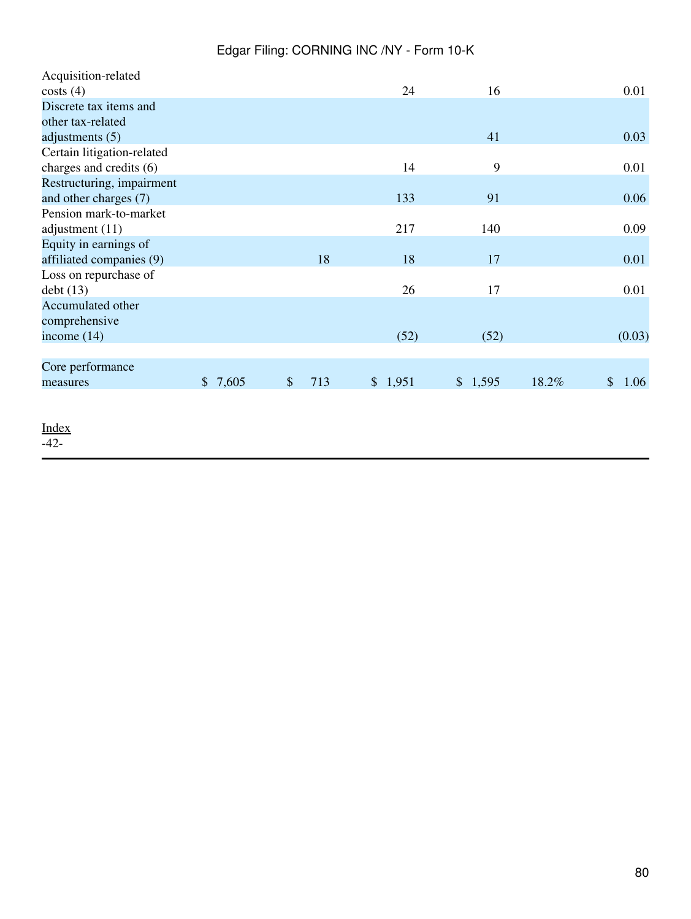|         |                           |    | 24      | 16      |       | 0.01                  |
|---------|---------------------------|----|---------|---------|-------|-----------------------|
|         |                           |    |         |         |       |                       |
|         |                           |    |         |         |       |                       |
|         |                           |    |         | 41      |       | 0.03                  |
|         |                           |    |         |         |       |                       |
|         |                           |    | 14      | 9       |       | 0.01                  |
|         |                           |    |         |         |       |                       |
|         |                           |    | 133     | 91      |       | 0.06                  |
|         |                           |    |         |         |       |                       |
|         |                           |    | 217     | 140     |       | 0.09                  |
|         |                           |    |         |         |       |                       |
|         |                           | 18 | 18      | 17      |       | 0.01                  |
|         |                           |    |         |         |       |                       |
|         |                           |    | 26      | 17      |       | 0.01                  |
|         |                           |    |         |         |       |                       |
|         |                           |    |         |         |       |                       |
|         |                           |    | (52)    | (52)    |       | (0.03)                |
|         |                           |    |         |         |       |                       |
|         |                           |    |         |         |       |                       |
| \$7,605 | $\boldsymbol{\mathsf{S}}$ |    | \$1,951 | \$1,595 | 18.2% | $\mathcal{S}$<br>1.06 |
|         |                           |    |         |         |       |                       |
|         |                           |    | 713     |         |       |                       |

[Index](#page-155-0)

-42-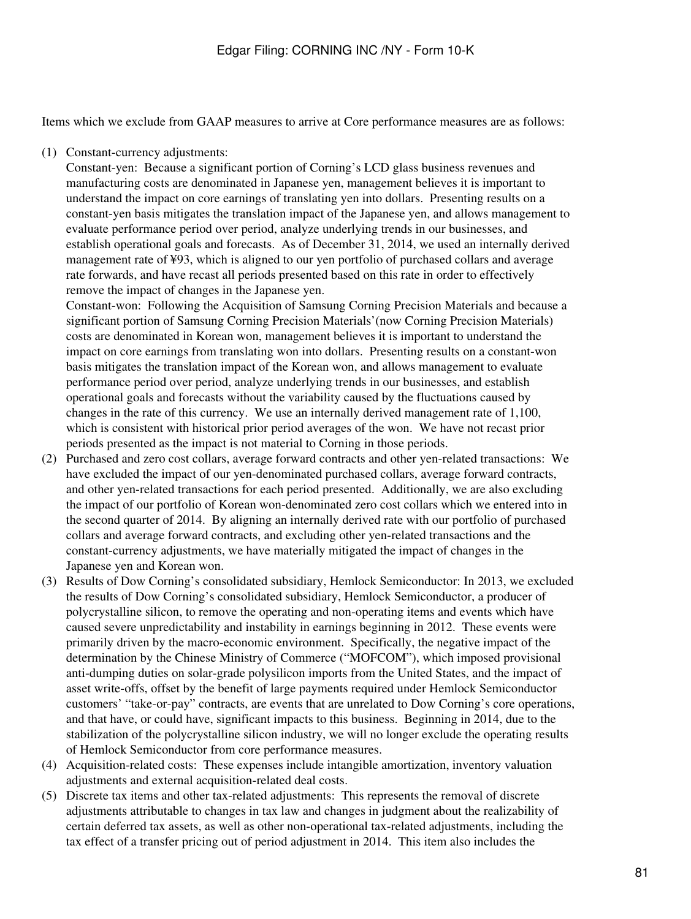Items which we exclude from GAAP measures to arrive at Core performance measures are as follows:

(1) Constant-currency adjustments:

Constant-yen: Because a significant portion of Corning's LCD glass business revenues and manufacturing costs are denominated in Japanese yen, management believes it is important to understand the impact on core earnings of translating yen into dollars. Presenting results on a constant-yen basis mitigates the translation impact of the Japanese yen, and allows management to evaluate performance period over period, analyze underlying trends in our businesses, and establish operational goals and forecasts. As of December 31, 2014, we used an internally derived management rate of ¥93, which is aligned to our yen portfolio of purchased collars and average rate forwards, and have recast all periods presented based on this rate in order to effectively remove the impact of changes in the Japanese yen.

Constant-won: Following the Acquisition of Samsung Corning Precision Materials and because a significant portion of Samsung Corning Precision Materials'(now Corning Precision Materials) costs are denominated in Korean won, management believes it is important to understand the impact on core earnings from translating won into dollars. Presenting results on a constant-won basis mitigates the translation impact of the Korean won, and allows management to evaluate performance period over period, analyze underlying trends in our businesses, and establish operational goals and forecasts without the variability caused by the fluctuations caused by changes in the rate of this currency. We use an internally derived management rate of 1,100, which is consistent with historical prior period averages of the won. We have not recast prior periods presented as the impact is not material to Corning in those periods.

- (2) Purchased and zero cost collars, average forward contracts and other yen-related transactions: We have excluded the impact of our yen-denominated purchased collars, average forward contracts, and other yen-related transactions for each period presented. Additionally, we are also excluding the impact of our portfolio of Korean won-denominated zero cost collars which we entered into in the second quarter of 2014. By aligning an internally derived rate with our portfolio of purchased collars and average forward contracts, and excluding other yen-related transactions and the constant-currency adjustments, we have materially mitigated the impact of changes in the Japanese yen and Korean won.
- (3) Results of Dow Corning's consolidated subsidiary, Hemlock Semiconductor: In 2013, we excluded the results of Dow Corning's consolidated subsidiary, Hemlock Semiconductor, a producer of polycrystalline silicon, to remove the operating and non-operating items and events which have caused severe unpredictability and instability in earnings beginning in 2012. These events were primarily driven by the macro-economic environment. Specifically, the negative impact of the determination by the Chinese Ministry of Commerce ("MOFCOM"), which imposed provisional anti-dumping duties on solar-grade polysilicon imports from the United States, and the impact of asset write-offs, offset by the benefit of large payments required under Hemlock Semiconductor customers' "take-or-pay" contracts, are events that are unrelated to Dow Corning's core operations, and that have, or could have, significant impacts to this business. Beginning in 2014, due to the stabilization of the polycrystalline silicon industry, we will no longer exclude the operating results of Hemlock Semiconductor from core performance measures.
- (4) Acquisition-related costs: These expenses include intangible amortization, inventory valuation adjustments and external acquisition-related deal costs.
- (5) Discrete tax items and other tax-related adjustments: This represents the removal of discrete adjustments attributable to changes in tax law and changes in judgment about the realizability of certain deferred tax assets, as well as other non-operational tax-related adjustments, including the tax effect of a transfer pricing out of period adjustment in 2014. This item also includes the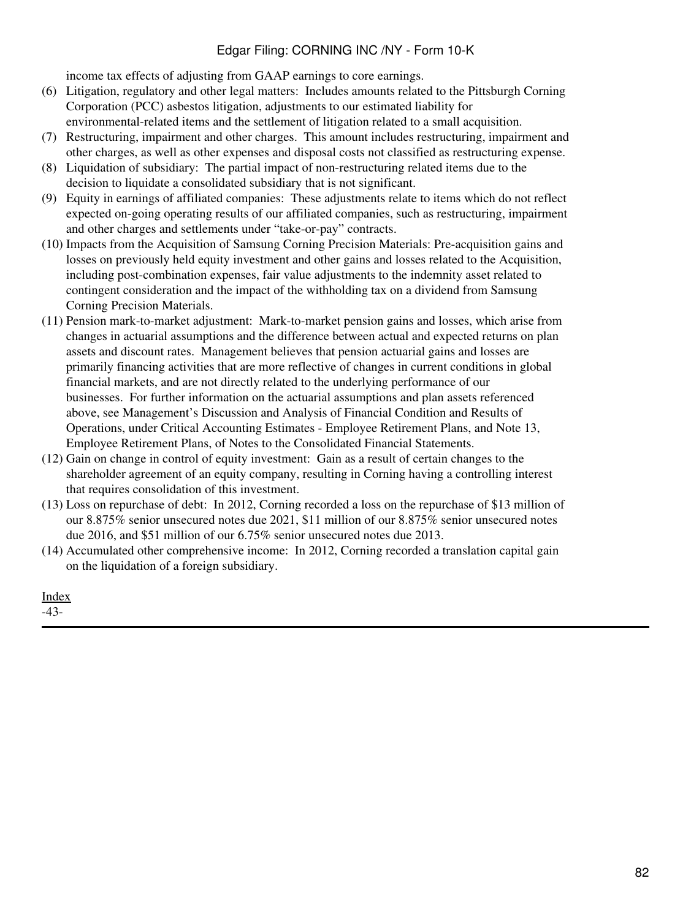income tax effects of adjusting from GAAP earnings to core earnings.

- (6) Litigation, regulatory and other legal matters: Includes amounts related to the Pittsburgh Corning Corporation (PCC) asbestos litigation, adjustments to our estimated liability for environmental-related items and the settlement of litigation related to a small acquisition.
- (7) Restructuring, impairment and other charges. This amount includes restructuring, impairment and other charges, as well as other expenses and disposal costs not classified as restructuring expense.
- (8) Liquidation of subsidiary: The partial impact of non-restructuring related items due to the decision to liquidate a consolidated subsidiary that is not significant.
- (9) Equity in earnings of affiliated companies: These adjustments relate to items which do not reflect expected on-going operating results of our affiliated companies, such as restructuring, impairment and other charges and settlements under "take-or-pay" contracts.
- (10) Impacts from the Acquisition of Samsung Corning Precision Materials: Pre-acquisition gains and losses on previously held equity investment and other gains and losses related to the Acquisition, including post-combination expenses, fair value adjustments to the indemnity asset related to contingent consideration and the impact of the withholding tax on a dividend from Samsung Corning Precision Materials.
- (11) Pension mark-to-market adjustment: Mark-to-market pension gains and losses, which arise from changes in actuarial assumptions and the difference between actual and expected returns on plan assets and discount rates. Management believes that pension actuarial gains and losses are primarily financing activities that are more reflective of changes in current conditions in global financial markets, and are not directly related to the underlying performance of our businesses. For further information on the actuarial assumptions and plan assets referenced above, see Management's Discussion and Analysis of Financial Condition and Results of Operations, under Critical Accounting Estimates - Employee Retirement Plans, and Note 13, Employee Retirement Plans, of Notes to the Consolidated Financial Statements.
- (12) Gain on change in control of equity investment: Gain as a result of certain changes to the shareholder agreement of an equity company, resulting in Corning having a controlling interest that requires consolidation of this investment.
- (13) Loss on repurchase of debt: In 2012, Corning recorded a loss on the repurchase of \$13 million of our 8.875% senior unsecured notes due 2021, \$11 million of our 8.875% senior unsecured notes due 2016, and \$51 million of our 6.75% senior unsecured notes due 2013.
- (14) Accumulated other comprehensive income: In 2012, Corning recorded a translation capital gain on the liquidation of a foreign subsidiary.

[Index](#page-155-0)

-43-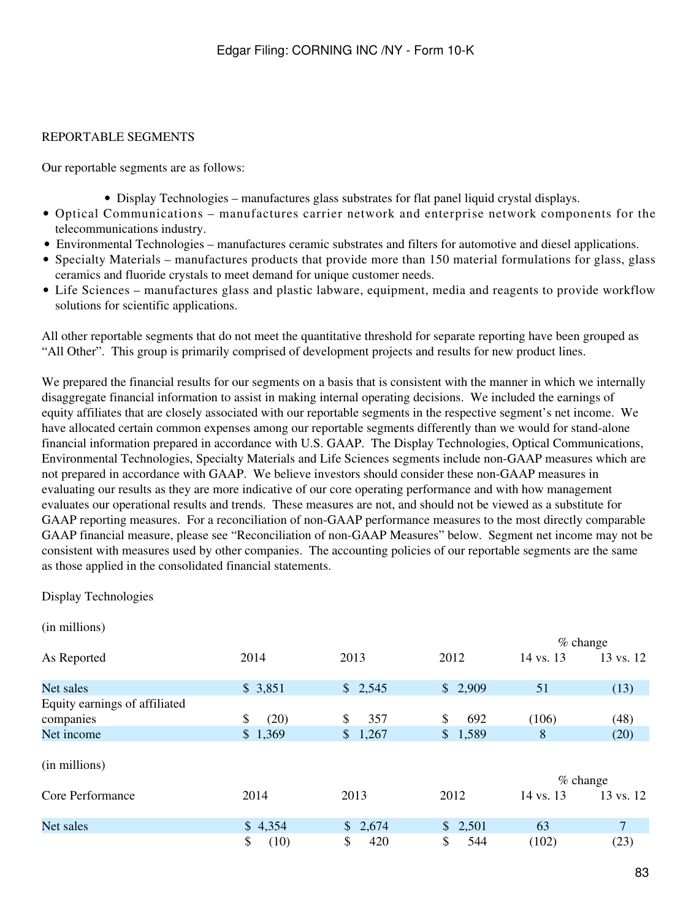# REPORTABLE SEGMENTS

Our reportable segments are as follows:

- Display Technologies manufactures glass substrates for flat panel liquid crystal displays.
- Optical Communications manufactures carrier network and enterprise network components for the telecommunications industry.
- Environmental Technologies manufactures ceramic substrates and filters for automotive and diesel applications.
- Specialty Materials manufactures products that provide more than 150 material formulations for glass, glass ceramics and fluoride crystals to meet demand for unique customer needs.
- Life Sciences manufactures glass and plastic labware, equipment, media and reagents to provide workflow solutions for scientific applications.

All other reportable segments that do not meet the quantitative threshold for separate reporting have been grouped as "All Other". This group is primarily comprised of development projects and results for new product lines.

We prepared the financial results for our segments on a basis that is consistent with the manner in which we internally disaggregate financial information to assist in making internal operating decisions. We included the earnings of equity affiliates that are closely associated with our reportable segments in the respective segment's net income. We have allocated certain common expenses among our reportable segments differently than we would for stand-alone financial information prepared in accordance with U.S. GAAP. The Display Technologies, Optical Communications, Environmental Technologies, Specialty Materials and Life Sciences segments include non-GAAP measures which are not prepared in accordance with GAAP. We believe investors should consider these non-GAAP measures in evaluating our results as they are more indicative of our core operating performance and with how management evaluates our operational results and trends. These measures are not, and should not be viewed as a substitute for GAAP reporting measures. For a reconciliation of non-GAAP performance measures to the most directly comparable GAAP financial measure, please see "Reconciliation of non-GAAP Measures" below. Segment net income may not be consistent with measures used by other companies. The accounting policies of our reportable segments are the same as those applied in the consolidated financial statements.

#### Display Technologies

| (in millions)                 |            |                        |           |           |            |
|-------------------------------|------------|------------------------|-----------|-----------|------------|
|                               |            |                        |           |           | $%$ change |
| As Reported                   | 2014       | 2013                   | 2012      | 14 vs. 13 | 13 vs. 12  |
| Net sales                     | \$3,851    | \$2,545                | \$2,909   | 51        | (13)       |
| Equity earnings of affiliated |            |                        |           |           |            |
| companies                     | \$<br>(20) | \$<br>357              | \$<br>692 | (106)     | (48)       |
| Net income                    | \$1,369    | $\mathsf{\$}$<br>1,267 | \$1,589   | 8         | (20)       |
| (in millions)                 |            |                        |           |           |            |
|                               |            |                        |           |           | $%$ change |
| Core Performance              | 2014       | 2013                   | 2012      | 14 vs. 13 | 13 vs. 12  |
| Net sales                     | \$4,354    | \$2,674                | \$2,501   | 63        | 7          |
|                               | \$<br>(10) | \$<br>420              | \$<br>544 | (102)     | (23)       |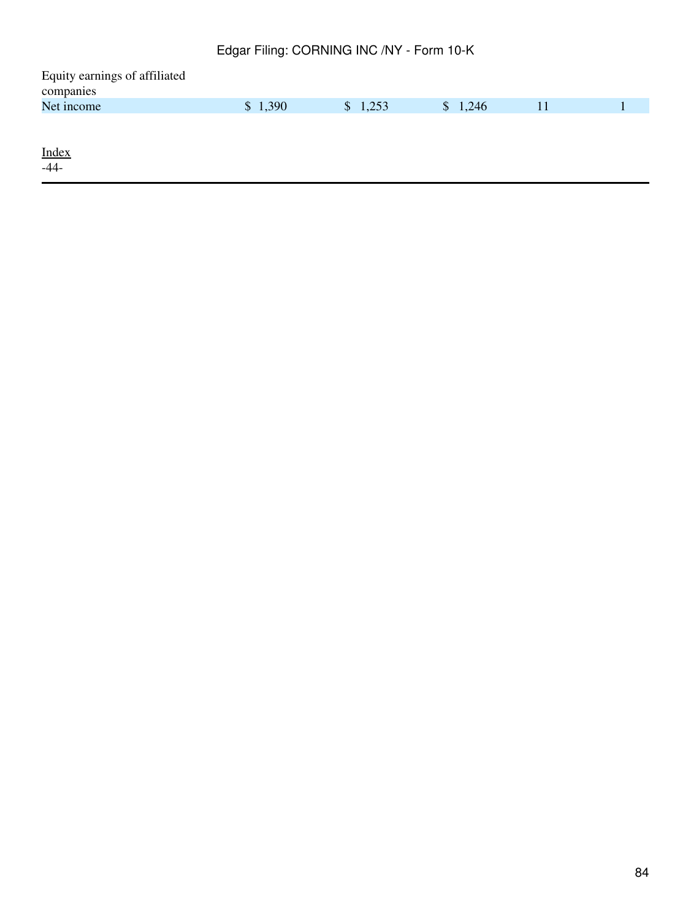| Equity earnings of affiliated |         |         |         |    |  |
|-------------------------------|---------|---------|---------|----|--|
| companies                     |         |         |         |    |  |
| Net income                    | \$1,390 | \$1,253 | \$1,246 | 11 |  |
|                               |         |         |         |    |  |
|                               |         |         |         |    |  |
| <b>Index</b>                  |         |         |         |    |  |
| $-44-$                        |         |         |         |    |  |
|                               |         |         |         |    |  |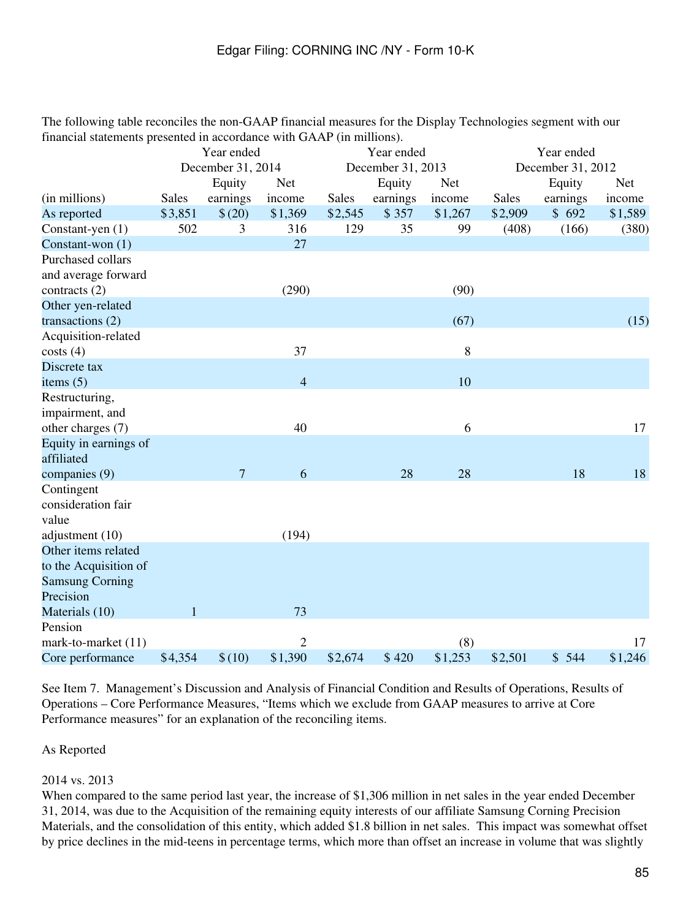The following table reconciles the non-GAAP financial measures for the Display Technologies segment with our financial statements presented in accordance with GAAP (in millions).

|                        | Year ended   |                   |                | Year ended |                   |            | Year ended   |                   |            |
|------------------------|--------------|-------------------|----------------|------------|-------------------|------------|--------------|-------------------|------------|
|                        |              | December 31, 2014 |                |            | December 31, 2013 |            |              | December 31, 2012 |            |
|                        |              | Equity            | <b>Net</b>     |            | Equity            | <b>Net</b> |              | Equity            | <b>Net</b> |
| (in millions)          | <b>Sales</b> | earnings          | income         | Sales      | earnings          | income     | <b>Sales</b> | earnings          | income     |
| As reported            | \$3,851      | \$(20)            | \$1,369        | \$2,545    | \$357             | \$1,267    | \$2,909      | \$692             | \$1,589    |
| Constant-yen (1)       | 502          | 3                 | 316            | 129        | 35                | 99         | (408)        | (166)             | (380)      |
| Constant-won (1)       |              |                   | 27             |            |                   |            |              |                   |            |
| Purchased collars      |              |                   |                |            |                   |            |              |                   |            |
| and average forward    |              |                   |                |            |                   |            |              |                   |            |
| contracts $(2)$        |              |                   | (290)          |            |                   | (90)       |              |                   |            |
| Other yen-related      |              |                   |                |            |                   |            |              |                   |            |
| transactions (2)       |              |                   |                |            |                   | (67)       |              |                   | (15)       |
| Acquisition-related    |              |                   |                |            |                   |            |              |                   |            |
| costs(4)               |              |                   | 37             |            |                   | 8          |              |                   |            |
| Discrete tax           |              |                   |                |            |                   |            |              |                   |            |
| items $(5)$            |              |                   | $\overline{4}$ |            |                   | 10         |              |                   |            |
| Restructuring,         |              |                   |                |            |                   |            |              |                   |            |
| impairment, and        |              |                   |                |            |                   |            |              |                   |            |
| other charges (7)      |              |                   | 40             |            |                   | 6          |              |                   | 17         |
| Equity in earnings of  |              |                   |                |            |                   |            |              |                   |            |
| affiliated             |              |                   |                |            |                   |            |              |                   |            |
| companies (9)          |              | $\overline{7}$    | 6              |            | 28                | 28         |              | 18                | 18         |
| Contingent             |              |                   |                |            |                   |            |              |                   |            |
| consideration fair     |              |                   |                |            |                   |            |              |                   |            |
| value                  |              |                   |                |            |                   |            |              |                   |            |
| adjustment (10)        |              |                   | (194)          |            |                   |            |              |                   |            |
| Other items related    |              |                   |                |            |                   |            |              |                   |            |
| to the Acquisition of  |              |                   |                |            |                   |            |              |                   |            |
| <b>Samsung Corning</b> |              |                   |                |            |                   |            |              |                   |            |
| Precision              |              |                   |                |            |                   |            |              |                   |            |
| Materials (10)         | $\mathbf{1}$ |                   | 73             |            |                   |            |              |                   |            |
| Pension                |              |                   |                |            |                   |            |              |                   |            |
| mark-to-market (11)    |              |                   | $\mathbf{2}$   |            |                   | (8)        |              |                   | 17         |
| Core performance       | \$4,354      | \$(10)            | \$1,390        | \$2,674    | \$420             | \$1,253    | \$2,501      | \$544             | \$1,246    |

See Item 7. Management's Discussion and Analysis of Financial Condition and Results of Operations, Results of Operations – Core Performance Measures, "Items which we exclude from GAAP measures to arrive at Core Performance measures" for an explanation of the reconciling items.

## As Reported

## 2014 vs. 2013

When compared to the same period last year, the increase of \$1,306 million in net sales in the year ended December 31, 2014, was due to the Acquisition of the remaining equity interests of our affiliate Samsung Corning Precision Materials, and the consolidation of this entity, which added \$1.8 billion in net sales. This impact was somewhat offset by price declines in the mid-teens in percentage terms, which more than offset an increase in volume that was slightly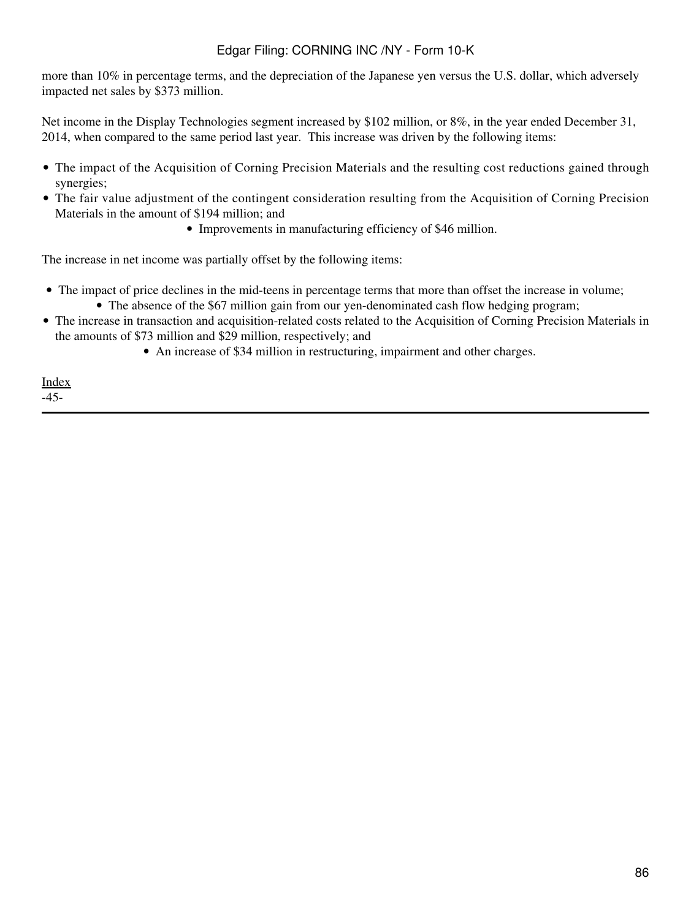more than 10% in percentage terms, and the depreciation of the Japanese yen versus the U.S. dollar, which adversely impacted net sales by \$373 million.

Net income in the Display Technologies segment increased by \$102 million, or 8%, in the year ended December 31, 2014, when compared to the same period last year. This increase was driven by the following items:

- The impact of the Acquisition of Corning Precision Materials and the resulting cost reductions gained through synergies;
- The fair value adjustment of the contingent consideration resulting from the Acquisition of Corning Precision Materials in the amount of \$194 million; and
	- Improvements in manufacturing efficiency of \$46 million.

The increase in net income was partially offset by the following items:

- The impact of price declines in the mid-teens in percentage terms that more than offset the increase in volume; • The absence of the \$67 million gain from our yen-denominated cash flow hedging program;
- The increase in transaction and acquisition-related costs related to the Acquisition of Corning Precision Materials in the amounts of \$73 million and \$29 million, respectively; and
	- An increase of \$34 million in restructuring, impairment and other charges.

[Index](#page-155-0) -45-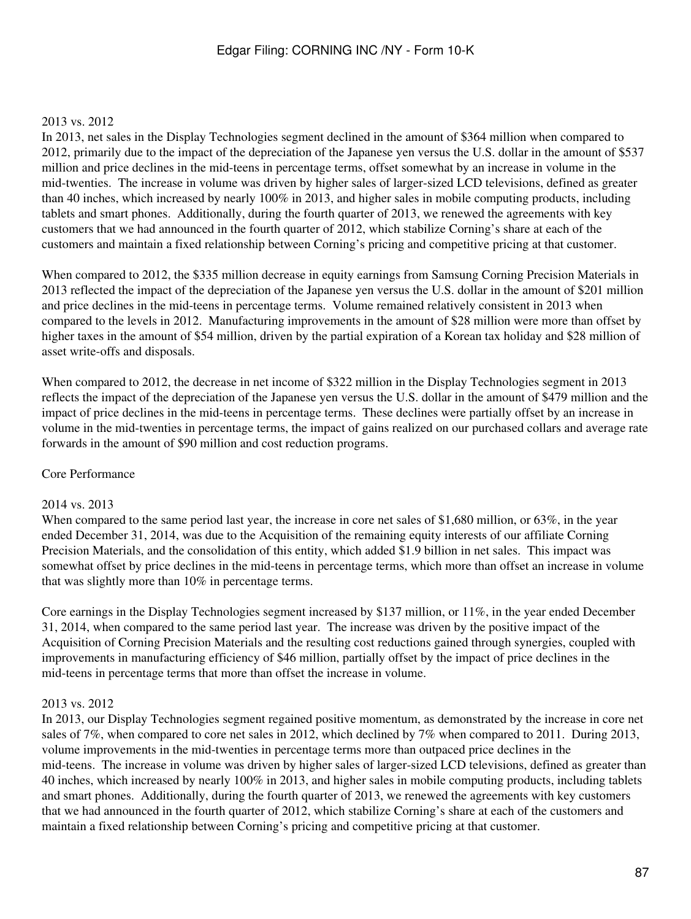#### 2013 vs. 2012

In 2013, net sales in the Display Technologies segment declined in the amount of \$364 million when compared to 2012, primarily due to the impact of the depreciation of the Japanese yen versus the U.S. dollar in the amount of \$537 million and price declines in the mid-teens in percentage terms, offset somewhat by an increase in volume in the mid-twenties. The increase in volume was driven by higher sales of larger-sized LCD televisions, defined as greater than 40 inches, which increased by nearly 100% in 2013, and higher sales in mobile computing products, including tablets and smart phones. Additionally, during the fourth quarter of 2013, we renewed the agreements with key customers that we had announced in the fourth quarter of 2012, which stabilize Corning's share at each of the customers and maintain a fixed relationship between Corning's pricing and competitive pricing at that customer.

When compared to 2012, the \$335 million decrease in equity earnings from Samsung Corning Precision Materials in 2013 reflected the impact of the depreciation of the Japanese yen versus the U.S. dollar in the amount of \$201 million and price declines in the mid-teens in percentage terms. Volume remained relatively consistent in 2013 when compared to the levels in 2012. Manufacturing improvements in the amount of \$28 million were more than offset by higher taxes in the amount of \$54 million, driven by the partial expiration of a Korean tax holiday and \$28 million of asset write-offs and disposals.

When compared to 2012, the decrease in net income of \$322 million in the Display Technologies segment in 2013 reflects the impact of the depreciation of the Japanese yen versus the U.S. dollar in the amount of \$479 million and the impact of price declines in the mid-teens in percentage terms. These declines were partially offset by an increase in volume in the mid-twenties in percentage terms, the impact of gains realized on our purchased collars and average rate forwards in the amount of \$90 million and cost reduction programs.

#### Core Performance

#### 2014 vs. 2013

When compared to the same period last year, the increase in core net sales of \$1,680 million, or 63%, in the year ended December 31, 2014, was due to the Acquisition of the remaining equity interests of our affiliate Corning Precision Materials, and the consolidation of this entity, which added \$1.9 billion in net sales. This impact was somewhat offset by price declines in the mid-teens in percentage terms, which more than offset an increase in volume that was slightly more than 10% in percentage terms.

Core earnings in the Display Technologies segment increased by \$137 million, or 11%, in the year ended December 31, 2014, when compared to the same period last year. The increase was driven by the positive impact of the Acquisition of Corning Precision Materials and the resulting cost reductions gained through synergies, coupled with improvements in manufacturing efficiency of \$46 million, partially offset by the impact of price declines in the mid-teens in percentage terms that more than offset the increase in volume.

#### 2013 vs. 2012

In 2013, our Display Technologies segment regained positive momentum, as demonstrated by the increase in core net sales of 7%, when compared to core net sales in 2012, which declined by 7% when compared to 2011. During 2013, volume improvements in the mid-twenties in percentage terms more than outpaced price declines in the mid-teens. The increase in volume was driven by higher sales of larger-sized LCD televisions, defined as greater than 40 inches, which increased by nearly 100% in 2013, and higher sales in mobile computing products, including tablets and smart phones. Additionally, during the fourth quarter of 2013, we renewed the agreements with key customers that we had announced in the fourth quarter of 2012, which stabilize Corning's share at each of the customers and maintain a fixed relationship between Corning's pricing and competitive pricing at that customer.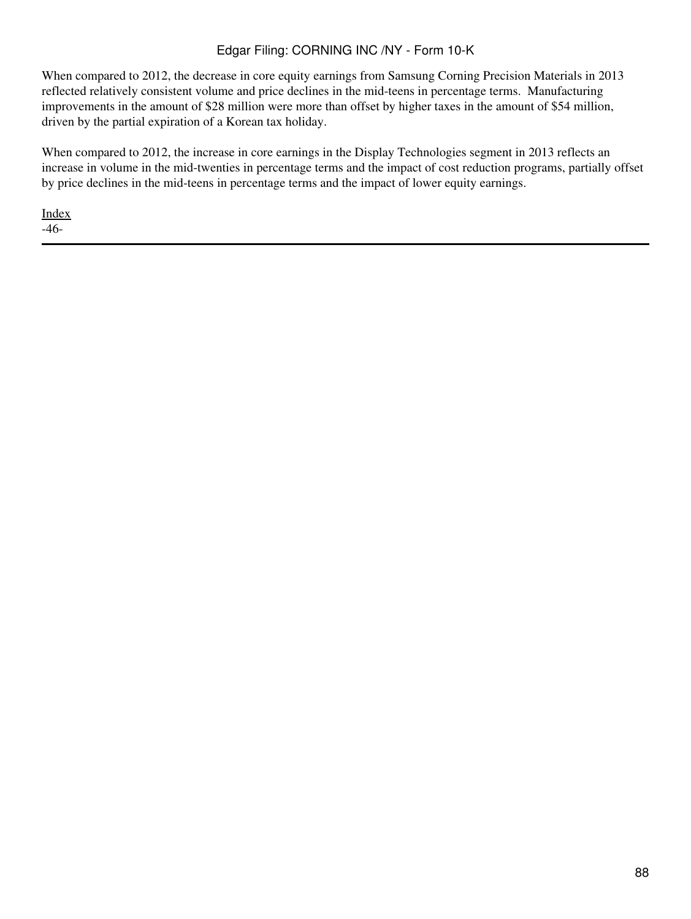When compared to 2012, the decrease in core equity earnings from Samsung Corning Precision Materials in 2013 reflected relatively consistent volume and price declines in the mid-teens in percentage terms. Manufacturing improvements in the amount of \$28 million were more than offset by higher taxes in the amount of \$54 million, driven by the partial expiration of a Korean tax holiday.

When compared to 2012, the increase in core earnings in the Display Technologies segment in 2013 reflects an increase in volume in the mid-twenties in percentage terms and the impact of cost reduction programs, partially offset by price declines in the mid-teens in percentage terms and the impact of lower equity earnings.

[Index](#page-155-0) -46-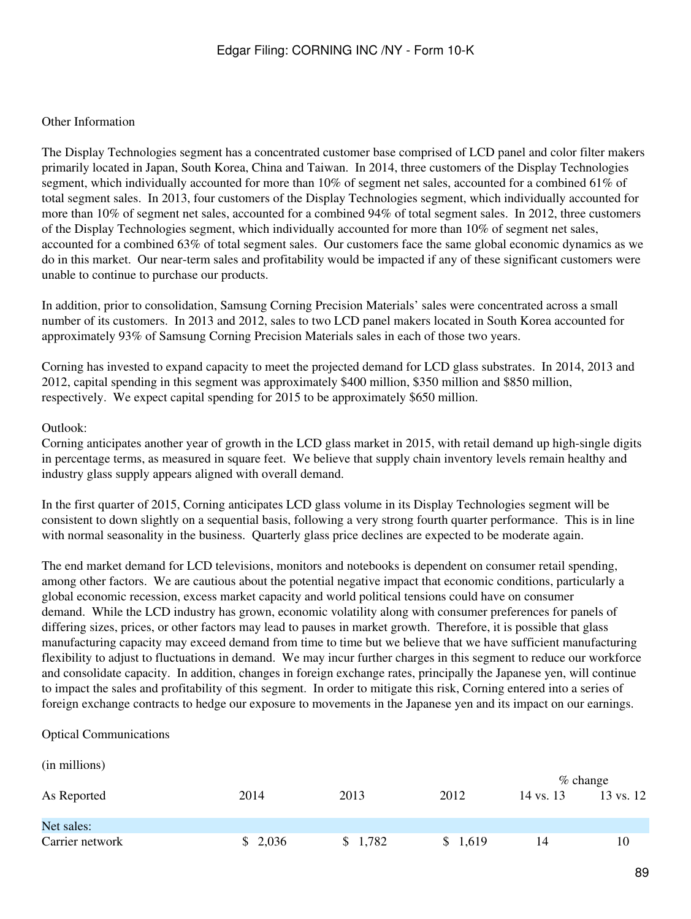## Other Information

The Display Technologies segment has a concentrated customer base comprised of LCD panel and color filter makers primarily located in Japan, South Korea, China and Taiwan. In 2014, three customers of the Display Technologies segment, which individually accounted for more than 10% of segment net sales, accounted for a combined 61% of total segment sales. In 2013, four customers of the Display Technologies segment, which individually accounted for more than 10% of segment net sales, accounted for a combined 94% of total segment sales. In 2012, three customers of the Display Technologies segment, which individually accounted for more than 10% of segment net sales, accounted for a combined 63% of total segment sales. Our customers face the same global economic dynamics as we do in this market. Our near-term sales and profitability would be impacted if any of these significant customers were unable to continue to purchase our products.

In addition, prior to consolidation, Samsung Corning Precision Materials' sales were concentrated across a small number of its customers. In 2013 and 2012, sales to two LCD panel makers located in South Korea accounted for approximately 93% of Samsung Corning Precision Materials sales in each of those two years.

Corning has invested to expand capacity to meet the projected demand for LCD glass substrates. In 2014, 2013 and 2012, capital spending in this segment was approximately \$400 million, \$350 million and \$850 million, respectively. We expect capital spending for 2015 to be approximately \$650 million.

#### Outlook:

Corning anticipates another year of growth in the LCD glass market in 2015, with retail demand up high-single digits in percentage terms, as measured in square feet. We believe that supply chain inventory levels remain healthy and industry glass supply appears aligned with overall demand.

In the first quarter of 2015, Corning anticipates LCD glass volume in its Display Technologies segment will be consistent to down slightly on a sequential basis, following a very strong fourth quarter performance. This is in line with normal seasonality in the business. Quarterly glass price declines are expected to be moderate again.

The end market demand for LCD televisions, monitors and notebooks is dependent on consumer retail spending, among other factors. We are cautious about the potential negative impact that economic conditions, particularly a global economic recession, excess market capacity and world political tensions could have on consumer demand. While the LCD industry has grown, economic volatility along with consumer preferences for panels of differing sizes, prices, or other factors may lead to pauses in market growth. Therefore, it is possible that glass manufacturing capacity may exceed demand from time to time but we believe that we have sufficient manufacturing flexibility to adjust to fluctuations in demand. We may incur further charges in this segment to reduce our workforce and consolidate capacity. In addition, changes in foreign exchange rates, principally the Japanese yen, will continue to impact the sales and profitability of this segment. In order to mitigate this risk, Corning entered into a series of foreign exchange contracts to hedge our exposure to movements in the Japanese yen and its impact on our earnings.

Optical Communications

(in millions)

|                 |         |         |         | $\%$ change |           |  |
|-----------------|---------|---------|---------|-------------|-----------|--|
| As Reported     | 2014    | 2013    | 2012    | 14 vs. 13   | 13 vs. 12 |  |
| Net sales:      |         |         |         |             |           |  |
| Carrier network | \$2,036 | \$1,782 | \$1,619 | 14          | 10        |  |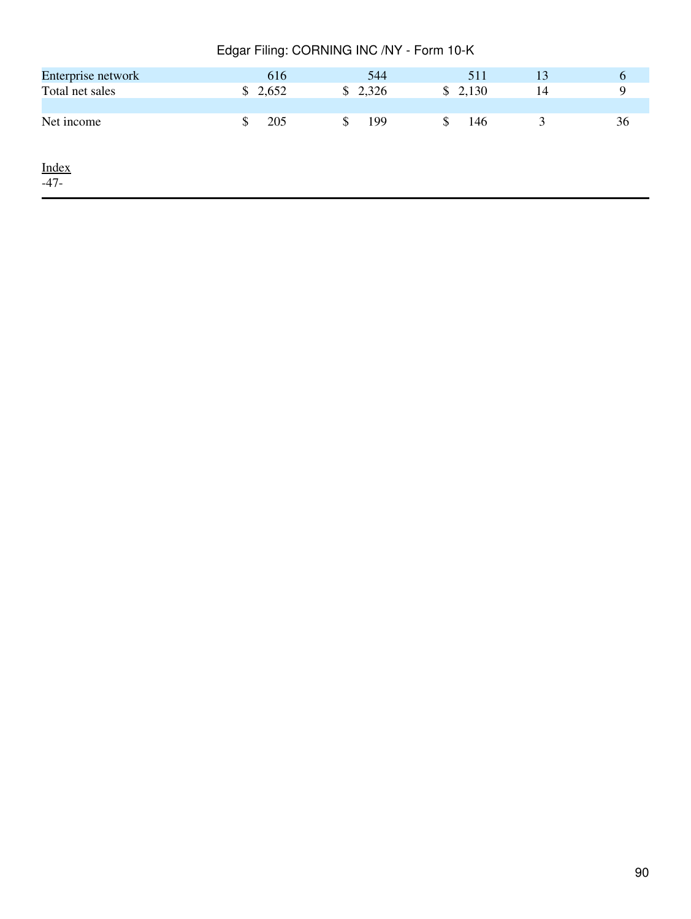| Edgar Filing: CORNING INC /NY - Form 10-K |           |           |           |    |    |  |  |  |
|-------------------------------------------|-----------|-----------|-----------|----|----|--|--|--|
| Enterprise network                        | 616       | 544       | 511       | 13 | 6  |  |  |  |
| Total net sales                           | \$2,652   | \$2,326   | \$2,130   | 14 | 9  |  |  |  |
|                                           |           |           |           |    |    |  |  |  |
| Net income                                | 205<br>\$ | \$<br>199 | 146<br>\$ | 3  | 36 |  |  |  |
|                                           |           |           |           |    |    |  |  |  |
| <b>Index</b>                              |           |           |           |    |    |  |  |  |
| $-47-$                                    |           |           |           |    |    |  |  |  |
|                                           |           |           |           |    |    |  |  |  |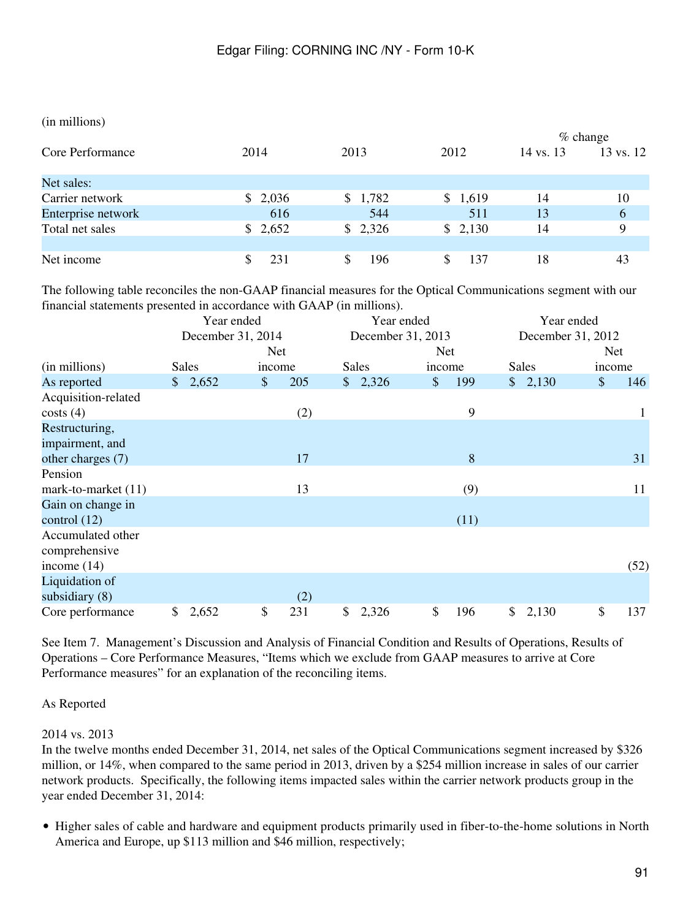#### (in millions)

|                    |         |         |         | $%$ change |                      |  |  |
|--------------------|---------|---------|---------|------------|----------------------|--|--|
| Core Performance   | 2014    | 2013    | 2012    | 14 vs. 13  | $13 \text{ vs. } 12$ |  |  |
| Net sales:         |         |         |         |            |                      |  |  |
| Carrier network    | \$2,036 | \$1,782 | \$1,619 | 14         | 10                   |  |  |
| Enterprise network | 616     | 544     | 511     | 13         | 6                    |  |  |
| Total net sales    | \$2,652 | \$2,326 | \$2,130 | 14         | 9                    |  |  |
| Net income         | 231     | 196     | 137     | 18         | 43                   |  |  |

The following table reconciles the non-GAAP financial measures for the Optical Communications segment with our financial statements presented in accordance with GAAP (in millions).

|                       | Year ended |                   |            | Year ended |    |                   | Year ended |            |                   |              |  |            |      |
|-----------------------|------------|-------------------|------------|------------|----|-------------------|------------|------------|-------------------|--------------|--|------------|------|
|                       |            | December 31, 2014 |            |            |    | December 31, 2013 |            |            | December 31, 2012 |              |  |            |      |
|                       |            |                   | <b>Net</b> |            |    |                   |            | <b>Net</b> |                   |              |  | <b>Net</b> |      |
| (in millions)         |            | <b>Sales</b>      | income     |            |    | Sales             |            | income     |                   | <b>Sales</b> |  | income     |      |
| As reported           |            | \$2,652           | $\$\$      | 205        |    | \$2,326           | \$         | 199        |                   | \$2,130      |  | \$         | 146  |
| Acquisition-related   |            |                   |            |            |    |                   |            |            |                   |              |  |            |      |
| costs(4)              |            |                   |            | (2)        |    |                   |            | 9          |                   |              |  |            | 1    |
| Restructuring,        |            |                   |            |            |    |                   |            |            |                   |              |  |            |      |
| impairment, and       |            |                   |            |            |    |                   |            |            |                   |              |  |            |      |
| other charges (7)     |            |                   |            | 17         |    |                   |            | 8          |                   |              |  |            | 31   |
| Pension               |            |                   |            |            |    |                   |            |            |                   |              |  |            |      |
| mark-to-market $(11)$ |            |                   |            | 13         |    |                   |            | (9)        |                   |              |  |            | 11   |
| Gain on change in     |            |                   |            |            |    |                   |            |            |                   |              |  |            |      |
| control $(12)$        |            |                   |            |            |    |                   |            | (11)       |                   |              |  |            |      |
| Accumulated other     |            |                   |            |            |    |                   |            |            |                   |              |  |            |      |
| comprehensive         |            |                   |            |            |    |                   |            |            |                   |              |  |            |      |
| income $(14)$         |            |                   |            |            |    |                   |            |            |                   |              |  |            | (52) |
| Liquidation of        |            |                   |            |            |    |                   |            |            |                   |              |  |            |      |
| subsidiary $(8)$      |            |                   |            | (2)        |    |                   |            |            |                   |              |  |            |      |
| Core performance      | \$         | 2,652             | \$         | 231        | \$ | 2,326             | \$         | 196        | $\mathbb{S}^-$    | 2,130        |  | \$         | 137  |

See Item 7. Management's Discussion and Analysis of Financial Condition and Results of Operations, Results of Operations – Core Performance Measures, "Items which we exclude from GAAP measures to arrive at Core Performance measures" for an explanation of the reconciling items.

## As Reported

## 2014 vs. 2013

In the twelve months ended December 31, 2014, net sales of the Optical Communications segment increased by \$326 million, or 14%, when compared to the same period in 2013, driven by a \$254 million increase in sales of our carrier network products. Specifically, the following items impacted sales within the carrier network products group in the year ended December 31, 2014:

• Higher sales of cable and hardware and equipment products primarily used in fiber-to-the-home solutions in North America and Europe, up \$113 million and \$46 million, respectively;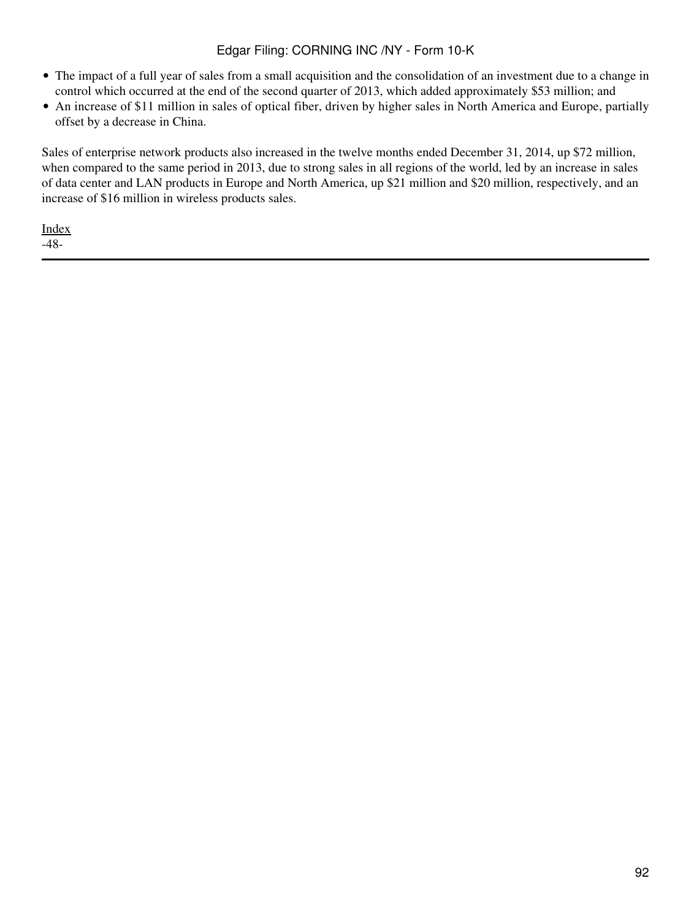- The impact of a full year of sales from a small acquisition and the consolidation of an investment due to a change in control which occurred at the end of the second quarter of 2013, which added approximately \$53 million; and
- An increase of \$11 million in sales of optical fiber, driven by higher sales in North America and Europe, partially offset by a decrease in China.

Sales of enterprise network products also increased in the twelve months ended December 31, 2014, up \$72 million, when compared to the same period in 2013, due to strong sales in all regions of the world, led by an increase in sales of data center and LAN products in Europe and North America, up \$21 million and \$20 million, respectively, and an increase of \$16 million in wireless products sales.

[Index](#page-155-0) -48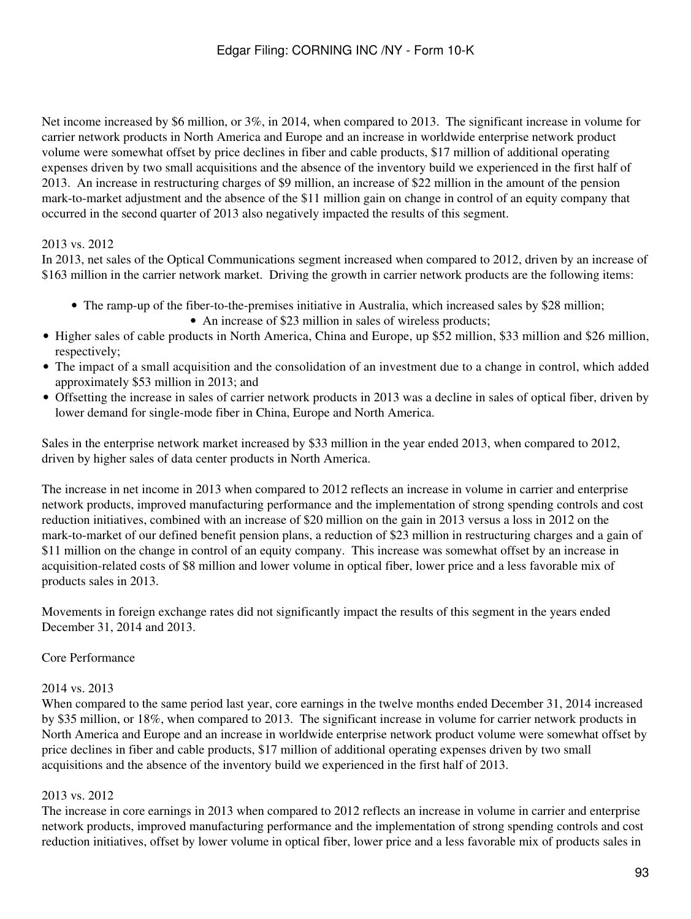Net income increased by \$6 million, or 3%, in 2014, when compared to 2013. The significant increase in volume for carrier network products in North America and Europe and an increase in worldwide enterprise network product volume were somewhat offset by price declines in fiber and cable products, \$17 million of additional operating expenses driven by two small acquisitions and the absence of the inventory build we experienced in the first half of 2013. An increase in restructuring charges of \$9 million, an increase of \$22 million in the amount of the pension mark-to-market adjustment and the absence of the \$11 million gain on change in control of an equity company that occurred in the second quarter of 2013 also negatively impacted the results of this segment.

# 2013 vs. 2012

In 2013, net sales of the Optical Communications segment increased when compared to 2012, driven by an increase of \$163 million in the carrier network market. Driving the growth in carrier network products are the following items:

- The ramp-up of the fiber-to-the-premises initiative in Australia, which increased sales by \$28 million; • An increase of \$23 million in sales of wireless products;
- Higher sales of cable products in North America, China and Europe, up \$52 million, \$33 million and \$26 million, respectively;
- The impact of a small acquisition and the consolidation of an investment due to a change in control, which added approximately \$53 million in 2013; and
- Offsetting the increase in sales of carrier network products in 2013 was a decline in sales of optical fiber, driven by lower demand for single-mode fiber in China, Europe and North America.

Sales in the enterprise network market increased by \$33 million in the year ended 2013, when compared to 2012, driven by higher sales of data center products in North America.

The increase in net income in 2013 when compared to 2012 reflects an increase in volume in carrier and enterprise network products, improved manufacturing performance and the implementation of strong spending controls and cost reduction initiatives, combined with an increase of \$20 million on the gain in 2013 versus a loss in 2012 on the mark-to-market of our defined benefit pension plans, a reduction of \$23 million in restructuring charges and a gain of \$11 million on the change in control of an equity company. This increase was somewhat offset by an increase in acquisition-related costs of \$8 million and lower volume in optical fiber, lower price and a less favorable mix of products sales in 2013.

Movements in foreign exchange rates did not significantly impact the results of this segment in the years ended December 31, 2014 and 2013.

## Core Performance

## 2014 vs. 2013

When compared to the same period last year, core earnings in the twelve months ended December 31, 2014 increased by \$35 million, or 18%, when compared to 2013. The significant increase in volume for carrier network products in North America and Europe and an increase in worldwide enterprise network product volume were somewhat offset by price declines in fiber and cable products, \$17 million of additional operating expenses driven by two small acquisitions and the absence of the inventory build we experienced in the first half of 2013.

## 2013 vs. 2012

The increase in core earnings in 2013 when compared to 2012 reflects an increase in volume in carrier and enterprise network products, improved manufacturing performance and the implementation of strong spending controls and cost reduction initiatives, offset by lower volume in optical fiber, lower price and a less favorable mix of products sales in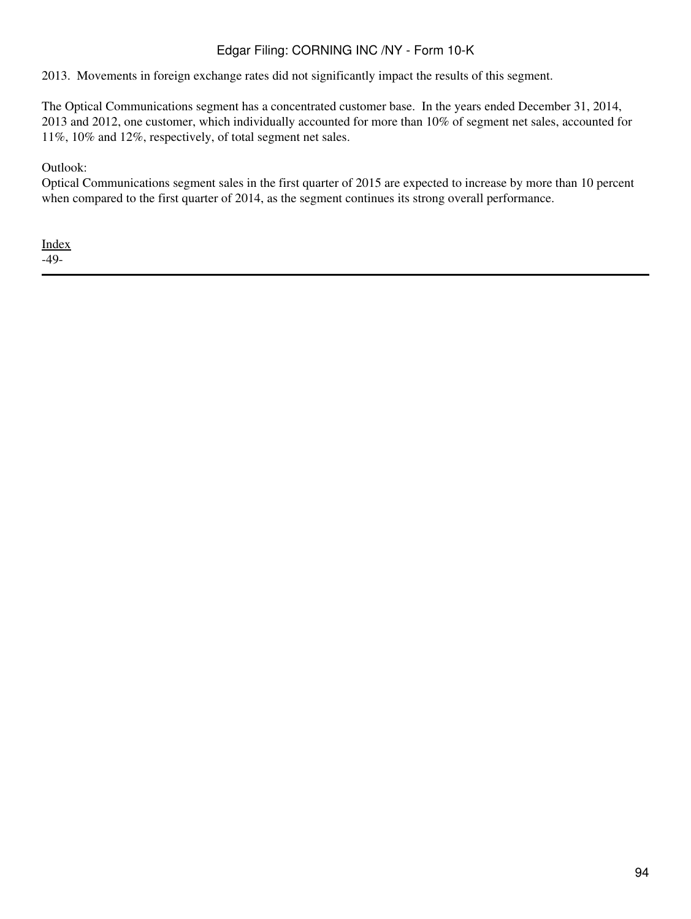2013. Movements in foreign exchange rates did not significantly impact the results of this segment.

The Optical Communications segment has a concentrated customer base. In the years ended December 31, 2014, 2013 and 2012, one customer, which individually accounted for more than 10% of segment net sales, accounted for 11%, 10% and 12%, respectively, of total segment net sales.

## Outlook:

Optical Communications segment sales in the first quarter of 2015 are expected to increase by more than 10 percent when compared to the first quarter of 2014, as the segment continues its strong overall performance.

[Index](#page-155-0) -49-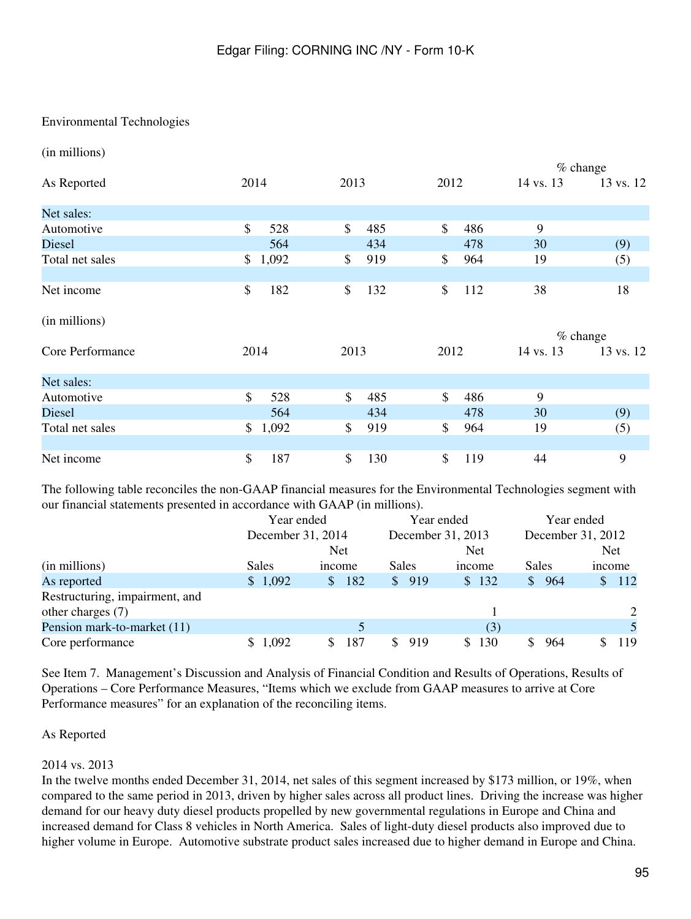## Environmental Technologies

(in millions)

|                  |             |           |                     |           | $%$ change |
|------------------|-------------|-----------|---------------------|-----------|------------|
| As Reported      | 2014        | 2013      | 2012                | 14 vs. 13 | 13 vs. 12  |
| Net sales:       |             |           |                     |           |            |
| Automotive       | \$<br>528   | \$<br>485 | $\mathbb{S}$<br>486 | 9         |            |
| Diesel           | 564         | 434       | 478                 | 30        | (9)        |
| Total net sales  | 1,092<br>\$ | 919<br>\$ | \$<br>964           | 19        | (5)        |
|                  |             |           |                     |           |            |
| Net income       | \$<br>182   | \$<br>132 | \$<br>112           | 38        | 18         |
| (in millions)    |             |           |                     |           |            |
|                  |             |           |                     |           | $%$ change |
| Core Performance | 2014        | 2013      | 2012                | 14 vs. 13 | 13 vs. 12  |
| Net sales:       |             |           |                     |           |            |
| Automotive       | \$<br>528   | \$<br>485 | \$<br>486           | 9         |            |
| Diesel           | 564         | 434       | 478                 | 30        | (9)        |
| Total net sales  | 1,092<br>\$ | \$<br>919 | \$<br>964           | 19        | (5)        |
|                  |             |           |                     |           |            |
| Net income       | \$<br>187   | \$<br>130 | \$<br>119           | 44        | 9          |

The following table reconciles the non-GAAP financial measures for the Environmental Technologies segment with our financial statements presented in accordance with GAAP (in millions).

|                                | Year ended  |                      |           | Year ended        | Year ended             |                     |  |  |
|--------------------------------|-------------|----------------------|-----------|-------------------|------------------------|---------------------|--|--|
|                                |             | December 31, 2014    |           | December 31, 2013 | December 31, 2012      |                     |  |  |
|                                |             | <b>Net</b>           |           | <b>Net</b>        |                        | <b>Net</b>          |  |  |
| (in millions)                  | Sales       | income               | Sales     | income            | Sales                  | income              |  |  |
| As reported                    | \$1,092     | 182<br><sup>\$</sup> | 919<br>\$ | \$132             | -964<br>$\mathbb{S}^-$ | 112<br><sup>S</sup> |  |  |
| Restructuring, impairment, and |             |                      |           |                   |                        |                     |  |  |
| other charges (7)              |             |                      |           |                   |                        | 2                   |  |  |
| Pension mark-to-market (11)    |             |                      |           | (3)               |                        |                     |  |  |
| Core performance               | 1,092<br>S. | 187<br>S.            | 919       | 130<br>S.         | 964                    | 119                 |  |  |

See Item 7. Management's Discussion and Analysis of Financial Condition and Results of Operations, Results of Operations – Core Performance Measures, "Items which we exclude from GAAP measures to arrive at Core Performance measures" for an explanation of the reconciling items.

#### As Reported

#### 2014 vs. 2013

In the twelve months ended December 31, 2014, net sales of this segment increased by \$173 million, or 19%, when compared to the same period in 2013, driven by higher sales across all product lines. Driving the increase was higher demand for our heavy duty diesel products propelled by new governmental regulations in Europe and China and increased demand for Class 8 vehicles in North America. Sales of light-duty diesel products also improved due to higher volume in Europe. Automotive substrate product sales increased due to higher demand in Europe and China.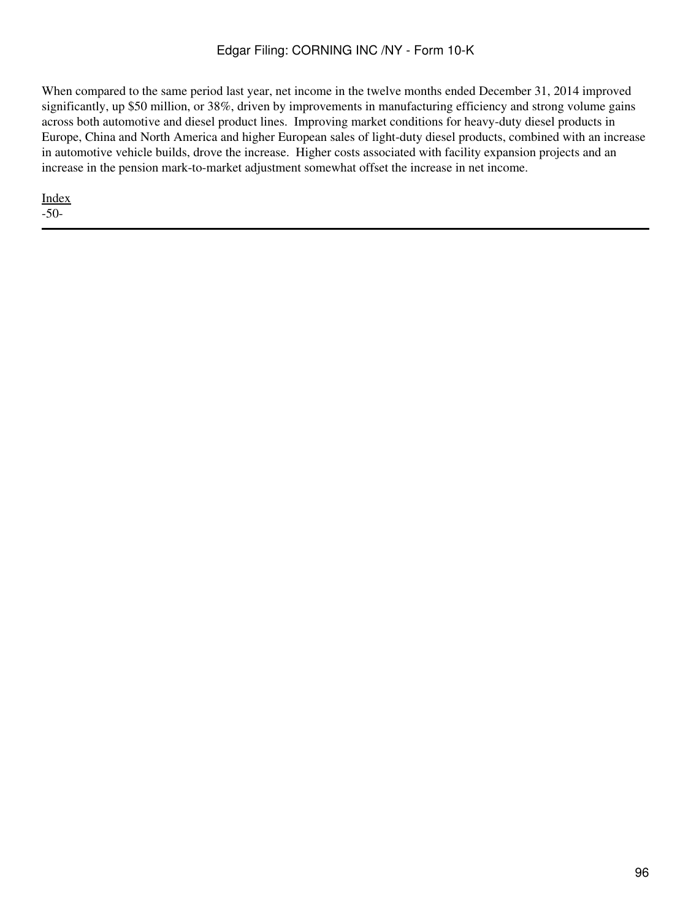When compared to the same period last year, net income in the twelve months ended December 31, 2014 improved significantly, up \$50 million, or 38%, driven by improvements in manufacturing efficiency and strong volume gains across both automotive and diesel product lines. Improving market conditions for heavy-duty diesel products in Europe, China and North America and higher European sales of light-duty diesel products, combined with an increase in automotive vehicle builds, drove the increase. Higher costs associated with facility expansion projects and an increase in the pension mark-to-market adjustment somewhat offset the increase in net income.

[Index](#page-155-0) -50-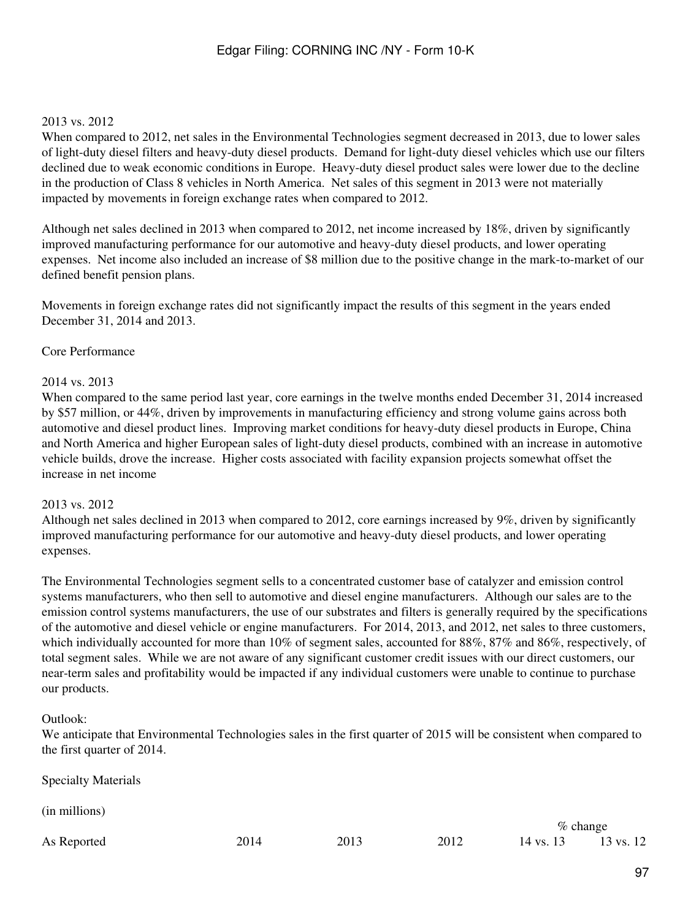#### 2013 vs. 2012

When compared to 2012, net sales in the Environmental Technologies segment decreased in 2013, due to lower sales of light-duty diesel filters and heavy-duty diesel products. Demand for light-duty diesel vehicles which use our filters declined due to weak economic conditions in Europe. Heavy-duty diesel product sales were lower due to the decline in the production of Class 8 vehicles in North America. Net sales of this segment in 2013 were not materially impacted by movements in foreign exchange rates when compared to 2012.

Although net sales declined in 2013 when compared to 2012, net income increased by 18%, driven by significantly improved manufacturing performance for our automotive and heavy-duty diesel products, and lower operating expenses. Net income also included an increase of \$8 million due to the positive change in the mark-to-market of our defined benefit pension plans.

Movements in foreign exchange rates did not significantly impact the results of this segment in the years ended December 31, 2014 and 2013.

#### Core Performance

#### 2014 vs. 2013

When compared to the same period last year, core earnings in the twelve months ended December 31, 2014 increased by \$57 million, or 44%, driven by improvements in manufacturing efficiency and strong volume gains across both automotive and diesel product lines. Improving market conditions for heavy-duty diesel products in Europe, China and North America and higher European sales of light-duty diesel products, combined with an increase in automotive vehicle builds, drove the increase. Higher costs associated with facility expansion projects somewhat offset the increase in net income

#### 2013 vs. 2012

Although net sales declined in 2013 when compared to 2012, core earnings increased by 9%, driven by significantly improved manufacturing performance for our automotive and heavy-duty diesel products, and lower operating expenses.

The Environmental Technologies segment sells to a concentrated customer base of catalyzer and emission control systems manufacturers, who then sell to automotive and diesel engine manufacturers. Although our sales are to the emission control systems manufacturers, the use of our substrates and filters is generally required by the specifications of the automotive and diesel vehicle or engine manufacturers. For 2014, 2013, and 2012, net sales to three customers, which individually accounted for more than 10% of segment sales, accounted for 88%, 87% and 86%, respectively, of total segment sales. While we are not aware of any significant customer credit issues with our direct customers, our near-term sales and profitability would be impacted if any individual customers were unable to continue to purchase our products.

#### Outlook:

We anticipate that Environmental Technologies sales in the first quarter of 2015 will be consistent when compared to the first quarter of 2014.

| <b>Specialty Materials</b> |      |      |      |           |             |
|----------------------------|------|------|------|-----------|-------------|
| (in millions)              |      |      |      |           |             |
|                            |      |      |      |           | $\%$ change |
| As Reported                | 2014 | 2013 | 2012 | 14 vs. 13 | 13 vs. 12   |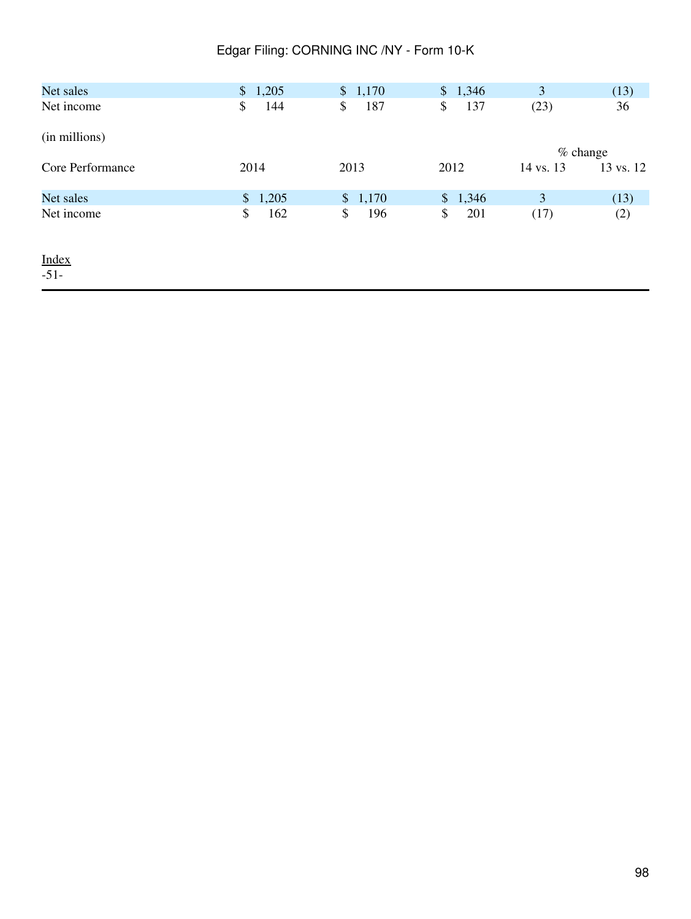| Net sales        | \$1,205   | \$1,170   | \$1,346   | 3         | (13)       |
|------------------|-----------|-----------|-----------|-----------|------------|
| Net income       | \$<br>144 | \$<br>187 | \$<br>137 | (23)      | 36         |
| (in millions)    |           |           |           |           |            |
|                  |           |           |           |           | $%$ change |
| Core Performance | 2014      | 2013      | 2012      | 14 vs. 13 | 13 vs. 12  |
| Net sales        | \$1,205   | \$1,170   | \$1,346   | 3         | (13)       |
| Net income       | \$<br>162 | \$<br>196 | \$<br>201 | (17)      | (2)        |
| Index<br>$-51-$  |           |           |           |           |            |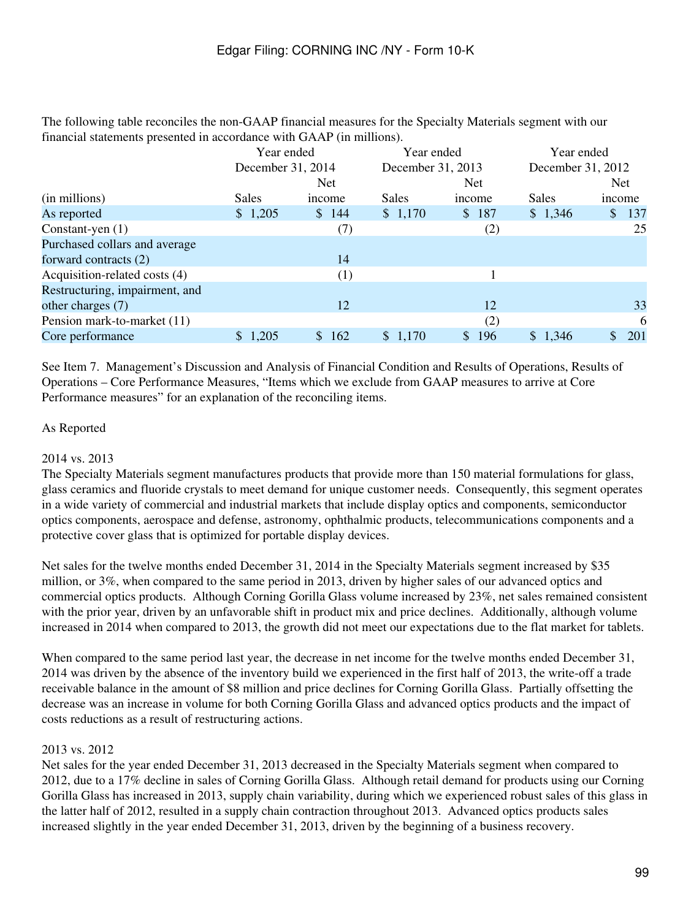The following table reconciles the non-GAAP financial measures for the Specialty Materials segment with our financial statements presented in accordance with GAAP (in millions).

|                                | Year ended        |           | Year ended        |                       | Year ended        |            |  |  |
|--------------------------------|-------------------|-----------|-------------------|-----------------------|-------------------|------------|--|--|
|                                | December 31, 2014 |           | December 31, 2013 |                       | December 31, 2012 |            |  |  |
|                                |                   | Net.      |                   | <b>Net</b>            |                   | <b>Net</b> |  |  |
| (in millions)                  | <b>Sales</b>      | income    | Sales             | income                | Sales             | income     |  |  |
| As reported                    | \$1,205           | \$144     | \$1,170           | 187<br>$\mathbb{S}^-$ | \$1,346           | \$<br>137  |  |  |
| Constant-yen $(1)$             |                   | (7)       |                   | (2)                   |                   | 25         |  |  |
| Purchased collars and average  |                   |           |                   |                       |                   |            |  |  |
| forward contracts (2)          |                   | 14        |                   |                       |                   |            |  |  |
| Acquisition-related costs (4)  |                   | (1)       |                   |                       |                   |            |  |  |
| Restructuring, impairment, and |                   |           |                   |                       |                   |            |  |  |
| other charges (7)              |                   | 12        |                   | 12                    |                   | 33         |  |  |
| Pension mark-to-market (11)    |                   |           |                   | (2)                   |                   | 6          |  |  |
| Core performance               | \$1,205           | 162<br>\$ | \$1,170           | 196<br>$\mathbb{S}^-$ | \$1,346           | 201        |  |  |

See Item 7. Management's Discussion and Analysis of Financial Condition and Results of Operations, Results of Operations – Core Performance Measures, "Items which we exclude from GAAP measures to arrive at Core Performance measures" for an explanation of the reconciling items.

# As Reported

## 2014 vs. 2013

The Specialty Materials segment manufactures products that provide more than 150 material formulations for glass, glass ceramics and fluoride crystals to meet demand for unique customer needs. Consequently, this segment operates in a wide variety of commercial and industrial markets that include display optics and components, semiconductor optics components, aerospace and defense, astronomy, ophthalmic products, telecommunications components and a protective cover glass that is optimized for portable display devices.

Net sales for the twelve months ended December 31, 2014 in the Specialty Materials segment increased by \$35 million, or 3%, when compared to the same period in 2013, driven by higher sales of our advanced optics and commercial optics products. Although Corning Gorilla Glass volume increased by 23%, net sales remained consistent with the prior year, driven by an unfavorable shift in product mix and price declines. Additionally, although volume increased in 2014 when compared to 2013, the growth did not meet our expectations due to the flat market for tablets.

When compared to the same period last year, the decrease in net income for the twelve months ended December 31, 2014 was driven by the absence of the inventory build we experienced in the first half of 2013, the write-off a trade receivable balance in the amount of \$8 million and price declines for Corning Gorilla Glass. Partially offsetting the decrease was an increase in volume for both Corning Gorilla Glass and advanced optics products and the impact of costs reductions as a result of restructuring actions.

# 2013 vs. 2012

Net sales for the year ended December 31, 2013 decreased in the Specialty Materials segment when compared to 2012, due to a 17% decline in sales of Corning Gorilla Glass. Although retail demand for products using our Corning Gorilla Glass has increased in 2013, supply chain variability, during which we experienced robust sales of this glass in the latter half of 2012, resulted in a supply chain contraction throughout 2013. Advanced optics products sales increased slightly in the year ended December 31, 2013, driven by the beginning of a business recovery.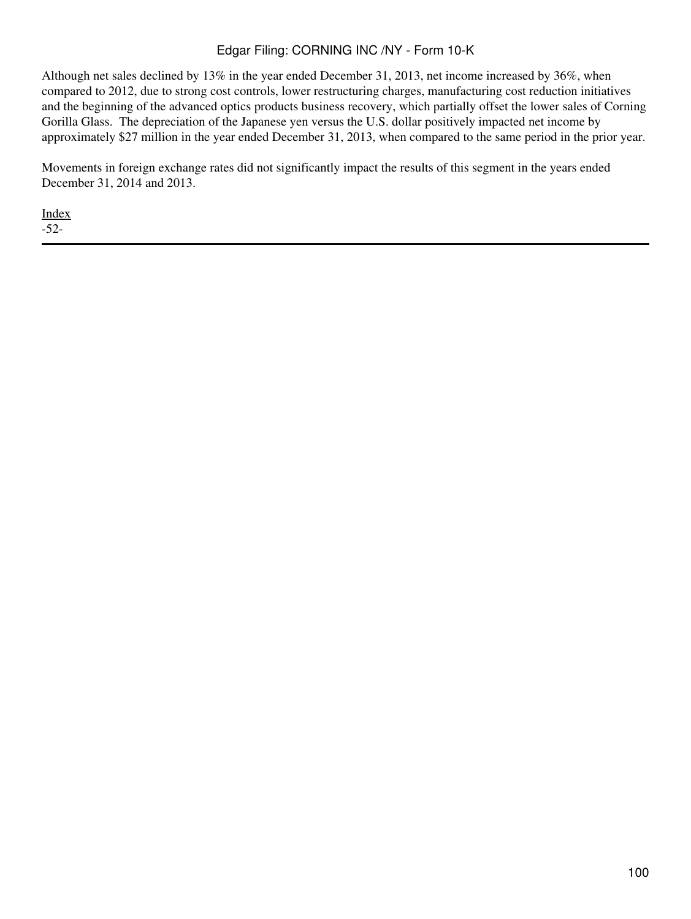Although net sales declined by 13% in the year ended December 31, 2013, net income increased by 36%, when compared to 2012, due to strong cost controls, lower restructuring charges, manufacturing cost reduction initiatives and the beginning of the advanced optics products business recovery, which partially offset the lower sales of Corning Gorilla Glass. The depreciation of the Japanese yen versus the U.S. dollar positively impacted net income by approximately \$27 million in the year ended December 31, 2013, when compared to the same period in the prior year.

Movements in foreign exchange rates did not significantly impact the results of this segment in the years ended December 31, 2014 and 2013.

[Index](#page-155-0) -52-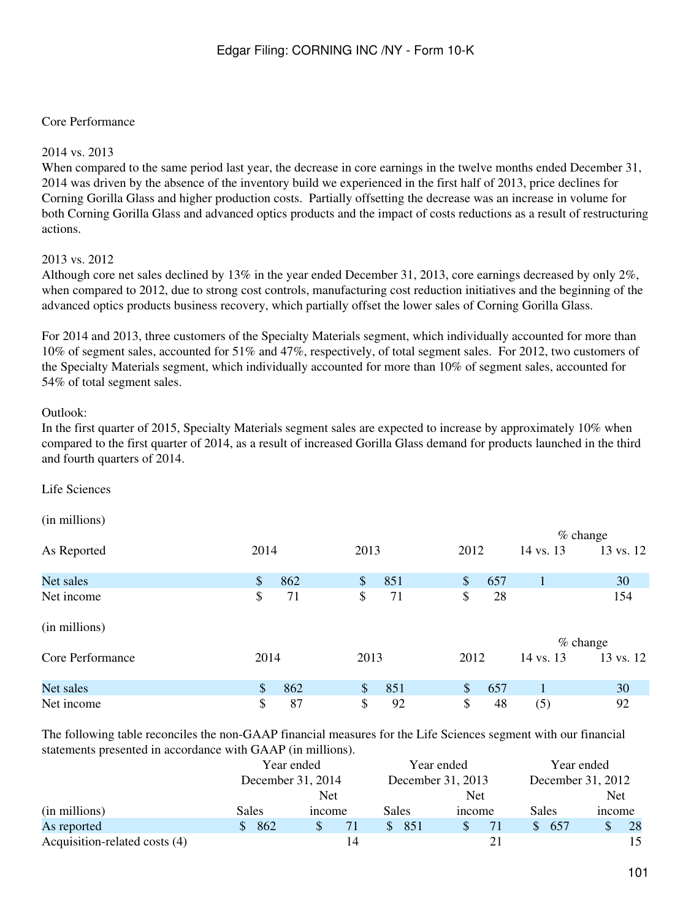## Core Performance

#### 2014 vs. 2013

When compared to the same period last year, the decrease in core earnings in the twelve months ended December 31, 2014 was driven by the absence of the inventory build we experienced in the first half of 2013, price declines for Corning Gorilla Glass and higher production costs. Partially offsetting the decrease was an increase in volume for both Corning Gorilla Glass and advanced optics products and the impact of costs reductions as a result of restructuring actions.

#### 2013 vs. 2012

Although core net sales declined by 13% in the year ended December 31, 2013, core earnings decreased by only 2%, when compared to 2012, due to strong cost controls, manufacturing cost reduction initiatives and the beginning of the advanced optics products business recovery, which partially offset the lower sales of Corning Gorilla Glass.

For 2014 and 2013, three customers of the Specialty Materials segment, which individually accounted for more than 10% of segment sales, accounted for 51% and 47%, respectively, of total segment sales. For 2012, two customers of the Specialty Materials segment, which individually accounted for more than 10% of segment sales, accounted for 54% of total segment sales.

#### Outlook:

In the first quarter of 2015, Specialty Materials segment sales are expected to increase by approximately 10% when compared to the first quarter of 2014, as a result of increased Gorilla Glass demand for products launched in the third and fourth quarters of 2014.

Life Sciences

(in millions)

|                  |                      |              |           | $%$ change |           |
|------------------|----------------------|--------------|-----------|------------|-----------|
| As Reported      | 2014                 | 2013         | 2012      | 14 vs. 13  | 13 vs. 12 |
| Net sales        | 862<br>$\mathcal{S}$ | 851<br>\$    | \$<br>657 |            | 30        |
| Net income       | \$<br>71             | \$<br>71     | \$<br>28  |            | 154       |
| (in millions)    |                      |              |           | $%$ change |           |
| Core Performance | 2014                 | 2013         | 2012      | 14 vs. 13  | 13 vs. 12 |
| Net sales        | \$<br>862            | $\$\$<br>851 | \$<br>657 |            | 30        |
| Net income       | \$<br>87             | \$<br>92     | \$<br>48  | (5)        | 92        |

The following table reconciles the non-GAAP financial measures for the Life Sciences segment with our financial statements presented in accordance with GAAP (in millions).

|                               | Year ended |                   |    | Year ended |                   |    | Year ended |       |                   |    |  |
|-------------------------------|------------|-------------------|----|------------|-------------------|----|------------|-------|-------------------|----|--|
|                               |            | December 31, 2014 |    |            | December 31, 2013 |    |            |       | December 31, 2012 |    |  |
|                               |            | Net               |    |            | <b>Net</b>        |    |            |       | <b>Net</b>        |    |  |
| (in millions)                 | Sales      | <i>n</i> come     |    | Sales      | <i>n</i> come     |    |            | Sales | <i>ncome</i>      |    |  |
| As reported                   | 862        | S                 | 71 | 851        |                   | 71 |            | 657   |                   | 28 |  |
| Acquisition-related costs (4) |            |                   | 14 |            |                   | 21 |            |       |                   | 15 |  |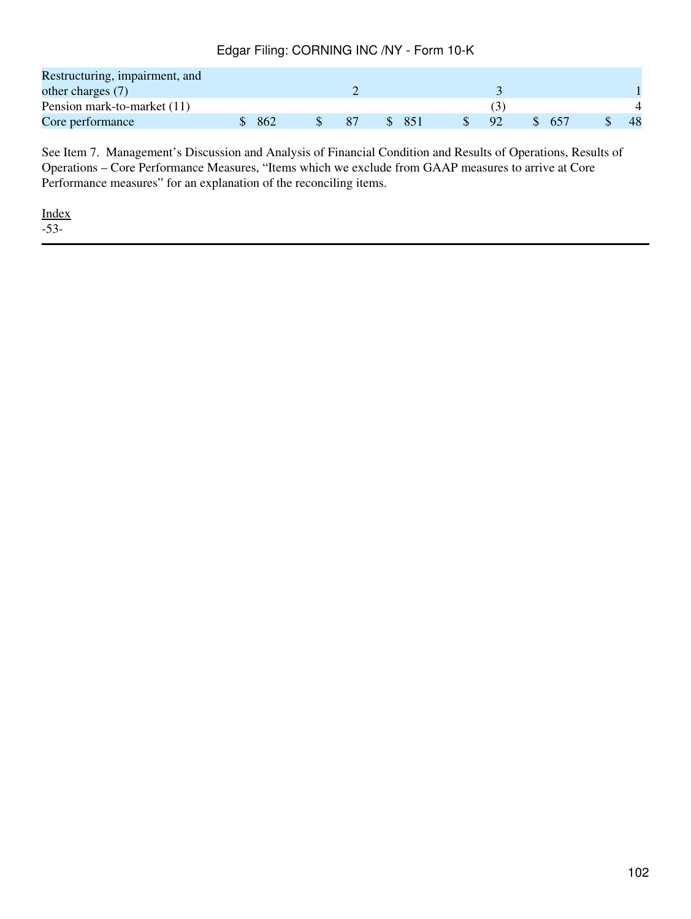| Restructuring, impairment, and |     |    |     |    |  |    |
|--------------------------------|-----|----|-----|----|--|----|
| other charges $(7)$            |     |    |     |    |  |    |
| Pension mark-to-market (11)    |     |    |     |    |  |    |
| Core performance               | 862 | 87 | 851 | 92 |  | 48 |

See Item 7. Management's Discussion and Analysis of Financial Condition and Results of Operations, Results of Operations – Core Performance Measures, "Items which we exclude from GAAP measures to arrive at Core Performance measures" for an explanation of the reconciling items.

[Index](#page-155-0) -53-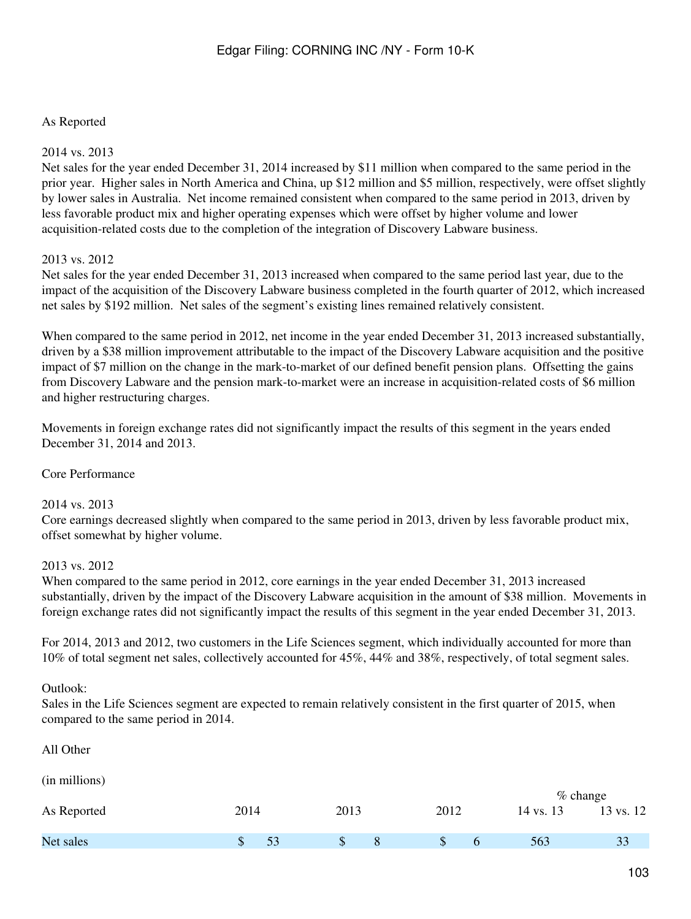### As Reported

#### 2014 vs. 2013

Net sales for the year ended December 31, 2014 increased by \$11 million when compared to the same period in the prior year. Higher sales in North America and China, up \$12 million and \$5 million, respectively, were offset slightly by lower sales in Australia. Net income remained consistent when compared to the same period in 2013, driven by less favorable product mix and higher operating expenses which were offset by higher volume and lower acquisition-related costs due to the completion of the integration of Discovery Labware business.

#### 2013 vs. 2012

Net sales for the year ended December 31, 2013 increased when compared to the same period last year, due to the impact of the acquisition of the Discovery Labware business completed in the fourth quarter of 2012, which increased net sales by \$192 million. Net sales of the segment's existing lines remained relatively consistent.

When compared to the same period in 2012, net income in the year ended December 31, 2013 increased substantially, driven by a \$38 million improvement attributable to the impact of the Discovery Labware acquisition and the positive impact of \$7 million on the change in the mark-to-market of our defined benefit pension plans. Offsetting the gains from Discovery Labware and the pension mark-to-market were an increase in acquisition-related costs of \$6 million and higher restructuring charges.

Movements in foreign exchange rates did not significantly impact the results of this segment in the years ended December 31, 2014 and 2013.

#### Core Performance

#### 2014 vs. 2013

Core earnings decreased slightly when compared to the same period in 2013, driven by less favorable product mix, offset somewhat by higher volume.

#### 2013 vs. 2012

When compared to the same period in 2012, core earnings in the year ended December 31, 2013 increased substantially, driven by the impact of the Discovery Labware acquisition in the amount of \$38 million. Movements in foreign exchange rates did not significantly impact the results of this segment in the year ended December 31, 2013.

For 2014, 2013 and 2012, two customers in the Life Sciences segment, which individually accounted for more than 10% of total segment net sales, collectively accounted for 45%, 44% and 38%, respectively, of total segment sales.

#### Outlook:

Sales in the Life Sciences segment are expected to remain relatively consistent in the first quarter of 2015, when compared to the same period in 2014.

| All Other     |          |        |         |           |                         |
|---------------|----------|--------|---------|-----------|-------------------------|
| (in millions) |          |        |         |           |                         |
| As Reported   | 2014     | 2013   | 2012    | 14 vs. 13 | $%$ change<br>13 vs. 12 |
| Net sales     | \$<br>53 | S<br>8 | \$<br>b | 563       | 33                      |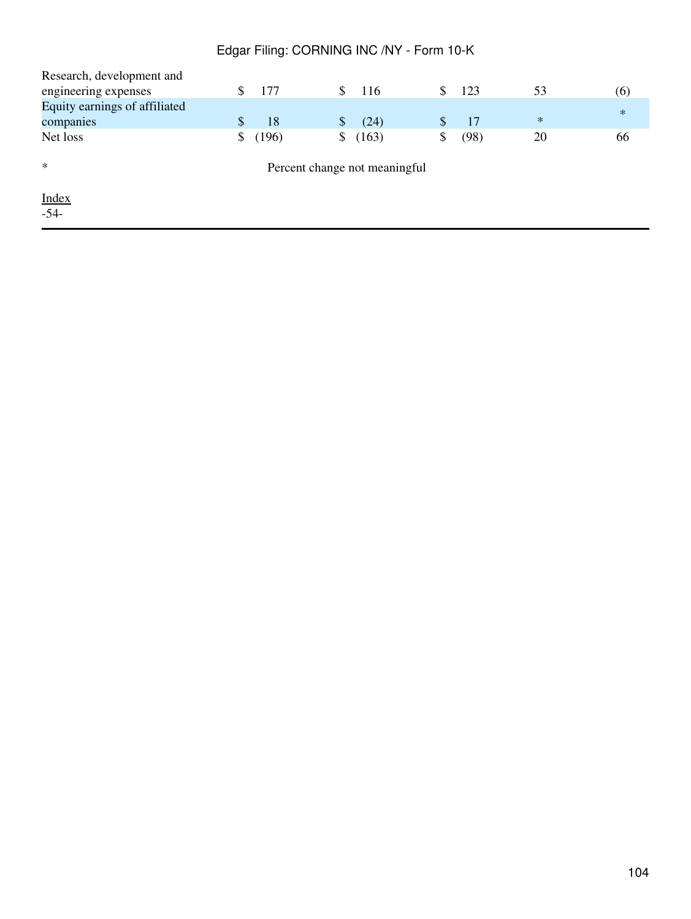| Research, development and     |    |       |    |                               |           |        |        |
|-------------------------------|----|-------|----|-------------------------------|-----------|--------|--------|
| engineering expenses          | S  | 177   | S. | 116                           | \$<br>123 | 53     | (6)    |
| Equity earnings of affiliated |    |       |    |                               |           |        | $\ast$ |
| companies                     | S  | 18    |    | (24)                          | 17        | $\ast$ |        |
| Net loss                      | \$ | (196) | \$ | (163)                         | (98)      | 20     | 66     |
| $\ast$                        |    |       |    | Percent change not meaningful |           |        |        |
| Index                         |    |       |    |                               |           |        |        |
| $-54-$                        |    |       |    |                               |           |        |        |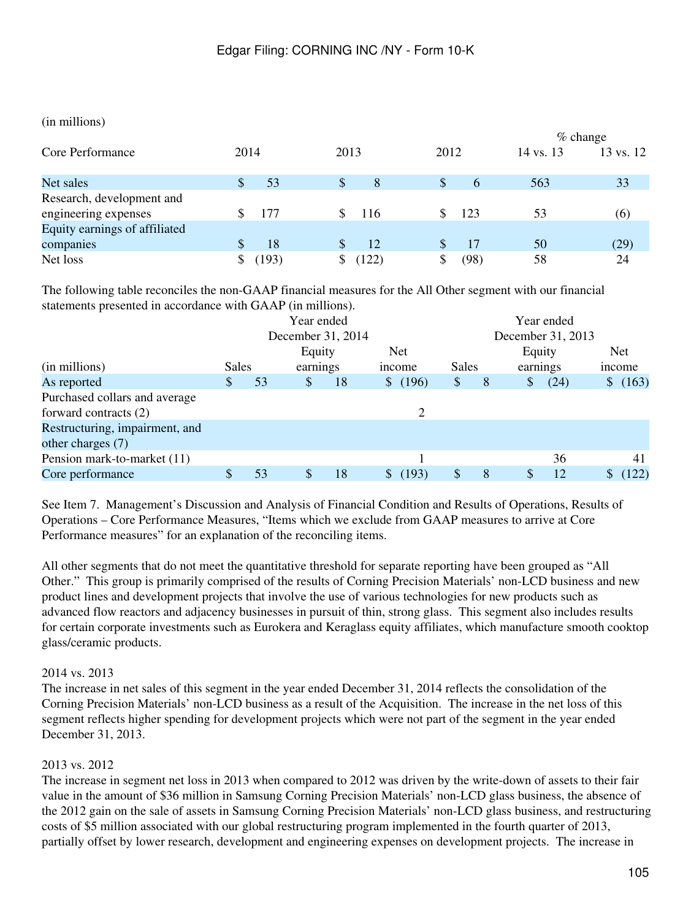#### (in millions)

|                               |       |        | $%$ change    |           |           |  |  |  |
|-------------------------------|-------|--------|---------------|-----------|-----------|--|--|--|
| Core Performance              | 2014  | 2013   | 2012          | 14 vs. 13 | 13 vs. 12 |  |  |  |
| Net sales                     | 53    | 8<br>S | S<br>$\sigma$ | 563       | 33        |  |  |  |
| Research, development and     |       |        |               |           |           |  |  |  |
| engineering expenses          | 177   | -116   | 123<br>S      | 53        | (6)       |  |  |  |
| Equity earnings of affiliated |       |        |               |           |           |  |  |  |
| companies                     | 18    | 12     | S.            | 50        | (29)      |  |  |  |
| Net loss                      | (193) | (122)  | (98)          | 58        | 24        |  |  |  |

The following table reconciles the non-GAAP financial measures for the All Other segment with our financial statements presented in accordance with GAAP (in millions).

|                                | Year ended<br>December 31, 2014 |        |               |    |              | Year ended        |    |              |               |          |              |        |  |
|--------------------------------|---------------------------------|--------|---------------|----|--------------|-------------------|----|--------------|---------------|----------|--------------|--------|--|
|                                |                                 |        |               |    |              | December 31, 2013 |    |              |               |          |              |        |  |
|                                |                                 | Equity |               |    | <b>Net</b>   |                   |    | Equity       |               |          | Net          |        |  |
| (in millions)                  | <b>Sales</b>                    |        | earnings      |    |              | <i>n</i> come     |    | <b>Sales</b> |               | earnings |              | income |  |
| As reported                    |                                 | 53     | <sup>\$</sup> | 18 | $\mathbb{S}$ | (196)             | \$ | 8            | $\mathcal{S}$ | (24)     | $\mathbb{S}$ | (163)  |  |
| Purchased collars and average  |                                 |        |               |    |              |                   |    |              |               |          |              |        |  |
| forward contracts (2)          |                                 |        |               |    |              | 2                 |    |              |               |          |              |        |  |
| Restructuring, impairment, and |                                 |        |               |    |              |                   |    |              |               |          |              |        |  |
| other charges (7)              |                                 |        |               |    |              |                   |    |              |               |          |              |        |  |
| Pension mark-to-market (11)    |                                 |        |               |    |              |                   |    |              |               | 36       |              | 41     |  |
| Core performance               |                                 | 53     | \$            | 18 |              | (193)             |    | 8            | \$            | 12       |              | 122)   |  |

See Item 7. Management's Discussion and Analysis of Financial Condition and Results of Operations, Results of Operations – Core Performance Measures, "Items which we exclude from GAAP measures to arrive at Core Performance measures" for an explanation of the reconciling items.

All other segments that do not meet the quantitative threshold for separate reporting have been grouped as "All Other." This group is primarily comprised of the results of Corning Precision Materials' non-LCD business and new product lines and development projects that involve the use of various technologies for new products such as advanced flow reactors and adjacency businesses in pursuit of thin, strong glass. This segment also includes results for certain corporate investments such as Eurokera and Keraglass equity affiliates, which manufacture smooth cooktop glass/ceramic products.

## 2014 vs. 2013

The increase in net sales of this segment in the year ended December 31, 2014 reflects the consolidation of the Corning Precision Materials' non-LCD business as a result of the Acquisition. The increase in the net loss of this segment reflects higher spending for development projects which were not part of the segment in the year ended December 31, 2013.

## 2013 vs. 2012

The increase in segment net loss in 2013 when compared to 2012 was driven by the write-down of assets to their fair value in the amount of \$36 million in Samsung Corning Precision Materials' non-LCD glass business, the absence of the 2012 gain on the sale of assets in Samsung Corning Precision Materials' non-LCD glass business, and restructuring costs of \$5 million associated with our global restructuring program implemented in the fourth quarter of 2013, partially offset by lower research, development and engineering expenses on development projects. The increase in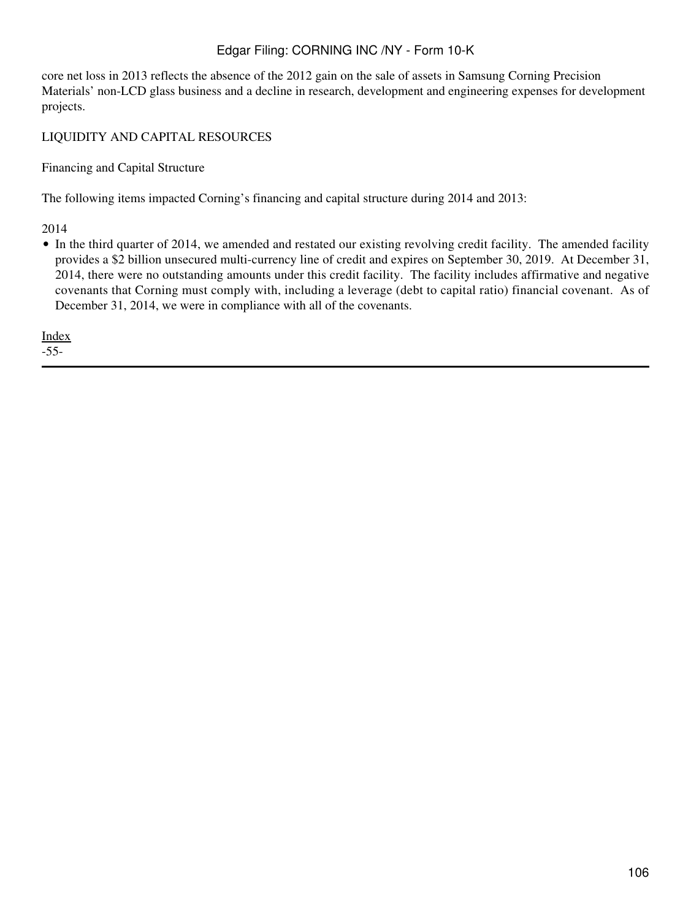core net loss in 2013 reflects the absence of the 2012 gain on the sale of assets in Samsung Corning Precision Materials' non-LCD glass business and a decline in research, development and engineering expenses for development projects.

# LIQUIDITY AND CAPITAL RESOURCES

Financing and Capital Structure

The following items impacted Corning's financing and capital structure during 2014 and 2013:

2014

• In the third quarter of 2014, we amended and restated our existing revolving credit facility. The amended facility provides a \$2 billion unsecured multi-currency line of credit and expires on September 30, 2019. At December 31, 2014, there were no outstanding amounts under this credit facility. The facility includes affirmative and negative covenants that Corning must comply with, including a leverage (debt to capital ratio) financial covenant. As of December 31, 2014, we were in compliance with all of the covenants.

[Index](#page-155-0)

-55-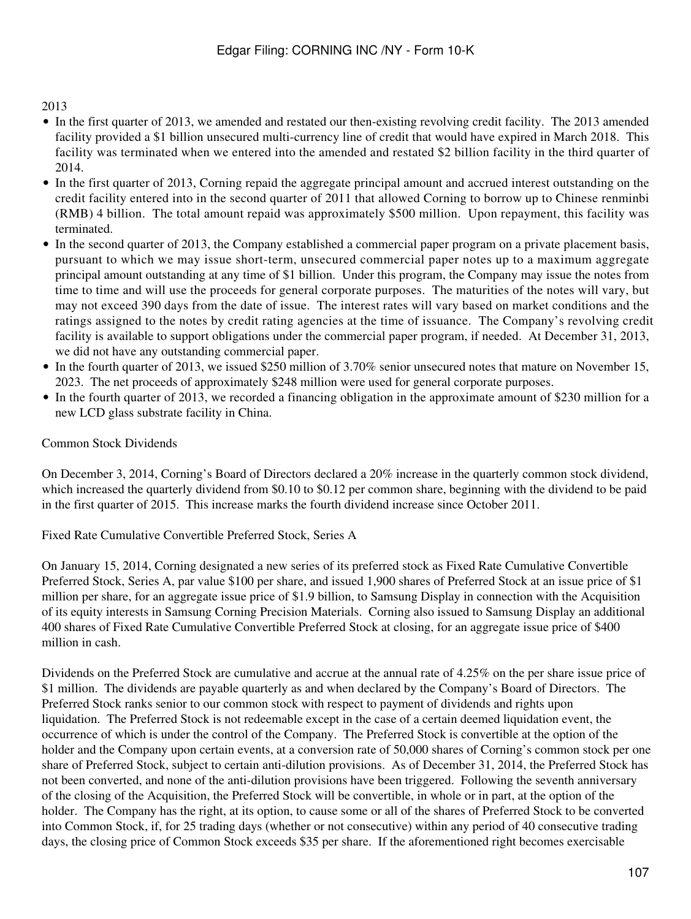# 2013

- In the first quarter of 2013, we amended and restated our then-existing revolving credit facility. The 2013 amended facility provided a \$1 billion unsecured multi-currency line of credit that would have expired in March 2018. This facility was terminated when we entered into the amended and restated \$2 billion facility in the third quarter of 2014.
- In the first quarter of 2013, Corning repaid the aggregate principal amount and accrued interest outstanding on the credit facility entered into in the second quarter of 2011 that allowed Corning to borrow up to Chinese renminbi (RMB) 4 billion. The total amount repaid was approximately \$500 million. Upon repayment, this facility was terminated.
- In the second quarter of 2013, the Company established a commercial paper program on a private placement basis, pursuant to which we may issue short-term, unsecured commercial paper notes up to a maximum aggregate principal amount outstanding at any time of \$1 billion. Under this program, the Company may issue the notes from time to time and will use the proceeds for general corporate purposes. The maturities of the notes will vary, but may not exceed 390 days from the date of issue. The interest rates will vary based on market conditions and the ratings assigned to the notes by credit rating agencies at the time of issuance. The Company's revolving credit facility is available to support obligations under the commercial paper program, if needed. At December 31, 2013, we did not have any outstanding commercial paper.
- In the fourth quarter of 2013, we issued \$250 million of 3.70% senior unsecured notes that mature on November 15, 2023. The net proceeds of approximately \$248 million were used for general corporate purposes.
- In the fourth quarter of 2013, we recorded a financing obligation in the approximate amount of \$230 million for a new LCD glass substrate facility in China.

# Common Stock Dividends

On December 3, 2014, Corning's Board of Directors declared a 20% increase in the quarterly common stock dividend, which increased the quarterly dividend from \$0.10 to \$0.12 per common share, beginning with the dividend to be paid in the first quarter of 2015. This increase marks the fourth dividend increase since October 2011.

Fixed Rate Cumulative Convertible Preferred Stock, Series A

On January 15, 2014, Corning designated a new series of its preferred stock as Fixed Rate Cumulative Convertible Preferred Stock, Series A, par value \$100 per share, and issued 1,900 shares of Preferred Stock at an issue price of \$1 million per share, for an aggregate issue price of \$1.9 billion, to Samsung Display in connection with the Acquisition of its equity interests in Samsung Corning Precision Materials. Corning also issued to Samsung Display an additional 400 shares of Fixed Rate Cumulative Convertible Preferred Stock at closing, for an aggregate issue price of \$400 million in cash.

Dividends on the Preferred Stock are cumulative and accrue at the annual rate of 4.25% on the per share issue price of \$1 million. The dividends are payable quarterly as and when declared by the Company's Board of Directors. The Preferred Stock ranks senior to our common stock with respect to payment of dividends and rights upon liquidation. The Preferred Stock is not redeemable except in the case of a certain deemed liquidation event, the occurrence of which is under the control of the Company. The Preferred Stock is convertible at the option of the holder and the Company upon certain events, at a conversion rate of 50,000 shares of Corning's common stock per one share of Preferred Stock, subject to certain anti-dilution provisions. As of December 31, 2014, the Preferred Stock has not been converted, and none of the anti-dilution provisions have been triggered. Following the seventh anniversary of the closing of the Acquisition, the Preferred Stock will be convertible, in whole or in part, at the option of the holder. The Company has the right, at its option, to cause some or all of the shares of Preferred Stock to be converted into Common Stock, if, for 25 trading days (whether or not consecutive) within any period of 40 consecutive trading days, the closing price of Common Stock exceeds \$35 per share. If the aforementioned right becomes exercisable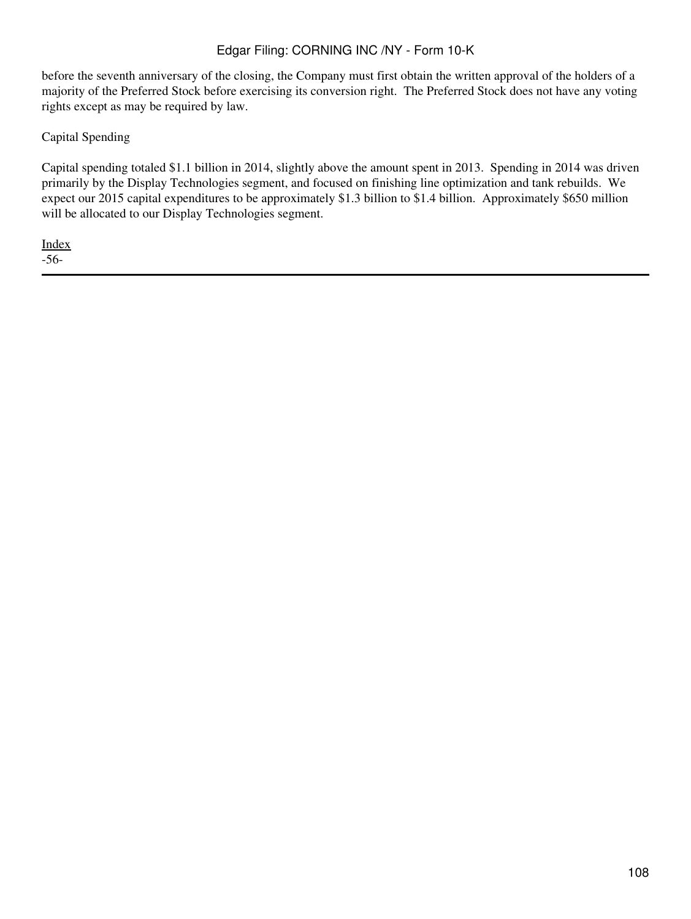before the seventh anniversary of the closing, the Company must first obtain the written approval of the holders of a majority of the Preferred Stock before exercising its conversion right. The Preferred Stock does not have any voting rights except as may be required by law.

Capital Spending

Capital spending totaled \$1.1 billion in 2014, slightly above the amount spent in 2013. Spending in 2014 was driven primarily by the Display Technologies segment, and focused on finishing line optimization and tank rebuilds. We expect our 2015 capital expenditures to be approximately \$1.3 billion to \$1.4 billion. Approximately \$650 million will be allocated to our Display Technologies segment.

[Index](#page-155-0) -56-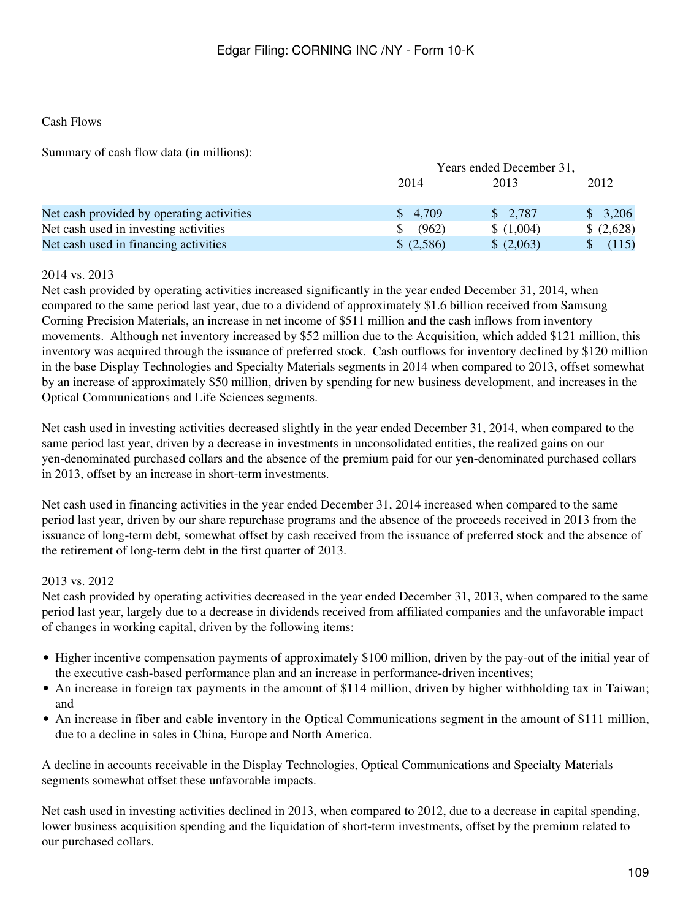# Cash Flows

Summary of cash flow data (in millions):

|                                           |         | Years ended December 31, |            |  |
|-------------------------------------------|---------|--------------------------|------------|--|
|                                           | 2014    | 2013                     | 2012       |  |
| Net cash provided by operating activities | \$4,709 | \$2,787                  | \$3,206    |  |
| Net cash used in investing activities     | (962)   | \$(1,004)                | \$ (2,628) |  |
| Net cash used in financing activities     | (2,586) | (2,063)                  | (115)      |  |

### 2014 vs. 2013

Net cash provided by operating activities increased significantly in the year ended December 31, 2014, when compared to the same period last year, due to a dividend of approximately \$1.6 billion received from Samsung Corning Precision Materials, an increase in net income of \$511 million and the cash inflows from inventory movements. Although net inventory increased by \$52 million due to the Acquisition, which added \$121 million, this inventory was acquired through the issuance of preferred stock. Cash outflows for inventory declined by \$120 million in the base Display Technologies and Specialty Materials segments in 2014 when compared to 2013, offset somewhat by an increase of approximately \$50 million, driven by spending for new business development, and increases in the Optical Communications and Life Sciences segments.

Net cash used in investing activities decreased slightly in the year ended December 31, 2014, when compared to the same period last year, driven by a decrease in investments in unconsolidated entities, the realized gains on our yen-denominated purchased collars and the absence of the premium paid for our yen-denominated purchased collars in 2013, offset by an increase in short-term investments.

Net cash used in financing activities in the year ended December 31, 2014 increased when compared to the same period last year, driven by our share repurchase programs and the absence of the proceeds received in 2013 from the issuance of long-term debt, somewhat offset by cash received from the issuance of preferred stock and the absence of the retirement of long-term debt in the first quarter of 2013.

#### 2013 vs. 2012

Net cash provided by operating activities decreased in the year ended December 31, 2013, when compared to the same period last year, largely due to a decrease in dividends received from affiliated companies and the unfavorable impact of changes in working capital, driven by the following items:

- Higher incentive compensation payments of approximately \$100 million, driven by the pay-out of the initial year of the executive cash-based performance plan and an increase in performance-driven incentives;
- An increase in foreign tax payments in the amount of \$114 million, driven by higher withholding tax in Taiwan; and
- An increase in fiber and cable inventory in the Optical Communications segment in the amount of \$111 million, due to a decline in sales in China, Europe and North America.

A decline in accounts receivable in the Display Technologies, Optical Communications and Specialty Materials segments somewhat offset these unfavorable impacts.

Net cash used in investing activities declined in 2013, when compared to 2012, due to a decrease in capital spending, lower business acquisition spending and the liquidation of short-term investments, offset by the premium related to our purchased collars.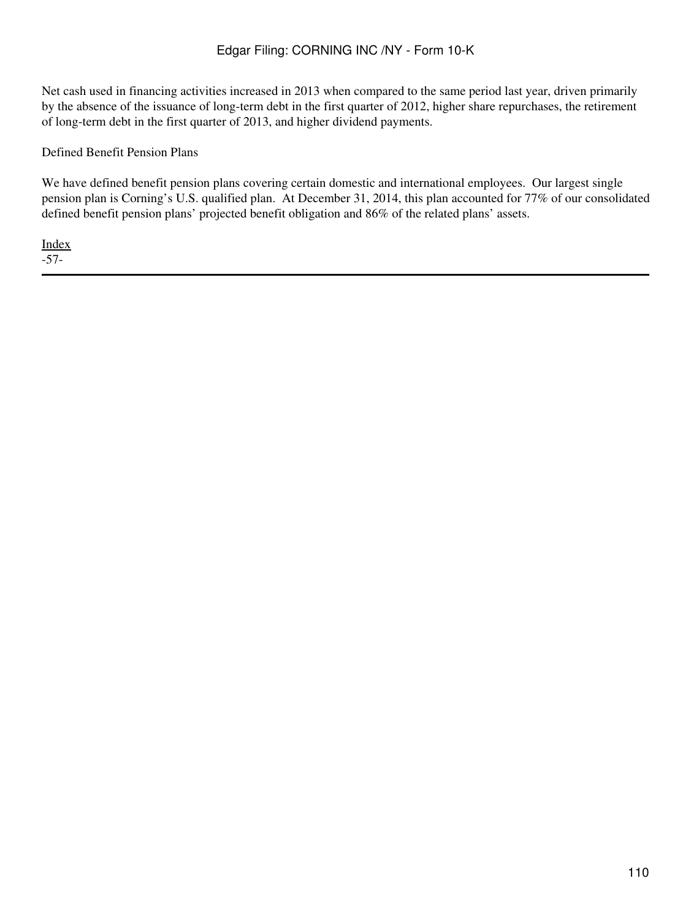Net cash used in financing activities increased in 2013 when compared to the same period last year, driven primarily by the absence of the issuance of long-term debt in the first quarter of 2012, higher share repurchases, the retirement of long-term debt in the first quarter of 2013, and higher dividend payments.

### Defined Benefit Pension Plans

We have defined benefit pension plans covering certain domestic and international employees. Our largest single pension plan is Corning's U.S. qualified plan. At December 31, 2014, this plan accounted for 77% of our consolidated defined benefit pension plans' projected benefit obligation and 86% of the related plans' assets.

[Index](#page-155-0) -57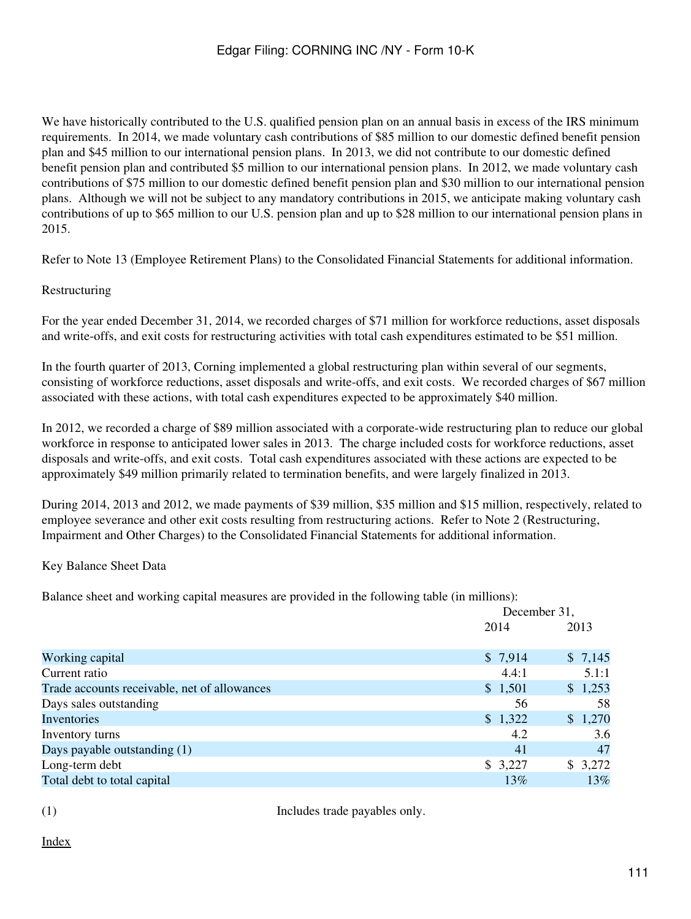We have historically contributed to the U.S. qualified pension plan on an annual basis in excess of the IRS minimum requirements. In 2014, we made voluntary cash contributions of \$85 million to our domestic defined benefit pension plan and \$45 million to our international pension plans. In 2013, we did not contribute to our domestic defined benefit pension plan and contributed \$5 million to our international pension plans. In 2012, we made voluntary cash contributions of \$75 million to our domestic defined benefit pension plan and \$30 million to our international pension plans. Although we will not be subject to any mandatory contributions in 2015, we anticipate making voluntary cash contributions of up to \$65 million to our U.S. pension plan and up to \$28 million to our international pension plans in 2015.

Refer to Note 13 (Employee Retirement Plans) to the Consolidated Financial Statements for additional information.

Restructuring

For the year ended December 31, 2014, we recorded charges of \$71 million for workforce reductions, asset disposals and write-offs, and exit costs for restructuring activities with total cash expenditures estimated to be \$51 million.

In the fourth quarter of 2013, Corning implemented a global restructuring plan within several of our segments, consisting of workforce reductions, asset disposals and write-offs, and exit costs. We recorded charges of \$67 million associated with these actions, with total cash expenditures expected to be approximately \$40 million.

In 2012, we recorded a charge of \$89 million associated with a corporate-wide restructuring plan to reduce our global workforce in response to anticipated lower sales in 2013. The charge included costs for workforce reductions, asset disposals and write-offs, and exit costs. Total cash expenditures associated with these actions are expected to be approximately \$49 million primarily related to termination benefits, and were largely finalized in 2013.

During 2014, 2013 and 2012, we made payments of \$39 million, \$35 million and \$15 million, respectively, related to employee severance and other exit costs resulting from restructuring actions. Refer to Note 2 (Restructuring, Impairment and Other Charges) to the Consolidated Financial Statements for additional information.

Key Balance Sheet Data

Balance sheet and working capital measures are provided in the following table (in millions):

|                                              |         | December 31, |  |  |
|----------------------------------------------|---------|--------------|--|--|
|                                              | 2014    | 2013         |  |  |
| Working capital                              | \$7,914 | \$7,145      |  |  |
| Current ratio                                | 4.4:1   | 5.1:1        |  |  |
| Trade accounts receivable, net of allowances | \$1,501 | \$1,253      |  |  |
| Days sales outstanding                       | 56      | 58           |  |  |
| Inventories                                  | \$1,322 | \$1,270      |  |  |
| Inventory turns                              | 4.2     | 3.6          |  |  |
| Days payable outstanding (1)                 | 41      | 47           |  |  |
| Long-term debt                               | \$3,227 | 3,272<br>S.  |  |  |
| Total debt to total capital                  | 13%     | 13%          |  |  |

(1) Includes trade payables only.

[Index](#page-155-0)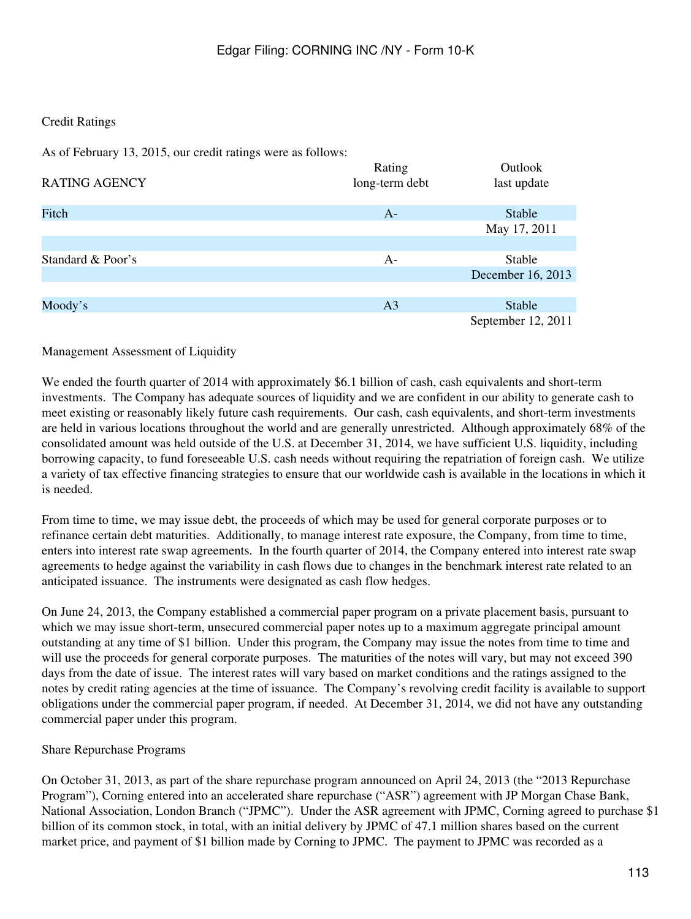# Credit Ratings

As of February 13, 2015, our credit ratings were as follows:

| <b>RATING AGENCY</b> | Rating<br>long-term debt | Outlook<br>last update |
|----------------------|--------------------------|------------------------|
| Fitch                | $A-$                     | Stable                 |
|                      |                          | May 17, 2011           |
|                      |                          |                        |
| Standard & Poor's    | $A-$                     | Stable                 |
|                      |                          | December 16, 2013      |
|                      |                          |                        |
| Moody's              | A <sub>3</sub>           | Stable                 |
|                      |                          | September 12, 2011     |

Management Assessment of Liquidity

We ended the fourth quarter of 2014 with approximately \$6.1 billion of cash, cash equivalents and short-term investments. The Company has adequate sources of liquidity and we are confident in our ability to generate cash to meet existing or reasonably likely future cash requirements. Our cash, cash equivalents, and short-term investments are held in various locations throughout the world and are generally unrestricted. Although approximately 68% of the consolidated amount was held outside of the U.S. at December 31, 2014, we have sufficient U.S. liquidity, including borrowing capacity, to fund foreseeable U.S. cash needs without requiring the repatriation of foreign cash. We utilize a variety of tax effective financing strategies to ensure that our worldwide cash is available in the locations in which it is needed.

From time to time, we may issue debt, the proceeds of which may be used for general corporate purposes or to refinance certain debt maturities. Additionally, to manage interest rate exposure, the Company, from time to time, enters into interest rate swap agreements. In the fourth quarter of 2014, the Company entered into interest rate swap agreements to hedge against the variability in cash flows due to changes in the benchmark interest rate related to an anticipated issuance. The instruments were designated as cash flow hedges.

On June 24, 2013, the Company established a commercial paper program on a private placement basis, pursuant to which we may issue short-term, unsecured commercial paper notes up to a maximum aggregate principal amount outstanding at any time of \$1 billion. Under this program, the Company may issue the notes from time to time and will use the proceeds for general corporate purposes. The maturities of the notes will vary, but may not exceed 390 days from the date of issue. The interest rates will vary based on market conditions and the ratings assigned to the notes by credit rating agencies at the time of issuance. The Company's revolving credit facility is available to support obligations under the commercial paper program, if needed. At December 31, 2014, we did not have any outstanding commercial paper under this program.

# Share Repurchase Programs

On October 31, 2013, as part of the share repurchase program announced on April 24, 2013 (the "2013 Repurchase Program"), Corning entered into an accelerated share repurchase ("ASR") agreement with JP Morgan Chase Bank, National Association, London Branch ("JPMC"). Under the ASR agreement with JPMC, Corning agreed to purchase \$1 billion of its common stock, in total, with an initial delivery by JPMC of 47.1 million shares based on the current market price, and payment of \$1 billion made by Corning to JPMC. The payment to JPMC was recorded as a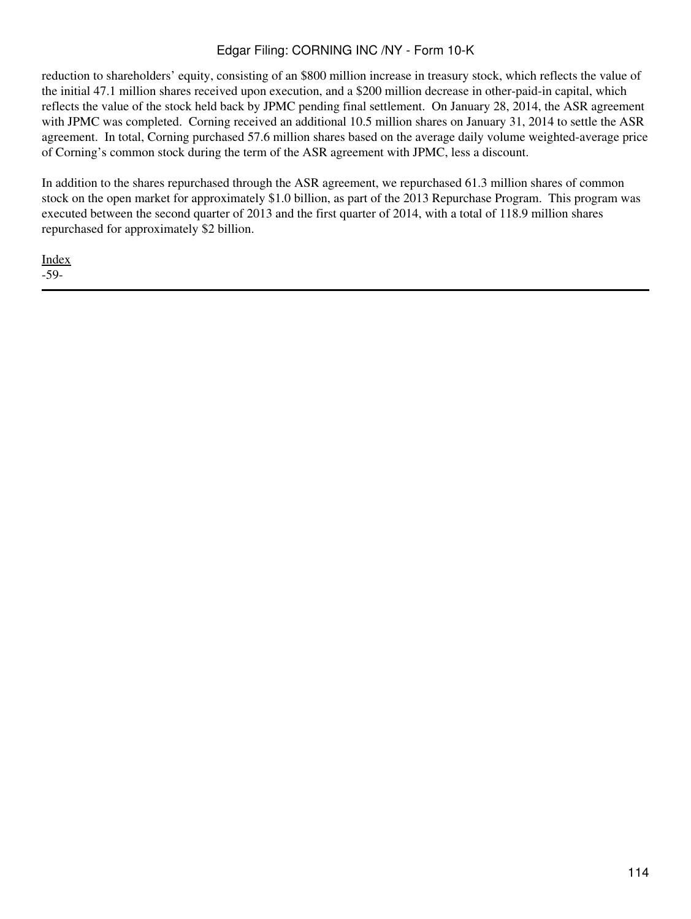reduction to shareholders' equity, consisting of an \$800 million increase in treasury stock, which reflects the value of the initial 47.1 million shares received upon execution, and a \$200 million decrease in other-paid-in capital, which reflects the value of the stock held back by JPMC pending final settlement. On January 28, 2014, the ASR agreement with JPMC was completed. Corning received an additional 10.5 million shares on January 31, 2014 to settle the ASR agreement. In total, Corning purchased 57.6 million shares based on the average daily volume weighted-average price of Corning's common stock during the term of the ASR agreement with JPMC, less a discount.

In addition to the shares repurchased through the ASR agreement, we repurchased 61.3 million shares of common stock on the open market for approximately \$1.0 billion, as part of the 2013 Repurchase Program. This program was executed between the second quarter of 2013 and the first quarter of 2014, with a total of 118.9 million shares repurchased for approximately \$2 billion.

[Index](#page-155-0) -59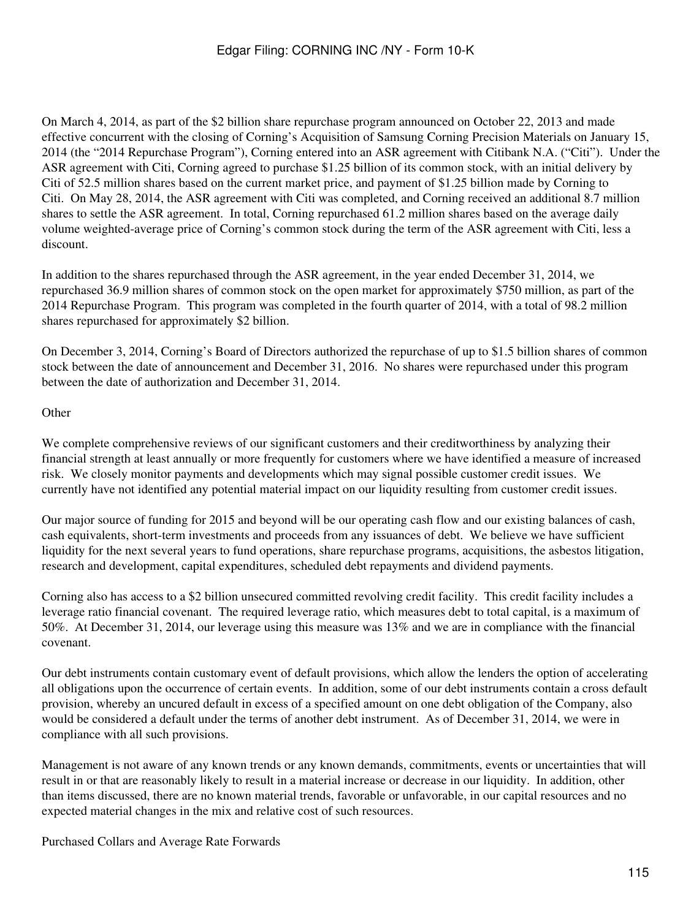On March 4, 2014, as part of the \$2 billion share repurchase program announced on October 22, 2013 and made effective concurrent with the closing of Corning's Acquisition of Samsung Corning Precision Materials on January 15, 2014 (the "2014 Repurchase Program"), Corning entered into an ASR agreement with Citibank N.A. ("Citi"). Under the ASR agreement with Citi, Corning agreed to purchase \$1.25 billion of its common stock, with an initial delivery by Citi of 52.5 million shares based on the current market price, and payment of \$1.25 billion made by Corning to Citi. On May 28, 2014, the ASR agreement with Citi was completed, and Corning received an additional 8.7 million shares to settle the ASR agreement. In total, Corning repurchased 61.2 million shares based on the average daily volume weighted-average price of Corning's common stock during the term of the ASR agreement with Citi, less a discount.

In addition to the shares repurchased through the ASR agreement, in the year ended December 31, 2014, we repurchased 36.9 million shares of common stock on the open market for approximately \$750 million, as part of the 2014 Repurchase Program. This program was completed in the fourth quarter of 2014, with a total of 98.2 million shares repurchased for approximately \$2 billion.

On December 3, 2014, Corning's Board of Directors authorized the repurchase of up to \$1.5 billion shares of common stock between the date of announcement and December 31, 2016. No shares were repurchased under this program between the date of authorization and December 31, 2014.

# **Other**

We complete comprehensive reviews of our significant customers and their creditworthiness by analyzing their financial strength at least annually or more frequently for customers where we have identified a measure of increased risk. We closely monitor payments and developments which may signal possible customer credit issues. We currently have not identified any potential material impact on our liquidity resulting from customer credit issues.

Our major source of funding for 2015 and beyond will be our operating cash flow and our existing balances of cash, cash equivalents, short-term investments and proceeds from any issuances of debt. We believe we have sufficient liquidity for the next several years to fund operations, share repurchase programs, acquisitions, the asbestos litigation, research and development, capital expenditures, scheduled debt repayments and dividend payments.

Corning also has access to a \$2 billion unsecured committed revolving credit facility. This credit facility includes a leverage ratio financial covenant. The required leverage ratio, which measures debt to total capital, is a maximum of 50%. At December 31, 2014, our leverage using this measure was 13% and we are in compliance with the financial covenant.

Our debt instruments contain customary event of default provisions, which allow the lenders the option of accelerating all obligations upon the occurrence of certain events. In addition, some of our debt instruments contain a cross default provision, whereby an uncured default in excess of a specified amount on one debt obligation of the Company, also would be considered a default under the terms of another debt instrument. As of December 31, 2014, we were in compliance with all such provisions.

Management is not aware of any known trends or any known demands, commitments, events or uncertainties that will result in or that are reasonably likely to result in a material increase or decrease in our liquidity. In addition, other than items discussed, there are no known material trends, favorable or unfavorable, in our capital resources and no expected material changes in the mix and relative cost of such resources.

Purchased Collars and Average Rate Forwards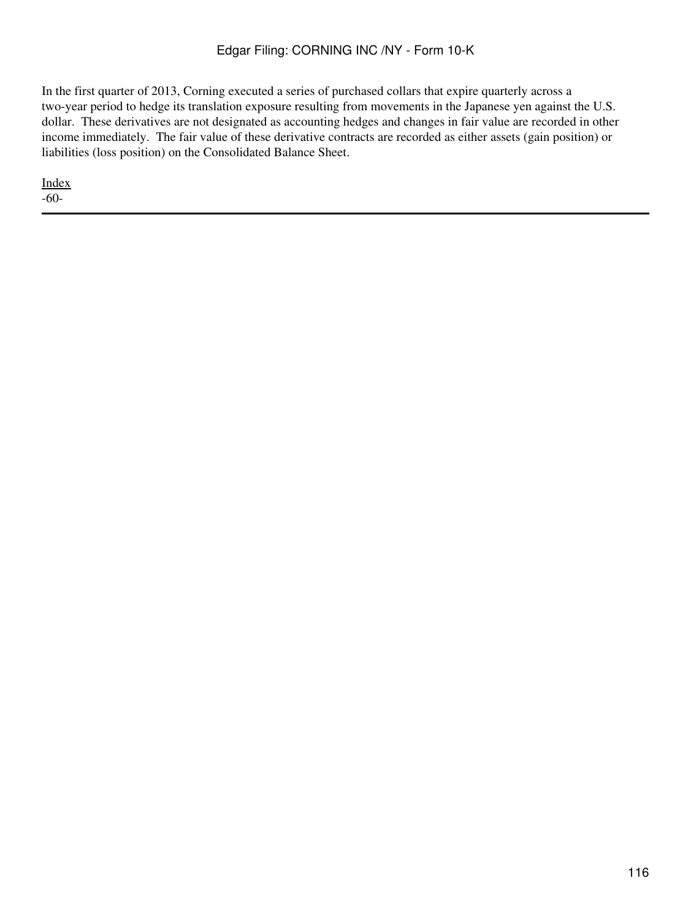In the first quarter of 2013, Corning executed a series of purchased collars that expire quarterly across a two-year period to hedge its translation exposure resulting from movements in the Japanese yen against the U.S. dollar. These derivatives are not designated as accounting hedges and changes in fair value are recorded in other income immediately. The fair value of these derivative contracts are recorded as either assets (gain position) or liabilities (loss position) on the Consolidated Balance Sheet.

[Index](#page-155-0) -60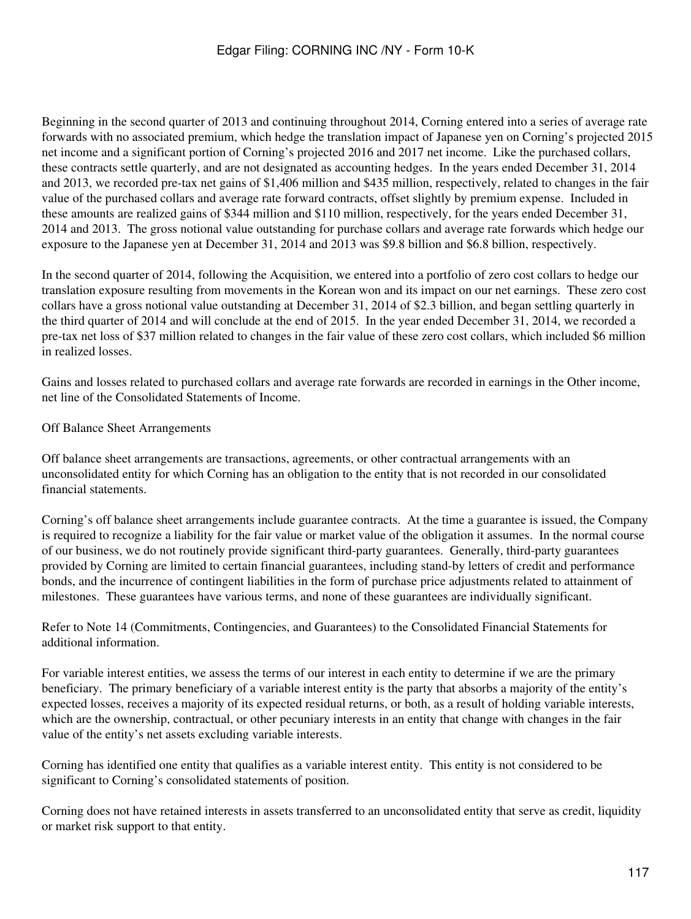Beginning in the second quarter of 2013 and continuing throughout 2014, Corning entered into a series of average rate forwards with no associated premium, which hedge the translation impact of Japanese yen on Corning's projected 2015 net income and a significant portion of Corning's projected 2016 and 2017 net income. Like the purchased collars, these contracts settle quarterly, and are not designated as accounting hedges. In the years ended December 31, 2014 and 2013, we recorded pre-tax net gains of \$1,406 million and \$435 million, respectively, related to changes in the fair value of the purchased collars and average rate forward contracts, offset slightly by premium expense. Included in these amounts are realized gains of \$344 million and \$110 million, respectively, for the years ended December 31, 2014 and 2013. The gross notional value outstanding for purchase collars and average rate forwards which hedge our exposure to the Japanese yen at December 31, 2014 and 2013 was \$9.8 billion and \$6.8 billion, respectively.

In the second quarter of 2014, following the Acquisition, we entered into a portfolio of zero cost collars to hedge our translation exposure resulting from movements in the Korean won and its impact on our net earnings. These zero cost collars have a gross notional value outstanding at December 31, 2014 of \$2.3 billion, and began settling quarterly in the third quarter of 2014 and will conclude at the end of 2015. In the year ended December 31, 2014, we recorded a pre-tax net loss of \$37 million related to changes in the fair value of these zero cost collars, which included \$6 million in realized losses.

Gains and losses related to purchased collars and average rate forwards are recorded in earnings in the Other income, net line of the Consolidated Statements of Income.

Off Balance Sheet Arrangements

Off balance sheet arrangements are transactions, agreements, or other contractual arrangements with an unconsolidated entity for which Corning has an obligation to the entity that is not recorded in our consolidated financial statements.

Corning's off balance sheet arrangements include guarantee contracts. At the time a guarantee is issued, the Company is required to recognize a liability for the fair value or market value of the obligation it assumes. In the normal course of our business, we do not routinely provide significant third-party guarantees. Generally, third-party guarantees provided by Corning are limited to certain financial guarantees, including stand-by letters of credit and performance bonds, and the incurrence of contingent liabilities in the form of purchase price adjustments related to attainment of milestones. These guarantees have various terms, and none of these guarantees are individually significant.

Refer to Note 14 (Commitments, Contingencies, and Guarantees) to the Consolidated Financial Statements for additional information.

For variable interest entities, we assess the terms of our interest in each entity to determine if we are the primary beneficiary. The primary beneficiary of a variable interest entity is the party that absorbs a majority of the entity's expected losses, receives a majority of its expected residual returns, or both, as a result of holding variable interests, which are the ownership, contractual, or other pecuniary interests in an entity that change with changes in the fair value of the entity's net assets excluding variable interests.

Corning has identified one entity that qualifies as a variable interest entity. This entity is not considered to be significant to Corning's consolidated statements of position.

Corning does not have retained interests in assets transferred to an unconsolidated entity that serve as credit, liquidity or market risk support to that entity.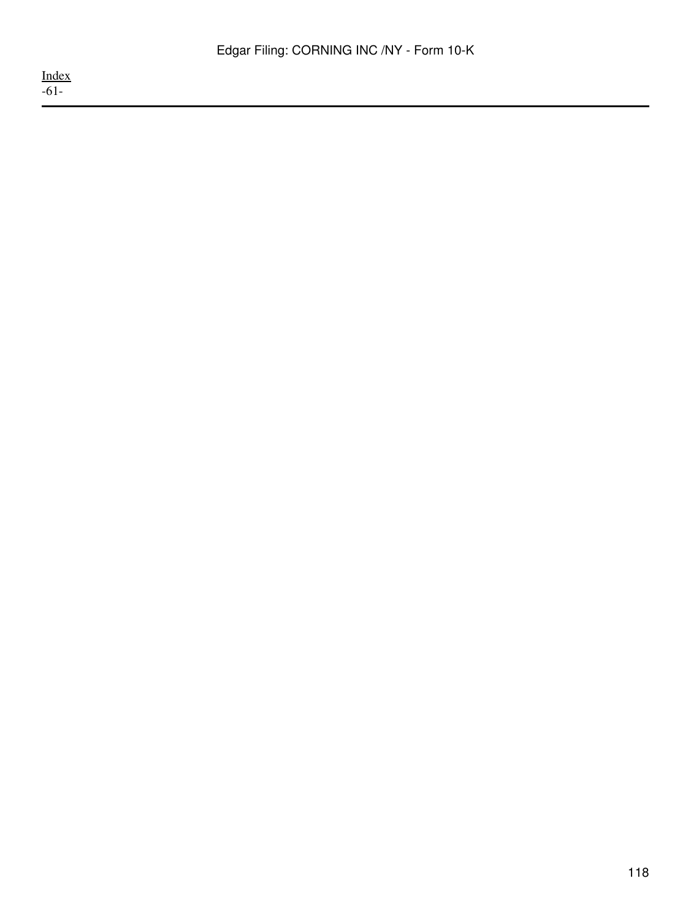[Index](#page-155-0) -61-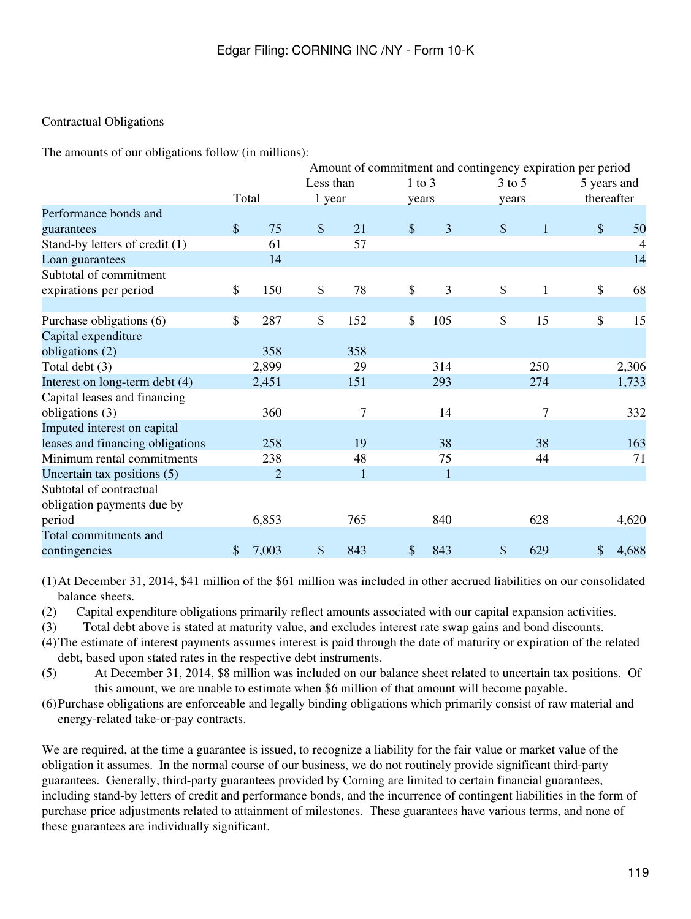# Contractual Obligations

The amounts of our obligations follow (in millions):

|                                  | Amount of commitment and contingency expiration per period |                |           |              |    |              |               |                  |               |                |
|----------------------------------|------------------------------------------------------------|----------------|-----------|--------------|----|--------------|---------------|------------------|---------------|----------------|
|                                  |                                                            |                | Less than |              |    | $1$ to $3$   | $3$ to $5$    |                  |               | 5 years and    |
|                                  |                                                            | Total          | 1 year    |              |    | years        | years         |                  |               | thereafter     |
| Performance bonds and            |                                                            |                |           |              |    |              |               |                  |               |                |
| guarantees                       | $\boldsymbol{\mathsf{S}}$                                  | 75             | \$        | 21           | \$ | 3            | $\mathcal{S}$ | $\mathbf{1}$     | $\mathcal{S}$ | 50             |
| Stand-by letters of credit (1)   |                                                            | 61             |           | 57           |    |              |               |                  |               | $\overline{4}$ |
| Loan guarantees                  |                                                            | 14             |           |              |    |              |               |                  |               | 14             |
| Subtotal of commitment           |                                                            |                |           |              |    |              |               |                  |               |                |
| expirations per period           | \$                                                         | 150            | \$        | 78           | \$ | 3            | \$            | $\mathbf{1}$     | \$            | 68             |
|                                  |                                                            |                |           |              |    |              |               |                  |               |                |
| Purchase obligations (6)         | \$                                                         | 287            | \$        | 152          | \$ | 105          | \$            | 15               | \$            | 15             |
| Capital expenditure              |                                                            |                |           |              |    |              |               |                  |               |                |
| obligations (2)                  |                                                            | 358            |           | 358          |    |              |               |                  |               |                |
| Total debt (3)                   |                                                            | 2,899          |           | 29           |    | 314          |               | 250              |               | 2,306          |
| Interest on long-term debt (4)   |                                                            | 2,451          |           | 151          |    | 293          |               | 274              |               | 1,733          |
| Capital leases and financing     |                                                            |                |           |              |    |              |               |                  |               |                |
| obligations (3)                  |                                                            | 360            |           | 7            |    | 14           |               | $\boldsymbol{7}$ |               | 332            |
| Imputed interest on capital      |                                                            |                |           |              |    |              |               |                  |               |                |
| leases and financing obligations |                                                            | 258            |           | 19           |    | 38           |               | 38               |               | 163            |
| Minimum rental commitments       |                                                            | 238            |           | 48           |    | 75           |               | 44               |               | 71             |
| Uncertain tax positions (5)      |                                                            | $\overline{2}$ |           | $\mathbf{1}$ |    | $\mathbf{1}$ |               |                  |               |                |
| Subtotal of contractual          |                                                            |                |           |              |    |              |               |                  |               |                |
| obligation payments due by       |                                                            |                |           |              |    |              |               |                  |               |                |
| period                           |                                                            | 6,853          |           | 765          |    | 840          |               | 628              |               | 4,620          |
| Total commitments and            |                                                            |                |           |              |    |              |               |                  |               |                |
| contingencies                    | \$                                                         | 7,003          | $\$$      | 843          | \$ | 843          | \$            | 629              | \$            | 4,688          |

(1)At December 31, 2014, \$41 million of the \$61 million was included in other accrued liabilities on our consolidated balance sheets.

(2) Capital expenditure obligations primarily reflect amounts associated with our capital expansion activities.

(3) Total debt above is stated at maturity value, and excludes interest rate swap gains and bond discounts.

(4)The estimate of interest payments assumes interest is paid through the date of maturity or expiration of the related debt, based upon stated rates in the respective debt instruments.

(5) At December 31, 2014, \$8 million was included on our balance sheet related to uncertain tax positions. Of this amount, we are unable to estimate when \$6 million of that amount will become payable.

(6)Purchase obligations are enforceable and legally binding obligations which primarily consist of raw material and energy-related take-or-pay contracts.

We are required, at the time a guarantee is issued, to recognize a liability for the fair value or market value of the obligation it assumes. In the normal course of our business, we do not routinely provide significant third-party guarantees. Generally, third-party guarantees provided by Corning are limited to certain financial guarantees, including stand-by letters of credit and performance bonds, and the incurrence of contingent liabilities in the form of purchase price adjustments related to attainment of milestones. These guarantees have various terms, and none of these guarantees are individually significant.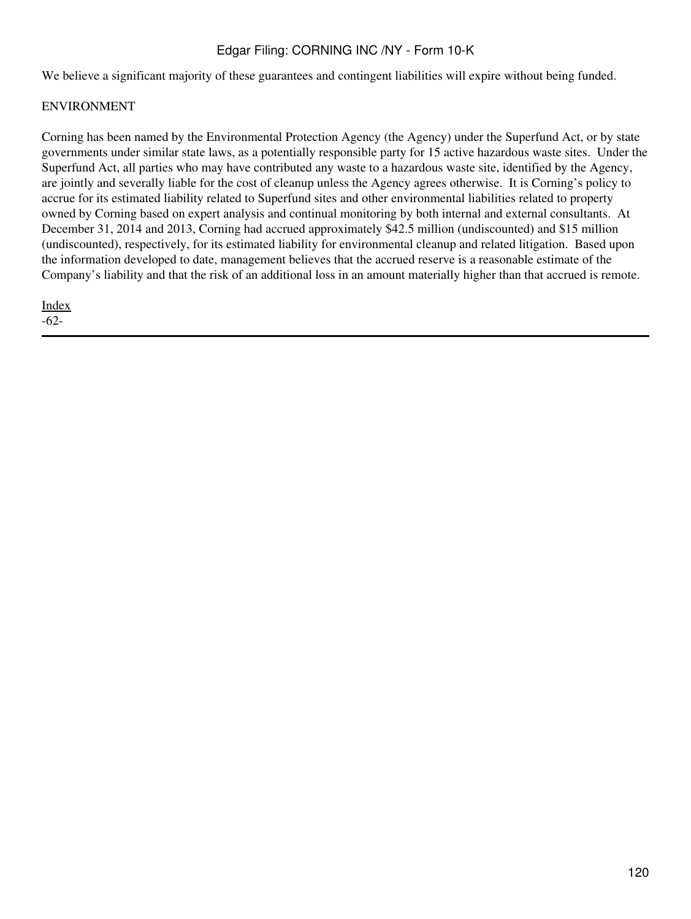We believe a significant majority of these guarantees and contingent liabilities will expire without being funded.

# ENVIRONMENT

Corning has been named by the Environmental Protection Agency (the Agency) under the Superfund Act, or by state governments under similar state laws, as a potentially responsible party for 15 active hazardous waste sites. Under the Superfund Act, all parties who may have contributed any waste to a hazardous waste site, identified by the Agency, are jointly and severally liable for the cost of cleanup unless the Agency agrees otherwise. It is Corning's policy to accrue for its estimated liability related to Superfund sites and other environmental liabilities related to property owned by Corning based on expert analysis and continual monitoring by both internal and external consultants. At December 31, 2014 and 2013, Corning had accrued approximately \$42.5 million (undiscounted) and \$15 million (undiscounted), respectively, for its estimated liability for environmental cleanup and related litigation. Based upon the information developed to date, management believes that the accrued reserve is a reasonable estimate of the Company's liability and that the risk of an additional loss in an amount materially higher than that accrued is remote.

[Index](#page-155-0) -62-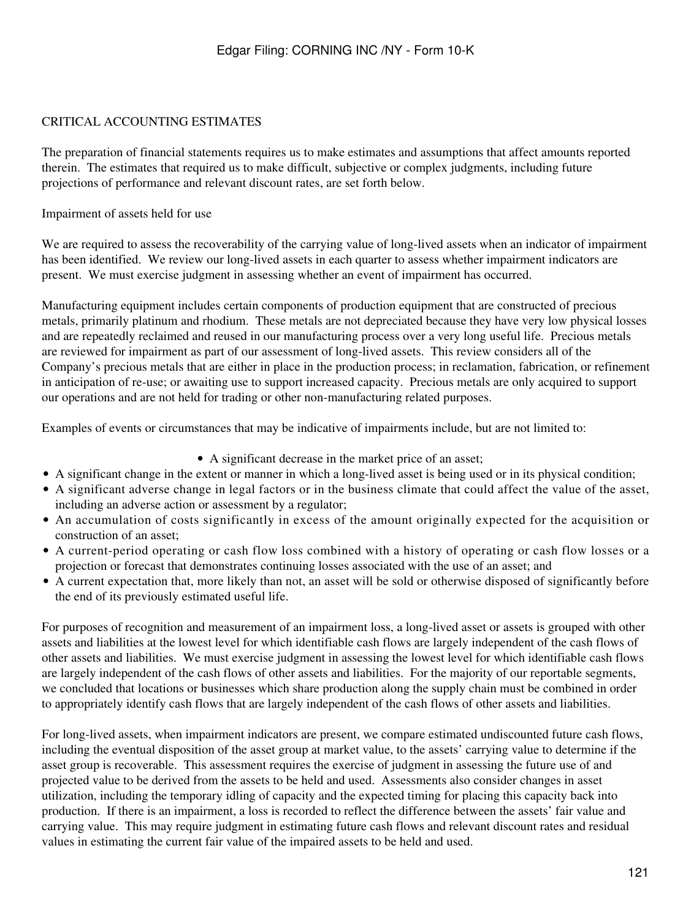# CRITICAL ACCOUNTING ESTIMATES

The preparation of financial statements requires us to make estimates and assumptions that affect amounts reported therein. The estimates that required us to make difficult, subjective or complex judgments, including future projections of performance and relevant discount rates, are set forth below.

Impairment of assets held for use

We are required to assess the recoverability of the carrying value of long-lived assets when an indicator of impairment has been identified. We review our long-lived assets in each quarter to assess whether impairment indicators are present. We must exercise judgment in assessing whether an event of impairment has occurred.

Manufacturing equipment includes certain components of production equipment that are constructed of precious metals, primarily platinum and rhodium. These metals are not depreciated because they have very low physical losses and are repeatedly reclaimed and reused in our manufacturing process over a very long useful life. Precious metals are reviewed for impairment as part of our assessment of long-lived assets. This review considers all of the Company's precious metals that are either in place in the production process; in reclamation, fabrication, or refinement in anticipation of re-use; or awaiting use to support increased capacity. Precious metals are only acquired to support our operations and are not held for trading or other non-manufacturing related purposes.

Examples of events or circumstances that may be indicative of impairments include, but are not limited to:

• A significant decrease in the market price of an asset;

- A significant change in the extent or manner in which a long-lived asset is being used or in its physical condition;
- A significant adverse change in legal factors or in the business climate that could affect the value of the asset, including an adverse action or assessment by a regulator;
- An accumulation of costs significantly in excess of the amount originally expected for the acquisition or construction of an asset;
- A current-period operating or cash flow loss combined with a history of operating or cash flow losses or a projection or forecast that demonstrates continuing losses associated with the use of an asset; and
- A current expectation that, more likely than not, an asset will be sold or otherwise disposed of significantly before the end of its previously estimated useful life.

For purposes of recognition and measurement of an impairment loss, a long-lived asset or assets is grouped with other assets and liabilities at the lowest level for which identifiable cash flows are largely independent of the cash flows of other assets and liabilities. We must exercise judgment in assessing the lowest level for which identifiable cash flows are largely independent of the cash flows of other assets and liabilities. For the majority of our reportable segments, we concluded that locations or businesses which share production along the supply chain must be combined in order to appropriately identify cash flows that are largely independent of the cash flows of other assets and liabilities.

For long-lived assets, when impairment indicators are present, we compare estimated undiscounted future cash flows, including the eventual disposition of the asset group at market value, to the assets' carrying value to determine if the asset group is recoverable. This assessment requires the exercise of judgment in assessing the future use of and projected value to be derived from the assets to be held and used. Assessments also consider changes in asset utilization, including the temporary idling of capacity and the expected timing for placing this capacity back into production. If there is an impairment, a loss is recorded to reflect the difference between the assets' fair value and carrying value. This may require judgment in estimating future cash flows and relevant discount rates and residual values in estimating the current fair value of the impaired assets to be held and used.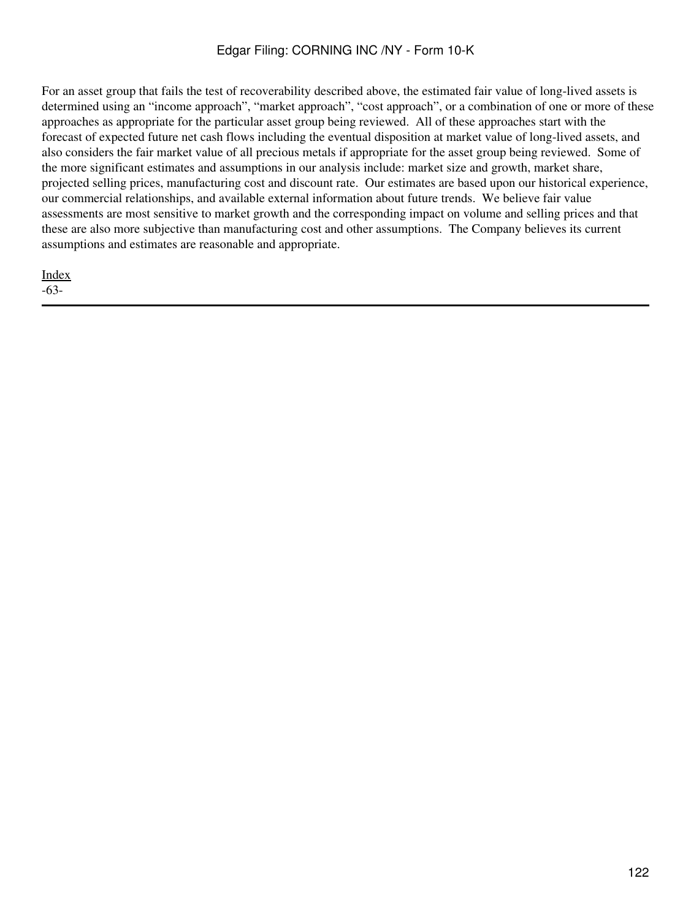For an asset group that fails the test of recoverability described above, the estimated fair value of long-lived assets is determined using an "income approach", "market approach", "cost approach", or a combination of one or more of these approaches as appropriate for the particular asset group being reviewed. All of these approaches start with the forecast of expected future net cash flows including the eventual disposition at market value of long-lived assets, and also considers the fair market value of all precious metals if appropriate for the asset group being reviewed. Some of the more significant estimates and assumptions in our analysis include: market size and growth, market share, projected selling prices, manufacturing cost and discount rate. Our estimates are based upon our historical experience, our commercial relationships, and available external information about future trends. We believe fair value assessments are most sensitive to market growth and the corresponding impact on volume and selling prices and that these are also more subjective than manufacturing cost and other assumptions. The Company believes its current assumptions and estimates are reasonable and appropriate.

[Index](#page-155-0) -63-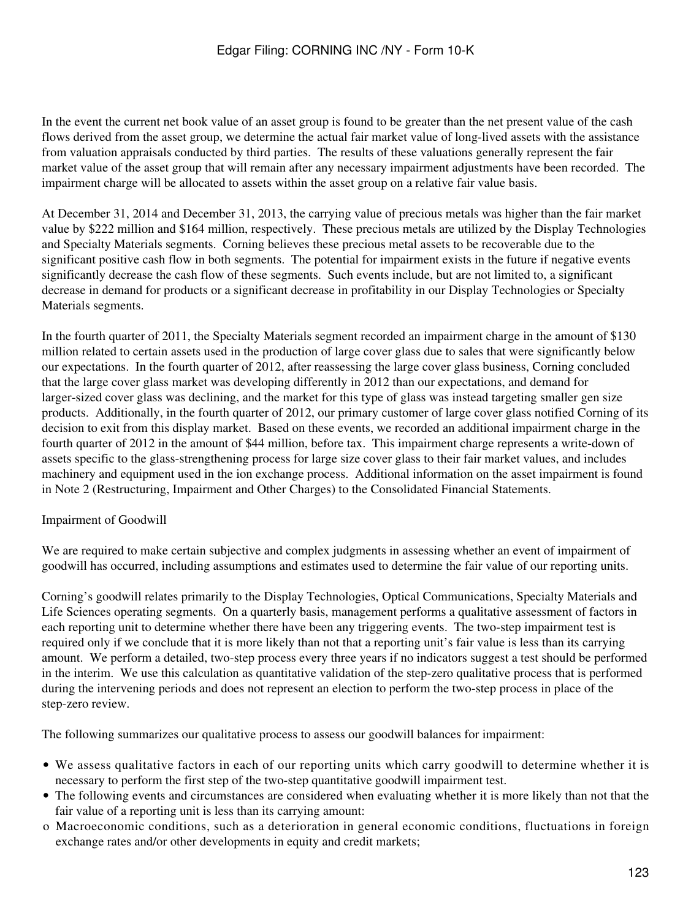In the event the current net book value of an asset group is found to be greater than the net present value of the cash flows derived from the asset group, we determine the actual fair market value of long-lived assets with the assistance from valuation appraisals conducted by third parties. The results of these valuations generally represent the fair market value of the asset group that will remain after any necessary impairment adjustments have been recorded. The impairment charge will be allocated to assets within the asset group on a relative fair value basis.

At December 31, 2014 and December 31, 2013, the carrying value of precious metals was higher than the fair market value by \$222 million and \$164 million, respectively. These precious metals are utilized by the Display Technologies and Specialty Materials segments. Corning believes these precious metal assets to be recoverable due to the significant positive cash flow in both segments. The potential for impairment exists in the future if negative events significantly decrease the cash flow of these segments. Such events include, but are not limited to, a significant decrease in demand for products or a significant decrease in profitability in our Display Technologies or Specialty Materials segments.

In the fourth quarter of 2011, the Specialty Materials segment recorded an impairment charge in the amount of \$130 million related to certain assets used in the production of large cover glass due to sales that were significantly below our expectations. In the fourth quarter of 2012, after reassessing the large cover glass business, Corning concluded that the large cover glass market was developing differently in 2012 than our expectations, and demand for larger-sized cover glass was declining, and the market for this type of glass was instead targeting smaller gen size products. Additionally, in the fourth quarter of 2012, our primary customer of large cover glass notified Corning of its decision to exit from this display market. Based on these events, we recorded an additional impairment charge in the fourth quarter of 2012 in the amount of \$44 million, before tax. This impairment charge represents a write-down of assets specific to the glass-strengthening process for large size cover glass to their fair market values, and includes machinery and equipment used in the ion exchange process. Additional information on the asset impairment is found in Note 2 (Restructuring, Impairment and Other Charges) to the Consolidated Financial Statements.

#### Impairment of Goodwill

We are required to make certain subjective and complex judgments in assessing whether an event of impairment of goodwill has occurred, including assumptions and estimates used to determine the fair value of our reporting units.

Corning's goodwill relates primarily to the Display Technologies, Optical Communications, Specialty Materials and Life Sciences operating segments. On a quarterly basis, management performs a qualitative assessment of factors in each reporting unit to determine whether there have been any triggering events. The two-step impairment test is required only if we conclude that it is more likely than not that a reporting unit's fair value is less than its carrying amount. We perform a detailed, two-step process every three years if no indicators suggest a test should be performed in the interim. We use this calculation as quantitative validation of the step-zero qualitative process that is performed during the intervening periods and does not represent an election to perform the two-step process in place of the step-zero review.

The following summarizes our qualitative process to assess our goodwill balances for impairment:

- We assess qualitative factors in each of our reporting units which carry goodwill to determine whether it is necessary to perform the first step of the two-step quantitative goodwill impairment test.
- The following events and circumstances are considered when evaluating whether it is more likely than not that the fair value of a reporting unit is less than its carrying amount:
- o Macroeconomic conditions, such as a deterioration in general economic conditions, fluctuations in foreign exchange rates and/or other developments in equity and credit markets;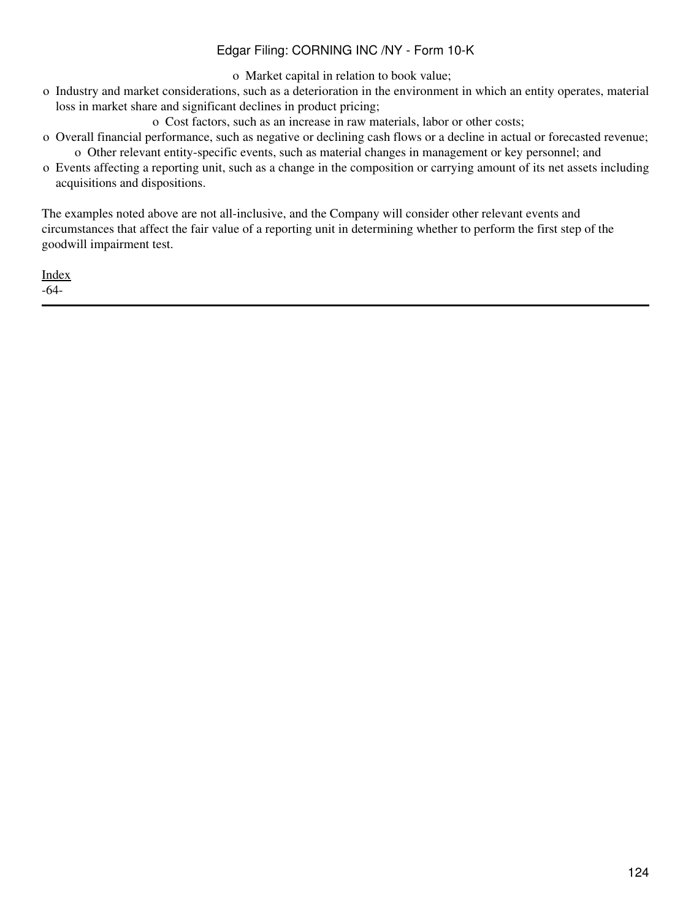o Market capital in relation to book value;

- o Industry and market considerations, such as a deterioration in the environment in which an entity operates, material loss in market share and significant declines in product pricing;
	- o Cost factors, such as an increase in raw materials, labor or other costs;
- o Overall financial performance, such as negative or declining cash flows or a decline in actual or forecasted revenue; o Other relevant entity-specific events, such as material changes in management or key personnel; and
- o Events affecting a reporting unit, such as a change in the composition or carrying amount of its net assets including acquisitions and dispositions.

The examples noted above are not all-inclusive, and the Company will consider other relevant events and circumstances that affect the fair value of a reporting unit in determining whether to perform the first step of the goodwill impairment test.

[Index](#page-155-0) -64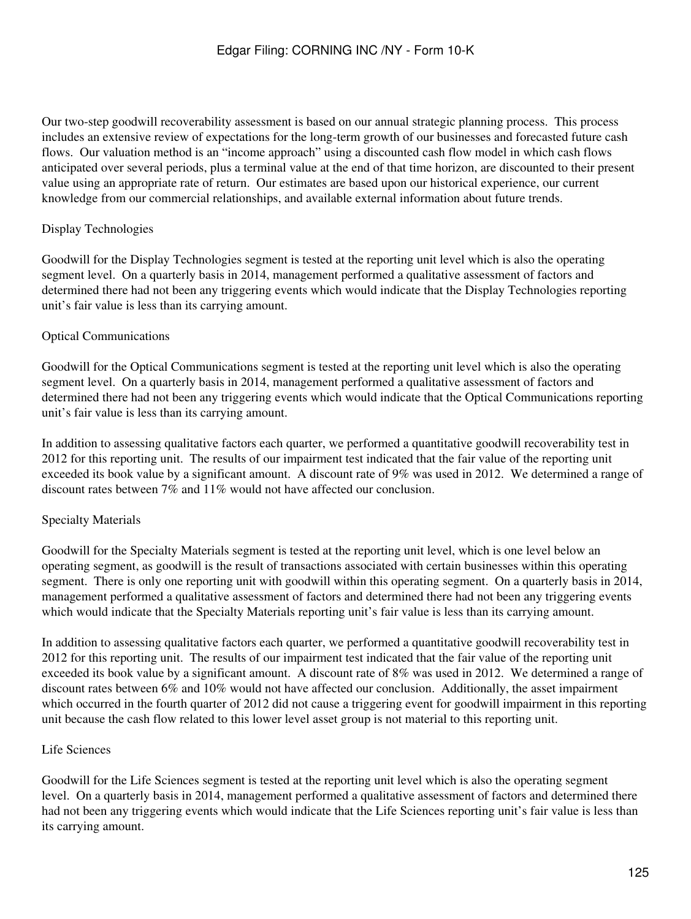Our two-step goodwill recoverability assessment is based on our annual strategic planning process. This process includes an extensive review of expectations for the long-term growth of our businesses and forecasted future cash flows. Our valuation method is an "income approach" using a discounted cash flow model in which cash flows anticipated over several periods, plus a terminal value at the end of that time horizon, are discounted to their present value using an appropriate rate of return. Our estimates are based upon our historical experience, our current knowledge from our commercial relationships, and available external information about future trends.

# Display Technologies

Goodwill for the Display Technologies segment is tested at the reporting unit level which is also the operating segment level. On a quarterly basis in 2014, management performed a qualitative assessment of factors and determined there had not been any triggering events which would indicate that the Display Technologies reporting unit's fair value is less than its carrying amount.

### Optical Communications

Goodwill for the Optical Communications segment is tested at the reporting unit level which is also the operating segment level. On a quarterly basis in 2014, management performed a qualitative assessment of factors and determined there had not been any triggering events which would indicate that the Optical Communications reporting unit's fair value is less than its carrying amount.

In addition to assessing qualitative factors each quarter, we performed a quantitative goodwill recoverability test in 2012 for this reporting unit. The results of our impairment test indicated that the fair value of the reporting unit exceeded its book value by a significant amount. A discount rate of 9% was used in 2012. We determined a range of discount rates between 7% and 11% would not have affected our conclusion.

#### Specialty Materials

Goodwill for the Specialty Materials segment is tested at the reporting unit level, which is one level below an operating segment, as goodwill is the result of transactions associated with certain businesses within this operating segment. There is only one reporting unit with goodwill within this operating segment. On a quarterly basis in 2014, management performed a qualitative assessment of factors and determined there had not been any triggering events which would indicate that the Specialty Materials reporting unit's fair value is less than its carrying amount.

In addition to assessing qualitative factors each quarter, we performed a quantitative goodwill recoverability test in 2012 for this reporting unit. The results of our impairment test indicated that the fair value of the reporting unit exceeded its book value by a significant amount. A discount rate of 8% was used in 2012. We determined a range of discount rates between 6% and 10% would not have affected our conclusion. Additionally, the asset impairment which occurred in the fourth quarter of 2012 did not cause a triggering event for goodwill impairment in this reporting unit because the cash flow related to this lower level asset group is not material to this reporting unit.

### Life Sciences

Goodwill for the Life Sciences segment is tested at the reporting unit level which is also the operating segment level. On a quarterly basis in 2014, management performed a qualitative assessment of factors and determined there had not been any triggering events which would indicate that the Life Sciences reporting unit's fair value is less than its carrying amount.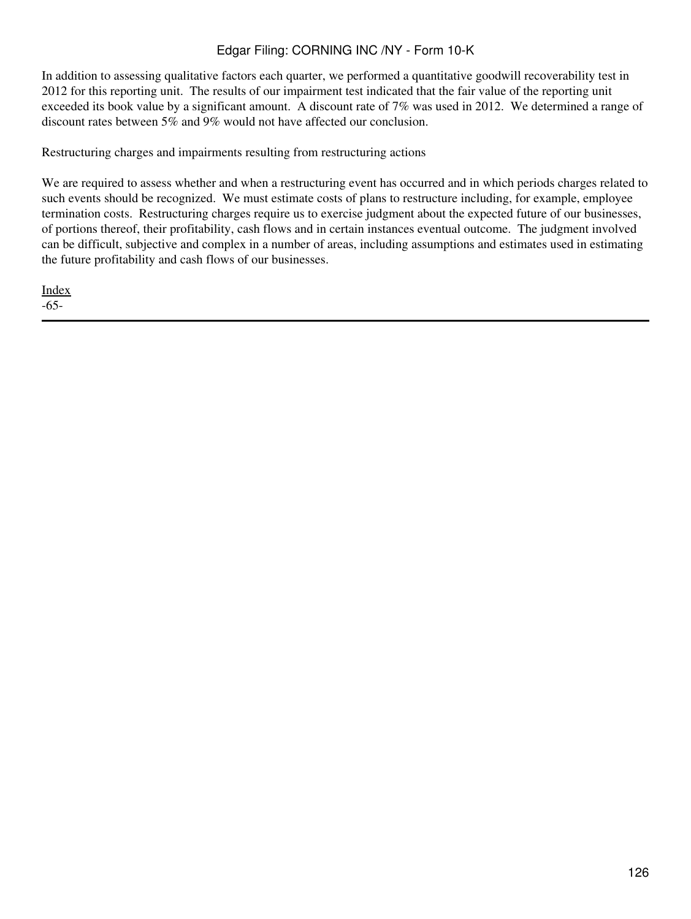In addition to assessing qualitative factors each quarter, we performed a quantitative goodwill recoverability test in 2012 for this reporting unit. The results of our impairment test indicated that the fair value of the reporting unit exceeded its book value by a significant amount. A discount rate of 7% was used in 2012. We determined a range of discount rates between 5% and 9% would not have affected our conclusion.

Restructuring charges and impairments resulting from restructuring actions

We are required to assess whether and when a restructuring event has occurred and in which periods charges related to such events should be recognized. We must estimate costs of plans to restructure including, for example, employee termination costs. Restructuring charges require us to exercise judgment about the expected future of our businesses, of portions thereof, their profitability, cash flows and in certain instances eventual outcome. The judgment involved can be difficult, subjective and complex in a number of areas, including assumptions and estimates used in estimating the future profitability and cash flows of our businesses.

**[Index](#page-155-0)** -65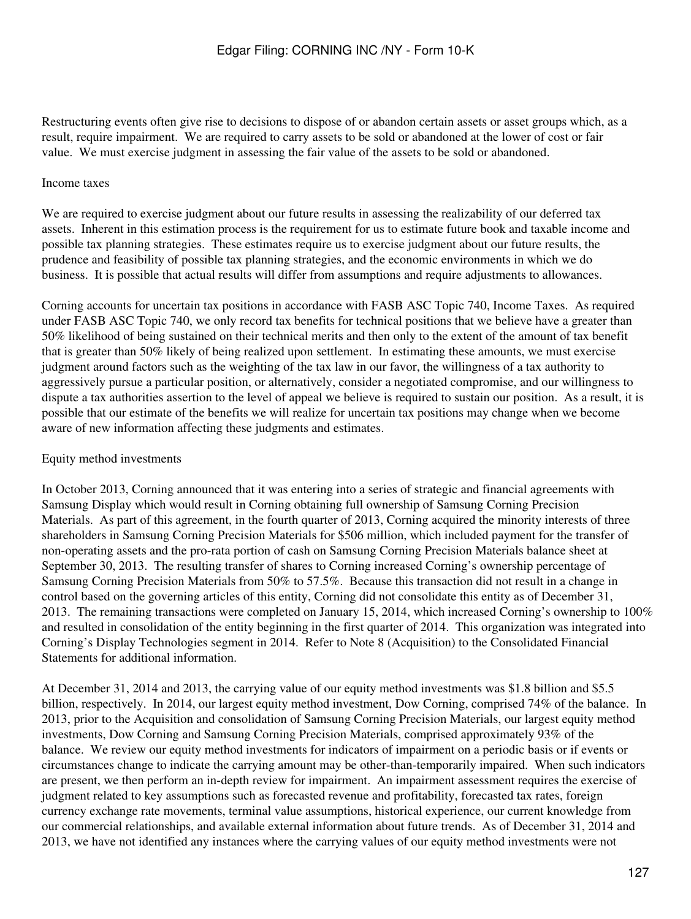Restructuring events often give rise to decisions to dispose of or abandon certain assets or asset groups which, as a result, require impairment. We are required to carry assets to be sold or abandoned at the lower of cost or fair value. We must exercise judgment in assessing the fair value of the assets to be sold or abandoned.

### Income taxes

We are required to exercise judgment about our future results in assessing the realizability of our deferred tax assets. Inherent in this estimation process is the requirement for us to estimate future book and taxable income and possible tax planning strategies. These estimates require us to exercise judgment about our future results, the prudence and feasibility of possible tax planning strategies, and the economic environments in which we do business. It is possible that actual results will differ from assumptions and require adjustments to allowances.

Corning accounts for uncertain tax positions in accordance with FASB ASC Topic 740, Income Taxes. As required under FASB ASC Topic 740, we only record tax benefits for technical positions that we believe have a greater than 50% likelihood of being sustained on their technical merits and then only to the extent of the amount of tax benefit that is greater than 50% likely of being realized upon settlement. In estimating these amounts, we must exercise judgment around factors such as the weighting of the tax law in our favor, the willingness of a tax authority to aggressively pursue a particular position, or alternatively, consider a negotiated compromise, and our willingness to dispute a tax authorities assertion to the level of appeal we believe is required to sustain our position. As a result, it is possible that our estimate of the benefits we will realize for uncertain tax positions may change when we become aware of new information affecting these judgments and estimates.

#### Equity method investments

In October 2013, Corning announced that it was entering into a series of strategic and financial agreements with Samsung Display which would result in Corning obtaining full ownership of Samsung Corning Precision Materials. As part of this agreement, in the fourth quarter of 2013, Corning acquired the minority interests of three shareholders in Samsung Corning Precision Materials for \$506 million, which included payment for the transfer of non-operating assets and the pro-rata portion of cash on Samsung Corning Precision Materials balance sheet at September 30, 2013. The resulting transfer of shares to Corning increased Corning's ownership percentage of Samsung Corning Precision Materials from 50% to 57.5%. Because this transaction did not result in a change in control based on the governing articles of this entity, Corning did not consolidate this entity as of December 31, 2013. The remaining transactions were completed on January 15, 2014, which increased Corning's ownership to 100% and resulted in consolidation of the entity beginning in the first quarter of 2014. This organization was integrated into Corning's Display Technologies segment in 2014. Refer to Note 8 (Acquisition) to the Consolidated Financial Statements for additional information.

At December 31, 2014 and 2013, the carrying value of our equity method investments was \$1.8 billion and \$5.5 billion, respectively. In 2014, our largest equity method investment, Dow Corning, comprised 74% of the balance. In 2013, prior to the Acquisition and consolidation of Samsung Corning Precision Materials, our largest equity method investments, Dow Corning and Samsung Corning Precision Materials, comprised approximately 93% of the balance. We review our equity method investments for indicators of impairment on a periodic basis or if events or circumstances change to indicate the carrying amount may be other-than-temporarily impaired. When such indicators are present, we then perform an in-depth review for impairment. An impairment assessment requires the exercise of judgment related to key assumptions such as forecasted revenue and profitability, forecasted tax rates, foreign currency exchange rate movements, terminal value assumptions, historical experience, our current knowledge from our commercial relationships, and available external information about future trends. As of December 31, 2014 and 2013, we have not identified any instances where the carrying values of our equity method investments were not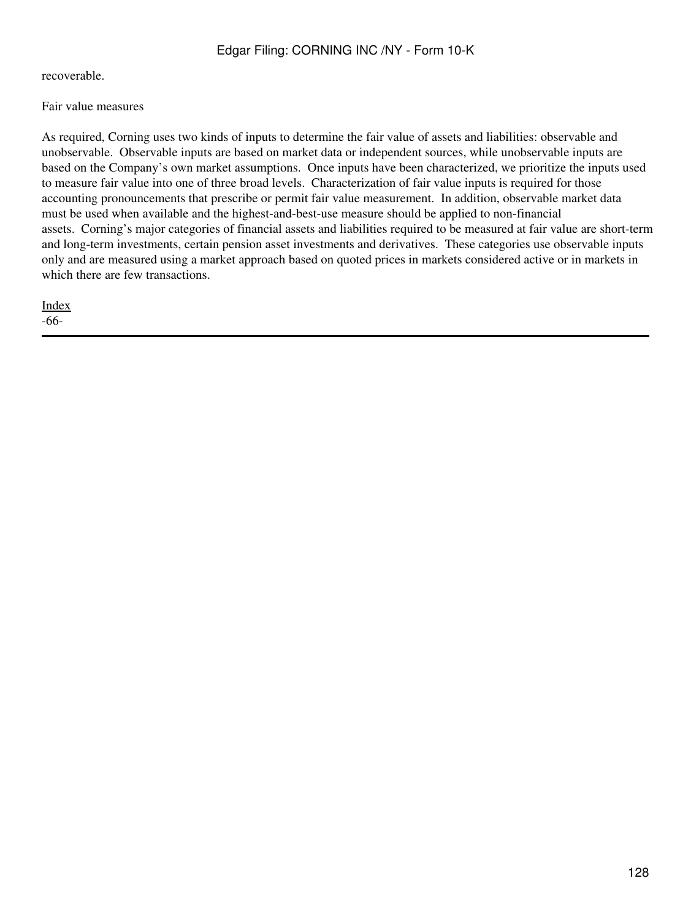recoverable.

Fair value measures

As required, Corning uses two kinds of inputs to determine the fair value of assets and liabilities: observable and unobservable. Observable inputs are based on market data or independent sources, while unobservable inputs are based on the Company's own market assumptions. Once inputs have been characterized, we prioritize the inputs used to measure fair value into one of three broad levels. Characterization of fair value inputs is required for those accounting pronouncements that prescribe or permit fair value measurement. In addition, observable market data must be used when available and the highest-and-best-use measure should be applied to non-financial assets. Corning's major categories of financial assets and liabilities required to be measured at fair value are short-term and long-term investments, certain pension asset investments and derivatives. These categories use observable inputs only and are measured using a market approach based on quoted prices in markets considered active or in markets in which there are few transactions.

[Index](#page-155-0) -66-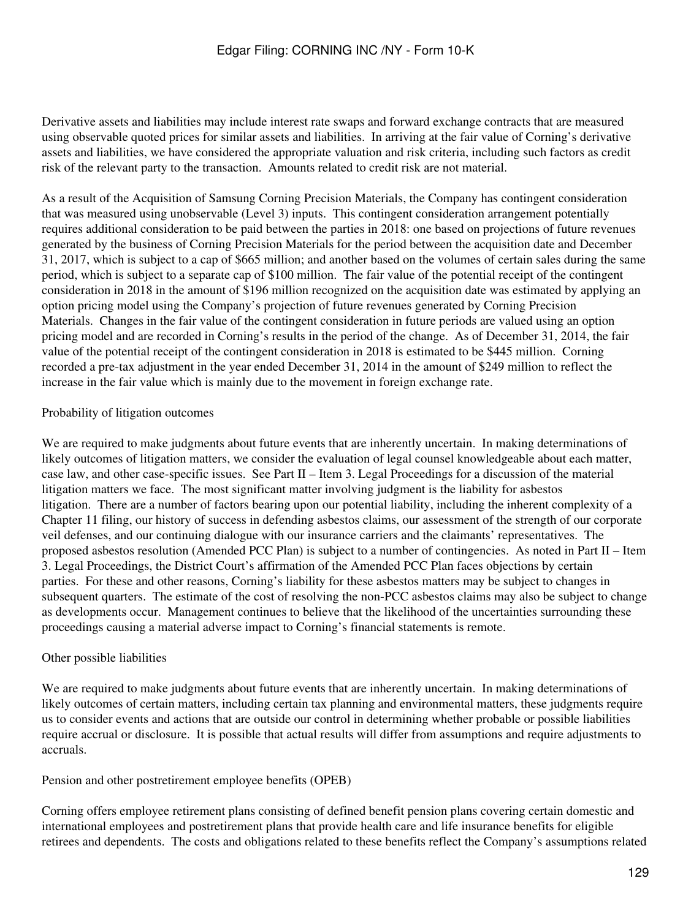Derivative assets and liabilities may include interest rate swaps and forward exchange contracts that are measured using observable quoted prices for similar assets and liabilities. In arriving at the fair value of Corning's derivative assets and liabilities, we have considered the appropriate valuation and risk criteria, including such factors as credit risk of the relevant party to the transaction. Amounts related to credit risk are not material.

As a result of the Acquisition of Samsung Corning Precision Materials, the Company has contingent consideration that was measured using unobservable (Level 3) inputs. This contingent consideration arrangement potentially requires additional consideration to be paid between the parties in 2018: one based on projections of future revenues generated by the business of Corning Precision Materials for the period between the acquisition date and December 31, 2017, which is subject to a cap of \$665 million; and another based on the volumes of certain sales during the same period, which is subject to a separate cap of \$100 million. The fair value of the potential receipt of the contingent consideration in 2018 in the amount of \$196 million recognized on the acquisition date was estimated by applying an option pricing model using the Company's projection of future revenues generated by Corning Precision Materials. Changes in the fair value of the contingent consideration in future periods are valued using an option pricing model and are recorded in Corning's results in the period of the change. As of December 31, 2014, the fair value of the potential receipt of the contingent consideration in 2018 is estimated to be \$445 million. Corning recorded a pre-tax adjustment in the year ended December 31, 2014 in the amount of \$249 million to reflect the increase in the fair value which is mainly due to the movement in foreign exchange rate.

#### Probability of litigation outcomes

We are required to make judgments about future events that are inherently uncertain. In making determinations of likely outcomes of litigation matters, we consider the evaluation of legal counsel knowledgeable about each matter, case law, and other case-specific issues. See Part II – Item 3. Legal Proceedings for a discussion of the material litigation matters we face. The most significant matter involving judgment is the liability for asbestos litigation. There are a number of factors bearing upon our potential liability, including the inherent complexity of a Chapter 11 filing, our history of success in defending asbestos claims, our assessment of the strength of our corporate veil defenses, and our continuing dialogue with our insurance carriers and the claimants' representatives. The proposed asbestos resolution (Amended PCC Plan) is subject to a number of contingencies. As noted in Part II – Item 3. Legal Proceedings, the District Court's affirmation of the Amended PCC Plan faces objections by certain parties. For these and other reasons, Corning's liability for these asbestos matters may be subject to changes in subsequent quarters. The estimate of the cost of resolving the non-PCC asbestos claims may also be subject to change as developments occur. Management continues to believe that the likelihood of the uncertainties surrounding these proceedings causing a material adverse impact to Corning's financial statements is remote.

#### Other possible liabilities

We are required to make judgments about future events that are inherently uncertain. In making determinations of likely outcomes of certain matters, including certain tax planning and environmental matters, these judgments require us to consider events and actions that are outside our control in determining whether probable or possible liabilities require accrual or disclosure. It is possible that actual results will differ from assumptions and require adjustments to accruals.

#### Pension and other postretirement employee benefits (OPEB)

Corning offers employee retirement plans consisting of defined benefit pension plans covering certain domestic and international employees and postretirement plans that provide health care and life insurance benefits for eligible retirees and dependents. The costs and obligations related to these benefits reflect the Company's assumptions related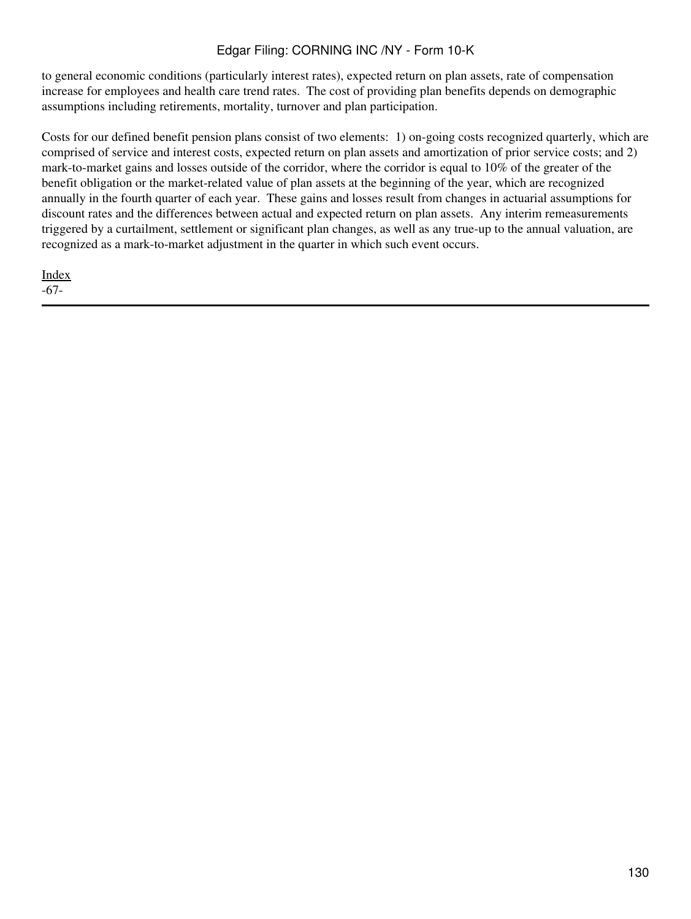to general economic conditions (particularly interest rates), expected return on plan assets, rate of compensation increase for employees and health care trend rates. The cost of providing plan benefits depends on demographic assumptions including retirements, mortality, turnover and plan participation.

Costs for our defined benefit pension plans consist of two elements: 1) on-going costs recognized quarterly, which are comprised of service and interest costs, expected return on plan assets and amortization of prior service costs; and 2) mark-to-market gains and losses outside of the corridor, where the corridor is equal to 10% of the greater of the benefit obligation or the market-related value of plan assets at the beginning of the year, which are recognized annually in the fourth quarter of each year. These gains and losses result from changes in actuarial assumptions for discount rates and the differences between actual and expected return on plan assets. Any interim remeasurements triggered by a curtailment, settlement or significant plan changes, as well as any true-up to the annual valuation, are recognized as a mark-to-market adjustment in the quarter in which such event occurs.

[Index](#page-155-0) -67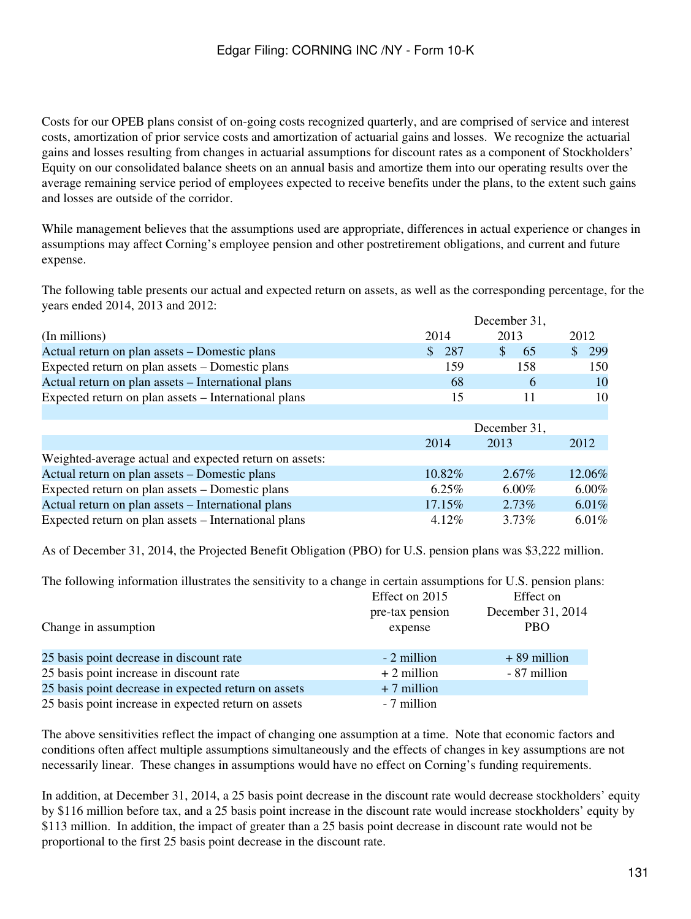Costs for our OPEB plans consist of on-going costs recognized quarterly, and are comprised of service and interest costs, amortization of prior service costs and amortization of actuarial gains and losses. We recognize the actuarial gains and losses resulting from changes in actuarial assumptions for discount rates as a component of Stockholders' Equity on our consolidated balance sheets on an annual basis and amortize them into our operating results over the average remaining service period of employees expected to receive benefits under the plans, to the extent such gains and losses are outside of the corridor.

While management believes that the assumptions used are appropriate, differences in actual experience or changes in assumptions may affect Corning's employee pension and other postretirement obligations, and current and future expense.

The following table presents our actual and expected return on assets, as well as the corresponding percentage, for the years ended 2014, 2013 and 2012:

|                                                        | December 31, |              |          |
|--------------------------------------------------------|--------------|--------------|----------|
| (In millions)                                          | 2014         | 2013         | 2012     |
| Actual return on plan assets – Domestic plans          | 287<br>\$    | \$<br>65     | 299      |
| Expected return on plan assets – Domestic plans        | 159          | 158          | 150      |
| Actual return on plan assets – International plans     | 68           | 6            | 10       |
| Expected return on plan assets - International plans   | 15           | 11           | 10       |
|                                                        |              |              |          |
|                                                        |              | December 31, |          |
|                                                        | 2014         | 2013         | 2012     |
| Weighted-average actual and expected return on assets: |              |              |          |
| Actual return on plan assets – Domestic plans          | $10.82\%$    | $2.67\%$     | 12.06%   |
| Expected return on plan assets – Domestic plans        | $6.25\%$     | $6.00\%$     | $6.00\%$ |
| Actual return on plan assets - International plans     | $17.15\%$    | $2.73\%$     | 6.01%    |
| Expected return on plan assets – International plans   | $4.12\%$     | 3.73%        | $6.01\%$ |

As of December 31, 2014, the Projected Benefit Obligation (PBO) for U.S. pension plans was \$3,222 million.

The following information illustrates the sensitivity to a change in certain assumptions for U.S. pension plans:

|                                                      | Effect on 2015  | Effect on         |
|------------------------------------------------------|-----------------|-------------------|
|                                                      | pre-tax pension | December 31, 2014 |
| Change in assumption                                 | expense         | <b>PBO</b>        |
|                                                      |                 |                   |
| 25 basis point decrease in discount rate             | - 2 million     | $+89$ million     |
| 25 basis point increase in discount rate             | $+2$ million    | - 87 million      |
| 25 basis point decrease in expected return on assets | $+7$ million    |                   |
| 25 basis point increase in expected return on assets | - 7 million     |                   |

The above sensitivities reflect the impact of changing one assumption at a time. Note that economic factors and conditions often affect multiple assumptions simultaneously and the effects of changes in key assumptions are not necessarily linear. These changes in assumptions would have no effect on Corning's funding requirements.

In addition, at December 31, 2014, a 25 basis point decrease in the discount rate would decrease stockholders' equity by \$116 million before tax, and a 25 basis point increase in the discount rate would increase stockholders' equity by \$113 million. In addition, the impact of greater than a 25 basis point decrease in discount rate would not be proportional to the first 25 basis point decrease in the discount rate.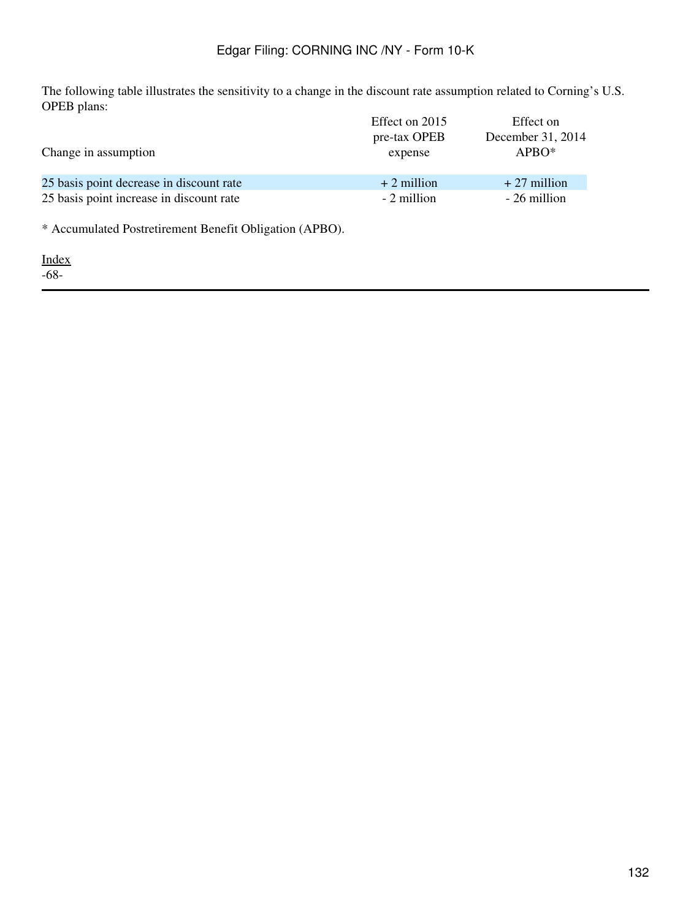The following table illustrates the sensitivity to a change in the discount rate assumption related to Corning's U.S. OPEB plans:

|                                          | Effect on 2015 | Effect on         |
|------------------------------------------|----------------|-------------------|
|                                          | pre-tax OPEB   | December 31, 2014 |
| Change in assumption                     | expense        | $APBO*$           |
|                                          |                |                   |
| 25 basis point decrease in discount rate | $+2$ million   | $+27$ million     |
| 25 basis point increase in discount rate | - 2 million    | - 26 million      |
|                                          |                |                   |

\* Accumulated Postretirement Benefit Obligation (APBO).

[Index](#page-155-0) -68-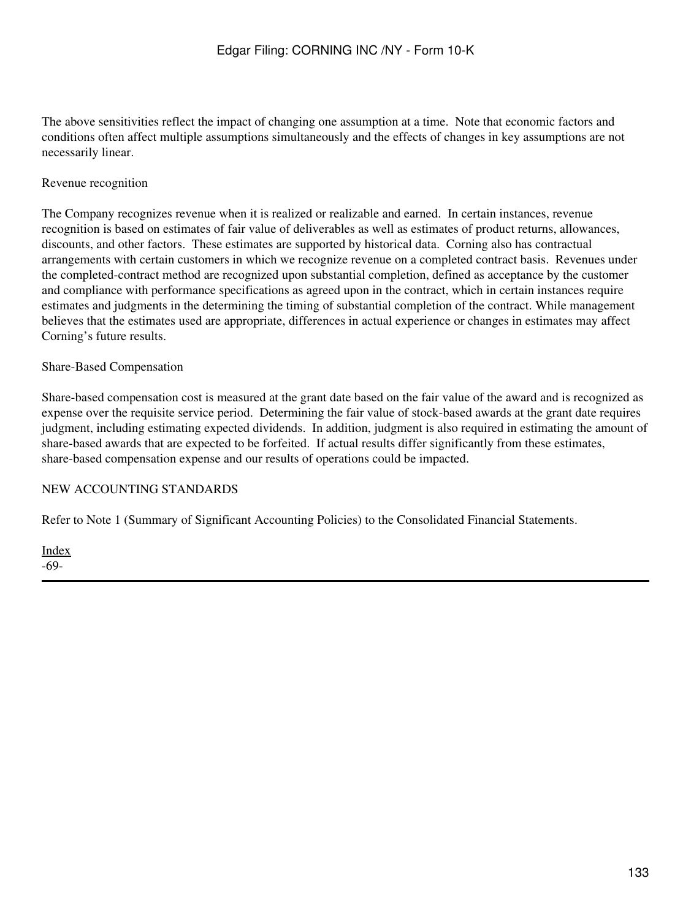The above sensitivities reflect the impact of changing one assumption at a time. Note that economic factors and conditions often affect multiple assumptions simultaneously and the effects of changes in key assumptions are not necessarily linear.

### Revenue recognition

The Company recognizes revenue when it is realized or realizable and earned. In certain instances, revenue recognition is based on estimates of fair value of deliverables as well as estimates of product returns, allowances, discounts, and other factors. These estimates are supported by historical data. Corning also has contractual arrangements with certain customers in which we recognize revenue on a completed contract basis. Revenues under the completed-contract method are recognized upon substantial completion, defined as acceptance by the customer and compliance with performance specifications as agreed upon in the contract, which in certain instances require estimates and judgments in the determining the timing of substantial completion of the contract. While management believes that the estimates used are appropriate, differences in actual experience or changes in estimates may affect Corning's future results.

#### Share-Based Compensation

Share-based compensation cost is measured at the grant date based on the fair value of the award and is recognized as expense over the requisite service period. Determining the fair value of stock-based awards at the grant date requires judgment, including estimating expected dividends. In addition, judgment is also required in estimating the amount of share-based awards that are expected to be forfeited. If actual results differ significantly from these estimates, share-based compensation expense and our results of operations could be impacted.

#### NEW ACCOUNTING STANDARDS

Refer to Note 1 (Summary of Significant Accounting Policies) to the Consolidated Financial Statements.

[Index](#page-155-0) -69-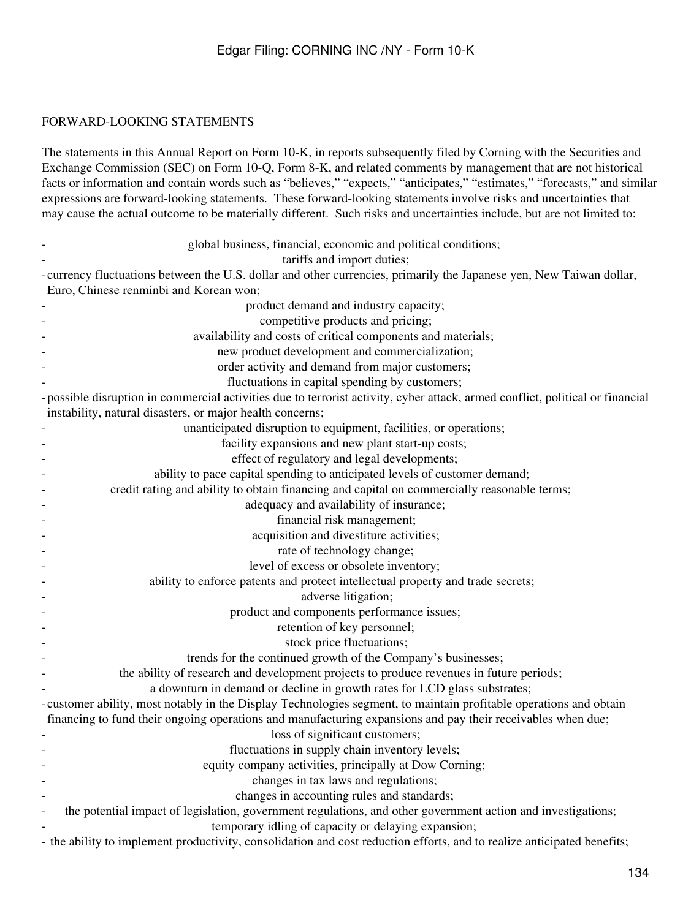# FORWARD-LOOKING STATEMENTS

The statements in this Annual Report on Form 10-K, in reports subsequently filed by Corning with the Securities and Exchange Commission (SEC) on Form 10-Q, Form 8-K, and related comments by management that are not historical facts or information and contain words such as "believes," "expects," "anticipates," "estimates," "forecasts," and similar expressions are forward-looking statements. These forward-looking statements involve risks and uncertainties that may cause the actual outcome to be materially different. Such risks and uncertainties include, but are not limited to:

| global business, financial, economic and political conditions;                                                                |
|-------------------------------------------------------------------------------------------------------------------------------|
| tariffs and import duties;                                                                                                    |
| -currency fluctuations between the U.S. dollar and other currencies, primarily the Japanese yen, New Taiwan dollar,           |
| Euro, Chinese renminbi and Korean won;                                                                                        |
| product demand and industry capacity;                                                                                         |
| competitive products and pricing;                                                                                             |
| availability and costs of critical components and materials;                                                                  |
| new product development and commercialization;                                                                                |
| order activity and demand from major customers;                                                                               |
| fluctuations in capital spending by customers;                                                                                |
| -possible disruption in commercial activities due to terrorist activity, cyber attack, armed conflict, political or financial |
| instability, natural disasters, or major health concerns;                                                                     |
| unanticipated disruption to equipment, facilities, or operations;                                                             |
| facility expansions and new plant start-up costs;                                                                             |
| effect of regulatory and legal developments;                                                                                  |
| ability to pace capital spending to anticipated levels of customer demand;                                                    |
| credit rating and ability to obtain financing and capital on commercially reasonable terms;                                   |
| adequacy and availability of insurance;                                                                                       |
| financial risk management;                                                                                                    |
| acquisition and divestiture activities;                                                                                       |
| rate of technology change;                                                                                                    |
| level of excess or obsolete inventory;                                                                                        |
| ability to enforce patents and protect intellectual property and trade secrets;                                               |
| adverse litigation;                                                                                                           |
| product and components performance issues;                                                                                    |
| retention of key personnel;                                                                                                   |
| stock price fluctuations;                                                                                                     |
| trends for the continued growth of the Company's businesses;                                                                  |
| the ability of research and development projects to produce revenues in future periods;                                       |
| a downturn in demand or decline in growth rates for LCD glass substrates;                                                     |
| -customer ability, most notably in the Display Technologies segment, to maintain profitable operations and obtain             |
| financing to fund their ongoing operations and manufacturing expansions and pay their receivables when due;                   |
| loss of significant customers;                                                                                                |
| fluctuations in supply chain inventory levels;                                                                                |
| equity company activities, principally at Dow Corning;                                                                        |
| changes in tax laws and regulations;                                                                                          |
| changes in accounting rules and standards;                                                                                    |
| the potential impact of legislation, government regulations, and other government action and investigations;                  |
| temporary idling of capacity or delaying expansion;                                                                           |
| - the ability to implement productivity, consolidation and cost reduction efforts, and to realize anticipated benefits;       |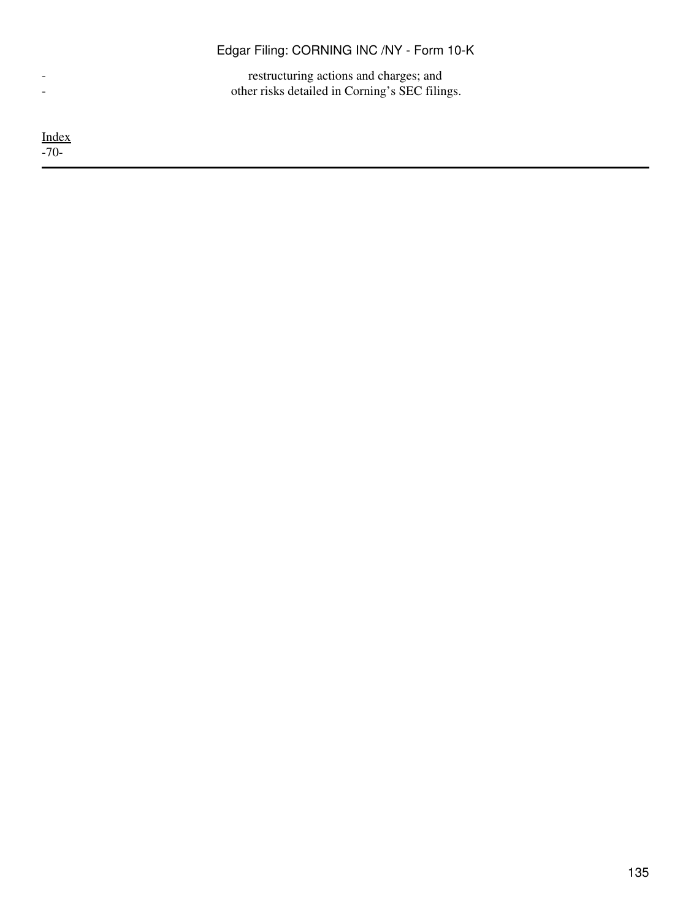- restructuring actions and charges; and - other risks detailed in Corning's SEC filings.

[Index](#page-155-0) -70-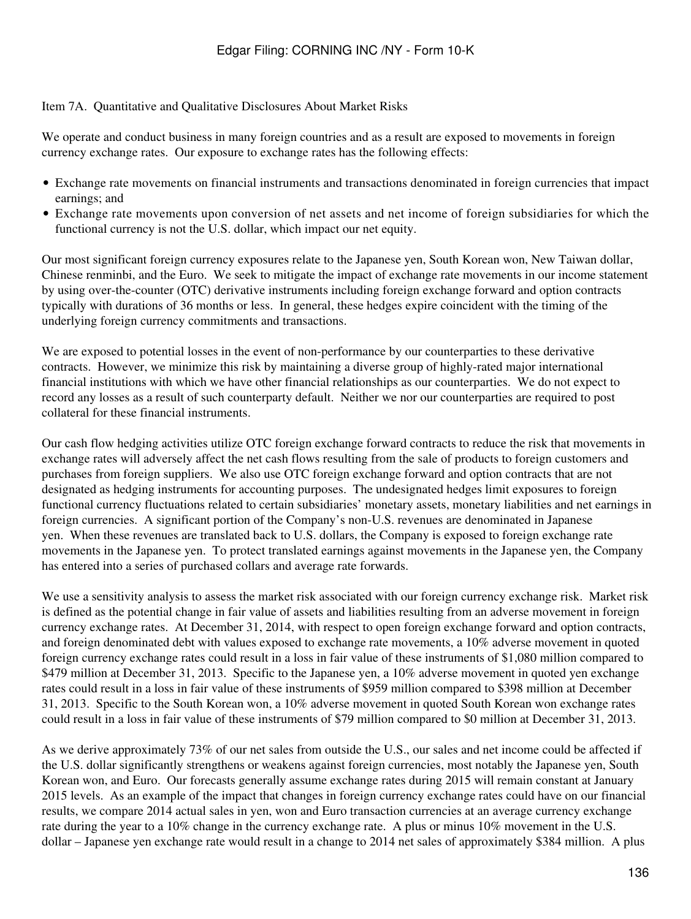### Item 7A. Quantitative and Qualitative Disclosures About Market Risks

We operate and conduct business in many foreign countries and as a result are exposed to movements in foreign currency exchange rates. Our exposure to exchange rates has the following effects:

- Exchange rate movements on financial instruments and transactions denominated in foreign currencies that impact earnings; and
- Exchange rate movements upon conversion of net assets and net income of foreign subsidiaries for which the functional currency is not the U.S. dollar, which impact our net equity.

Our most significant foreign currency exposures relate to the Japanese yen, South Korean won, New Taiwan dollar, Chinese renminbi, and the Euro. We seek to mitigate the impact of exchange rate movements in our income statement by using over-the-counter (OTC) derivative instruments including foreign exchange forward and option contracts typically with durations of 36 months or less. In general, these hedges expire coincident with the timing of the underlying foreign currency commitments and transactions.

We are exposed to potential losses in the event of non-performance by our counterparties to these derivative contracts. However, we minimize this risk by maintaining a diverse group of highly-rated major international financial institutions with which we have other financial relationships as our counterparties. We do not expect to record any losses as a result of such counterparty default. Neither we nor our counterparties are required to post collateral for these financial instruments.

Our cash flow hedging activities utilize OTC foreign exchange forward contracts to reduce the risk that movements in exchange rates will adversely affect the net cash flows resulting from the sale of products to foreign customers and purchases from foreign suppliers. We also use OTC foreign exchange forward and option contracts that are not designated as hedging instruments for accounting purposes. The undesignated hedges limit exposures to foreign functional currency fluctuations related to certain subsidiaries' monetary assets, monetary liabilities and net earnings in foreign currencies. A significant portion of the Company's non-U.S. revenues are denominated in Japanese yen. When these revenues are translated back to U.S. dollars, the Company is exposed to foreign exchange rate movements in the Japanese yen. To protect translated earnings against movements in the Japanese yen, the Company has entered into a series of purchased collars and average rate forwards.

We use a sensitivity analysis to assess the market risk associated with our foreign currency exchange risk. Market risk is defined as the potential change in fair value of assets and liabilities resulting from an adverse movement in foreign currency exchange rates. At December 31, 2014, with respect to open foreign exchange forward and option contracts, and foreign denominated debt with values exposed to exchange rate movements, a 10% adverse movement in quoted foreign currency exchange rates could result in a loss in fair value of these instruments of \$1,080 million compared to \$479 million at December 31, 2013. Specific to the Japanese yen, a 10% adverse movement in quoted yen exchange rates could result in a loss in fair value of these instruments of \$959 million compared to \$398 million at December 31, 2013. Specific to the South Korean won, a 10% adverse movement in quoted South Korean won exchange rates could result in a loss in fair value of these instruments of \$79 million compared to \$0 million at December 31, 2013.

As we derive approximately 73% of our net sales from outside the U.S., our sales and net income could be affected if the U.S. dollar significantly strengthens or weakens against foreign currencies, most notably the Japanese yen, South Korean won, and Euro. Our forecasts generally assume exchange rates during 2015 will remain constant at January 2015 levels. As an example of the impact that changes in foreign currency exchange rates could have on our financial results, we compare 2014 actual sales in yen, won and Euro transaction currencies at an average currency exchange rate during the year to a 10% change in the currency exchange rate. A plus or minus 10% movement in the U.S. dollar – Japanese yen exchange rate would result in a change to 2014 net sales of approximately \$384 million. A plus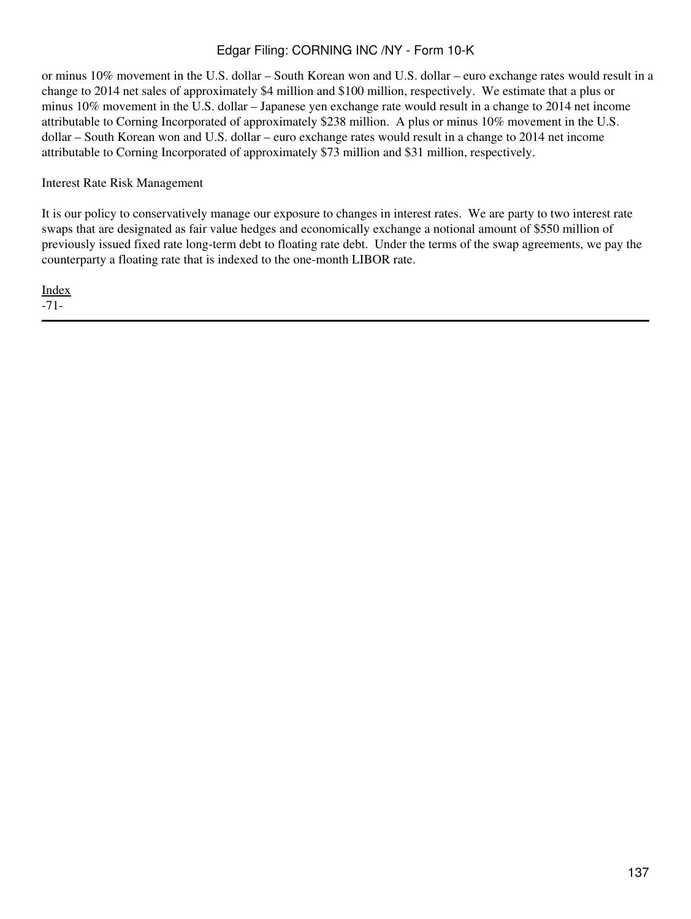or minus 10% movement in the U.S. dollar – South Korean won and U.S. dollar – euro exchange rates would result in a change to 2014 net sales of approximately \$4 million and \$100 million, respectively. We estimate that a plus or minus 10% movement in the U.S. dollar – Japanese yen exchange rate would result in a change to 2014 net income attributable to Corning Incorporated of approximately \$238 million. A plus or minus 10% movement in the U.S. dollar – South Korean won and U.S. dollar – euro exchange rates would result in a change to 2014 net income attributable to Corning Incorporated of approximately \$73 million and \$31 million, respectively.

Interest Rate Risk Management

It is our policy to conservatively manage our exposure to changes in interest rates. We are party to two interest rate swaps that are designated as fair value hedges and economically exchange a notional amount of \$550 million of previously issued fixed rate long-term debt to floating rate debt. Under the terms of the swap agreements, we pay the counterparty a floating rate that is indexed to the one-month LIBOR rate.

[Index](#page-155-0) -71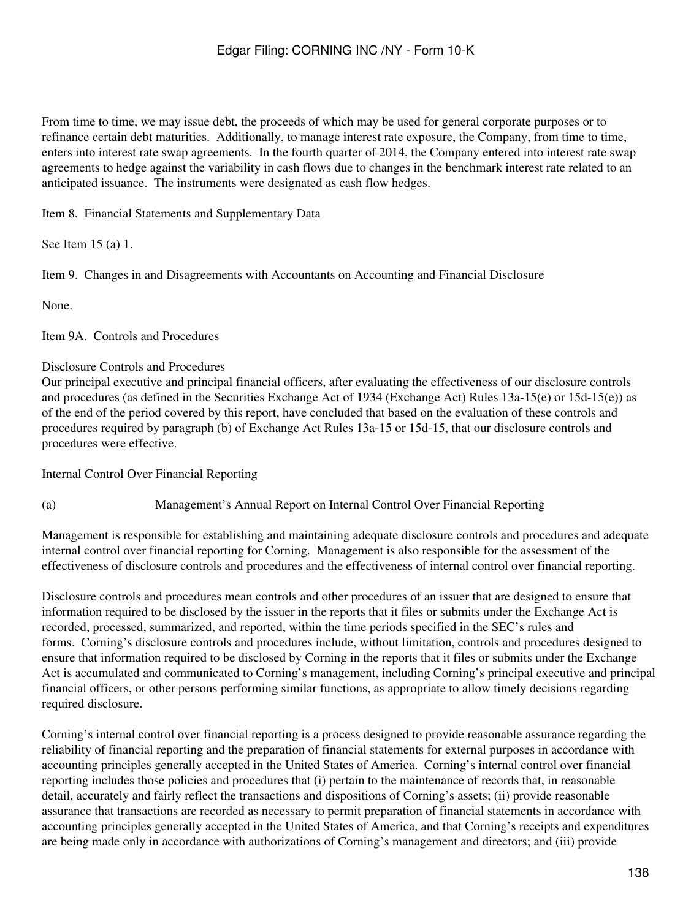From time to time, we may issue debt, the proceeds of which may be used for general corporate purposes or to refinance certain debt maturities. Additionally, to manage interest rate exposure, the Company, from time to time, enters into interest rate swap agreements. In the fourth quarter of 2014, the Company entered into interest rate swap agreements to hedge against the variability in cash flows due to changes in the benchmark interest rate related to an anticipated issuance. The instruments were designated as cash flow hedges.

Item 8. Financial Statements and Supplementary Data

See Item 15 (a) 1.

Item 9. Changes in and Disagreements with Accountants on Accounting and Financial Disclosure

None.

Item 9A. Controls and Procedures

### Disclosure Controls and Procedures

Our principal executive and principal financial officers, after evaluating the effectiveness of our disclosure controls and procedures (as defined in the Securities Exchange Act of 1934 (Exchange Act) Rules 13a-15(e) or 15d-15(e)) as of the end of the period covered by this report, have concluded that based on the evaluation of these controls and procedures required by paragraph (b) of Exchange Act Rules 13a-15 or 15d-15, that our disclosure controls and procedures were effective.

Internal Control Over Financial Reporting

(a) Management's Annual Report on Internal Control Over Financial Reporting

Management is responsible for establishing and maintaining adequate disclosure controls and procedures and adequate internal control over financial reporting for Corning. Management is also responsible for the assessment of the effectiveness of disclosure controls and procedures and the effectiveness of internal control over financial reporting.

Disclosure controls and procedures mean controls and other procedures of an issuer that are designed to ensure that information required to be disclosed by the issuer in the reports that it files or submits under the Exchange Act is recorded, processed, summarized, and reported, within the time periods specified in the SEC's rules and forms. Corning's disclosure controls and procedures include, without limitation, controls and procedures designed to ensure that information required to be disclosed by Corning in the reports that it files or submits under the Exchange Act is accumulated and communicated to Corning's management, including Corning's principal executive and principal financial officers, or other persons performing similar functions, as appropriate to allow timely decisions regarding required disclosure.

Corning's internal control over financial reporting is a process designed to provide reasonable assurance regarding the reliability of financial reporting and the preparation of financial statements for external purposes in accordance with accounting principles generally accepted in the United States of America. Corning's internal control over financial reporting includes those policies and procedures that (i) pertain to the maintenance of records that, in reasonable detail, accurately and fairly reflect the transactions and dispositions of Corning's assets; (ii) provide reasonable assurance that transactions are recorded as necessary to permit preparation of financial statements in accordance with accounting principles generally accepted in the United States of America, and that Corning's receipts and expenditures are being made only in accordance with authorizations of Corning's management and directors; and (iii) provide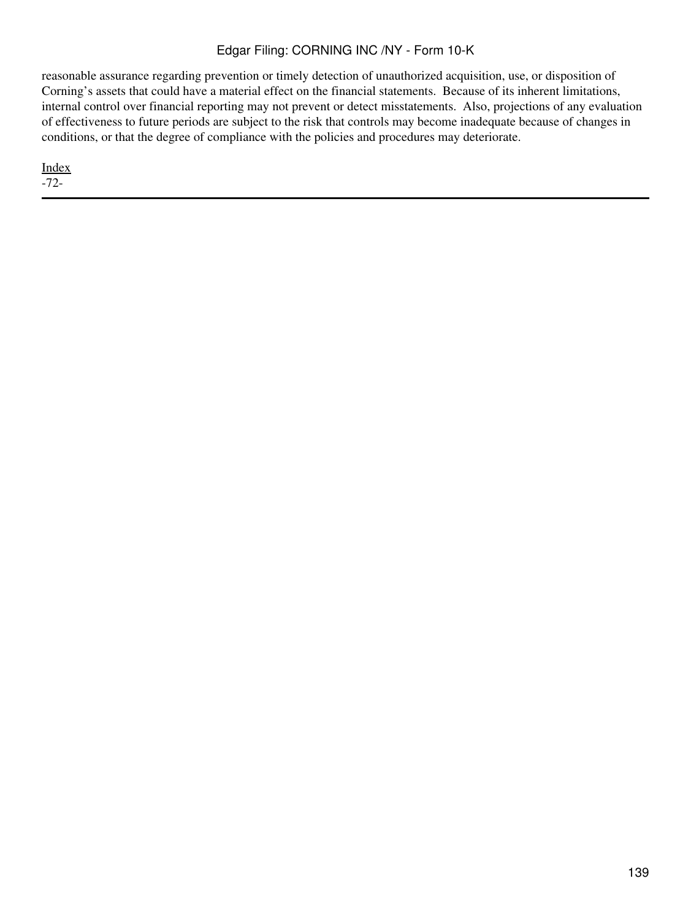reasonable assurance regarding prevention or timely detection of unauthorized acquisition, use, or disposition of Corning's assets that could have a material effect on the financial statements. Because of its inherent limitations, internal control over financial reporting may not prevent or detect misstatements. Also, projections of any evaluation of effectiveness to future periods are subject to the risk that controls may become inadequate because of changes in conditions, or that the degree of compliance with the policies and procedures may deteriorate.

[Index](#page-155-0) -72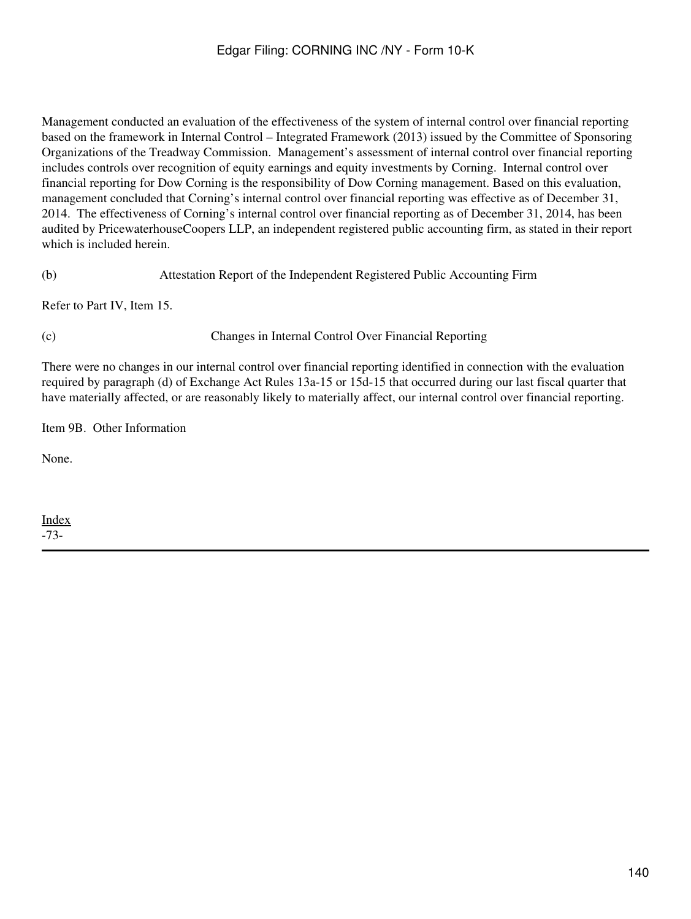Management conducted an evaluation of the effectiveness of the system of internal control over financial reporting based on the framework in Internal Control – Integrated Framework (2013) issued by the Committee of Sponsoring Organizations of the Treadway Commission. Management's assessment of internal control over financial reporting includes controls over recognition of equity earnings and equity investments by Corning. Internal control over financial reporting for Dow Corning is the responsibility of Dow Corning management. Based on this evaluation, management concluded that Corning's internal control over financial reporting was effective as of December 31, 2014. The effectiveness of Corning's internal control over financial reporting as of December 31, 2014, has been audited by PricewaterhouseCoopers LLP, an independent registered public accounting firm, as stated in their report which is included herein.

(b) Attestation Report of the Independent Registered Public Accounting Firm

Refer to Part IV, Item 15.

(c) Changes in Internal Control Over Financial Reporting

There were no changes in our internal control over financial reporting identified in connection with the evaluation required by paragraph (d) of Exchange Act Rules 13a-15 or 15d-15 that occurred during our last fiscal quarter that have materially affected, or are reasonably likely to materially affect, our internal control over financial reporting.

Item 9B. Other Information

None.

[Index](#page-155-0) -73-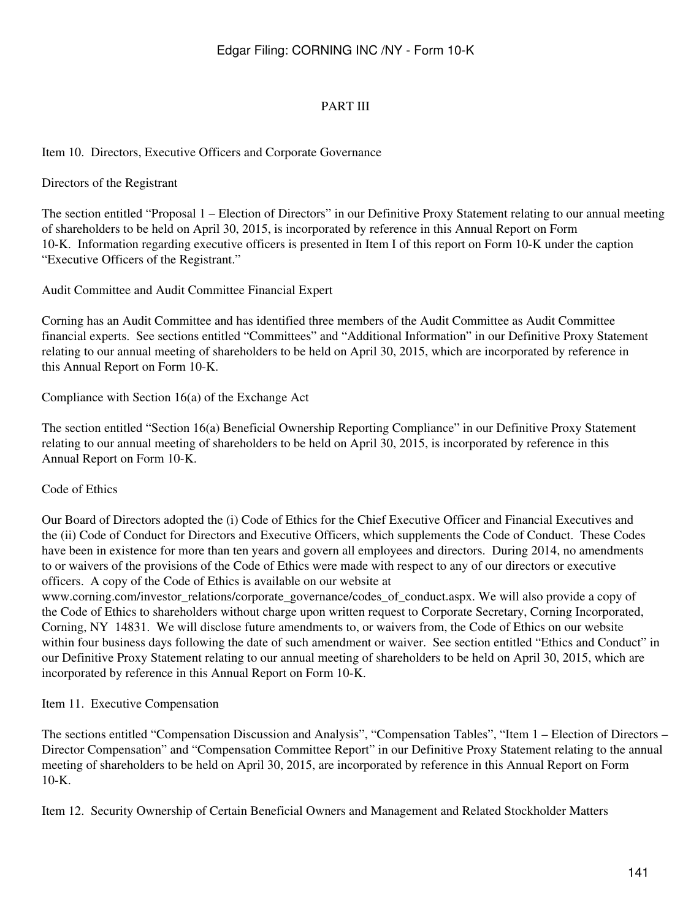# PART III

### Item 10. Directors, Executive Officers and Corporate Governance

#### Directors of the Registrant

The section entitled "Proposal 1 – Election of Directors" in our Definitive Proxy Statement relating to our annual meeting of shareholders to be held on April 30, 2015, is incorporated by reference in this Annual Report on Form 10-K. Information regarding executive officers is presented in Item I of this report on Form 10-K under the caption "Executive Officers of the Registrant."

Audit Committee and Audit Committee Financial Expert

Corning has an Audit Committee and has identified three members of the Audit Committee as Audit Committee financial experts. See sections entitled "Committees" and "Additional Information" in our Definitive Proxy Statement relating to our annual meeting of shareholders to be held on April 30, 2015, which are incorporated by reference in this Annual Report on Form 10-K.

Compliance with Section 16(a) of the Exchange Act

The section entitled "Section 16(a) Beneficial Ownership Reporting Compliance" in our Definitive Proxy Statement relating to our annual meeting of shareholders to be held on April 30, 2015, is incorporated by reference in this Annual Report on Form 10-K.

#### Code of Ethics

Our Board of Directors adopted the (i) Code of Ethics for the Chief Executive Officer and Financial Executives and the (ii) Code of Conduct for Directors and Executive Officers, which supplements the Code of Conduct. These Codes have been in existence for more than ten years and govern all employees and directors. During 2014, no amendments to or waivers of the provisions of the Code of Ethics were made with respect to any of our directors or executive officers. A copy of the Code of Ethics is available on our website at

www.corning.com/investor\_relations/corporate\_governance/codes\_of\_conduct.aspx. We will also provide a copy of the Code of Ethics to shareholders without charge upon written request to Corporate Secretary, Corning Incorporated, Corning, NY 14831. We will disclose future amendments to, or waivers from, the Code of Ethics on our website within four business days following the date of such amendment or waiver. See section entitled "Ethics and Conduct" in our Definitive Proxy Statement relating to our annual meeting of shareholders to be held on April 30, 2015, which are incorporated by reference in this Annual Report on Form 10-K.

Item 11. Executive Compensation

The sections entitled "Compensation Discussion and Analysis", "Compensation Tables", "Item 1 – Election of Directors – Director Compensation" and "Compensation Committee Report" in our Definitive Proxy Statement relating to the annual meeting of shareholders to be held on April 30, 2015, are incorporated by reference in this Annual Report on Form 10-K.

Item 12. Security Ownership of Certain Beneficial Owners and Management and Related Stockholder Matters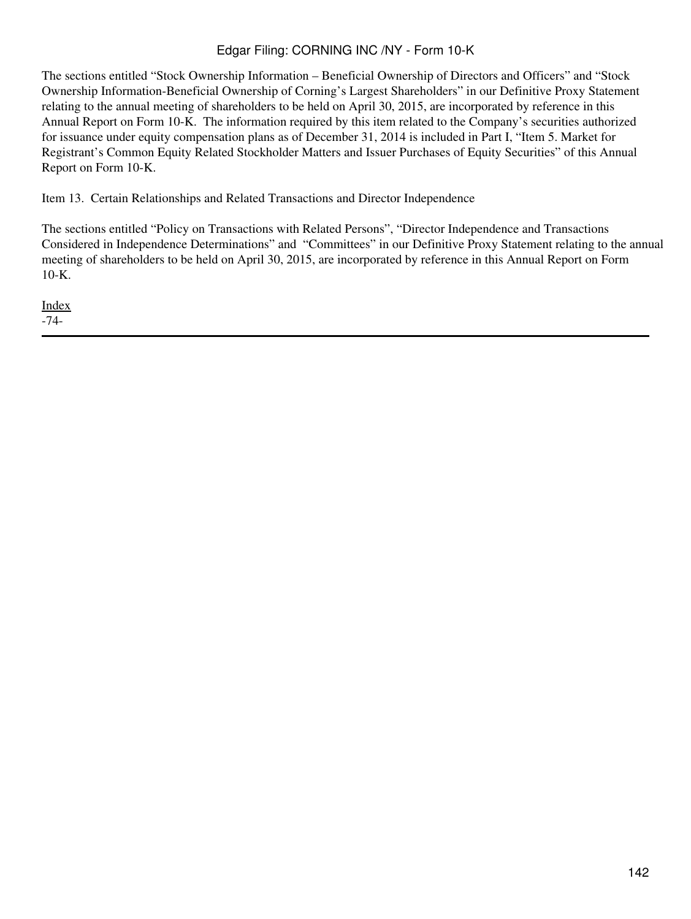The sections entitled "Stock Ownership Information – Beneficial Ownership of Directors and Officers" and "Stock Ownership Information-Beneficial Ownership of Corning's Largest Shareholders" in our Definitive Proxy Statement relating to the annual meeting of shareholders to be held on April 30, 2015, are incorporated by reference in this Annual Report on Form 10-K. The information required by this item related to the Company's securities authorized for issuance under equity compensation plans as of December 31, 2014 is included in Part I, "Item 5. Market for Registrant's Common Equity Related Stockholder Matters and Issuer Purchases of Equity Securities" of this Annual Report on Form 10-K.

Item 13. Certain Relationships and Related Transactions and Director Independence

The sections entitled "Policy on Transactions with Related Persons", "Director Independence and Transactions Considered in Independence Determinations" and "Committees" in our Definitive Proxy Statement relating to the annual meeting of shareholders to be held on April 30, 2015, are incorporated by reference in this Annual Report on Form 10-K.

[Index](#page-155-0) -74-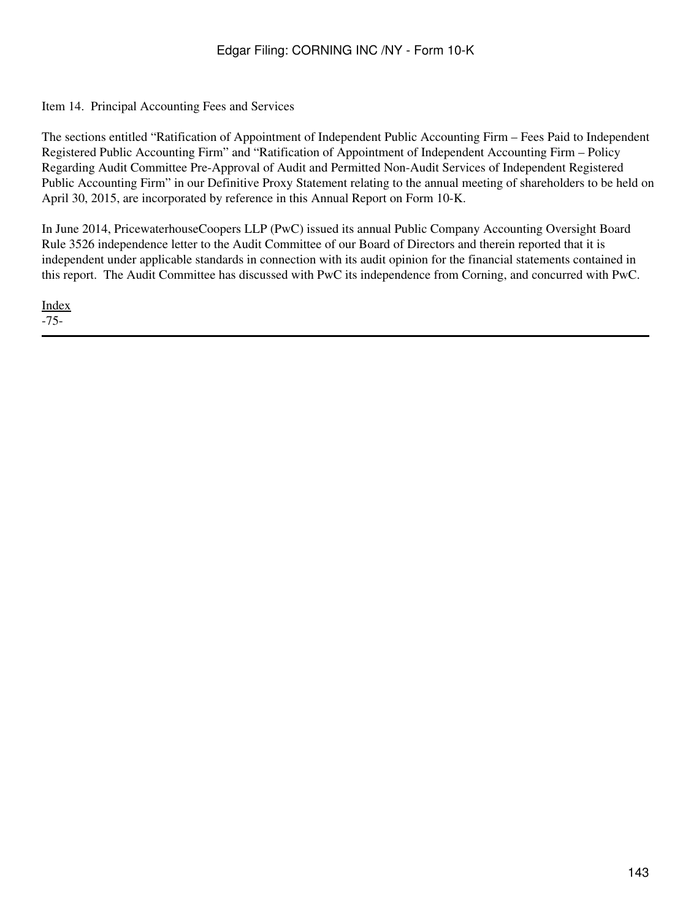# Item 14. Principal Accounting Fees and Services

The sections entitled "Ratification of Appointment of Independent Public Accounting Firm – Fees Paid to Independent Registered Public Accounting Firm" and "Ratification of Appointment of Independent Accounting Firm – Policy Regarding Audit Committee Pre-Approval of Audit and Permitted Non-Audit Services of Independent Registered Public Accounting Firm" in our Definitive Proxy Statement relating to the annual meeting of shareholders to be held on April 30, 2015, are incorporated by reference in this Annual Report on Form 10-K.

In June 2014, PricewaterhouseCoopers LLP (PwC) issued its annual Public Company Accounting Oversight Board Rule 3526 independence letter to the Audit Committee of our Board of Directors and therein reported that it is independent under applicable standards in connection with its audit opinion for the financial statements contained in this report. The Audit Committee has discussed with PwC its independence from Corning, and concurred with PwC.

[Index](#page-155-0) -75-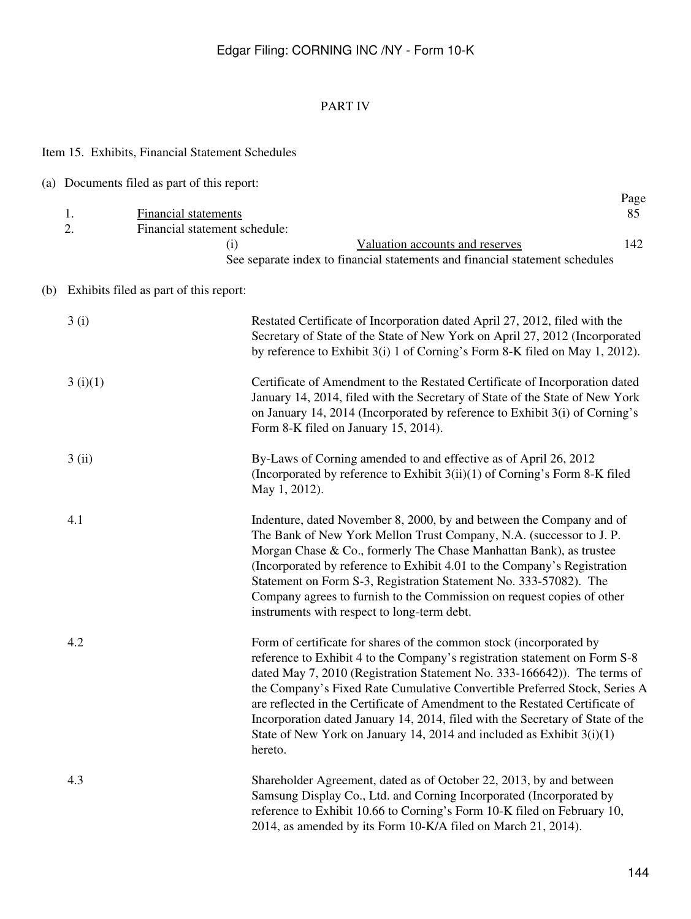# PART IV

|                                            | Item 15. Exhibits, Financial Statement Schedules                                                                                                                                                                                                 |                                                                                                                                                                                                                                                                                                                                                                                                                                                                                                                                                                    |                   |  |
|--------------------------------------------|--------------------------------------------------------------------------------------------------------------------------------------------------------------------------------------------------------------------------------------------------|--------------------------------------------------------------------------------------------------------------------------------------------------------------------------------------------------------------------------------------------------------------------------------------------------------------------------------------------------------------------------------------------------------------------------------------------------------------------------------------------------------------------------------------------------------------------|-------------------|--|
|                                            | (a) Documents filed as part of this report:                                                                                                                                                                                                      |                                                                                                                                                                                                                                                                                                                                                                                                                                                                                                                                                                    |                   |  |
|                                            | <b>Financial statements</b><br>1.<br>2.<br>Financial statement schedule:<br>(i)                                                                                                                                                                  | Valuation accounts and reserves<br>See separate index to financial statements and financial statement schedules                                                                                                                                                                                                                                                                                                                                                                                                                                                    | Page<br>85<br>142 |  |
| (b) Exhibits filed as part of this report: |                                                                                                                                                                                                                                                  |                                                                                                                                                                                                                                                                                                                                                                                                                                                                                                                                                                    |                   |  |
|                                            | 3(i)<br>Restated Certificate of Incorporation dated April 27, 2012, filed with the<br>Secretary of State of the State of New York on April 27, 2012 (Incorporated<br>by reference to Exhibit 3(i) 1 of Corning's Form 8-K filed on May 1, 2012). |                                                                                                                                                                                                                                                                                                                                                                                                                                                                                                                                                                    |                   |  |
|                                            | 3(i)(1)                                                                                                                                                                                                                                          | Certificate of Amendment to the Restated Certificate of Incorporation dated<br>January 14, 2014, filed with the Secretary of State of the State of New York<br>on January 14, 2014 (Incorporated by reference to Exhibit 3(i) of Corning's<br>Form 8-K filed on January 15, 2014).                                                                                                                                                                                                                                                                                 |                   |  |
|                                            | 3(i)                                                                                                                                                                                                                                             | By-Laws of Corning amended to and effective as of April 26, 2012<br>(Incorporated by reference to Exhibit $3(ii)(1)$ of Corning's Form 8-K filed<br>May 1, 2012).                                                                                                                                                                                                                                                                                                                                                                                                  |                   |  |
|                                            | 4.1                                                                                                                                                                                                                                              | Indenture, dated November 8, 2000, by and between the Company and of<br>The Bank of New York Mellon Trust Company, N.A. (successor to J. P.<br>Morgan Chase & Co., formerly The Chase Manhattan Bank), as trustee<br>(Incorporated by reference to Exhibit 4.01 to the Company's Registration<br>Statement on Form S-3, Registration Statement No. 333-57082). The<br>Company agrees to furnish to the Commission on request copies of other<br>instruments with respect to long-term debt.                                                                        |                   |  |
|                                            | 4.2                                                                                                                                                                                                                                              | Form of certificate for shares of the common stock (incorporated by<br>reference to Exhibit 4 to the Company's registration statement on Form S-8<br>dated May 7, 2010 (Registration Statement No. 333-166642)). The terms of<br>the Company's Fixed Rate Cumulative Convertible Preferred Stock, Series A<br>are reflected in the Certificate of Amendment to the Restated Certificate of<br>Incorporation dated January 14, 2014, filed with the Secretary of State of the<br>State of New York on January 14, 2014 and included as Exhibit $3(i)(1)$<br>hereto. |                   |  |
|                                            | 4.3                                                                                                                                                                                                                                              | Shareholder Agreement, dated as of October 22, 2013, by and between<br>Samsung Display Co., Ltd. and Corning Incorporated (Incorporated by<br>reference to Exhibit 10.66 to Corning's Form 10-K filed on February 10,<br>2014, as amended by its Form 10-K/A filed on March 21, 2014).                                                                                                                                                                                                                                                                             |                   |  |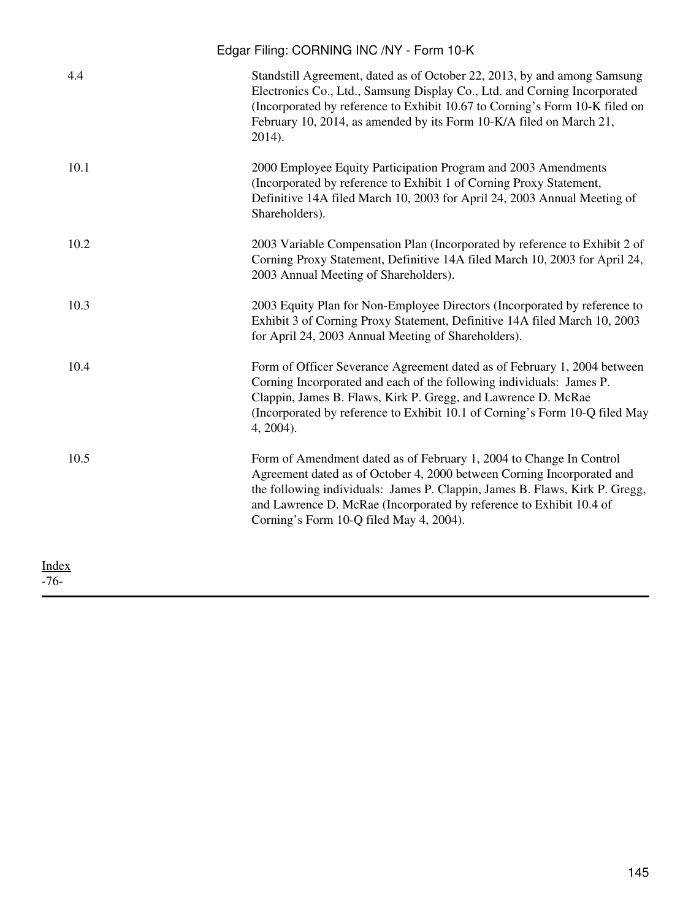|                        | Edgar Filing: CORNING INC /NY - Form 10-K                                                                                                                                                                                                                                                                                                      |
|------------------------|------------------------------------------------------------------------------------------------------------------------------------------------------------------------------------------------------------------------------------------------------------------------------------------------------------------------------------------------|
| 4.4                    | Standstill Agreement, dated as of October 22, 2013, by and among Samsung<br>Electronics Co., Ltd., Samsung Display Co., Ltd. and Corning Incorporated<br>(Incorporated by reference to Exhibit 10.67 to Corning's Form 10-K filed on<br>February 10, 2014, as amended by its Form 10-K/A filed on March 21,<br>2014).                          |
| 10.1                   | 2000 Employee Equity Participation Program and 2003 Amendments<br>(Incorporated by reference to Exhibit 1 of Corning Proxy Statement,<br>Definitive 14A filed March 10, 2003 for April 24, 2003 Annual Meeting of<br>Shareholders).                                                                                                            |
| 10.2                   | 2003 Variable Compensation Plan (Incorporated by reference to Exhibit 2 of<br>Corning Proxy Statement, Definitive 14A filed March 10, 2003 for April 24,<br>2003 Annual Meeting of Shareholders).                                                                                                                                              |
| 10.3                   | 2003 Equity Plan for Non-Employee Directors (Incorporated by reference to<br>Exhibit 3 of Corning Proxy Statement, Definitive 14A filed March 10, 2003<br>for April 24, 2003 Annual Meeting of Shareholders).                                                                                                                                  |
| 10.4                   | Form of Officer Severance Agreement dated as of February 1, 2004 between<br>Corning Incorporated and each of the following individuals: James P.<br>Clappin, James B. Flaws, Kirk P. Gregg, and Lawrence D. McRae<br>(Incorporated by reference to Exhibit 10.1 of Corning's Form 10-Q filed May<br>4, 2004).                                  |
| 10.5                   | Form of Amendment dated as of February 1, 2004 to Change In Control<br>Agreement dated as of October 4, 2000 between Corning Incorporated and<br>the following individuals: James P. Clappin, James B. Flaws, Kirk P. Gregg,<br>and Lawrence D. McRae (Incorporated by reference to Exhibit 10.4 of<br>Corning's Form 10-Q filed May 4, 2004). |
| <b>Index</b><br>$-76-$ |                                                                                                                                                                                                                                                                                                                                                |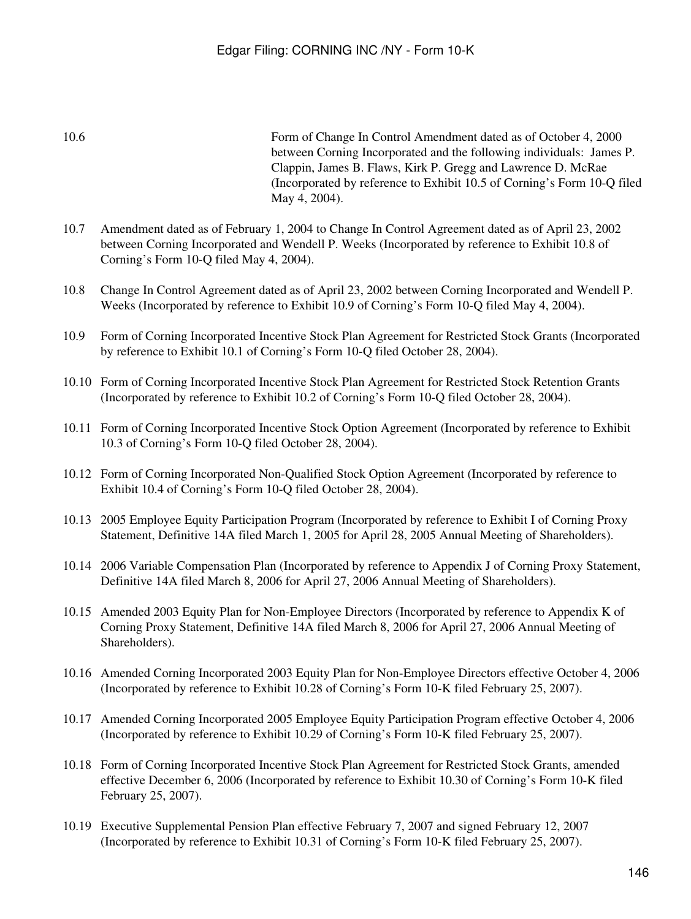10.6 Form of Change In Control Amendment dated as of October 4, 2000 between Corning Incorporated and the following individuals: James P. Clappin, James B. Flaws, Kirk P. Gregg and Lawrence D. McRae (Incorporated by reference to Exhibit 10.5 of Corning's Form 10-Q filed May 4, 2004).

- 10.7 Amendment dated as of February 1, 2004 to Change In Control Agreement dated as of April 23, 2002 between Corning Incorporated and Wendell P. Weeks (Incorporated by reference to Exhibit 10.8 of Corning's Form 10-Q filed May 4, 2004).
- 10.8 Change In Control Agreement dated as of April 23, 2002 between Corning Incorporated and Wendell P. Weeks (Incorporated by reference to Exhibit 10.9 of Corning's Form 10-Q filed May 4, 2004).
- 10.9 Form of Corning Incorporated Incentive Stock Plan Agreement for Restricted Stock Grants (Incorporated by reference to Exhibit 10.1 of Corning's Form 10-Q filed October 28, 2004).
- 10.10 Form of Corning Incorporated Incentive Stock Plan Agreement for Restricted Stock Retention Grants (Incorporated by reference to Exhibit 10.2 of Corning's Form 10-Q filed October 28, 2004).
- 10.11 Form of Corning Incorporated Incentive Stock Option Agreement (Incorporated by reference to Exhibit 10.3 of Corning's Form 10-Q filed October 28, 2004).
- 10.12 Form of Corning Incorporated Non-Qualified Stock Option Agreement (Incorporated by reference to Exhibit 10.4 of Corning's Form 10-Q filed October 28, 2004).
- 10.13 2005 Employee Equity Participation Program (Incorporated by reference to Exhibit I of Corning Proxy Statement, Definitive 14A filed March 1, 2005 for April 28, 2005 Annual Meeting of Shareholders).
- 10.14 2006 Variable Compensation Plan (Incorporated by reference to Appendix J of Corning Proxy Statement, Definitive 14A filed March 8, 2006 for April 27, 2006 Annual Meeting of Shareholders).
- 10.15 Amended 2003 Equity Plan for Non-Employee Directors (Incorporated by reference to Appendix K of Corning Proxy Statement, Definitive 14A filed March 8, 2006 for April 27, 2006 Annual Meeting of Shareholders).
- 10.16 Amended Corning Incorporated 2003 Equity Plan for Non-Employee Directors effective October 4, 2006 (Incorporated by reference to Exhibit 10.28 of Corning's Form 10-K filed February 25, 2007).
- 10.17 Amended Corning Incorporated 2005 Employee Equity Participation Program effective October 4, 2006 (Incorporated by reference to Exhibit 10.29 of Corning's Form 10-K filed February 25, 2007).
- 10.18 Form of Corning Incorporated Incentive Stock Plan Agreement for Restricted Stock Grants, amended effective December 6, 2006 (Incorporated by reference to Exhibit 10.30 of Corning's Form 10-K filed February 25, 2007).
- 10.19 Executive Supplemental Pension Plan effective February 7, 2007 and signed February 12, 2007 (Incorporated by reference to Exhibit 10.31 of Corning's Form 10-K filed February 25, 2007).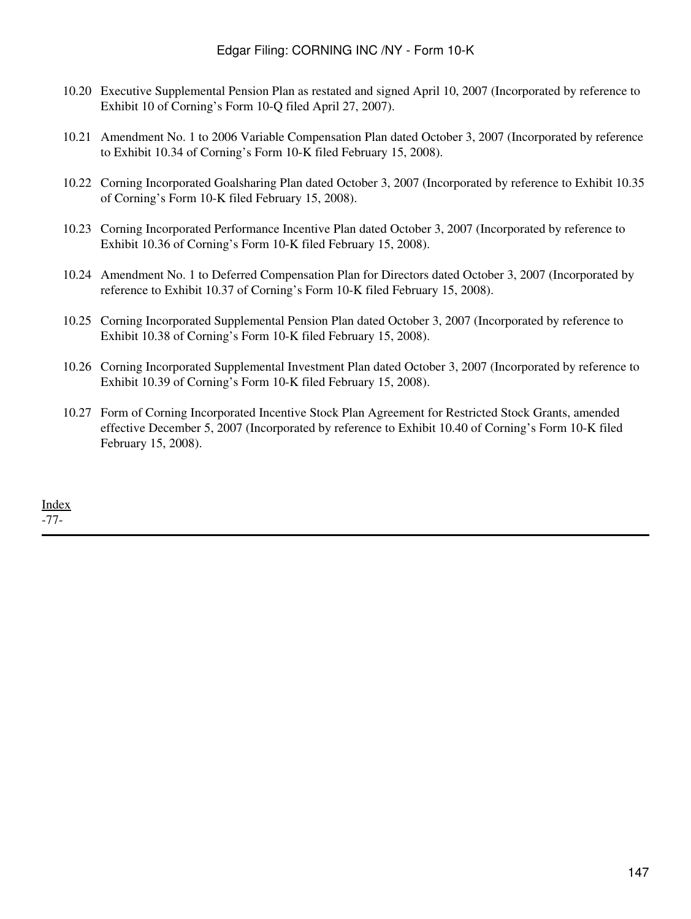- 10.20 Executive Supplemental Pension Plan as restated and signed April 10, 2007 (Incorporated by reference to Exhibit 10 of Corning's Form 10-Q filed April 27, 2007).
- 10.21 Amendment No. 1 to 2006 Variable Compensation Plan dated October 3, 2007 (Incorporated by reference to Exhibit 10.34 of Corning's Form 10-K filed February 15, 2008).
- 10.22 Corning Incorporated Goalsharing Plan dated October 3, 2007 (Incorporated by reference to Exhibit 10.35 of Corning's Form 10-K filed February 15, 2008).
- 10.23 Corning Incorporated Performance Incentive Plan dated October 3, 2007 (Incorporated by reference to Exhibit 10.36 of Corning's Form 10-K filed February 15, 2008).
- 10.24 Amendment No. 1 to Deferred Compensation Plan for Directors dated October 3, 2007 (Incorporated by reference to Exhibit 10.37 of Corning's Form 10-K filed February 15, 2008).
- 10.25 Corning Incorporated Supplemental Pension Plan dated October 3, 2007 (Incorporated by reference to Exhibit 10.38 of Corning's Form 10-K filed February 15, 2008).
- 10.26 Corning Incorporated Supplemental Investment Plan dated October 3, 2007 (Incorporated by reference to Exhibit 10.39 of Corning's Form 10-K filed February 15, 2008).
- 10.27 Form of Corning Incorporated Incentive Stock Plan Agreement for Restricted Stock Grants, amended effective December 5, 2007 (Incorporated by reference to Exhibit 10.40 of Corning's Form 10-K filed February 15, 2008).

[Index](#page-155-0) -77-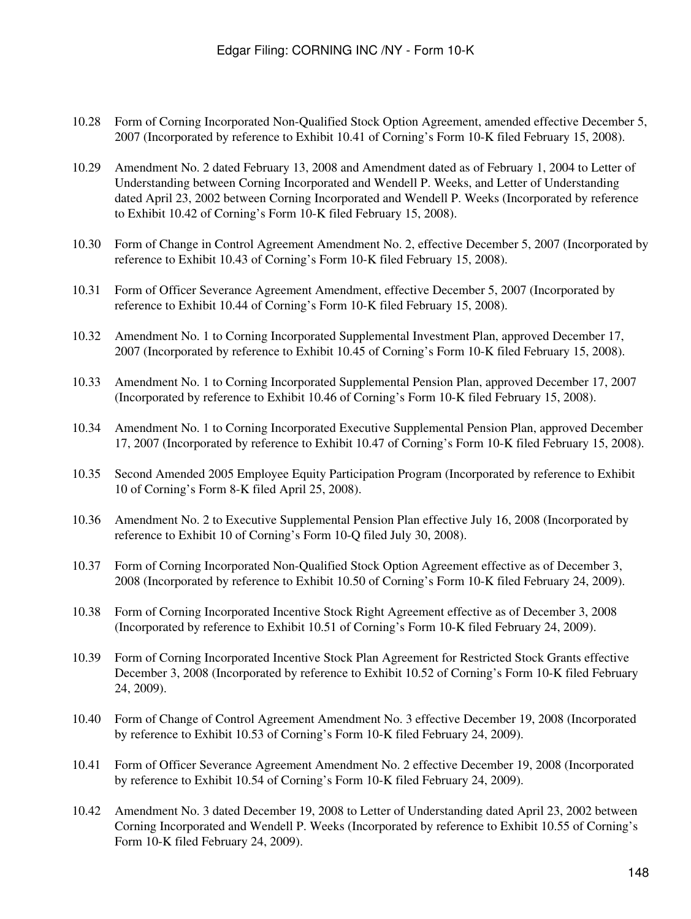- 10.28 Form of Corning Incorporated Non-Qualified Stock Option Agreement, amended effective December 5, 2007 (Incorporated by reference to Exhibit 10.41 of Corning's Form 10-K filed February 15, 2008).
- 10.29 Amendment No. 2 dated February 13, 2008 and Amendment dated as of February 1, 2004 to Letter of Understanding between Corning Incorporated and Wendell P. Weeks, and Letter of Understanding dated April 23, 2002 between Corning Incorporated and Wendell P. Weeks (Incorporated by reference to Exhibit 10.42 of Corning's Form 10-K filed February 15, 2008).
- 10.30 Form of Change in Control Agreement Amendment No. 2, effective December 5, 2007 (Incorporated by reference to Exhibit 10.43 of Corning's Form 10-K filed February 15, 2008).
- 10.31 Form of Officer Severance Agreement Amendment, effective December 5, 2007 (Incorporated by reference to Exhibit 10.44 of Corning's Form 10-K filed February 15, 2008).
- 10.32 Amendment No. 1 to Corning Incorporated Supplemental Investment Plan, approved December 17, 2007 (Incorporated by reference to Exhibit 10.45 of Corning's Form 10-K filed February 15, 2008).
- 10.33 Amendment No. 1 to Corning Incorporated Supplemental Pension Plan, approved December 17, 2007 (Incorporated by reference to Exhibit 10.46 of Corning's Form 10-K filed February 15, 2008).
- 10.34 Amendment No. 1 to Corning Incorporated Executive Supplemental Pension Plan, approved December 17, 2007 (Incorporated by reference to Exhibit 10.47 of Corning's Form 10-K filed February 15, 2008).
- 10.35 Second Amended 2005 Employee Equity Participation Program (Incorporated by reference to Exhibit 10 of Corning's Form 8-K filed April 25, 2008).
- 10.36 Amendment No. 2 to Executive Supplemental Pension Plan effective July 16, 2008 (Incorporated by reference to Exhibit 10 of Corning's Form 10-Q filed July 30, 2008).
- 10.37 Form of Corning Incorporated Non-Qualified Stock Option Agreement effective as of December 3, 2008 (Incorporated by reference to Exhibit 10.50 of Corning's Form 10-K filed February 24, 2009).
- 10.38 Form of Corning Incorporated Incentive Stock Right Agreement effective as of December 3, 2008 (Incorporated by reference to Exhibit 10.51 of Corning's Form 10-K filed February 24, 2009).
- 10.39 Form of Corning Incorporated Incentive Stock Plan Agreement for Restricted Stock Grants effective December 3, 2008 (Incorporated by reference to Exhibit 10.52 of Corning's Form 10-K filed February 24, 2009).
- 10.40 Form of Change of Control Agreement Amendment No. 3 effective December 19, 2008 (Incorporated by reference to Exhibit 10.53 of Corning's Form 10-K filed February 24, 2009).
- 10.41 Form of Officer Severance Agreement Amendment No. 2 effective December 19, 2008 (Incorporated by reference to Exhibit 10.54 of Corning's Form 10-K filed February 24, 2009).
- 10.42 Amendment No. 3 dated December 19, 2008 to Letter of Understanding dated April 23, 2002 between Corning Incorporated and Wendell P. Weeks (Incorporated by reference to Exhibit 10.55 of Corning's Form 10-K filed February 24, 2009).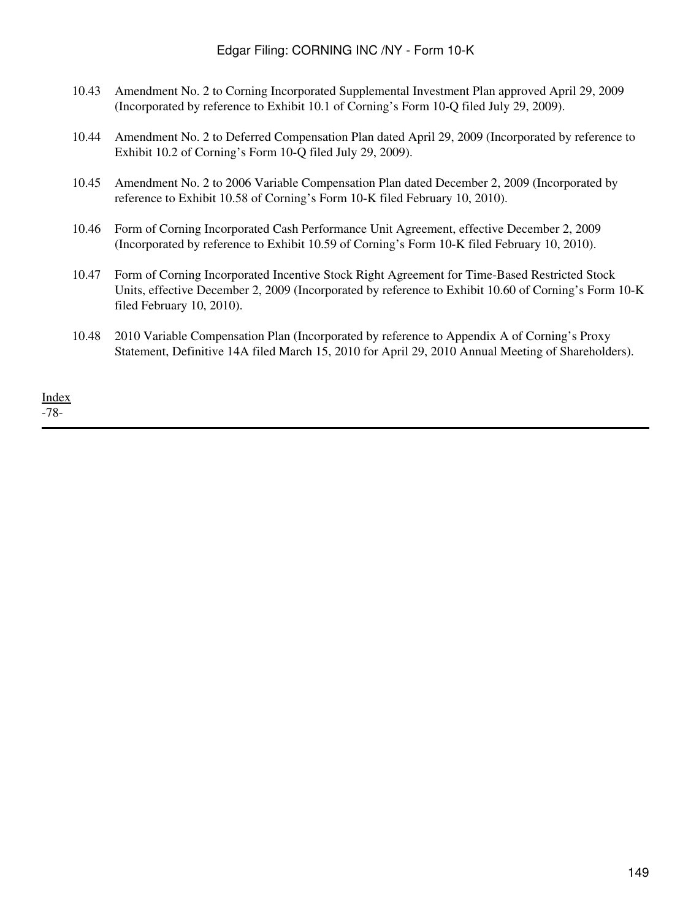| 10.43 Amendment No. 2 to Corning Incorporated Supplemental Investment Plan approved April 29, 2009 |
|----------------------------------------------------------------------------------------------------|
| (Incorporated by reference to Exhibit 10.1 of Corning's Form 10-Q filed July 29, 2009).            |

- 10.44 Amendment No. 2 to Deferred Compensation Plan dated April 29, 2009 (Incorporated by reference to Exhibit 10.2 of Corning's Form 10-Q filed July 29, 2009).
- 10.45 Amendment No. 2 to 2006 Variable Compensation Plan dated December 2, 2009 (Incorporated by reference to Exhibit 10.58 of Corning's Form 10-K filed February 10, 2010).
- 10.46 Form of Corning Incorporated Cash Performance Unit Agreement, effective December 2, 2009 (Incorporated by reference to Exhibit 10.59 of Corning's Form 10-K filed February 10, 2010).
- 10.47 Form of Corning Incorporated Incentive Stock Right Agreement for Time-Based Restricted Stock Units, effective December 2, 2009 (Incorporated by reference to Exhibit 10.60 of Corning's Form 10-K filed February 10, 2010).
- 10.48 2010 Variable Compensation Plan (Incorporated by reference to Appendix A of Corning's Proxy Statement, Definitive 14A filed March 15, 2010 for April 29, 2010 Annual Meeting of Shareholders).

[Index](#page-155-0) -78-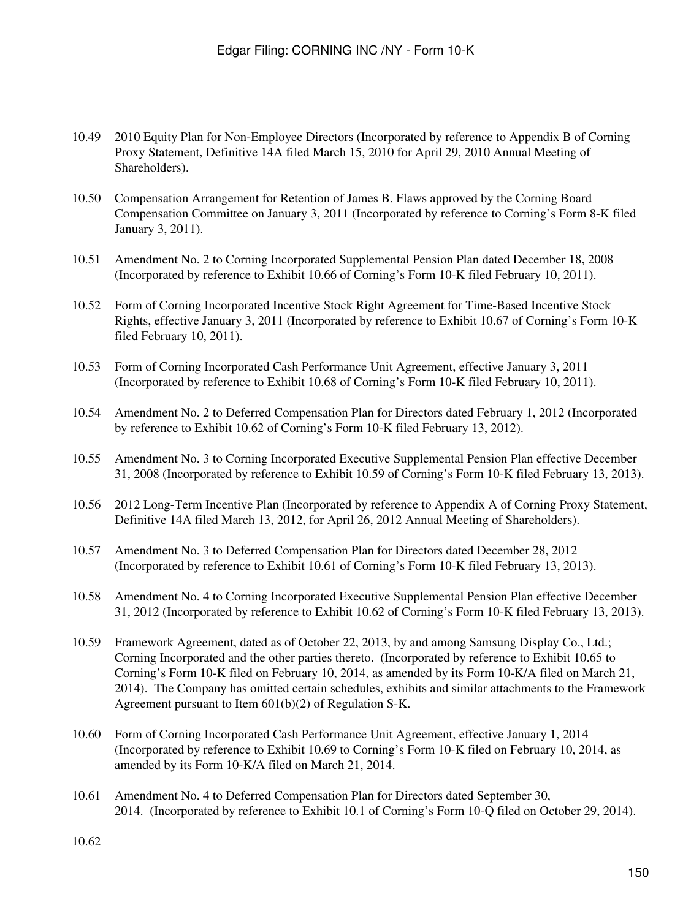- 10.49 2010 Equity Plan for Non-Employee Directors (Incorporated by reference to Appendix B of Corning Proxy Statement, Definitive 14A filed March 15, 2010 for April 29, 2010 Annual Meeting of Shareholders).
- 10.50 Compensation Arrangement for Retention of James B. Flaws approved by the Corning Board Compensation Committee on January 3, 2011 (Incorporated by reference to Corning's Form 8-K filed January 3, 2011).
- 10.51 Amendment No. 2 to Corning Incorporated Supplemental Pension Plan dated December 18, 2008 (Incorporated by reference to Exhibit 10.66 of Corning's Form 10-K filed February 10, 2011).
- 10.52 Form of Corning Incorporated Incentive Stock Right Agreement for Time-Based Incentive Stock Rights, effective January 3, 2011 (Incorporated by reference to Exhibit 10.67 of Corning's Form 10-K filed February 10, 2011).
- 10.53 Form of Corning Incorporated Cash Performance Unit Agreement, effective January 3, 2011 (Incorporated by reference to Exhibit 10.68 of Corning's Form 10-K filed February 10, 2011).
- 10.54 Amendment No. 2 to Deferred Compensation Plan for Directors dated February 1, 2012 (Incorporated by reference to Exhibit 10.62 of Corning's Form 10-K filed February 13, 2012).
- 10.55 Amendment No. 3 to Corning Incorporated Executive Supplemental Pension Plan effective December 31, 2008 (Incorporated by reference to Exhibit 10.59 of Corning's Form 10-K filed February 13, 2013).
- 10.56 2012 Long-Term Incentive Plan (Incorporated by reference to Appendix A of Corning Proxy Statement, Definitive 14A filed March 13, 2012, for April 26, 2012 Annual Meeting of Shareholders).
- 10.57 Amendment No. 3 to Deferred Compensation Plan for Directors dated December 28, 2012 (Incorporated by reference to Exhibit 10.61 of Corning's Form 10-K filed February 13, 2013).
- 10.58 Amendment No. 4 to Corning Incorporated Executive Supplemental Pension Plan effective December 31, 2012 (Incorporated by reference to Exhibit 10.62 of Corning's Form 10-K filed February 13, 2013).
- 10.59 Framework Agreement, dated as of October 22, 2013, by and among Samsung Display Co., Ltd.; Corning Incorporated and the other parties thereto. (Incorporated by reference to Exhibit 10.65 to Corning's Form 10-K filed on February 10, 2014, as amended by its Form 10-K/A filed on March 21, 2014). The Company has omitted certain schedules, exhibits and similar attachments to the Framework Agreement pursuant to Item 601(b)(2) of Regulation S-K.
- 10.60 Form of Corning Incorporated Cash Performance Unit Agreement, effective January 1, 2014 (Incorporated by reference to Exhibit 10.69 to Corning's Form 10-K filed on February 10, 2014, as amended by its Form 10-K/A filed on March 21, 2014.
- 10.61 Amendment No. 4 to Deferred Compensation Plan for Directors dated September 30, 2014. (Incorporated by reference to Exhibit 10.1 of Corning's Form 10-Q filed on October 29, 2014).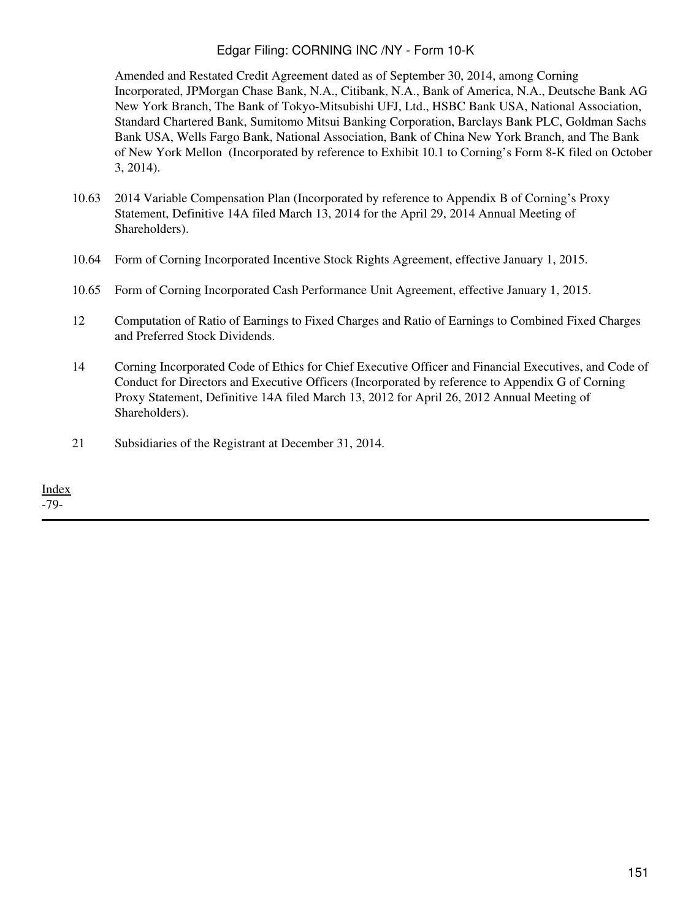Amended and Restated Credit Agreement dated as of September 30, 2014, among Corning Incorporated, JPMorgan Chase Bank, N.A., Citibank, N.A., Bank of America, N.A., Deutsche Bank AG New York Branch, The Bank of Tokyo-Mitsubishi UFJ, Ltd., HSBC Bank USA, National Association, Standard Chartered Bank, Sumitomo Mitsui Banking Corporation, Barclays Bank PLC, Goldman Sachs Bank USA, Wells Fargo Bank, National Association, Bank of China New York Branch, and The Bank of New York Mellon (Incorporated by reference to Exhibit 10.1 to Corning's Form 8-K filed on October 3, 2014).

- 10.63 2014 Variable Compensation Plan (Incorporated by reference to Appendix B of Corning's Proxy Statement, Definitive 14A filed March 13, 2014 for the April 29, 2014 Annual Meeting of Shareholders).
- 10.64 Form of Corning Incorporated Incentive Stock Rights Agreement, effective January 1, 2015.
- 10.65 Form of Corning Incorporated Cash Performance Unit Agreement, effective January 1, 2015.
- 12 Computation of Ratio of Earnings to Fixed Charges and Ratio of Earnings to Combined Fixed Charges and Preferred Stock Dividends.
- 14 Corning Incorporated Code of Ethics for Chief Executive Officer and Financial Executives, and Code of Conduct for Directors and Executive Officers (Incorporated by reference to Appendix G of Corning Proxy Statement, Definitive 14A filed March 13, 2012 for April 26, 2012 Annual Meeting of Shareholders).
- 21 Subsidiaries of the Registrant at December 31, 2014.

[Index](#page-155-0)

-79-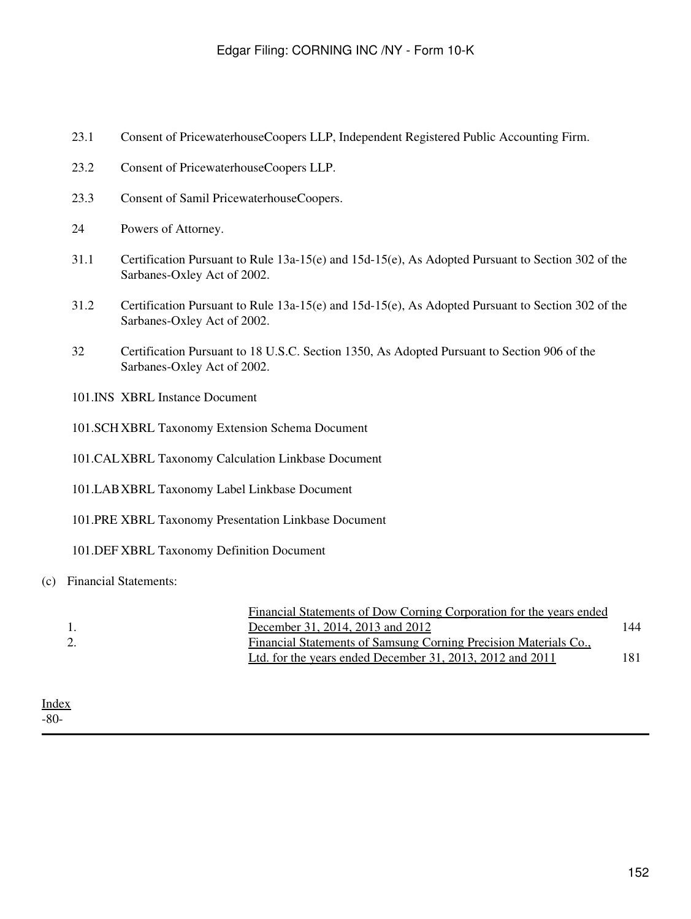- 23.1 Consent of PricewaterhouseCoopers LLP, Independent Registered Public Accounting Firm.
- 23.2 Consent of PricewaterhouseCoopers LLP.
- 23.3 Consent of Samil PricewaterhouseCoopers.
- 24 Powers of Attorney.
- 31.1 Certification Pursuant to Rule 13a-15(e) and 15d-15(e), As Adopted Pursuant to Section 302 of the Sarbanes-Oxley Act of 2002.
- 31.2 Certification Pursuant to Rule 13a-15(e) and 15d-15(e), As Adopted Pursuant to Section 302 of the Sarbanes-Oxley Act of 2002.
- 32 Certification Pursuant to 18 U.S.C. Section 1350, As Adopted Pursuant to Section 906 of the Sarbanes-Oxley Act of 2002.
- 101.INS XBRL Instance Document
- 101.SCH XBRL Taxonomy Extension Schema Document
- 101.CALXBRL Taxonomy Calculation Linkbase Document
- 101.LABXBRL Taxonomy Label Linkbase Document
- 101.PRE XBRL Taxonomy Presentation Linkbase Document
- 101.DEF XBRL Taxonomy Definition Document

#### (c) Financial Statements:

|  | Financial Statements of Dow Corning Corporation for the years ended |     |
|--|---------------------------------------------------------------------|-----|
|  | December 31, 2014, 2013 and 2012                                    | 144 |
|  | Financial Statements of Samsung Corning Precision Materials Co.,    |     |
|  | Ltd. for the years ended December 31, 2013, 2012 and 2011           | 181 |
|  |                                                                     |     |

[Index](#page-155-0) -80-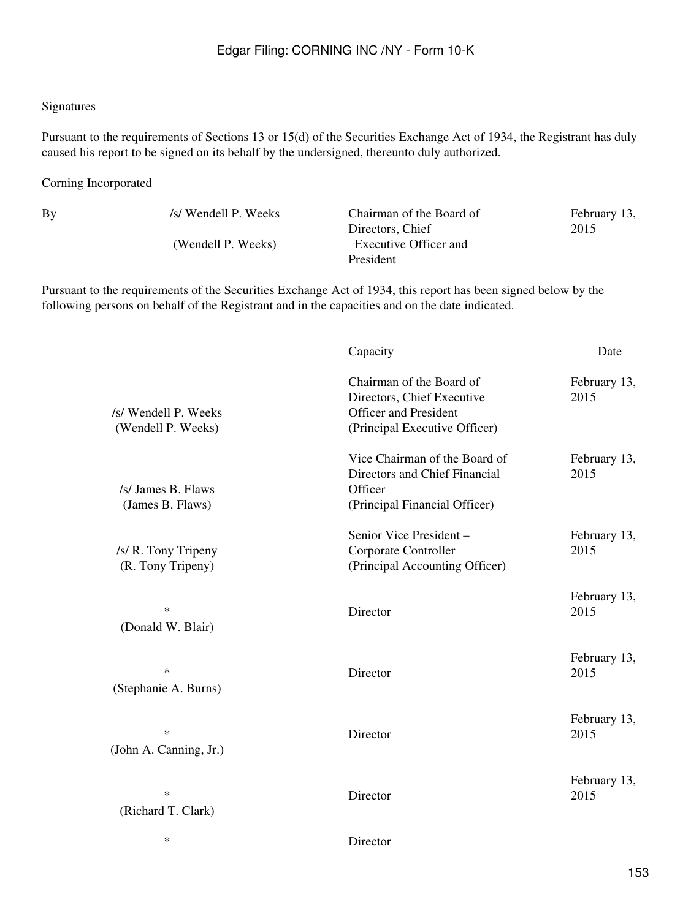#### Signatures

Pursuant to the requirements of Sections 13 or 15(d) of the Securities Exchange Act of 1934, the Registrant has duly caused his report to be signed on its behalf by the undersigned, thereunto duly authorized.

Corning Incorporated

By /s/ Wendell P. Weeks Chairman of the Board of Directors, Chief (Wendell P. Weeks) Executive Officer and President

February 13, 2015

Pursuant to the requirements of the Securities Exchange Act of 1934, this report has been signed below by the following persons on behalf of the Registrant and in the capacities and on the date indicated.

|                                            | Capacity                                                                                                                | Date                 |
|--------------------------------------------|-------------------------------------------------------------------------------------------------------------------------|----------------------|
| /s/ Wendell P. Weeks<br>(Wendell P. Weeks) | Chairman of the Board of<br>Directors, Chief Executive<br><b>Officer and President</b><br>(Principal Executive Officer) | February 13,<br>2015 |
| /s/ James B. Flaws<br>(James B. Flaws)     | Vice Chairman of the Board of<br>Directors and Chief Financial<br>Officer<br>(Principal Financial Officer)              | February 13,<br>2015 |
| /s/ R. Tony Tripeny<br>(R. Tony Tripeny)   | Senior Vice President -<br>Corporate Controller<br>(Principal Accounting Officer)                                       | February 13,<br>2015 |
| $\ast$<br>(Donald W. Blair)                | Director                                                                                                                | February 13,<br>2015 |
| $\ast$<br>(Stephanie A. Burns)             | Director                                                                                                                | February 13,<br>2015 |
| $\ast$<br>(John A. Canning, Jr.)           | Director                                                                                                                | February 13,<br>2015 |
| $\ast$<br>(Richard T. Clark)               | Director                                                                                                                | February 13,<br>2015 |
| $\ast$                                     | Director                                                                                                                |                      |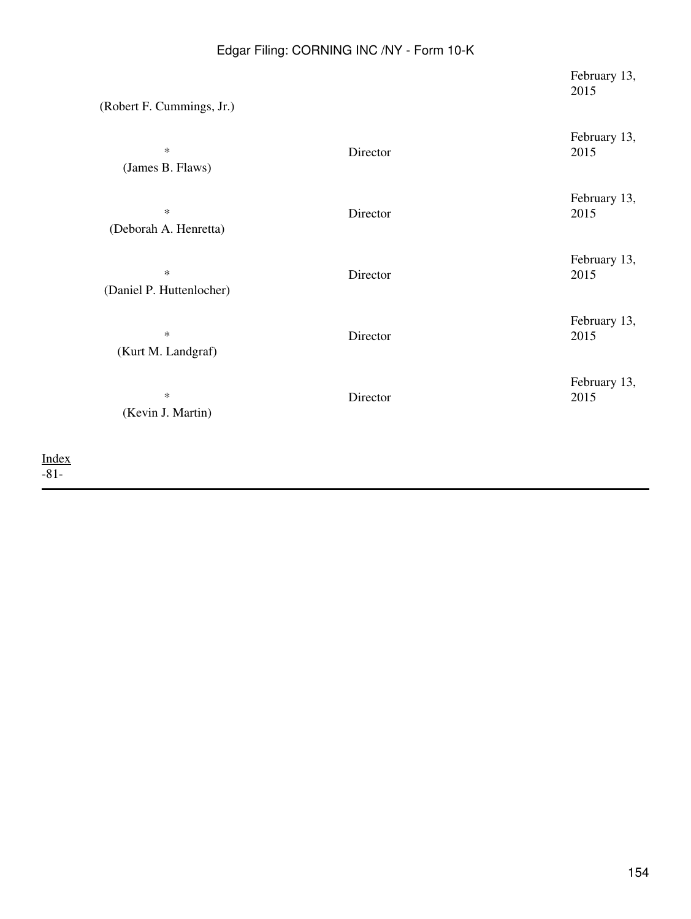| (Robert F. Cummings, Jr.)          |          | February 13,<br>2015 |
|------------------------------------|----------|----------------------|
| $\ast$<br>(James B. Flaws)         | Director | February 13,<br>2015 |
| $\ast$<br>(Deborah A. Henretta)    | Director | February 13,<br>2015 |
| $\ast$<br>(Daniel P. Huttenlocher) | Director | February 13,<br>2015 |
| $\ast$<br>(Kurt M. Landgraf)       | Director | February 13,<br>2015 |
| $\ast$<br>(Kevin J. Martin)        | Director | February 13,<br>2015 |
|                                    |          |                      |

[Index](#page-155-0) -81-

154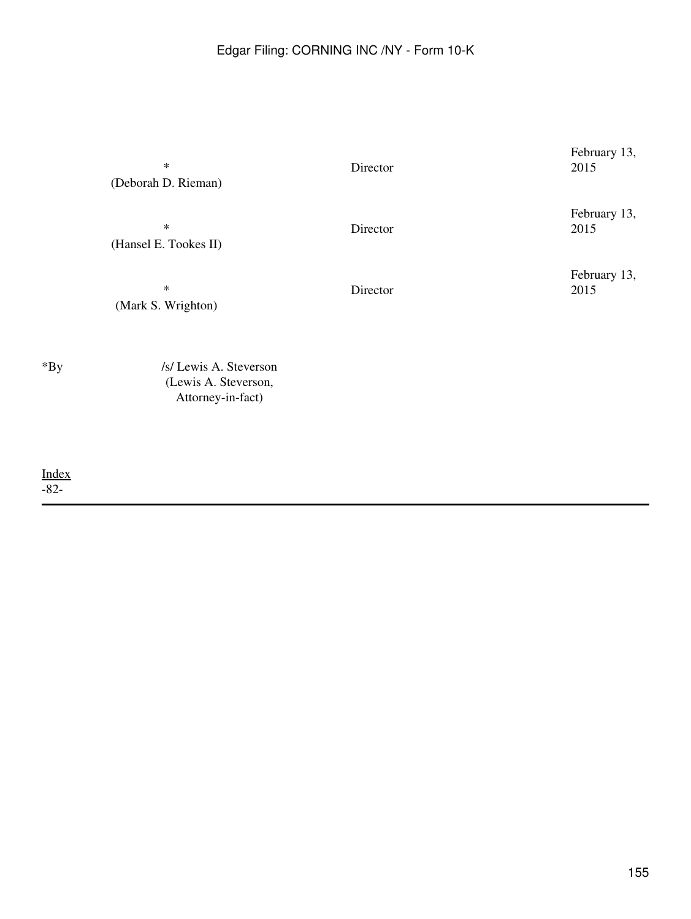|        | $\ast$<br>(Deborah D. Rieman)                  | Director | February 13,<br>2015 |
|--------|------------------------------------------------|----------|----------------------|
|        | $\ast$<br>(Hansel E. Tookes II)                | Director | February 13,<br>2015 |
|        | $\ast$<br>(Mark S. Wrighton)                   | Director | February 13,<br>2015 |
| $*$ By | /s/ Lewis A. Steverson<br>(Lewis A. Steverson, |          |                      |

Attorney-in-fact)

[Index](#page-155-0) -82-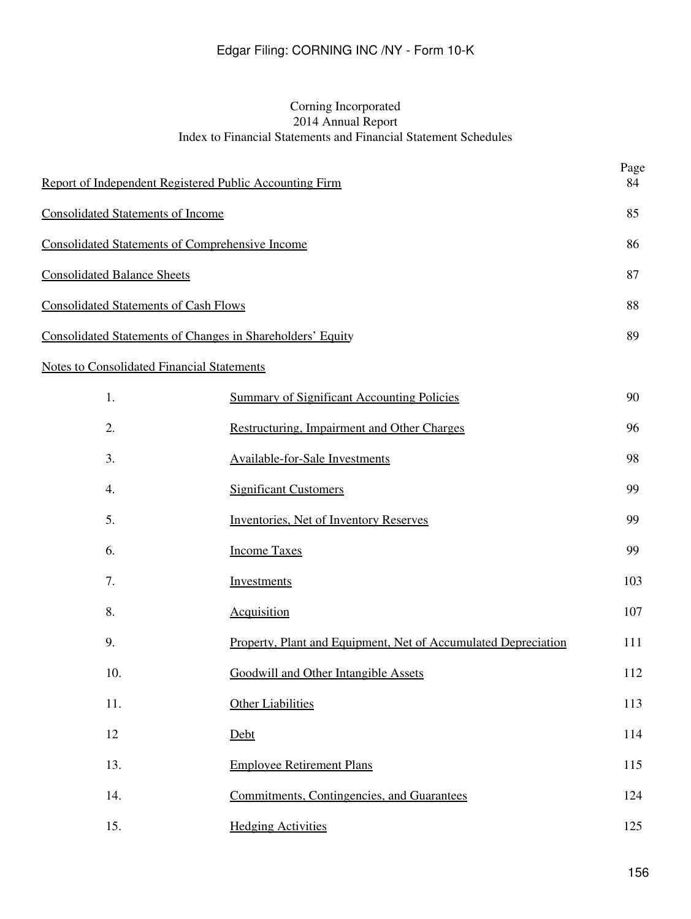# Corning Incorporated 2014 Annual Report Index to Financial Statements and Financial Statement Schedules

<span id="page-155-0"></span>

| Report of Independent Registered Public Accounting Firm    |                                                                | Page<br>84 |
|------------------------------------------------------------|----------------------------------------------------------------|------------|
| <b>Consolidated Statements of Income</b>                   |                                                                | 85         |
| <b>Consolidated Statements of Comprehensive Income</b>     |                                                                | 86         |
| <b>Consolidated Balance Sheets</b>                         |                                                                | 87         |
| <b>Consolidated Statements of Cash Flows</b>               |                                                                | 88         |
| Consolidated Statements of Changes in Shareholders' Equity |                                                                | 89         |
| <b>Notes to Consolidated Financial Statements</b>          |                                                                |            |
| 1.                                                         | <b>Summary of Significant Accounting Policies</b>              | 90         |
| 2.                                                         | <b>Restructuring, Impairment and Other Charges</b>             | 96         |
| 3.                                                         | <b>Available-for-Sale Investments</b>                          | 98         |
| 4.                                                         | <b>Significant Customers</b>                                   | 99         |
| 5.                                                         | <b>Inventories, Net of Inventory Reserves</b>                  | 99         |
| 6.                                                         | <b>Income Taxes</b>                                            | 99         |
| 7.                                                         | Investments                                                    | 103        |
| 8.                                                         | <b>Acquisition</b>                                             | 107        |
| 9.                                                         | Property, Plant and Equipment, Net of Accumulated Depreciation | 111        |
| 10.                                                        | Goodwill and Other Intangible Assets                           | 112        |
| 11.                                                        | <b>Other Liabilities</b>                                       | 113        |
| 12                                                         | Debt                                                           | 114        |
| 13.                                                        | <b>Employee Retirement Plans</b>                               | 115        |
| 14.                                                        | Commitments, Contingencies, and Guarantees                     | 124        |

15. [Hedging Activities](#page-236-0) 125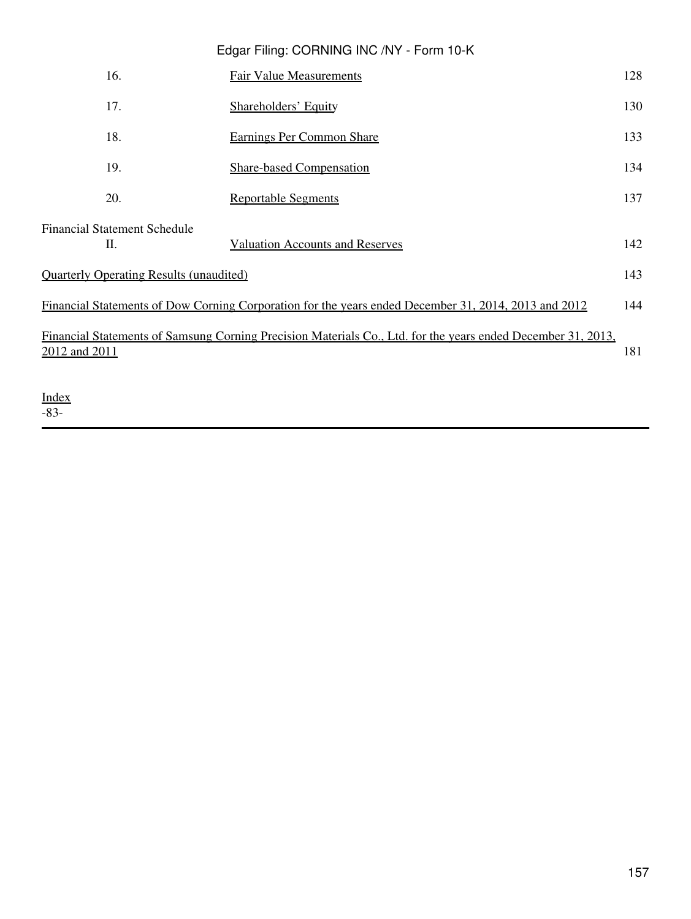|                                                | Edgar Filing: CORNING INC /NY - Form 10-K                                                                    |     |
|------------------------------------------------|--------------------------------------------------------------------------------------------------------------|-----|
| 16.                                            | <b>Fair Value Measurements</b>                                                                               | 128 |
| 17.                                            | <b>Shareholders' Equity</b>                                                                                  | 130 |
| 18.                                            | <b>Earnings Per Common Share</b>                                                                             | 133 |
| 19.                                            | <b>Share-based Compensation</b>                                                                              | 134 |
| 20.                                            | <b>Reportable Segments</b>                                                                                   | 137 |
| <b>Financial Statement Schedule</b><br>П.      | <b>Valuation Accounts and Reserves</b>                                                                       | 142 |
| <b>Ouarterly Operating Results (unaudited)</b> |                                                                                                              | 143 |
|                                                |                                                                                                              |     |
|                                                | Financial Statements of Dow Corning Corporation for the years ended December 31, 2014, 2013 and 2012         | 144 |
| 2012 and 2011                                  | Financial Statements of Samsung Corning Precision Materials Co., Ltd. for the years ended December 31, 2013, | 181 |
| <u>Index</u>                                   |                                                                                                              |     |

-83-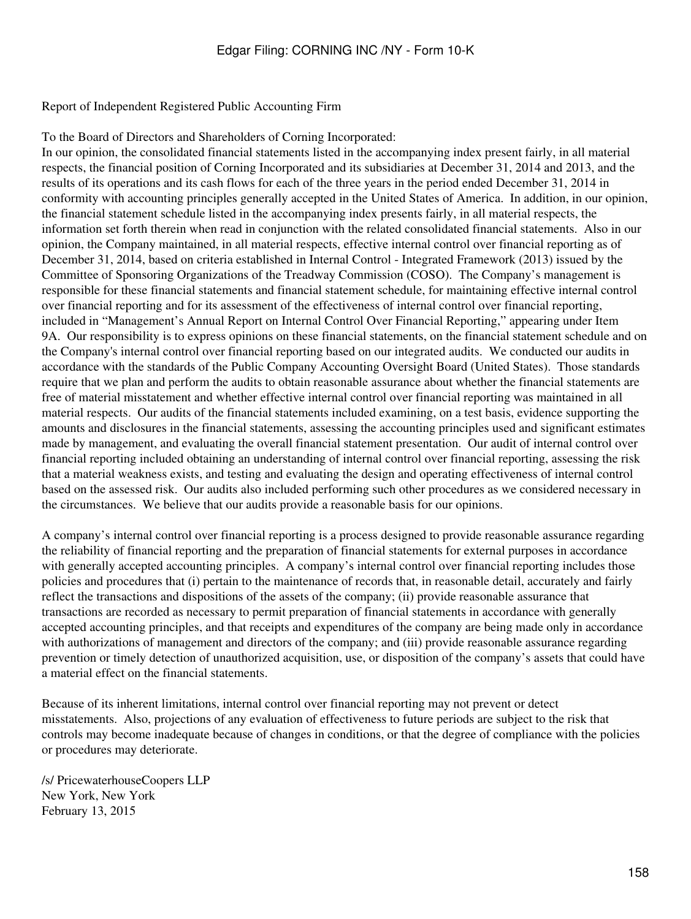<span id="page-157-0"></span>Report of Independent Registered Public Accounting Firm

To the Board of Directors and Shareholders of Corning Incorporated:

In our opinion, the consolidated financial statements listed in the accompanying index present fairly, in all material respects, the financial position of Corning Incorporated and its subsidiaries at December 31, 2014 and 2013, and the results of its operations and its cash flows for each of the three years in the period ended December 31, 2014 in conformity with accounting principles generally accepted in the United States of America. In addition, in our opinion, the financial statement schedule listed in the accompanying index presents fairly, in all material respects, the information set forth therein when read in conjunction with the related consolidated financial statements. Also in our opinion, the Company maintained, in all material respects, effective internal control over financial reporting as of December 31, 2014, based on criteria established in Internal Control - Integrated Framework (2013) issued by the Committee of Sponsoring Organizations of the Treadway Commission (COSO). The Company's management is responsible for these financial statements and financial statement schedule, for maintaining effective internal control over financial reporting and for its assessment of the effectiveness of internal control over financial reporting, included in "Management's Annual Report on Internal Control Over Financial Reporting," appearing under Item 9A. Our responsibility is to express opinions on these financial statements, on the financial statement schedule and on the Company's internal control over financial reporting based on our integrated audits. We conducted our audits in accordance with the standards of the Public Company Accounting Oversight Board (United States). Those standards require that we plan and perform the audits to obtain reasonable assurance about whether the financial statements are free of material misstatement and whether effective internal control over financial reporting was maintained in all material respects. Our audits of the financial statements included examining, on a test basis, evidence supporting the amounts and disclosures in the financial statements, assessing the accounting principles used and significant estimates made by management, and evaluating the overall financial statement presentation. Our audit of internal control over financial reporting included obtaining an understanding of internal control over financial reporting, assessing the risk that a material weakness exists, and testing and evaluating the design and operating effectiveness of internal control based on the assessed risk. Our audits also included performing such other procedures as we considered necessary in the circumstances. We believe that our audits provide a reasonable basis for our opinions.

A company's internal control over financial reporting is a process designed to provide reasonable assurance regarding the reliability of financial reporting and the preparation of financial statements for external purposes in accordance with generally accepted accounting principles. A company's internal control over financial reporting includes those policies and procedures that (i) pertain to the maintenance of records that, in reasonable detail, accurately and fairly reflect the transactions and dispositions of the assets of the company; (ii) provide reasonable assurance that transactions are recorded as necessary to permit preparation of financial statements in accordance with generally accepted accounting principles, and that receipts and expenditures of the company are being made only in accordance with authorizations of management and directors of the company; and (iii) provide reasonable assurance regarding prevention or timely detection of unauthorized acquisition, use, or disposition of the company's assets that could have a material effect on the financial statements.

Because of its inherent limitations, internal control over financial reporting may not prevent or detect misstatements. Also, projections of any evaluation of effectiveness to future periods are subject to the risk that controls may become inadequate because of changes in conditions, or that the degree of compliance with the policies or procedures may deteriorate.

/s/ PricewaterhouseCoopers LLP New York, New York February 13, 2015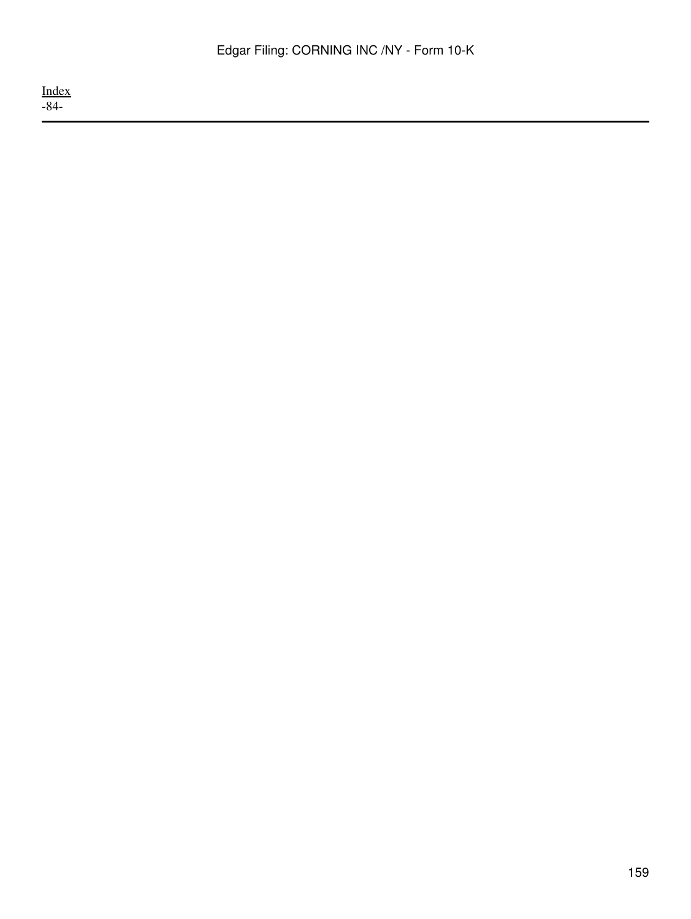[Index](#page-155-0) -84-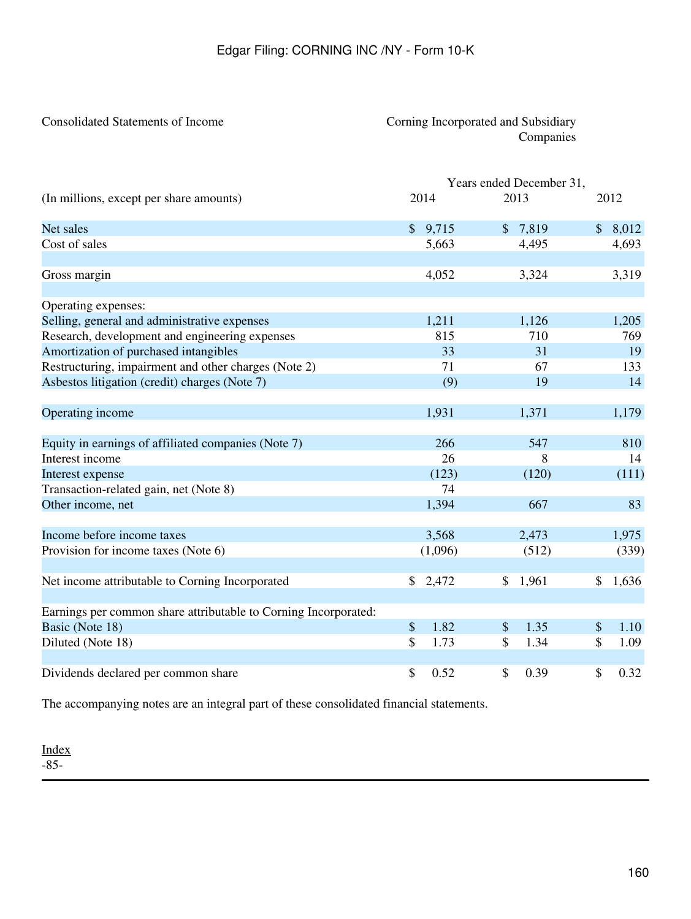# <span id="page-159-0"></span>Consolidated Statements of Income Corning Incorporated and Subsidiary Companies

|                                                                 |               | Years ended December 31, |                       |
|-----------------------------------------------------------------|---------------|--------------------------|-----------------------|
| (In millions, except per share amounts)                         | 2014          | 2013                     | 2012                  |
| Net sales                                                       | \$9,715       | 7,819<br>$\mathcal{S}$   | $\mathbb{S}$<br>8,012 |
| Cost of sales                                                   | 5,663         | 4,495                    | 4,693                 |
| Gross margin                                                    | 4,052         | 3,324                    | 3,319                 |
| Operating expenses:                                             |               |                          |                       |
| Selling, general and administrative expenses                    | 1,211         | 1,126                    | 1,205                 |
| Research, development and engineering expenses                  | 815           | 710                      | 769                   |
| Amortization of purchased intangibles                           | 33            | 31                       | 19                    |
| Restructuring, impairment and other charges (Note 2)            | 71            | 67                       | 133                   |
| Asbestos litigation (credit) charges (Note 7)                   | (9)           | 19                       | 14                    |
| Operating income                                                | 1,931         | 1,371                    | 1,179                 |
| Equity in earnings of affiliated companies (Note 7)             | 266           | 547                      | 810                   |
| Interest income                                                 | 26            | 8                        | 14                    |
| Interest expense                                                | (123)         | (120)                    | (111)                 |
| Transaction-related gain, net (Note 8)                          | 74            |                          |                       |
| Other income, net                                               | 1,394         | 667                      | 83                    |
| Income before income taxes                                      | 3,568         | 2,473                    | 1,975                 |
| Provision for income taxes (Note 6)                             | (1,096)       | (512)                    | (339)                 |
| Net income attributable to Corning Incorporated                 | \$2,472       | 1,961<br>\$              | \$<br>1,636           |
| Earnings per common share attributable to Corning Incorporated: |               |                          |                       |
| Basic (Note 18)                                                 | $\$\$<br>1.82 | \$<br>1.35               | \$<br>1.10            |
| Diluted (Note 18)                                               | \$<br>1.73    | \$<br>1.34               | \$<br>1.09            |
| Dividends declared per common share                             | \$<br>0.52    | \$<br>0.39               | \$<br>0.32            |

The accompanying notes are an integral part of these consolidated financial statements.

[Index](#page-155-0) -85-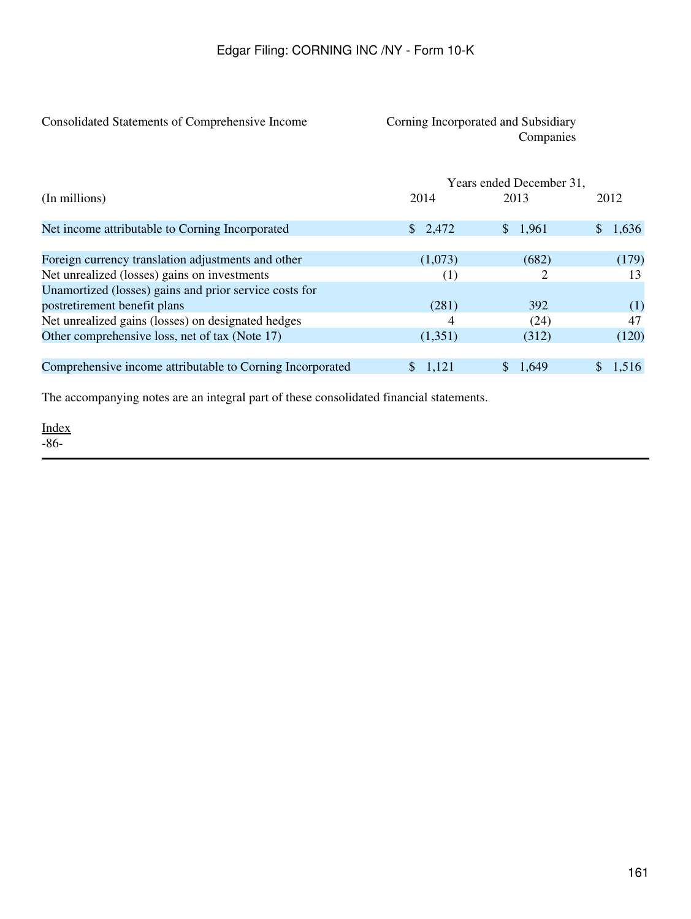# <span id="page-160-0"></span>Consolidated Statements of Comprehensive Income Corning Incorporated and Subsidiary

# Companies

|                                                           |                  | Years ended December 31, |       |
|-----------------------------------------------------------|------------------|--------------------------|-------|
| (In millions)                                             | 2014             | 2013                     | 2012  |
| Net income attributable to Corning Incorporated           | \$2,472          | \$1,961                  | 1,636 |
| Foreign currency translation adjustments and other        | (1,073)          | (682)                    | (179) |
| Net unrealized (losses) gains on investments              | $\left(1\right)$ | 2                        | 13    |
| Unamortized (losses) gains and prior service costs for    |                  |                          |       |
| postretirement benefit plans                              | (281)            | 392                      | (1)   |
| Net unrealized gains (losses) on designated hedges        | 4                | (24)                     | 47    |
| Other comprehensive loss, net of tax (Note 17)            | (1,351)          | (312)                    | (120) |
| Comprehensive income attributable to Corning Incorporated | \$1,121          | 1.649                    | 1,516 |

The accompanying notes are an integral part of these consolidated financial statements.

[Index](#page-155-0) -86-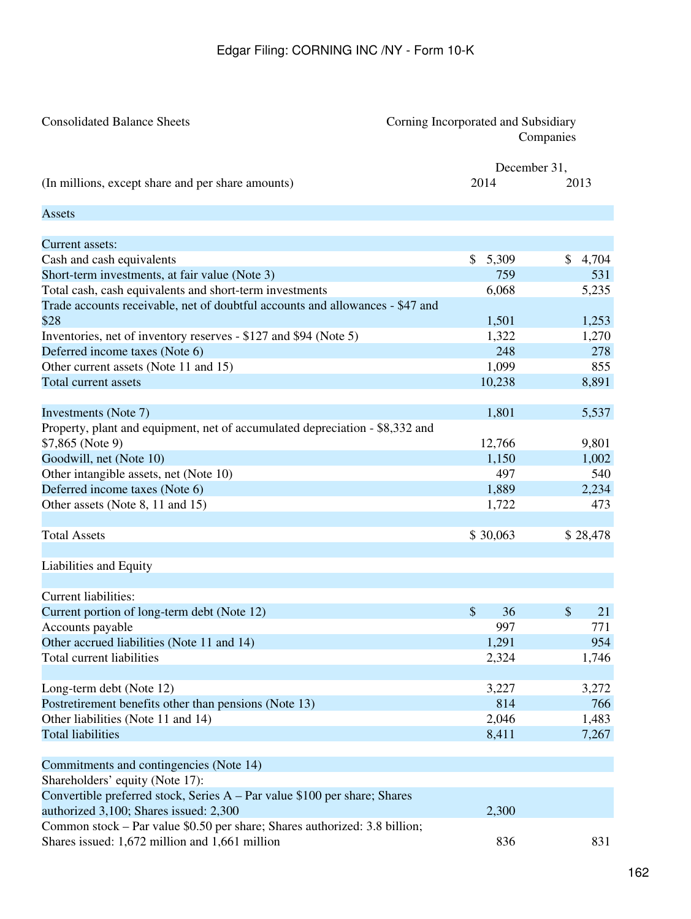<span id="page-161-0"></span>

| <b>Consolidated Balance Sheets</b>                                                                                                       |             | Corning Incorporated and Subsidiary<br>Companies |  |  |
|------------------------------------------------------------------------------------------------------------------------------------------|-------------|--------------------------------------------------|--|--|
|                                                                                                                                          |             | December 31,                                     |  |  |
| (In millions, except share and per share amounts)                                                                                        | 2014        | 2013                                             |  |  |
| <b>Assets</b>                                                                                                                            |             |                                                  |  |  |
| Current assets:                                                                                                                          |             |                                                  |  |  |
| Cash and cash equivalents                                                                                                                | \$<br>5,309 | 4,704<br>\$                                      |  |  |
| Short-term investments, at fair value (Note 3)                                                                                           | 759         | 531                                              |  |  |
|                                                                                                                                          | 6,068       | 5,235                                            |  |  |
| Total cash, cash equivalents and short-term investments<br>Trade accounts receivable, net of doubtful accounts and allowances - \$47 and |             |                                                  |  |  |
| \$28                                                                                                                                     | 1,501       | 1,253                                            |  |  |
| Inventories, net of inventory reserves - \$127 and \$94 (Note 5)                                                                         | 1,322       | 1,270                                            |  |  |
| Deferred income taxes (Note 6)                                                                                                           | 248         | 278                                              |  |  |
| Other current assets (Note 11 and 15)                                                                                                    | 1,099       | 855                                              |  |  |
| Total current assets                                                                                                                     | 10,238      | 8,891                                            |  |  |
|                                                                                                                                          |             |                                                  |  |  |
| Investments (Note 7)                                                                                                                     | 1,801       | 5,537                                            |  |  |
| Property, plant and equipment, net of accumulated depreciation - \$8,332 and                                                             |             |                                                  |  |  |
| \$7,865 (Note 9)                                                                                                                         | 12,766      | 9,801                                            |  |  |
| Goodwill, net (Note 10)                                                                                                                  | 1,150       | 1,002                                            |  |  |
| Other intangible assets, net (Note 10)                                                                                                   | 497         | 540                                              |  |  |
| Deferred income taxes (Note 6)                                                                                                           | 1,889       | 2,234                                            |  |  |
| Other assets (Note 8, 11 and 15)                                                                                                         | 1,722       | 473                                              |  |  |
|                                                                                                                                          |             |                                                  |  |  |
| <b>Total Assets</b>                                                                                                                      | \$30,063    | \$28,478                                         |  |  |
| Liabilities and Equity                                                                                                                   |             |                                                  |  |  |
| Current liabilities:                                                                                                                     |             |                                                  |  |  |
| Current portion of long-term debt (Note 12)                                                                                              | \$<br>36    | \$<br>21                                         |  |  |
| Accounts payable                                                                                                                         | 997         | 771                                              |  |  |
| Other accrued liabilities (Note 11 and 14)                                                                                               | 1,291       | 954                                              |  |  |
| <b>Total current liabilities</b>                                                                                                         | 2,324       | 1,746                                            |  |  |
|                                                                                                                                          |             |                                                  |  |  |
| Long-term debt (Note 12)                                                                                                                 | 3,227       | 3,272                                            |  |  |
| Postretirement benefits other than pensions (Note 13)                                                                                    | 814         | 766                                              |  |  |
| Other liabilities (Note 11 and 14)                                                                                                       | 2,046       | 1,483                                            |  |  |
| <b>Total liabilities</b>                                                                                                                 | 8,411       | 7,267                                            |  |  |
| Commitments and contingencies (Note 14)                                                                                                  |             |                                                  |  |  |
| Shareholders' equity (Note 17):                                                                                                          |             |                                                  |  |  |
| Convertible preferred stock, Series A – Par value \$100 per share; Shares                                                                |             |                                                  |  |  |
| authorized 3,100; Shares issued: 2,300                                                                                                   | 2,300       |                                                  |  |  |
| Common stock - Par value \$0.50 per share; Shares authorized: 3.8 billion;                                                               |             |                                                  |  |  |
| Shares issued: 1,672 million and 1,661 million                                                                                           | 836         | 831                                              |  |  |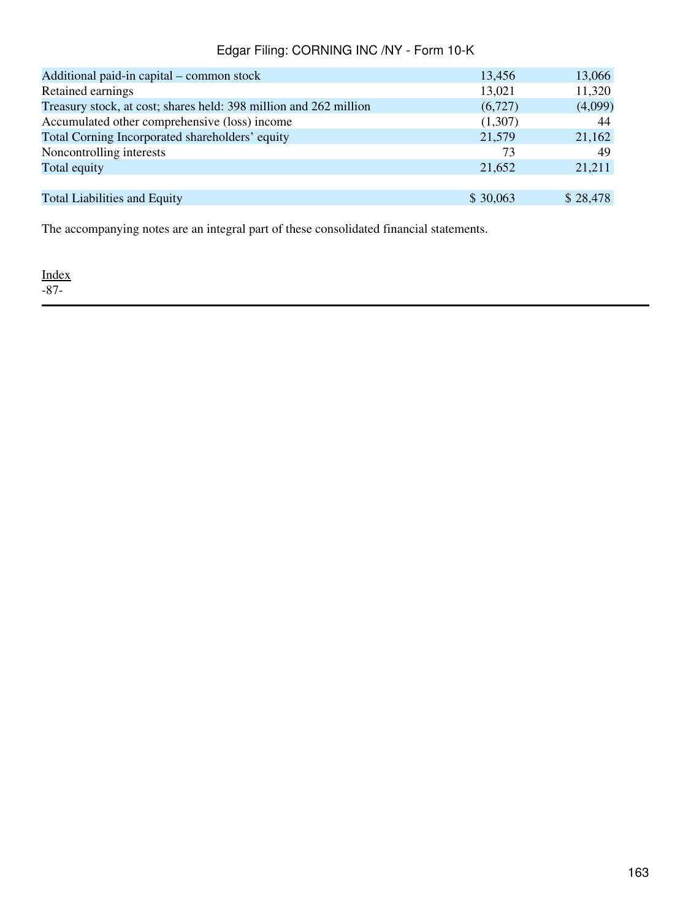| Additional paid-in capital – common stock                         | 13,456   | 13,066   |
|-------------------------------------------------------------------|----------|----------|
| Retained earnings                                                 | 13,021   | 11,320   |
| Treasury stock, at cost; shares held: 398 million and 262 million | (6,727)  | (4,099)  |
| Accumulated other comprehensive (loss) income                     | (1,307)  | 44       |
| Total Corning Incorporated shareholders' equity                   | 21,579   | 21,162   |
| Noncontrolling interests                                          | 73       | 49       |
| Total equity                                                      | 21,652   | 21,211   |
|                                                                   |          |          |
| <b>Total Liabilities and Equity</b>                               | \$30,063 | \$28,478 |

The accompanying notes are an integral part of these consolidated financial statements.

[Index](#page-155-0) -87-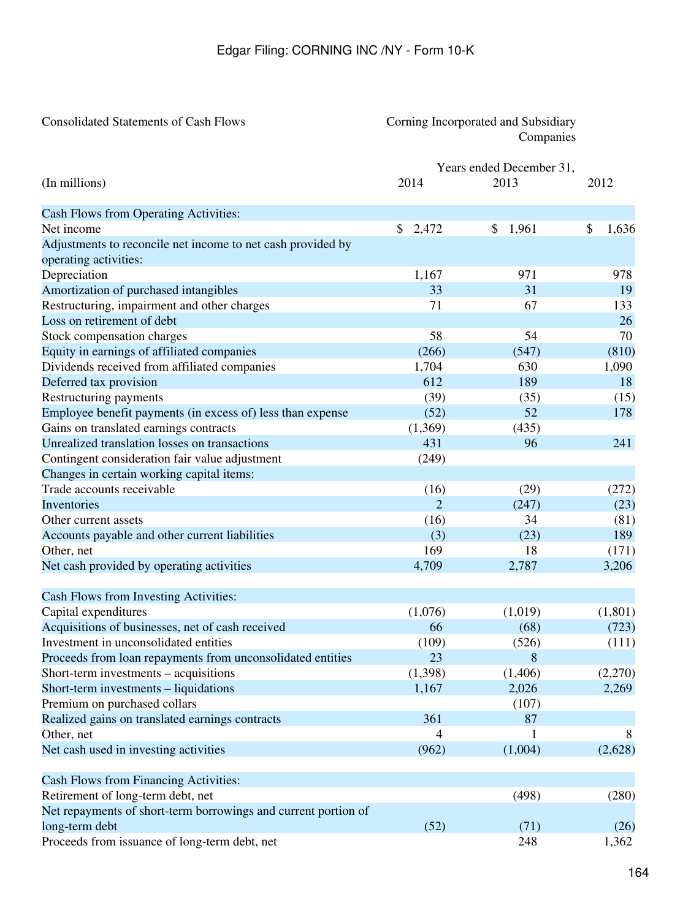# <span id="page-163-0"></span>Consolidated Statements of Cash Flows Corning Incorporated and Subsidiary Companies

|                                                                |                | Years ended December 31, |             |
|----------------------------------------------------------------|----------------|--------------------------|-------------|
| (In millions)                                                  | 2014           | 2013                     | 2012        |
| Cash Flows from Operating Activities:                          |                |                          |             |
| Net income                                                     | \$2,472        | 1,961<br>\$              | \$<br>1,636 |
| Adjustments to reconcile net income to net cash provided by    |                |                          |             |
| operating activities:                                          |                |                          |             |
| Depreciation                                                   | 1,167          | 971                      | 978         |
| Amortization of purchased intangibles                          | 33             | 31                       | 19          |
| Restructuring, impairment and other charges                    | 71             | 67                       | 133         |
| Loss on retirement of debt                                     |                |                          | 26          |
| Stock compensation charges                                     | 58             | 54                       | 70          |
| Equity in earnings of affiliated companies                     | (266)          | (547)                    | (810)       |
| Dividends received from affiliated companies                   | 1,704          | 630                      | 1,090       |
| Deferred tax provision                                         | 612            | 189                      | 18          |
| Restructuring payments                                         | (39)           | (35)                     | (15)        |
| Employee benefit payments (in excess of) less than expense     | (52)           | 52                       | 178         |
| Gains on translated earnings contracts                         | (1,369)        | (435)                    |             |
| Unrealized translation losses on transactions                  | 431            | 96                       | 241         |
| Contingent consideration fair value adjustment                 | (249)          |                          |             |
| Changes in certain working capital items:                      |                |                          |             |
| Trade accounts receivable                                      | (16)           | (29)                     | (272)       |
| Inventories                                                    | $\overline{2}$ | (247)                    | (23)        |
| Other current assets                                           | (16)           | 34                       | (81)        |
| Accounts payable and other current liabilities                 | (3)            | (23)                     | 189         |
| Other, net                                                     | 169            | 18                       | (171)       |
| Net cash provided by operating activities                      | 4,709          | 2,787                    | 3,206       |
| Cash Flows from Investing Activities:                          |                |                          |             |
| Capital expenditures                                           | (1,076)        | (1,019)                  | (1,801)     |
| Acquisitions of businesses, net of cash received               | 66             | (68)                     | (723)       |
| Investment in unconsolidated entities                          | (109)          | (526)                    | (111)       |
| Proceeds from loan repayments from unconsolidated entities     | 23             | 8                        |             |
| Short-term investments – acquisitions                          | (1,398)        | (1,406)                  | (2,270)     |
| Short-term investments - liquidations                          | 1,167          | 2,026                    | 2,269       |
| Premium on purchased collars                                   |                | (107)                    |             |
| Realized gains on translated earnings contracts                | 361            | 87                       |             |
| Other, net                                                     | 4              |                          | 8           |
| Net cash used in investing activities                          | (962)          | (1,004)                  | (2,628)     |
| Cash Flows from Financing Activities:                          |                |                          |             |
| Retirement of long-term debt, net                              |                | (498)                    | (280)       |
| Net repayments of short-term borrowings and current portion of |                |                          |             |
| long-term debt                                                 | (52)           | (71)                     | (26)        |
| Proceeds from issuance of long-term debt, net                  |                | 248                      | 1,362       |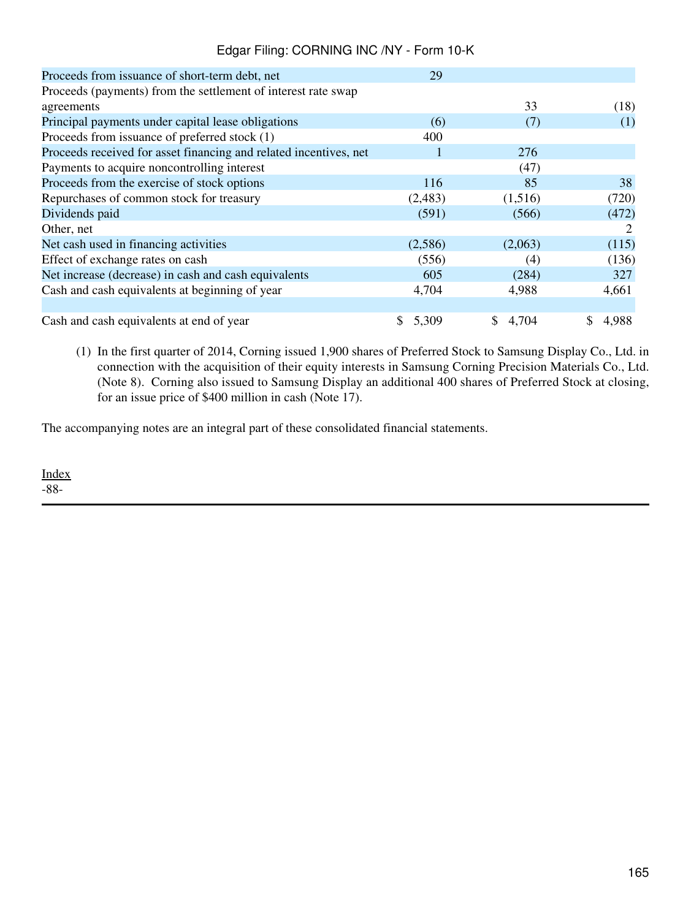| Proceeds from issuance of short-term debt, net                    | 29          |         |             |
|-------------------------------------------------------------------|-------------|---------|-------------|
| Proceeds (payments) from the settlement of interest rate swap     |             |         |             |
| agreements                                                        |             | 33      | (18)        |
| Principal payments under capital lease obligations                | (6)         | (7)     | (1)         |
| Proceeds from issuance of preferred stock (1)                     | 400         |         |             |
| Proceeds received for asset financing and related incentives, net |             | 276     |             |
| Payments to acquire noncontrolling interest                       |             | (47)    |             |
| Proceeds from the exercise of stock options                       | 116         | 85      | 38          |
| Repurchases of common stock for treasury                          | (2,483)     | (1,516) | (720)       |
| Dividends paid                                                    | (591)       | (566)   | (472)       |
| Other, net                                                        |             |         | 2           |
| Net cash used in financing activities                             | (2,586)     | (2,063) | (115)       |
| Effect of exchange rates on cash                                  | (556)       | (4)     | (136)       |
| Net increase (decrease) in cash and cash equivalents              | 605         | (284)   | 327         |
| Cash and cash equivalents at beginning of year                    | 4,704       | 4,988   | 4,661       |
|                                                                   |             |         |             |
| Cash and cash equivalents at end of year                          | 5,309<br>S. | \$4,704 | 4,988<br>S. |

(1) In the first quarter of 2014, Corning issued 1,900 shares of Preferred Stock to Samsung Display Co., Ltd. in connection with the acquisition of their equity interests in Samsung Corning Precision Materials Co., Ltd. (Note 8). Corning also issued to Samsung Display an additional 400 shares of Preferred Stock at closing, for an issue price of \$400 million in cash (Note 17).

The accompanying notes are an integral part of these consolidated financial statements.

[Index](#page-155-0) -88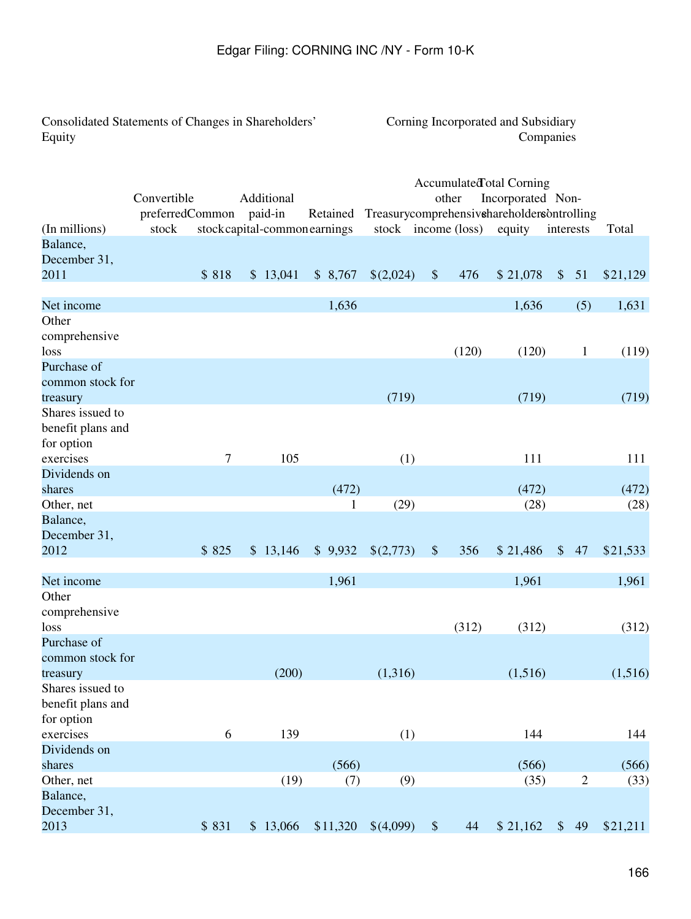<span id="page-165-0"></span>Consolidated Statements of Changes in Shareholders' Equity

# Corning Incorporated and Subsidiary Companies

|                   |                 |       |                              |          |       |                     |                           |       | Accumulated otal Corning                   |               |              |          |
|-------------------|-----------------|-------|------------------------------|----------|-------|---------------------|---------------------------|-------|--------------------------------------------|---------------|--------------|----------|
|                   | Convertible     |       | Additional                   |          |       |                     |                           | other | Incorporated Non-                          |               |              |          |
|                   | preferredCommon |       | paid-in                      | Retained |       |                     |                           |       | Treasurycomprehensivehareholdersontrolling |               |              |          |
| (In millions)     | stock           |       | stockcapital-common earnings |          |       | stock income (loss) |                           |       | equity                                     |               | interests    | Total    |
| Balance,          |                 |       |                              |          |       |                     |                           |       |                                            |               |              |          |
| December 31,      |                 |       |                              |          |       |                     |                           |       |                                            |               |              |          |
| 2011              |                 | \$818 | \$13,041                     | \$8,767  |       | \$(2,024)           | $\sqrt$                   | 476   | \$21,078                                   | $\frac{1}{2}$ | 51           | \$21,129 |
|                   |                 |       |                              |          |       |                     |                           |       |                                            |               |              |          |
| Net income        |                 |       |                              |          | 1,636 |                     |                           |       | 1,636                                      |               | (5)          | 1,631    |
| Other             |                 |       |                              |          |       |                     |                           |       |                                            |               |              |          |
| comprehensive     |                 |       |                              |          |       |                     |                           |       |                                            |               |              |          |
| loss              |                 |       |                              |          |       |                     |                           | (120) | (120)                                      |               | $\mathbf{1}$ | (119)    |
| Purchase of       |                 |       |                              |          |       |                     |                           |       |                                            |               |              |          |
| common stock for  |                 |       |                              |          |       |                     |                           |       |                                            |               |              |          |
| treasury          |                 |       |                              |          |       | (719)               |                           |       | (719)                                      |               |              | (719)    |
| Shares issued to  |                 |       |                              |          |       |                     |                           |       |                                            |               |              |          |
| benefit plans and |                 |       |                              |          |       |                     |                           |       |                                            |               |              |          |
| for option        |                 |       |                              |          |       |                     |                           |       |                                            |               |              |          |
| exercises         |                 | 7     | 105                          |          |       | (1)                 |                           |       | 111                                        |               |              | 111      |
| Dividends on      |                 |       |                              |          |       |                     |                           |       |                                            |               |              |          |
| shares            |                 |       |                              |          | (472) |                     |                           |       | (472)                                      |               |              | (472)    |
| Other, net        |                 |       |                              |          | 1     | (29)                |                           |       | (28)                                       |               |              | (28)     |
| Balance,          |                 |       |                              |          |       |                     |                           |       |                                            |               |              |          |
| December 31,      |                 |       |                              |          |       |                     |                           |       |                                            |               |              |          |
| 2012              |                 | \$825 | \$13,146                     | \$9,932  |       | \$(2,773)           | $\boldsymbol{\mathsf{S}}$ | 356   | \$21,486                                   | $\mathcal{S}$ | 47           | \$21,533 |
|                   |                 |       |                              |          |       |                     |                           |       |                                            |               |              |          |
| Net income        |                 |       |                              |          | 1,961 |                     |                           |       | 1,961                                      |               |              | 1,961    |
| Other             |                 |       |                              |          |       |                     |                           |       |                                            |               |              |          |
| comprehensive     |                 |       |                              |          |       |                     |                           |       |                                            |               |              |          |
| loss              |                 |       |                              |          |       |                     |                           | (312) | (312)                                      |               |              | (312)    |
| Purchase of       |                 |       |                              |          |       |                     |                           |       |                                            |               |              |          |
| common stock for  |                 |       |                              |          |       |                     |                           |       |                                            |               |              |          |
| treasury          |                 |       | (200)                        |          |       | (1,316)             |                           |       | (1,516)                                    |               |              | (1,516)  |
| Shares issued to  |                 |       |                              |          |       |                     |                           |       |                                            |               |              |          |
| benefit plans and |                 |       |                              |          |       |                     |                           |       |                                            |               |              |          |
| for option        |                 |       |                              |          |       |                     |                           |       |                                            |               |              |          |
| exercises         |                 | 6     | 139                          |          |       | (1)                 |                           |       | 144                                        |               |              | 144      |
| Dividends on      |                 |       |                              |          |       |                     |                           |       |                                            |               |              |          |
| shares            |                 |       |                              |          | (566) |                     |                           |       | (566)                                      |               |              | (566)    |
| Other, net        |                 |       | (19)                         |          | (7)   | (9)                 |                           |       | (35)                                       |               | $\sqrt{2}$   | (33)     |
| Balance,          |                 |       |                              |          |       |                     |                           |       |                                            |               |              |          |
| December 31,      |                 |       |                              |          |       |                     |                           |       |                                            |               |              |          |
| 2013              |                 | \$831 | \$13,066                     | \$11,320 |       | \$(4,099)           | $\$\,$                    | 44    | \$21,162                                   | $\frac{1}{2}$ | 49           | \$21,211 |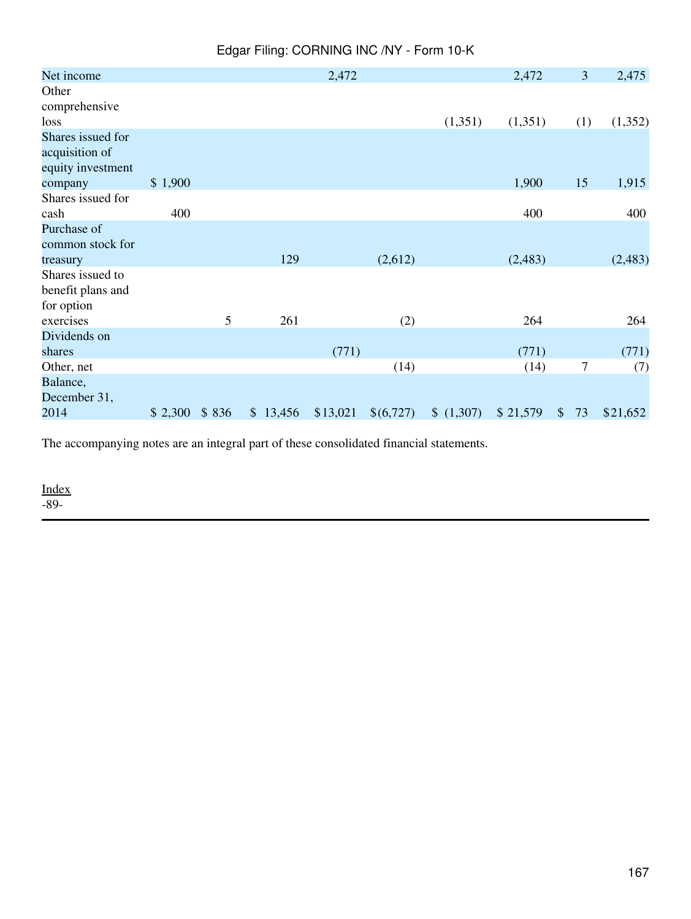| Edgar Filing: CORNING INC /NY - Form 10-K |  |  |  |  |
|-------------------------------------------|--|--|--|--|
|-------------------------------------------|--|--|--|--|

| Net income        |         |       |          | 2,472    |           |         | 2,472    |               | 3              | 2,475    |
|-------------------|---------|-------|----------|----------|-----------|---------|----------|---------------|----------------|----------|
| Other             |         |       |          |          |           |         |          |               |                |          |
| comprehensive     |         |       |          |          |           |         |          |               |                |          |
| loss              |         |       |          |          |           | (1,351) | (1,351)  |               | (1)            | (1,352)  |
| Shares issued for |         |       |          |          |           |         |          |               |                |          |
| acquisition of    |         |       |          |          |           |         |          |               |                |          |
| equity investment |         |       |          |          |           |         |          |               |                |          |
| company           | \$1,900 |       |          |          |           |         | 1,900    |               | 15             | 1,915    |
| Shares issued for |         |       |          |          |           |         |          |               |                |          |
| cash              | 400     |       |          |          |           |         | 400      |               |                | 400      |
| Purchase of       |         |       |          |          |           |         |          |               |                |          |
| common stock for  |         |       |          |          |           |         |          |               |                |          |
| treasury          |         |       | 129      |          | (2,612)   |         | (2,483)  |               |                | (2,483)  |
| Shares issued to  |         |       |          |          |           |         |          |               |                |          |
| benefit plans and |         |       |          |          |           |         |          |               |                |          |
| for option        |         |       |          |          |           |         |          |               |                |          |
| exercises         |         | 5     | 261      |          | (2)       |         | 264      |               |                | 264      |
| Dividends on      |         |       |          |          |           |         |          |               |                |          |
| shares            |         |       |          | (771)    |           |         | (771)    |               |                | (771)    |
| Other, net        |         |       |          |          | (14)      |         | (14)     |               | $\overline{7}$ | (7)      |
| Balance,          |         |       |          |          |           |         |          |               |                |          |
| December 31,      |         |       |          |          |           |         |          |               |                |          |
| 2014              | \$2,300 | \$836 | \$13,456 | \$13,021 | \$(6,727) | (1,307) | \$21,579 | $\mathcal{S}$ | 73             | \$21,652 |

The accompanying notes are an integral part of these consolidated financial statements.

<u>[Index](#page-155-0)</u>

-89-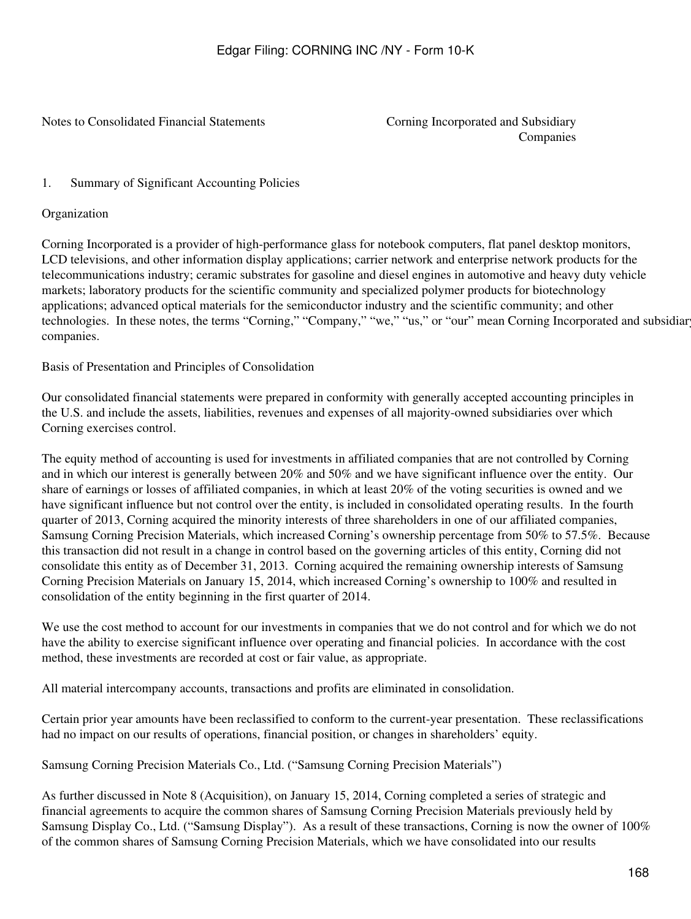<span id="page-167-0"></span>Notes to Consolidated Financial Statements Corning Incorporated and Subsidiary

Companies

#### <span id="page-167-1"></span>1. Summary of Significant Accounting Policies

Organization

Corning Incorporated is a provider of high-performance glass for notebook computers, flat panel desktop monitors, LCD televisions, and other information display applications; carrier network and enterprise network products for the telecommunications industry; ceramic substrates for gasoline and diesel engines in automotive and heavy duty vehicle markets; laboratory products for the scientific community and specialized polymer products for biotechnology applications; advanced optical materials for the semiconductor industry and the scientific community; and other technologies. In these notes, the terms "Corning," "Company," "we," "us," or "our" mean Corning Incorporated and subsidiar companies.

Basis of Presentation and Principles of Consolidation

Our consolidated financial statements were prepared in conformity with generally accepted accounting principles in the U.S. and include the assets, liabilities, revenues and expenses of all majority-owned subsidiaries over which Corning exercises control.

The equity method of accounting is used for investments in affiliated companies that are not controlled by Corning and in which our interest is generally between 20% and 50% and we have significant influence over the entity. Our share of earnings or losses of affiliated companies, in which at least 20% of the voting securities is owned and we have significant influence but not control over the entity, is included in consolidated operating results. In the fourth quarter of 2013, Corning acquired the minority interests of three shareholders in one of our affiliated companies, Samsung Corning Precision Materials, which increased Corning's ownership percentage from 50% to 57.5%. Because this transaction did not result in a change in control based on the governing articles of this entity, Corning did not consolidate this entity as of December 31, 2013. Corning acquired the remaining ownership interests of Samsung Corning Precision Materials on January 15, 2014, which increased Corning's ownership to 100% and resulted in consolidation of the entity beginning in the first quarter of 2014.

We use the cost method to account for our investments in companies that we do not control and for which we do not have the ability to exercise significant influence over operating and financial policies. In accordance with the cost method, these investments are recorded at cost or fair value, as appropriate.

All material intercompany accounts, transactions and profits are eliminated in consolidation.

Certain prior year amounts have been reclassified to conform to the current-year presentation. These reclassifications had no impact on our results of operations, financial position, or changes in shareholders' equity.

Samsung Corning Precision Materials Co., Ltd. ("Samsung Corning Precision Materials")

As further discussed in Note 8 (Acquisition), on January 15, 2014, Corning completed a series of strategic and financial agreements to acquire the common shares of Samsung Corning Precision Materials previously held by Samsung Display Co., Ltd. ("Samsung Display"). As a result of these transactions, Corning is now the owner of 100% of the common shares of Samsung Corning Precision Materials, which we have consolidated into our results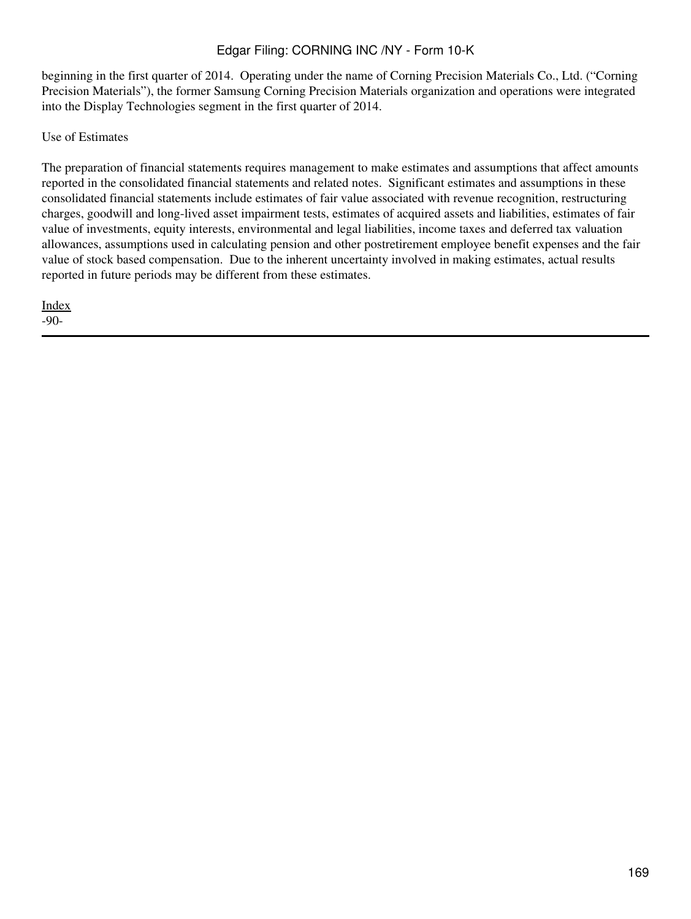beginning in the first quarter of 2014. Operating under the name of Corning Precision Materials Co., Ltd. ("Corning Precision Materials"), the former Samsung Corning Precision Materials organization and operations were integrated into the Display Technologies segment in the first quarter of 2014.

Use of Estimates

The preparation of financial statements requires management to make estimates and assumptions that affect amounts reported in the consolidated financial statements and related notes. Significant estimates and assumptions in these consolidated financial statements include estimates of fair value associated with revenue recognition, restructuring charges, goodwill and long-lived asset impairment tests, estimates of acquired assets and liabilities, estimates of fair value of investments, equity interests, environmental and legal liabilities, income taxes and deferred tax valuation allowances, assumptions used in calculating pension and other postretirement employee benefit expenses and the fair value of stock based compensation. Due to the inherent uncertainty involved in making estimates, actual results reported in future periods may be different from these estimates.

[Index](#page-155-0) -90-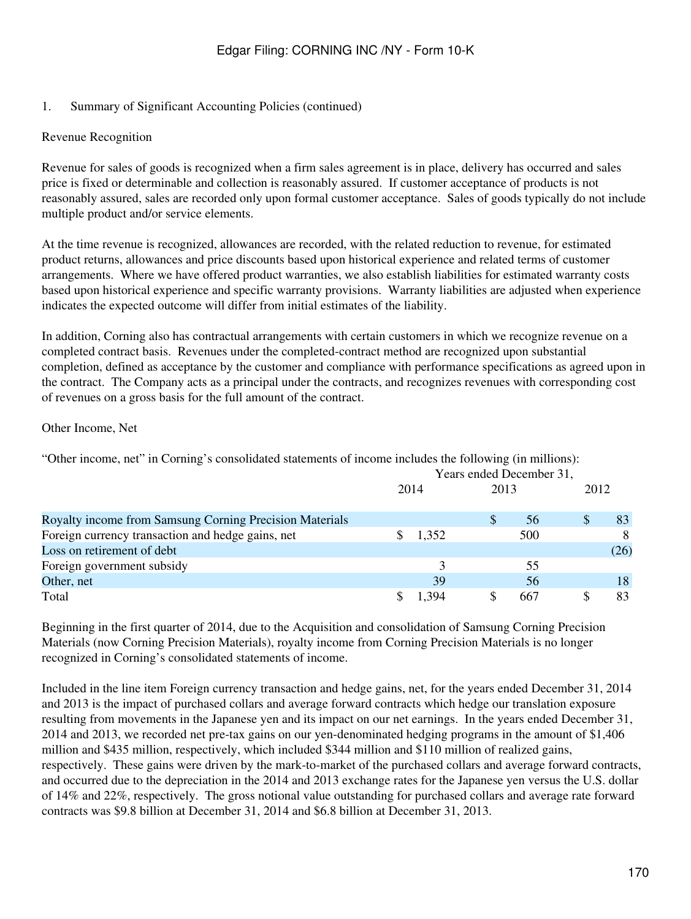#### 1. Summary of Significant Accounting Policies (continued)

#### Revenue Recognition

Revenue for sales of goods is recognized when a firm sales agreement is in place, delivery has occurred and sales price is fixed or determinable and collection is reasonably assured. If customer acceptance of products is not reasonably assured, sales are recorded only upon formal customer acceptance. Sales of goods typically do not include multiple product and/or service elements.

At the time revenue is recognized, allowances are recorded, with the related reduction to revenue, for estimated product returns, allowances and price discounts based upon historical experience and related terms of customer arrangements. Where we have offered product warranties, we also establish liabilities for estimated warranty costs based upon historical experience and specific warranty provisions. Warranty liabilities are adjusted when experience indicates the expected outcome will differ from initial estimates of the liability.

In addition, Corning also has contractual arrangements with certain customers in which we recognize revenue on a completed contract basis. Revenues under the completed-contract method are recognized upon substantial completion, defined as acceptance by the customer and compliance with performance specifications as agreed upon in the contract. The Company acts as a principal under the contracts, and recognizes revenues with corresponding cost of revenues on a gross basis for the full amount of the contract.

#### Other Income, Net

"Other income, net" in Corning's consolidated statements of income includes the following (in millions):

|                                                         | Years ended December 31, |       |      |     |      |      |
|---------------------------------------------------------|--------------------------|-------|------|-----|------|------|
|                                                         | 2014                     |       | 2013 |     | 2012 |      |
| Royalty income from Samsung Corning Precision Materials |                          |       |      | 56  |      | 83   |
| Foreign currency transaction and hedge gains, net       |                          | 1,352 |      | 500 |      | 8    |
| Loss on retirement of debt                              |                          |       |      |     |      | (26) |
| Foreign government subsidy                              |                          |       |      | 55  |      |      |
| Other, net                                              |                          | 39    |      | 56  |      | 18   |
| Total                                                   |                          | 394   |      | 667 |      | 83   |

Beginning in the first quarter of 2014, due to the Acquisition and consolidation of Samsung Corning Precision Materials (now Corning Precision Materials), royalty income from Corning Precision Materials is no longer recognized in Corning's consolidated statements of income.

Included in the line item Foreign currency transaction and hedge gains, net, for the years ended December 31, 2014 and 2013 is the impact of purchased collars and average forward contracts which hedge our translation exposure resulting from movements in the Japanese yen and its impact on our net earnings. In the years ended December 31, 2014 and 2013, we recorded net pre-tax gains on our yen-denominated hedging programs in the amount of \$1,406 million and \$435 million, respectively, which included \$344 million and \$110 million of realized gains, respectively. These gains were driven by the mark-to-market of the purchased collars and average forward contracts, and occurred due to the depreciation in the 2014 and 2013 exchange rates for the Japanese yen versus the U.S. dollar of 14% and 22%, respectively. The gross notional value outstanding for purchased collars and average rate forward contracts was \$9.8 billion at December 31, 2014 and \$6.8 billion at December 31, 2013.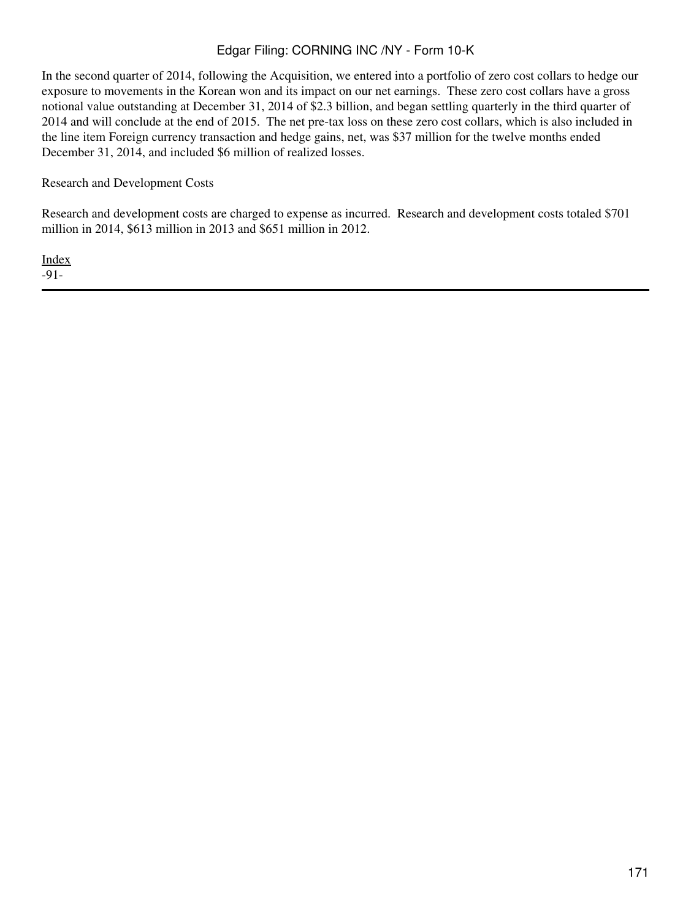In the second quarter of 2014, following the Acquisition, we entered into a portfolio of zero cost collars to hedge our exposure to movements in the Korean won and its impact on our net earnings. These zero cost collars have a gross notional value outstanding at December 31, 2014 of \$2.3 billion, and began settling quarterly in the third quarter of 2014 and will conclude at the end of 2015. The net pre-tax loss on these zero cost collars, which is also included in the line item Foreign currency transaction and hedge gains, net, was \$37 million for the twelve months ended December 31, 2014, and included \$6 million of realized losses.

Research and Development Costs

Research and development costs are charged to expense as incurred. Research and development costs totaled \$701 million in 2014, \$613 million in 2013 and \$651 million in 2012.

[Index](#page-155-0) -91-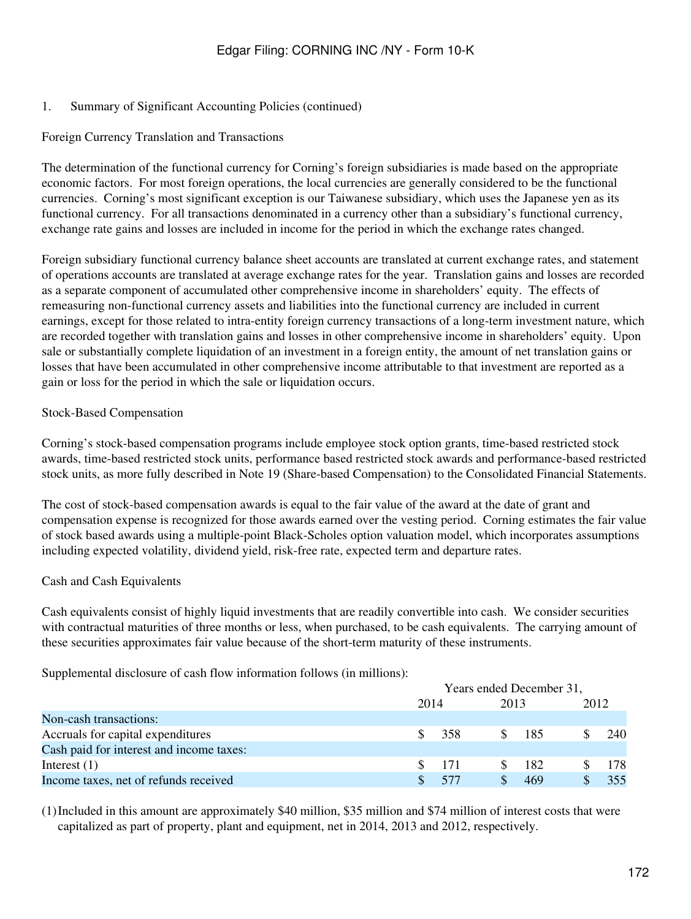#### 1. Summary of Significant Accounting Policies (continued)

#### Foreign Currency Translation and Transactions

The determination of the functional currency for Corning's foreign subsidiaries is made based on the appropriate economic factors. For most foreign operations, the local currencies are generally considered to be the functional currencies. Corning's most significant exception is our Taiwanese subsidiary, which uses the Japanese yen as its functional currency. For all transactions denominated in a currency other than a subsidiary's functional currency, exchange rate gains and losses are included in income for the period in which the exchange rates changed.

Foreign subsidiary functional currency balance sheet accounts are translated at current exchange rates, and statement of operations accounts are translated at average exchange rates for the year. Translation gains and losses are recorded as a separate component of accumulated other comprehensive income in shareholders' equity. The effects of remeasuring non-functional currency assets and liabilities into the functional currency are included in current earnings, except for those related to intra-entity foreign currency transactions of a long-term investment nature, which are recorded together with translation gains and losses in other comprehensive income in shareholders' equity. Upon sale or substantially complete liquidation of an investment in a foreign entity, the amount of net translation gains or losses that have been accumulated in other comprehensive income attributable to that investment are reported as a gain or loss for the period in which the sale or liquidation occurs.

#### Stock-Based Compensation

Corning's stock-based compensation programs include employee stock option grants, time-based restricted stock awards, time-based restricted stock units, performance based restricted stock awards and performance-based restricted stock units, as more fully described in Note 19 (Share-based Compensation) to the Consolidated Financial Statements.

The cost of stock-based compensation awards is equal to the fair value of the award at the date of grant and compensation expense is recognized for those awards earned over the vesting period. Corning estimates the fair value of stock based awards using a multiple-point Black-Scholes option valuation model, which incorporates assumptions including expected volatility, dividend yield, risk-free rate, expected term and departure rates.

#### Cash and Cash Equivalents

Cash equivalents consist of highly liquid investments that are readily convertible into cash. We consider securities with contractual maturities of three months or less, when purchased, to be cash equivalents. The carrying amount of these securities approximates fair value because of the short-term maturity of these instruments.

Supplemental disclosure of cash flow information follows (in millions):

|                                          |     | Years ended December 31, |  |                  |      |     |  |  |
|------------------------------------------|-----|--------------------------|--|------------------|------|-----|--|--|
|                                          |     | 2014                     |  |                  | 2012 |     |  |  |
| Non-cash transactions:                   |     |                          |  |                  |      |     |  |  |
| Accruals for capital expenditures        |     | -358                     |  | $\frac{\$}{185}$ |      | 240 |  |  |
| Cash paid for interest and income taxes: |     |                          |  |                  |      |     |  |  |
| Interest $(1)$                           | SS. | 171                      |  | -182             |      | 178 |  |  |
| Income taxes, net of refunds received    | S.  | -577                     |  | 469              |      | 355 |  |  |

(1)Included in this amount are approximately \$40 million, \$35 million and \$74 million of interest costs that were capitalized as part of property, plant and equipment, net in 2014, 2013 and 2012, respectively.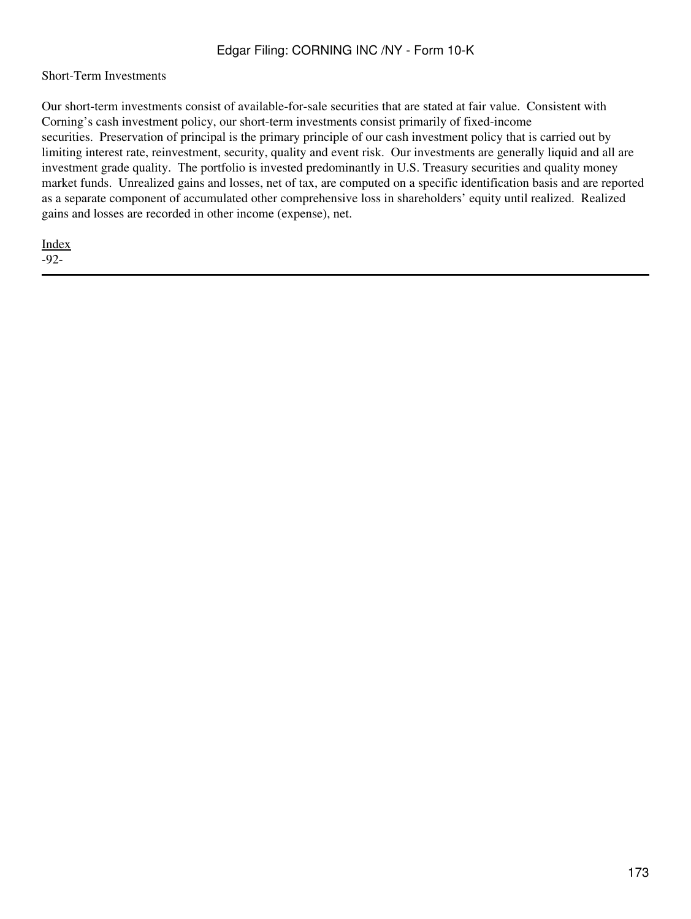#### Short-Term Investments

Our short-term investments consist of available-for-sale securities that are stated at fair value. Consistent with Corning's cash investment policy, our short-term investments consist primarily of fixed-income securities. Preservation of principal is the primary principle of our cash investment policy that is carried out by limiting interest rate, reinvestment, security, quality and event risk. Our investments are generally liquid and all are investment grade quality. The portfolio is invested predominantly in U.S. Treasury securities and quality money market funds. Unrealized gains and losses, net of tax, are computed on a specific identification basis and are reported as a separate component of accumulated other comprehensive loss in shareholders' equity until realized. Realized gains and losses are recorded in other income (expense), net.

[Index](#page-155-0) -92-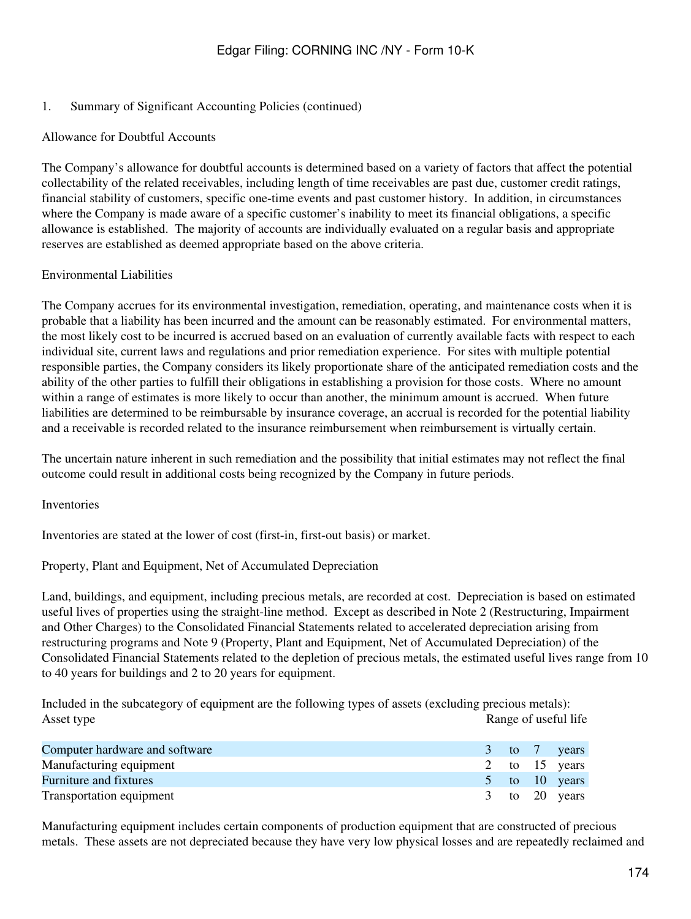#### 1. Summary of Significant Accounting Policies (continued)

#### Allowance for Doubtful Accounts

The Company's allowance for doubtful accounts is determined based on a variety of factors that affect the potential collectability of the related receivables, including length of time receivables are past due, customer credit ratings, financial stability of customers, specific one-time events and past customer history. In addition, in circumstances where the Company is made aware of a specific customer's inability to meet its financial obligations, a specific allowance is established. The majority of accounts are individually evaluated on a regular basis and appropriate reserves are established as deemed appropriate based on the above criteria.

#### Environmental Liabilities

The Company accrues for its environmental investigation, remediation, operating, and maintenance costs when it is probable that a liability has been incurred and the amount can be reasonably estimated. For environmental matters, the most likely cost to be incurred is accrued based on an evaluation of currently available facts with respect to each individual site, current laws and regulations and prior remediation experience. For sites with multiple potential responsible parties, the Company considers its likely proportionate share of the anticipated remediation costs and the ability of the other parties to fulfill their obligations in establishing a provision for those costs. Where no amount within a range of estimates is more likely to occur than another, the minimum amount is accrued. When future liabilities are determined to be reimbursable by insurance coverage, an accrual is recorded for the potential liability and a receivable is recorded related to the insurance reimbursement when reimbursement is virtually certain.

The uncertain nature inherent in such remediation and the possibility that initial estimates may not reflect the final outcome could result in additional costs being recognized by the Company in future periods.

#### Inventories

Inventories are stated at the lower of cost (first-in, first-out basis) or market.

#### Property, Plant and Equipment, Net of Accumulated Depreciation

Land, buildings, and equipment, including precious metals, are recorded at cost. Depreciation is based on estimated useful lives of properties using the straight-line method. Except as described in Note 2 (Restructuring, Impairment and Other Charges) to the Consolidated Financial Statements related to accelerated depreciation arising from restructuring programs and Note 9 (Property, Plant and Equipment, Net of Accumulated Depreciation) of the Consolidated Financial Statements related to the depletion of precious metals, the estimated useful lives range from 10 to 40 years for buildings and 2 to 20 years for equipment.

Included in the subcategory of equipment are the following types of assets (excluding precious metals): Asset type Range of useful life

| Computer hardware and software |  | 3 to 7 years      |
|--------------------------------|--|-------------------|
| Manufacturing equipment        |  | 2 to 15 years     |
| Furniture and fixtures         |  | $5$ to 10 years   |
| Transportation equipment       |  | $3$ to $20$ years |

Manufacturing equipment includes certain components of production equipment that are constructed of precious metals. These assets are not depreciated because they have very low physical losses and are repeatedly reclaimed and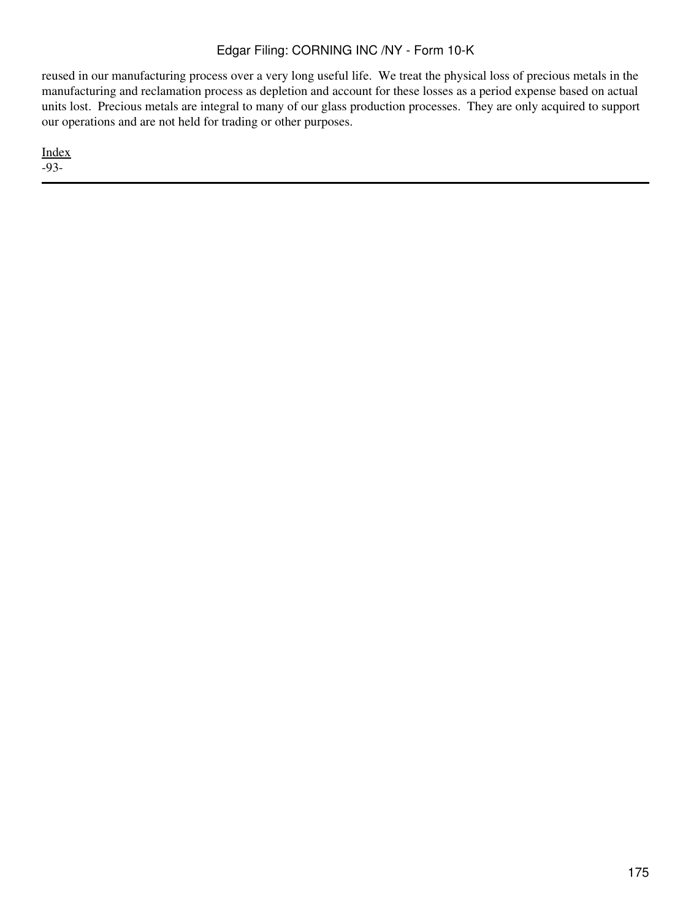reused in our manufacturing process over a very long useful life. We treat the physical loss of precious metals in the manufacturing and reclamation process as depletion and account for these losses as a period expense based on actual units lost. Precious metals are integral to many of our glass production processes. They are only acquired to support our operations and are not held for trading or other purposes.

[Index](#page-155-0) -93-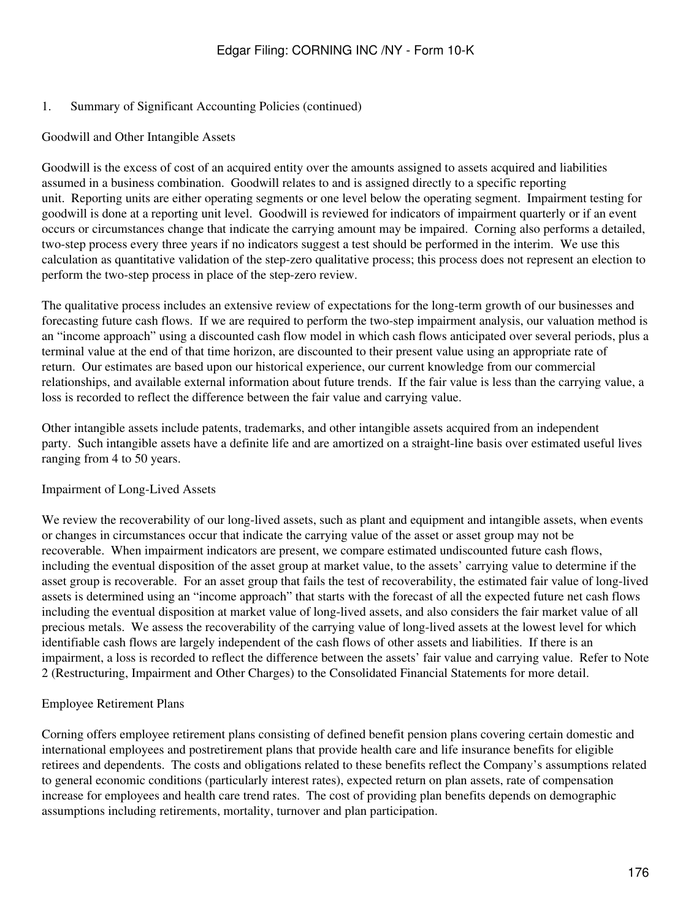#### 1. Summary of Significant Accounting Policies (continued)

#### Goodwill and Other Intangible Assets

Goodwill is the excess of cost of an acquired entity over the amounts assigned to assets acquired and liabilities assumed in a business combination. Goodwill relates to and is assigned directly to a specific reporting unit. Reporting units are either operating segments or one level below the operating segment. Impairment testing for goodwill is done at a reporting unit level. Goodwill is reviewed for indicators of impairment quarterly or if an event occurs or circumstances change that indicate the carrying amount may be impaired. Corning also performs a detailed, two-step process every three years if no indicators suggest a test should be performed in the interim. We use this calculation as quantitative validation of the step-zero qualitative process; this process does not represent an election to perform the two-step process in place of the step-zero review.

The qualitative process includes an extensive review of expectations for the long-term growth of our businesses and forecasting future cash flows. If we are required to perform the two-step impairment analysis, our valuation method is an "income approach" using a discounted cash flow model in which cash flows anticipated over several periods, plus a terminal value at the end of that time horizon, are discounted to their present value using an appropriate rate of return. Our estimates are based upon our historical experience, our current knowledge from our commercial relationships, and available external information about future trends. If the fair value is less than the carrying value, a loss is recorded to reflect the difference between the fair value and carrying value.

Other intangible assets include patents, trademarks, and other intangible assets acquired from an independent party. Such intangible assets have a definite life and are amortized on a straight-line basis over estimated useful lives ranging from 4 to 50 years.

#### Impairment of Long-Lived Assets

We review the recoverability of our long-lived assets, such as plant and equipment and intangible assets, when events or changes in circumstances occur that indicate the carrying value of the asset or asset group may not be recoverable. When impairment indicators are present, we compare estimated undiscounted future cash flows, including the eventual disposition of the asset group at market value, to the assets' carrying value to determine if the asset group is recoverable. For an asset group that fails the test of recoverability, the estimated fair value of long-lived assets is determined using an "income approach" that starts with the forecast of all the expected future net cash flows including the eventual disposition at market value of long-lived assets, and also considers the fair market value of all precious metals. We assess the recoverability of the carrying value of long-lived assets at the lowest level for which identifiable cash flows are largely independent of the cash flows of other assets and liabilities. If there is an impairment, a loss is recorded to reflect the difference between the assets' fair value and carrying value. Refer to Note 2 (Restructuring, Impairment and Other Charges) to the Consolidated Financial Statements for more detail.

### Employee Retirement Plans

Corning offers employee retirement plans consisting of defined benefit pension plans covering certain domestic and international employees and postretirement plans that provide health care and life insurance benefits for eligible retirees and dependents. The costs and obligations related to these benefits reflect the Company's assumptions related to general economic conditions (particularly interest rates), expected return on plan assets, rate of compensation increase for employees and health care trend rates. The cost of providing plan benefits depends on demographic assumptions including retirements, mortality, turnover and plan participation.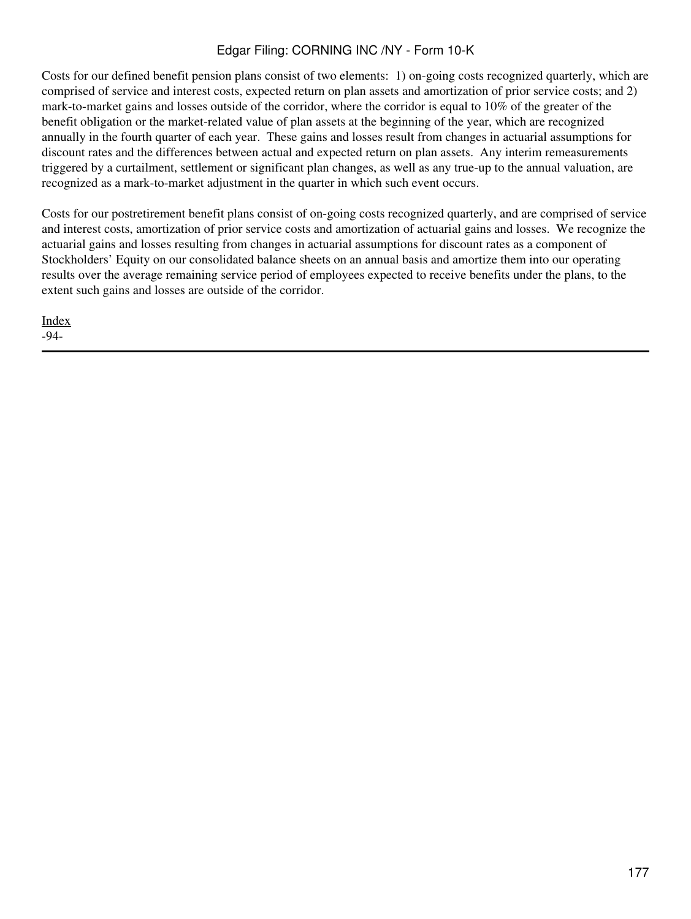Costs for our defined benefit pension plans consist of two elements: 1) on-going costs recognized quarterly, which are comprised of service and interest costs, expected return on plan assets and amortization of prior service costs; and 2) mark-to-market gains and losses outside of the corridor, where the corridor is equal to 10% of the greater of the benefit obligation or the market-related value of plan assets at the beginning of the year, which are recognized annually in the fourth quarter of each year. These gains and losses result from changes in actuarial assumptions for discount rates and the differences between actual and expected return on plan assets. Any interim remeasurements triggered by a curtailment, settlement or significant plan changes, as well as any true-up to the annual valuation, are recognized as a mark-to-market adjustment in the quarter in which such event occurs.

Costs for our postretirement benefit plans consist of on-going costs recognized quarterly, and are comprised of service and interest costs, amortization of prior service costs and amortization of actuarial gains and losses. We recognize the actuarial gains and losses resulting from changes in actuarial assumptions for discount rates as a component of Stockholders' Equity on our consolidated balance sheets on an annual basis and amortize them into our operating results over the average remaining service period of employees expected to receive benefits under the plans, to the extent such gains and losses are outside of the corridor.

[Index](#page-155-0) -94-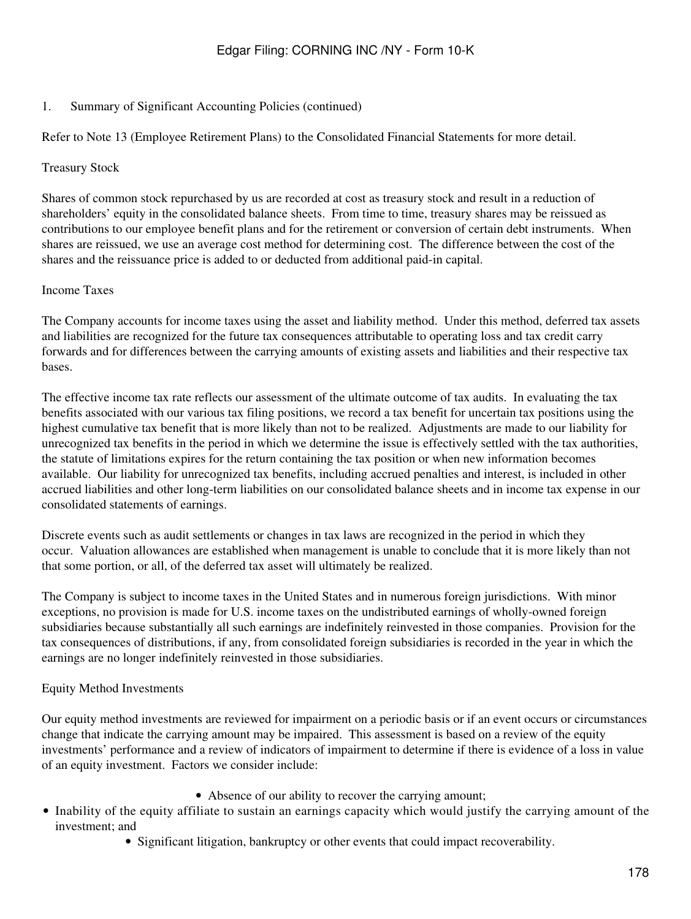#### 1. Summary of Significant Accounting Policies (continued)

Refer to Note 13 (Employee Retirement Plans) to the Consolidated Financial Statements for more detail.

#### Treasury Stock

Shares of common stock repurchased by us are recorded at cost as treasury stock and result in a reduction of shareholders' equity in the consolidated balance sheets. From time to time, treasury shares may be reissued as contributions to our employee benefit plans and for the retirement or conversion of certain debt instruments. When shares are reissued, we use an average cost method for determining cost. The difference between the cost of the shares and the reissuance price is added to or deducted from additional paid-in capital.

#### Income Taxes

The Company accounts for income taxes using the asset and liability method. Under this method, deferred tax assets and liabilities are recognized for the future tax consequences attributable to operating loss and tax credit carry forwards and for differences between the carrying amounts of existing assets and liabilities and their respective tax bases.

The effective income tax rate reflects our assessment of the ultimate outcome of tax audits. In evaluating the tax benefits associated with our various tax filing positions, we record a tax benefit for uncertain tax positions using the highest cumulative tax benefit that is more likely than not to be realized. Adjustments are made to our liability for unrecognized tax benefits in the period in which we determine the issue is effectively settled with the tax authorities, the statute of limitations expires for the return containing the tax position or when new information becomes available. Our liability for unrecognized tax benefits, including accrued penalties and interest, is included in other accrued liabilities and other long-term liabilities on our consolidated balance sheets and in income tax expense in our consolidated statements of earnings.

Discrete events such as audit settlements or changes in tax laws are recognized in the period in which they occur. Valuation allowances are established when management is unable to conclude that it is more likely than not that some portion, or all, of the deferred tax asset will ultimately be realized.

The Company is subject to income taxes in the United States and in numerous foreign jurisdictions. With minor exceptions, no provision is made for U.S. income taxes on the undistributed earnings of wholly-owned foreign subsidiaries because substantially all such earnings are indefinitely reinvested in those companies. Provision for the tax consequences of distributions, if any, from consolidated foreign subsidiaries is recorded in the year in which the earnings are no longer indefinitely reinvested in those subsidiaries.

### Equity Method Investments

Our equity method investments are reviewed for impairment on a periodic basis or if an event occurs or circumstances change that indicate the carrying amount may be impaired. This assessment is based on a review of the equity investments' performance and a review of indicators of impairment to determine if there is evidence of a loss in value of an equity investment. Factors we consider include:

- Absence of our ability to recover the carrying amount;
- Inability of the equity affiliate to sustain an earnings capacity which would justify the carrying amount of the investment; and
	- Significant litigation, bankruptcy or other events that could impact recoverability.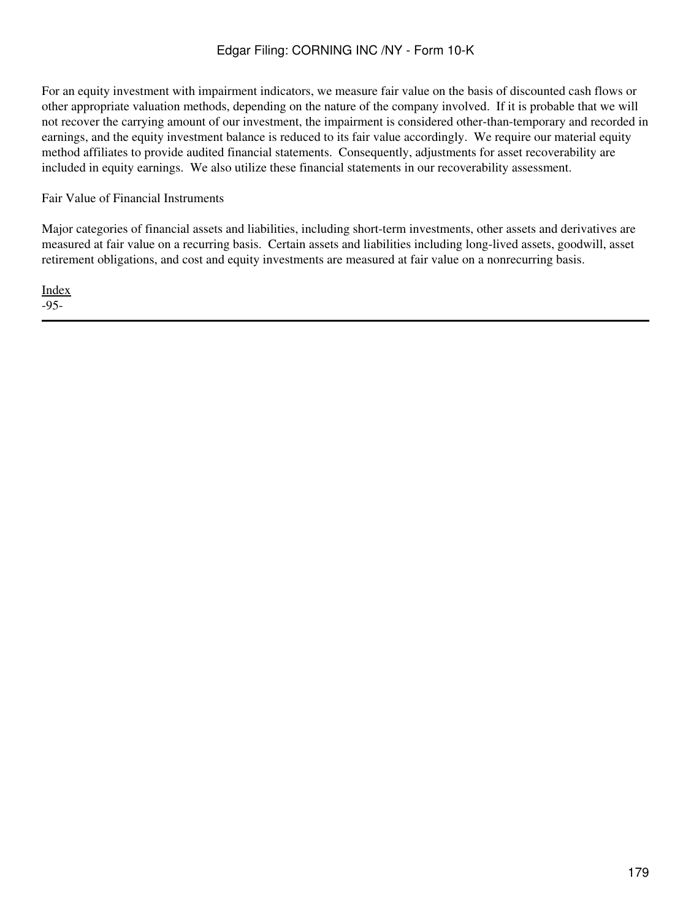For an equity investment with impairment indicators, we measure fair value on the basis of discounted cash flows or other appropriate valuation methods, depending on the nature of the company involved. If it is probable that we will not recover the carrying amount of our investment, the impairment is considered other-than-temporary and recorded in earnings, and the equity investment balance is reduced to its fair value accordingly. We require our material equity method affiliates to provide audited financial statements. Consequently, adjustments for asset recoverability are included in equity earnings. We also utilize these financial statements in our recoverability assessment.

Fair Value of Financial Instruments

Major categories of financial assets and liabilities, including short-term investments, other assets and derivatives are measured at fair value on a recurring basis. Certain assets and liabilities including long-lived assets, goodwill, asset retirement obligations, and cost and equity investments are measured at fair value on a nonrecurring basis.

[Index](#page-155-0) -95-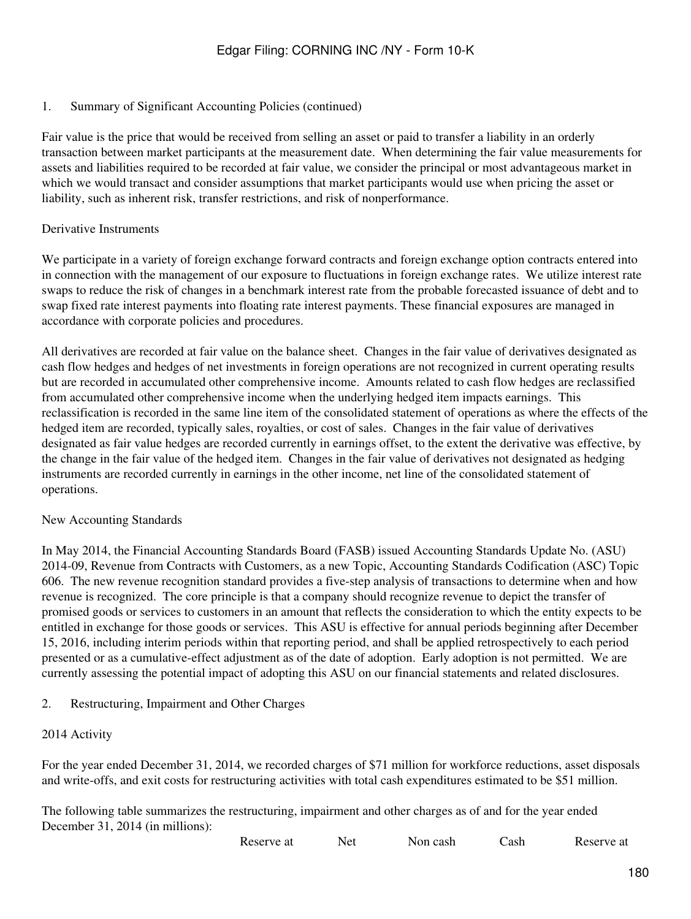#### 1. Summary of Significant Accounting Policies (continued)

Fair value is the price that would be received from selling an asset or paid to transfer a liability in an orderly transaction between market participants at the measurement date. When determining the fair value measurements for assets and liabilities required to be recorded at fair value, we consider the principal or most advantageous market in which we would transact and consider assumptions that market participants would use when pricing the asset or liability, such as inherent risk, transfer restrictions, and risk of nonperformance.

#### Derivative Instruments

We participate in a variety of foreign exchange forward contracts and foreign exchange option contracts entered into in connection with the management of our exposure to fluctuations in foreign exchange rates. We utilize interest rate swaps to reduce the risk of changes in a benchmark interest rate from the probable forecasted issuance of debt and to swap fixed rate interest payments into floating rate interest payments. These financial exposures are managed in accordance with corporate policies and procedures.

All derivatives are recorded at fair value on the balance sheet. Changes in the fair value of derivatives designated as cash flow hedges and hedges of net investments in foreign operations are not recognized in current operating results but are recorded in accumulated other comprehensive income. Amounts related to cash flow hedges are reclassified from accumulated other comprehensive income when the underlying hedged item impacts earnings. This reclassification is recorded in the same line item of the consolidated statement of operations as where the effects of the hedged item are recorded, typically sales, royalties, or cost of sales. Changes in the fair value of derivatives designated as fair value hedges are recorded currently in earnings offset, to the extent the derivative was effective, by the change in the fair value of the hedged item. Changes in the fair value of derivatives not designated as hedging instruments are recorded currently in earnings in the other income, net line of the consolidated statement of operations.

#### New Accounting Standards

In May 2014, the Financial Accounting Standards Board (FASB) issued Accounting Standards Update No. (ASU) 2014-09, Revenue from Contracts with Customers, as a new Topic, Accounting Standards Codification (ASC) Topic 606. The new revenue recognition standard provides a five-step analysis of transactions to determine when and how revenue is recognized. The core principle is that a company should recognize revenue to depict the transfer of promised goods or services to customers in an amount that reflects the consideration to which the entity expects to be entitled in exchange for those goods or services. This ASU is effective for annual periods beginning after December 15, 2016, including interim periods within that reporting period, and shall be applied retrospectively to each period presented or as a cumulative-effect adjustment as of the date of adoption. Early adoption is not permitted. We are currently assessing the potential impact of adopting this ASU on our financial statements and related disclosures.

#### <span id="page-179-0"></span>2. Restructuring, Impairment and Other Charges

#### 2014 Activity

For the year ended December 31, 2014, we recorded charges of \$71 million for workforce reductions, asset disposals and write-offs, and exit costs for restructuring activities with total cash expenditures estimated to be \$51 million.

The following table summarizes the restructuring, impairment and other charges as of and for the year ended December 31, 2014 (in millions):

| Reserve at | Net | Non cash | Cash | Reserve at |
|------------|-----|----------|------|------------|
|------------|-----|----------|------|------------|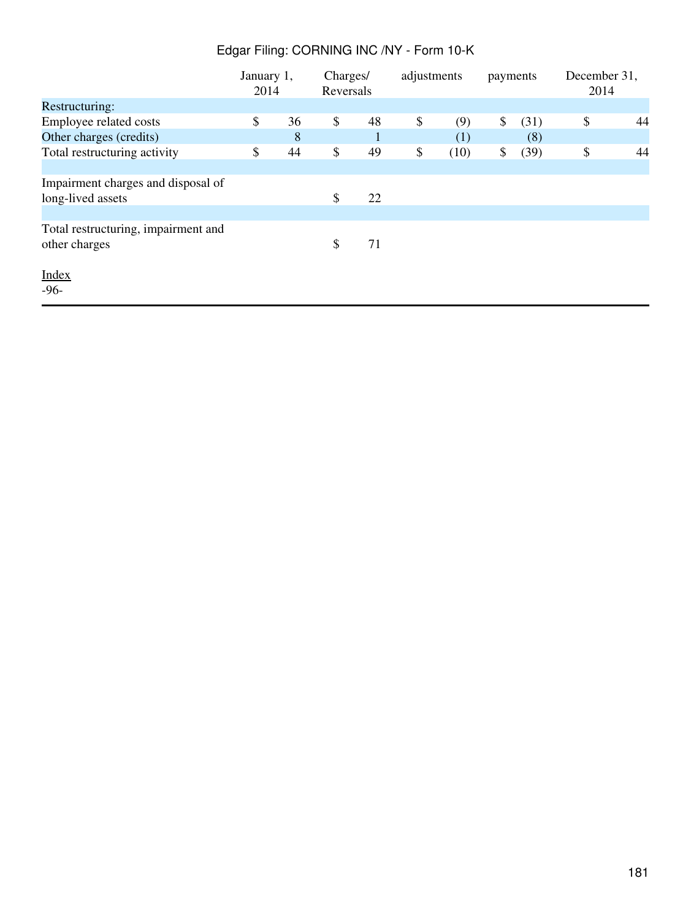|                                     | January 1,<br>2014 |    | Charges/<br>Reversals |    | adjustments |      | payments |      | December 31,<br>2014 |    |
|-------------------------------------|--------------------|----|-----------------------|----|-------------|------|----------|------|----------------------|----|
| Restructuring:                      |                    |    |                       |    |             |      |          |      |                      |    |
| Employee related costs              | \$                 | 36 | \$                    | 48 | \$          | (9)  | \$       | (31) | \$                   | 44 |
| Other charges (credits)             |                    | 8  |                       |    |             | (1)  |          | (8)  |                      |    |
| Total restructuring activity        | \$                 | 44 | \$                    | 49 | \$          | (10) | \$       | (39) | \$                   | 44 |
|                                     |                    |    |                       |    |             |      |          |      |                      |    |
| Impairment charges and disposal of  |                    |    |                       |    |             |      |          |      |                      |    |
| long-lived assets                   |                    |    | \$                    | 22 |             |      |          |      |                      |    |
|                                     |                    |    |                       |    |             |      |          |      |                      |    |
| Total restructuring, impairment and |                    |    |                       |    |             |      |          |      |                      |    |
| other charges                       |                    |    | \$                    | 71 |             |      |          |      |                      |    |
| <b>Index</b>                        |                    |    |                       |    |             |      |          |      |                      |    |
| $-96-$                              |                    |    |                       |    |             |      |          |      |                      |    |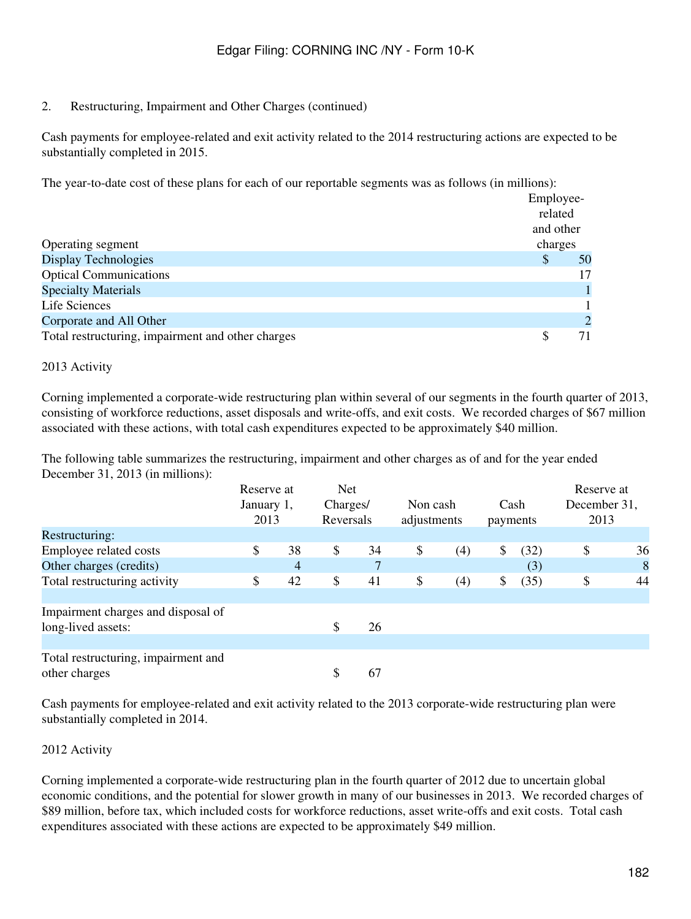2. Restructuring, Impairment and Other Charges (continued)

Cash payments for employee-related and exit activity related to the 2014 restructuring actions are expected to be substantially completed in 2015.

The year-to-date cost of these plans for each of our reportable segments was as follows (in millions):

|                                                   | Employee-                 |               |
|---------------------------------------------------|---------------------------|---------------|
|                                                   | related                   |               |
|                                                   | and other                 |               |
| Operating segment                                 | charges                   |               |
| Display Technologies                              | $\boldsymbol{\mathsf{S}}$ | 50            |
| <b>Optical Communications</b>                     |                           | 17            |
| <b>Specialty Materials</b>                        |                           |               |
| Life Sciences                                     |                           |               |
| Corporate and All Other                           |                           | $\mathcal{D}$ |
| Total restructuring, impairment and other charges |                           | 71            |

### 2013 Activity

Corning implemented a corporate-wide restructuring plan within several of our segments in the fourth quarter of 2013, consisting of workforce reductions, asset disposals and write-offs, and exit costs. We recorded charges of \$67 million associated with these actions, with total cash expenditures expected to be approximately \$40 million.

The following table summarizes the restructuring, impairment and other charges as of and for the year ended December 31, 2013 (in millions):

|                                                      | Reserve at<br>January 1,<br>2013 |    | <b>Net</b><br>Charges/<br>Reversals |    | Non cash<br>Cash<br>adjustments<br>payments |     |    |      | Reserve at<br>December 31,<br>2013 |    |
|------------------------------------------------------|----------------------------------|----|-------------------------------------|----|---------------------------------------------|-----|----|------|------------------------------------|----|
| Restructuring:                                       |                                  |    |                                     |    |                                             |     |    |      |                                    |    |
| Employee related costs                               | \$                               | 38 | \$                                  | 34 | \$                                          | (4) | \$ | (32) | \$                                 | 36 |
| Other charges (credits)                              |                                  | 4  |                                     |    |                                             |     |    | (3)  |                                    | 8  |
| Total restructuring activity                         | \$                               | 42 | \$                                  | 41 | \$                                          | (4) | \$ | (35) | \$                                 | 44 |
| Impairment charges and disposal of                   |                                  |    |                                     |    |                                             |     |    |      |                                    |    |
| long-lived assets:                                   |                                  |    | \$                                  | 26 |                                             |     |    |      |                                    |    |
| Total restructuring, impairment and<br>other charges |                                  |    | \$                                  | 67 |                                             |     |    |      |                                    |    |

Cash payments for employee-related and exit activity related to the 2013 corporate-wide restructuring plan were substantially completed in 2014.

#### 2012 Activity

Corning implemented a corporate-wide restructuring plan in the fourth quarter of 2012 due to uncertain global economic conditions, and the potential for slower growth in many of our businesses in 2013. We recorded charges of \$89 million, before tax, which included costs for workforce reductions, asset write-offs and exit costs. Total cash expenditures associated with these actions are expected to be approximately \$49 million.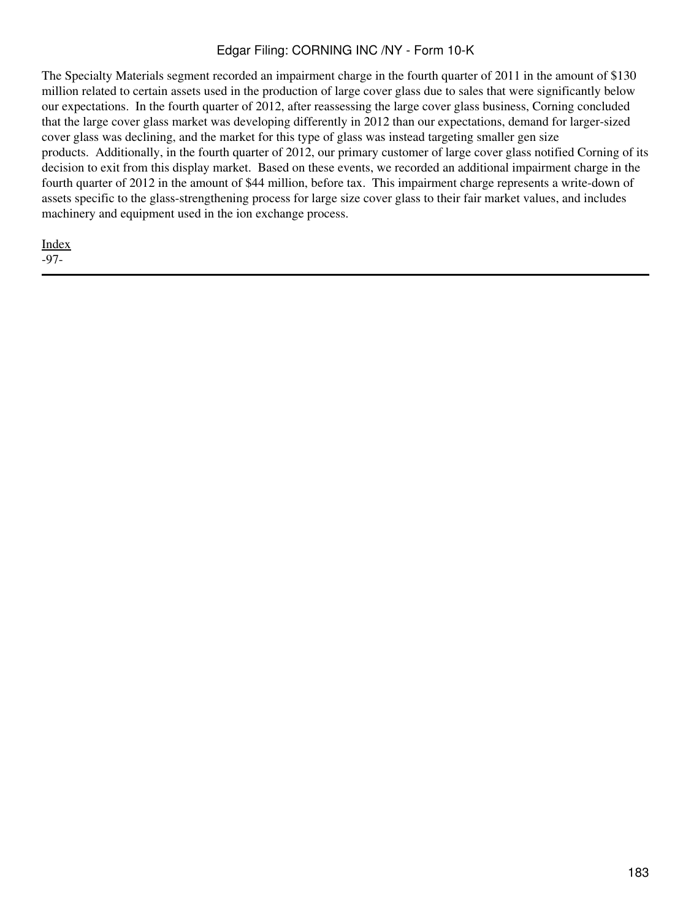The Specialty Materials segment recorded an impairment charge in the fourth quarter of 2011 in the amount of \$130 million related to certain assets used in the production of large cover glass due to sales that were significantly below our expectations. In the fourth quarter of 2012, after reassessing the large cover glass business, Corning concluded that the large cover glass market was developing differently in 2012 than our expectations, demand for larger-sized cover glass was declining, and the market for this type of glass was instead targeting smaller gen size products. Additionally, in the fourth quarter of 2012, our primary customer of large cover glass notified Corning of its decision to exit from this display market. Based on these events, we recorded an additional impairment charge in the fourth quarter of 2012 in the amount of \$44 million, before tax. This impairment charge represents a write-down of assets specific to the glass-strengthening process for large size cover glass to their fair market values, and includes machinery and equipment used in the ion exchange process.

**[Index](#page-155-0)** -97-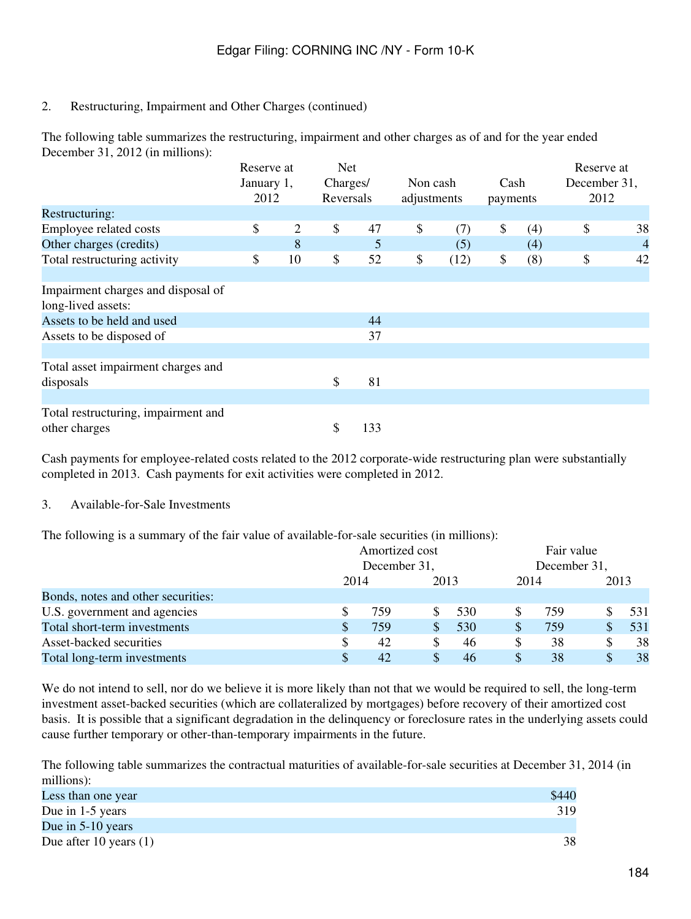# 2. Restructuring, Impairment and Other Charges (continued)

The following table summarizes the restructuring, impairment and other charges as of and for the year ended December 31, 2012 (in millions):

|                                     | Reserve at |    | <b>Net</b> |     |             |      |          |     | Reserve at   |                |
|-------------------------------------|------------|----|------------|-----|-------------|------|----------|-----|--------------|----------------|
|                                     | January 1, |    | Charges/   |     | Non cash    |      | Cash     |     | December 31, |                |
|                                     | 2012       |    | Reversals  |     | adjustments |      | payments |     | 2012         |                |
| Restructuring:                      |            |    |            |     |             |      |          |     |              |                |
| Employee related costs              | \$         | 2  | \$         | 47  | \$          | (7)  | \$       | (4) | \$           | 38             |
| Other charges (credits)             |            | 8  |            | 5   |             | (5)  |          | (4) |              | $\overline{4}$ |
| Total restructuring activity        | \$         | 10 | \$         | 52  | \$          | (12) | \$       | (8) | \$           | 42             |
|                                     |            |    |            |     |             |      |          |     |              |                |
| Impairment charges and disposal of  |            |    |            |     |             |      |          |     |              |                |
| long-lived assets:                  |            |    |            |     |             |      |          |     |              |                |
| Assets to be held and used          |            |    |            | 44  |             |      |          |     |              |                |
| Assets to be disposed of            |            |    |            | 37  |             |      |          |     |              |                |
|                                     |            |    |            |     |             |      |          |     |              |                |
| Total asset impairment charges and  |            |    |            |     |             |      |          |     |              |                |
| disposals                           |            |    | \$         | 81  |             |      |          |     |              |                |
|                                     |            |    |            |     |             |      |          |     |              |                |
| Total restructuring, impairment and |            |    |            |     |             |      |          |     |              |                |
| other charges                       |            |    | \$         | 133 |             |      |          |     |              |                |

Cash payments for employee-related costs related to the 2012 corporate-wide restructuring plan were substantially completed in 2013. Cash payments for exit activities were completed in 2012.

# 3. Available-for-Sale Investments

The following is a summary of the fair value of available-for-sale securities (in millions):

|                                    | Amortized cost<br>December 31, |     |      |     | Fair value<br>December 31, |     |      |     |
|------------------------------------|--------------------------------|-----|------|-----|----------------------------|-----|------|-----|
|                                    |                                |     |      |     |                            |     |      |     |
|                                    | 2014                           |     | 2013 |     | 2014                       |     | 2013 |     |
| Bonds, notes and other securities: |                                |     |      |     |                            |     |      |     |
| U.S. government and agencies       |                                | 759 | S    | 530 |                            | 759 |      | 531 |
| Total short-term investments       | \$.                            | 759 | S    | 530 | <sup>\$</sup>              | 759 |      | 531 |
| Asset-backed securities            | S                              | 42  | \$   | 46  |                            | 38  | \$   | 38  |
| Total long-term investments        |                                | 42  | S    | 46  |                            | 38  | S    | 38  |

We do not intend to sell, nor do we believe it is more likely than not that we would be required to sell, the long-term investment asset-backed securities (which are collateralized by mortgages) before recovery of their amortized cost basis. It is possible that a significant degradation in the delinquency or foreclosure rates in the underlying assets could cause further temporary or other-than-temporary impairments in the future.

The following table summarizes the contractual maturities of available-for-sale securities at December 31, 2014 (in millions):

| Less than one year       | \$440 |
|--------------------------|-------|
| Due in 1-5 years         | 319   |
| Due in $5-10$ years      |       |
| Due after 10 years $(1)$ |       |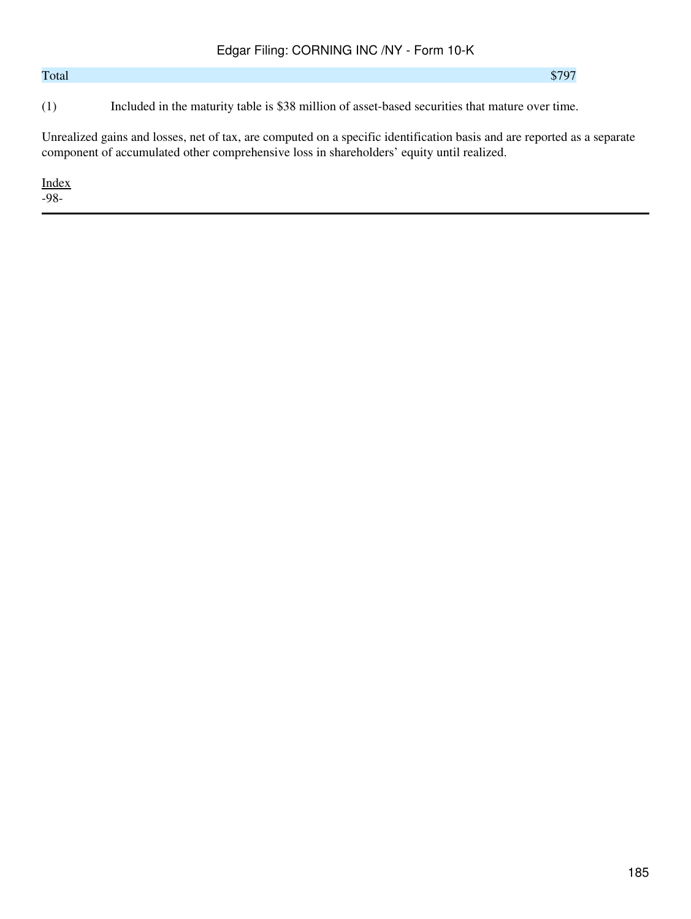# $\text{Total}$   $$797$

(1) Included in the maturity table is \$38 million of asset-based securities that mature over time.

Unrealized gains and losses, net of tax, are computed on a specific identification basis and are reported as a separate component of accumulated other comprehensive loss in shareholders' equity until realized.

[Index](#page-155-0)

-98-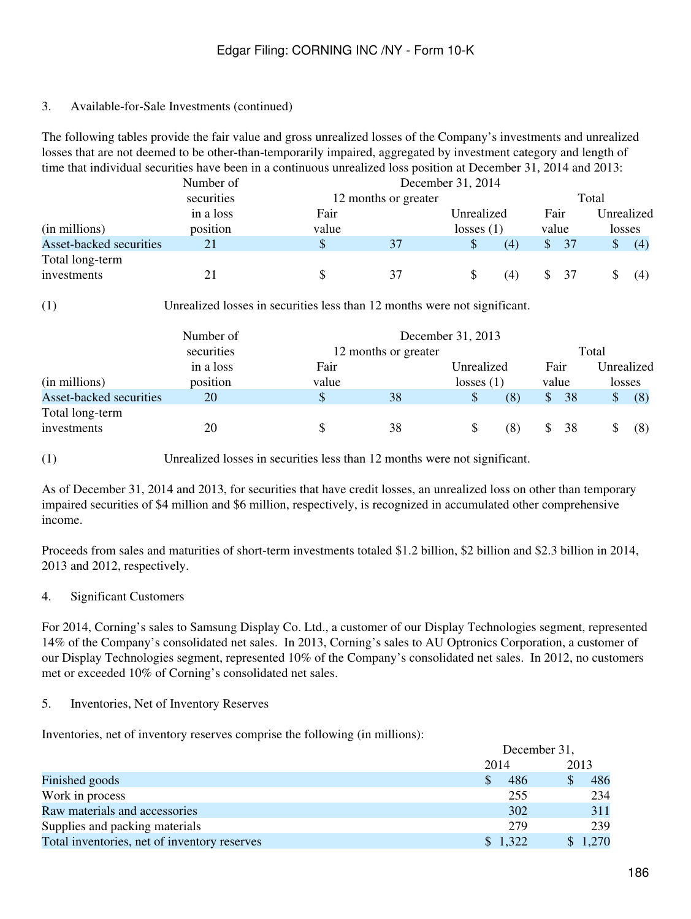### 3. Available-for-Sale Investments (continued)

The following tables provide the fair value and gross unrealized losses of the Company's investments and unrealized losses that are not deemed to be other-than-temporarily impaired, aggregated by investment category and length of time that individual securities have been in a continuous unrealized loss position at December 31, 2014 and 2013:

|                         | Number of  | December 31, 2014    |    |              |     |              |       |    |            |
|-------------------------|------------|----------------------|----|--------------|-----|--------------|-------|----|------------|
|                         | securities | 12 months or greater |    |              |     |              | Total |    |            |
|                         | in a loss  | Fair                 |    | Unrealized   |     | Fair         |       |    | Unrealized |
| (in millions)           | position   | value                |    | losses $(1)$ |     | value        |       |    | losses     |
| Asset-backed securities | 21         | \$                   | 37 |              | (4) | $\mathbb{S}$ | 37    | \$ | (4)        |
| Total long-term         |            |                      |    |              |     |              |       |    |            |
| investments             |            |                      |    |              | (4) |              |       |    | (4)        |

(1) Unrealized losses in securities less than 12 months were not significant.

|                         | Number of  |                      | December 31, 2013 |              |       |       |    |    |            |
|-------------------------|------------|----------------------|-------------------|--------------|-------|-------|----|----|------------|
|                         | securities | 12 months or greater |                   |              | Total |       |    |    |            |
|                         | in a loss  | Fair                 |                   | Unrealized   |       | Fair  |    |    | Unrealized |
| (in millions)           | position   | value                |                   | losses $(1)$ |       | value |    |    | losses     |
| Asset-backed securities | 20         | \$                   | 38                |              | (8)   | \$    | 38 | \$ | (8)        |
| Total long-term         |            |                      |                   |              |       |       |    |    |            |
| investments             | 20         | S                    | 38                |              | (8)   |       | 38 |    | (8)        |

(1) Unrealized losses in securities less than 12 months were not significant.

As of December 31, 2014 and 2013, for securities that have credit losses, an unrealized loss on other than temporary impaired securities of \$4 million and \$6 million, respectively, is recognized in accumulated other comprehensive income.

Proceeds from sales and maturities of short-term investments totaled \$1.2 billion, \$2 billion and \$2.3 billion in 2014, 2013 and 2012, respectively.

#### 4. Significant Customers

For 2014, Corning's sales to Samsung Display Co. Ltd., a customer of our Display Technologies segment, represented 14% of the Company's consolidated net sales. In 2013, Corning's sales to AU Optronics Corporation, a customer of our Display Technologies segment, represented 10% of the Company's consolidated net sales. In 2012, no customers met or exceeded 10% of Corning's consolidated net sales.

#### 5. Inventories, Net of Inventory Reserves

Inventories, net of inventory reserves comprise the following (in millions):

|                                              |         | December 31, |         |  |  |
|----------------------------------------------|---------|--------------|---------|--|--|
|                                              | 2014    |              | 2013    |  |  |
| Finished goods                               | \$.     | 486          | 486     |  |  |
| Work in process                              |         | 255          | 234     |  |  |
| Raw materials and accessories                |         | 302          | 311     |  |  |
| Supplies and packing materials               |         | 279          | 239     |  |  |
| Total inventories, net of inventory reserves | \$1,322 |              | \$1,270 |  |  |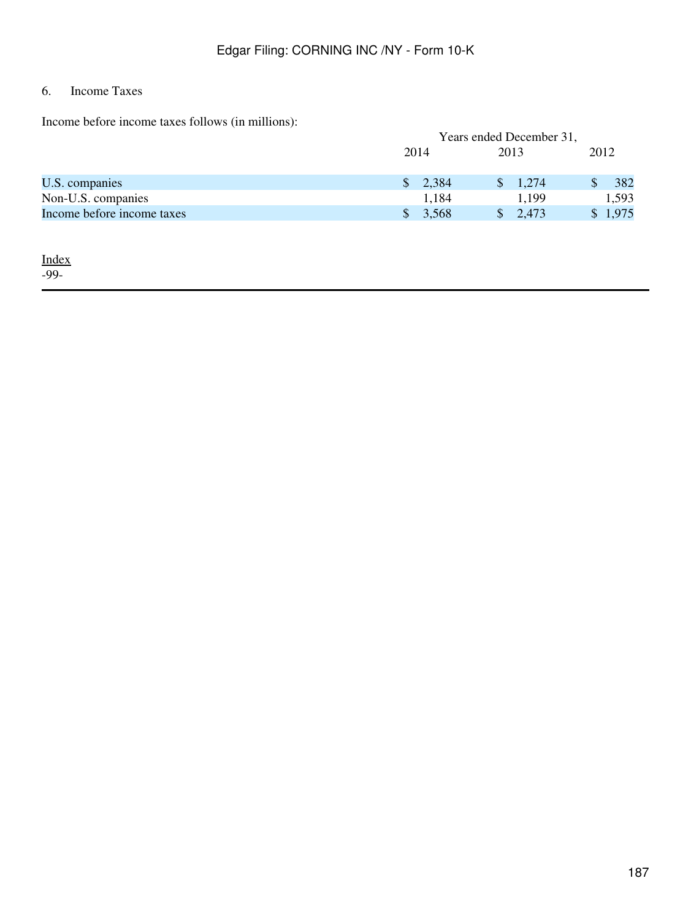# 6. Income Taxes

Income before income taxes follows (in millions):

| <u>modino ovedeto modino milioso lonio do (in militidno)</u> |                          |                       |         |  |  |  |  |
|--------------------------------------------------------------|--------------------------|-----------------------|---------|--|--|--|--|
|                                                              | Years ended December 31, |                       |         |  |  |  |  |
|                                                              | 2014                     | 2013                  | 2012    |  |  |  |  |
|                                                              |                          |                       |         |  |  |  |  |
| U.S. companies                                               | \$2,384                  | $\frac{1,274}{ }$     | 382     |  |  |  |  |
| Non-U.S. companies                                           | 1,184                    | 1,199                 | 1,593   |  |  |  |  |
| Income before income taxes                                   | \$3,568                  | $\frac{1}{2}$ , 2,473 | \$1,975 |  |  |  |  |
|                                                              |                          |                       |         |  |  |  |  |

[Index](#page-155-0) -99-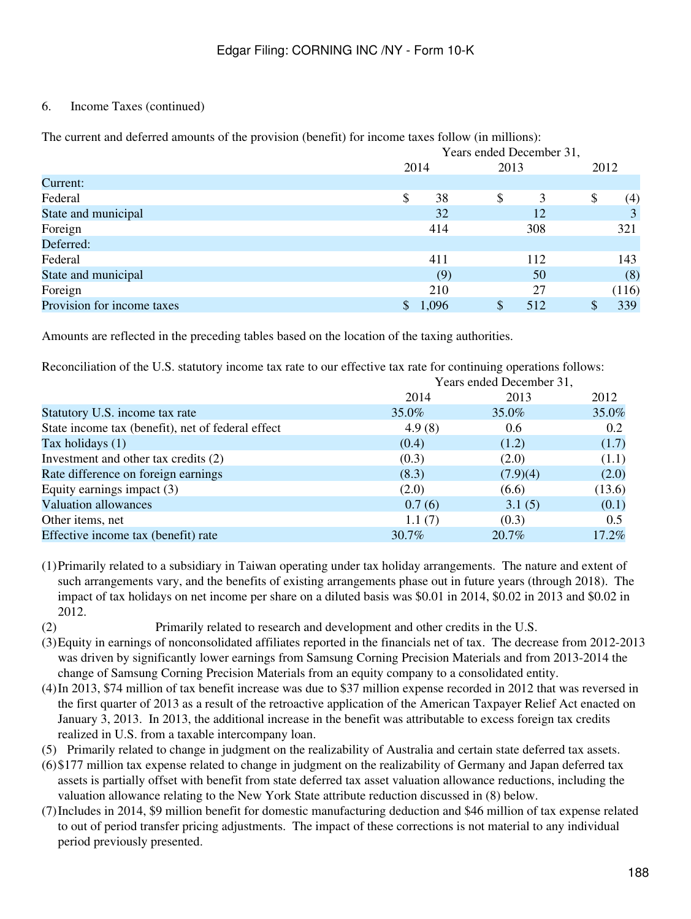# 6. Income Taxes (continued)

|                            |             | Years ended December 31, |           |  |  |  |  |  |
|----------------------------|-------------|--------------------------|-----------|--|--|--|--|--|
|                            | 2014        | 2013                     | 2012      |  |  |  |  |  |
| Current:                   |             |                          |           |  |  |  |  |  |
| Federal                    | \$<br>38    | 3<br>\$                  | \$<br>(4) |  |  |  |  |  |
| State and municipal        | 32          | 12                       | 3         |  |  |  |  |  |
| Foreign                    | 414         | 308                      | 321       |  |  |  |  |  |
| Deferred:                  |             |                          |           |  |  |  |  |  |
| Federal                    | 411         | 112                      | 143       |  |  |  |  |  |
| State and municipal        | (9)         | 50                       | (8)       |  |  |  |  |  |
| Foreign                    | 210         | 27                       | (116)     |  |  |  |  |  |
| Provision for income taxes | \$<br>1,096 | 512                      | 339       |  |  |  |  |  |

The current and deferred amounts of the provision (benefit) for income taxes follow (in millions):

Amounts are reflected in the preceding tables based on the location of the taxing authorities.

Reconciliation of the U.S. statutory income tax rate to our effective tax rate for continuing operations follows:

| Years ended December 31, |          |               |  |  |  |  |
|--------------------------|----------|---------------|--|--|--|--|
| 2014                     | 2013     | 2012          |  |  |  |  |
| 35.0%                    | 35.0%    | 35.0%         |  |  |  |  |
| 4.9(8)                   | 0.6      | 0.2           |  |  |  |  |
| (0.4)                    | (1.2)    | (1.7)         |  |  |  |  |
| (0.3)                    | (2.0)    | (1.1)         |  |  |  |  |
| (8.3)                    | (7.9)(4) | (2.0)         |  |  |  |  |
| (2.0)                    | (6.6)    | (13.6)        |  |  |  |  |
| 0.7(6)                   | 3.1(5)   | (0.1)         |  |  |  |  |
| 1.1(7)                   | (0.3)    | $0.5^{\circ}$ |  |  |  |  |
| 30.7%                    | 20.7%    | 17.2%         |  |  |  |  |
|                          |          |               |  |  |  |  |

(1)Primarily related to a subsidiary in Taiwan operating under tax holiday arrangements. The nature and extent of such arrangements vary, and the benefits of existing arrangements phase out in future years (through 2018). The impact of tax holidays on net income per share on a diluted basis was \$0.01 in 2014, \$0.02 in 2013 and \$0.02 in 2012.

(2) Primarily related to research and development and other credits in the U.S.

- (3)Equity in earnings of nonconsolidated affiliates reported in the financials net of tax. The decrease from 2012-2013 was driven by significantly lower earnings from Samsung Corning Precision Materials and from 2013-2014 the change of Samsung Corning Precision Materials from an equity company to a consolidated entity.
- (4)In 2013, \$74 million of tax benefit increase was due to \$37 million expense recorded in 2012 that was reversed in the first quarter of 2013 as a result of the retroactive application of the American Taxpayer Relief Act enacted on January 3, 2013. In 2013, the additional increase in the benefit was attributable to excess foreign tax credits realized in U.S. from a taxable intercompany loan.
- (5) Primarily related to change in judgment on the realizability of Australia and certain state deferred tax assets.
- (6)\$177 million tax expense related to change in judgment on the realizability of Germany and Japan deferred tax assets is partially offset with benefit from state deferred tax asset valuation allowance reductions, including the valuation allowance relating to the New York State attribute reduction discussed in (8) below.
- (7)Includes in 2014, \$9 million benefit for domestic manufacturing deduction and \$46 million of tax expense related to out of period transfer pricing adjustments. The impact of these corrections is not material to any individual period previously presented.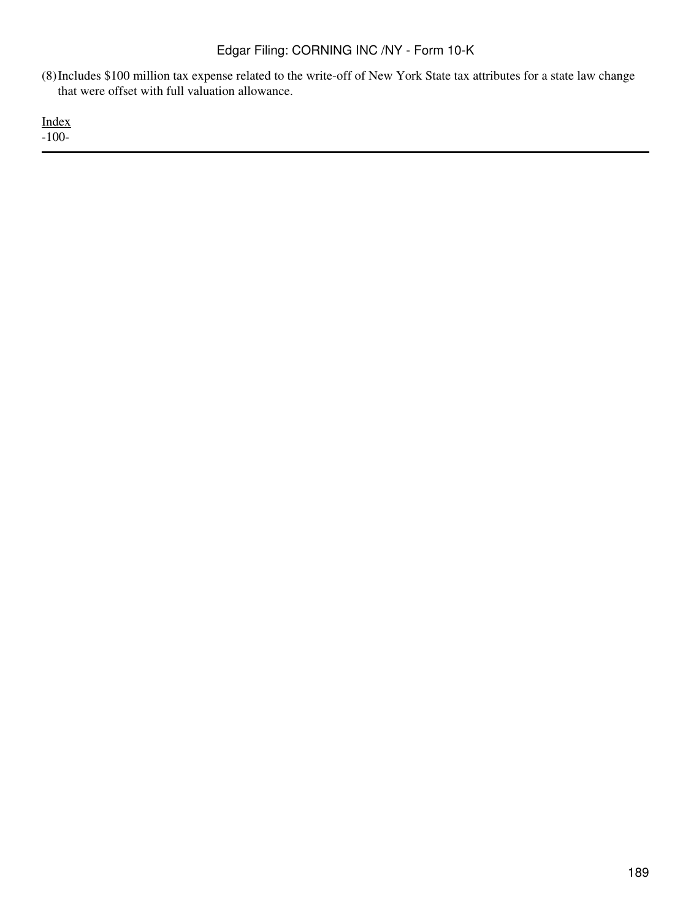(8)Includes \$100 million tax expense related to the write-off of New York State tax attributes for a state law change that were offset with full valuation allowance.

[Index](#page-155-0) -100-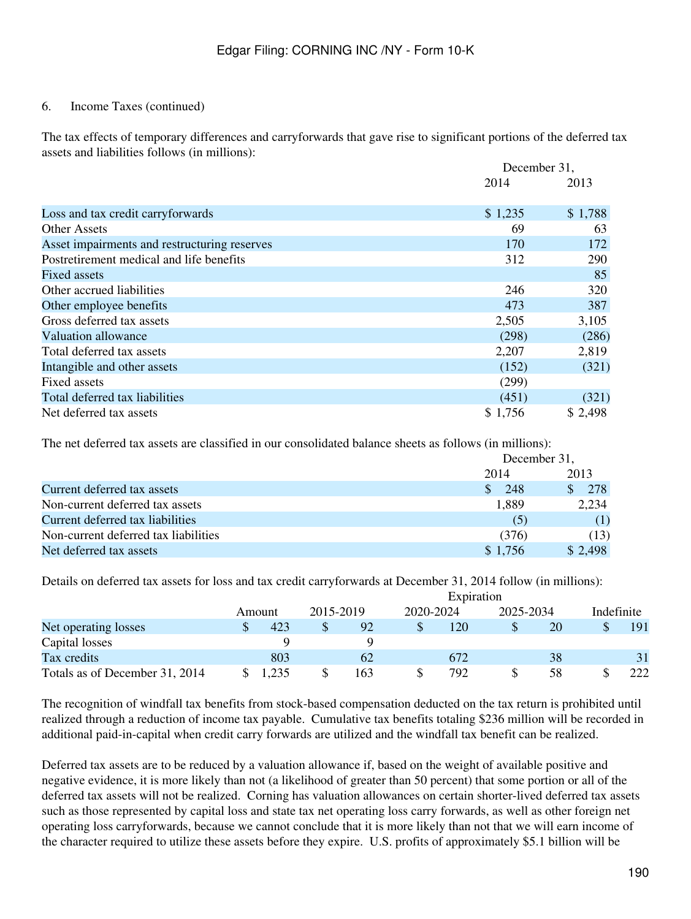### 6. Income Taxes (continued)

The tax effects of temporary differences and carryforwards that gave rise to significant portions of the deferred tax assets and liabilities follows (in millions):

|                                              |         | December 31, |
|----------------------------------------------|---------|--------------|
|                                              | 2014    | 2013         |
| Loss and tax credit carryforwards            | \$1,235 | \$1,788      |
| Other Assets                                 | 69      | 63           |
| Asset impairments and restructuring reserves | 170     | 172          |
| Postretirement medical and life benefits     | 312     | 290          |
| Fixed assets                                 |         | 85           |
| Other accrued liabilities                    | 246     | 320          |
| Other employee benefits                      | 473     | 387          |
| Gross deferred tax assets                    | 2,505   | 3,105        |
| Valuation allowance                          | (298)   | (286)        |
| Total deferred tax assets                    | 2,207   | 2,819        |
| Intangible and other assets                  | (152)   | (321)        |
| Fixed assets                                 | (299)   |              |
| Total deferred tax liabilities               | (451)   | (321)        |
| Net deferred tax assets                      | \$1,756 | \$2,498      |

The net deferred tax assets are classified in our consolidated balance sheets as follows (in millions):

|                                      | December 31,        |                       |
|--------------------------------------|---------------------|-----------------------|
|                                      | 2014                | 2013                  |
| Current deferred tax assets          | 248<br><sup>S</sup> | 278<br>$\mathbb{S}^-$ |
| Non-current deferred tax assets      | 1,889               | 2,234                 |
| Current deferred tax liabilities     | (5)                 | (1)                   |
| Non-current deferred tax liabilities | (376)               | (13)                  |
| Net deferred tax assets              | \$1.756             | \$2,498               |

Details on deferred tax assets for loss and tax credit carryforwards at December 31, 2014 follow (in millions):

|                                | Expiration |           |     |           |     |           |    |            |     |
|--------------------------------|------------|-----------|-----|-----------|-----|-----------|----|------------|-----|
|                                | Amount     | 2015-2019 |     | 2020-2024 |     | 2025-2034 |    | Indefinite |     |
| Net operating losses           | 423        |           | 92  |           | 120 |           | 20 |            | 191 |
| Capital losses                 |            |           |     |           |     |           |    |            |     |
| Tax credits                    | 803        |           | 62  |           | 672 |           | 38 |            | 31  |
| Totals as of December 31, 2014 | ,235       |           | 163 |           | 792 |           | 58 |            | 222 |

The recognition of windfall tax benefits from stock-based compensation deducted on the tax return is prohibited until realized through a reduction of income tax payable. Cumulative tax benefits totaling \$236 million will be recorded in additional paid-in-capital when credit carry forwards are utilized and the windfall tax benefit can be realized.

Deferred tax assets are to be reduced by a valuation allowance if, based on the weight of available positive and negative evidence, it is more likely than not (a likelihood of greater than 50 percent) that some portion or all of the deferred tax assets will not be realized. Corning has valuation allowances on certain shorter-lived deferred tax assets such as those represented by capital loss and state tax net operating loss carry forwards, as well as other foreign net operating loss carryforwards, because we cannot conclude that it is more likely than not that we will earn income of the character required to utilize these assets before they expire. U.S. profits of approximately \$5.1 billion will be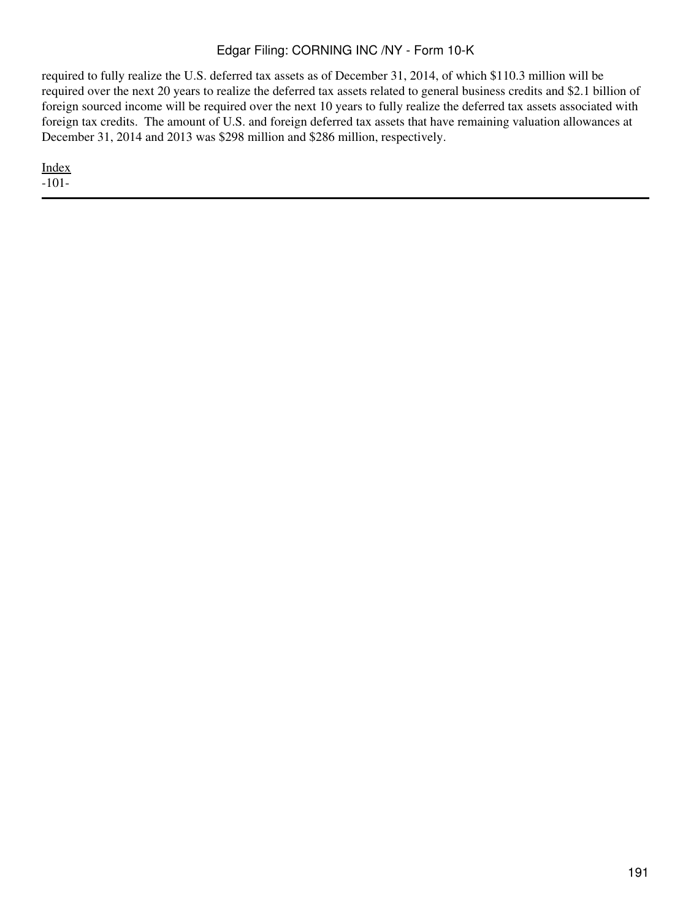required to fully realize the U.S. deferred tax assets as of December 31, 2014, of which \$110.3 million will be required over the next 20 years to realize the deferred tax assets related to general business credits and \$2.1 billion of foreign sourced income will be required over the next 10 years to fully realize the deferred tax assets associated with foreign tax credits. The amount of U.S. and foreign deferred tax assets that have remaining valuation allowances at December 31, 2014 and 2013 was \$298 million and \$286 million, respectively.

[Index](#page-155-0) -101-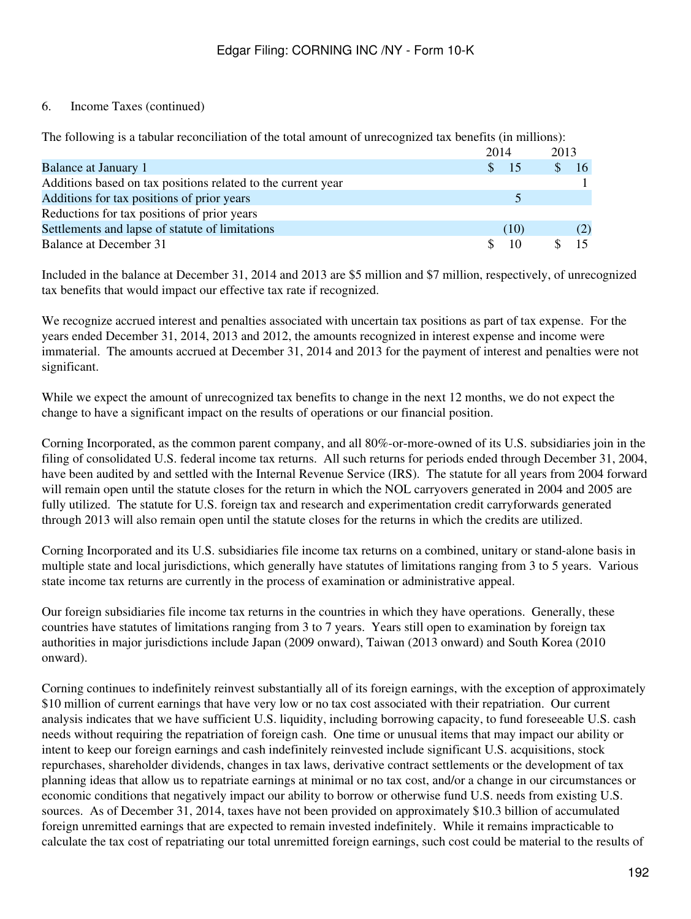### 6. Income Taxes (continued)

The following is a tabular reconciliation of the total amount of unrecognized tax benefits (in millions):

|                                                              |  | 2014           | 2013         |     |
|--------------------------------------------------------------|--|----------------|--------------|-----|
| <b>Balance at January 1</b>                                  |  | $\frac{15}{2}$ | $\mathbb{S}$ | 16  |
| Additions based on tax positions related to the current year |  |                |              |     |
| Additions for tax positions of prior years                   |  |                |              |     |
| Reductions for tax positions of prior years                  |  |                |              |     |
| Settlements and lapse of statute of limitations              |  | (10)           |              | (2) |
| Balance at December 31                                       |  | 10             |              |     |

Included in the balance at December 31, 2014 and 2013 are \$5 million and \$7 million, respectively, of unrecognized tax benefits that would impact our effective tax rate if recognized.

We recognize accrued interest and penalties associated with uncertain tax positions as part of tax expense. For the years ended December 31, 2014, 2013 and 2012, the amounts recognized in interest expense and income were immaterial. The amounts accrued at December 31, 2014 and 2013 for the payment of interest and penalties were not significant.

While we expect the amount of unrecognized tax benefits to change in the next 12 months, we do not expect the change to have a significant impact on the results of operations or our financial position.

Corning Incorporated, as the common parent company, and all 80%-or-more-owned of its U.S. subsidiaries join in the filing of consolidated U.S. federal income tax returns. All such returns for periods ended through December 31, 2004, have been audited by and settled with the Internal Revenue Service (IRS). The statute for all years from 2004 forward will remain open until the statute closes for the return in which the NOL carryovers generated in 2004 and 2005 are fully utilized. The statute for U.S. foreign tax and research and experimentation credit carryforwards generated through 2013 will also remain open until the statute closes for the returns in which the credits are utilized.

Corning Incorporated and its U.S. subsidiaries file income tax returns on a combined, unitary or stand-alone basis in multiple state and local jurisdictions, which generally have statutes of limitations ranging from 3 to 5 years. Various state income tax returns are currently in the process of examination or administrative appeal.

Our foreign subsidiaries file income tax returns in the countries in which they have operations. Generally, these countries have statutes of limitations ranging from 3 to 7 years. Years still open to examination by foreign tax authorities in major jurisdictions include Japan (2009 onward), Taiwan (2013 onward) and South Korea (2010 onward).

Corning continues to indefinitely reinvest substantially all of its foreign earnings, with the exception of approximately \$10 million of current earnings that have very low or no tax cost associated with their repatriation. Our current analysis indicates that we have sufficient U.S. liquidity, including borrowing capacity, to fund foreseeable U.S. cash needs without requiring the repatriation of foreign cash. One time or unusual items that may impact our ability or intent to keep our foreign earnings and cash indefinitely reinvested include significant U.S. acquisitions, stock repurchases, shareholder dividends, changes in tax laws, derivative contract settlements or the development of tax planning ideas that allow us to repatriate earnings at minimal or no tax cost, and/or a change in our circumstances or economic conditions that negatively impact our ability to borrow or otherwise fund U.S. needs from existing U.S. sources. As of December 31, 2014, taxes have not been provided on approximately \$10.3 billion of accumulated foreign unremitted earnings that are expected to remain invested indefinitely. While it remains impracticable to calculate the tax cost of repatriating our total unremitted foreign earnings, such cost could be material to the results of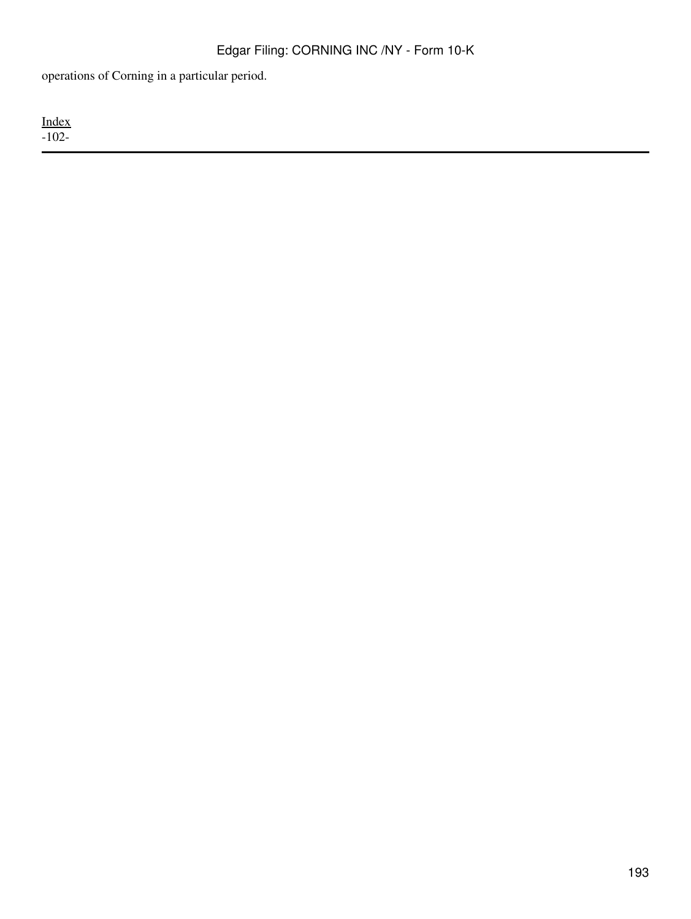operations of Corning in a particular period.

[Index](#page-155-0) -102-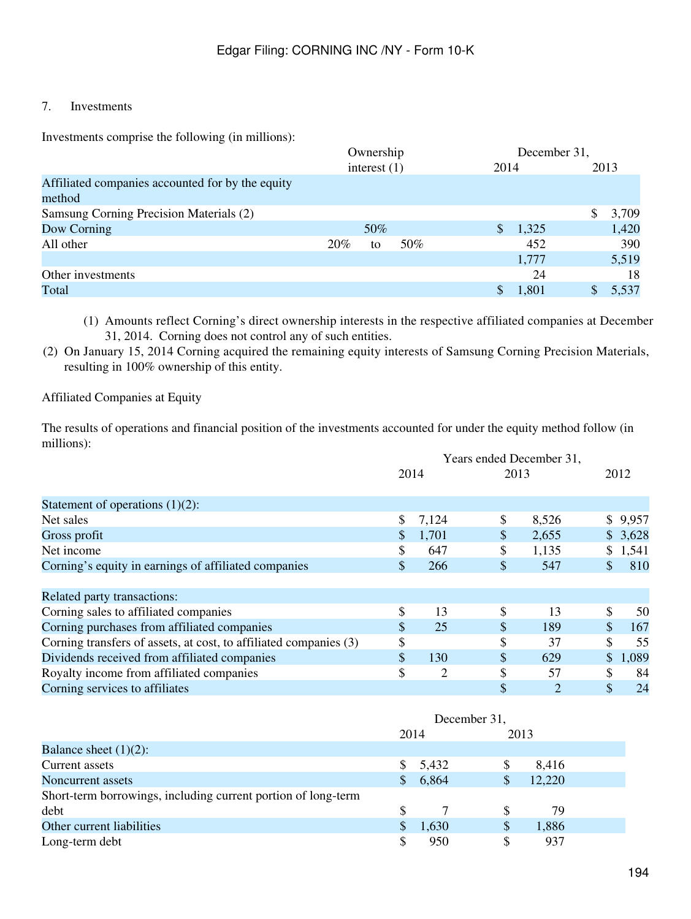# 7. Investments

Investments comprise the following (in millions):

|                                                  |                | Ownership |     |      | December 31, |  |       |  |
|--------------------------------------------------|----------------|-----------|-----|------|--------------|--|-------|--|
|                                                  | interest $(1)$ |           |     | 2014 |              |  | 2013  |  |
| Affiliated companies accounted for by the equity |                |           |     |      |              |  |       |  |
| method                                           |                |           |     |      |              |  |       |  |
| Samsung Corning Precision Materials (2)          |                |           |     |      |              |  | 3,709 |  |
| Dow Corning                                      |                | 50%       |     |      | 1,325        |  | 1,420 |  |
| All other                                        | 20%            | to        | 50% |      | 452          |  | 390   |  |
|                                                  |                |           |     |      | 1,777        |  | 5,519 |  |
| Other investments                                |                |           |     |      | 24           |  | 18    |  |
| Total                                            |                |           |     |      | 1,801        |  | 5,537 |  |
|                                                  |                |           |     |      |              |  |       |  |

(1) Amounts reflect Corning's direct ownership interests in the respective affiliated companies at December 31, 2014. Corning does not control any of such entities.

(2) On January 15, 2014 Corning acquired the remaining equity interests of Samsung Corning Precision Materials, resulting in 100% ownership of this entity.

#### Affiliated Companies at Equity

The results of operations and financial position of the investments accounted for under the equity method follow (in millions):

|                                                                   | Years ended December 31, |       |    |       |    |         |  |
|-------------------------------------------------------------------|--------------------------|-------|----|-------|----|---------|--|
|                                                                   |                          | 2014  |    | 2013  |    | 2012    |  |
| Statement of operations $(1)(2)$ :                                |                          |       |    |       |    |         |  |
| Net sales                                                         | \$                       | 7,124 | \$ | 8,526 |    | \$9,957 |  |
| Gross profit                                                      |                          | 1,701 | \$ | 2,655 |    | \$3,628 |  |
| Net income                                                        | \$                       | 647   | \$ | 1,135 | \$ | 1,541   |  |
| Corning's equity in earnings of affiliated companies              | \$                       | 266   | \$ | 547   | \$ | 810     |  |
| Related party transactions:                                       |                          |       |    |       |    |         |  |
| Corning sales to affiliated companies                             | \$                       | 13    | \$ | 13    | \$ | 50      |  |
| Corning purchases from affiliated companies                       | \$                       | 25    | \$ | 189   | \$ | 167     |  |
| Corning transfers of assets, at cost, to affiliated companies (3) | \$                       |       | \$ | 37    | \$ | 55      |  |
| Dividends received from affiliated companies                      | \$                       | 130   | \$ | 629   | \$ | 1,089   |  |
| Royalty income from affiliated companies                          | \$                       | 2     | \$ | 57    | S  | 84      |  |
| Corning services to affiliates                                    |                          |       | \$ | 2     | \$ | 24      |  |

|                                                               | December 31, |       |      |        |  |  |  |
|---------------------------------------------------------------|--------------|-------|------|--------|--|--|--|
|                                                               | 2014         |       | 2013 |        |  |  |  |
| Balance sheet $(1)(2)$ :                                      |              |       |      |        |  |  |  |
| Current assets                                                |              | 5,432 |      | 8,416  |  |  |  |
| Noncurrent assets                                             | \$           | 6,864 |      | 12,220 |  |  |  |
| Short-term borrowings, including current portion of long-term |              |       |      |        |  |  |  |
| debt                                                          | S            |       |      | 79     |  |  |  |
| Other current liabilities                                     |              | 1,630 |      | 1,886  |  |  |  |
| Long-term debt                                                |              | 950   |      | 937    |  |  |  |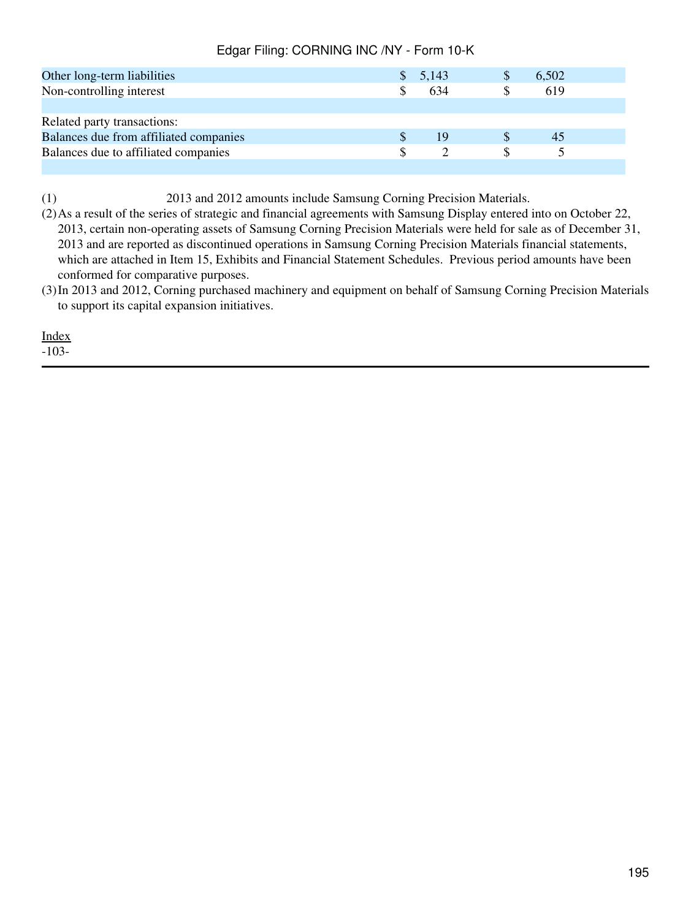| Other long-term liabilities            | 5,143 | S | 6,502 |  |
|----------------------------------------|-------|---|-------|--|
| Non-controlling interest               | 634   |   | 619   |  |
|                                        |       |   |       |  |
| Related party transactions:            |       |   |       |  |
| Balances due from affiliated companies | 19    |   | 45    |  |
| Balances due to affiliated companies   |       |   |       |  |
|                                        |       |   |       |  |

(1) 2013 and 2012 amounts include Samsung Corning Precision Materials.

(2)As a result of the series of strategic and financial agreements with Samsung Display entered into on October 22, 2013, certain non-operating assets of Samsung Corning Precision Materials were held for sale as of December 31, 2013 and are reported as discontinued operations in Samsung Corning Precision Materials financial statements, which are attached in Item 15, Exhibits and Financial Statement Schedules. Previous period amounts have been conformed for comparative purposes.

(3)In 2013 and 2012, Corning purchased machinery and equipment on behalf of Samsung Corning Precision Materials to support its capital expansion initiatives.

[Index](#page-155-0)

-103-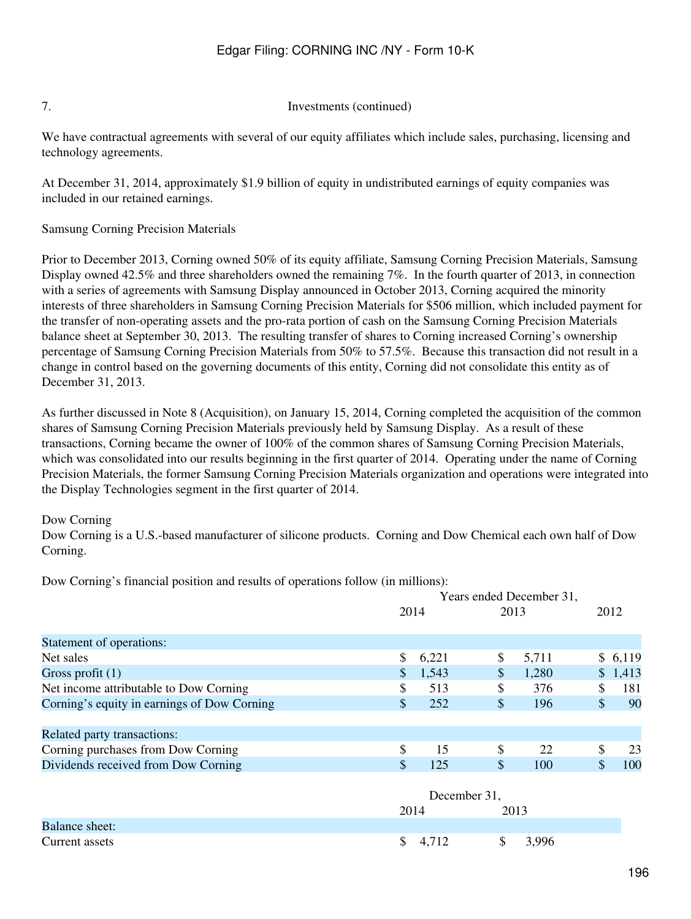#### 7. Investments (continued)

We have contractual agreements with several of our equity affiliates which include sales, purchasing, licensing and technology agreements.

At December 31, 2014, approximately \$1.9 billion of equity in undistributed earnings of equity companies was included in our retained earnings.

Samsung Corning Precision Materials

Prior to December 2013, Corning owned 50% of its equity affiliate, Samsung Corning Precision Materials, Samsung Display owned 42.5% and three shareholders owned the remaining 7%. In the fourth quarter of 2013, in connection with a series of agreements with Samsung Display announced in October 2013, Corning acquired the minority interests of three shareholders in Samsung Corning Precision Materials for \$506 million, which included payment for the transfer of non-operating assets and the pro-rata portion of cash on the Samsung Corning Precision Materials balance sheet at September 30, 2013. The resulting transfer of shares to Corning increased Corning's ownership percentage of Samsung Corning Precision Materials from 50% to 57.5%. Because this transaction did not result in a change in control based on the governing documents of this entity, Corning did not consolidate this entity as of December 31, 2013.

As further discussed in Note 8 (Acquisition), on January 15, 2014, Corning completed the acquisition of the common shares of Samsung Corning Precision Materials previously held by Samsung Display. As a result of these transactions, Corning became the owner of 100% of the common shares of Samsung Corning Precision Materials, which was consolidated into our results beginning in the first quarter of 2014. Operating under the name of Corning Precision Materials, the former Samsung Corning Precision Materials organization and operations were integrated into the Display Technologies segment in the first quarter of 2014.

#### Dow Corning

Dow Corning is a U.S.-based manufacturer of silicone products. Corning and Dow Chemical each own half of Dow Corning.

Dow Corning's financial position and results of operations follow (in millions):

|                                             | Years ended December 31, |              |       |       |    |         |  |
|---------------------------------------------|--------------------------|--------------|-------|-------|----|---------|--|
|                                             | 2014                     |              | 2013  |       |    | 2012    |  |
| Statement of operations:                    |                          |              |       |       |    |         |  |
| Net sales                                   | \$                       | 6,221        | \$    | 5,711 |    | \$6,119 |  |
| Gross profit $(1)$                          | \$                       | 1,543        | $\$\$ | 1,280 |    | \$1,413 |  |
| Net income attributable to Dow Corning      | \$                       | 513          | \$    | 376   | \$ | 181     |  |
| Corning's equity in earnings of Dow Corning | \$                       | 252          | \$    | 196   | \$ | 90      |  |
|                                             |                          |              |       |       |    |         |  |
| Related party transactions:                 |                          |              |       |       |    |         |  |
| Corning purchases from Dow Corning          | \$                       | 15           | \$    | 22    | \$ | 23      |  |
| Dividends received from Dow Corning         | \$                       | 125          | \$    | 100   | \$ | 100     |  |
|                                             |                          |              |       |       |    |         |  |
|                                             |                          | December 31, |       |       |    |         |  |
|                                             | 2014                     |              | 2013  |       |    |         |  |
| <b>Balance sheet:</b>                       |                          |              |       |       |    |         |  |

Current assets  $\frac{1}{2}$   $\frac{4,712}{3,996}$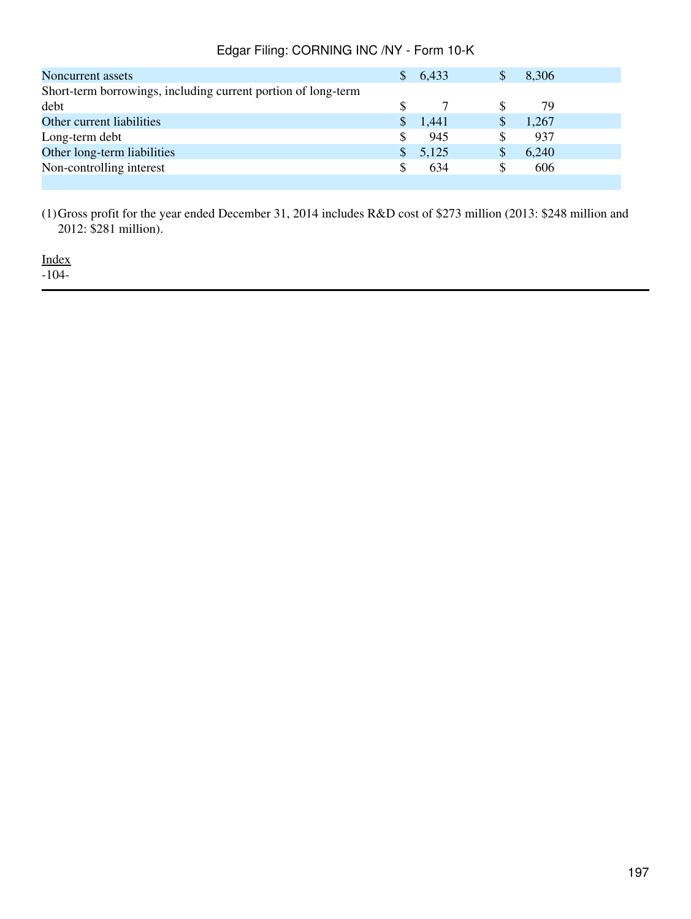| Noncurrent assets                                             |   | 6,433 | 8,306 |  |
|---------------------------------------------------------------|---|-------|-------|--|
| Short-term borrowings, including current portion of long-term |   |       |       |  |
| debt                                                          | S |       | 79    |  |
| Other current liabilities                                     |   | 1,441 | 1,267 |  |
| Long-term debt                                                | S | 945   | 937   |  |
| Other long-term liabilities                                   |   | 5,125 | 6,240 |  |
| Non-controlling interest                                      | S | 634   | 606   |  |
|                                                               |   |       |       |  |

(1)Gross profit for the year ended December 31, 2014 includes R&D cost of \$273 million (2013: \$248 million and 2012: \$281 million).

[Index](#page-155-0)

-104-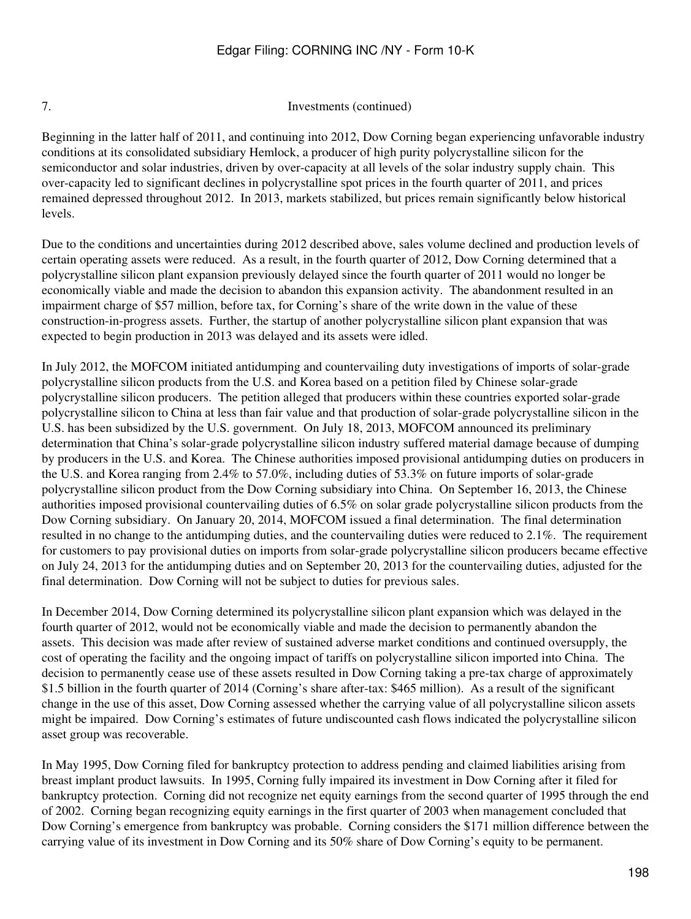7. Investments (continued)

Beginning in the latter half of 2011, and continuing into 2012, Dow Corning began experiencing unfavorable industry conditions at its consolidated subsidiary Hemlock, a producer of high purity polycrystalline silicon for the semiconductor and solar industries, driven by over-capacity at all levels of the solar industry supply chain. This over-capacity led to significant declines in polycrystalline spot prices in the fourth quarter of 2011, and prices remained depressed throughout 2012. In 2013, markets stabilized, but prices remain significantly below historical levels.

Due to the conditions and uncertainties during 2012 described above, sales volume declined and production levels of certain operating assets were reduced. As a result, in the fourth quarter of 2012, Dow Corning determined that a polycrystalline silicon plant expansion previously delayed since the fourth quarter of 2011 would no longer be economically viable and made the decision to abandon this expansion activity. The abandonment resulted in an impairment charge of \$57 million, before tax, for Corning's share of the write down in the value of these construction-in-progress assets. Further, the startup of another polycrystalline silicon plant expansion that was expected to begin production in 2013 was delayed and its assets were idled.

In July 2012, the MOFCOM initiated antidumping and countervailing duty investigations of imports of solar-grade polycrystalline silicon products from the U.S. and Korea based on a petition filed by Chinese solar-grade polycrystalline silicon producers. The petition alleged that producers within these countries exported solar-grade polycrystalline silicon to China at less than fair value and that production of solar-grade polycrystalline silicon in the U.S. has been subsidized by the U.S. government. On July 18, 2013, MOFCOM announced its preliminary determination that China's solar-grade polycrystalline silicon industry suffered material damage because of dumping by producers in the U.S. and Korea. The Chinese authorities imposed provisional antidumping duties on producers in the U.S. and Korea ranging from 2.4% to 57.0%, including duties of 53.3% on future imports of solar-grade polycrystalline silicon product from the Dow Corning subsidiary into China. On September 16, 2013, the Chinese authorities imposed provisional countervailing duties of 6.5% on solar grade polycrystalline silicon products from the Dow Corning subsidiary. On January 20, 2014, MOFCOM issued a final determination. The final determination resulted in no change to the antidumping duties, and the countervailing duties were reduced to 2.1%. The requirement for customers to pay provisional duties on imports from solar-grade polycrystalline silicon producers became effective on July 24, 2013 for the antidumping duties and on September 20, 2013 for the countervailing duties, adjusted for the final determination. Dow Corning will not be subject to duties for previous sales.

In December 2014, Dow Corning determined its polycrystalline silicon plant expansion which was delayed in the fourth quarter of 2012, would not be economically viable and made the decision to permanently abandon the assets. This decision was made after review of sustained adverse market conditions and continued oversupply, the cost of operating the facility and the ongoing impact of tariffs on polycrystalline silicon imported into China. The decision to permanently cease use of these assets resulted in Dow Corning taking a pre-tax charge of approximately \$1.5 billion in the fourth quarter of 2014 (Corning's share after-tax: \$465 million). As a result of the significant change in the use of this asset, Dow Corning assessed whether the carrying value of all polycrystalline silicon assets might be impaired. Dow Corning's estimates of future undiscounted cash flows indicated the polycrystalline silicon asset group was recoverable.

In May 1995, Dow Corning filed for bankruptcy protection to address pending and claimed liabilities arising from breast implant product lawsuits. In 1995, Corning fully impaired its investment in Dow Corning after it filed for bankruptcy protection. Corning did not recognize net equity earnings from the second quarter of 1995 through the end of 2002. Corning began recognizing equity earnings in the first quarter of 2003 when management concluded that Dow Corning's emergence from bankruptcy was probable. Corning considers the \$171 million difference between the carrying value of its investment in Dow Corning and its 50% share of Dow Corning's equity to be permanent.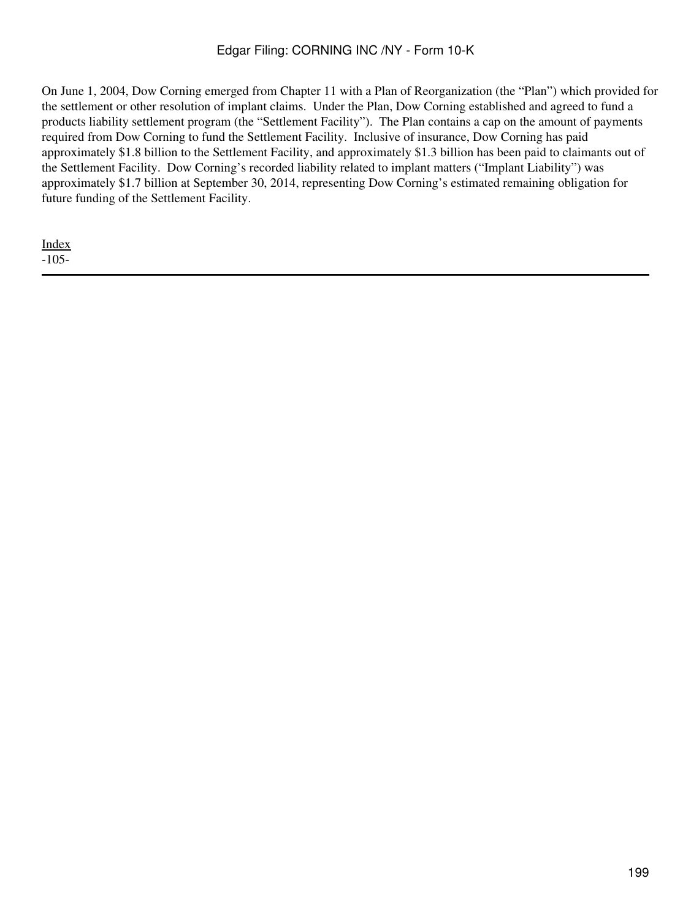On June 1, 2004, Dow Corning emerged from Chapter 11 with a Plan of Reorganization (the "Plan") which provided for the settlement or other resolution of implant claims. Under the Plan, Dow Corning established and agreed to fund a products liability settlement program (the "Settlement Facility"). The Plan contains a cap on the amount of payments required from Dow Corning to fund the Settlement Facility. Inclusive of insurance, Dow Corning has paid approximately \$1.8 billion to the Settlement Facility, and approximately \$1.3 billion has been paid to claimants out of the Settlement Facility. Dow Corning's recorded liability related to implant matters ("Implant Liability") was approximately \$1.7 billion at September 30, 2014, representing Dow Corning's estimated remaining obligation for future funding of the Settlement Facility.

[Index](#page-155-0) -105-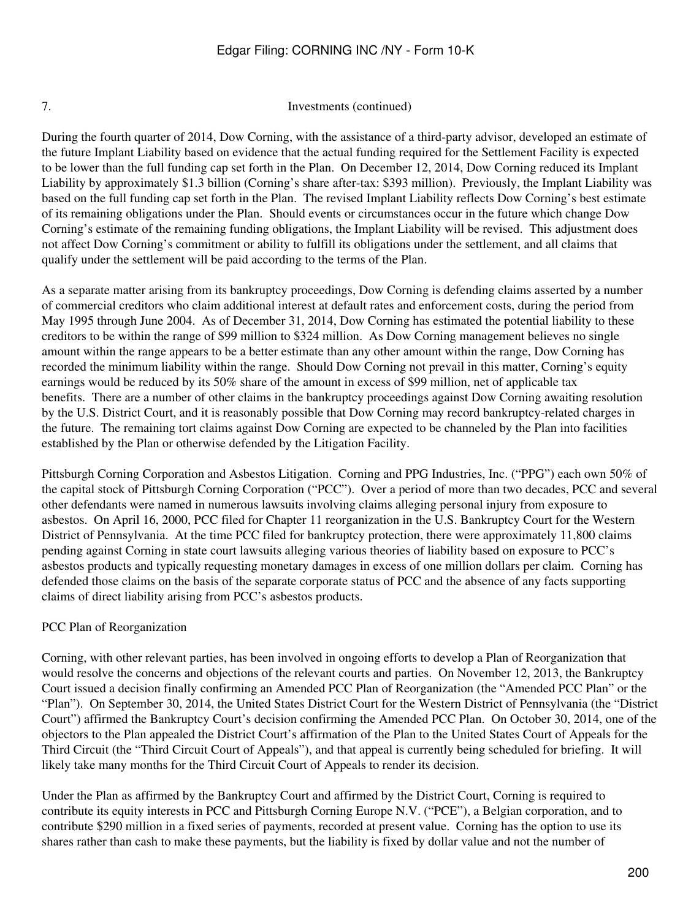7. Investments (continued)

During the fourth quarter of 2014, Dow Corning, with the assistance of a third-party advisor, developed an estimate of the future Implant Liability based on evidence that the actual funding required for the Settlement Facility is expected to be lower than the full funding cap set forth in the Plan. On December 12, 2014, Dow Corning reduced its Implant Liability by approximately \$1.3 billion (Corning's share after-tax: \$393 million). Previously, the Implant Liability was based on the full funding cap set forth in the Plan. The revised Implant Liability reflects Dow Corning's best estimate of its remaining obligations under the Plan. Should events or circumstances occur in the future which change Dow Corning's estimate of the remaining funding obligations, the Implant Liability will be revised. This adjustment does not affect Dow Corning's commitment or ability to fulfill its obligations under the settlement, and all claims that qualify under the settlement will be paid according to the terms of the Plan.

As a separate matter arising from its bankruptcy proceedings, Dow Corning is defending claims asserted by a number of commercial creditors who claim additional interest at default rates and enforcement costs, during the period from May 1995 through June 2004. As of December 31, 2014, Dow Corning has estimated the potential liability to these creditors to be within the range of \$99 million to \$324 million. As Dow Corning management believes no single amount within the range appears to be a better estimate than any other amount within the range, Dow Corning has recorded the minimum liability within the range. Should Dow Corning not prevail in this matter, Corning's equity earnings would be reduced by its 50% share of the amount in excess of \$99 million, net of applicable tax benefits. There are a number of other claims in the bankruptcy proceedings against Dow Corning awaiting resolution by the U.S. District Court, and it is reasonably possible that Dow Corning may record bankruptcy-related charges in the future. The remaining tort claims against Dow Corning are expected to be channeled by the Plan into facilities established by the Plan or otherwise defended by the Litigation Facility.

Pittsburgh Corning Corporation and Asbestos Litigation. Corning and PPG Industries, Inc. ("PPG") each own 50% of the capital stock of Pittsburgh Corning Corporation ("PCC"). Over a period of more than two decades, PCC and several other defendants were named in numerous lawsuits involving claims alleging personal injury from exposure to asbestos. On April 16, 2000, PCC filed for Chapter 11 reorganization in the U.S. Bankruptcy Court for the Western District of Pennsylvania. At the time PCC filed for bankruptcy protection, there were approximately 11,800 claims pending against Corning in state court lawsuits alleging various theories of liability based on exposure to PCC's asbestos products and typically requesting monetary damages in excess of one million dollars per claim. Corning has defended those claims on the basis of the separate corporate status of PCC and the absence of any facts supporting claims of direct liability arising from PCC's asbestos products.

# PCC Plan of Reorganization

Corning, with other relevant parties, has been involved in ongoing efforts to develop a Plan of Reorganization that would resolve the concerns and objections of the relevant courts and parties. On November 12, 2013, the Bankruptcy Court issued a decision finally confirming an Amended PCC Plan of Reorganization (the "Amended PCC Plan" or the "Plan"). On September 30, 2014, the United States District Court for the Western District of Pennsylvania (the "District Court") affirmed the Bankruptcy Court's decision confirming the Amended PCC Plan. On October 30, 2014, one of the objectors to the Plan appealed the District Court's affirmation of the Plan to the United States Court of Appeals for the Third Circuit (the "Third Circuit Court of Appeals"), and that appeal is currently being scheduled for briefing. It will likely take many months for the Third Circuit Court of Appeals to render its decision.

Under the Plan as affirmed by the Bankruptcy Court and affirmed by the District Court, Corning is required to contribute its equity interests in PCC and Pittsburgh Corning Europe N.V. ("PCE"), a Belgian corporation, and to contribute \$290 million in a fixed series of payments, recorded at present value. Corning has the option to use its shares rather than cash to make these payments, but the liability is fixed by dollar value and not the number of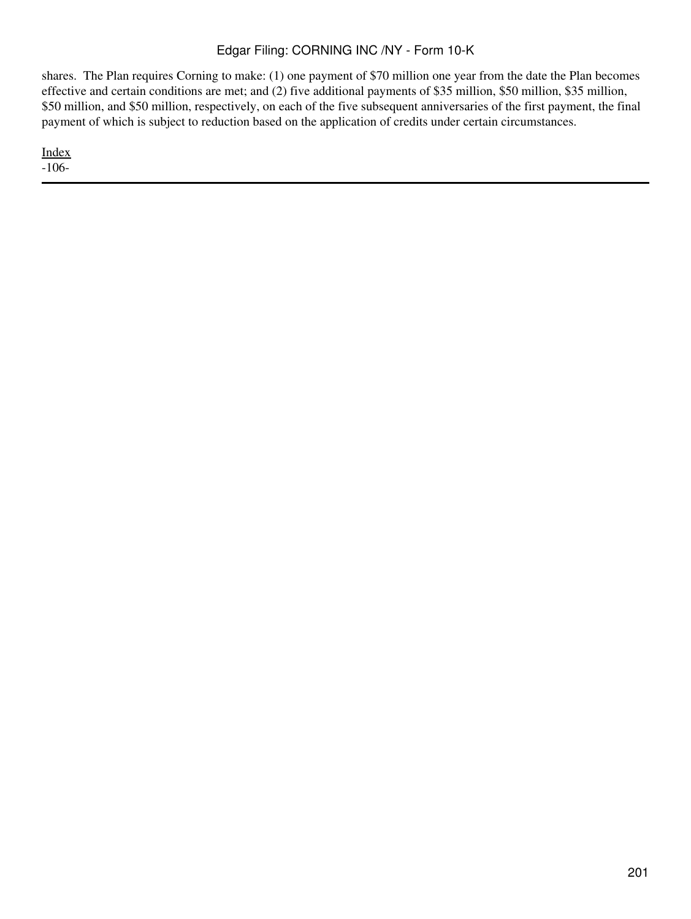shares. The Plan requires Corning to make: (1) one payment of \$70 million one year from the date the Plan becomes effective and certain conditions are met; and (2) five additional payments of \$35 million, \$50 million, \$35 million, \$50 million, and \$50 million, respectively, on each of the five subsequent anniversaries of the first payment, the final payment of which is subject to reduction based on the application of credits under certain circumstances.

[Index](#page-155-0)

-106-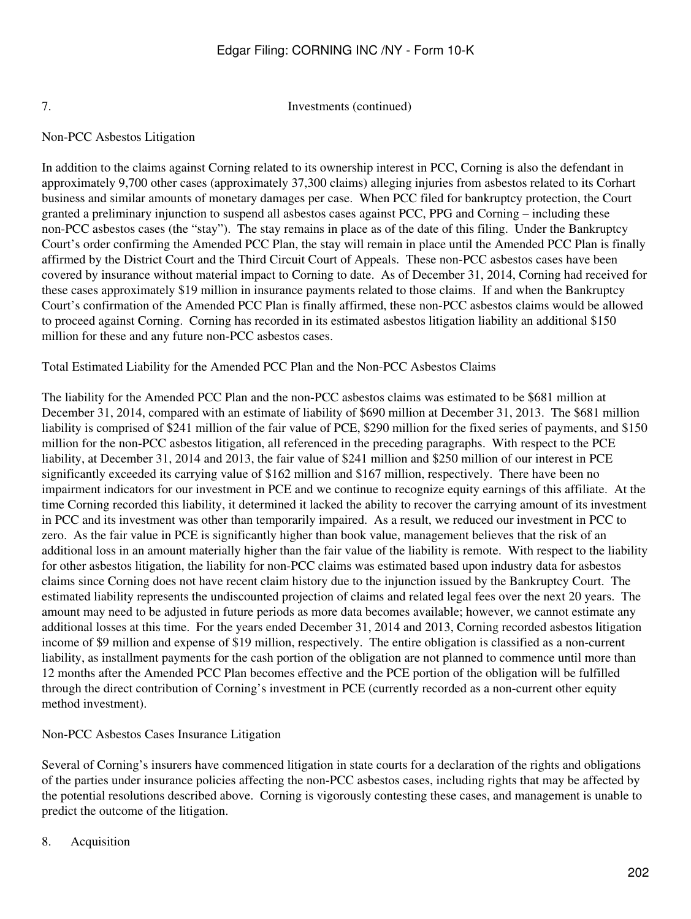7. Investments (continued)

# Non-PCC Asbestos Litigation

In addition to the claims against Corning related to its ownership interest in PCC, Corning is also the defendant in approximately 9,700 other cases (approximately 37,300 claims) alleging injuries from asbestos related to its Corhart business and similar amounts of monetary damages per case. When PCC filed for bankruptcy protection, the Court granted a preliminary injunction to suspend all asbestos cases against PCC, PPG and Corning – including these non-PCC asbestos cases (the "stay"). The stay remains in place as of the date of this filing. Under the Bankruptcy Court's order confirming the Amended PCC Plan, the stay will remain in place until the Amended PCC Plan is finally affirmed by the District Court and the Third Circuit Court of Appeals. These non-PCC asbestos cases have been covered by insurance without material impact to Corning to date. As of December 31, 2014, Corning had received for these cases approximately \$19 million in insurance payments related to those claims. If and when the Bankruptcy Court's confirmation of the Amended PCC Plan is finally affirmed, these non-PCC asbestos claims would be allowed to proceed against Corning. Corning has recorded in its estimated asbestos litigation liability an additional \$150 million for these and any future non-PCC asbestos cases.

Total Estimated Liability for the Amended PCC Plan and the Non-PCC Asbestos Claims

The liability for the Amended PCC Plan and the non-PCC asbestos claims was estimated to be \$681 million at December 31, 2014, compared with an estimate of liability of \$690 million at December 31, 2013. The \$681 million liability is comprised of \$241 million of the fair value of PCE, \$290 million for the fixed series of payments, and \$150 million for the non-PCC asbestos litigation, all referenced in the preceding paragraphs. With respect to the PCE liability, at December 31, 2014 and 2013, the fair value of \$241 million and \$250 million of our interest in PCE significantly exceeded its carrying value of \$162 million and \$167 million, respectively. There have been no impairment indicators for our investment in PCE and we continue to recognize equity earnings of this affiliate. At the time Corning recorded this liability, it determined it lacked the ability to recover the carrying amount of its investment in PCC and its investment was other than temporarily impaired. As a result, we reduced our investment in PCC to zero. As the fair value in PCE is significantly higher than book value, management believes that the risk of an additional loss in an amount materially higher than the fair value of the liability is remote. With respect to the liability for other asbestos litigation, the liability for non-PCC claims was estimated based upon industry data for asbestos claims since Corning does not have recent claim history due to the injunction issued by the Bankruptcy Court. The estimated liability represents the undiscounted projection of claims and related legal fees over the next 20 years. The amount may need to be adjusted in future periods as more data becomes available; however, we cannot estimate any additional losses at this time. For the years ended December 31, 2014 and 2013, Corning recorded asbestos litigation income of \$9 million and expense of \$19 million, respectively. The entire obligation is classified as a non-current liability, as installment payments for the cash portion of the obligation are not planned to commence until more than 12 months after the Amended PCC Plan becomes effective and the PCE portion of the obligation will be fulfilled through the direct contribution of Corning's investment in PCE (currently recorded as a non-current other equity method investment).

# Non-PCC Asbestos Cases Insurance Litigation

Several of Corning's insurers have commenced litigation in state courts for a declaration of the rights and obligations of the parties under insurance policies affecting the non-PCC asbestos cases, including rights that may be affected by the potential resolutions described above. Corning is vigorously contesting these cases, and management is unable to predict the outcome of the litigation.

8. Acquisition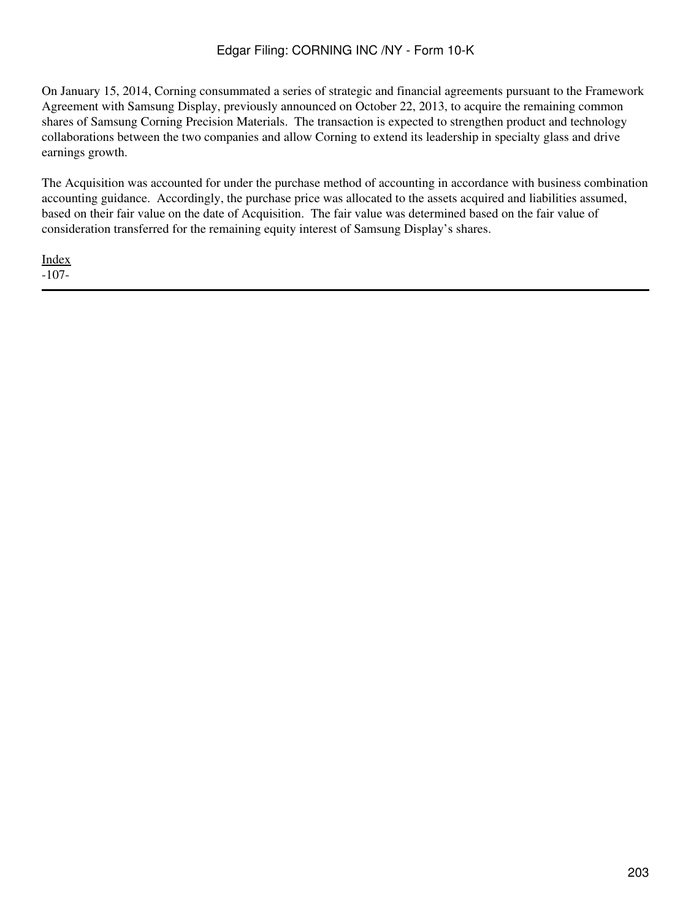On January 15, 2014, Corning consummated a series of strategic and financial agreements pursuant to the Framework Agreement with Samsung Display, previously announced on October 22, 2013, to acquire the remaining common shares of Samsung Corning Precision Materials. The transaction is expected to strengthen product and technology collaborations between the two companies and allow Corning to extend its leadership in specialty glass and drive earnings growth.

The Acquisition was accounted for under the purchase method of accounting in accordance with business combination accounting guidance. Accordingly, the purchase price was allocated to the assets acquired and liabilities assumed, based on their fair value on the date of Acquisition. The fair value was determined based on the fair value of consideration transferred for the remaining equity interest of Samsung Display's shares.

[Index](#page-155-0) -107-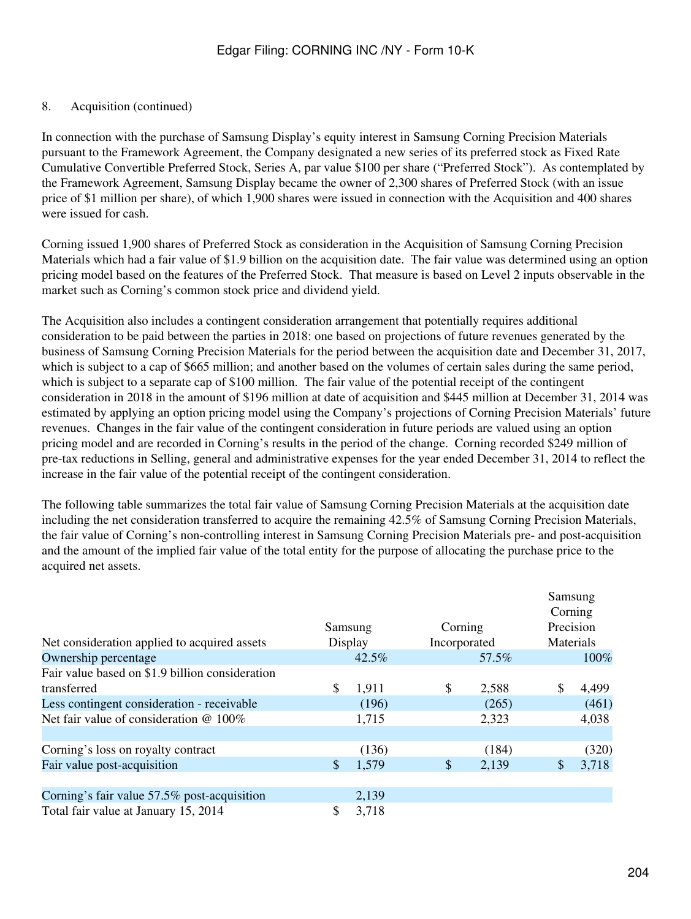# 8. Acquisition (continued)

In connection with the purchase of Samsung Display's equity interest in Samsung Corning Precision Materials pursuant to the Framework Agreement, the Company designated a new series of its preferred stock as Fixed Rate Cumulative Convertible Preferred Stock, Series A, par value \$100 per share ("Preferred Stock"). As contemplated by the Framework Agreement, Samsung Display became the owner of 2,300 shares of Preferred Stock (with an issue price of \$1 million per share), of which 1,900 shares were issued in connection with the Acquisition and 400 shares were issued for cash.

Corning issued 1,900 shares of Preferred Stock as consideration in the Acquisition of Samsung Corning Precision Materials which had a fair value of \$1.9 billion on the acquisition date. The fair value was determined using an option pricing model based on the features of the Preferred Stock. That measure is based on Level 2 inputs observable in the market such as Corning's common stock price and dividend yield.

The Acquisition also includes a contingent consideration arrangement that potentially requires additional consideration to be paid between the parties in 2018: one based on projections of future revenues generated by the business of Samsung Corning Precision Materials for the period between the acquisition date and December 31, 2017, which is subject to a cap of \$665 million; and another based on the volumes of certain sales during the same period, which is subject to a separate cap of \$100 million. The fair value of the potential receipt of the contingent consideration in 2018 in the amount of \$196 million at date of acquisition and \$445 million at December 31, 2014 was estimated by applying an option pricing model using the Company's projections of Corning Precision Materials' future revenues. Changes in the fair value of the contingent consideration in future periods are valued using an option pricing model and are recorded in Corning's results in the period of the change. Corning recorded \$249 million of pre-tax reductions in Selling, general and administrative expenses for the year ended December 31, 2014 to reflect the increase in the fair value of the potential receipt of the contingent consideration.

The following table summarizes the total fair value of Samsung Corning Precision Materials at the acquisition date including the net consideration transferred to acquire the remaining 42.5% of Samsung Corning Precision Materials, the fair value of Corning's non-controlling interest in Samsung Corning Precision Materials pre- and post-acquisition and the amount of the implied fair value of the total entity for the purpose of allocating the purchase price to the acquired net assets.

| Net consideration applied to acquired assets    | Corning<br>Samsung<br>Incorporated<br>Display |          | Samsung<br>Corning<br>Precision<br><b>Materials</b> |   |       |
|-------------------------------------------------|-----------------------------------------------|----------|-----------------------------------------------------|---|-------|
| Ownership percentage                            |                                               | $42.5\%$ | 57.5%                                               |   | 100%  |
| Fair value based on \$1.9 billion consideration |                                               |          |                                                     |   |       |
| transferred                                     | \$                                            | 1,911    | \$<br>2,588                                         | S | 4,499 |
| Less contingent consideration - receivable      |                                               | (196)    | (265)                                               |   | (461) |
| Net fair value of consideration @ 100%          |                                               | 1,715    | 2,323                                               |   | 4,038 |
|                                                 |                                               |          |                                                     |   |       |
| Corning's loss on royalty contract              |                                               | (136)    | (184)                                               |   | (320) |
| Fair value post-acquisition                     | \$                                            | 1,579    | \$<br>2,139                                         | S | 3,718 |
|                                                 |                                               |          |                                                     |   |       |
| Corning's fair value 57.5% post-acquisition     |                                               | 2,139    |                                                     |   |       |
| Total fair value at January 15, 2014            | \$                                            | 3,718    |                                                     |   |       |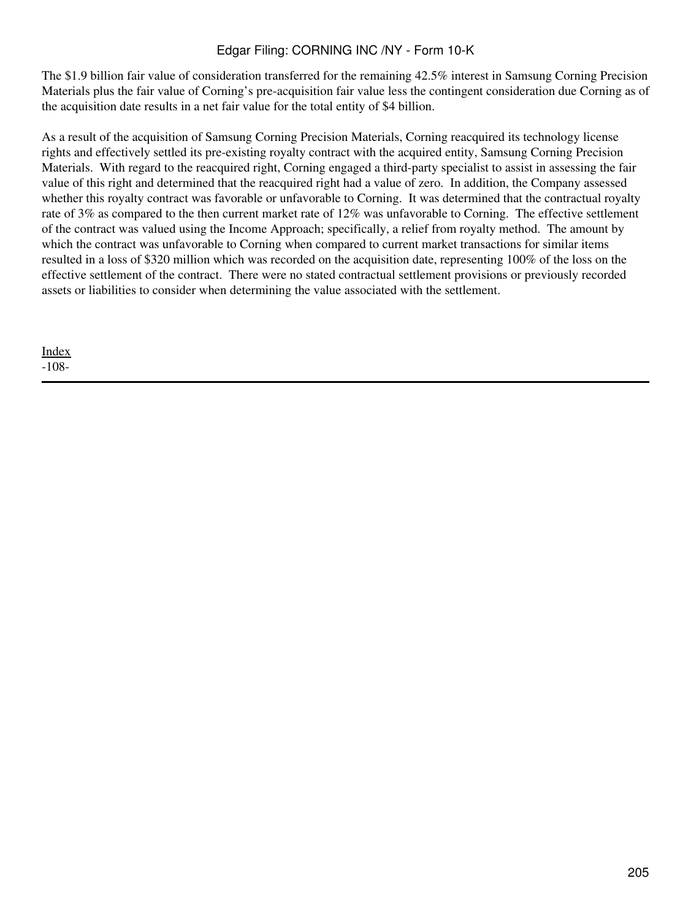The \$1.9 billion fair value of consideration transferred for the remaining 42.5% interest in Samsung Corning Precision Materials plus the fair value of Corning's pre-acquisition fair value less the contingent consideration due Corning as of the acquisition date results in a net fair value for the total entity of \$4 billion.

As a result of the acquisition of Samsung Corning Precision Materials, Corning reacquired its technology license rights and effectively settled its pre-existing royalty contract with the acquired entity, Samsung Corning Precision Materials. With regard to the reacquired right, Corning engaged a third-party specialist to assist in assessing the fair value of this right and determined that the reacquired right had a value of zero. In addition, the Company assessed whether this royalty contract was favorable or unfavorable to Corning. It was determined that the contractual royalty rate of 3% as compared to the then current market rate of 12% was unfavorable to Corning. The effective settlement of the contract was valued using the Income Approach; specifically, a relief from royalty method. The amount by which the contract was unfavorable to Corning when compared to current market transactions for similar items resulted in a loss of \$320 million which was recorded on the acquisition date, representing 100% of the loss on the effective settlement of the contract. There were no stated contractual settlement provisions or previously recorded assets or liabilities to consider when determining the value associated with the settlement.

[Index](#page-155-0) -108-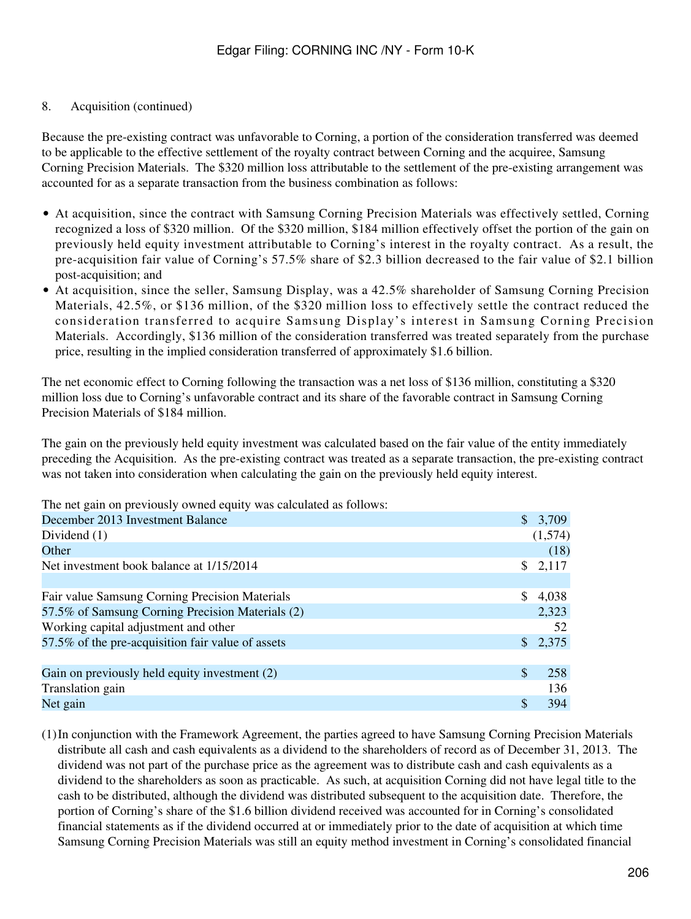# 8. Acquisition (continued)

Because the pre-existing contract was unfavorable to Corning, a portion of the consideration transferred was deemed to be applicable to the effective settlement of the royalty contract between Corning and the acquiree, Samsung Corning Precision Materials. The \$320 million loss attributable to the settlement of the pre-existing arrangement was accounted for as a separate transaction from the business combination as follows:

- At acquisition, since the contract with Samsung Corning Precision Materials was effectively settled, Corning recognized a loss of \$320 million. Of the \$320 million, \$184 million effectively offset the portion of the gain on previously held equity investment attributable to Corning's interest in the royalty contract. As a result, the pre-acquisition fair value of Corning's 57.5% share of \$2.3 billion decreased to the fair value of \$2.1 billion post-acquisition; and
- At acquisition, since the seller, Samsung Display, was a 42.5% shareholder of Samsung Corning Precision Materials, 42.5%, or \$136 million, of the \$320 million loss to effectively settle the contract reduced the consideration transferred to acquire Samsung Display's interest in Samsung Corning Precision Materials. Accordingly, \$136 million of the consideration transferred was treated separately from the purchase price, resulting in the implied consideration transferred of approximately \$1.6 billion.

The net economic effect to Corning following the transaction was a net loss of \$136 million, constituting a \$320 million loss due to Corning's unfavorable contract and its share of the favorable contract in Samsung Corning Precision Materials of \$184 million.

The gain on the previously held equity investment was calculated based on the fair value of the entity immediately preceding the Acquisition. As the pre-existing contract was treated as a separate transaction, the pre-existing contract was not taken into consideration when calculating the gain on the previously held equity interest.

The net gain on previously owned equity was calculated as follows:

| December 2013 Investment Balance                  | $\mathcal{S}$             | 3,709   |
|---------------------------------------------------|---------------------------|---------|
| Dividend $(1)$                                    |                           | (1,574) |
| Other                                             |                           | (18)    |
| Net investment book balance at 1/15/2014          | S.                        | 2,117   |
|                                                   |                           |         |
| Fair value Samsung Corning Precision Materials    | <sup>\$</sup>             | 4,038   |
| 57.5% of Samsung Corning Precision Materials (2)  |                           | 2,323   |
| Working capital adjustment and other              |                           | 52      |
| 57.5% of the pre-acquisition fair value of assets |                           | 2,375   |
|                                                   |                           |         |
| Gain on previously held equity investment (2)     | $\boldsymbol{\mathsf{S}}$ | 258     |
| Translation gain                                  |                           | 136     |
| Net gain                                          | S                         | 394     |

(1)In conjunction with the Framework Agreement, the parties agreed to have Samsung Corning Precision Materials distribute all cash and cash equivalents as a dividend to the shareholders of record as of December 31, 2013. The dividend was not part of the purchase price as the agreement was to distribute cash and cash equivalents as a dividend to the shareholders as soon as practicable. As such, at acquisition Corning did not have legal title to the cash to be distributed, although the dividend was distributed subsequent to the acquisition date. Therefore, the portion of Corning's share of the \$1.6 billion dividend received was accounted for in Corning's consolidated financial statements as if the dividend occurred at or immediately prior to the date of acquisition at which time Samsung Corning Precision Materials was still an equity method investment in Corning's consolidated financial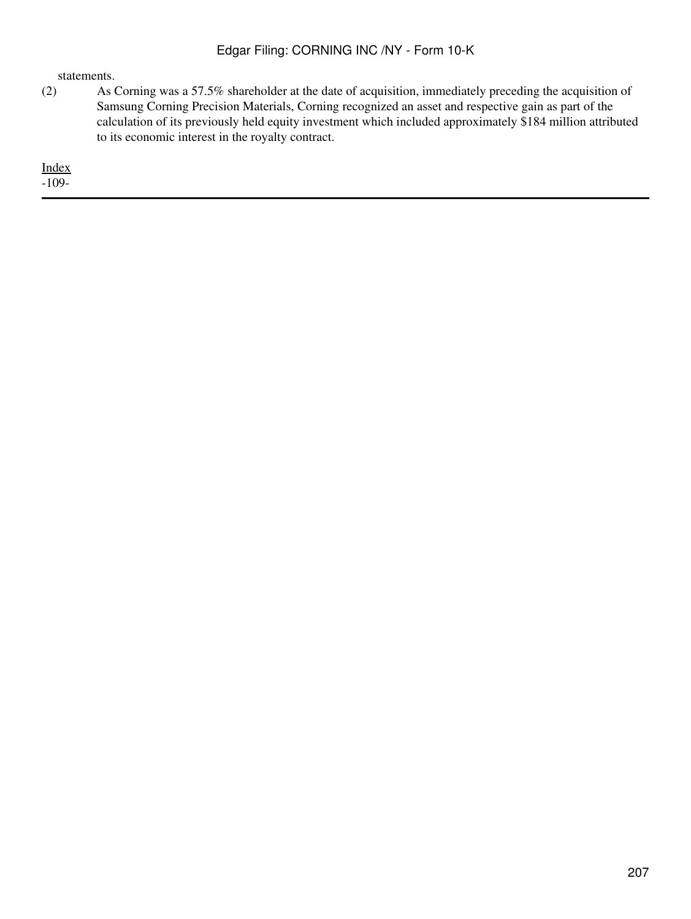statements.

(2) As Corning was a 57.5% shareholder at the date of acquisition, immediately preceding the acquisition of Samsung Corning Precision Materials, Corning recognized an asset and respective gain as part of the calculation of its previously held equity investment which included approximately \$184 million attributed to its economic interest in the royalty contract.

[Index](#page-155-0) -109-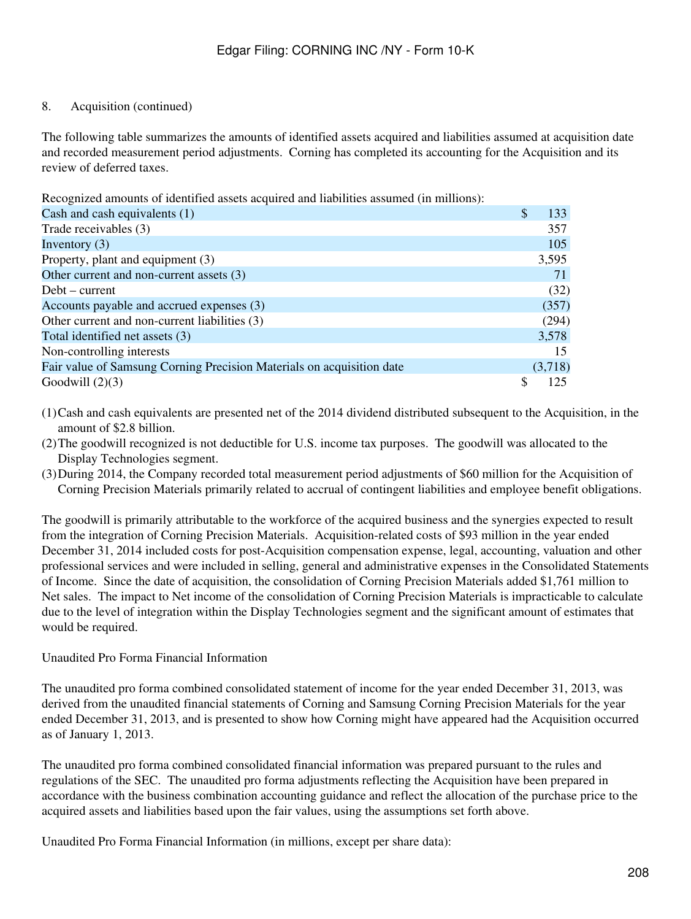# 8. Acquisition (continued)

The following table summarizes the amounts of identified assets acquired and liabilities assumed at acquisition date and recorded measurement period adjustments. Corning has completed its accounting for the Acquisition and its review of deferred taxes.

Recognized amounts of identified assets acquired and liabilities assumed (in millions):

| Cash and cash equivalents (1)                                         | <sup>\$</sup> | 133     |
|-----------------------------------------------------------------------|---------------|---------|
| Trade receivables (3)                                                 |               | 357     |
| Inventory $(3)$                                                       |               | 105     |
| Property, plant and equipment (3)                                     |               | 3,595   |
| Other current and non-current assets (3)                              |               | 71      |
| $Debt$ – current                                                      |               | (32)    |
| Accounts payable and accrued expenses (3)                             |               | (357)   |
| Other current and non-current liabilities (3)                         |               | (294)   |
| Total identified net assets (3)                                       |               | 3,578   |
| Non-controlling interests                                             |               | 15      |
| Fair value of Samsung Corning Precision Materials on acquisition date |               | (3,718) |
| Goodwill $(2)(3)$                                                     |               | 125.    |

- (1)Cash and cash equivalents are presented net of the 2014 dividend distributed subsequent to the Acquisition, in the amount of \$2.8 billion.
- (2)The goodwill recognized is not deductible for U.S. income tax purposes. The goodwill was allocated to the Display Technologies segment.
- (3)During 2014, the Company recorded total measurement period adjustments of \$60 million for the Acquisition of Corning Precision Materials primarily related to accrual of contingent liabilities and employee benefit obligations.

The goodwill is primarily attributable to the workforce of the acquired business and the synergies expected to result from the integration of Corning Precision Materials. Acquisition-related costs of \$93 million in the year ended December 31, 2014 included costs for post-Acquisition compensation expense, legal, accounting, valuation and other professional services and were included in selling, general and administrative expenses in the Consolidated Statements of Income. Since the date of acquisition, the consolidation of Corning Precision Materials added \$1,761 million to Net sales. The impact to Net income of the consolidation of Corning Precision Materials is impracticable to calculate due to the level of integration within the Display Technologies segment and the significant amount of estimates that would be required.

# Unaudited Pro Forma Financial Information

The unaudited pro forma combined consolidated statement of income for the year ended December 31, 2013, was derived from the unaudited financial statements of Corning and Samsung Corning Precision Materials for the year ended December 31, 2013, and is presented to show how Corning might have appeared had the Acquisition occurred as of January 1, 2013.

The unaudited pro forma combined consolidated financial information was prepared pursuant to the rules and regulations of the SEC. The unaudited pro forma adjustments reflecting the Acquisition have been prepared in accordance with the business combination accounting guidance and reflect the allocation of the purchase price to the acquired assets and liabilities based upon the fair values, using the assumptions set forth above.

Unaudited Pro Forma Financial Information (in millions, except per share data):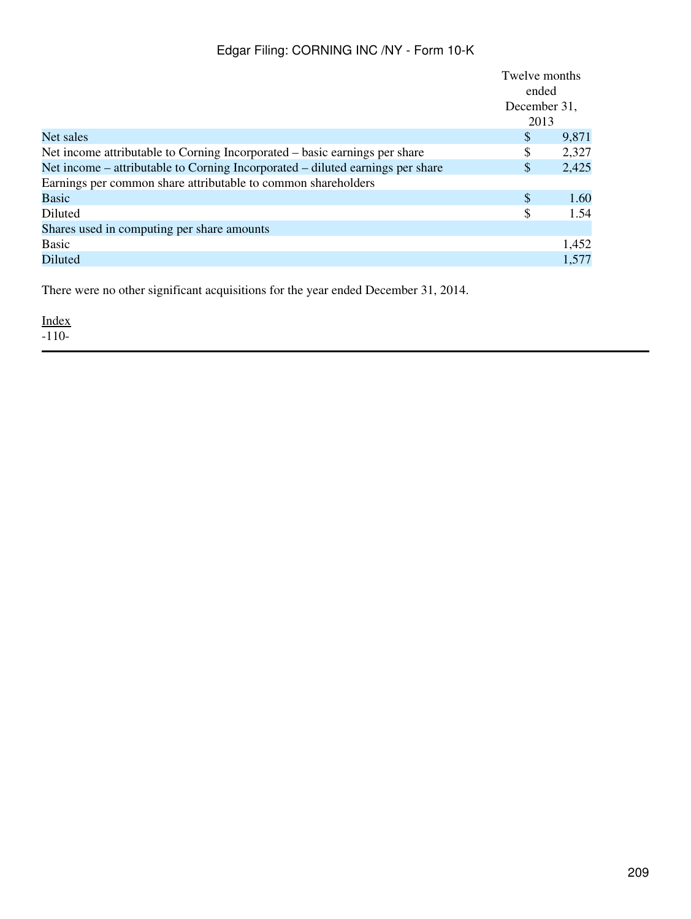|                                                                                | Twelve months |       |
|--------------------------------------------------------------------------------|---------------|-------|
|                                                                                | ended         |       |
|                                                                                | December 31,  |       |
|                                                                                | 2013          |       |
| Net sales                                                                      | \$            | 9,871 |
| Net income attributable to Corning Incorporated – basic earnings per share     | \$            | 2,327 |
| Net income – attributable to Corning Incorporated – diluted earnings per share | \$            | 2,425 |
| Earnings per common share attributable to common shareholders                  |               |       |
| Basic                                                                          | \$            | 1.60  |
| Diluted                                                                        | \$            | 1.54  |
| Shares used in computing per share amounts                                     |               |       |
| <b>Basic</b>                                                                   |               | 1,452 |
| Diluted                                                                        |               | 1,577 |

There were no other significant acquisitions for the year ended December 31, 2014.

[Index](#page-155-0)  $-110-$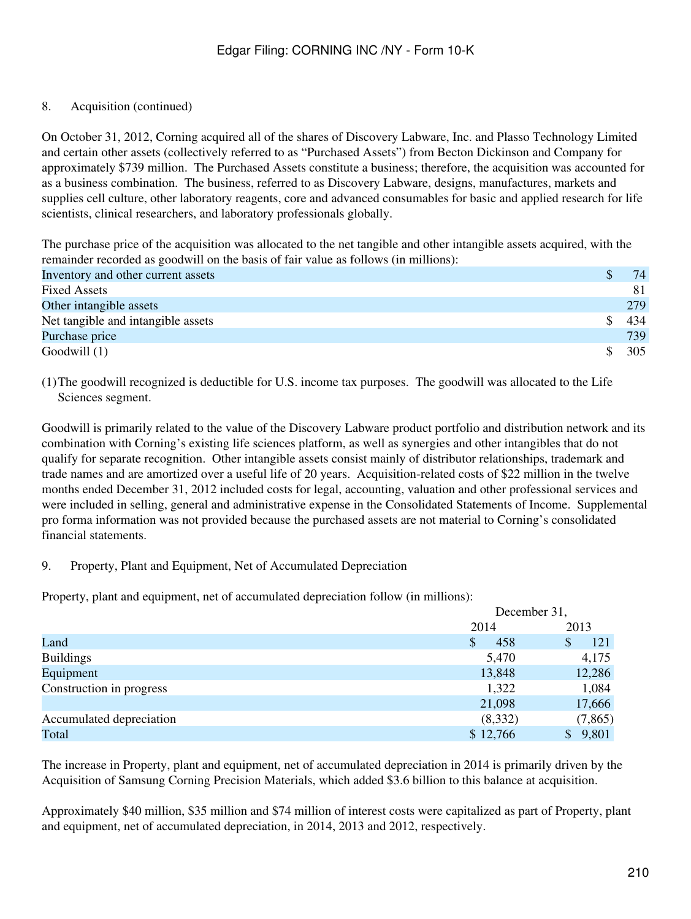# 8. Acquisition (continued)

On October 31, 2012, Corning acquired all of the shares of Discovery Labware, Inc. and Plasso Technology Limited and certain other assets (collectively referred to as "Purchased Assets") from Becton Dickinson and Company for approximately \$739 million. The Purchased Assets constitute a business; therefore, the acquisition was accounted for as a business combination. The business, referred to as Discovery Labware, designs, manufactures, markets and supplies cell culture, other laboratory reagents, core and advanced consumables for basic and applied research for life scientists, clinical researchers, and laboratory professionals globally.

The purchase price of the acquisition was allocated to the net tangible and other intangible assets acquired, with the remainder recorded as goodwill on the basis of fair value as follows (in millions):

| Inventory and other current assets | 74  |
|------------------------------------|-----|
| <b>Fixed Assets</b>                | 81  |
| Other intangible assets            | 279 |
| Net tangible and intangible assets | 434 |
| Purchase price                     | 739 |
| Goodwill (1)                       | 305 |
|                                    |     |

(1)The goodwill recognized is deductible for U.S. income tax purposes. The goodwill was allocated to the Life Sciences segment.

Goodwill is primarily related to the value of the Discovery Labware product portfolio and distribution network and its combination with Corning's existing life sciences platform, as well as synergies and other intangibles that do not qualify for separate recognition. Other intangible assets consist mainly of distributor relationships, trademark and trade names and are amortized over a useful life of 20 years. Acquisition-related costs of \$22 million in the twelve months ended December 31, 2012 included costs for legal, accounting, valuation and other professional services and were included in selling, general and administrative expense in the Consolidated Statements of Income. Supplemental pro forma information was not provided because the purchased assets are not material to Corning's consolidated financial statements.

#### 9. Property, Plant and Equipment, Net of Accumulated Depreciation

Property, plant and equipment, net of accumulated depreciation follow (in millions):

|                          | December 31, |                       |
|--------------------------|--------------|-----------------------|
|                          | 2014         | 2013                  |
| Land                     | \$<br>458    | 121<br>S              |
| <b>Buildings</b>         | 5,470        | 4,175                 |
| Equipment                | 13,848       | 12,286                |
| Construction in progress | 1,322        | 1,084                 |
|                          | 21,098       | 17,666                |
| Accumulated depreciation | (8,332)      | (7,865)               |
| Total                    | \$12,766     | 9,801<br>$\mathbb{S}$ |

The increase in Property, plant and equipment, net of accumulated depreciation in 2014 is primarily driven by the Acquisition of Samsung Corning Precision Materials, which added \$3.6 billion to this balance at acquisition.

Approximately \$40 million, \$35 million and \$74 million of interest costs were capitalized as part of Property, plant and equipment, net of accumulated depreciation, in 2014, 2013 and 2012, respectively.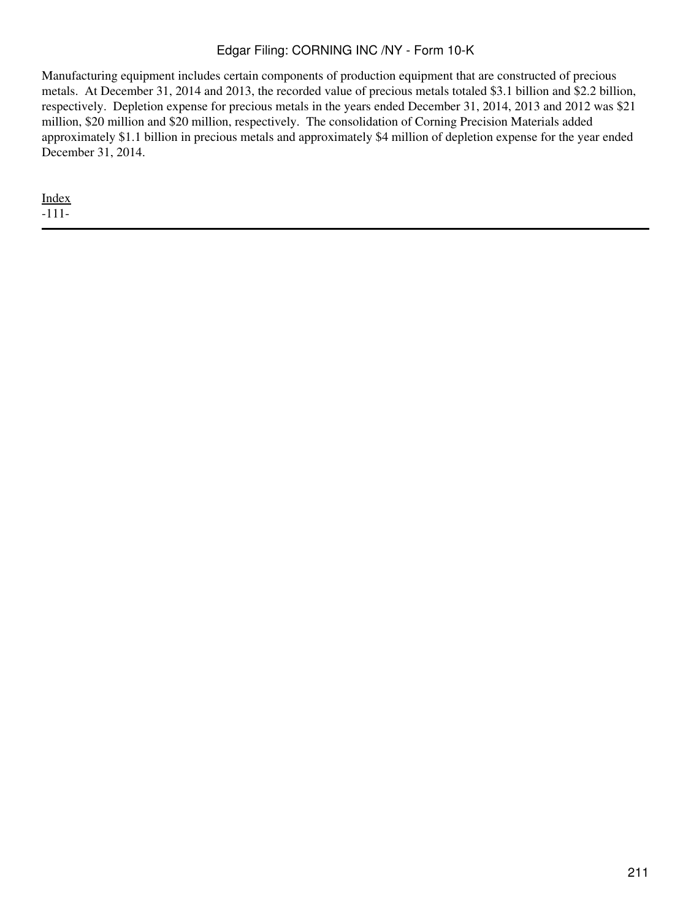Manufacturing equipment includes certain components of production equipment that are constructed of precious metals. At December 31, 2014 and 2013, the recorded value of precious metals totaled \$3.1 billion and \$2.2 billion, respectively. Depletion expense for precious metals in the years ended December 31, 2014, 2013 and 2012 was \$21 million, \$20 million and \$20 million, respectively. The consolidation of Corning Precision Materials added approximately \$1.1 billion in precious metals and approximately \$4 million of depletion expense for the year ended December 31, 2014.

[Index](#page-155-0) -111-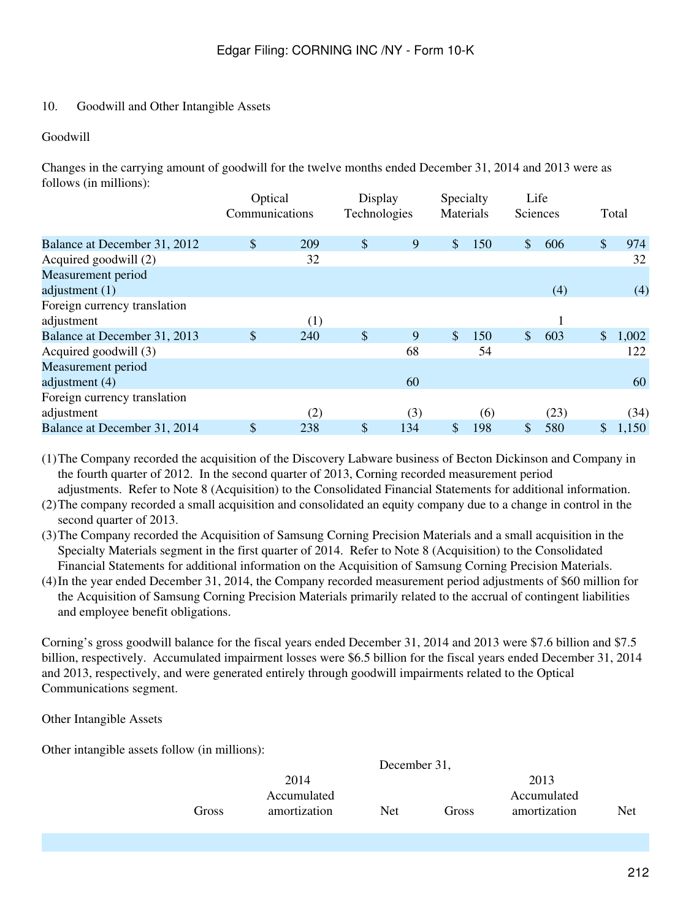### 10. Goodwill and Other Intangible Assets

#### Goodwill

Changes in the carrying amount of goodwill for the twelve months ended December 31, 2014 and 2013 were as follows (in millions):

|                                            | Optical<br>Communications |     | Display<br>Technologies |     | Specialty<br>Materials |     | Life<br>Sciences          |      |               | Total |
|--------------------------------------------|---------------------------|-----|-------------------------|-----|------------------------|-----|---------------------------|------|---------------|-------|
| Balance at December 31, 2012               | \$                        | 209 | \$                      | 9   | $\mathcal{S}$          | 150 | $\boldsymbol{\mathsf{S}}$ | 606  | $\mathcal{S}$ | 974   |
| Acquired goodwill (2)                      |                           | 32  |                         |     |                        |     |                           |      |               | 32    |
| Measurement period<br>adjustment $(1)$     |                           |     |                         |     |                        |     |                           | (4)  |               | (4)   |
| Foreign currency translation<br>adjustment |                           | (1) |                         |     |                        |     |                           |      |               |       |
| Balance at December 31, 2013               | \$                        | 240 | $\sqrt[6]{\frac{1}{2}}$ | 9   | $\mathbb{S}$           | 150 | $\mathcal{S}$             | 603  | $\mathbb{S}$  | 1,002 |
| Acquired goodwill (3)                      |                           |     |                         | 68  |                        | 54  |                           |      |               | 122   |
| Measurement period<br>adjustment (4)       |                           |     |                         | 60  |                        |     |                           |      |               | 60    |
| Foreign currency translation<br>adjustment |                           | (2) |                         | (3) |                        | (6) |                           | (23) |               | (34)  |
| Balance at December 31, 2014               | \$                        | 238 | \$                      | 134 | \$                     | 198 | \$                        | 580  |               | 1,150 |

(1)The Company recorded the acquisition of the Discovery Labware business of Becton Dickinson and Company in the fourth quarter of 2012. In the second quarter of 2013, Corning recorded measurement period adjustments. Refer to Note 8 (Acquisition) to the Consolidated Financial Statements for additional information.

(2)The company recorded a small acquisition and consolidated an equity company due to a change in control in the second quarter of 2013.

(3)The Company recorded the Acquisition of Samsung Corning Precision Materials and a small acquisition in the Specialty Materials segment in the first quarter of 2014. Refer to Note 8 (Acquisition) to the Consolidated Financial Statements for additional information on the Acquisition of Samsung Corning Precision Materials.

(4)In the year ended December 31, 2014, the Company recorded measurement period adjustments of \$60 million for the Acquisition of Samsung Corning Precision Materials primarily related to the accrual of contingent liabilities and employee benefit obligations.

Corning's gross goodwill balance for the fiscal years ended December 31, 2014 and 2013 were \$7.6 billion and \$7.5 billion, respectively. Accumulated impairment losses were \$6.5 billion for the fiscal years ended December 31, 2014 and 2013, respectively, and were generated entirely through goodwill impairments related to the Optical Communications segment.

Other Intangible Assets

Other intangible assets follow (in millions):

|       |              | December 31, |       |              |     |
|-------|--------------|--------------|-------|--------------|-----|
|       | 2014         |              |       | 2013         |     |
|       | Accumulated  |              |       | Accumulated  |     |
| Gross | amortization | Net          | Gross | amortization | Net |
|       |              |              |       |              |     |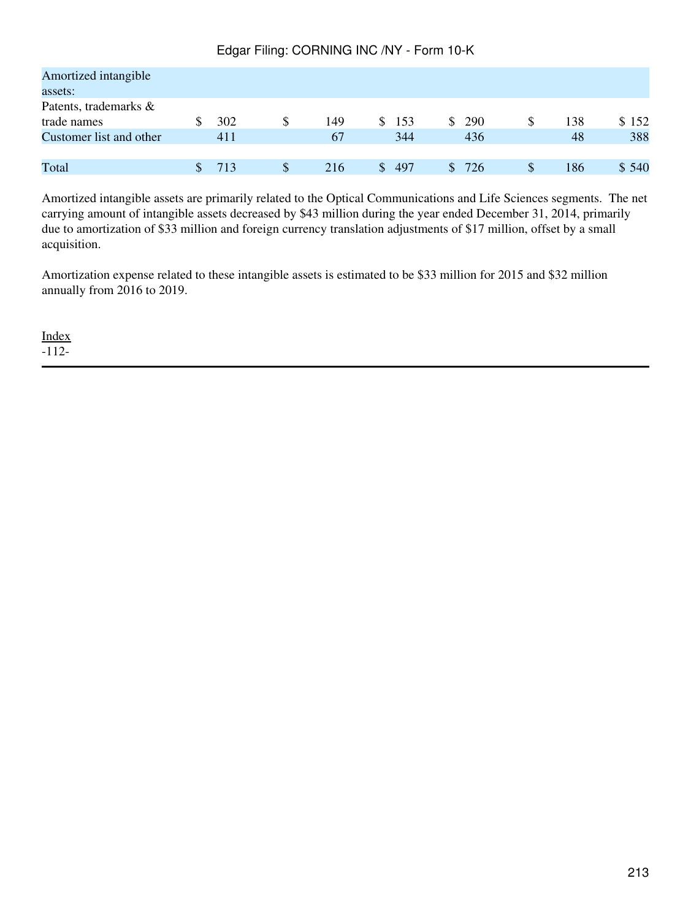| Amortized intangible    |     |   |     |     |            |   |     |       |
|-------------------------|-----|---|-----|-----|------------|---|-----|-------|
| assets:                 |     |   |     |     |            |   |     |       |
| Patents, trademarks &   |     |   |     |     |            |   |     |       |
| trade names             | 302 | S | 149 | 153 | 290<br>SS. | S | 138 | \$152 |
| Customer list and other | 411 |   | 67  | 344 | 436        |   | 48  | 388   |
|                         |     |   |     |     |            |   |     |       |
| Total                   | 713 | S | 216 | 497 | 726        |   | 186 | \$540 |

Amortized intangible assets are primarily related to the Optical Communications and Life Sciences segments. The net carrying amount of intangible assets decreased by \$43 million during the year ended December 31, 2014, primarily due to amortization of \$33 million and foreign currency translation adjustments of \$17 million, offset by a small acquisition.

Amortization expense related to these intangible assets is estimated to be \$33 million for 2015 and \$32 million annually from 2016 to 2019.

[Index](#page-155-0)

-112-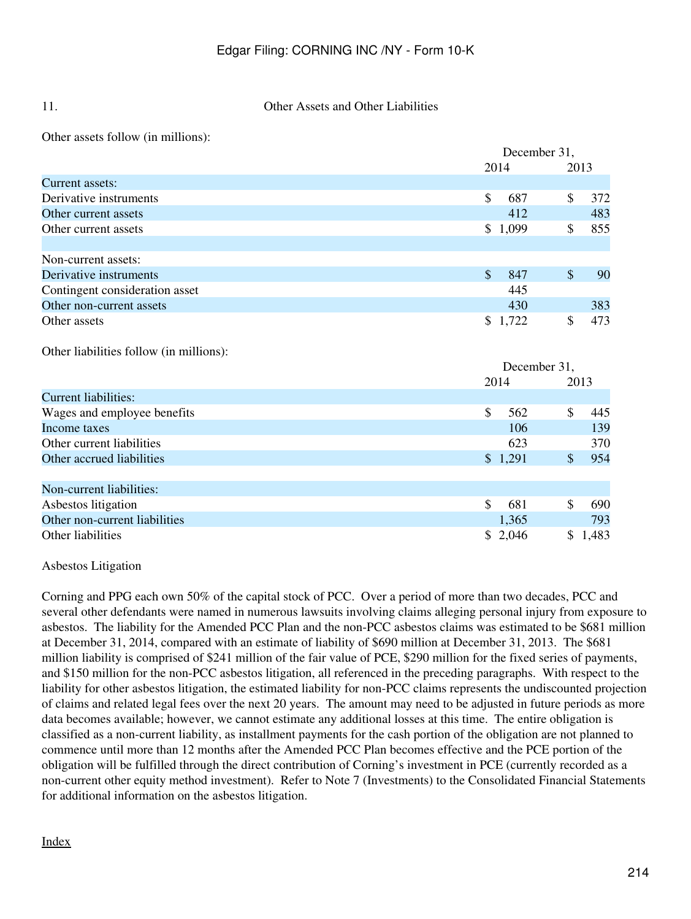#### 11. Other Assets and Other Liabilities

Other assets follow (in millions):

|                                         |               | December 31, |               |         |
|-----------------------------------------|---------------|--------------|---------------|---------|
|                                         |               | 2014         |               | 2013    |
| Current assets:                         |               |              |               |         |
| Derivative instruments                  | $\mathcal{S}$ | 687          | \$            | 372     |
| Other current assets                    |               | 412          |               | 483     |
| Other current assets                    |               | \$1,099      | \$            | 855     |
|                                         |               |              |               |         |
| Non-current assets:                     |               |              |               |         |
| Derivative instruments                  | $\mathcal{S}$ | 847          | $\$\$         | 90      |
| Contingent consideration asset          |               | 445          |               |         |
| Other non-current assets                |               | 430          |               | 383     |
| Other assets                            |               | \$1,722      | \$            | 473     |
| Other liabilities follow (in millions): |               |              |               |         |
|                                         |               | December 31, |               |         |
|                                         | 2014          |              |               | 2013    |
| <b>Current liabilities:</b>             |               |              |               |         |
| Wages and employee benefits             | \$            | 562          | \$            | 445     |
| Income taxes                            |               | 106          |               | 139     |
| Other current liabilities               |               | 623          |               | 370     |
| Other accrued liabilities               |               | \$1,291      | $\mathcal{S}$ | 954     |
|                                         |               |              |               |         |
| Non-current liabilities:                |               |              |               |         |
| Asbestos litigation                     | $\mathcal{S}$ | 681          | \$            | 690     |
| Other non-current liabilities           |               | 1,365        |               | 793     |
| Other liabilities                       |               | \$2,046      |               | \$1,483 |

Asbestos Litigation

Corning and PPG each own 50% of the capital stock of PCC. Over a period of more than two decades, PCC and several other defendants were named in numerous lawsuits involving claims alleging personal injury from exposure to asbestos. The liability for the Amended PCC Plan and the non-PCC asbestos claims was estimated to be \$681 million at December 31, 2014, compared with an estimate of liability of \$690 million at December 31, 2013. The \$681 million liability is comprised of \$241 million of the fair value of PCE, \$290 million for the fixed series of payments, and \$150 million for the non-PCC asbestos litigation, all referenced in the preceding paragraphs. With respect to the liability for other asbestos litigation, the estimated liability for non-PCC claims represents the undiscounted projection of claims and related legal fees over the next 20 years. The amount may need to be adjusted in future periods as more data becomes available; however, we cannot estimate any additional losses at this time. The entire obligation is classified as a non-current liability, as installment payments for the cash portion of the obligation are not planned to commence until more than 12 months after the Amended PCC Plan becomes effective and the PCE portion of the obligation will be fulfilled through the direct contribution of Corning's investment in PCE (currently recorded as a non-current other equity method investment). Refer to Note 7 (Investments) to the Consolidated Financial Statements for additional information on the asbestos litigation.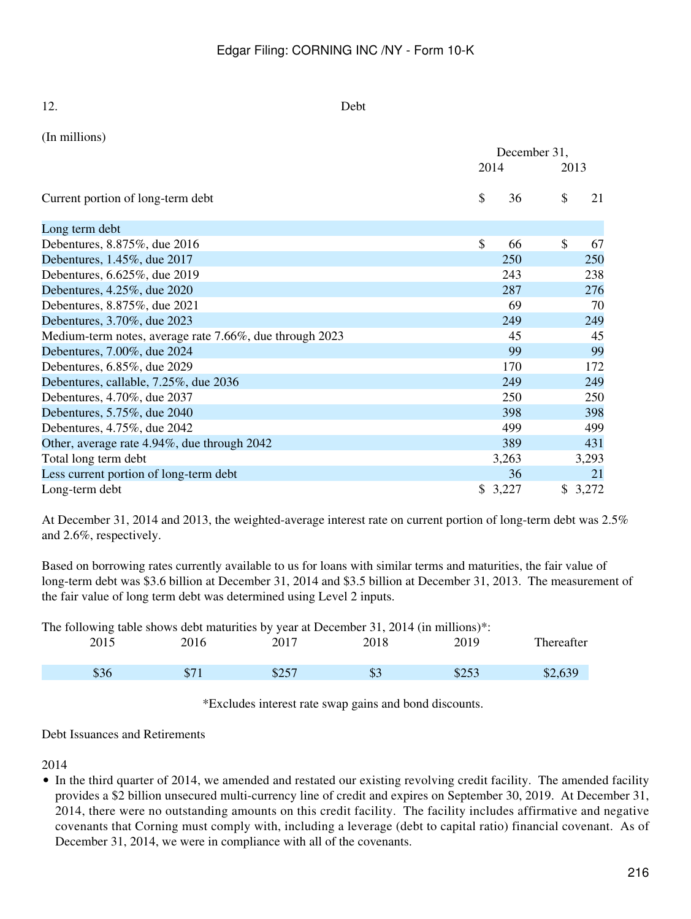| 12.                                                     | Debt |              |      |         |
|---------------------------------------------------------|------|--------------|------|---------|
| (In millions)                                           |      |              |      |         |
|                                                         |      | December 31, |      |         |
|                                                         |      | 2014         | 2013 |         |
| Current portion of long-term debt                       | \$   | 36           | \$   | 21      |
| Long term debt                                          |      |              |      |         |
| Debentures, 8.875%, due 2016                            | \$   | 66           | \$   | 67      |
| Debentures, 1.45%, due 2017                             |      | <b>250</b>   |      | 250     |
| Debentures, 6.625%, due 2019                            |      | 243          |      | 238     |
| Debentures, 4.25%, due 2020                             |      | 287          |      | 276     |
| Debentures, 8.875%, due 2021                            |      | 69           |      | 70      |
| Debentures, 3.70%, due 2023                             |      | 249          |      | 249     |
| Medium-term notes, average rate 7.66%, due through 2023 |      | 45           |      | 45      |
| Debentures, 7.00%, due 2024                             |      | 99           |      | 99      |
| Debentures, 6.85%, due 2029                             |      | 170          |      | 172     |
| Debentures, callable, 7.25%, due 2036                   |      | 249          |      | 249     |
| Debentures, 4.70%, due 2037                             |      | 250          |      | 250     |
| Debentures, 5.75%, due 2040                             |      | 398          |      | 398     |
| Debentures, 4.75%, due 2042                             |      | 499          |      | 499     |
| Other, average rate 4.94%, due through 2042             |      | 389          |      | 431     |
| Total long term debt                                    |      | 3,263        |      | 3,293   |
| Less current portion of long-term debt                  |      | 36           |      | 21      |
| Long-term debt                                          |      | \$3,227      |      | \$3,272 |

At December 31, 2014 and 2013, the weighted-average interest rate on current portion of long-term debt was 2.5% and 2.6%, respectively.

Based on borrowing rates currently available to us for loans with similar terms and maturities, the fair value of long-term debt was \$3.6 billion at December 31, 2014 and \$3.5 billion at December 31, 2013. The measurement of the fair value of long term debt was determined using Level 2 inputs.

The following table shows debt maturities by year at December 31, 2014 (in millions)\*:

| 2015 | 2016         | 2017  | 2018    | 2019  | Thereafter |
|------|--------------|-------|---------|-------|------------|
| \$36 | ድ 7<br>J / 1 | \$257 | ጦ<br>ΦJ | \$253 |            |

\*Excludes interest rate swap gains and bond discounts.

Debt Issuances and Retirements

2014

• In the third quarter of 2014, we amended and restated our existing revolving credit facility. The amended facility provides a \$2 billion unsecured multi-currency line of credit and expires on September 30, 2019. At December 31, 2014, there were no outstanding amounts on this credit facility. The facility includes affirmative and negative covenants that Corning must comply with, including a leverage (debt to capital ratio) financial covenant. As of December 31, 2014, we were in compliance with all of the covenants.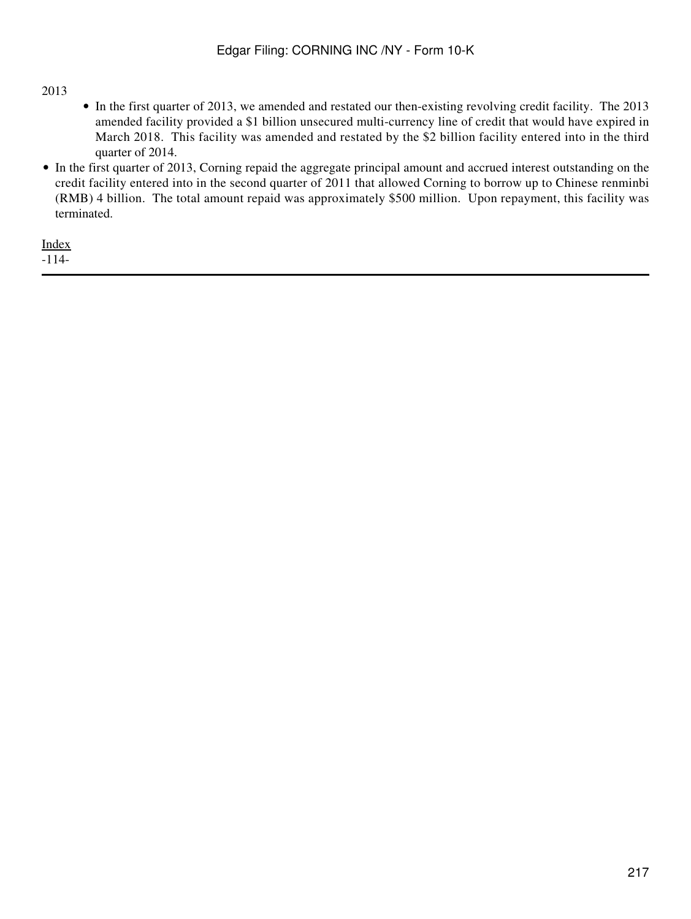### 2013

- In the first quarter of 2013, we amended and restated our then-existing revolving credit facility. The 2013 amended facility provided a \$1 billion unsecured multi-currency line of credit that would have expired in March 2018. This facility was amended and restated by the \$2 billion facility entered into in the third quarter of 2014.
- In the first quarter of 2013, Corning repaid the aggregate principal amount and accrued interest outstanding on the credit facility entered into in the second quarter of 2011 that allowed Corning to borrow up to Chinese renminbi (RMB) 4 billion. The total amount repaid was approximately \$500 million. Upon repayment, this facility was terminated.

[Index](#page-155-0) -114-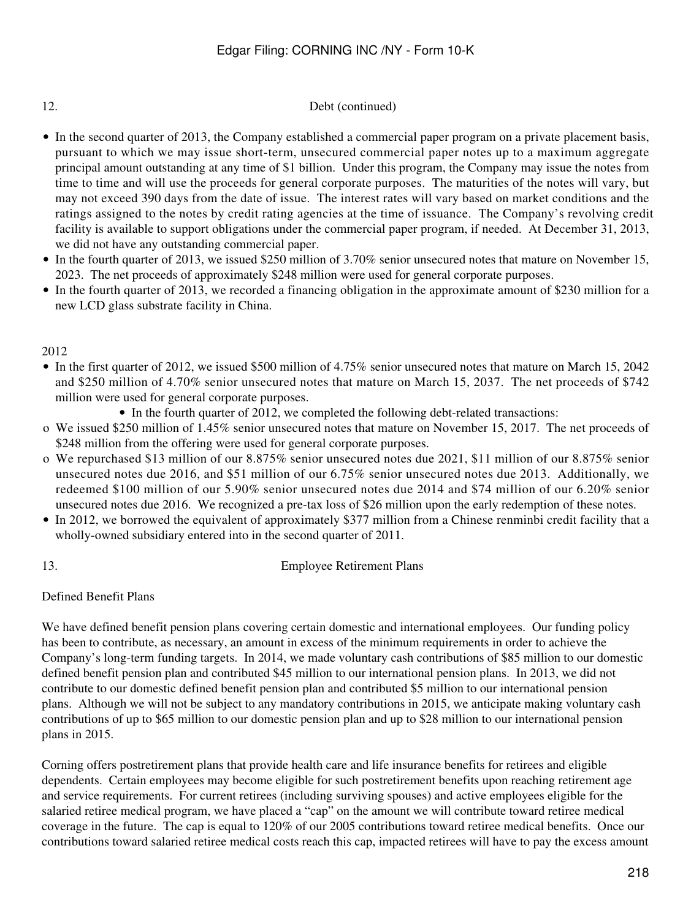### 12. Debt (continued)

- In the second quarter of 2013, the Company established a commercial paper program on a private placement basis, pursuant to which we may issue short-term, unsecured commercial paper notes up to a maximum aggregate principal amount outstanding at any time of \$1 billion. Under this program, the Company may issue the notes from time to time and will use the proceeds for general corporate purposes. The maturities of the notes will vary, but may not exceed 390 days from the date of issue. The interest rates will vary based on market conditions and the ratings assigned to the notes by credit rating agencies at the time of issuance. The Company's revolving credit facility is available to support obligations under the commercial paper program, if needed. At December 31, 2013, we did not have any outstanding commercial paper.
- In the fourth quarter of 2013, we issued \$250 million of 3.70% senior unsecured notes that mature on November 15, 2023. The net proceeds of approximately \$248 million were used for general corporate purposes.
- In the fourth quarter of 2013, we recorded a financing obligation in the approximate amount of \$230 million for a new LCD glass substrate facility in China.

2012

- In the first quarter of 2012, we issued \$500 million of 4.75% senior unsecured notes that mature on March 15, 2042 and \$250 million of 4.70% senior unsecured notes that mature on March 15, 2037. The net proceeds of \$742 million were used for general corporate purposes.
	- In the fourth quarter of 2012, we completed the following debt-related transactions:
- o We issued \$250 million of 1.45% senior unsecured notes that mature on November 15, 2017. The net proceeds of \$248 million from the offering were used for general corporate purposes.
- o We repurchased \$13 million of our 8.875% senior unsecured notes due 2021, \$11 million of our 8.875% senior unsecured notes due 2016, and \$51 million of our 6.75% senior unsecured notes due 2013. Additionally, we redeemed \$100 million of our 5.90% senior unsecured notes due 2014 and \$74 million of our 6.20% senior unsecured notes due 2016. We recognized a pre-tax loss of \$26 million upon the early redemption of these notes.
- In 2012, we borrowed the equivalent of approximately \$377 million from a Chinese renminbi credit facility that a wholly-owned subsidiary entered into in the second quarter of 2011.

13. Employee Retirement Plans

Defined Benefit Plans

We have defined benefit pension plans covering certain domestic and international employees. Our funding policy has been to contribute, as necessary, an amount in excess of the minimum requirements in order to achieve the Company's long-term funding targets. In 2014, we made voluntary cash contributions of \$85 million to our domestic defined benefit pension plan and contributed \$45 million to our international pension plans. In 2013, we did not contribute to our domestic defined benefit pension plan and contributed \$5 million to our international pension plans. Although we will not be subject to any mandatory contributions in 2015, we anticipate making voluntary cash contributions of up to \$65 million to our domestic pension plan and up to \$28 million to our international pension plans in 2015.

Corning offers postretirement plans that provide health care and life insurance benefits for retirees and eligible dependents. Certain employees may become eligible for such postretirement benefits upon reaching retirement age and service requirements. For current retirees (including surviving spouses) and active employees eligible for the salaried retiree medical program, we have placed a "cap" on the amount we will contribute toward retiree medical coverage in the future. The cap is equal to 120% of our 2005 contributions toward retiree medical benefits. Once our contributions toward salaried retiree medical costs reach this cap, impacted retirees will have to pay the excess amount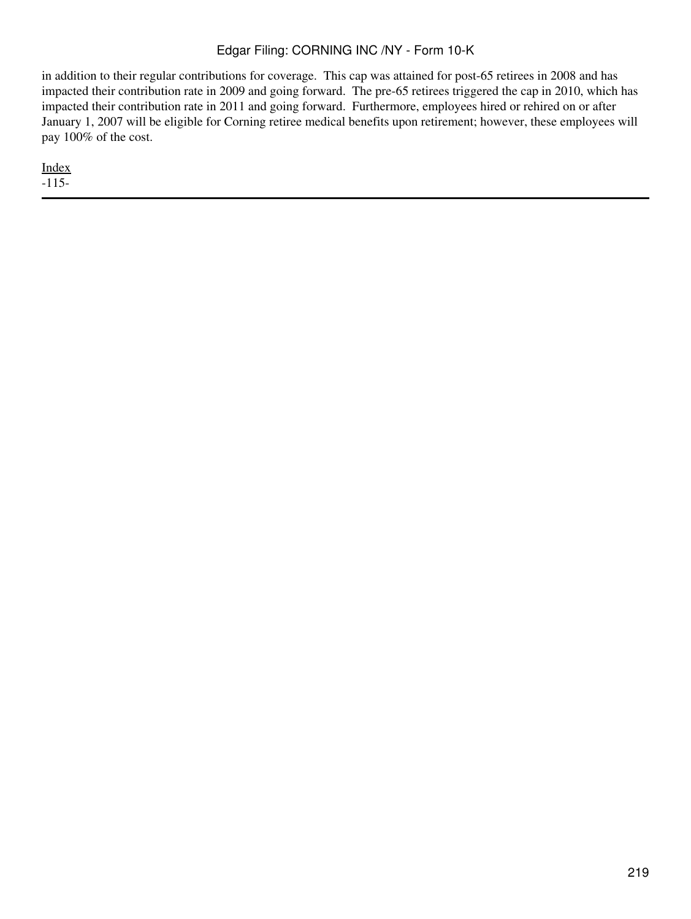in addition to their regular contributions for coverage. This cap was attained for post-65 retirees in 2008 and has impacted their contribution rate in 2009 and going forward. The pre-65 retirees triggered the cap in 2010, which has impacted their contribution rate in 2011 and going forward. Furthermore, employees hired or rehired on or after January 1, 2007 will be eligible for Corning retiree medical benefits upon retirement; however, these employees will pay 100% of the cost.

[Index](#page-155-0) -115-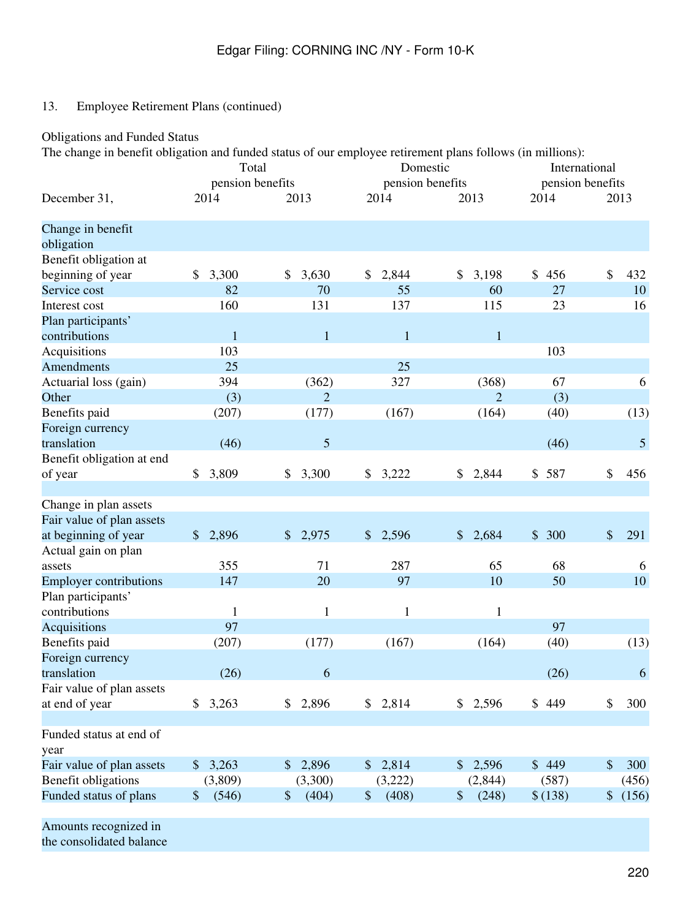# Obligations and Funded Status

The change in benefit obligation and funded status of our employee retirement plans follows (in millions):

|                               | Total                  |                        | Domestic               |                | International    |             |  |
|-------------------------------|------------------------|------------------------|------------------------|----------------|------------------|-------------|--|
|                               | pension benefits       |                        | pension benefits       |                | pension benefits |             |  |
| December 31,                  | 2014                   | 2013                   | 2014                   | 2013           | 2014             | 2013        |  |
| Change in benefit             |                        |                        |                        |                |                  |             |  |
| obligation                    |                        |                        |                        |                |                  |             |  |
| Benefit obligation at         |                        |                        |                        |                |                  |             |  |
| beginning of year             | 3,300<br>\$            | \$<br>3,630            | 2,844<br>\$            | \$<br>3,198    | \$<br>456        | \$<br>432   |  |
| Service cost                  | 82                     | 70                     | 55                     | 60             | 27               | 10          |  |
| Interest cost                 | 160                    | 131                    | 137                    | 115            | 23               | 16          |  |
| Plan participants'            |                        |                        |                        |                |                  |             |  |
| contributions                 | $\mathbf{1}$           | $\mathbf{1}$           | $\mathbf{1}$           | $\mathbf{1}$   |                  |             |  |
| Acquisitions                  | 103                    |                        |                        |                | 103              |             |  |
| <b>Amendments</b>             | 25                     |                        | 25                     |                |                  |             |  |
| Actuarial loss (gain)         | 394                    | (362)                  | 327                    | (368)          | 67               | 6           |  |
| Other                         | (3)                    | $\overline{2}$         |                        | $\overline{2}$ | (3)              |             |  |
| Benefits paid                 | (207)                  | (177)                  | (167)                  | (164)          | (40)             | (13)        |  |
| Foreign currency              |                        |                        |                        |                |                  |             |  |
| translation                   | (46)                   | 5                      |                        |                | (46)             | 5           |  |
| Benefit obligation at end     |                        |                        |                        |                |                  |             |  |
| of year                       | \$<br>3,809            | \$3,300                | \$3,222                | 2,844<br>\$    | \$587            | \$<br>456   |  |
| Change in plan assets         |                        |                        |                        |                |                  |             |  |
| Fair value of plan assets     |                        |                        |                        |                |                  |             |  |
| at beginning of year          | 2,896<br>$\frac{1}{2}$ | 2,975<br>$\frac{1}{2}$ | 2,596<br>$\frac{1}{2}$ | \$<br>2,684    | \$300            | \$<br>291   |  |
| Actual gain on plan           |                        |                        |                        |                |                  |             |  |
| assets                        | 355                    | 71                     | 287                    | 65             | 68               | 6           |  |
| <b>Employer contributions</b> | 147                    | 20                     | 97                     | 10             | 50               | 10          |  |
| Plan participants'            |                        |                        |                        |                |                  |             |  |
| contributions                 | 1                      | 1                      | $\mathbf{1}$           | $\mathbf{1}$   |                  |             |  |
| Acquisitions                  | 97                     |                        |                        |                | 97               |             |  |
| Benefits paid                 | (207)                  | (177)                  | (167)                  | (164)          | (40)             | (13)        |  |
| Foreign currency              |                        |                        |                        |                |                  |             |  |
| translation                   | (26)                   | 6                      |                        |                | (26)             | 6           |  |
| Fair value of plan assets     |                        |                        |                        |                |                  |             |  |
| at end of year                | \$3,263                | \$2,896                | \$2,814                | \$2,596        | \$449            | \$<br>300   |  |
| Funded status at end of       |                        |                        |                        |                |                  |             |  |
| year                          |                        |                        |                        |                |                  |             |  |
| Fair value of plan assets     | \$3,263                | \$2,896                | \$2,814                | \$2,596        | \$449            | \$<br>300   |  |
| Benefit obligations           | (3,809)                | (3,300)                | (3,222)                | (2,844)        | (587)            | (456)       |  |
| Funded status of plans        | (546)<br>\$            | (404)<br>\$            | (408)<br>\$            | (248)<br>\$    | \$(138)          | \$<br>(156) |  |
|                               |                        |                        |                        |                |                  |             |  |

Amounts recognized in

the consolidated balance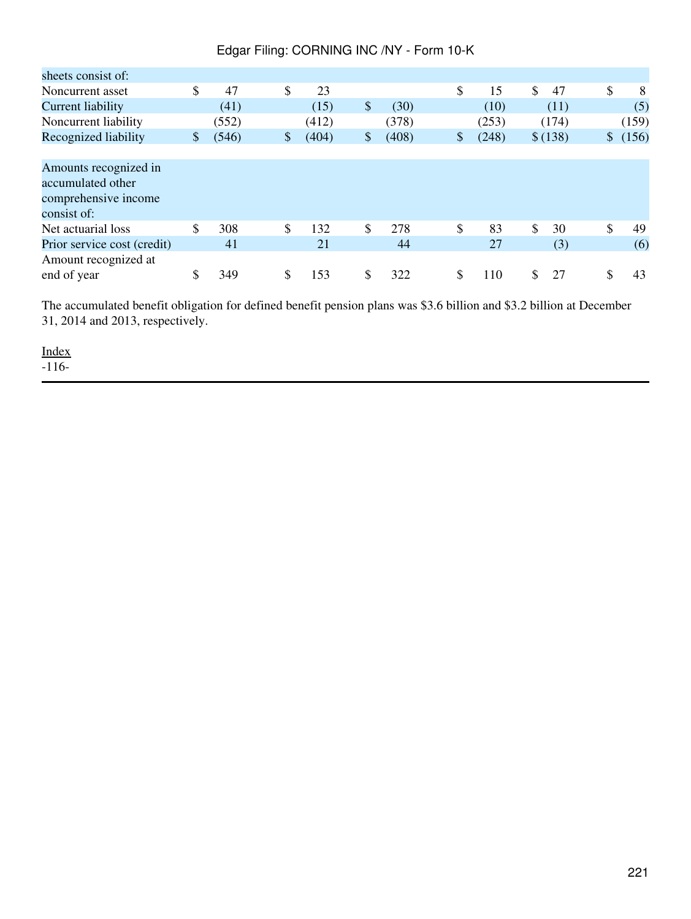| sheets consist of:          |    |       |    |       |    |       |    |       |          |             |
|-----------------------------|----|-------|----|-------|----|-------|----|-------|----------|-------------|
| Noncurrent asset            | \$ | 47    | \$ | 23    |    |       | \$ | 15    | \$<br>47 | \$<br>8     |
| Current liability           |    | (41)  |    | (15)  | \$ | (30)  |    | (10)  | (11)     | (5)         |
| Noncurrent liability        |    | (552) |    | (412) |    | (378) |    | (253) | (174)    | (159)       |
| Recognized liability        | \$ | (546) | \$ | (404) | \$ | (408) | \$ | (248) | \$(138)  | \$<br>(156) |
|                             |    |       |    |       |    |       |    |       |          |             |
| Amounts recognized in       |    |       |    |       |    |       |    |       |          |             |
| accumulated other           |    |       |    |       |    |       |    |       |          |             |
| comprehensive income        |    |       |    |       |    |       |    |       |          |             |
| consist of:                 |    |       |    |       |    |       |    |       |          |             |
| Net actuarial loss          | \$ | 308   | \$ | 132   | \$ | 278   | \$ | 83    | \$<br>30 | \$<br>49    |
| Prior service cost (credit) |    | 41    |    | 21    |    | 44    |    | 27    | (3)      | (6)         |
| Amount recognized at        |    |       |    |       |    |       |    |       |          |             |
| end of year                 | S  | 349   | S  | 153   | S  | 322   | S  | 110   | 27       | \$<br>43    |

The accumulated benefit obligation for defined benefit pension plans was \$3.6 billion and \$3.2 billion at December 31, 2014 and 2013, respectively.

[Index](#page-155-0)  $-116-$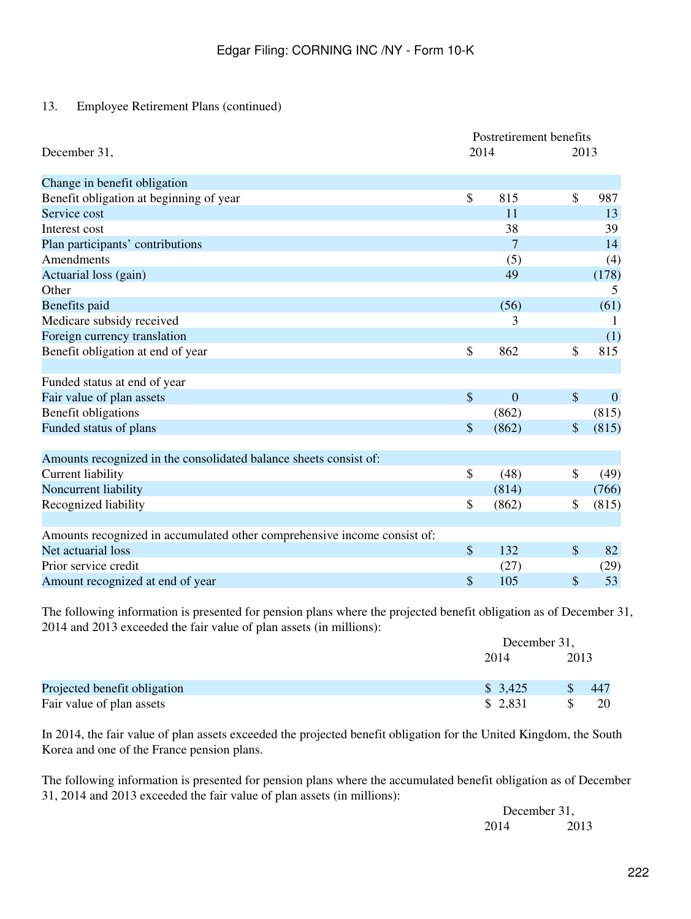|                                                                          | Postretirement benefits   |                |               |              |  |
|--------------------------------------------------------------------------|---------------------------|----------------|---------------|--------------|--|
| December 31,                                                             | 2014                      |                | 2013          |              |  |
| Change in benefit obligation                                             |                           |                |               |              |  |
| Benefit obligation at beginning of year                                  | \$                        | 815            | $\mathcal{S}$ | 987          |  |
| Service cost                                                             |                           | 11             |               | 13           |  |
| Interest cost                                                            |                           | 38             |               | 39           |  |
| Plan participants' contributions                                         |                           | 7              |               | 14           |  |
| Amendments                                                               |                           | (5)            |               | (4)          |  |
| Actuarial loss (gain)                                                    |                           | 49             |               | (178)        |  |
| Other                                                                    |                           |                |               | 5            |  |
| Benefits paid                                                            |                           | (56)           |               | (61)         |  |
| Medicare subsidy received                                                |                           | 3              |               |              |  |
| Foreign currency translation                                             |                           |                |               | (1)          |  |
| Benefit obligation at end of year                                        | \$                        | 862            | \$            | 815          |  |
|                                                                          |                           |                |               |              |  |
| Funded status at end of year                                             |                           |                |               |              |  |
| Fair value of plan assets                                                | $\mathcal{S}$             | $\overline{0}$ | $\mathcal{S}$ | $\mathbf{0}$ |  |
| Benefit obligations                                                      |                           | (862)          |               | (815)        |  |
| Funded status of plans                                                   | $\boldsymbol{\mathsf{S}}$ | (862)          | $\mathcal{S}$ | (815)        |  |
|                                                                          |                           |                |               |              |  |
| Amounts recognized in the consolidated balance sheets consist of:        |                           |                |               |              |  |
| Current liability                                                        | \$                        | (48)           | \$            | (49)         |  |
| Noncurrent liability                                                     |                           | (814)          |               | (766)        |  |
| Recognized liability                                                     | \$                        | (862)          | \$            | (815)        |  |
|                                                                          |                           |                |               |              |  |
| Amounts recognized in accumulated other comprehensive income consist of: |                           |                |               |              |  |
| Net actuarial loss                                                       | $\boldsymbol{\mathsf{S}}$ | 132            | $\mathcal{S}$ | 82           |  |
| Prior service credit                                                     |                           | (27)           |               | (29)         |  |
| Amount recognized at end of year                                         | \$                        | 105            | \$            | 53           |  |

The following information is presented for pension plans where the projected benefit obligation as of December 31, 2014 and 2013 exceeded the fair value of plan assets (in millions):

|                              | December 31, |      |     |
|------------------------------|--------------|------|-----|
|                              | 2014         | 2013 |     |
| Projected benefit obligation | \$3,425      |      | 447 |
| Fair value of plan assets    | \$2,831      |      | 20  |

In 2014, the fair value of plan assets exceeded the projected benefit obligation for the United Kingdom, the South Korea and one of the France pension plans.

The following information is presented for pension plans where the accumulated benefit obligation as of December 31, 2014 and 2013 exceeded the fair value of plan assets (in millions):

> December 31, 2014 2013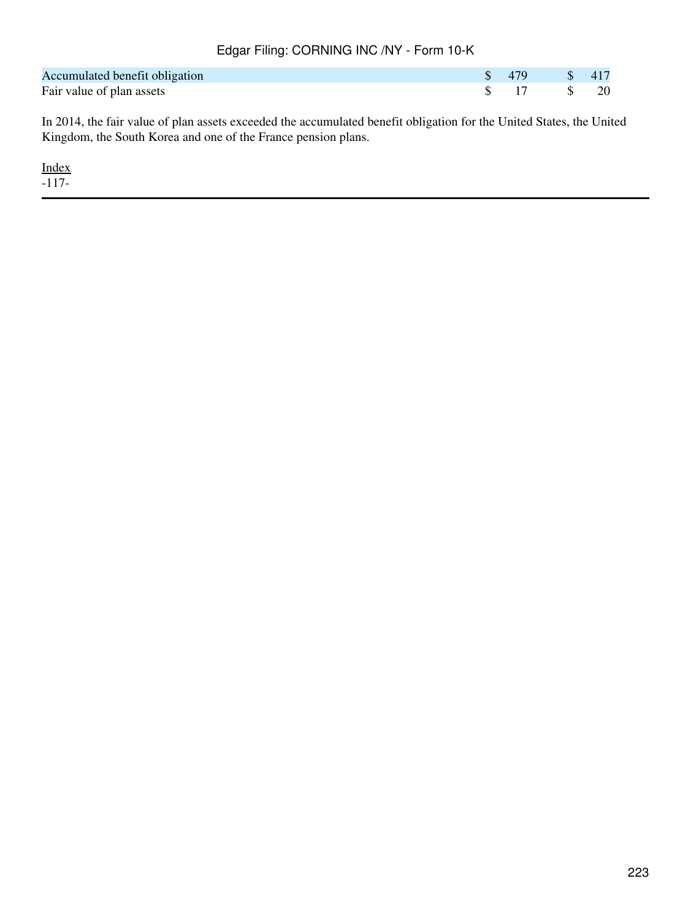| Accumulated benefit obligation |  | $\frac{1}{2}$ \$ 417 |  |
|--------------------------------|--|----------------------|--|
| Fair value of plan assets      |  |                      |  |

In 2014, the fair value of plan assets exceeded the accumulated benefit obligation for the United States, the United Kingdom, the South Korea and one of the France pension plans.

[Index](#page-155-0)  $-117-$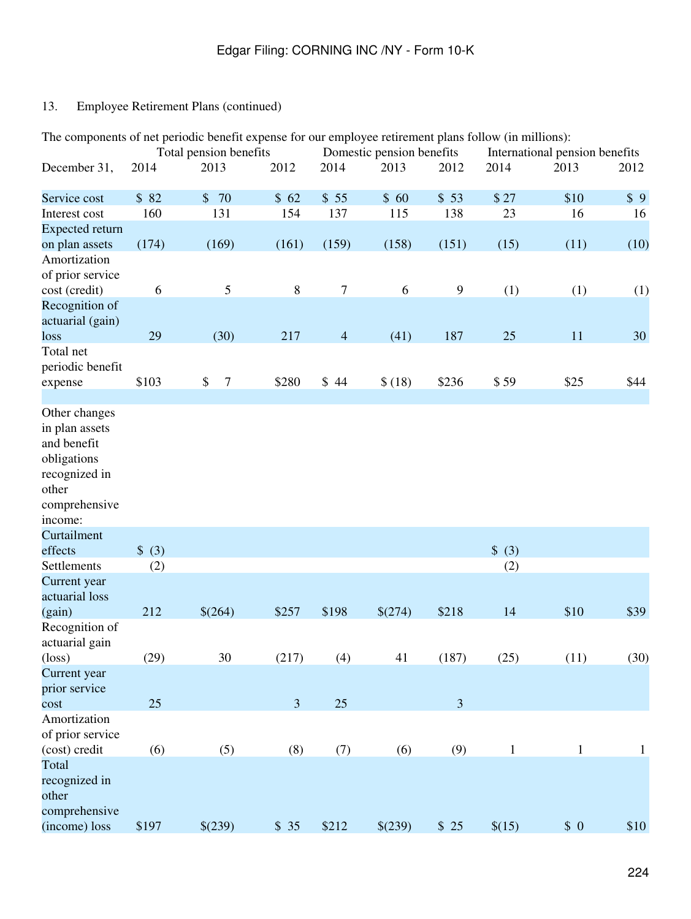| The components of net periodic benefit expense for our employee retirement plans follow (in millions):              |        | Total pension benefits |                |                  | Domestic pension benefits |                  |              | International pension benefits |              |
|---------------------------------------------------------------------------------------------------------------------|--------|------------------------|----------------|------------------|---------------------------|------------------|--------------|--------------------------------|--------------|
| December 31,                                                                                                        | 2014   | 2013                   | 2012           | 2014             | 2013                      | 2012             | 2014         | 2013                           | 2012         |
| Service cost                                                                                                        | \$82   | \$70                   | \$62           | \$55             | \$60                      | \$53             | \$27         | \$10                           | \$9          |
| Interest cost                                                                                                       | 160    | 131                    | 154            | 137              | 115                       | 138              | 23           | 16                             | 16           |
| <b>Expected return</b>                                                                                              |        |                        |                |                  |                           |                  |              |                                |              |
| on plan assets<br>Amortization<br>of prior service                                                                  | (174)  | (169)                  | (161)          | (159)            | (158)                     | (151)            | (15)         | (11)                           | (10)         |
| cost (credit)                                                                                                       | 6      | 5                      | $\,8\,$        | $\boldsymbol{7}$ | 6                         | $\boldsymbol{9}$ | (1)          | (1)                            | (1)          |
| Recognition of<br>actuarial (gain)                                                                                  |        |                        |                |                  |                           |                  |              |                                |              |
| loss                                                                                                                | 29     | (30)                   | 217            | $\overline{4}$   | (41)                      | 187              | 25           | 11                             | 30           |
| Total net<br>periodic benefit<br>expense                                                                            | \$103  | \$<br>$\overline{7}$   | \$280          | \$44             | \$(18)                    | \$236            | \$59         | \$25                           | \$44         |
|                                                                                                                     |        |                        |                |                  |                           |                  |              |                                |              |
| Other changes<br>in plan assets<br>and benefit<br>obligations<br>recognized in<br>other<br>comprehensive<br>income: |        |                        |                |                  |                           |                  |              |                                |              |
| Curtailment                                                                                                         |        |                        |                |                  |                           |                  |              |                                |              |
| effects                                                                                                             | \$ (3) |                        |                |                  |                           |                  | \$ (3)       |                                |              |
| Settlements<br>Current year<br>actuarial loss                                                                       | (2)    |                        |                |                  |                           |                  | (2)          |                                |              |
| (gain)                                                                                                              | 212    | \$(264)                | \$257          | \$198            | \$(274)                   | \$218            | 14           | \$10                           | \$39         |
| Recognition of<br>actuarial gain<br>$(\text{loss})$                                                                 | (29)   | 30                     | (217)          | (4)              | 41                        | (187)            | (25)         | (11)                           | (30)         |
| Current year<br>prior service                                                                                       |        |                        |                |                  |                           |                  |              |                                |              |
| cost                                                                                                                | 25     |                        | $\mathfrak{Z}$ | 25               |                           | $\mathfrak{Z}$   |              |                                |              |
| Amortization<br>of prior service<br>(cost) credit                                                                   | (6)    | (5)                    | (8)            | (7)              | (6)                       | (9)              | $\mathbf{1}$ | $\mathbf{1}$                   | $\mathbf{1}$ |
| Total<br>recognized in<br>other<br>comprehensive<br>(income) loss                                                   | \$197  | \$(239)                | \$35           | \$212            | \$(239)                   | \$25             | \$(15)       | \$0                            | \$10         |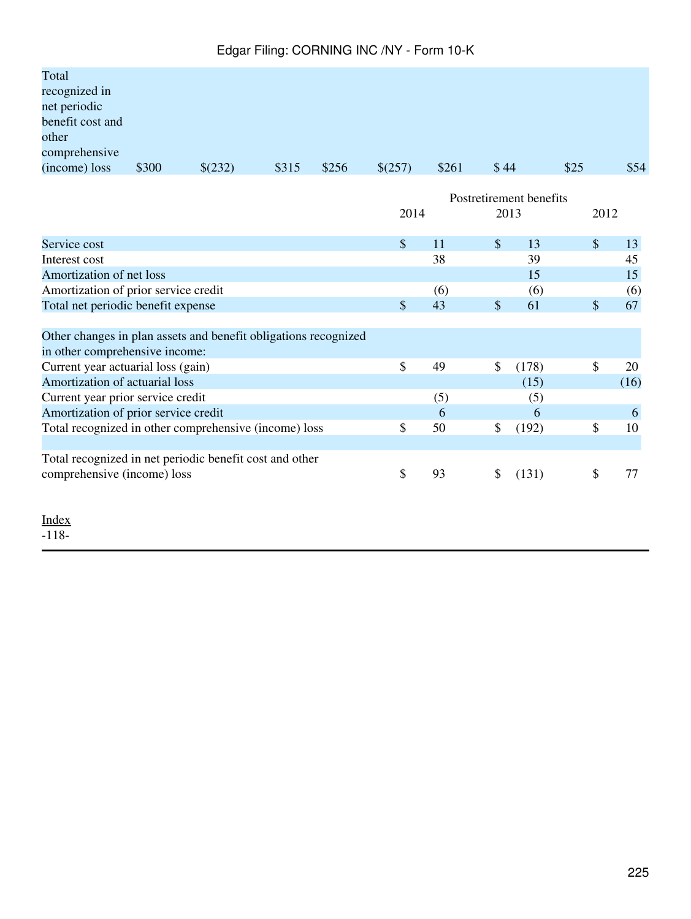| Total            |       |         |       |       |         |       |      |      |      |
|------------------|-------|---------|-------|-------|---------|-------|------|------|------|
| recognized in    |       |         |       |       |         |       |      |      |      |
| net periodic     |       |         |       |       |         |       |      |      |      |
| benefit cost and |       |         |       |       |         |       |      |      |      |
| other            |       |         |       |       |         |       |      |      |      |
| comprehensive    |       |         |       |       |         |       |      |      |      |
| (income) loss    | \$300 | \$(232) | \$315 | \$256 | \$(257) | \$261 | \$44 | \$25 | \$54 |

|                                                                 | Postretirement benefits |     |               |       |              |      |
|-----------------------------------------------------------------|-------------------------|-----|---------------|-------|--------------|------|
|                                                                 | 2014                    |     | 2013          |       | 2012         |      |
| Service cost                                                    | $\mathbb{S}$            | 11  | $\mathbb{S}$  | 13    | $\mathbb{S}$ | 13   |
| Interest cost                                                   |                         | 38  |               | 39    |              | 45   |
| Amortization of net loss                                        |                         |     |               | 15    |              | 15   |
| Amortization of prior service credit                            |                         | (6) |               | (6)   |              | (6)  |
| Total net periodic benefit expense                              | \$                      | 43  | \$            | 61    | \$           | 67   |
|                                                                 |                         |     |               |       |              |      |
| Other changes in plan assets and benefit obligations recognized |                         |     |               |       |              |      |
| in other comprehensive income:                                  |                         |     |               |       |              |      |
| Current year actuarial loss (gain)                              | \$                      | 49  | $\mathcal{S}$ | (178) | \$           | 20   |
| Amortization of actuarial loss                                  |                         |     |               | (15)  |              | (16) |
| Current year prior service credit                               |                         | (5) |               | (5)   |              |      |
| Amortization of prior service credit                            |                         | 6   |               | 6     |              | 6    |
| Total recognized in other comprehensive (income) loss           | \$                      | 50  | \$            | (192) | \$           | 10   |
|                                                                 |                         |     |               |       |              |      |
| Total recognized in net periodic benefit cost and other         |                         |     |               |       |              |      |
| comprehensive (income) loss                                     | \$                      | 93  | <sup>\$</sup> | (131) | \$           | 77   |
|                                                                 |                         |     |               |       |              |      |
| Index                                                           |                         |     |               |       |              |      |

-118-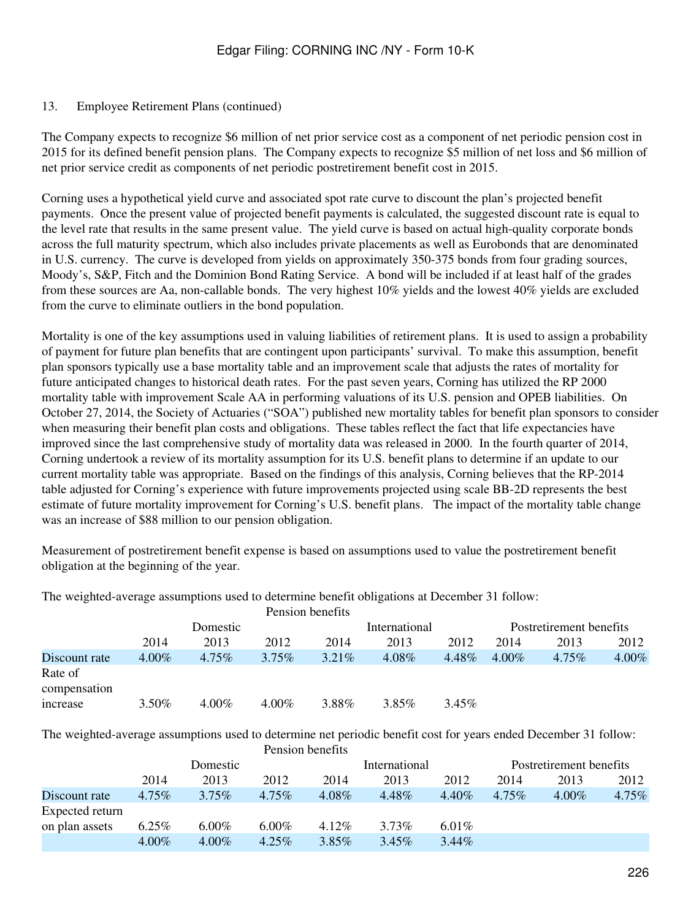The Company expects to recognize \$6 million of net prior service cost as a component of net periodic pension cost in 2015 for its defined benefit pension plans. The Company expects to recognize \$5 million of net loss and \$6 million of net prior service credit as components of net periodic postretirement benefit cost in 2015.

Corning uses a hypothetical yield curve and associated spot rate curve to discount the plan's projected benefit payments. Once the present value of projected benefit payments is calculated, the suggested discount rate is equal to the level rate that results in the same present value. The yield curve is based on actual high-quality corporate bonds across the full maturity spectrum, which also includes private placements as well as Eurobonds that are denominated in U.S. currency. The curve is developed from yields on approximately 350-375 bonds from four grading sources, Moody's, S&P, Fitch and the Dominion Bond Rating Service. A bond will be included if at least half of the grades from these sources are Aa, non-callable bonds. The very highest 10% yields and the lowest 40% yields are excluded from the curve to eliminate outliers in the bond population.

Mortality is one of the key assumptions used in valuing liabilities of retirement plans. It is used to assign a probability of payment for future plan benefits that are contingent upon participants' survival. To make this assumption, benefit plan sponsors typically use a base mortality table and an improvement scale that adjusts the rates of mortality for future anticipated changes to historical death rates. For the past seven years, Corning has utilized the RP 2000 mortality table with improvement Scale AA in performing valuations of its U.S. pension and OPEB liabilities. On October 27, 2014, the Society of Actuaries ("SOA") published new mortality tables for benefit plan sponsors to consider when measuring their benefit plan costs and obligations. These tables reflect the fact that life expectancies have improved since the last comprehensive study of mortality data was released in 2000. In the fourth quarter of 2014, Corning undertook a review of its mortality assumption for its U.S. benefit plans to determine if an update to our current mortality table was appropriate. Based on the findings of this analysis, Corning believes that the RP-2014 table adjusted for Corning's experience with future improvements projected using scale BB-2D represents the best estimate of future mortality improvement for Corning's U.S. benefit plans. The impact of the mortality table change was an increase of \$88 million to our pension obligation.

Measurement of postretirement benefit expense is based on assumptions used to value the postretirement benefit obligation at the beginning of the year.

The weighted-average assumptions used to determine benefit obligations at December 31 follow:

|               |          |          |          | Pension benefits |               |       |                         |          |          |
|---------------|----------|----------|----------|------------------|---------------|-------|-------------------------|----------|----------|
|               | Domestic |          |          |                  | International |       | Postretirement benefits |          |          |
|               | 2014     | 2013     | 2012     | 2014             | 2013          | 2012  | 2014                    | 2013     | 2012     |
| Discount rate | $4.00\%$ | 4.75%    | $3.75\%$ | $3.21\%$         | 4.08%         | 4.48% | $4.00\%$                | $4.75\%$ | $4.00\%$ |
| Rate of       |          |          |          |                  |               |       |                         |          |          |
| compensation  |          |          |          |                  |               |       |                         |          |          |
| increase      | $3.50\%$ | $4.00\%$ | $4.00\%$ | 3.88%            | 3.85%         | 3.45% |                         |          |          |

The weighted-average assumptions used to determine net periodic benefit cost for years ended December 31 follow: Pension benefits

|                 |          |          |          | Pension denemis |               |          |          |                         |          |  |
|-----------------|----------|----------|----------|-----------------|---------------|----------|----------|-------------------------|----------|--|
|                 | Domestic |          |          |                 | International |          |          | Postretirement benefits |          |  |
|                 | 2014     | 2013     | 2012     | 2014            | 2013          | 2012     | 2014     | 2013                    | 2012     |  |
| Discount rate   | 4.75%    | $3.75\%$ | $4.75\%$ | $4.08\%$        | 4.48%         | $4.40\%$ | $4.75\%$ | $4.00\%$                | $4.75\%$ |  |
| Expected return |          |          |          |                 |               |          |          |                         |          |  |
| on plan assets  | $6.25\%$ | $6.00\%$ | $6.00\%$ | 4.12%           | $3.73\%$      | 6.01%    |          |                         |          |  |
|                 | $4.00\%$ | $4.00\%$ | $4.25\%$ | $3.85\%$        | $3.45\%$      | $3.44\%$ |          |                         |          |  |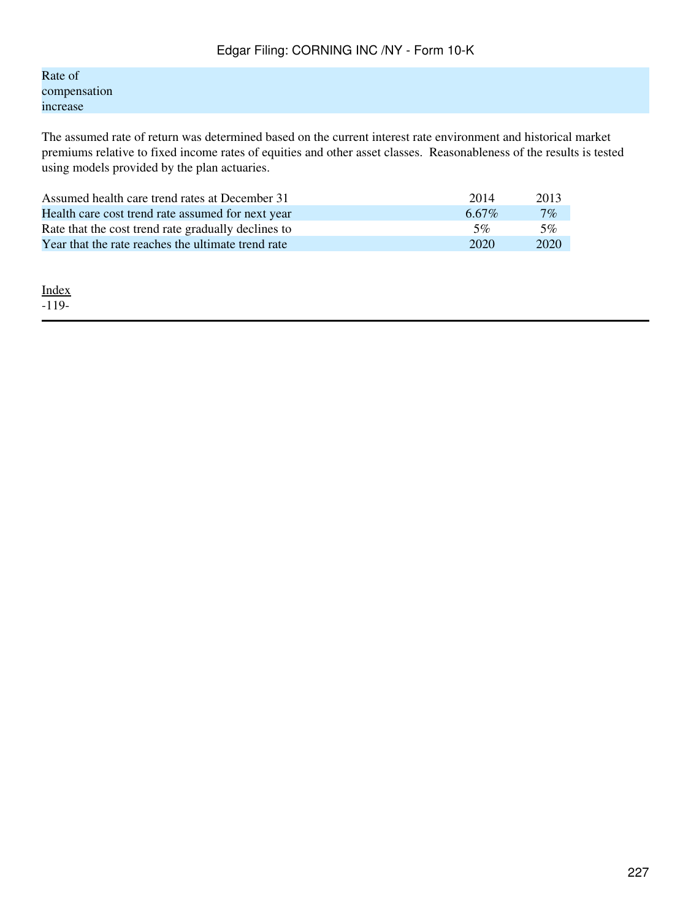Rate of compensation increase

The assumed rate of return was determined based on the current interest rate environment and historical market premiums relative to fixed income rates of equities and other asset classes. Reasonableness of the results is tested using models provided by the plan actuaries.

| Assumed health care trend rates at December 31      | 2014     | 2013  |
|-----------------------------------------------------|----------|-------|
| Health care cost trend rate assumed for next year   | $6.67\%$ | $7\%$ |
| Rate that the cost trend rate gradually declines to | 5%       | 5%    |
| Year that the rate reaches the ultimate trend rate  | 2020     | 2020  |

[Index](#page-155-0) -119-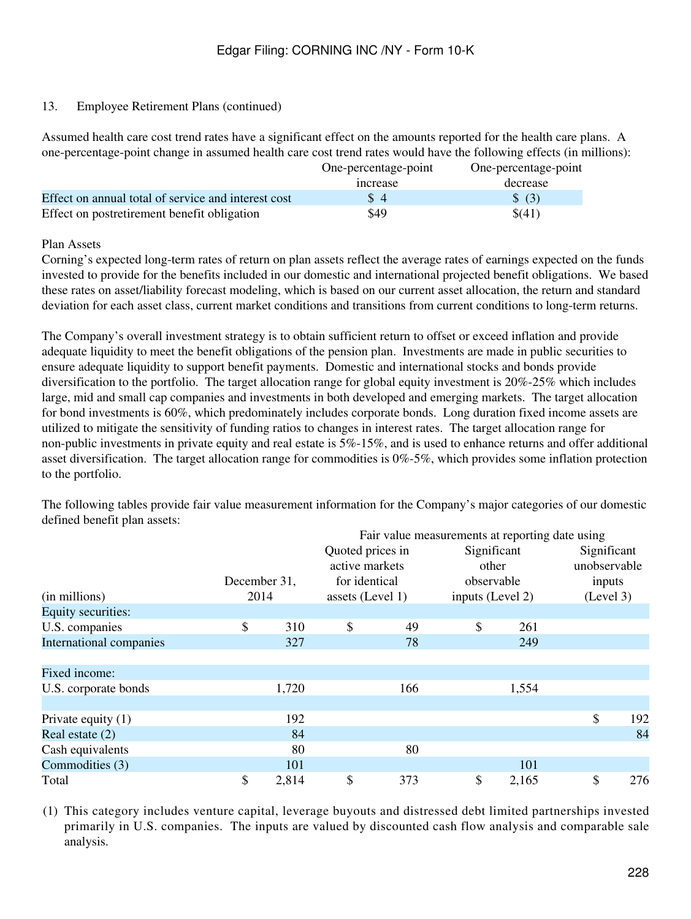Assumed health care cost trend rates have a significant effect on the amounts reported for the health care plans. A one-percentage-point change in assumed health care cost trend rates would have the following effects (in millions):

|                                                     | One-percentage-point | One-percentage-point |
|-----------------------------------------------------|----------------------|----------------------|
|                                                     | <i>ncrease</i>       | decrease             |
| Effect on annual total of service and interest cost | $\sqrt{3}$ 4         | \$ (3)               |
| Effect on postretirement benefit obligation         | \$49                 | \$(41)               |

Plan Assets

Corning's expected long-term rates of return on plan assets reflect the average rates of earnings expected on the funds invested to provide for the benefits included in our domestic and international projected benefit obligations. We based these rates on asset/liability forecast modeling, which is based on our current asset allocation, the return and standard deviation for each asset class, current market conditions and transitions from current conditions to long-term returns.

The Company's overall investment strategy is to obtain sufficient return to offset or exceed inflation and provide adequate liquidity to meet the benefit obligations of the pension plan. Investments are made in public securities to ensure adequate liquidity to support benefit payments. Domestic and international stocks and bonds provide diversification to the portfolio. The target allocation range for global equity investment is 20%-25% which includes large, mid and small cap companies and investments in both developed and emerging markets. The target allocation for bond investments is 60%, which predominately includes corporate bonds. Long duration fixed income assets are utilized to mitigate the sensitivity of funding ratios to changes in interest rates. The target allocation range for non-public investments in private equity and real estate is  $5\%$ -15%, and is used to enhance returns and offer additional asset diversification. The target allocation range for commodities is 0%-5%, which provides some inflation protection to the portfolio.

The following tables provide fair value measurement information for the Company's major categories of our domestic defined benefit plan assets:

|                         |              |       |                  | Fair value measurements at reporting date using |                  |       |              |     |
|-------------------------|--------------|-------|------------------|-------------------------------------------------|------------------|-------|--------------|-----|
|                         |              |       | Quoted prices in |                                                 | Significant      |       | Significant  |     |
|                         |              |       | active markets   |                                                 | other            |       | unobservable |     |
|                         | December 31, |       | for identical    |                                                 | observable       |       | inputs       |     |
| (in millions)           | 2014         |       | assets (Level 1) |                                                 | inputs (Level 2) |       | (Level 3)    |     |
| Equity securities:      |              |       |                  |                                                 |                  |       |              |     |
| U.S. companies          | \$           | 310   | \$               | 49                                              | \$               | 261   |              |     |
| International companies |              | 327   |                  | 78                                              |                  | 249   |              |     |
|                         |              |       |                  |                                                 |                  |       |              |     |
| Fixed income:           |              |       |                  |                                                 |                  |       |              |     |
| U.S. corporate bonds    |              | 1,720 |                  | 166                                             |                  | 1,554 |              |     |
|                         |              |       |                  |                                                 |                  |       |              |     |
| Private equity $(1)$    |              | 192   |                  |                                                 |                  |       | \$           | 192 |
| Real estate $(2)$       |              | 84    |                  |                                                 |                  |       |              | 84  |
| Cash equivalents        |              | 80    |                  | 80                                              |                  |       |              |     |
| Commodities (3)         |              | 101   |                  |                                                 |                  | 101   |              |     |
| Total                   | \$           | 2,814 | \$               | 373                                             | \$               | 2,165 | \$           | 276 |

(1) This category includes venture capital, leverage buyouts and distressed debt limited partnerships invested primarily in U.S. companies. The inputs are valued by discounted cash flow analysis and comparable sale analysis.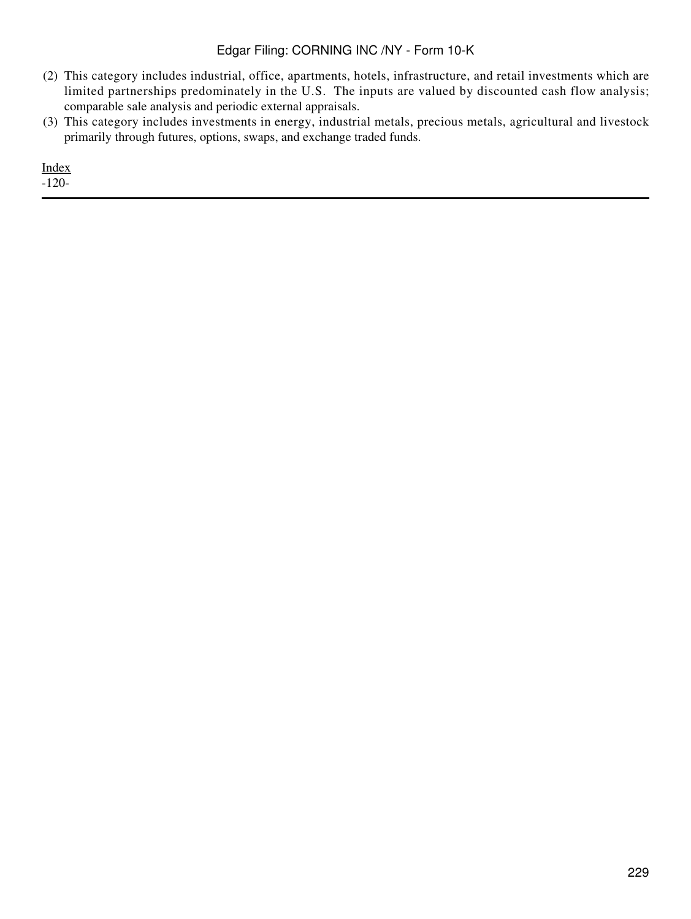- (2) This category includes industrial, office, apartments, hotels, infrastructure, and retail investments which are limited partnerships predominately in the U.S. The inputs are valued by discounted cash flow analysis; comparable sale analysis and periodic external appraisals.
- (3) This category includes investments in energy, industrial metals, precious metals, agricultural and livestock primarily through futures, options, swaps, and exchange traded funds.

[Index](#page-155-0) -120-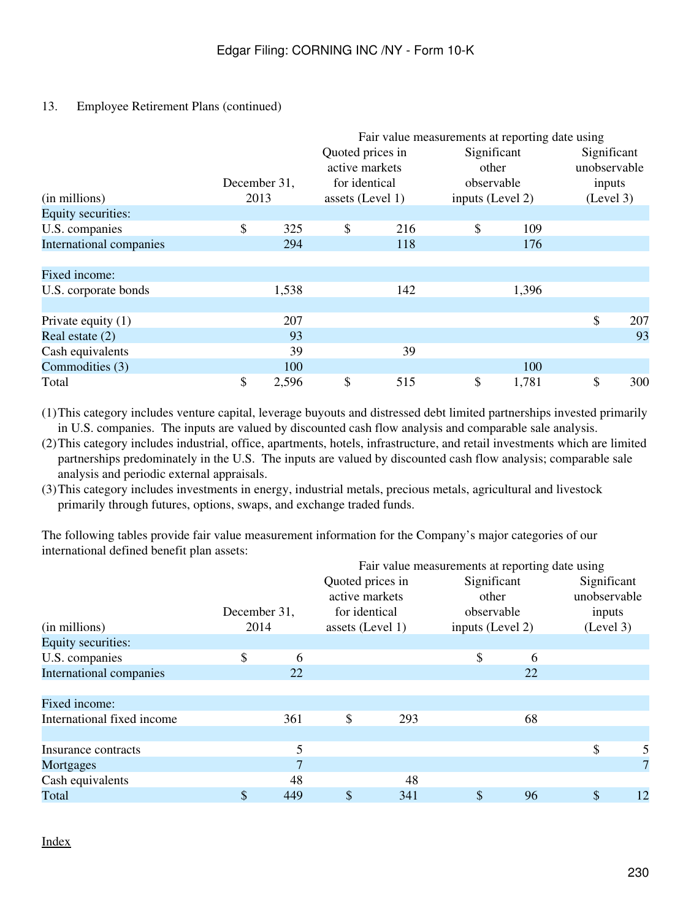|                         |              |       |                  |     | Fair value measurements at reporting date using |       |              |     |  |
|-------------------------|--------------|-------|------------------|-----|-------------------------------------------------|-------|--------------|-----|--|
|                         |              |       | Quoted prices in |     | Significant                                     |       | Significant  |     |  |
|                         |              |       | active markets   |     | other                                           |       | unobservable |     |  |
|                         | December 31, |       | for identical    |     | observable                                      |       | inputs       |     |  |
| (in millions)           | 2013         |       | assets (Level 1) |     | inputs (Level 2)                                |       | (Level 3)    |     |  |
| Equity securities:      |              |       |                  |     |                                                 |       |              |     |  |
| U.S. companies          | \$           | 325   | \$               | 216 | \$                                              | 109   |              |     |  |
| International companies |              | 294   |                  | 118 |                                                 | 176   |              |     |  |
|                         |              |       |                  |     |                                                 |       |              |     |  |
| Fixed income:           |              |       |                  |     |                                                 |       |              |     |  |
| U.S. corporate bonds    |              | 1,538 |                  | 142 |                                                 | 1,396 |              |     |  |
| Private equity $(1)$    |              | 207   |                  |     |                                                 |       | \$           | 207 |  |
| Real estate $(2)$       |              | 93    |                  |     |                                                 |       |              | 93  |  |
| Cash equivalents        |              | 39    |                  | 39  |                                                 |       |              |     |  |
| Commodities (3)         |              | 100   |                  |     |                                                 | 100   |              |     |  |
| Total                   | \$           | 2,596 | \$               | 515 | \$                                              | 1,781 | \$           | 300 |  |

(1)This category includes venture capital, leverage buyouts and distressed debt limited partnerships invested primarily in U.S. companies. The inputs are valued by discounted cash flow analysis and comparable sale analysis.

(2)This category includes industrial, office, apartments, hotels, infrastructure, and retail investments which are limited partnerships predominately in the U.S. The inputs are valued by discounted cash flow analysis; comparable sale analysis and periodic external appraisals.

(3)This category includes investments in energy, industrial metals, precious metals, agricultural and livestock primarily through futures, options, swaps, and exchange traded funds.

The following tables provide fair value measurement information for the Company's major categories of our international defined benefit plan assets:

|                            |              |     |                  |     | Fair value measurements at reporting date using |    |              |    |
|----------------------------|--------------|-----|------------------|-----|-------------------------------------------------|----|--------------|----|
|                            |              |     | Quoted prices in |     | Significant                                     |    | Significant  |    |
|                            |              |     | active markets   |     | other                                           |    | unobservable |    |
|                            | December 31, |     | for identical    |     | observable                                      |    | inputs       |    |
| (in millions)              | 2014         |     | assets (Level 1) |     | inputs (Level 2)                                |    | (Level 3)    |    |
| Equity securities:         |              |     |                  |     |                                                 |    |              |    |
| U.S. companies             | \$           | 6   |                  |     | \$                                              | 6  |              |    |
| International companies    |              | 22  |                  |     |                                                 | 22 |              |    |
|                            |              |     |                  |     |                                                 |    |              |    |
| Fixed income:              |              |     |                  |     |                                                 |    |              |    |
| International fixed income |              | 361 | \$               | 293 |                                                 | 68 |              |    |
|                            |              |     |                  |     |                                                 |    |              |    |
| Insurance contracts        |              | 5   |                  |     |                                                 |    | \$           |    |
| Mortgages                  |              | 7   |                  |     |                                                 |    |              | 7  |
| Cash equivalents           |              | 48  |                  | 48  |                                                 |    |              |    |
| Total                      | \$           | 449 | \$               | 341 | \$                                              | 96 | \$           | 12 |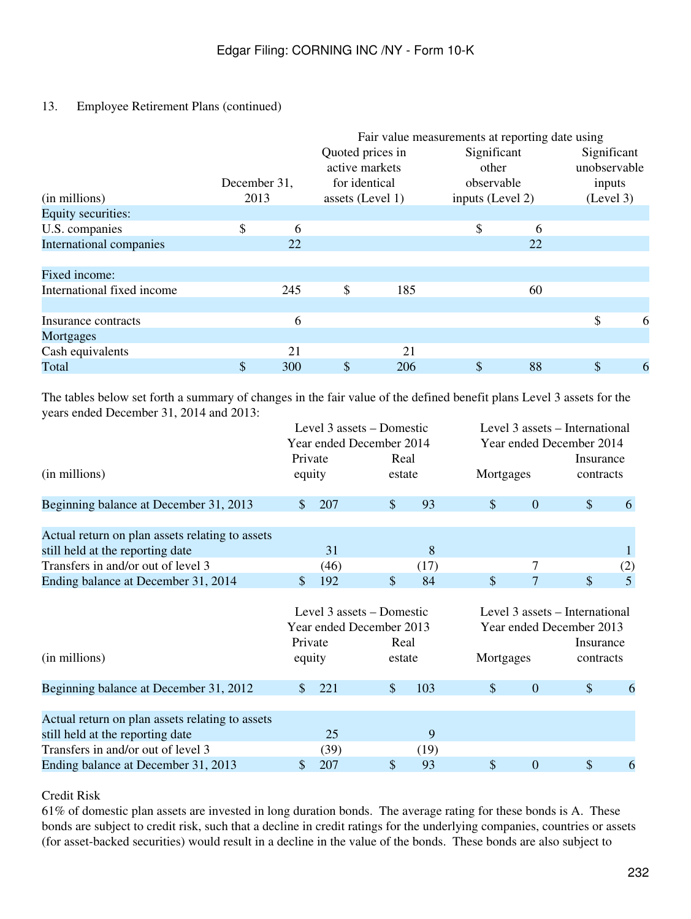|                            |              |     |                  |     | Fair value measurements at reporting date using |    |              |   |
|----------------------------|--------------|-----|------------------|-----|-------------------------------------------------|----|--------------|---|
|                            |              |     | Quoted prices in |     | Significant                                     |    | Significant  |   |
|                            |              |     | active markets   |     | other                                           |    | unobservable |   |
|                            | December 31, |     | for identical    |     | observable                                      |    | inputs       |   |
| (in millions)              | 2013         |     | assets (Level 1) |     | inputs (Level 2)                                |    | (Level 3)    |   |
| Equity securities:         |              |     |                  |     |                                                 |    |              |   |
| U.S. companies             | \$           | 6   |                  |     | \$                                              | 6  |              |   |
| International companies    |              | 22  |                  |     |                                                 | 22 |              |   |
|                            |              |     |                  |     |                                                 |    |              |   |
| Fixed income:              |              |     |                  |     |                                                 |    |              |   |
| International fixed income |              | 245 | \$               | 185 |                                                 | 60 |              |   |
|                            |              |     |                  |     |                                                 |    |              |   |
| Insurance contracts        |              | 6   |                  |     |                                                 |    | \$           | 6 |
| Mortgages                  |              |     |                  |     |                                                 |    |              |   |
| Cash equivalents           |              | 21  |                  | 21  |                                                 |    |              |   |
| Total                      | \$           | 300 | \$               | 206 | \$                                              | 88 | \$           | 6 |

The tables below set forth a summary of changes in the fair value of the defined benefit plans Level 3 assets for the years ended December 31, 2014 and 2013:

|                                                 |                           | Level 3 assets – Domestic<br>Year ended December 2014 |               |      | Level 3 assets – International<br>Year ended December 2014 |                  |                                |           |  |
|-------------------------------------------------|---------------------------|-------------------------------------------------------|---------------|------|------------------------------------------------------------|------------------|--------------------------------|-----------|--|
|                                                 | Private                   |                                                       | Real          |      |                                                            |                  | Insurance                      |           |  |
| (in millions)                                   | equity                    |                                                       | estate        |      |                                                            | Mortgages        |                                | contracts |  |
| Beginning balance at December 31, 2013          | \$.                       | 207                                                   | $\frac{1}{2}$ | 93   | \$                                                         | $\boldsymbol{0}$ | \$                             | 6         |  |
| Actual return on plan assets relating to assets |                           |                                                       |               |      |                                                            |                  |                                |           |  |
| still held at the reporting date                |                           | 31                                                    |               | 8    |                                                            |                  |                                |           |  |
| Transfers in and/or out of level 3              |                           | (46)                                                  |               | (17) |                                                            | 7                |                                | (2)       |  |
| Ending balance at December 31, 2014             | \$                        | 192                                                   | \$            | 84   | \$                                                         | $\overline{7}$   | \$                             | 5         |  |
|                                                 | Level 3 assets – Domestic |                                                       |               |      |                                                            |                  | Level 3 assets – International |           |  |
|                                                 |                           | Year ended December 2013                              |               |      |                                                            |                  | Year ended December 2013       |           |  |
|                                                 | Private                   |                                                       | Real          |      |                                                            |                  | Insurance                      |           |  |
| (in millions)                                   | equity                    |                                                       | estate        |      | Mortgages                                                  |                  | contracts                      |           |  |
| Beginning balance at December 31, 2012          | \$.                       | 221                                                   | \$            | 103  | $\boldsymbol{\mathsf{S}}$                                  | $\boldsymbol{0}$ | \$                             | 6         |  |
| Actual return on plan assets relating to assets |                           |                                                       |               |      |                                                            |                  |                                |           |  |
| still held at the reporting date                |                           | 25                                                    |               | 9    |                                                            |                  |                                |           |  |
| Transfers in and/or out of level 3              |                           | (39)                                                  |               | (19) |                                                            |                  |                                |           |  |
| Ending balance at December 31, 2013             | \$                        | 207                                                   | \$            | 93   | \$                                                         | $\boldsymbol{0}$ | \$                             | 6         |  |

Credit Risk

61% of domestic plan assets are invested in long duration bonds. The average rating for these bonds is A. These bonds are subject to credit risk, such that a decline in credit ratings for the underlying companies, countries or assets (for asset-backed securities) would result in a decline in the value of the bonds. These bonds are also subject to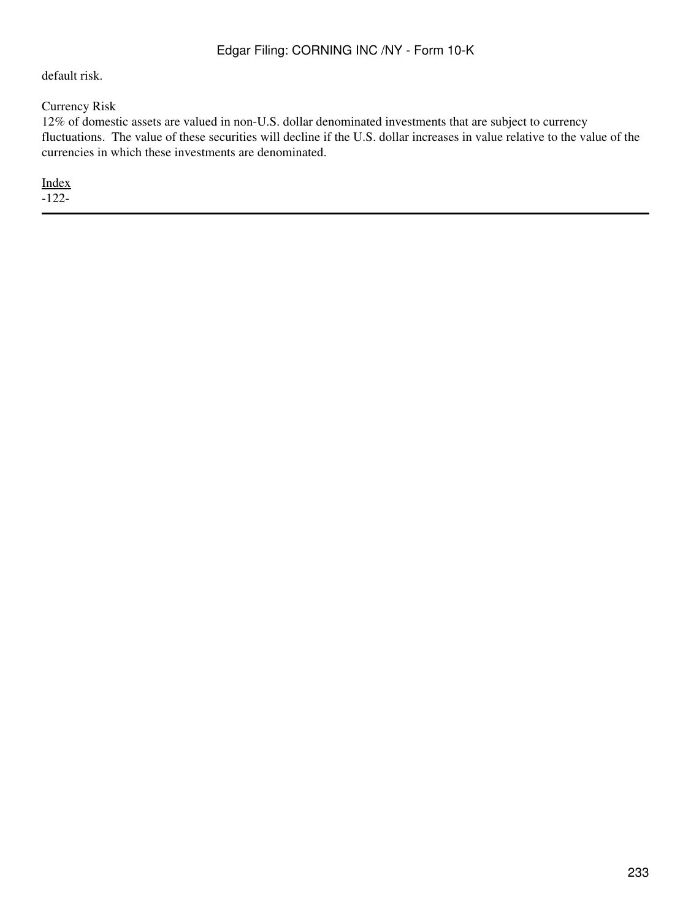default risk.

Currency Risk

12% of domestic assets are valued in non-U.S. dollar denominated investments that are subject to currency fluctuations. The value of these securities will decline if the U.S. dollar increases in value relative to the value of the currencies in which these investments are denominated.

[Index](#page-155-0)

-122-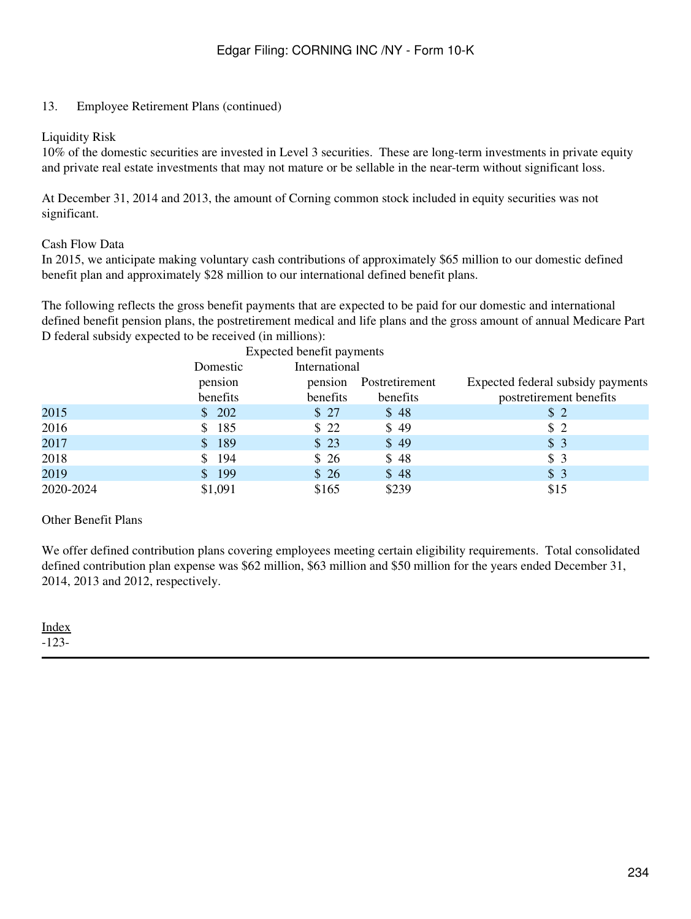#### Liquidity Risk

10% of the domestic securities are invested in Level 3 securities. These are long-term investments in private equity and private real estate investments that may not mature or be sellable in the near-term without significant loss.

At December 31, 2014 and 2013, the amount of Corning common stock included in equity securities was not significant.

#### Cash Flow Data

In 2015, we anticipate making voluntary cash contributions of approximately \$65 million to our domestic defined benefit plan and approximately \$28 million to our international defined benefit plans.

The following reflects the gross benefit payments that are expected to be paid for our domestic and international defined benefit pension plans, the postretirement medical and life plans and the gross amount of annual Medicare Part D federal subsidy expected to be received (in millions):

| Expected benefit payments |          |               |                |                                   |  |  |  |  |  |  |  |  |
|---------------------------|----------|---------------|----------------|-----------------------------------|--|--|--|--|--|--|--|--|
|                           | Domestic | International |                |                                   |  |  |  |  |  |  |  |  |
|                           | pension  | pension       | Postretirement | Expected federal subsidy payments |  |  |  |  |  |  |  |  |
|                           | benefits | benefits      | benefits       | postretirement benefits           |  |  |  |  |  |  |  |  |
| 2015                      | \$202    | \$27          | \$48           | \$2                               |  |  |  |  |  |  |  |  |
| 2016                      | \$185    | \$22          | \$49           | \$2                               |  |  |  |  |  |  |  |  |
| 2017                      | \$189    | \$23          | \$49           | \$3                               |  |  |  |  |  |  |  |  |
| 2018                      | \$ 194   | \$26          | \$48           | \$3                               |  |  |  |  |  |  |  |  |
| 2019                      | \$199    | \$26          | \$48           | \$3                               |  |  |  |  |  |  |  |  |
| 2020-2024                 | \$1,091  | \$165         | \$239          | \$15                              |  |  |  |  |  |  |  |  |

#### Other Benefit Plans

We offer defined contribution plans covering employees meeting certain eligibility requirements. Total consolidated defined contribution plan expense was \$62 million, \$63 million and \$50 million for the years ended December 31, 2014, 2013 and 2012, respectively.

#### **[Index](#page-155-0)** -123-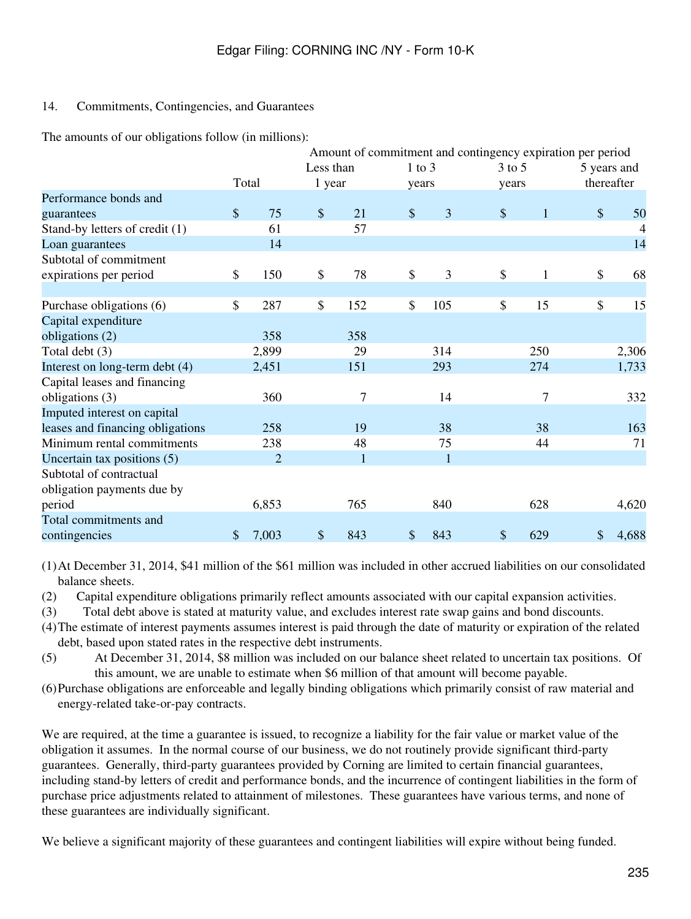### 14. Commitments, Contingencies, and Guarantees

The amounts of our obligations follow (in millions):

|                                  |               |                |           |              |               |              | Amount of commitment and contingency expiration per period |                     |
|----------------------------------|---------------|----------------|-----------|--------------|---------------|--------------|------------------------------------------------------------|---------------------|
|                                  |               |                | Less than |              |               | $1$ to $3$   | $3$ to $5$                                                 | 5 years and         |
|                                  |               | Total          | 1 year    |              |               | years        | years                                                      | thereafter          |
| Performance bonds and            |               |                |           |              |               |              |                                                            |                     |
| guarantees                       | $\frac{1}{2}$ | 75             | $\$\$     | 21           | $\mathcal{S}$ | 3            | $\mathcal{S}$<br>$\mathbf{1}$                              | $\mathcal{S}$<br>50 |
| Stand-by letters of credit (1)   |               | 61             |           | 57           |               |              |                                                            | $\overline{4}$      |
| Loan guarantees                  |               | 14             |           |              |               |              |                                                            | 14                  |
| Subtotal of commitment           |               |                |           |              |               |              |                                                            |                     |
| expirations per period           | \$            | 150            | \$        | 78           | \$            | 3            | \$<br>1                                                    | \$<br>68            |
|                                  |               |                |           |              |               |              |                                                            |                     |
| Purchase obligations (6)         | $\mathsf{\$}$ | 287            | \$        | 152          | \$            | 105          | \$<br>15                                                   | \$<br>15            |
| Capital expenditure              |               |                |           |              |               |              |                                                            |                     |
| obligations (2)                  |               | 358            |           | 358          |               |              |                                                            |                     |
| Total debt (3)                   |               | 2,899          |           | 29           |               | 314          | 250                                                        | 2,306               |
| Interest on long-term debt (4)   |               | 2,451          |           | 151          |               | 293          | 274                                                        | 1,733               |
| Capital leases and financing     |               |                |           |              |               |              |                                                            |                     |
| obligations (3)                  |               | 360            |           | 7            |               | 14           | 7                                                          | 332                 |
| Imputed interest on capital      |               |                |           |              |               |              |                                                            |                     |
| leases and financing obligations |               | 258            |           | 19           |               | 38           | 38                                                         | 163                 |
| Minimum rental commitments       |               | 238            |           | 48           |               | 75           | 44                                                         | 71                  |
| Uncertain tax positions (5)      |               | $\overline{2}$ |           | $\mathbf{1}$ |               | $\mathbf{1}$ |                                                            |                     |
| Subtotal of contractual          |               |                |           |              |               |              |                                                            |                     |
| obligation payments due by       |               |                |           |              |               |              |                                                            |                     |
| period                           |               | 6,853          |           | 765          |               | 840          | 628                                                        | 4,620               |
| Total commitments and            |               |                |           |              |               |              |                                                            |                     |
| contingencies                    | \$            | 7,003          | \$        | 843          | \$            | 843          | \$<br>629                                                  | \$<br>4,688         |

(1)At December 31, 2014, \$41 million of the \$61 million was included in other accrued liabilities on our consolidated balance sheets.

(2) Capital expenditure obligations primarily reflect amounts associated with our capital expansion activities.

(3) Total debt above is stated at maturity value, and excludes interest rate swap gains and bond discounts.

- (4)The estimate of interest payments assumes interest is paid through the date of maturity or expiration of the related debt, based upon stated rates in the respective debt instruments.
- (5) At December 31, 2014, \$8 million was included on our balance sheet related to uncertain tax positions. Of this amount, we are unable to estimate when \$6 million of that amount will become payable.
- (6)Purchase obligations are enforceable and legally binding obligations which primarily consist of raw material and energy-related take-or-pay contracts.

We are required, at the time a guarantee is issued, to recognize a liability for the fair value or market value of the obligation it assumes. In the normal course of our business, we do not routinely provide significant third-party guarantees. Generally, third-party guarantees provided by Corning are limited to certain financial guarantees, including stand-by letters of credit and performance bonds, and the incurrence of contingent liabilities in the form of purchase price adjustments related to attainment of milestones. These guarantees have various terms, and none of these guarantees are individually significant.

We believe a significant majority of these guarantees and contingent liabilities will expire without being funded.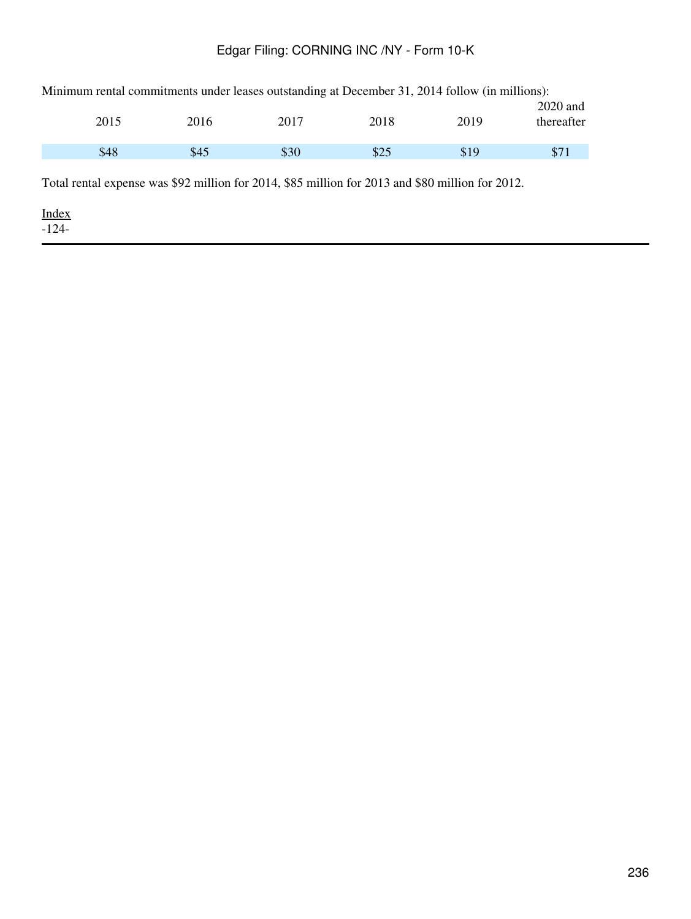| Minimum rental commitments under leases outstanding at December 31, 2014 follow (in millions): |      |      |      |      |                          |  |  |  |  |
|------------------------------------------------------------------------------------------------|------|------|------|------|--------------------------|--|--|--|--|
| 2015                                                                                           | 2016 | 2017 | 2018 | 2019 | $2020$ and<br>thereafter |  |  |  |  |
|                                                                                                |      |      |      |      |                          |  |  |  |  |
| \$48                                                                                           | \$45 | \$30 | \$25 | \$19 | \$71                     |  |  |  |  |

Total rental expense was \$92 million for 2014, \$85 million for 2013 and \$80 million for 2012.

[Index](#page-155-0)  $-124-$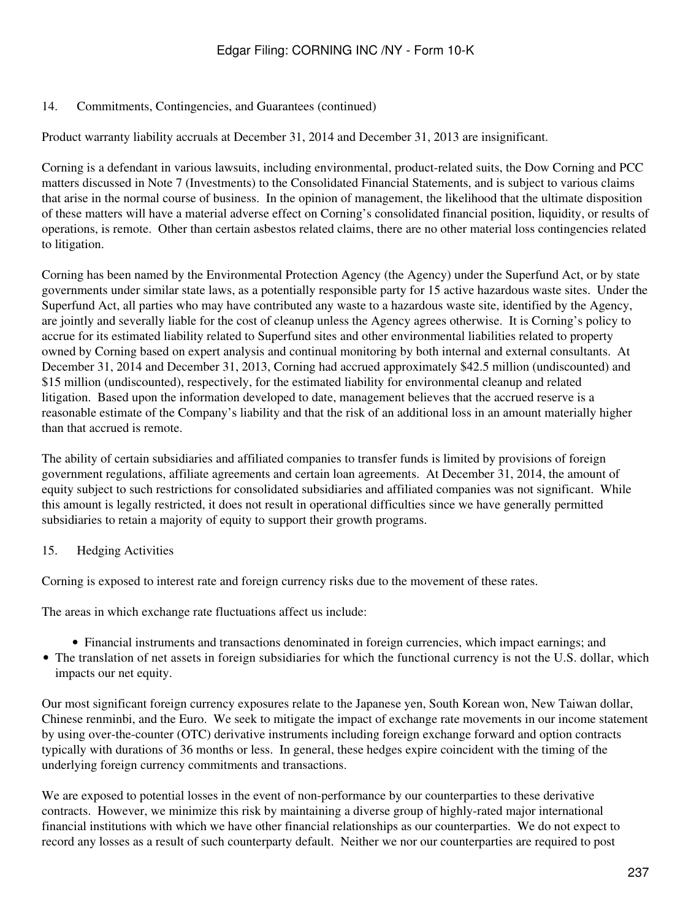#### 14. Commitments, Contingencies, and Guarantees (continued)

Product warranty liability accruals at December 31, 2014 and December 31, 2013 are insignificant.

Corning is a defendant in various lawsuits, including environmental, product-related suits, the Dow Corning and PCC matters discussed in Note 7 (Investments) to the Consolidated Financial Statements, and is subject to various claims that arise in the normal course of business. In the opinion of management, the likelihood that the ultimate disposition of these matters will have a material adverse effect on Corning's consolidated financial position, liquidity, or results of operations, is remote. Other than certain asbestos related claims, there are no other material loss contingencies related to litigation.

Corning has been named by the Environmental Protection Agency (the Agency) under the Superfund Act, or by state governments under similar state laws, as a potentially responsible party for 15 active hazardous waste sites. Under the Superfund Act, all parties who may have contributed any waste to a hazardous waste site, identified by the Agency, are jointly and severally liable for the cost of cleanup unless the Agency agrees otherwise. It is Corning's policy to accrue for its estimated liability related to Superfund sites and other environmental liabilities related to property owned by Corning based on expert analysis and continual monitoring by both internal and external consultants. At December 31, 2014 and December 31, 2013, Corning had accrued approximately \$42.5 million (undiscounted) and \$15 million (undiscounted), respectively, for the estimated liability for environmental cleanup and related litigation. Based upon the information developed to date, management believes that the accrued reserve is a reasonable estimate of the Company's liability and that the risk of an additional loss in an amount materially higher than that accrued is remote.

The ability of certain subsidiaries and affiliated companies to transfer funds is limited by provisions of foreign government regulations, affiliate agreements and certain loan agreements. At December 31, 2014, the amount of equity subject to such restrictions for consolidated subsidiaries and affiliated companies was not significant. While this amount is legally restricted, it does not result in operational difficulties since we have generally permitted subsidiaries to retain a majority of equity to support their growth programs.

#### 15. Hedging Activities

Corning is exposed to interest rate and foreign currency risks due to the movement of these rates.

The areas in which exchange rate fluctuations affect us include:

- Financial instruments and transactions denominated in foreign currencies, which impact earnings; and
- The translation of net assets in foreign subsidiaries for which the functional currency is not the U.S. dollar, which impacts our net equity.

Our most significant foreign currency exposures relate to the Japanese yen, South Korean won, New Taiwan dollar, Chinese renminbi, and the Euro. We seek to mitigate the impact of exchange rate movements in our income statement by using over-the-counter (OTC) derivative instruments including foreign exchange forward and option contracts typically with durations of 36 months or less. In general, these hedges expire coincident with the timing of the underlying foreign currency commitments and transactions.

We are exposed to potential losses in the event of non-performance by our counterparties to these derivative contracts. However, we minimize this risk by maintaining a diverse group of highly-rated major international financial institutions with which we have other financial relationships as our counterparties. We do not expect to record any losses as a result of such counterparty default. Neither we nor our counterparties are required to post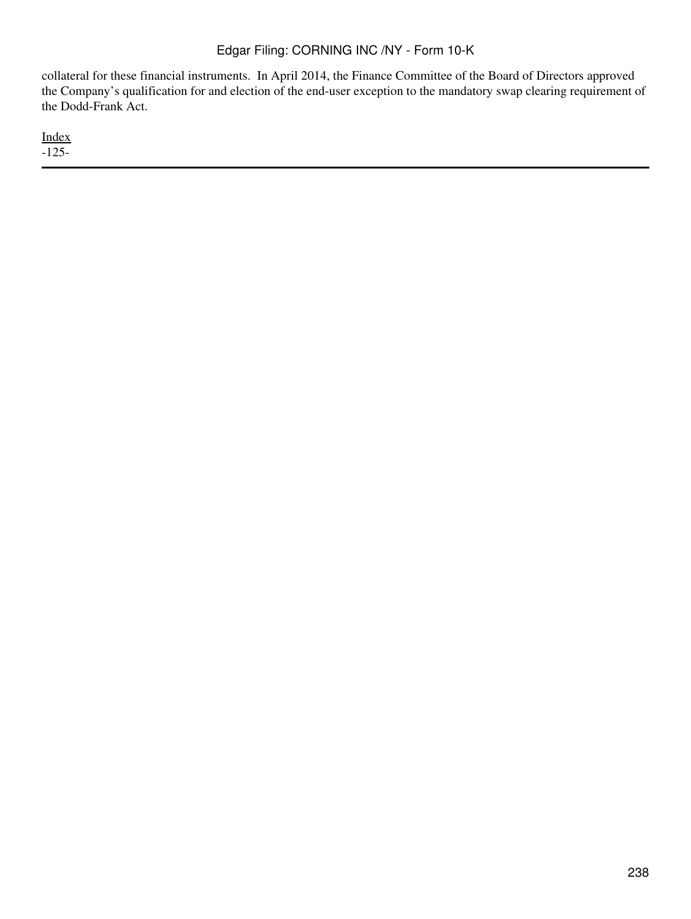collateral for these financial instruments. In April 2014, the Finance Committee of the Board of Directors approved the Company's qualification for and election of the end-user exception to the mandatory swap clearing requirement of the Dodd-Frank Act.

[Index](#page-155-0) -125-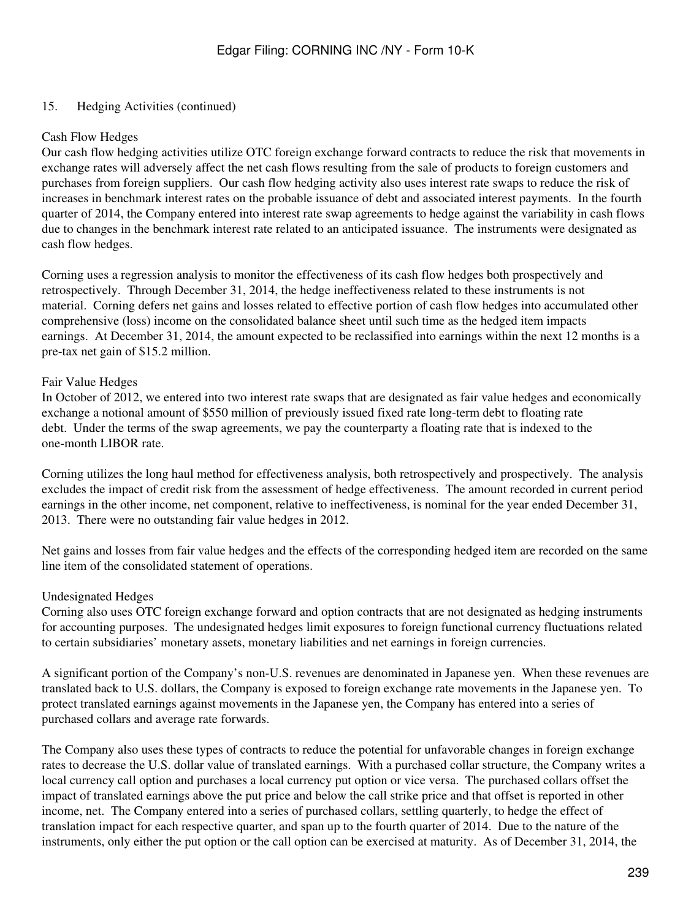### 15. Hedging Activities (continued)

#### Cash Flow Hedges

Our cash flow hedging activities utilize OTC foreign exchange forward contracts to reduce the risk that movements in exchange rates will adversely affect the net cash flows resulting from the sale of products to foreign customers and purchases from foreign suppliers. Our cash flow hedging activity also uses interest rate swaps to reduce the risk of increases in benchmark interest rates on the probable issuance of debt and associated interest payments. In the fourth quarter of 2014, the Company entered into interest rate swap agreements to hedge against the variability in cash flows due to changes in the benchmark interest rate related to an anticipated issuance. The instruments were designated as cash flow hedges.

Corning uses a regression analysis to monitor the effectiveness of its cash flow hedges both prospectively and retrospectively. Through December 31, 2014, the hedge ineffectiveness related to these instruments is not material. Corning defers net gains and losses related to effective portion of cash flow hedges into accumulated other comprehensive (loss) income on the consolidated balance sheet until such time as the hedged item impacts earnings. At December 31, 2014, the amount expected to be reclassified into earnings within the next 12 months is a pre-tax net gain of \$15.2 million.

#### Fair Value Hedges

In October of 2012, we entered into two interest rate swaps that are designated as fair value hedges and economically exchange a notional amount of \$550 million of previously issued fixed rate long-term debt to floating rate debt. Under the terms of the swap agreements, we pay the counterparty a floating rate that is indexed to the one-month LIBOR rate.

Corning utilizes the long haul method for effectiveness analysis, both retrospectively and prospectively. The analysis excludes the impact of credit risk from the assessment of hedge effectiveness. The amount recorded in current period earnings in the other income, net component, relative to ineffectiveness, is nominal for the year ended December 31, 2013. There were no outstanding fair value hedges in 2012.

Net gains and losses from fair value hedges and the effects of the corresponding hedged item are recorded on the same line item of the consolidated statement of operations.

#### Undesignated Hedges

Corning also uses OTC foreign exchange forward and option contracts that are not designated as hedging instruments for accounting purposes. The undesignated hedges limit exposures to foreign functional currency fluctuations related to certain subsidiaries' monetary assets, monetary liabilities and net earnings in foreign currencies.

A significant portion of the Company's non-U.S. revenues are denominated in Japanese yen. When these revenues are translated back to U.S. dollars, the Company is exposed to foreign exchange rate movements in the Japanese yen. To protect translated earnings against movements in the Japanese yen, the Company has entered into a series of purchased collars and average rate forwards.

The Company also uses these types of contracts to reduce the potential for unfavorable changes in foreign exchange rates to decrease the U.S. dollar value of translated earnings. With a purchased collar structure, the Company writes a local currency call option and purchases a local currency put option or vice versa. The purchased collars offset the impact of translated earnings above the put price and below the call strike price and that offset is reported in other income, net. The Company entered into a series of purchased collars, settling quarterly, to hedge the effect of translation impact for each respective quarter, and span up to the fourth quarter of 2014. Due to the nature of the instruments, only either the put option or the call option can be exercised at maturity. As of December 31, 2014, the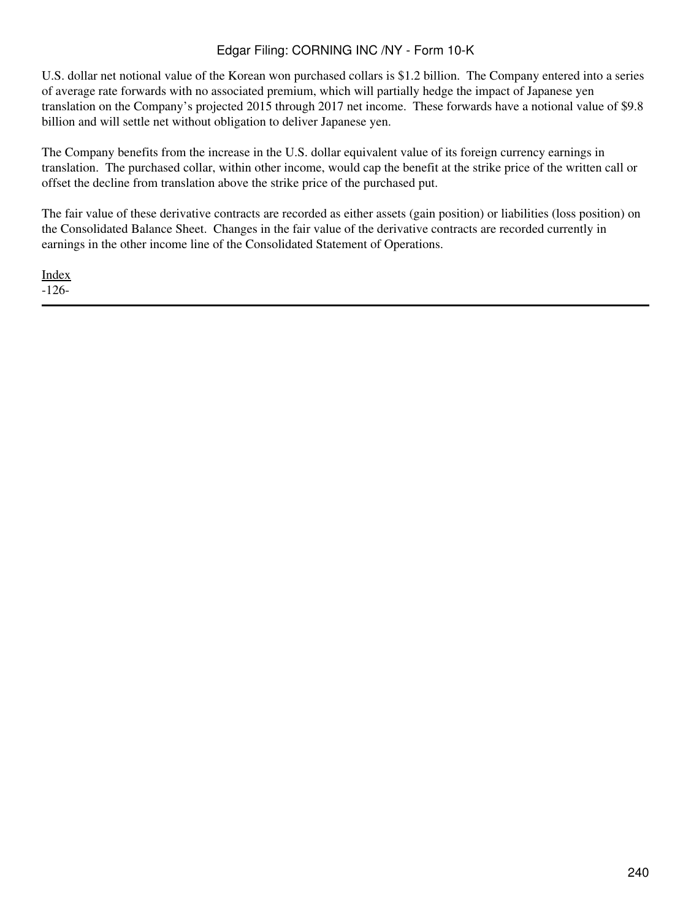U.S. dollar net notional value of the Korean won purchased collars is \$1.2 billion. The Company entered into a series of average rate forwards with no associated premium, which will partially hedge the impact of Japanese yen translation on the Company's projected 2015 through 2017 net income. These forwards have a notional value of \$9.8 billion and will settle net without obligation to deliver Japanese yen.

The Company benefits from the increase in the U.S. dollar equivalent value of its foreign currency earnings in translation. The purchased collar, within other income, would cap the benefit at the strike price of the written call or offset the decline from translation above the strike price of the purchased put.

The fair value of these derivative contracts are recorded as either assets (gain position) or liabilities (loss position) on the Consolidated Balance Sheet. Changes in the fair value of the derivative contracts are recorded currently in earnings in the other income line of the Consolidated Statement of Operations.

[Index](#page-155-0) -126-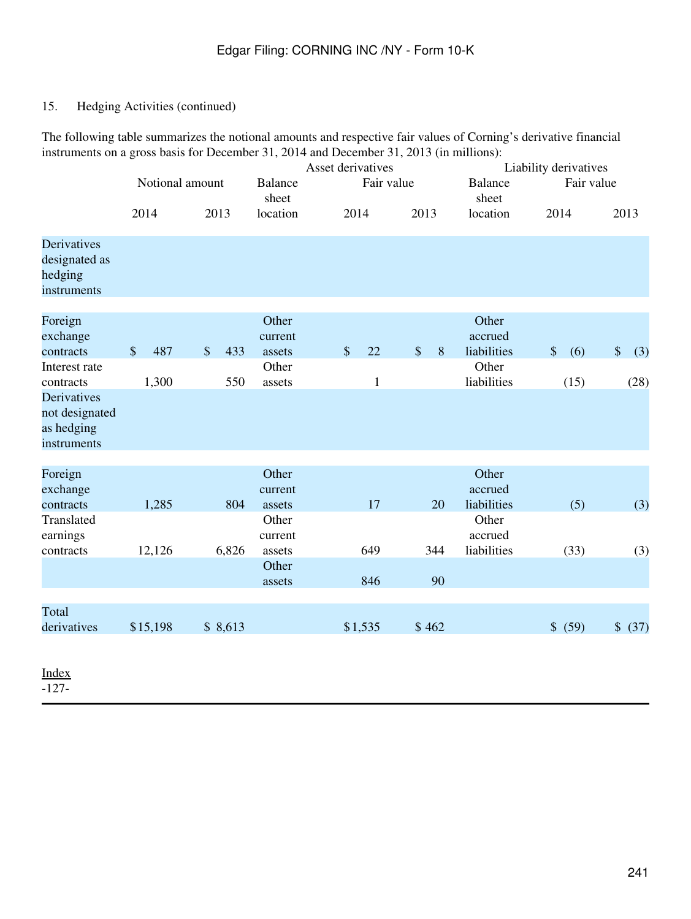# 15. Hedging Activities (continued)

The following table summarizes the notional amounts and respective fair values of Corning's derivative financial instruments on a gross basis for December 31, 2014 and December 31, 2013 (in millions):

|                                                                |               |              |                 |            | Asset derivatives                             |               |                    |               |       | Liability derivatives                                   |                           |             |            |             |
|----------------------------------------------------------------|---------------|--------------|-----------------|------------|-----------------------------------------------|---------------|--------------------|---------------|-------|---------------------------------------------------------|---------------------------|-------------|------------|-------------|
|                                                                |               |              | Notional amount |            | <b>Balance</b><br>sheet                       |               |                    | Fair value    |       | <b>Balance</b><br>sheet                                 |                           |             | Fair value |             |
|                                                                | 2014          |              |                 | 2013       | location                                      |               | 2014               |               | 2013  | location                                                | 2014                      |             |            | 2013        |
| Derivatives<br>designated as<br>hedging<br>instruments         |               |              |                 |            |                                               |               |                    |               |       |                                                         |                           |             |            |             |
| Foreign<br>exchange<br>contracts<br>Interest rate<br>contracts | $\frac{1}{2}$ | 487<br>1,300 | \$              | 433<br>550 | Other<br>current<br>assets<br>Other<br>assets | $\mathcal{S}$ | 22<br>$\mathbf{1}$ | $\frac{1}{2}$ | 8     | Other<br>accrued<br>liabilities<br>Other<br>liabilities | $\boldsymbol{\mathsf{S}}$ | (6)<br>(15) | $\sqrt$    | (3)<br>(28) |
| Derivatives<br>not designated<br>as hedging<br>instruments     |               |              |                 |            |                                               |               |                    |               |       |                                                         |                           |             |            |             |
| Foreign<br>exchange<br>contracts                               |               | 1,285        |                 | 804        | Other<br>current<br>assets                    |               | 17                 |               | 20    | Other<br>accrued<br>liabilities                         |                           | (5)         |            | (3)         |
| Translated<br>earnings<br>contracts                            | 12,126        |              |                 | 6,826      | Other<br>current<br>assets                    |               | 649                |               | 344   | Other<br>accrued<br>liabilities                         |                           | (33)        |            | (3)         |
|                                                                |               |              |                 |            | Other<br>assets                               |               | 846                |               | 90    |                                                         |                           |             |            |             |
| Total<br>derivatives                                           | \$15,198      |              |                 | \$8,613    |                                               |               | \$1,535            |               | \$462 |                                                         |                           | \$ (59)     |            | \$ (37)     |
| $-1$                                                           |               |              |                 |            |                                               |               |                    |               |       |                                                         |                           |             |            |             |

[Index](#page-155-0) -127-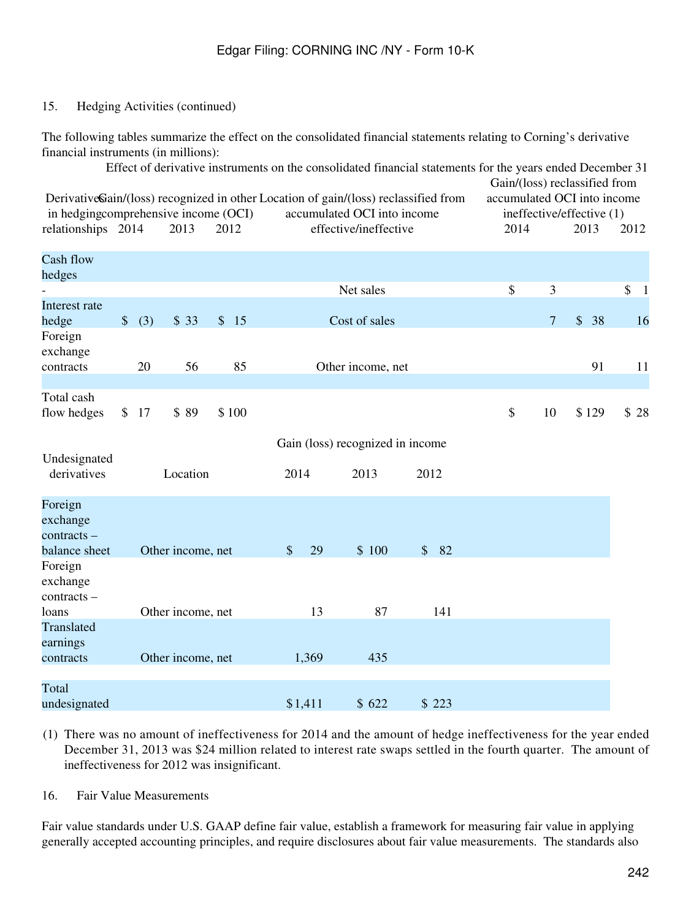### 15. Hedging Activities (continued)

The following tables summarize the effect on the consolidated financial statements relating to Corning's derivative financial instruments (in millions):

|                                                                                                                             |                           |      |                   |       |               |         | Effect of derivative instruments on the consolidated financial statements for the years ended December 31 |       |               |                | Gain/(loss) reclassified from                            |      |
|-----------------------------------------------------------------------------------------------------------------------------|---------------------------|------|-------------------|-------|---------------|---------|-----------------------------------------------------------------------------------------------------------|-------|---------------|----------------|----------------------------------------------------------|------|
| DerivativeGain/(loss) recognized in other Location of gain/(loss) reclassified from<br>in hedgingcomprehensive income (OCI) |                           |      |                   |       |               |         | accumulated OCI into income                                                                               |       |               |                | accumulated OCI into income<br>ineffective/effective (1) |      |
| relationships 2014                                                                                                          |                           |      | 2013              | 2012  |               |         | effective/ineffective                                                                                     |       | 2014          |                | 2013                                                     | 2012 |
| Cash flow<br>hedges                                                                                                         |                           |      |                   |       |               |         |                                                                                                           |       |               |                |                                                          |      |
|                                                                                                                             |                           |      |                   |       |               |         | Net sales                                                                                                 |       | \$            | 3              |                                                          | \$1  |
| Interest rate<br>hedge                                                                                                      | $\boldsymbol{\mathsf{S}}$ | (3)  | \$33              | \$15  |               |         | Cost of sales                                                                                             |       |               | $\overline{7}$ | $\frac{1}{2}$<br>38                                      | 16   |
| Foreign<br>exchange                                                                                                         |                           |      |                   |       |               |         |                                                                                                           |       |               |                |                                                          |      |
| contracts                                                                                                                   |                           | 20   | 56                | 85    |               |         | Other income, net                                                                                         |       |               |                | 91                                                       | 11   |
|                                                                                                                             |                           |      |                   |       |               |         |                                                                                                           |       |               |                |                                                          |      |
| Total cash<br>flow hedges                                                                                                   |                           | \$17 | \$89              | \$100 |               |         |                                                                                                           |       | $\mathcal{S}$ | 10             | \$129                                                    | \$28 |
|                                                                                                                             |                           |      |                   |       |               |         | Gain (loss) recognized in income                                                                          |       |               |                |                                                          |      |
| Undesignated<br>derivatives                                                                                                 |                           |      | Location          |       | 2014          |         | 2013                                                                                                      | 2012  |               |                |                                                          |      |
| Foreign<br>exchange                                                                                                         |                           |      |                   |       |               |         |                                                                                                           |       |               |                |                                                          |      |
| contracts –                                                                                                                 |                           |      |                   |       |               | 29      |                                                                                                           |       |               |                |                                                          |      |
| balance sheet<br>Foreign<br>exchange<br>contracts -                                                                         |                           |      | Other income, net |       | $\mathcal{S}$ |         | \$100                                                                                                     | \$82  |               |                |                                                          |      |
| loans                                                                                                                       |                           |      | Other income, net |       |               | 13      | 87                                                                                                        | 141   |               |                |                                                          |      |
| Translated<br>earnings                                                                                                      |                           |      |                   |       |               |         |                                                                                                           |       |               |                |                                                          |      |
| contracts                                                                                                                   |                           |      | Other income, net |       |               | 1,369   | 435                                                                                                       |       |               |                |                                                          |      |
| Total                                                                                                                       |                           |      |                   |       |               | \$1,411 | \$622                                                                                                     | \$223 |               |                |                                                          |      |
| undesignated                                                                                                                |                           |      |                   |       |               |         |                                                                                                           |       |               |                |                                                          |      |

(1) There was no amount of ineffectiveness for 2014 and the amount of hedge ineffectiveness for the year ended December 31, 2013 was \$24 million related to interest rate swaps settled in the fourth quarter. The amount of ineffectiveness for 2012 was insignificant.

16. Fair Value Measurements

Fair value standards under U.S. GAAP define fair value, establish a framework for measuring fair value in applying generally accepted accounting principles, and require disclosures about fair value measurements. The standards also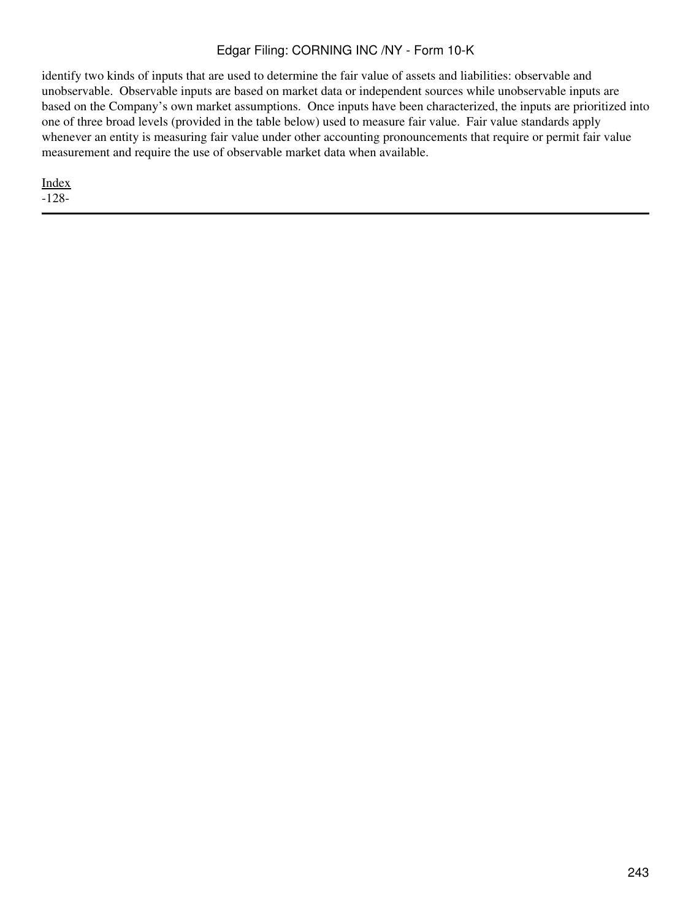identify two kinds of inputs that are used to determine the fair value of assets and liabilities: observable and unobservable. Observable inputs are based on market data or independent sources while unobservable inputs are based on the Company's own market assumptions. Once inputs have been characterized, the inputs are prioritized into one of three broad levels (provided in the table below) used to measure fair value. Fair value standards apply whenever an entity is measuring fair value under other accounting pronouncements that require or permit fair value measurement and require the use of observable market data when available.

[Index](#page-155-0)

-128-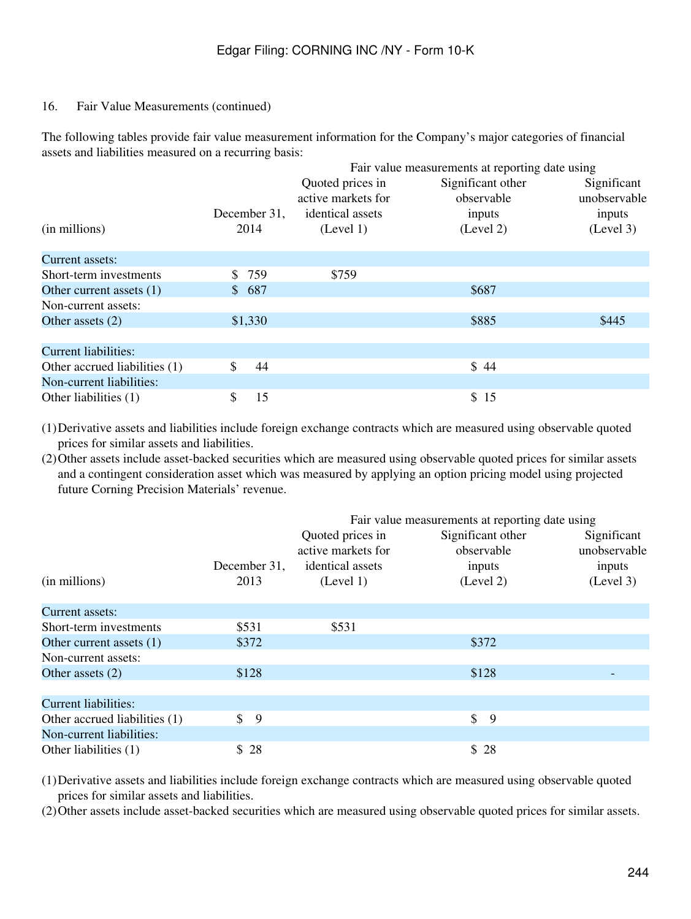#### 16. Fair Value Measurements (continued)

The following tables provide fair value measurement information for the Company's major categories of financial assets and liabilities measured on a recurring basis:

|                               |              |                    | Fair value measurements at reporting date using |              |
|-------------------------------|--------------|--------------------|-------------------------------------------------|--------------|
|                               |              | Quoted prices in   | Significant other                               | Significant  |
|                               |              | active markets for | observable                                      | unobservable |
|                               | December 31, | identical assets   | inputs                                          | inputs       |
| (in millions)                 | 2014         | (Level 1)          | (Level 2)                                       | (Level 3)    |
| Current assets:               |              |                    |                                                 |              |
| Short-term investments        | \$759        | \$759              |                                                 |              |
| Other current assets (1)      | \$687        |                    | \$687                                           |              |
| Non-current assets:           |              |                    |                                                 |              |
| Other assets $(2)$            | \$1,330      |                    | \$885                                           | \$445        |
| <b>Current liabilities:</b>   |              |                    |                                                 |              |
| Other accrued liabilities (1) | \$<br>44     |                    | \$44                                            |              |
| Non-current liabilities:      |              |                    |                                                 |              |
| Other liabilities (1)         | 15<br>\$     |                    | \$15                                            |              |

(1)Derivative assets and liabilities include foreign exchange contracts which are measured using observable quoted prices for similar assets and liabilities.

(2)Other assets include asset-backed securities which are measured using observable quoted prices for similar assets and a contingent consideration asset which was measured by applying an option pricing model using projected future Corning Precision Materials' revenue.

|                               |              |                                        | Fair value measurements at reporting date using |                             |
|-------------------------------|--------------|----------------------------------------|-------------------------------------------------|-----------------------------|
|                               |              | Quoted prices in<br>active markets for | Significant other<br>observable                 | Significant<br>unobservable |
|                               | December 31, | identical assets                       | inputs                                          | inputs                      |
| (in millions)                 | 2013         | (Level 1)                              | (Level 2)                                       | (Level 3)                   |
| Current assets:               |              |                                        |                                                 |                             |
| Short-term investments        | \$531        | \$531                                  |                                                 |                             |
| Other current assets (1)      | \$372        |                                        | \$372                                           |                             |
| Non-current assets:           |              |                                        |                                                 |                             |
| Other assets $(2)$            | \$128        |                                        | \$128                                           |                             |
| <b>Current liabilities:</b>   |              |                                        |                                                 |                             |
| Other accrued liabilities (1) | \$<br>-9     |                                        | $\mathbb{S}$<br>9                               |                             |
| Non-current liabilities:      |              |                                        |                                                 |                             |
| Other liabilities (1)         | \$28         |                                        | \$28                                            |                             |

(1)Derivative assets and liabilities include foreign exchange contracts which are measured using observable quoted prices for similar assets and liabilities.

(2)Other assets include asset-backed securities which are measured using observable quoted prices for similar assets.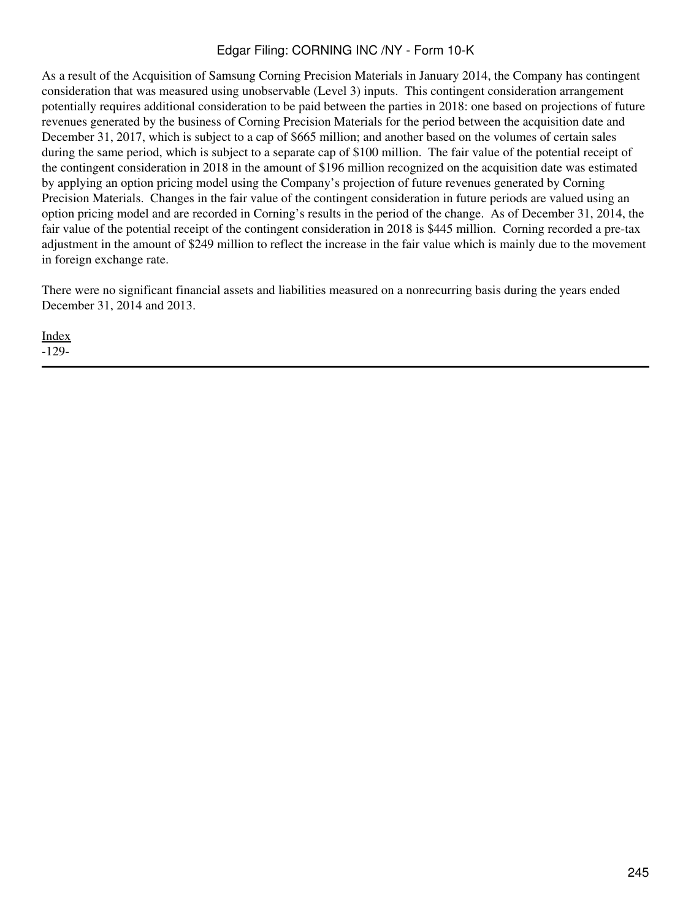As a result of the Acquisition of Samsung Corning Precision Materials in January 2014, the Company has contingent consideration that was measured using unobservable (Level 3) inputs. This contingent consideration arrangement potentially requires additional consideration to be paid between the parties in 2018: one based on projections of future revenues generated by the business of Corning Precision Materials for the period between the acquisition date and December 31, 2017, which is subject to a cap of \$665 million; and another based on the volumes of certain sales during the same period, which is subject to a separate cap of \$100 million. The fair value of the potential receipt of the contingent consideration in 2018 in the amount of \$196 million recognized on the acquisition date was estimated by applying an option pricing model using the Company's projection of future revenues generated by Corning Precision Materials. Changes in the fair value of the contingent consideration in future periods are valued using an option pricing model and are recorded in Corning's results in the period of the change. As of December 31, 2014, the fair value of the potential receipt of the contingent consideration in 2018 is \$445 million. Corning recorded a pre-tax adjustment in the amount of \$249 million to reflect the increase in the fair value which is mainly due to the movement in foreign exchange rate.

There were no significant financial assets and liabilities measured on a nonrecurring basis during the years ended December 31, 2014 and 2013.

[Index](#page-155-0) -129-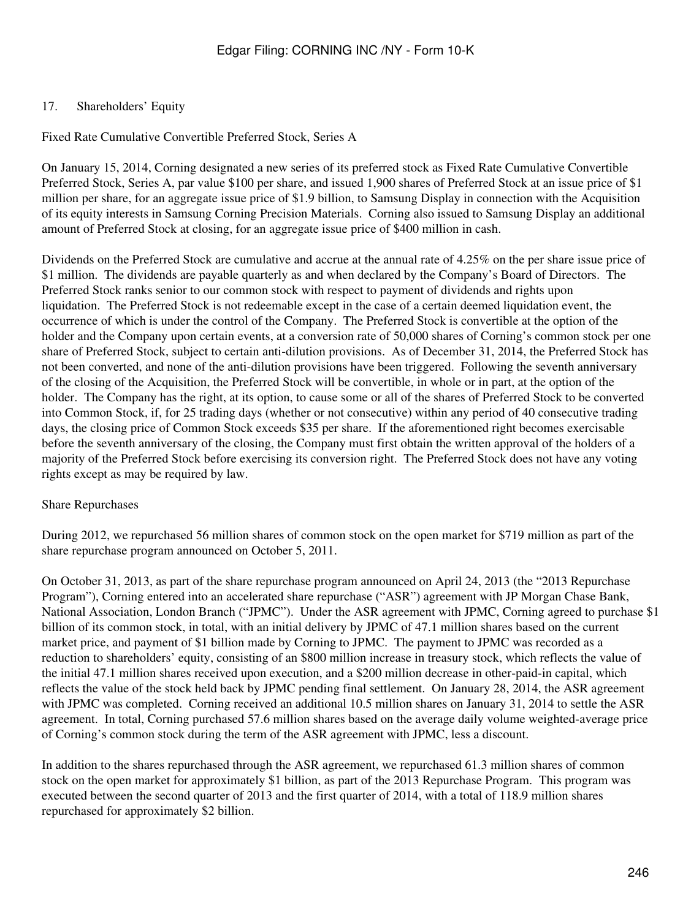### 17. Shareholders' Equity

Fixed Rate Cumulative Convertible Preferred Stock, Series A

On January 15, 2014, Corning designated a new series of its preferred stock as Fixed Rate Cumulative Convertible Preferred Stock, Series A, par value \$100 per share, and issued 1,900 shares of Preferred Stock at an issue price of \$1 million per share, for an aggregate issue price of \$1.9 billion, to Samsung Display in connection with the Acquisition of its equity interests in Samsung Corning Precision Materials. Corning also issued to Samsung Display an additional amount of Preferred Stock at closing, for an aggregate issue price of \$400 million in cash.

Dividends on the Preferred Stock are cumulative and accrue at the annual rate of 4.25% on the per share issue price of \$1 million. The dividends are payable quarterly as and when declared by the Company's Board of Directors. The Preferred Stock ranks senior to our common stock with respect to payment of dividends and rights upon liquidation. The Preferred Stock is not redeemable except in the case of a certain deemed liquidation event, the occurrence of which is under the control of the Company. The Preferred Stock is convertible at the option of the holder and the Company upon certain events, at a conversion rate of 50,000 shares of Corning's common stock per one share of Preferred Stock, subject to certain anti-dilution provisions. As of December 31, 2014, the Preferred Stock has not been converted, and none of the anti-dilution provisions have been triggered. Following the seventh anniversary of the closing of the Acquisition, the Preferred Stock will be convertible, in whole or in part, at the option of the holder. The Company has the right, at its option, to cause some or all of the shares of Preferred Stock to be converted into Common Stock, if, for 25 trading days (whether or not consecutive) within any period of 40 consecutive trading days, the closing price of Common Stock exceeds \$35 per share. If the aforementioned right becomes exercisable before the seventh anniversary of the closing, the Company must first obtain the written approval of the holders of a majority of the Preferred Stock before exercising its conversion right. The Preferred Stock does not have any voting rights except as may be required by law.

#### Share Repurchases

During 2012, we repurchased 56 million shares of common stock on the open market for \$719 million as part of the share repurchase program announced on October 5, 2011.

On October 31, 2013, as part of the share repurchase program announced on April 24, 2013 (the "2013 Repurchase Program"), Corning entered into an accelerated share repurchase ("ASR") agreement with JP Morgan Chase Bank, National Association, London Branch ("JPMC"). Under the ASR agreement with JPMC, Corning agreed to purchase \$1 billion of its common stock, in total, with an initial delivery by JPMC of 47.1 million shares based on the current market price, and payment of \$1 billion made by Corning to JPMC. The payment to JPMC was recorded as a reduction to shareholders' equity, consisting of an \$800 million increase in treasury stock, which reflects the value of the initial 47.1 million shares received upon execution, and a \$200 million decrease in other-paid-in capital, which reflects the value of the stock held back by JPMC pending final settlement. On January 28, 2014, the ASR agreement with JPMC was completed. Corning received an additional 10.5 million shares on January 31, 2014 to settle the ASR agreement. In total, Corning purchased 57.6 million shares based on the average daily volume weighted-average price of Corning's common stock during the term of the ASR agreement with JPMC, less a discount.

In addition to the shares repurchased through the ASR agreement, we repurchased 61.3 million shares of common stock on the open market for approximately \$1 billion, as part of the 2013 Repurchase Program. This program was executed between the second quarter of 2013 and the first quarter of 2014, with a total of 118.9 million shares repurchased for approximately \$2 billion.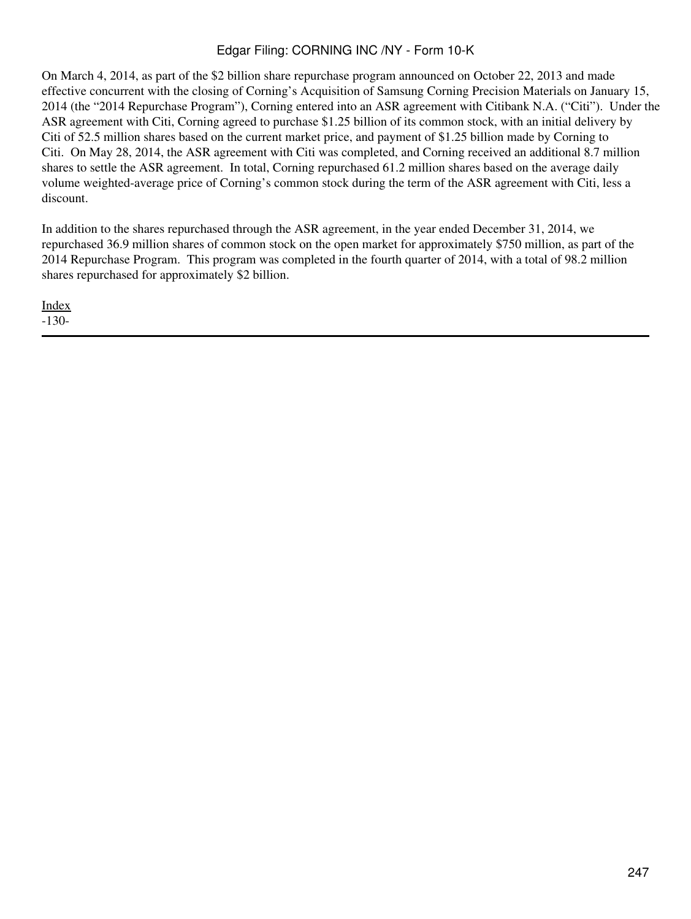On March 4, 2014, as part of the \$2 billion share repurchase program announced on October 22, 2013 and made effective concurrent with the closing of Corning's Acquisition of Samsung Corning Precision Materials on January 15, 2014 (the "2014 Repurchase Program"), Corning entered into an ASR agreement with Citibank N.A. ("Citi"). Under the ASR agreement with Citi, Corning agreed to purchase \$1.25 billion of its common stock, with an initial delivery by Citi of 52.5 million shares based on the current market price, and payment of \$1.25 billion made by Corning to Citi. On May 28, 2014, the ASR agreement with Citi was completed, and Corning received an additional 8.7 million shares to settle the ASR agreement. In total, Corning repurchased 61.2 million shares based on the average daily volume weighted-average price of Corning's common stock during the term of the ASR agreement with Citi, less a discount.

In addition to the shares repurchased through the ASR agreement, in the year ended December 31, 2014, we repurchased 36.9 million shares of common stock on the open market for approximately \$750 million, as part of the 2014 Repurchase Program. This program was completed in the fourth quarter of 2014, with a total of 98.2 million shares repurchased for approximately \$2 billion.

[Index](#page-155-0) -130-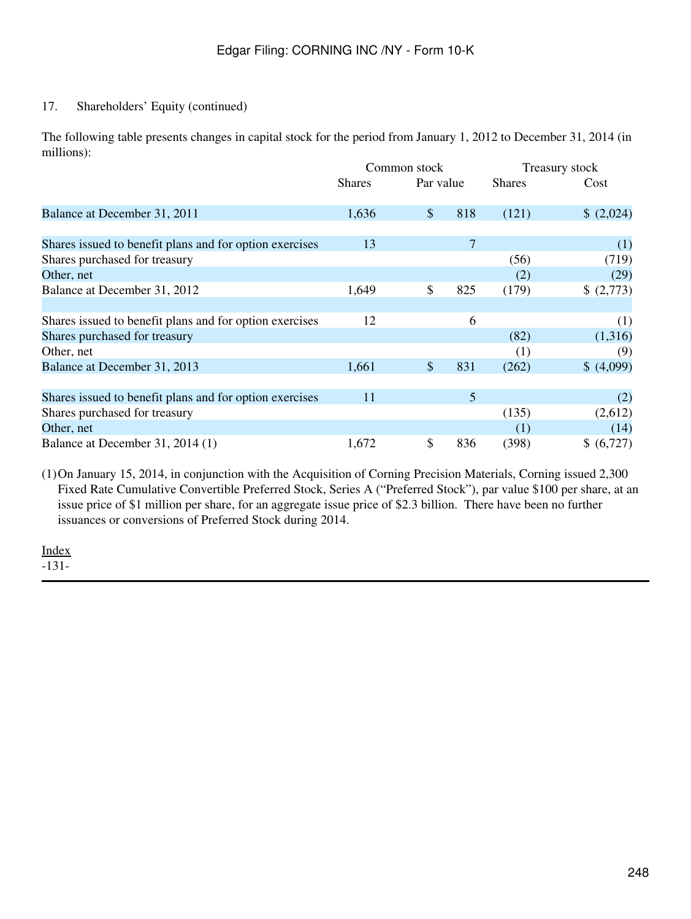### 17. Shareholders' Equity (continued)

The following table presents changes in capital stock for the period from January 1, 2012 to December 31, 2014 (in millions):

|                                                         |               | Common stock         |               | <b>Treasury stock</b> |  |  |
|---------------------------------------------------------|---------------|----------------------|---------------|-----------------------|--|--|
|                                                         | <b>Shares</b> | Par value            | <b>Shares</b> | Cost                  |  |  |
| Balance at December 31, 2011                            | 1,636         | $\mathcal{S}$<br>818 | (121)         | (2,024)               |  |  |
|                                                         |               |                      |               |                       |  |  |
| Shares issued to benefit plans and for option exercises | 13            | 7                    |               | (1)                   |  |  |
| Shares purchased for treasury                           |               |                      | (56)          | (719)                 |  |  |
| Other, net                                              |               |                      | (2)           | (29)                  |  |  |
| Balance at December 31, 2012                            | 1,649         | \$<br>825            | (179)         | (2,773)               |  |  |
|                                                         |               |                      |               |                       |  |  |
| Shares issued to benefit plans and for option exercises | 12            | 6                    |               | (1)                   |  |  |
| Shares purchased for treasury                           |               |                      | (82)          | (1,316)               |  |  |
| Other, net                                              |               |                      | (1)           | (9)                   |  |  |
| Balance at December 31, 2013                            | 1,661         | $\mathcal{S}$<br>831 | (262)         | \$ (4,099)            |  |  |
|                                                         |               |                      |               |                       |  |  |
| Shares issued to benefit plans and for option exercises | 11            | 5                    |               | (2)                   |  |  |
| Shares purchased for treasury                           |               |                      | (135)         | (2,612)               |  |  |
| Other, net                                              |               |                      | (1)           | (14)                  |  |  |
| Balance at December 31, 2014 (1)                        | 1,672         | \$<br>836            | (398)         | \$ (6,727)            |  |  |

(1)On January 15, 2014, in conjunction with the Acquisition of Corning Precision Materials, Corning issued 2,300 Fixed Rate Cumulative Convertible Preferred Stock, Series A ("Preferred Stock"), par value \$100 per share, at an issue price of \$1 million per share, for an aggregate issue price of \$2.3 billion. There have been no further issuances or conversions of Preferred Stock during 2014.

[Index](#page-155-0)

-131-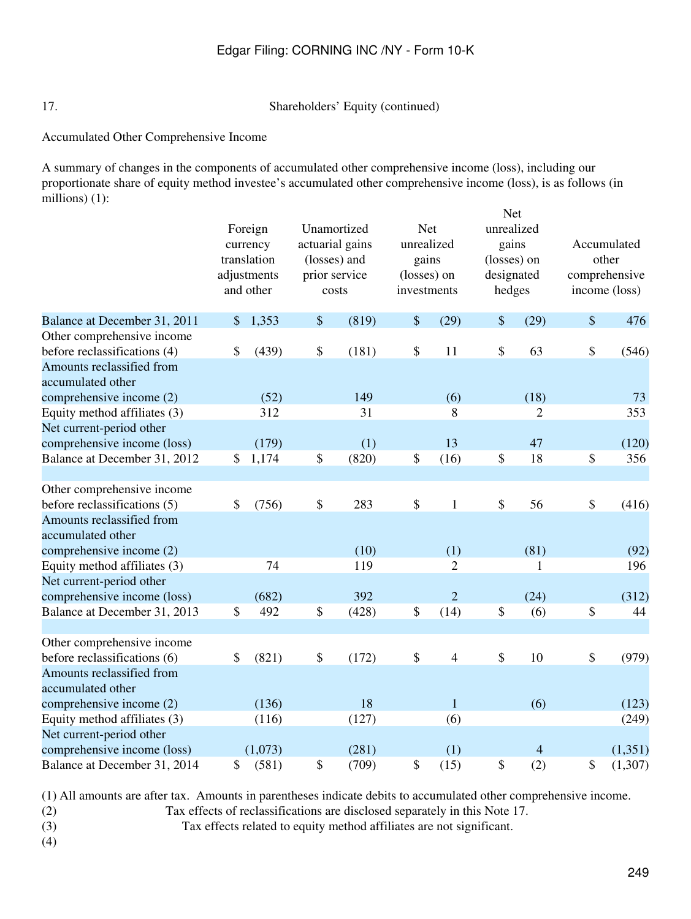17. Shareholders' Equity (continued)

Accumulated Other Comprehensive Income

A summary of changes in the components of accumulated other comprehensive income (loss), including our proportionate share of equity method investee's accumulated other comprehensive income (loss), is as follows (in millions) (1):  $N_{\alpha t}$ 

|                                                | Foreign<br>currency<br>translation<br>adjustments<br>and other |         | Unamortized<br>actuarial gains<br>(losses) and<br>prior service<br>costs |       | <b>Net</b><br>unrealized<br>gains<br>(losses) on<br>investments |                | <b>Net</b><br>unrealized<br>gains<br>(losses) on<br>designated<br>hedges |                | Accumulated<br>other<br>comprehensive<br>income (loss) |          |
|------------------------------------------------|----------------------------------------------------------------|---------|--------------------------------------------------------------------------|-------|-----------------------------------------------------------------|----------------|--------------------------------------------------------------------------|----------------|--------------------------------------------------------|----------|
| Balance at December 31, 2011                   | \$                                                             | 1,353   | $\$\,$                                                                   | (819) | \$                                                              | (29)           | \$                                                                       | (29)           | $\boldsymbol{\mathsf{S}}$                              | 476      |
| Other comprehensive income                     |                                                                |         |                                                                          |       |                                                                 |                |                                                                          |                |                                                        |          |
| before reclassifications (4)                   | \$                                                             | (439)   | \$                                                                       | (181) | \$                                                              | 11             | \$                                                                       | 63             | \$                                                     | (546)    |
| Amounts reclassified from<br>accumulated other |                                                                |         |                                                                          |       |                                                                 |                |                                                                          |                |                                                        |          |
| comprehensive income (2)                       |                                                                | (52)    |                                                                          | 149   |                                                                 | (6)            |                                                                          | (18)           |                                                        | 73       |
| Equity method affiliates (3)                   |                                                                | 312     |                                                                          | 31    |                                                                 | 8              |                                                                          | $\overline{2}$ |                                                        | 353      |
| Net current-period other                       |                                                                |         |                                                                          |       |                                                                 |                |                                                                          |                |                                                        |          |
| comprehensive income (loss)                    |                                                                | (179)   |                                                                          | (1)   |                                                                 | 13             |                                                                          | 47             |                                                        | (120)    |
| Balance at December 31, 2012                   | \$                                                             | 1,174   | \$                                                                       | (820) | \$                                                              | (16)           | \$                                                                       | 18             | $\boldsymbol{\$}$                                      | 356      |
| Other comprehensive income                     |                                                                |         |                                                                          |       |                                                                 |                |                                                                          |                |                                                        |          |
| before reclassifications (5)                   | \$                                                             | (756)   | $\boldsymbol{\$}$                                                        | 283   | $\boldsymbol{\mathsf{S}}$                                       | $\mathbf{1}$   | \$                                                                       | 56             | $\$$                                                   | (416)    |
| Amounts reclassified from<br>accumulated other |                                                                |         |                                                                          |       |                                                                 |                |                                                                          |                |                                                        |          |
| comprehensive income (2)                       |                                                                |         |                                                                          | (10)  |                                                                 | (1)            |                                                                          | (81)           |                                                        | (92)     |
| Equity method affiliates (3)                   |                                                                | 74      |                                                                          | 119   |                                                                 | 2              |                                                                          | 1              |                                                        | 196      |
| Net current-period other                       |                                                                |         |                                                                          |       |                                                                 |                |                                                                          |                |                                                        |          |
| comprehensive income (loss)                    |                                                                | (682)   |                                                                          | 392   |                                                                 | $\overline{2}$ |                                                                          | (24)           |                                                        | (312)    |
| Balance at December 31, 2013                   | \$                                                             | 492     | $\$$                                                                     | (428) | \$                                                              | (14)           | \$                                                                       | (6)            | \$                                                     | 44       |
| Other comprehensive income                     |                                                                |         |                                                                          |       |                                                                 |                |                                                                          |                |                                                        |          |
| before reclassifications (6)                   | \$                                                             | (821)   | $\$\,$                                                                   | (172) | \$                                                              | $\overline{4}$ | \$                                                                       | 10             | $\$$                                                   | (979)    |
| Amounts reclassified from<br>accumulated other |                                                                |         |                                                                          |       |                                                                 |                |                                                                          |                |                                                        |          |
| comprehensive income (2)                       |                                                                | (136)   |                                                                          | 18    |                                                                 | $\mathbf{1}$   |                                                                          | (6)            |                                                        | (123)    |
| Equity method affiliates (3)                   |                                                                | (116)   |                                                                          | (127) |                                                                 | (6)            |                                                                          |                |                                                        | (249)    |
| Net current-period other                       |                                                                |         |                                                                          |       |                                                                 |                |                                                                          |                |                                                        |          |
| comprehensive income (loss)                    |                                                                | (1,073) |                                                                          | (281) |                                                                 | (1)            |                                                                          | $\overline{4}$ |                                                        | (1, 351) |
| Balance at December 31, 2014                   | \$                                                             | (581)   | \$                                                                       | (709) | \$                                                              | (15)           | \$                                                                       | (2)            | \$                                                     | (1,307)  |

(1) All amounts are after tax. Amounts in parentheses indicate debits to accumulated other comprehensive income.

- (2) Tax effects of reclassifications are disclosed separately in this Note 17.
- 

(3) Tax effects related to equity method affiliates are not significant.

(4)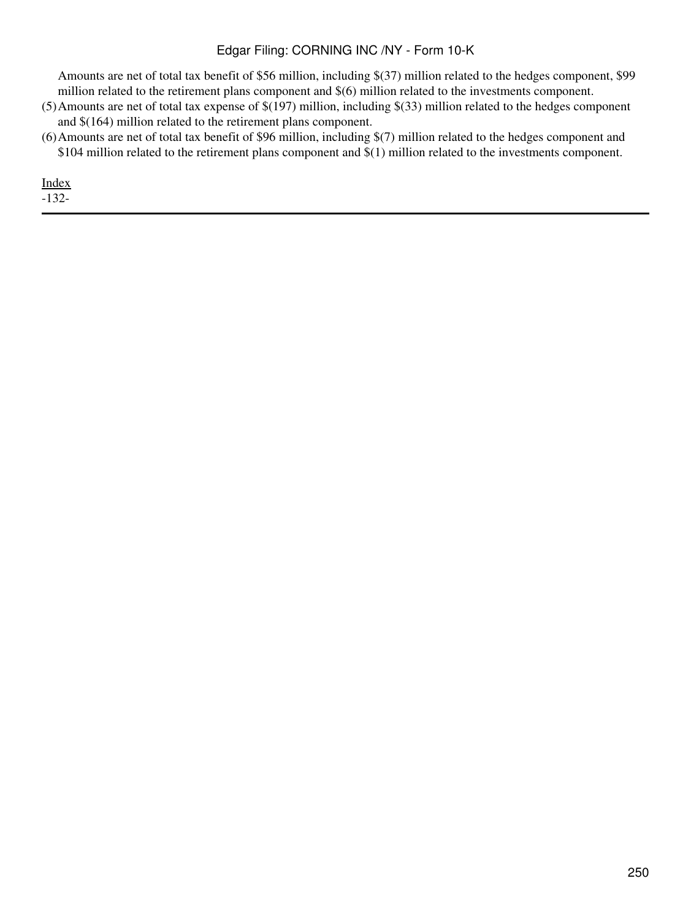Amounts are net of total tax benefit of \$56 million, including \$(37) million related to the hedges component, \$99 million related to the retirement plans component and \$(6) million related to the investments component.

- (5)Amounts are net of total tax expense of \$(197) million, including \$(33) million related to the hedges component and \$(164) million related to the retirement plans component.
- (6)Amounts are net of total tax benefit of \$96 million, including \$(7) million related to the hedges component and \$104 million related to the retirement plans component and \$(1) million related to the investments component.

[Index](#page-155-0)

-132-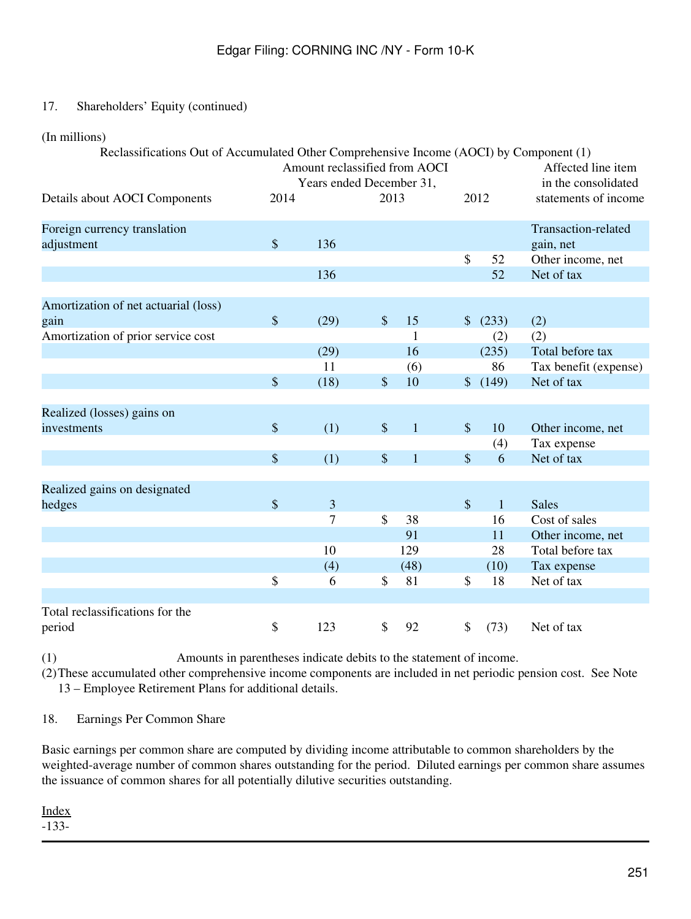# 17. Shareholders' Equity (continued)

(In millions)

|  | Reclassifications Out of Accumulated Other Comprehensive Income (AOCI) by Component (1) |  |
|--|-----------------------------------------------------------------------------------------|--|
|  |                                                                                         |  |

|                                              | Amount reclassified from AOCI<br>Years ended December 31, |                |                           |              |                           |              | Affected line item<br>in the consolidated |
|----------------------------------------------|-----------------------------------------------------------|----------------|---------------------------|--------------|---------------------------|--------------|-------------------------------------------|
| Details about AOCI Components                | 2014                                                      |                | 2013                      |              | 2012                      |              | statements of income                      |
| Foreign currency translation<br>adjustment   | $\mathcal{S}$                                             | 136            |                           |              |                           |              | Transaction-related<br>gain, net          |
|                                              |                                                           |                |                           |              | $\boldsymbol{\mathsf{S}}$ | 52           | Other income, net                         |
|                                              |                                                           | 136            |                           |              |                           | 52           | Net of tax                                |
|                                              |                                                           |                |                           |              |                           |              |                                           |
| Amortization of net actuarial (loss)<br>gain | \$                                                        | (29)           | $\boldsymbol{\mathsf{S}}$ | 15           | $\frac{1}{2}$             | (233)        | (2)                                       |
| Amortization of prior service cost           |                                                           |                |                           | $\mathbf{1}$ |                           | (2)          | (2)                                       |
|                                              |                                                           | (29)           |                           | 16           |                           | (235)        | Total before tax                          |
|                                              |                                                           | 11             |                           | (6)          |                           | 86           | Tax benefit (expense)                     |
|                                              | \$                                                        | (18)           | \$                        | 10           | $\mathcal{S}$             | (149)        | Net of tax                                |
|                                              |                                                           |                |                           |              |                           |              |                                           |
| Realized (losses) gains on                   |                                                           |                |                           |              |                           |              |                                           |
| investments                                  | \$                                                        | (1)            | \$                        | $\mathbf{1}$ | $\boldsymbol{\mathsf{S}}$ | 10           | Other income, net                         |
|                                              |                                                           |                |                           |              |                           | (4)          | Tax expense                               |
|                                              | \$                                                        | (1)            | $\mathcal{S}$             | $\mathbf{1}$ | $\mathsf{\$}$             | 6            | Net of tax                                |
|                                              |                                                           |                |                           |              |                           |              |                                           |
| Realized gains on designated                 |                                                           |                |                           |              |                           |              |                                           |
| hedges                                       | \$                                                        | $\overline{3}$ |                           |              | $\sqrt$                   | $\mathbf{1}$ | <b>Sales</b>                              |
|                                              |                                                           | $\overline{7}$ | \$                        | 38           |                           | 16           | Cost of sales                             |
|                                              |                                                           |                |                           | 91           |                           | 11           | Other income, net                         |
|                                              |                                                           | 10             |                           | 129          |                           | 28           | Total before tax                          |
|                                              |                                                           | (4)            |                           | (48)         |                           | (10)         | Tax expense                               |
|                                              | \$                                                        | 6              | \$                        | 81           | \$                        | 18           | Net of tax                                |
|                                              |                                                           |                |                           |              |                           |              |                                           |
| Total reclassifications for the              |                                                           |                |                           |              |                           |              |                                           |
| period                                       | \$                                                        | 123            | \$                        | 92           | \$                        | (73)         | Net of tax                                |

(1) Amounts in parentheses indicate debits to the statement of income.

(2)These accumulated other comprehensive income components are included in net periodic pension cost. See Note 13 – Employee Retirement Plans for additional details.

18. Earnings Per Common Share

Basic earnings per common share are computed by dividing income attributable to common shareholders by the weighted-average number of common shares outstanding for the period. Diluted earnings per common share assumes the issuance of common shares for all potentially dilutive securities outstanding.

[Index](#page-155-0) -133-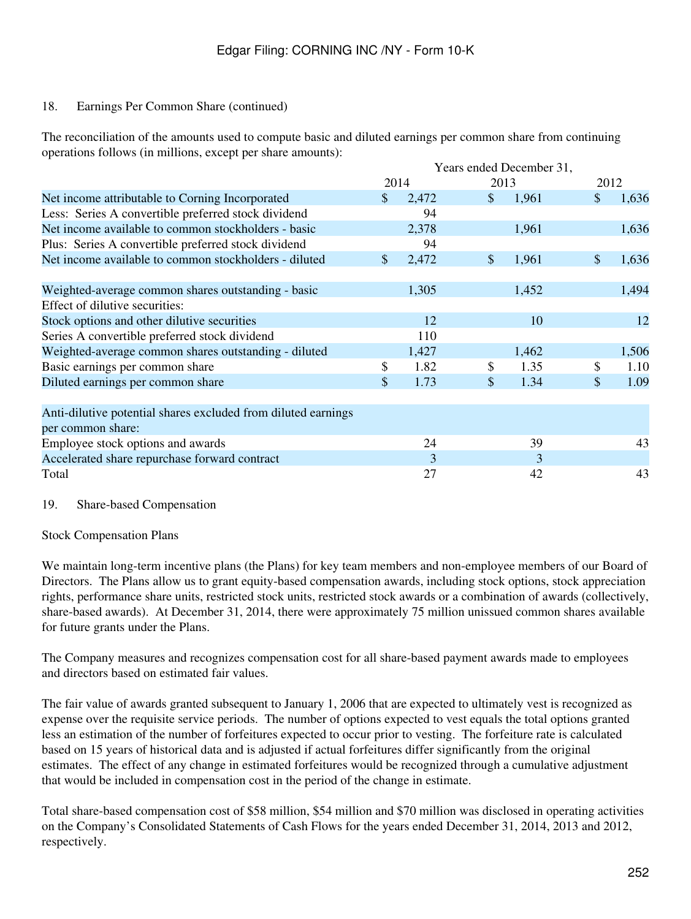### 18. Earnings Per Common Share (continued)

The reconciliation of the amounts used to compute basic and diluted earnings per common share from continuing operations follows (in millions, except per share amounts):

|                                                               | Years ended December 31, |       |               |       |              |       |  |
|---------------------------------------------------------------|--------------------------|-------|---------------|-------|--------------|-------|--|
|                                                               |                          | 2014  |               | 2013  |              | 2012  |  |
| Net income attributable to Corning Incorporated               | $\mathbb{S}$             | 2,472 | $\mathcal{S}$ | 1,961 | \$           | 1,636 |  |
| Less: Series A convertible preferred stock dividend           |                          | 94    |               |       |              |       |  |
| Net income available to common stockholders - basic           |                          | 2,378 |               | 1,961 |              | 1,636 |  |
| Plus: Series A convertible preferred stock dividend           |                          | 94    |               |       |              |       |  |
| Net income available to common stockholders - diluted         | $\mathcal{S}$            | 2,472 | $\mathbb{S}$  | 1,961 | $\mathbb{S}$ | 1,636 |  |
| Weighted-average common shares outstanding - basic            |                          | 1,305 |               | 1,452 |              | 1,494 |  |
| Effect of dilutive securities:                                |                          |       |               |       |              |       |  |
| Stock options and other dilutive securities                   |                          | 12    |               | 10    |              | 12    |  |
| Series A convertible preferred stock dividend                 |                          | 110   |               |       |              |       |  |
| Weighted-average common shares outstanding - diluted          |                          | 1,427 |               | 1,462 |              | 1,506 |  |
| Basic earnings per common share                               | \$                       | 1.82  | \$            | 1.35  | \$           | 1.10  |  |
| Diluted earnings per common share                             | \$                       | 1.73  | \$            | 1.34  | \$           | 1.09  |  |
| Anti-dilutive potential shares excluded from diluted earnings |                          |       |               |       |              |       |  |
| per common share:                                             |                          |       |               |       |              |       |  |
| Employee stock options and awards                             |                          | 24    |               | 39    |              | 43    |  |
| Accelerated share repurchase forward contract                 |                          | 3     |               | 3     |              |       |  |
| Total                                                         |                          | 27    |               | 42    |              | 43    |  |

#### 19. Share-based Compensation

#### Stock Compensation Plans

We maintain long-term incentive plans (the Plans) for key team members and non-employee members of our Board of Directors. The Plans allow us to grant equity-based compensation awards, including stock options, stock appreciation rights, performance share units, restricted stock units, restricted stock awards or a combination of awards (collectively, share-based awards). At December 31, 2014, there were approximately 75 million unissued common shares available for future grants under the Plans.

The Company measures and recognizes compensation cost for all share-based payment awards made to employees and directors based on estimated fair values.

The fair value of awards granted subsequent to January 1, 2006 that are expected to ultimately vest is recognized as expense over the requisite service periods. The number of options expected to vest equals the total options granted less an estimation of the number of forfeitures expected to occur prior to vesting. The forfeiture rate is calculated based on 15 years of historical data and is adjusted if actual forfeitures differ significantly from the original estimates. The effect of any change in estimated forfeitures would be recognized through a cumulative adjustment that would be included in compensation cost in the period of the change in estimate.

Total share-based compensation cost of \$58 million, \$54 million and \$70 million was disclosed in operating activities on the Company's Consolidated Statements of Cash Flows for the years ended December 31, 2014, 2013 and 2012, respectively.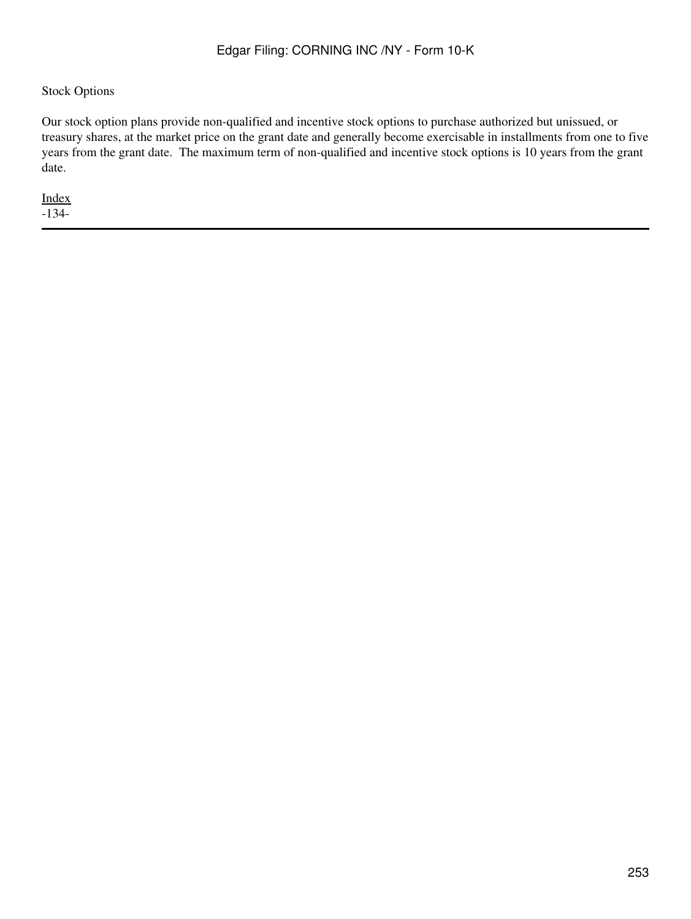## Stock Options

Our stock option plans provide non-qualified and incentive stock options to purchase authorized but unissued, or treasury shares, at the market price on the grant date and generally become exercisable in installments from one to five years from the grant date. The maximum term of non-qualified and incentive stock options is 10 years from the grant date.

[Index](#page-155-0) -134-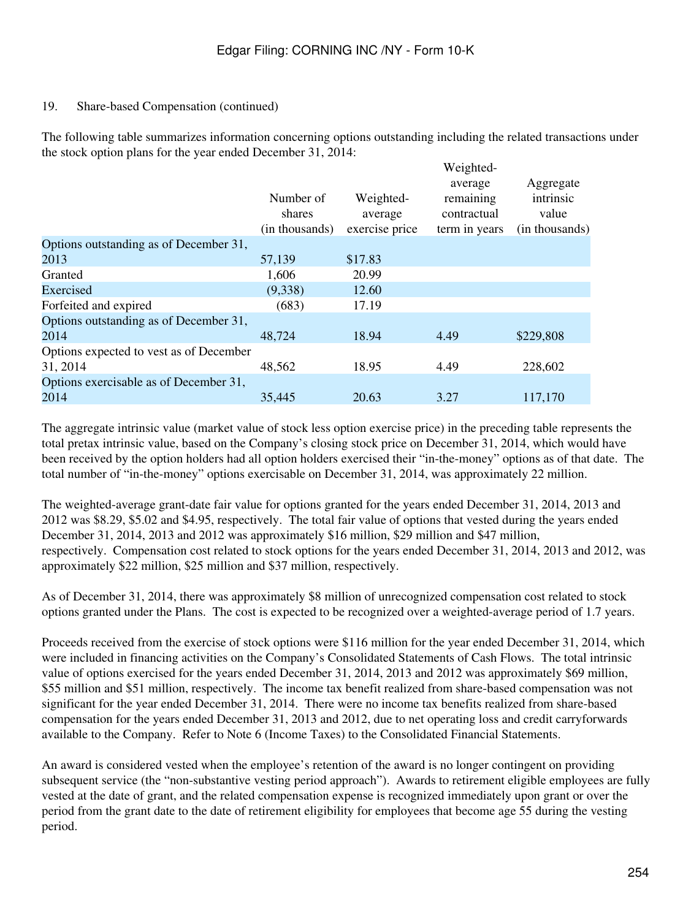## 19. Share-based Compensation (continued)

The following table summarizes information concerning options outstanding including the related transactions under the stock option plans for the year ended December 31, 2014:

 $W_{\alpha}$ ighted

|                                         | Number of<br>shares<br>(in thousands) | Weighted-<br>average<br>exercise price | $\mathbf{v}$ cignica-<br>average<br>remaining<br>contractual<br>term in years | Aggregate<br>intrinsic<br>value<br>(in thousands) |
|-----------------------------------------|---------------------------------------|----------------------------------------|-------------------------------------------------------------------------------|---------------------------------------------------|
| Options outstanding as of December 31,  |                                       |                                        |                                                                               |                                                   |
| 2013                                    | 57,139                                | \$17.83                                |                                                                               |                                                   |
| Granted                                 | 1,606                                 | 20.99                                  |                                                                               |                                                   |
| Exercised                               | (9,338)                               | 12.60                                  |                                                                               |                                                   |
| Forfeited and expired                   | (683)                                 | 17.19                                  |                                                                               |                                                   |
| Options outstanding as of December 31,  |                                       |                                        |                                                                               |                                                   |
| 2014                                    | 48,724                                | 18.94                                  | 4.49                                                                          | \$229,808                                         |
| Options expected to vest as of December |                                       |                                        |                                                                               |                                                   |
| 31, 2014                                | 48,562                                | 18.95                                  | 4.49                                                                          | 228,602                                           |
| Options exercisable as of December 31,  |                                       |                                        |                                                                               |                                                   |
| 2014                                    | 35,445                                | 20.63                                  | 3.27                                                                          | 117,170                                           |

The aggregate intrinsic value (market value of stock less option exercise price) in the preceding table represents the total pretax intrinsic value, based on the Company's closing stock price on December 31, 2014, which would have been received by the option holders had all option holders exercised their "in-the-money" options as of that date. The total number of "in-the-money" options exercisable on December 31, 2014, was approximately 22 million.

The weighted-average grant-date fair value for options granted for the years ended December 31, 2014, 2013 and 2012 was \$8.29, \$5.02 and \$4.95, respectively. The total fair value of options that vested during the years ended December 31, 2014, 2013 and 2012 was approximately \$16 million, \$29 million and \$47 million, respectively. Compensation cost related to stock options for the years ended December 31, 2014, 2013 and 2012, was approximately \$22 million, \$25 million and \$37 million, respectively.

As of December 31, 2014, there was approximately \$8 million of unrecognized compensation cost related to stock options granted under the Plans. The cost is expected to be recognized over a weighted-average period of 1.7 years.

Proceeds received from the exercise of stock options were \$116 million for the year ended December 31, 2014, which were included in financing activities on the Company's Consolidated Statements of Cash Flows. The total intrinsic value of options exercised for the years ended December 31, 2014, 2013 and 2012 was approximately \$69 million, \$55 million and \$51 million, respectively. The income tax benefit realized from share-based compensation was not significant for the year ended December 31, 2014. There were no income tax benefits realized from share-based compensation for the years ended December 31, 2013 and 2012, due to net operating loss and credit carryforwards available to the Company. Refer to Note 6 (Income Taxes) to the Consolidated Financial Statements.

An award is considered vested when the employee's retention of the award is no longer contingent on providing subsequent service (the "non-substantive vesting period approach"). Awards to retirement eligible employees are fully vested at the date of grant, and the related compensation expense is recognized immediately upon grant or over the period from the grant date to the date of retirement eligibility for employees that become age 55 during the vesting period.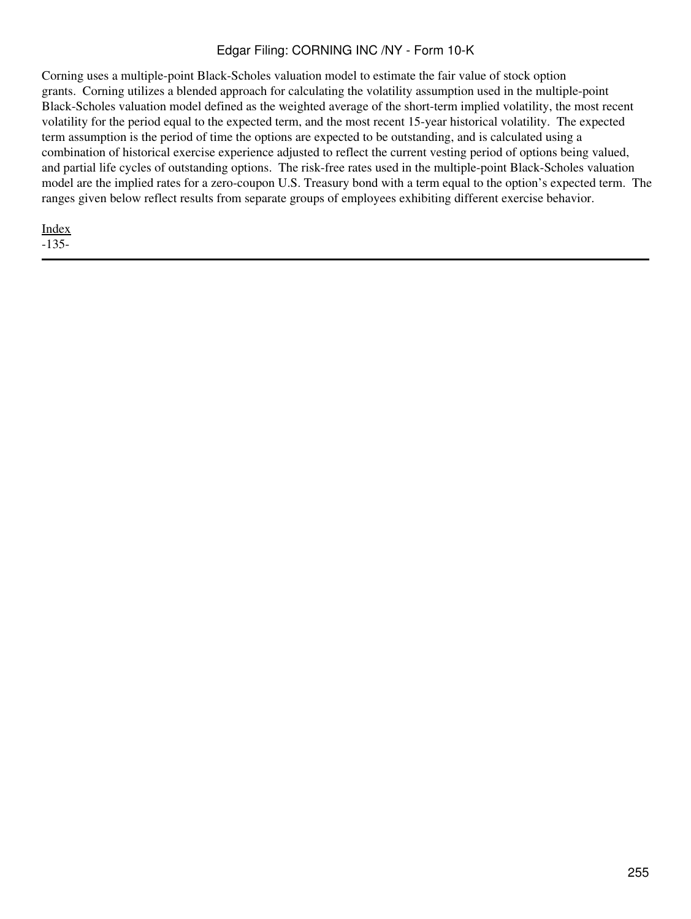Corning uses a multiple-point Black-Scholes valuation model to estimate the fair value of stock option grants. Corning utilizes a blended approach for calculating the volatility assumption used in the multiple-point Black-Scholes valuation model defined as the weighted average of the short-term implied volatility, the most recent volatility for the period equal to the expected term, and the most recent 15-year historical volatility. The expected term assumption is the period of time the options are expected to be outstanding, and is calculated using a combination of historical exercise experience adjusted to reflect the current vesting period of options being valued, and partial life cycles of outstanding options. The risk-free rates used in the multiple-point Black-Scholes valuation model are the implied rates for a zero-coupon U.S. Treasury bond with a term equal to the option's expected term. The ranges given below reflect results from separate groups of employees exhibiting different exercise behavior.

[Index](#page-155-0)

-135-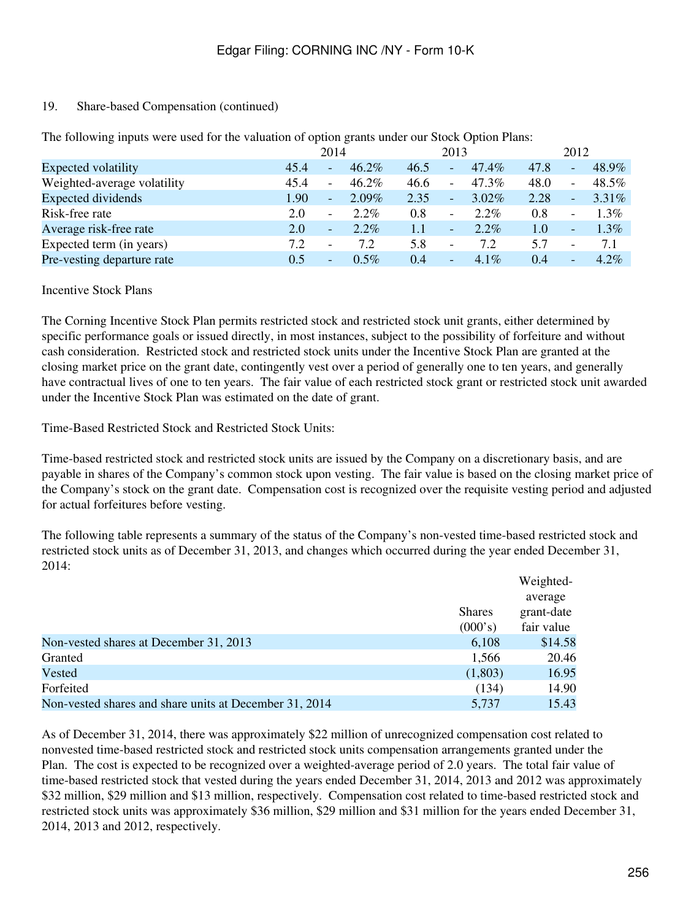# 19. Share-based Compensation (continued)

|                             |      | 2014                     |          |      | 2013                     |          |      | 2012                     |          |  |
|-----------------------------|------|--------------------------|----------|------|--------------------------|----------|------|--------------------------|----------|--|
| Expected volatility         | 45.4 | $\overline{\phantom{a}}$ | $46.2\%$ | 46.5 | $\qquad \qquad -$        | 47.4%    | 47.8 | $\qquad \qquad -$        | 48.9%    |  |
| Weighted-average volatility | 45.4 | $\overline{\phantom{a}}$ | $46.2\%$ | 46.6 | $\overline{\phantom{a}}$ | $47.3\%$ | 48.0 | $\overline{\phantom{a}}$ | 48.5%    |  |
| Expected dividends          | 1.90 | $\sim$                   | $2.09\%$ | 2.35 | $\overline{\phantom{a}}$ | $3.02\%$ | 2.28 | $\qquad \qquad -$        | $3.31\%$ |  |
| Risk-free rate              | 2.0  | $\overline{\phantom{0}}$ | $2.2\%$  | 0.8  | -                        | $2.2\%$  | 0.8  | $\overline{\phantom{a}}$ | $1.3\%$  |  |
| Average risk-free rate      | 2.0  | $\overline{\phantom{a}}$ | $2.2\%$  | 1.1  | -                        | $2.2\%$  | 1.0  | $\overline{\phantom{a}}$ | $1.3\%$  |  |
| Expected term (in years)    | 7.2  | $\overline{\phantom{a}}$ | 7.2      | 5.8  | $\overline{\phantom{a}}$ | 7.2      | 5.7  | $\overline{\phantom{a}}$ | 7.1      |  |
| Pre-vesting departure rate  | 0.5  |                          | $0.5\%$  | 0.4  | -                        | $4.1\%$  | 0.4  | $\overline{\phantom{0}}$ | $4.2\%$  |  |

The following inputs were used for the valuation of option grants under our Stock Option Plans:

Incentive Stock Plans

The Corning Incentive Stock Plan permits restricted stock and restricted stock unit grants, either determined by specific performance goals or issued directly, in most instances, subject to the possibility of forfeiture and without cash consideration. Restricted stock and restricted stock units under the Incentive Stock Plan are granted at the closing market price on the grant date, contingently vest over a period of generally one to ten years, and generally have contractual lives of one to ten years. The fair value of each restricted stock grant or restricted stock unit awarded under the Incentive Stock Plan was estimated on the date of grant.

Time-Based Restricted Stock and Restricted Stock Units:

Time-based restricted stock and restricted stock units are issued by the Company on a discretionary basis, and are payable in shares of the Company's common stock upon vesting. The fair value is based on the closing market price of the Company's stock on the grant date. Compensation cost is recognized over the requisite vesting period and adjusted for actual forfeitures before vesting.

The following table represents a summary of the status of the Company's non-vested time-based restricted stock and restricted stock units as of December 31, 2013, and changes which occurred during the year ended December 31, 2014:

|                                                        |               | Weighted-  |
|--------------------------------------------------------|---------------|------------|
|                                                        |               | average    |
|                                                        | <b>Shares</b> | grant-date |
|                                                        | (000's)       | fair value |
| Non-vested shares at December 31, 2013                 | 6,108         | \$14.58    |
| Granted                                                | 1,566         | 20.46      |
| Vested                                                 | (1,803)       | 16.95      |
| Forfeited                                              | (134)         | 14.90      |
| Non-vested shares and share units at December 31, 2014 | 5.737         | 15.43      |

As of December 31, 2014, there was approximately \$22 million of unrecognized compensation cost related to nonvested time-based restricted stock and restricted stock units compensation arrangements granted under the Plan. The cost is expected to be recognized over a weighted-average period of 2.0 years. The total fair value of time-based restricted stock that vested during the years ended December 31, 2014, 2013 and 2012 was approximately \$32 million, \$29 million and \$13 million, respectively. Compensation cost related to time-based restricted stock and restricted stock units was approximately \$36 million, \$29 million and \$31 million for the years ended December 31, 2014, 2013 and 2012, respectively.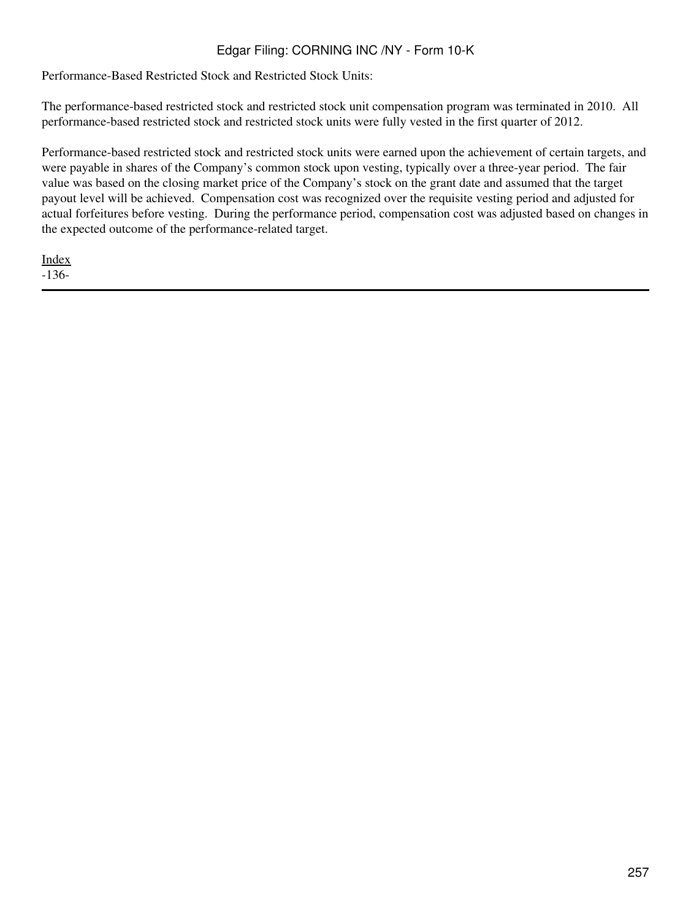Performance-Based Restricted Stock and Restricted Stock Units:

The performance-based restricted stock and restricted stock unit compensation program was terminated in 2010. All performance-based restricted stock and restricted stock units were fully vested in the first quarter of 2012.

Performance-based restricted stock and restricted stock units were earned upon the achievement of certain targets, and were payable in shares of the Company's common stock upon vesting, typically over a three-year period. The fair value was based on the closing market price of the Company's stock on the grant date and assumed that the target payout level will be achieved. Compensation cost was recognized over the requisite vesting period and adjusted for actual forfeitures before vesting. During the performance period, compensation cost was adjusted based on changes in the expected outcome of the performance-related target.

[Index](#page-155-0) -136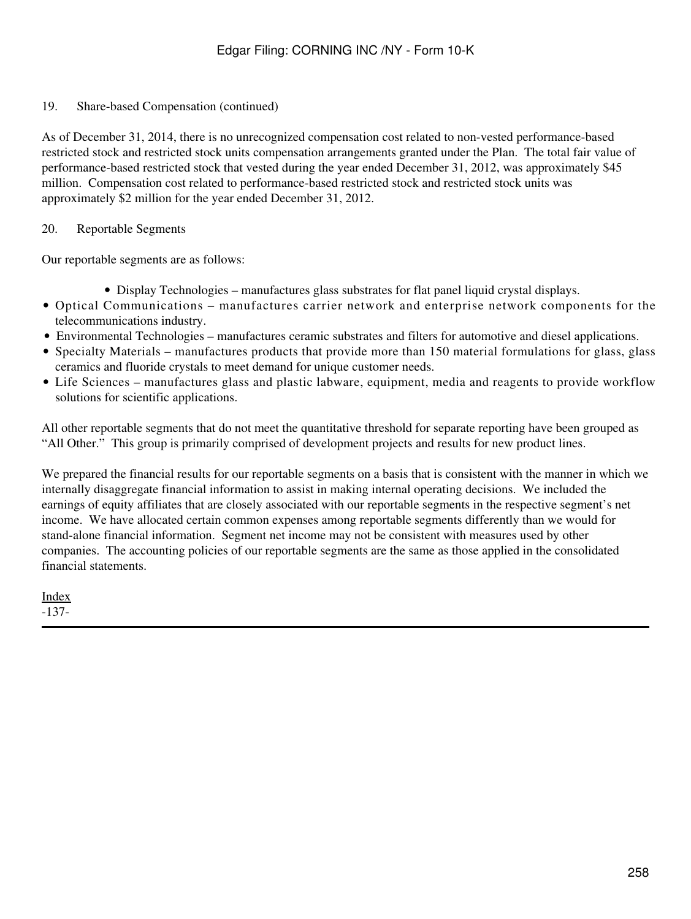19. Share-based Compensation (continued)

As of December 31, 2014, there is no unrecognized compensation cost related to non-vested performance-based restricted stock and restricted stock units compensation arrangements granted under the Plan. The total fair value of performance-based restricted stock that vested during the year ended December 31, 2012, was approximately \$45 million. Compensation cost related to performance-based restricted stock and restricted stock units was approximately \$2 million for the year ended December 31, 2012.

### 20. Reportable Segments

Our reportable segments are as follows:

- Display Technologies manufactures glass substrates for flat panel liquid crystal displays.
- Optical Communications manufactures carrier network and enterprise network components for the telecommunications industry.
- Environmental Technologies manufactures ceramic substrates and filters for automotive and diesel applications.
- Specialty Materials manufactures products that provide more than 150 material formulations for glass, glass ceramics and fluoride crystals to meet demand for unique customer needs.
- Life Sciences manufactures glass and plastic labware, equipment, media and reagents to provide workflow solutions for scientific applications.

All other reportable segments that do not meet the quantitative threshold for separate reporting have been grouped as "All Other." This group is primarily comprised of development projects and results for new product lines.

We prepared the financial results for our reportable segments on a basis that is consistent with the manner in which we internally disaggregate financial information to assist in making internal operating decisions. We included the earnings of equity affiliates that are closely associated with our reportable segments in the respective segment's net income. We have allocated certain common expenses among reportable segments differently than we would for stand-alone financial information. Segment net income may not be consistent with measures used by other companies. The accounting policies of our reportable segments are the same as those applied in the consolidated financial statements.

[Index](#page-155-0) -137-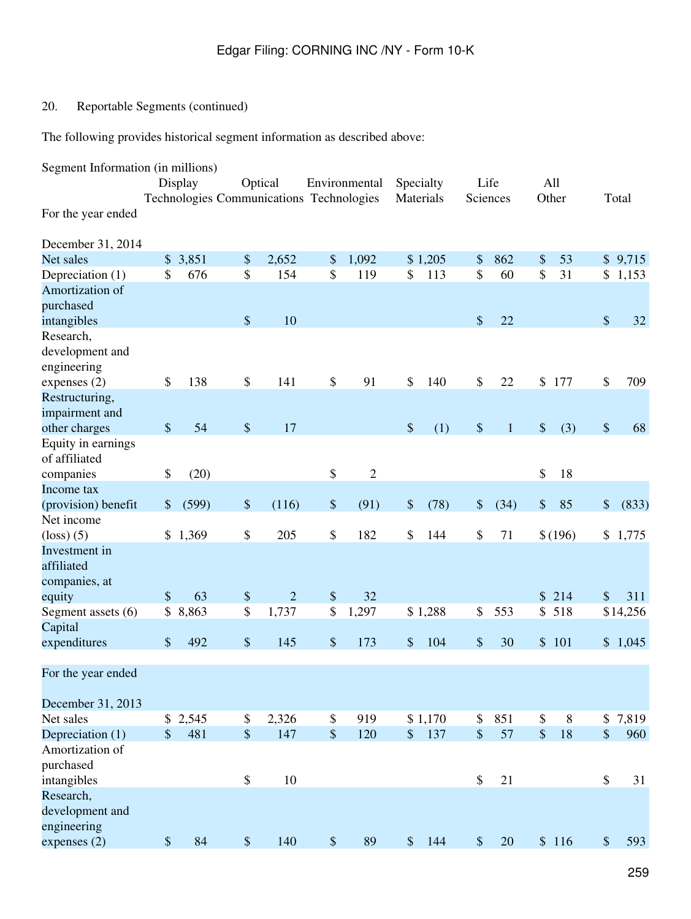# 20. Reportable Segments (continued)

The following provides historical segment information as described above:

| Segment Information (in millions)   |               |                                          |                           |                |       |                |               |         |                   |              |               |         |               |          |
|-------------------------------------|---------------|------------------------------------------|---------------------------|----------------|-------|----------------|---------------|---------|-------------------|--------------|---------------|---------|---------------|----------|
|                                     |               | Display                                  |                           | Optical        |       | Environmental  | Specialty     |         |                   | Life         |               | All     |               |          |
|                                     |               | Technologies Communications Technologies |                           |                |       |                | Materials     |         |                   | Sciences     |               | Other   |               | Total    |
| For the year ended                  |               |                                          |                           |                |       |                |               |         |                   |              |               |         |               |          |
| December 31, 2014                   |               |                                          |                           |                |       |                |               |         |                   |              |               |         |               |          |
| Net sales                           | \$            | 3,851                                    | $\boldsymbol{\mathsf{S}}$ | 2,652          | \$    | 1,092          |               | \$1,205 | \$                | 862          | \$            | 53      |               | \$9,715  |
| Depreciation (1)                    | \$            | 676                                      | \$                        | 154            | \$    | 119            | \$            | 113     | \$                | 60           | \$            | 31      | \$            | 1,153    |
| Amortization of                     |               |                                          |                           |                |       |                |               |         |                   |              |               |         |               |          |
| purchased                           |               |                                          |                           |                |       |                |               |         |                   |              |               |         |               |          |
| intangibles                         |               |                                          | $\boldsymbol{\mathsf{S}}$ | 10             |       |                |               |         | \$                | 22           |               |         | \$            | 32       |
| Research,                           |               |                                          |                           |                |       |                |               |         |                   |              |               |         |               |          |
| development and                     |               |                                          |                           |                |       |                |               |         |                   |              |               |         |               |          |
| engineering                         |               |                                          |                           |                |       |                |               |         |                   |              |               |         |               |          |
| expenses $(2)$                      | \$            | 138                                      | \$                        | 141            | \$    | 91             | \$            | 140     | \$                | 22           | \$            | 177     | \$            | 709      |
| Restructuring,                      |               |                                          |                           |                |       |                |               |         |                   |              |               |         |               |          |
| impairment and                      |               |                                          |                           |                |       |                |               |         |                   |              |               |         |               |          |
| other charges                       | $\$\$         | 54                                       | $\boldsymbol{\mathsf{S}}$ | 17             |       |                | $\$\$         | (1)     | $\boldsymbol{\$}$ | $\mathbf{1}$ | $\$\,$        | (3)     | \$            | 68       |
| Equity in earnings<br>of affiliated |               |                                          |                           |                |       |                |               |         |                   |              |               |         |               |          |
| companies                           | \$            | (20)                                     |                           |                | \$    | $\overline{2}$ |               |         |                   |              | \$            | 18      |               |          |
| Income tax                          |               |                                          |                           |                |       |                |               |         |                   |              |               |         |               |          |
| (provision) benefit                 | \$            | (599)                                    | $\$\,$                    | (116)          | \$    | (91)           | $\$\,$        | (78)    | \$                | (34)         | \$            | 85      | \$            | (833)    |
| Net income                          |               |                                          |                           |                |       |                |               |         |                   |              |               |         |               |          |
| $\left($ loss $\right)$ $(5)$       | \$            | 1,369                                    | \$                        | 205            | \$    | 182            | \$            | 144     | \$                | 71           |               | \$(196) | \$            | 1,775    |
| Investment in<br>affiliated         |               |                                          |                           |                |       |                |               |         |                   |              |               |         |               |          |
| companies, at<br>equity             | \$            | 63                                       | $\boldsymbol{\$}$         | $\overline{2}$ | $\$$  | 32             |               |         |                   |              | \$            | 214     | \$            | 311      |
| Segment assets (6)                  | \$            | 8,863                                    | \$                        | 1,737          | \$    | 1,297          |               | \$1,288 | \$                | 553          | \$            | 518     |               | \$14,256 |
| Capital                             |               |                                          |                           |                |       |                |               |         |                   |              |               |         |               |          |
| expenditures                        | \$            | 492                                      | $\boldsymbol{\mathsf{S}}$ | 145            | \$    | 173            | \$            | 104     | \$                | 30           | \$            | 101     |               | \$1,045  |
|                                     |               |                                          |                           |                |       |                |               |         |                   |              |               |         |               |          |
| For the year ended                  |               |                                          |                           |                |       |                |               |         |                   |              |               |         |               |          |
| December 31, 2013                   |               |                                          |                           |                |       |                |               |         |                   |              |               |         |               |          |
| Net sales                           | $\mathcal{S}$ | 2,545                                    | \$                        | 2,326          | \$    | 919            |               | \$1,170 | \$                | 851          | \$            | $8\,$   | \$            | 7,819    |
| Depreciation (1)                    | $\mathcal{S}$ | 481                                      | $\frac{1}{2}$             | 147            | \$    | 120            | $\mathbb{S}$  | 137     | $\frac{1}{2}$     | 57           | $\frac{1}{2}$ | 18      | \$            | 960      |
| Amortization of                     |               |                                          |                           |                |       |                |               |         |                   |              |               |         |               |          |
| purchased                           |               |                                          |                           |                |       |                |               |         |                   |              |               |         |               |          |
| intangibles                         |               |                                          | $\boldsymbol{\mathsf{S}}$ | 10             |       |                |               |         | \$                | 21           |               |         | \$            | 31       |
| Research,                           |               |                                          |                           |                |       |                |               |         |                   |              |               |         |               |          |
| development and<br>engineering      |               |                                          |                           |                |       |                |               |         |                   |              |               |         |               |          |
| expenses (2)                        | $\mathcal{S}$ | 84                                       | $\boldsymbol{\mathsf{S}}$ | 140            | $\$\$ | 89             | $\mathcal{S}$ | 144     | $\$\$             | 20           |               | \$116   | $\mathcal{S}$ | 593      |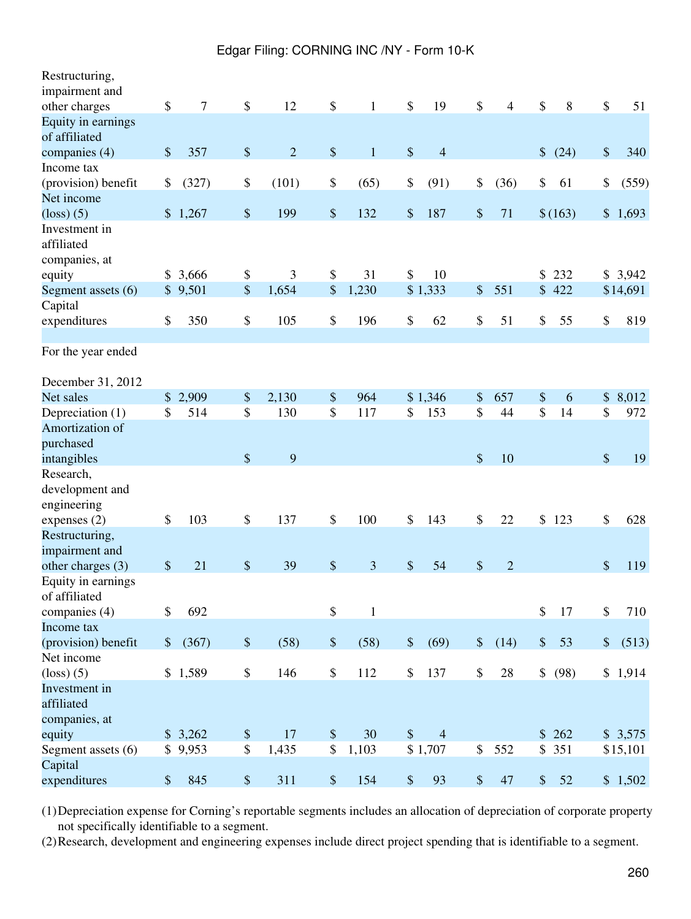| Restructuring,                               |               |         |                           |                |                   |              |        |                |       |                |        |         |             |
|----------------------------------------------|---------------|---------|---------------------------|----------------|-------------------|--------------|--------|----------------|-------|----------------|--------|---------|-------------|
| impairment and                               |               |         |                           |                |                   |              |        |                |       |                |        |         |             |
| other charges                                | \$            | 7       | $\boldsymbol{\mathsf{S}}$ | 12             | \$                | $\mathbf{1}$ | \$     | 19             | \$    | $\overline{4}$ | \$     | 8       | \$<br>51    |
| Equity in earnings<br>of affiliated          |               |         |                           |                |                   |              |        |                |       |                |        |         |             |
| companies (4)                                | \$            | 357     | \$                        | $\overline{2}$ | \$                | $\mathbf{1}$ | \$     | $\overline{4}$ |       |                | \$     | (24)    | \$<br>340   |
| Income tax                                   |               |         |                           |                |                   |              |        |                |       |                |        |         |             |
| (provision) benefit                          | \$            | (327)   | \$                        | (101)          | \$                | (65)         | \$     | (91)           | \$    | (36)           | \$     | 61      | \$<br>(559) |
| Net income                                   |               |         |                           |                |                   |              |        |                |       |                |        |         |             |
| $\left( \text{loss} \right)$ (5)             |               | \$1,267 | \$                        | 199            | $\boldsymbol{\$}$ | 132          | \$     | 187            | \$    | 71             |        | \$(163) | \$1,693     |
| Investment in<br>affiliated<br>companies, at |               |         |                           |                |                   |              |        |                |       |                |        |         |             |
| equity                                       |               | \$3,666 | \$                        | 3              | \$                | 31           | \$     | 10             |       |                | \$     | 232     | \$3,942     |
| Segment assets (6)                           |               | \$9,501 | \$                        | 1,654          | \$                | 1,230        |        | \$1,333        | \$    | 551            | \$     | 422     | \$14,691    |
| Capital                                      |               |         |                           |                |                   |              |        |                |       |                |        |         |             |
| expenditures                                 | \$            | 350     | \$                        | 105            | \$                | 196          | \$     | 62             | \$    | 51             | \$     | 55      | \$<br>819   |
|                                              |               |         |                           |                |                   |              |        |                |       |                |        |         |             |
| For the year ended                           |               |         |                           |                |                   |              |        |                |       |                |        |         |             |
| December 31, 2012                            |               |         |                           |                |                   |              |        |                |       |                |        |         |             |
| Net sales                                    | $\mathsf{\$}$ | 2,909   | \$                        | 2,130          | \$                | 964          |        | \$1,346        | \$    | 657            | \$     | 6       | \$<br>8,012 |
| Depreciation (1)                             | \$            | 514     | \$                        | 130            | \$                | 117          | \$     | 153            | \$    | 44             | \$     | 14      | \$<br>972   |
| Amortization of                              |               |         |                           |                |                   |              |        |                |       |                |        |         |             |
| purchased                                    |               |         |                           |                |                   |              |        |                |       |                |        |         |             |
| intangibles                                  |               |         | \$                        | 9              |                   |              |        |                | \$    | 10             |        |         | \$<br>19    |
| Research,<br>development and<br>engineering  |               |         |                           |                |                   |              |        |                |       |                |        |         |             |
| expenses $(2)$                               | \$            | 103     | \$                        | 137            | \$                | 100          | \$     | 143            | \$    | 22             | \$     | 123     | \$<br>628   |
| Restructuring,<br>impairment and             |               |         |                           |                |                   |              |        |                |       |                |        |         |             |
| other charges (3)                            | $\$\$         | 21      | \$                        | 39             | \$                | 3            | \$     | 54             | \$    | $\overline{2}$ |        |         | \$<br>119   |
| Equity in earnings<br>of affiliated          | \$            |         |                           |                |                   |              |        |                |       |                |        |         |             |
| companies (4)<br>Income tax                  |               | 692     |                           |                | \$                | $\mathbf{1}$ |        |                |       |                | \$     | 17      | \$<br>710   |
| (provision) benefit                          | $\frac{1}{2}$ | (367)   | $\$$                      | (58)           | $\$$              | (58)         | $\$\,$ | (69)           | $\$\$ | (14)           | $\$\,$ | 53      | \$<br>(513) |
| Net income                                   |               |         |                           |                |                   |              |        |                |       |                |        |         |             |
| $\left($ loss $\right)$ $(5)$                |               | \$1,589 | \$                        | 146            | \$                | 112          | \$     | 137            | \$    | 28             | \$     | (98)    | \$1,914     |
| Investment in<br>affiliated<br>companies, at |               |         |                           |                |                   |              |        |                |       |                |        |         |             |
| equity                                       |               | \$3,262 | $\boldsymbol{\mathsf{S}}$ | 17             | \$                | 30           | \$     | $\overline{4}$ |       |                | \$     | 262     | \$3,575     |
| Segment assets (6)                           |               | \$9,953 | \$                        | 1,435          | \$                | 1,103        |        | \$1,707        | \$    | 552            |        | \$351   | \$15,101    |
| Capital                                      |               |         |                           |                |                   |              |        |                |       |                |        |         |             |
| expenditures                                 | \$            | 845     | \$                        | 311            | $\boldsymbol{\$}$ | 154          | \$     | 93             | \$    | 47             | \$     | 52      | \$1,502     |

(1)Depreciation expense for Corning's reportable segments includes an allocation of depreciation of corporate property not specifically identifiable to a segment.

(2)Research, development and engineering expenses include direct project spending that is identifiable to a segment.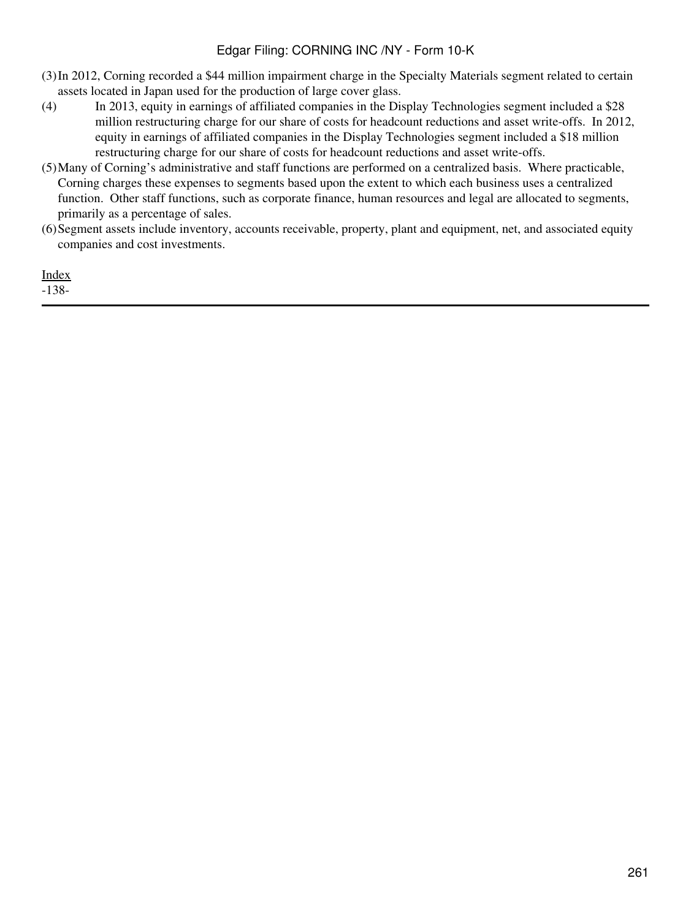- (3)In 2012, Corning recorded a \$44 million impairment charge in the Specialty Materials segment related to certain assets located in Japan used for the production of large cover glass.
- (4) In 2013, equity in earnings of affiliated companies in the Display Technologies segment included a \$28 million restructuring charge for our share of costs for headcount reductions and asset write-offs. In 2012, equity in earnings of affiliated companies in the Display Technologies segment included a \$18 million restructuring charge for our share of costs for headcount reductions and asset write-offs.
- (5)Many of Corning's administrative and staff functions are performed on a centralized basis. Where practicable, Corning charges these expenses to segments based upon the extent to which each business uses a centralized function. Other staff functions, such as corporate finance, human resources and legal are allocated to segments, primarily as a percentage of sales.
- (6)Segment assets include inventory, accounts receivable, property, plant and equipment, net, and associated equity companies and cost investments.

[Index](#page-155-0)

-138-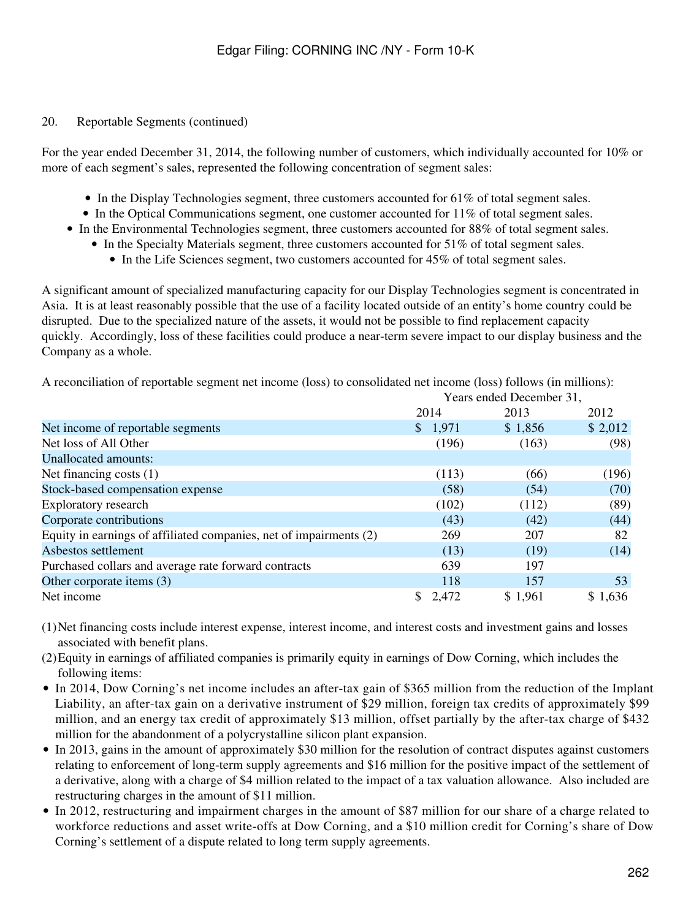#### 20. Reportable Segments (continued)

For the year ended December 31, 2014, the following number of customers, which individually accounted for 10% or more of each segment's sales, represented the following concentration of segment sales:

- In the Display Technologies segment, three customers accounted for 61% of total segment sales.
- In the Optical Communications segment, one customer accounted for 11% of total segment sales.
- In the Environmental Technologies segment, three customers accounted for 88% of total segment sales.
	- In the Specialty Materials segment, three customers accounted for 51% of total segment sales.
		- In the Life Sciences segment, two customers accounted for 45% of total segment sales.

A significant amount of specialized manufacturing capacity for our Display Technologies segment is concentrated in Asia. It is at least reasonably possible that the use of a facility located outside of an entity's home country could be disrupted. Due to the specialized nature of the assets, it would not be possible to find replacement capacity quickly. Accordingly, loss of these facilities could produce a near-term severe impact to our display business and the Company as a whole.

A reconciliation of reportable segment net income (loss) to consolidated net income (loss) follows (in millions):

| 2014    | 2013    | 2012                     |
|---------|---------|--------------------------|
| \$1,971 | \$1,856 | \$2,012                  |
| (196)   | (163)   | (98)                     |
|         |         |                          |
| (113)   | (66)    | (196)                    |
| (58)    | (54)    | (70)                     |
| (102)   | (112)   | (89)                     |
| (43)    | (42)    | (44)                     |
| 269     | 207     | 82                       |
| (13)    | (19)    | (14)                     |
| 639     | 197     |                          |
| 118     | 157     | 53                       |
| \$2,472 | \$1,961 | \$1,636                  |
|         |         | Years ended December 31, |

(1)Net financing costs include interest expense, interest income, and interest costs and investment gains and losses associated with benefit plans.

- (2)Equity in earnings of affiliated companies is primarily equity in earnings of Dow Corning, which includes the following items:
- In 2014, Dow Corning's net income includes an after-tax gain of \$365 million from the reduction of the Implant Liability, an after-tax gain on a derivative instrument of \$29 million, foreign tax credits of approximately \$99 million, and an energy tax credit of approximately \$13 million, offset partially by the after-tax charge of \$432 million for the abandonment of a polycrystalline silicon plant expansion.
- In 2013, gains in the amount of approximately \$30 million for the resolution of contract disputes against customers relating to enforcement of long-term supply agreements and \$16 million for the positive impact of the settlement of a derivative, along with a charge of \$4 million related to the impact of a tax valuation allowance. Also included are restructuring charges in the amount of \$11 million.
- In 2012, restructuring and impairment charges in the amount of \$87 million for our share of a charge related to workforce reductions and asset write-offs at Dow Corning, and a \$10 million credit for Corning's share of Dow Corning's settlement of a dispute related to long term supply agreements.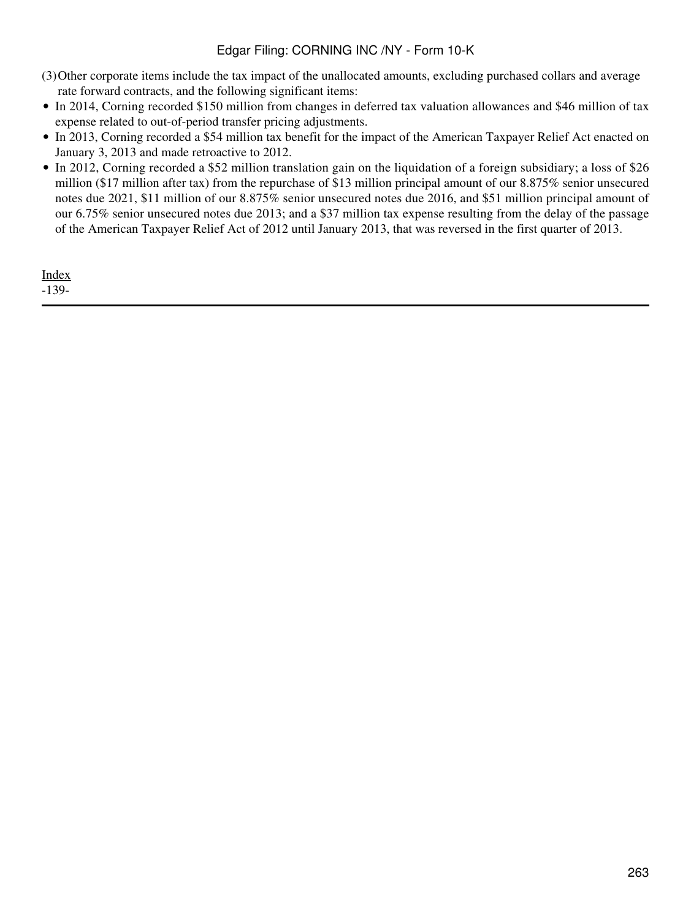- (3)Other corporate items include the tax impact of the unallocated amounts, excluding purchased collars and average rate forward contracts, and the following significant items:
- In 2014, Corning recorded \$150 million from changes in deferred tax valuation allowances and \$46 million of tax expense related to out-of-period transfer pricing adjustments.
- In 2013, Corning recorded a \$54 million tax benefit for the impact of the American Taxpayer Relief Act enacted on January 3, 2013 and made retroactive to 2012.
- In 2012, Corning recorded a \$52 million translation gain on the liquidation of a foreign subsidiary; a loss of \$26 million (\$17 million after tax) from the repurchase of \$13 million principal amount of our 8.875% senior unsecured notes due 2021, \$11 million of our 8.875% senior unsecured notes due 2016, and \$51 million principal amount of our 6.75% senior unsecured notes due 2013; and a \$37 million tax expense resulting from the delay of the passage of the American Taxpayer Relief Act of 2012 until January 2013, that was reversed in the first quarter of 2013.

[Index](#page-155-0) -139-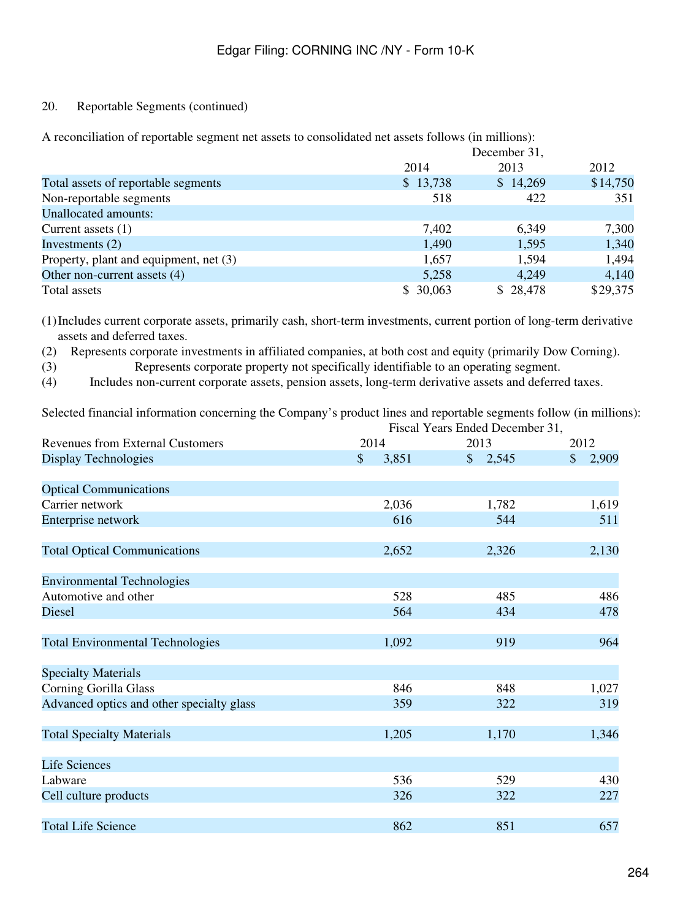## 20. Reportable Segments (continued)

A reconciliation of reportable segment net assets to consolidated net assets follows (in millions):

|                                        | December 31, |          |          |  |  |  |  |
|----------------------------------------|--------------|----------|----------|--|--|--|--|
|                                        | 2014         | 2013     | 2012     |  |  |  |  |
| Total assets of reportable segments    | \$13,738     | \$14,269 | \$14,750 |  |  |  |  |
| Non-reportable segments                | 518          | 422      | 351      |  |  |  |  |
| <b>Unallocated amounts:</b>            |              |          |          |  |  |  |  |
| Current assets $(1)$                   | 7,402        | 6,349    | 7,300    |  |  |  |  |
| Investments $(2)$                      | 1,490        | 1,595    | 1,340    |  |  |  |  |
| Property, plant and equipment, net (3) | 1,657        | 1,594    | 1,494    |  |  |  |  |
| Other non-current assets (4)           | 5,258        | 4,249    | 4,140    |  |  |  |  |
| Total assets                           | \$30,063     | \$28,478 | \$29,375 |  |  |  |  |

(1)Includes current corporate assets, primarily cash, short-term investments, current portion of long-term derivative assets and deferred taxes.

(2) Represents corporate investments in affiliated companies, at both cost and equity (primarily Dow Corning).

(3) Represents corporate property not specifically identifiable to an operating segment.

(4) Includes non-current corporate assets, pension assets, long-term derivative assets and deferred taxes.

Selected financial information concerning the Company's product lines and reportable segments follow (in millions): Fiscal Years Ended December 31,

|                                           |                        | I Iscar I cars Ended December 91, |                        |  |  |  |
|-------------------------------------------|------------------------|-----------------------------------|------------------------|--|--|--|
| <b>Revenues from External Customers</b>   | 2014                   | 2013                              | 2012                   |  |  |  |
| <b>Display Technologies</b>               | $\mathsf{\$}$<br>3,851 | \$2,545                           | $\mathcal{S}$<br>2,909 |  |  |  |
|                                           |                        |                                   |                        |  |  |  |
| <b>Optical Communications</b>             |                        |                                   |                        |  |  |  |
| Carrier network                           | 2,036                  | 1,782                             | 1,619                  |  |  |  |
| Enterprise network                        | 616                    | 544                               | 511                    |  |  |  |
| <b>Total Optical Communications</b>       | 2,652                  | 2,326                             | 2,130                  |  |  |  |
| <b>Environmental Technologies</b>         |                        |                                   |                        |  |  |  |
| Automotive and other                      | 528                    | 485                               | 486                    |  |  |  |
| Diesel                                    | 564                    | 434                               | 478                    |  |  |  |
| <b>Total Environmental Technologies</b>   | 1,092                  | 919                               | 964                    |  |  |  |
| <b>Specialty Materials</b>                |                        |                                   |                        |  |  |  |
| <b>Corning Gorilla Glass</b>              | 846                    | 848                               | 1,027                  |  |  |  |
| Advanced optics and other specialty glass | 359                    | 322                               | 319                    |  |  |  |
| <b>Total Specialty Materials</b>          | 1,205                  | 1,170                             | 1,346                  |  |  |  |
| <b>Life Sciences</b>                      |                        |                                   |                        |  |  |  |
| Labware                                   | 536                    | 529                               | 430                    |  |  |  |
| Cell culture products                     | 326                    | 322                               | 227                    |  |  |  |
| <b>Total Life Science</b>                 | 862                    | 851                               | 657                    |  |  |  |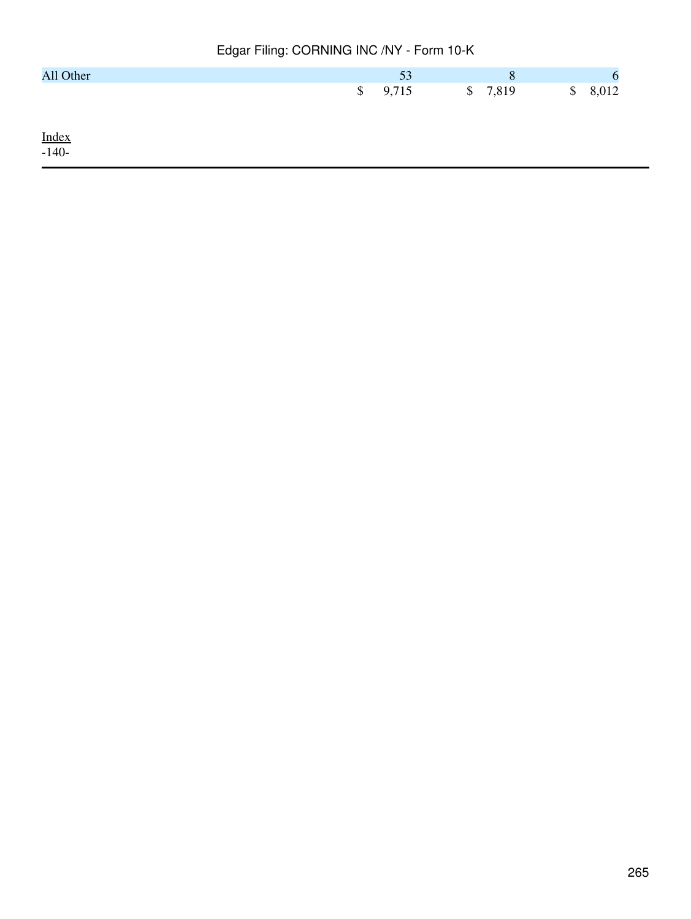| All Other    | 53          | 8       |             |
|--------------|-------------|---------|-------------|
|              | \$<br>9,715 | \$7,819 | \$<br>8,012 |
|              |             |         |             |
|              |             |         |             |
| $Index-140-$ |             |         |             |
|              |             |         |             |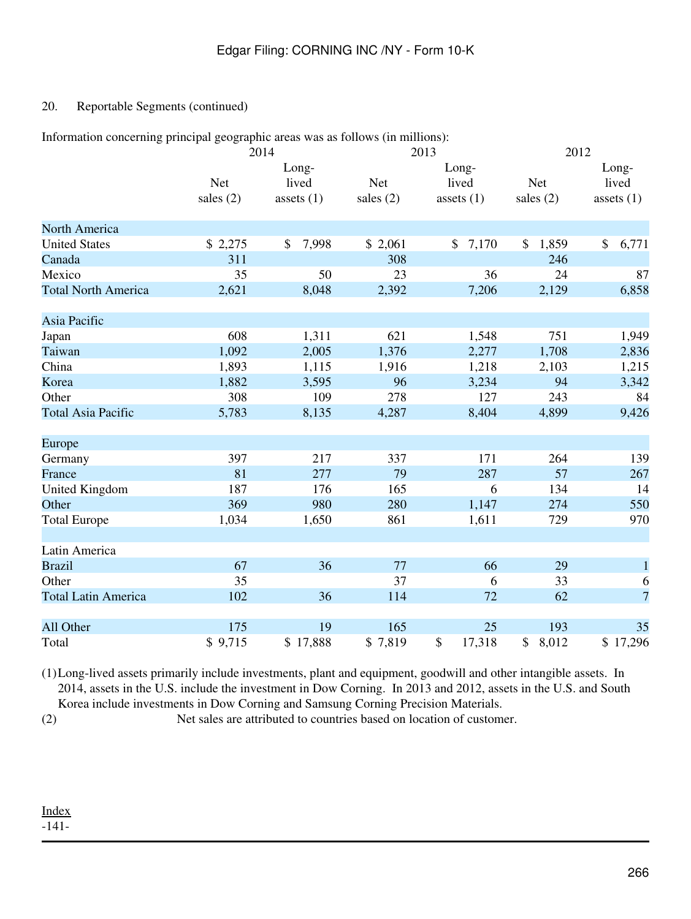# 20. Reportable Segments (continued)

|  | Information concerning principal geographic areas was as follows (in millions): |  |
|--|---------------------------------------------------------------------------------|--|
|  |                                                                                 |  |
|  |                                                                                 |  |
|  |                                                                                 |  |

|                            |             | 2014         |             | 2013           | 2012        |                |  |  |
|----------------------------|-------------|--------------|-------------|----------------|-------------|----------------|--|--|
|                            |             | Long-        |             | Long-          |             | Long-          |  |  |
|                            | <b>Net</b>  | lived        | <b>Net</b>  | lived          | <b>Net</b>  | lived          |  |  |
|                            | sales $(2)$ | assets $(1)$ | sales $(2)$ | assets $(1)$   | sales $(2)$ | assets $(1)$   |  |  |
| North America              |             |              |             |                |             |                |  |  |
| <b>United States</b>       | \$2,275     | 7,998<br>\$  | \$2,061     | \$<br>7,170    | \$<br>1,859 | \$<br>6,771    |  |  |
| Canada                     | 311         |              | 308         |                | 246         |                |  |  |
| Mexico                     | 35          | 50           | 23          | 36             | 24          | 87             |  |  |
| <b>Total North America</b> | 2,621       | 8,048        | 2,392       | 7,206          | 2,129       | 6,858          |  |  |
| Asia Pacific               |             |              |             |                |             |                |  |  |
| Japan                      | 608         | 1,311        | 621         | 1,548          | 751         | 1,949          |  |  |
| Taiwan                     | 1,092       | 2,005        | 1,376       | 2,277          | 1,708       | 2,836          |  |  |
| China                      | 1,893       | 1,115        | 1,916       | 1,218          | 2,103       | 1,215          |  |  |
| Korea                      | 1,882       | 3,595        | 96          | 3,234          | 94          | 3,342          |  |  |
| Other                      | 308         | 109          | 278         | 127            | 243         | 84             |  |  |
| <b>Total Asia Pacific</b>  | 5,783       | 8,135        | 4,287       | 8,404          | 4,899       | 9,426          |  |  |
| Europe                     |             |              |             |                |             |                |  |  |
| Germany                    | 397         | 217          | 337         | 171            | 264         | 139            |  |  |
| France                     | 81          | 277          | 79          | 287            | 57          | 267            |  |  |
| <b>United Kingdom</b>      | 187         | 176          | 165         | 6              | 134         | 14             |  |  |
| Other                      | 369         | 980          | 280         | 1,147          | 274         | 550            |  |  |
| <b>Total Europe</b>        | 1,034       | 1,650        | 861         | 1,611          | 729         | 970            |  |  |
| Latin America              |             |              |             |                |             |                |  |  |
| <b>Brazil</b>              | 67          | 36           | 77          | 66             | 29          | $\mathbf{1}$   |  |  |
| Other                      | 35          |              | 37          | 6              | 33          | 6              |  |  |
| <b>Total Latin America</b> | 102         | 36           | 114         | 72             | 62          | $\overline{7}$ |  |  |
| All Other                  | 175         | 19           | 165         | 25             | 193         | 35             |  |  |
| Total                      | \$9,715     | \$17,888     | \$7,819     | $\$$<br>17,318 | \$<br>8,012 | \$17,296       |  |  |

(1)Long-lived assets primarily include investments, plant and equipment, goodwill and other intangible assets. In 2014, assets in the U.S. include the investment in Dow Corning. In 2013 and 2012, assets in the U.S. and South Korea include investments in Dow Corning and Samsung Corning Precision Materials.

(2) Net sales are attributed to countries based on location of customer.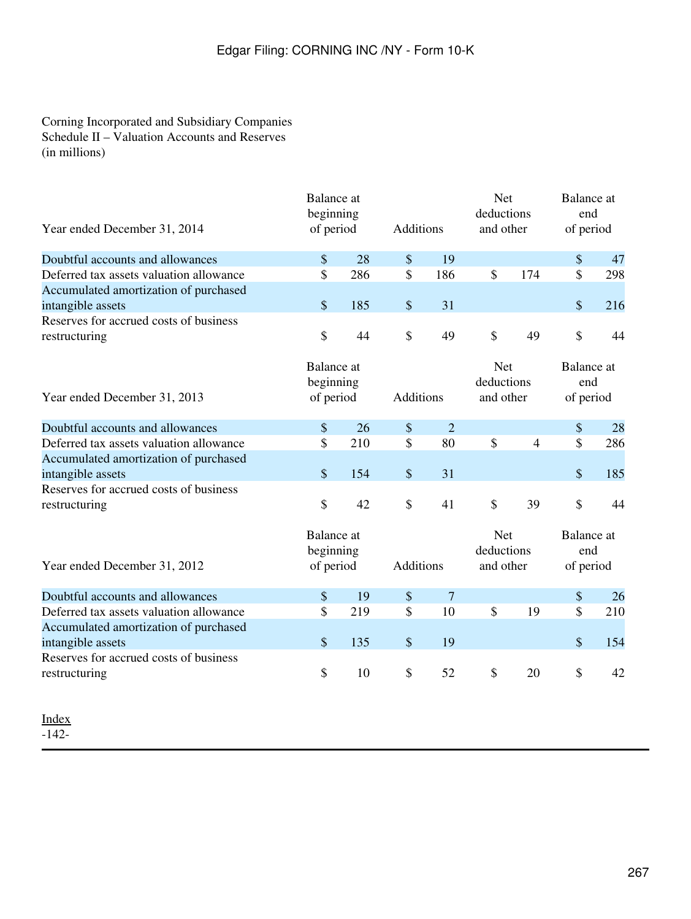# Corning Incorporated and Subsidiary Companies Schedule II – Valuation Accounts and Reserves (in millions)

| Year ended December 31, 2014                                                                         | <b>Balance</b> at<br>beginning<br>of period | Additions |                   | <b>Net</b><br>deductions<br>and other |               | <b>Balance</b> at<br>end<br>of period |               |                                       |  |
|------------------------------------------------------------------------------------------------------|---------------------------------------------|-----------|-------------------|---------------------------------------|---------------|---------------------------------------|---------------|---------------------------------------|--|
| Doubtful accounts and allowances                                                                     | \$                                          | 28        | $\frac{1}{2}$     | 19                                    |               |                                       | \$            | 47                                    |  |
| Deferred tax assets valuation allowance                                                              | \$                                          | 286       | \$                | 186                                   | $\mathcal{S}$ | 174                                   | \$            | 298                                   |  |
| Accumulated amortization of purchased<br>intangible assets                                           | \$                                          | 185       | \$                | 31                                    |               |                                       | \$            | 216                                   |  |
| Reserves for accrued costs of business<br>restructuring                                              | \$                                          | 44        | $\mathcal{S}$     | 49                                    | \$            | 49                                    | \$            | 44                                    |  |
| Year ended December 31, 2013                                                                         | <b>Balance</b> at<br>beginning<br>of period |           | Additions         |                                       |               | <b>Net</b><br>deductions<br>and other |               | <b>Balance</b> at<br>end<br>of period |  |
| Doubtful accounts and allowances                                                                     | $\frac{1}{2}$                               | 26        | \$                | $\overline{2}$                        |               |                                       | \$            | 28                                    |  |
| Deferred tax assets valuation allowance                                                              | \$                                          | 210       | $\mathcal{S}$     | 80                                    | $\mathcal{S}$ | $\overline{4}$                        | \$            | 286                                   |  |
| Accumulated amortization of purchased<br>intangible assets                                           | \$                                          | 154       | \$                | 31                                    |               |                                       | $\$\$         | 185                                   |  |
| Reserves for accrued costs of business<br>restructuring                                              | \$                                          | 42        | \$                | 41                                    | \$            | 39                                    | \$            | 44                                    |  |
| Year ended December 31, 2012                                                                         | <b>Balance</b> at<br>beginning<br>of period |           | Additions         |                                       |               | <b>Net</b><br>deductions<br>and other |               | Balance at<br>end<br>of period        |  |
| Doubtful accounts and allowances                                                                     | \$                                          | 19        | $\boldsymbol{\$}$ | $\overline{7}$                        |               |                                       | $\$$          | 26                                    |  |
| Deferred tax assets valuation allowance                                                              | \$                                          | 219       | $\mathcal{S}$     | 10                                    | $\mathcal{S}$ | 19                                    | $\mathsf{\$}$ | 210                                   |  |
| Accumulated amortization of purchased<br>intangible assets<br>Reserves for accrued costs of business | $\boldsymbol{\$}$                           | 135       | \$                | 19                                    |               |                                       | $\$\$         | 154                                   |  |
| restructuring                                                                                        | \$                                          | 10        | $\mathcal{S}$     | 52                                    | $\mathcal{S}$ | 20                                    | \$            | 42                                    |  |
|                                                                                                      |                                             |           |                   |                                       |               |                                       |               |                                       |  |

[Index](#page-155-0)

-142-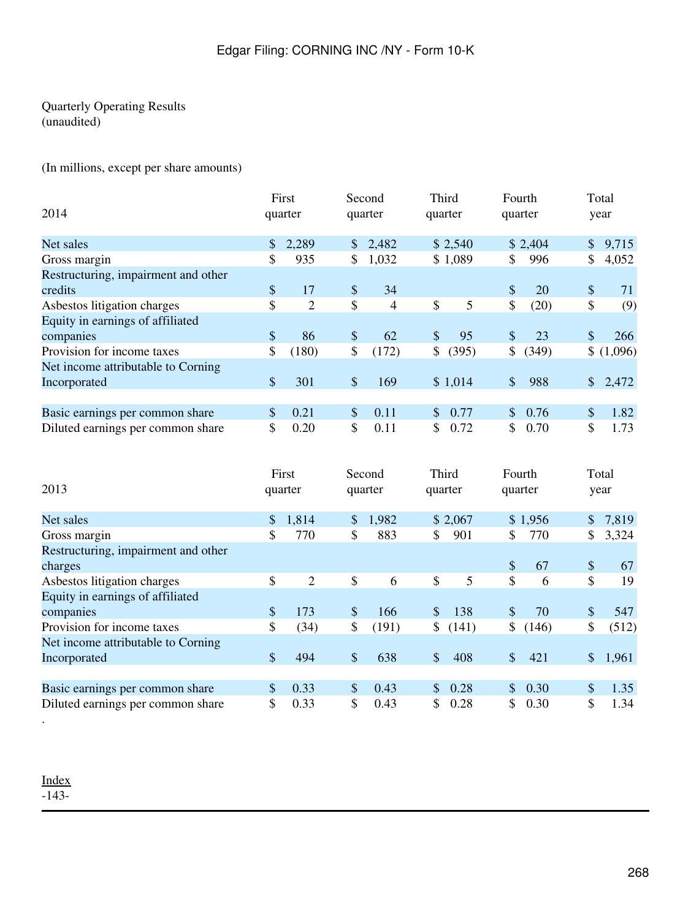# Quarterly Operating Results (unaudited)

(In millions, except per share amounts)

| 2014                                |                | First<br>quarter |                           | Second<br>quarter |               | Third<br>quarter | Fourth<br>quarter |         |              | Total<br>year |
|-------------------------------------|----------------|------------------|---------------------------|-------------------|---------------|------------------|-------------------|---------|--------------|---------------|
| Net sales                           | $\mathbb{S}^-$ | 2,289            |                           | \$2,482           |               | \$2,540          |                   | \$2,404 | $\mathbb{S}$ | 9,715         |
| Gross margin                        | \$             | 935              | \$                        | 1,032             |               | \$1,089          | \$                | 996     | \$           | 4,052         |
| Restructuring, impairment and other |                |                  |                           |                   |               |                  |                   |         |              |               |
| credits                             | $\mathcal{S}$  | 17               | \$                        | 34                |               |                  | <sup>\$</sup>     | 20      | \$           | 71            |
| Asbestos litigation charges         | \$             | $\overline{2}$   | \$                        | 4                 | \$            | 5                | \$                | (20)    | \$           | (9)           |
| Equity in earnings of affiliated    |                |                  |                           |                   |               |                  |                   |         |              |               |
| companies                           | $\mathbb{S}$   | 86               | $\boldsymbol{\mathsf{S}}$ | 62                | $\mathcal{S}$ | 95               | <sup>\$</sup>     | 23      | \$           | 266           |
| Provision for income taxes          | \$             | (180)            | \$                        | (172)             | \$            | (395)            | \$                | (349)   |              | \$(1,096)     |
| Net income attributable to Corning  |                |                  |                           |                   |               |                  |                   |         |              |               |
| Incorporated                        | $\mathcal{S}$  | 301              | \$                        | 169               |               | \$1,014          | \$                | 988     |              | \$2,472       |
|                                     |                |                  |                           |                   |               |                  |                   |         |              |               |
| Basic earnings per common share     | \$             | 0.21             | $\boldsymbol{\mathsf{S}}$ | 0.11              | $\mathbb{S}$  | 0.77             | $\mathbb{S}^-$    | 0.76    | \$           | 1.82          |
| Diluted earnings per common share   | S.             | 0.20             | \$                        | 0.11              | S             | 0.72             | S.                | 0.70    | \$           | 1.73          |

| 2013                                |               | First<br>quarter |                           | Second<br>quarter |               | Third<br>quarter | Fourth<br>quarter |         |               | Total<br>year |
|-------------------------------------|---------------|------------------|---------------------------|-------------------|---------------|------------------|-------------------|---------|---------------|---------------|
| Net sales                           | $\frac{1}{2}$ | 1,814            | \$                        | 1,982             |               | \$2,067          |                   | \$1,956 | $\mathbb{S}$  | 7,819         |
| Gross margin                        | \$            | 770              | \$                        | 883               | \$            | 901              | S.                | 770     | \$            | 3,324         |
| Restructuring, impairment and other |               |                  |                           |                   |               |                  |                   |         |               |               |
| charges                             |               |                  |                           |                   |               |                  | \$                | 67      | $\mathcal{S}$ | 67            |
| Asbestos litigation charges         | \$            | 2                | \$                        | 6                 | \$            | 5                | $\mathbb{S}$      | 6       | \$            | 19            |
| Equity in earnings of affiliated    |               |                  |                           |                   |               |                  |                   |         |               |               |
| companies                           | $\mathcal{S}$ | 173              | $\boldsymbol{\mathsf{S}}$ | 166               | $\mathcal{S}$ | 138              | $\mathcal{S}$     | 70      | \$            | 547           |
| Provision for income taxes          | \$            | (34)             | \$                        | (191)             | $\frac{1}{2}$ | (141)            | \$                | (146)   | \$            | (512)         |
| Net income attributable to Corning  |               |                  |                           |                   |               |                  |                   |         |               |               |
| Incorporated                        | $\mathcal{S}$ | 494              | \$                        | 638               | $\mathcal{S}$ | 408              | $\mathbb{S}$      | 421     | $\mathbb{S}$  | 1,961         |
|                                     |               |                  |                           |                   |               |                  |                   |         |               |               |
| Basic earnings per common share     | \$            | 0.33             | \$                        | 0.43              | $\frac{1}{2}$ | 0.28             | $\mathbb{S}^-$    | 0.30    | \$            | 1.35          |
| Diluted earnings per common share   | \$            | 0.33             | \$                        | 0.43              | \$            | 0.28             | S.                | 0.30    | \$            | 1.34          |

[Index](#page-155-0)  $-143-$ 

.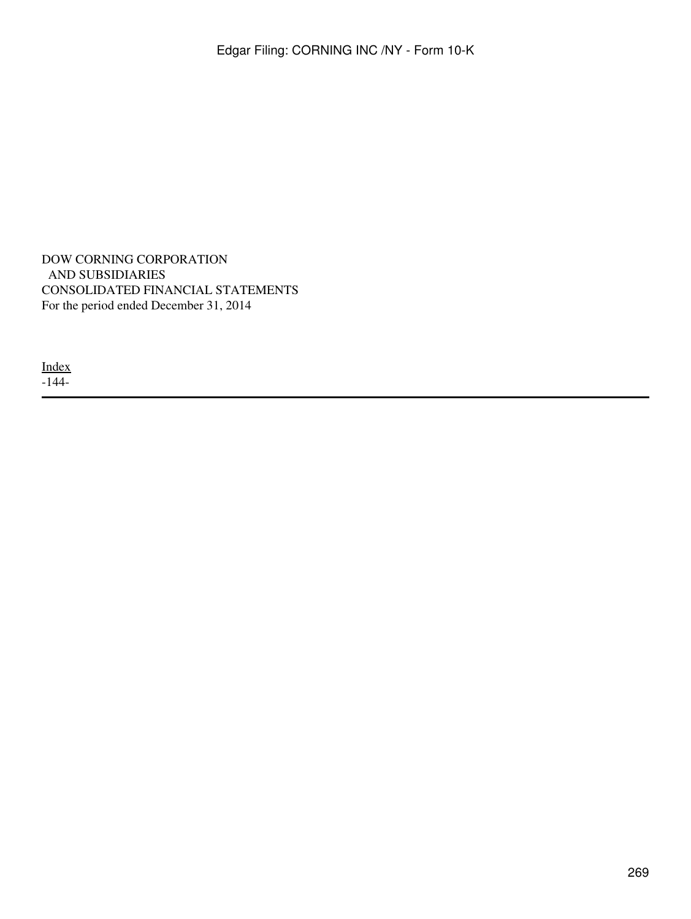DOW CORNING CORPORATION AND SUBSIDIARIES CONSOLIDATED FINANCIAL STATEMENTS For the period ended December 31, 2014

[Index](#page-269-0) -144-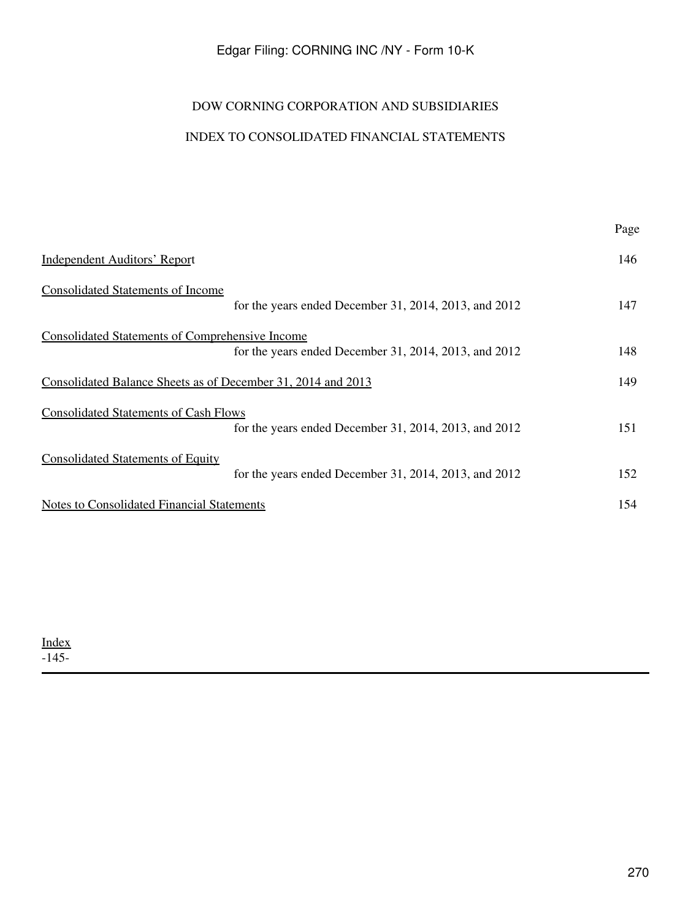# DOW CORNING CORPORATION AND SUBSIDIARIES

# INDEX TO CONSOLIDATED FINANCIAL STATEMENTS

<span id="page-269-0"></span>

|                                                                                                                 | Page |
|-----------------------------------------------------------------------------------------------------------------|------|
| <b>Independent Auditors' Report</b>                                                                             | 146  |
| <b>Consolidated Statements of Income</b><br>for the years ended December 31, 2014, 2013, and 2012               | 147  |
| <b>Consolidated Statements of Comprehensive Income</b><br>for the years ended December 31, 2014, 2013, and 2012 | 148  |
| Consolidated Balance Sheets as of December 31, 2014 and 2013                                                    | 149  |
| <b>Consolidated Statements of Cash Flows</b><br>for the years ended December 31, 2014, 2013, and 2012           | 151  |
| <b>Consolidated Statements of Equity</b><br>for the years ended December 31, 2014, 2013, and 2012               | 152  |
| <b>Notes to Consolidated Financial Statements</b>                                                               | 154  |

[Index](#page-269-0)  $-145-$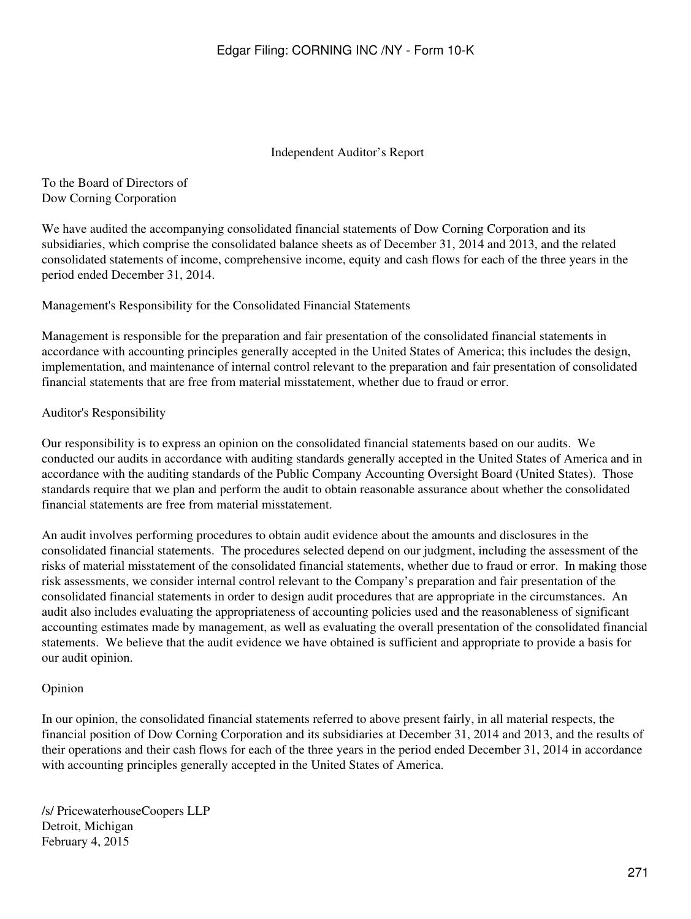#### Independent Auditor's Report

<span id="page-270-0"></span>To the Board of Directors of Dow Corning Corporation

We have audited the accompanying consolidated financial statements of Dow Corning Corporation and its subsidiaries, which comprise the consolidated balance sheets as of December 31, 2014 and 2013, and the related consolidated statements of income, comprehensive income, equity and cash flows for each of the three years in the period ended December 31, 2014.

Management's Responsibility for the Consolidated Financial Statements

Management is responsible for the preparation and fair presentation of the consolidated financial statements in accordance with accounting principles generally accepted in the United States of America; this includes the design, implementation, and maintenance of internal control relevant to the preparation and fair presentation of consolidated financial statements that are free from material misstatement, whether due to fraud or error.

## Auditor's Responsibility

Our responsibility is to express an opinion on the consolidated financial statements based on our audits. We conducted our audits in accordance with auditing standards generally accepted in the United States of America and in accordance with the auditing standards of the Public Company Accounting Oversight Board (United States). Those standards require that we plan and perform the audit to obtain reasonable assurance about whether the consolidated financial statements are free from material misstatement.

An audit involves performing procedures to obtain audit evidence about the amounts and disclosures in the consolidated financial statements. The procedures selected depend on our judgment, including the assessment of the risks of material misstatement of the consolidated financial statements, whether due to fraud or error. In making those risk assessments, we consider internal control relevant to the Company's preparation and fair presentation of the consolidated financial statements in order to design audit procedures that are appropriate in the circumstances. An audit also includes evaluating the appropriateness of accounting policies used and the reasonableness of significant accounting estimates made by management, as well as evaluating the overall presentation of the consolidated financial statements. We believe that the audit evidence we have obtained is sufficient and appropriate to provide a basis for our audit opinion.

#### Opinion

In our opinion, the consolidated financial statements referred to above present fairly, in all material respects, the financial position of Dow Corning Corporation and its subsidiaries at December 31, 2014 and 2013, and the results of their operations and their cash flows for each of the three years in the period ended December 31, 2014 in accordance with accounting principles generally accepted in the United States of America.

/s/ PricewaterhouseCoopers LLP Detroit, Michigan February 4, 2015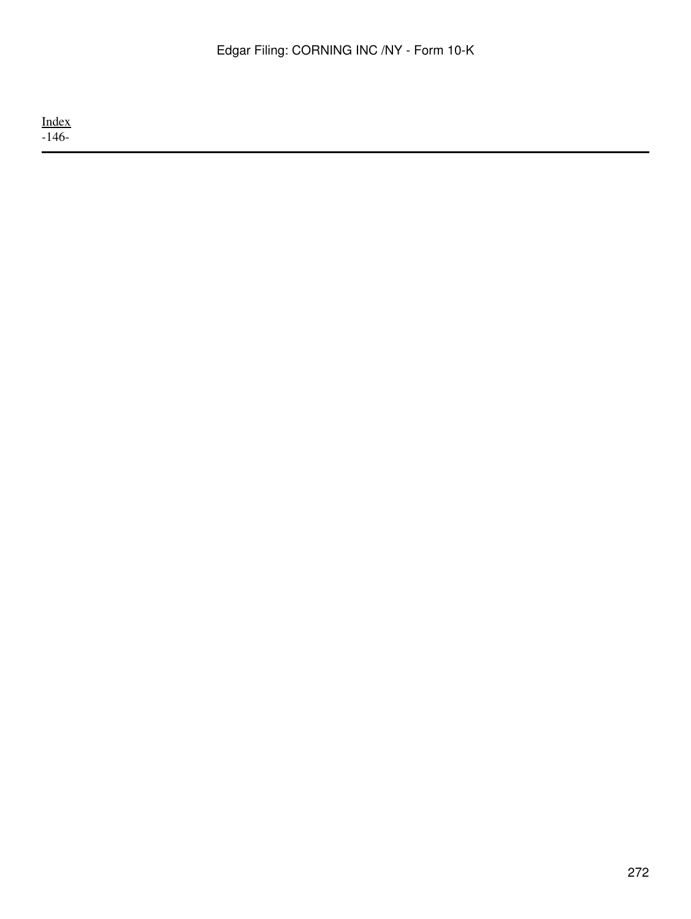[Index](#page-269-0) -146-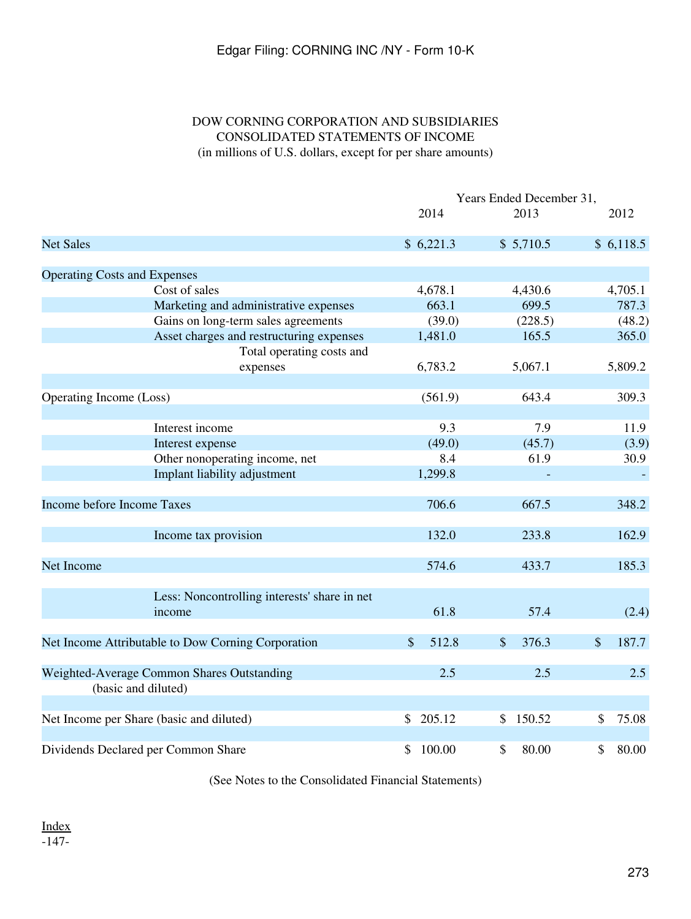# DOW CORNING CORPORATION AND SUBSIDIARIES CONSOLIDATED STATEMENTS OF INCOME (in millions of U.S. dollars, except for per share amounts)

<span id="page-272-0"></span>

|                                                                   | Years Ended December 31, |                |                                    |  |  |  |
|-------------------------------------------------------------------|--------------------------|----------------|------------------------------------|--|--|--|
|                                                                   | 2014                     | 2013           | 2012                               |  |  |  |
| <b>Net Sales</b>                                                  | \$6,221.3                | \$5,710.5      | \$6,118.5                          |  |  |  |
| <b>Operating Costs and Expenses</b>                               |                          |                |                                    |  |  |  |
| Cost of sales                                                     | 4,678.1                  | 4,430.6        | 4,705.1                            |  |  |  |
| Marketing and administrative expenses                             | 663.1                    | 699.5          | 787.3                              |  |  |  |
| Gains on long-term sales agreements                               | (39.0)                   | (228.5)        | (48.2)                             |  |  |  |
| Asset charges and restructuring expenses                          | 1,481.0                  | 165.5          | 365.0                              |  |  |  |
| Total operating costs and                                         |                          |                |                                    |  |  |  |
| expenses                                                          | 6,783.2                  | 5,067.1        | 5,809.2                            |  |  |  |
|                                                                   |                          |                |                                    |  |  |  |
| Operating Income (Loss)                                           | (561.9)                  | 643.4          | 309.3                              |  |  |  |
|                                                                   |                          |                |                                    |  |  |  |
| Interest income                                                   | 9.3                      | 7.9            | 11.9                               |  |  |  |
| Interest expense                                                  | (49.0)                   | (45.7)         | (3.9)                              |  |  |  |
| Other nonoperating income, net                                    | 8.4                      | 61.9           | 30.9                               |  |  |  |
| Implant liability adjustment                                      | 1,299.8                  |                |                                    |  |  |  |
| Income before Income Taxes                                        | 706.6                    | 667.5          | 348.2                              |  |  |  |
| Income tax provision                                              | 132.0                    | 233.8          | 162.9                              |  |  |  |
| Net Income                                                        | 574.6                    | 433.7          | 185.3                              |  |  |  |
|                                                                   |                          |                |                                    |  |  |  |
| Less: Noncontrolling interests' share in net<br>income            | 61.8                     | 57.4           | (2.4)                              |  |  |  |
| Net Income Attributable to Dow Corning Corporation                | \$<br>512.8              | $\$\$<br>376.3 | $\boldsymbol{\mathsf{S}}$<br>187.7 |  |  |  |
| Weighted-Average Common Shares Outstanding<br>(basic and diluted) | 2.5                      | 2.5            | 2.5                                |  |  |  |
| Net Income per Share (basic and diluted)                          | \$205.12                 | 150.52<br>\$   | 75.08<br>\$                        |  |  |  |
|                                                                   |                          |                |                                    |  |  |  |
| Dividends Declared per Common Share                               | \$100.00                 | 80.00<br>\$    | 80.00<br>\$                        |  |  |  |

(See Notes to the Consolidated Financial Statements)

[Index](#page-269-0) -147-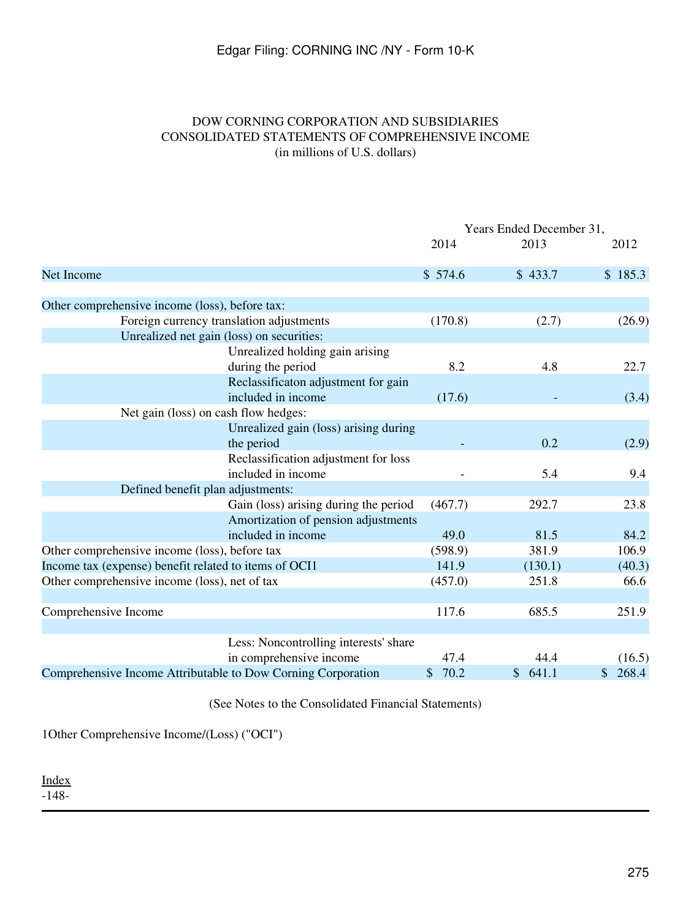# DOW CORNING CORPORATION AND SUBSIDIARIES CONSOLIDATED STATEMENTS OF COMPREHENSIVE INCOME (in millions of U.S. dollars)

<span id="page-274-0"></span>

|                                                              | Years Ended December 31, |         |                        |  |
|--------------------------------------------------------------|--------------------------|---------|------------------------|--|
|                                                              | 2014                     | 2013    | 2012                   |  |
| Net Income                                                   | \$574.6                  | \$433.7 | \$185.3                |  |
| Other comprehensive income (loss), before tax:               |                          |         |                        |  |
| Foreign currency translation adjustments                     | (170.8)                  | (2.7)   | (26.9)                 |  |
| Unrealized net gain (loss) on securities:                    |                          |         |                        |  |
| Unrealized holding gain arising<br>during the period         | 8.2                      | 4.8     | 22.7                   |  |
| Reclassificaton adjustment for gain<br>included in income    | (17.6)                   |         | (3.4)                  |  |
| Net gain (loss) on cash flow hedges:                         |                          |         |                        |  |
| Unrealized gain (loss) arising during<br>the period          |                          | 0.2     | (2.9)                  |  |
| Reclassification adjustment for loss<br>included in income   |                          | 5.4     | 9.4                    |  |
| Defined benefit plan adjustments:                            |                          |         |                        |  |
| Gain (loss) arising during the period                        | (467.7)                  | 292.7   | 23.8                   |  |
| Amortization of pension adjustments<br>included in income    | 49.0                     | 81.5    | 84.2                   |  |
| Other comprehensive income (loss), before tax                | (598.9)                  | 381.9   | 106.9                  |  |
| Income tax (expense) benefit related to items of OCI1        | 141.9                    | (130.1) | (40.3)                 |  |
| Other comprehensive income (loss), net of tax                | (457.0)                  | 251.8   | 66.6                   |  |
| Comprehensive Income                                         | 117.6                    | 685.5   | 251.9                  |  |
| Less: Noncontrolling interests' share                        |                          |         |                        |  |
| in comprehensive income                                      | 47.4                     | 44.4    | (16.5)                 |  |
| Comprehensive Income Attributable to Dow Corning Corporation | 70.2<br>\$               | \$641.1 | 268.4<br>$\frac{1}{2}$ |  |

(See Notes to the Consolidated Financial Statements)

1Other Comprehensive Income/(Loss) ("OCI")

[Index](#page-269-0)

-148-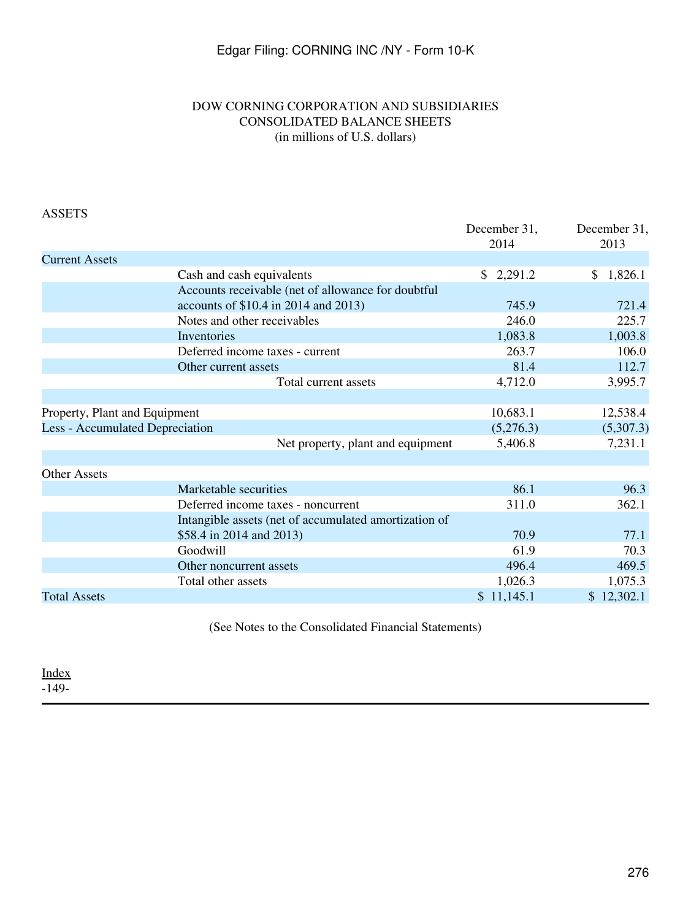# DOW CORNING CORPORATION AND SUBSIDIARIES CONSOLIDATED BALANCE SHEETS (in millions of U.S. dollars)

<span id="page-275-0"></span>

| <b>ASSETS</b>                          |                                                       |                      |                      |
|----------------------------------------|-------------------------------------------------------|----------------------|----------------------|
|                                        |                                                       | December 31,<br>2014 | December 31,<br>2013 |
| <b>Current Assets</b>                  |                                                       |                      |                      |
|                                        | Cash and cash equivalents                             | \$2,291.2            | 1,826.1<br>S.        |
|                                        | Accounts receivable (net of allowance for doubtful    |                      |                      |
|                                        | accounts of \$10.4 in 2014 and 2013)                  | 745.9                | 721.4                |
|                                        | Notes and other receivables                           | 246.0                | 225.7                |
|                                        | Inventories                                           | 1,083.8              | 1,003.8              |
|                                        | Deferred income taxes - current                       | 263.7                | 106.0                |
|                                        | Other current assets                                  | 81.4                 | 112.7                |
|                                        | Total current assets                                  | 4,712.0              | 3,995.7              |
|                                        |                                                       |                      |                      |
| Property, Plant and Equipment          |                                                       | 10,683.1             | 12,538.4             |
| <b>Less - Accumulated Depreciation</b> |                                                       | (5,276.3)            | (5,307.3)            |
|                                        | Net property, plant and equipment                     | 5,406.8              | 7,231.1              |
|                                        |                                                       |                      |                      |
| <b>Other Assets</b>                    |                                                       |                      |                      |
|                                        | Marketable securities                                 | 86.1                 | 96.3                 |
|                                        | Deferred income taxes - noncurrent                    | 311.0                | 362.1                |
|                                        | Intangible assets (net of accumulated amortization of |                      |                      |
|                                        | \$58.4 in 2014 and 2013)                              | 70.9                 | 77.1                 |
|                                        | Goodwill                                              | 61.9                 | 70.3                 |
|                                        | Other noncurrent assets                               | 496.4                | 469.5                |
|                                        | Total other assets                                    | 1,026.3              | 1,075.3              |
| <b>Total Assets</b>                    |                                                       | \$11,145.1           | \$12,302.1           |
|                                        |                                                       |                      |                      |

(See Notes to the Consolidated Financial Statements)

[Index](#page-269-0) -149-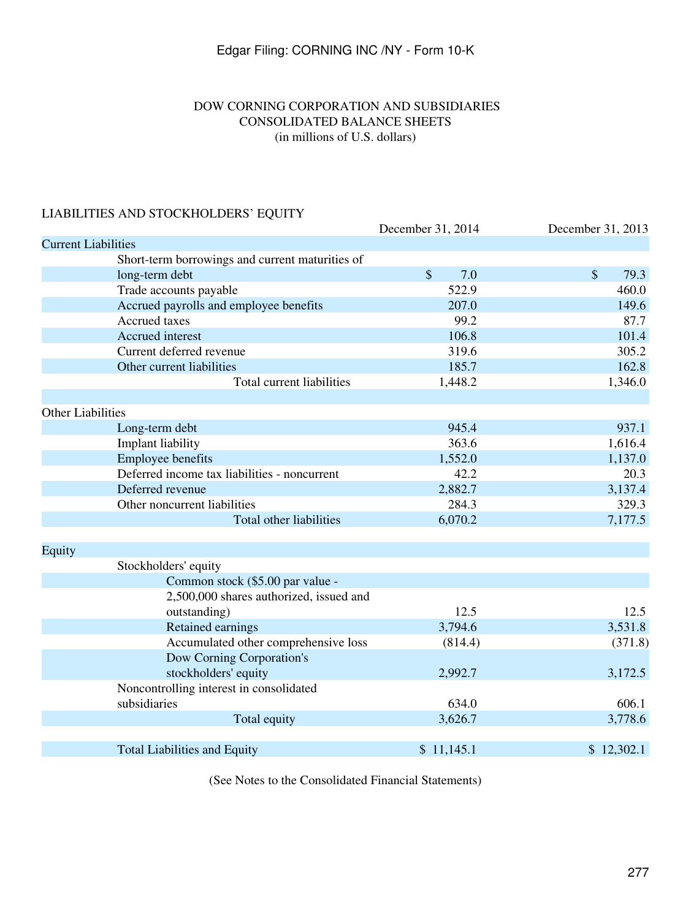# DOW CORNING CORPORATION AND SUBSIDIARIES CONSOLIDATED BALANCE SHEETS (in millions of U.S. dollars)

# LIABILITIES AND STOCKHOLDERS' EQUITY

| December 31, 2014                       | December 31, 2013                                                                                      |
|-----------------------------------------|--------------------------------------------------------------------------------------------------------|
|                                         |                                                                                                        |
|                                         |                                                                                                        |
| $\mathcal{S}$<br>7.0                    | $\mathsf{\$}$<br>79.3                                                                                  |
| 522.9                                   | 460.0                                                                                                  |
| 207.0                                   | 149.6                                                                                                  |
|                                         | 87.7                                                                                                   |
| 106.8                                   | 101.4                                                                                                  |
| 319.6                                   | 305.2                                                                                                  |
| 185.7                                   | 162.8                                                                                                  |
| 1,448.2                                 | 1,346.0                                                                                                |
|                                         |                                                                                                        |
|                                         | 937.1                                                                                                  |
|                                         | 1,616.4                                                                                                |
|                                         | 1,137.0                                                                                                |
|                                         | 20.3                                                                                                   |
|                                         | 3,137.4                                                                                                |
| 284.3                                   | 329.3                                                                                                  |
| 6,070.2                                 | 7,177.5                                                                                                |
|                                         |                                                                                                        |
|                                         |                                                                                                        |
|                                         |                                                                                                        |
|                                         |                                                                                                        |
|                                         | 12.5                                                                                                   |
|                                         | 3,531.8                                                                                                |
|                                         | (371.8)                                                                                                |
|                                         |                                                                                                        |
|                                         | 3,172.5                                                                                                |
|                                         |                                                                                                        |
|                                         | 606.1                                                                                                  |
| 3,626.7                                 | 3,778.6                                                                                                |
|                                         |                                                                                                        |
| \$11,145.1                              | \$12,302.1                                                                                             |
| 2,500,000 shares authorized, issued and | 99.2<br>945.4<br>363.6<br>1,552.0<br>42.2<br>2,882.7<br>12.5<br>3,794.6<br>(814.4)<br>2,992.7<br>634.0 |

(See Notes to the Consolidated Financial Statements)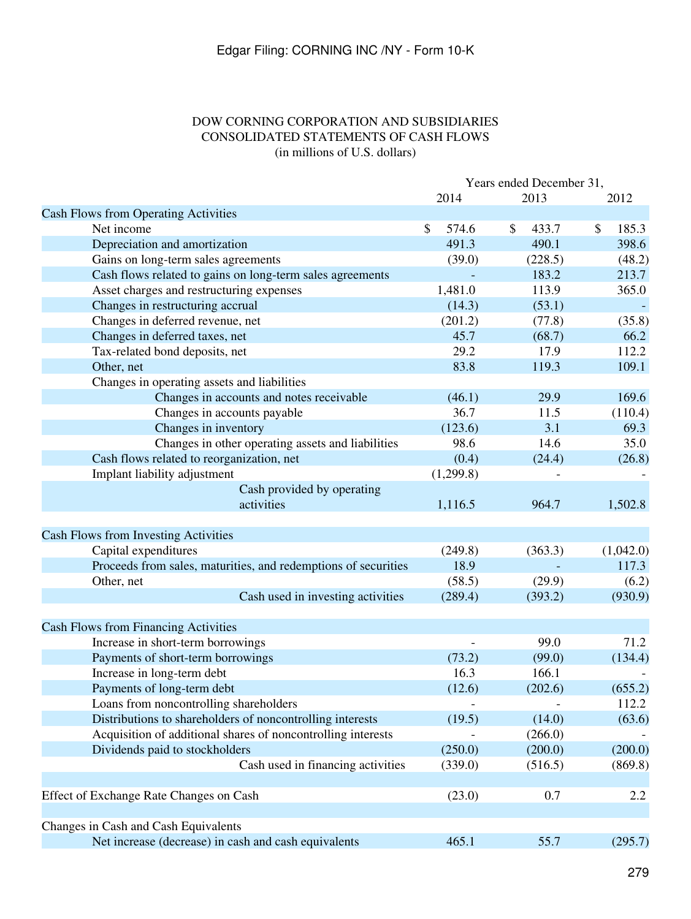# DOW CORNING CORPORATION AND SUBSIDIARIES CONSOLIDATED STATEMENTS OF CASH FLOWS (in millions of U.S. dollars)

<span id="page-278-0"></span>

|                                                                | Years ended December 31, |             |             |  |
|----------------------------------------------------------------|--------------------------|-------------|-------------|--|
|                                                                | 2014                     | 2013        | 2012        |  |
| <b>Cash Flows from Operating Activities</b>                    |                          |             |             |  |
| Net income                                                     | \$<br>574.6              | \$<br>433.7 | \$<br>185.3 |  |
| Depreciation and amortization                                  | 491.3                    | 490.1       | 398.6       |  |
| Gains on long-term sales agreements                            | (39.0)                   | (228.5)     | (48.2)      |  |
| Cash flows related to gains on long-term sales agreements      |                          | 183.2       | 213.7       |  |
| Asset charges and restructuring expenses                       | 1,481.0                  | 113.9       | 365.0       |  |
| Changes in restructuring accrual                               | (14.3)                   | (53.1)      |             |  |
| Changes in deferred revenue, net                               | (201.2)                  | (77.8)      | (35.8)      |  |
| Changes in deferred taxes, net                                 | 45.7                     | (68.7)      | 66.2        |  |
| Tax-related bond deposits, net                                 | 29.2                     | 17.9        | 112.2       |  |
| Other, net                                                     | 83.8                     | 119.3       | 109.1       |  |
| Changes in operating assets and liabilities                    |                          |             |             |  |
| Changes in accounts and notes receivable                       | (46.1)                   | 29.9        | 169.6       |  |
| Changes in accounts payable                                    | 36.7                     | 11.5        | (110.4)     |  |
| Changes in inventory                                           | (123.6)                  | 3.1         | 69.3        |  |
| Changes in other operating assets and liabilities              | 98.6                     | 14.6        | 35.0        |  |
| Cash flows related to reorganization, net                      | (0.4)                    | (24.4)      | (26.8)      |  |
| Implant liability adjustment                                   | (1,299.8)                |             |             |  |
| Cash provided by operating                                     |                          |             |             |  |
| activities                                                     | 1,116.5                  | 964.7       | 1,502.8     |  |
|                                                                |                          |             |             |  |
| Cash Flows from Investing Activities                           |                          |             |             |  |
| Capital expenditures                                           | (249.8)                  | (363.3)     | (1,042.0)   |  |
| Proceeds from sales, maturities, and redemptions of securities | 18.9                     |             | 117.3       |  |
| Other, net                                                     | (58.5)                   | (29.9)      | (6.2)       |  |
| Cash used in investing activities                              | (289.4)                  | (393.2)     | (930.9)     |  |
| <b>Cash Flows from Financing Activities</b>                    |                          |             |             |  |
| Increase in short-term borrowings                              |                          | 99.0        | 71.2        |  |
| Payments of short-term borrowings                              | (73.2)                   | (99.0)      | (134.4)     |  |
| Increase in long-term debt                                     | 16.3                     | 166.1       |             |  |
| Payments of long-term debt                                     | (12.6)                   | (202.6)     | (655.2)     |  |
| Loans from noncontrolling shareholders                         |                          |             | 112.2       |  |
| Distributions to shareholders of noncontrolling interests      | (19.5)                   | (14.0)      | (63.6)      |  |
| Acquisition of additional shares of noncontrolling interests   |                          | (266.0)     |             |  |
| Dividends paid to stockholders                                 | (250.0)                  | (200.0)     | (200.0)     |  |
| Cash used in financing activities                              | (339.0)                  | (516.5)     | (869.8)     |  |
|                                                                |                          |             |             |  |
| Effect of Exchange Rate Changes on Cash                        | (23.0)                   | 0.7         | 2.2         |  |
|                                                                |                          |             |             |  |
| Changes in Cash and Cash Equivalents                           |                          |             |             |  |
| Net increase (decrease) in cash and cash equivalents           | 465.1                    | 55.7        | (295.7)     |  |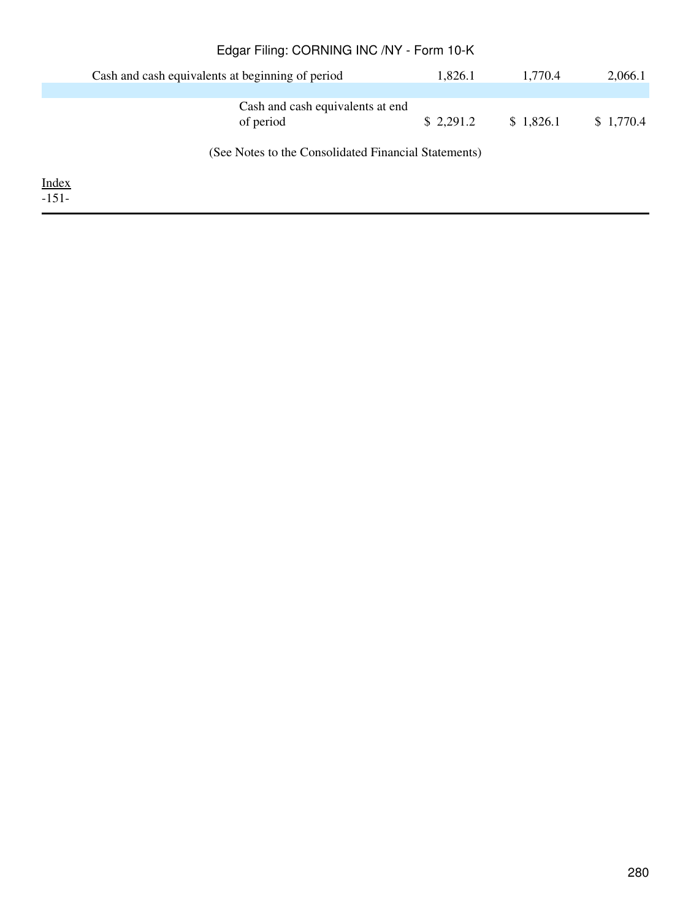|              | Edgar Filing: CORNING INC /NY - Form 10-K            |           |           |           |
|--------------|------------------------------------------------------|-----------|-----------|-----------|
|              | Cash and cash equivalents at beginning of period     | 1,826.1   | 1,770.4   | 2,066.1   |
|              |                                                      |           |           |           |
|              | Cash and cash equivalents at end                     |           |           |           |
|              | of period                                            | \$2,291.2 | \$1,826.1 | \$1,770.4 |
|              | (See Notes to the Consolidated Financial Statements) |           |           |           |
| <b>Index</b> |                                                      |           |           |           |
| $-151-$      |                                                      |           |           |           |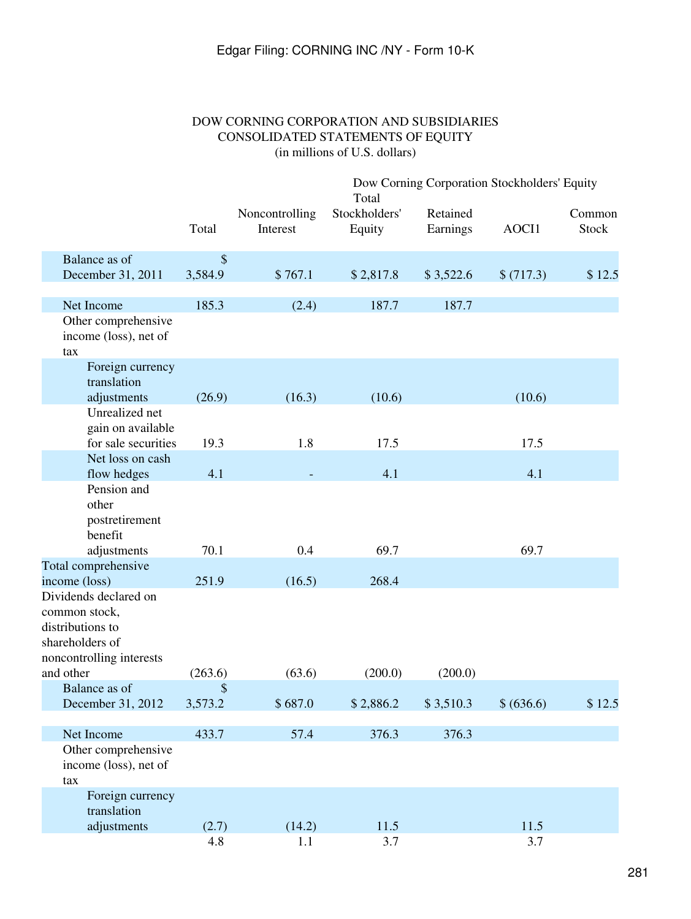# DOW CORNING CORPORATION AND SUBSIDIARIES CONSOLIDATED STATEMENTS OF EQUITY (in millions of U.S. dollars)

<span id="page-280-0"></span>

|                                                                                  |               |                            | Dow Corning Corporation Stockholders' Equity<br>Total |                      |            |                 |
|----------------------------------------------------------------------------------|---------------|----------------------------|-------------------------------------------------------|----------------------|------------|-----------------|
|                                                                                  | Total         | Noncontrolling<br>Interest | Stockholders'<br>Equity                               | Retained<br>Earnings | AOCI1      | Common<br>Stock |
| Balance as of<br>December 31, 2011                                               | \$<br>3,584.9 | \$767.1                    | \$2,817.8                                             | \$3,522.6            | \$(717.3)  | \$12.5          |
|                                                                                  |               |                            |                                                       |                      |            |                 |
| Net Income                                                                       | 185.3         | (2.4)                      | 187.7                                                 | 187.7                |            |                 |
| Other comprehensive<br>income (loss), net of<br>tax                              |               |                            |                                                       |                      |            |                 |
| Foreign currency<br>translation                                                  |               |                            |                                                       |                      |            |                 |
| adjustments                                                                      | (26.9)        | (16.3)                     | (10.6)                                                |                      | (10.6)     |                 |
| Unrealized net<br>gain on available                                              |               |                            |                                                       |                      |            |                 |
| for sale securities<br>Net loss on cash                                          | 19.3          | 1.8                        | 17.5                                                  |                      | 17.5       |                 |
| flow hedges                                                                      | 4.1           |                            | 4.1                                                   |                      | 4.1        |                 |
| Pension and<br>other<br>postretirement<br>benefit                                |               |                            |                                                       |                      |            |                 |
| adjustments                                                                      | 70.1          | 0.4                        | 69.7                                                  |                      | 69.7       |                 |
| Total comprehensive<br>income (loss)                                             | 251.9         | (16.5)                     | 268.4                                                 |                      |            |                 |
| Dividends declared on                                                            |               |                            |                                                       |                      |            |                 |
| common stock,<br>distributions to<br>shareholders of<br>noncontrolling interests |               |                            |                                                       |                      |            |                 |
| and other                                                                        | (263.6)       | (63.6)                     | (200.0)                                               | (200.0)              |            |                 |
| Balance as of<br>December 31, 2012                                               | \$<br>3,573.2 | \$687.0                    | \$2,886.2                                             | \$3,510.3            | \$ (636.6) | \$12.5          |
| Net Income                                                                       | 433.7         | 57.4                       | 376.3                                                 | 376.3                |            |                 |
| Other comprehensive<br>income (loss), net of<br>tax                              |               |                            |                                                       |                      |            |                 |
| Foreign currency                                                                 |               |                            |                                                       |                      |            |                 |
| translation                                                                      |               |                            |                                                       |                      |            |                 |
| adjustments                                                                      | (2.7)         | (14.2)                     | 11.5                                                  |                      | 11.5       |                 |
|                                                                                  | 4.8           | 1.1                        | 3.7                                                   |                      | 3.7        |                 |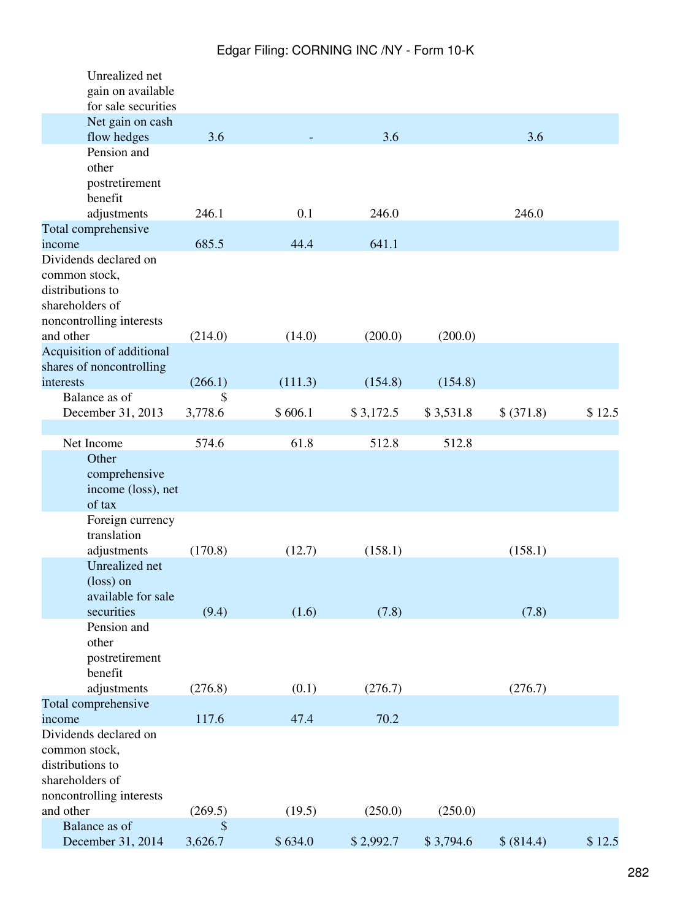| Unrealized net<br>gain on available<br>for sale securities                                                |               |         |           |           |            |        |
|-----------------------------------------------------------------------------------------------------------|---------------|---------|-----------|-----------|------------|--------|
| Net gain on cash<br>flow hedges                                                                           | 3.6           |         | 3.6       |           | 3.6        |        |
| Pension and<br>other<br>postretirement<br>benefit                                                         |               |         |           |           |            |        |
| adjustments                                                                                               | 246.1         | 0.1     | 246.0     |           | 246.0      |        |
| Total comprehensive                                                                                       |               |         |           |           |            |        |
| income<br>Dividends declared on                                                                           | 685.5         | 44.4    | 641.1     |           |            |        |
| common stock,<br>distributions to<br>shareholders of<br>noncontrolling interests                          |               |         |           |           |            |        |
| and other                                                                                                 | (214.0)       | (14.0)  | (200.0)   | (200.0)   |            |        |
| Acquisition of additional<br>shares of noncontrolling<br>interests                                        | (266.1)       | (111.3) | (154.8)   | (154.8)   |            |        |
| Balance as of                                                                                             | \$            |         |           |           |            |        |
| December 31, 2013                                                                                         | 3,778.6       | \$606.1 | \$3,172.5 | \$3,531.8 | \$ (371.8) | \$12.5 |
| Net Income                                                                                                | 574.6         |         |           |           |            |        |
| Other                                                                                                     |               | 61.8    | 512.8     | 512.8     |            |        |
| comprehensive<br>income (loss), net<br>of tax                                                             |               |         |           |           |            |        |
| Foreign currency<br>translation<br>adjustments                                                            | (170.8)       | (12.7)  | (158.1)   |           | (158.1)    |        |
| Unrealized net<br>(loss) on                                                                               |               |         |           |           |            |        |
| available for sale<br>securities                                                                          | (9.4)         | (1.6)   | (7.8)     |           | (7.8)      |        |
| Pension and<br>other<br>postretirement<br>benefit                                                         |               |         |           |           |            |        |
| adjustments                                                                                               | (276.8)       | (0.1)   | (276.7)   |           | (276.7)    |        |
| Total comprehensive                                                                                       |               |         |           |           |            |        |
| income                                                                                                    | 117.6         | 47.4    | 70.2      |           |            |        |
| Dividends declared on<br>common stock,<br>distributions to<br>shareholders of<br>noncontrolling interests |               |         |           |           |            |        |
| and other                                                                                                 | (269.5)       | (19.5)  | (250.0)   | (250.0)   |            |        |
| Balance as of<br>December 31, 2014                                                                        | \$<br>3,626.7 | \$634.0 | \$2,992.7 | \$3,794.6 | \$ (814.4) | \$12.5 |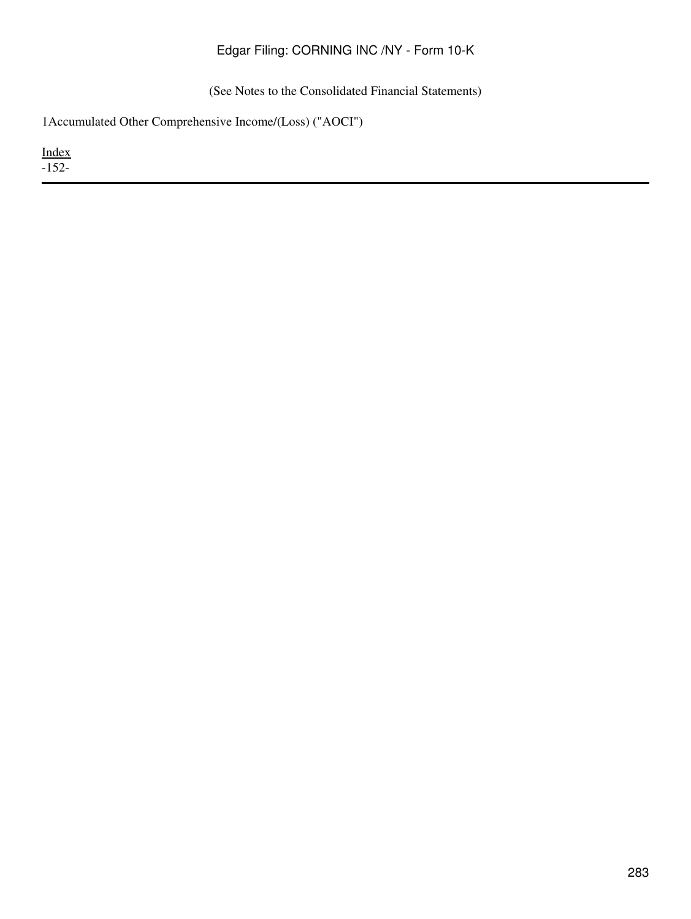(See Notes to the Consolidated Financial Statements)

1Accumulated Other Comprehensive Income/(Loss) ("AOCI")

[Index](#page-269-0) -152-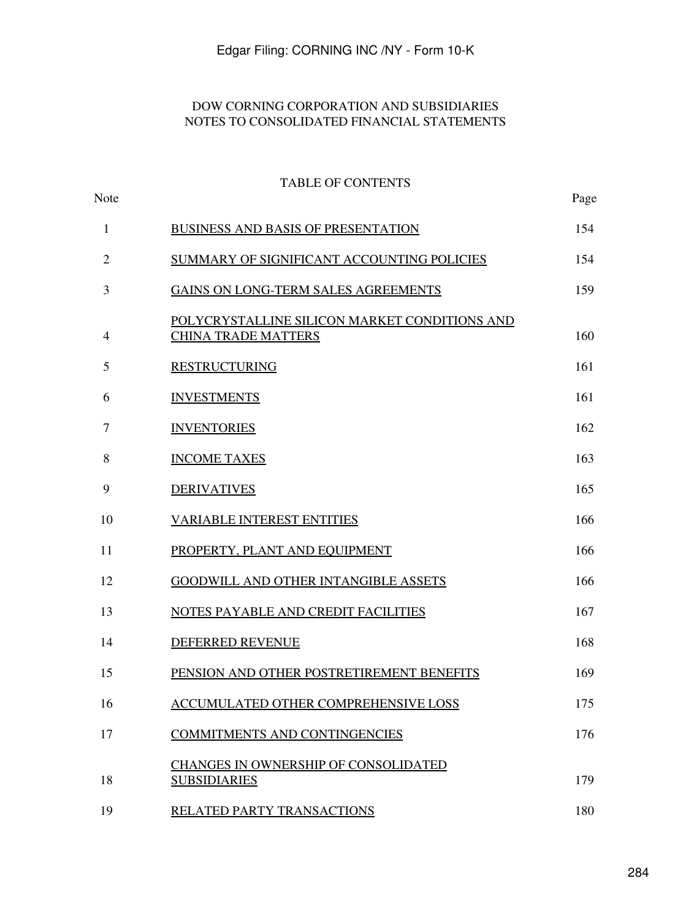# DOW CORNING CORPORATION AND SUBSIDIARIES NOTES TO CONSOLIDATED FINANCIAL STATEMENTS

# <span id="page-283-0"></span>TABLE OF CONTENTS Note Page [BUSINESS AND BASIS OF PRESENTATION](#page-285-1) 154 [SUMMARY OF SIGNIFICANT ACCOUNTING POLICIES](#page-285-2) 154 [GAINS ON LONG-TERM SALES AGREEMENTS](#page-295-0) 159 [POLYCRYSTALLINE SILICON MARKET CONDITIONS AND](#page-297-0) [CHINA TRADE MATTERS](#page-297-0) 160 [RESTRUCTURING](#page-299-0) 161 [INVESTMENTS](#page-299-1) 161 [INVENTORIES](#page-301-0) 162 [INCOME TAXES](#page-303-0) 163 [DERIVATIVES](#page-307-0) 165 [VARIABLE INTEREST ENTITIES](#page-309-0) 166 [PROPERTY, PLANT AND EQUIPMENT](#page-309-1) 166 [GOODWILL AND OTHER INTANGIBLE ASSETS](#page-309-2) 166 [NOTES PAYABLE AND CREDIT FACILITIES](#page-311-0) 167 [DEFERRED REVENUE](#page-314-0) 168 [PENSION AND OTHER POSTRETIREMENT BENEFITS](#page-315-0) 169 [ACCUMULATED OTHER COMPREHENSIVE LOSS](#page-326-0) 175 [COMMITMENTS AND CONTINGENCIES](#page-328-0) 176 [CHANGES IN OWNERSHIP OF CONSOLIDATED](#page-334-0) [SUBSIDIARIES](#page-334-0) 179 [RELATED PARTY TRANSACTIONS](#page-336-0) 180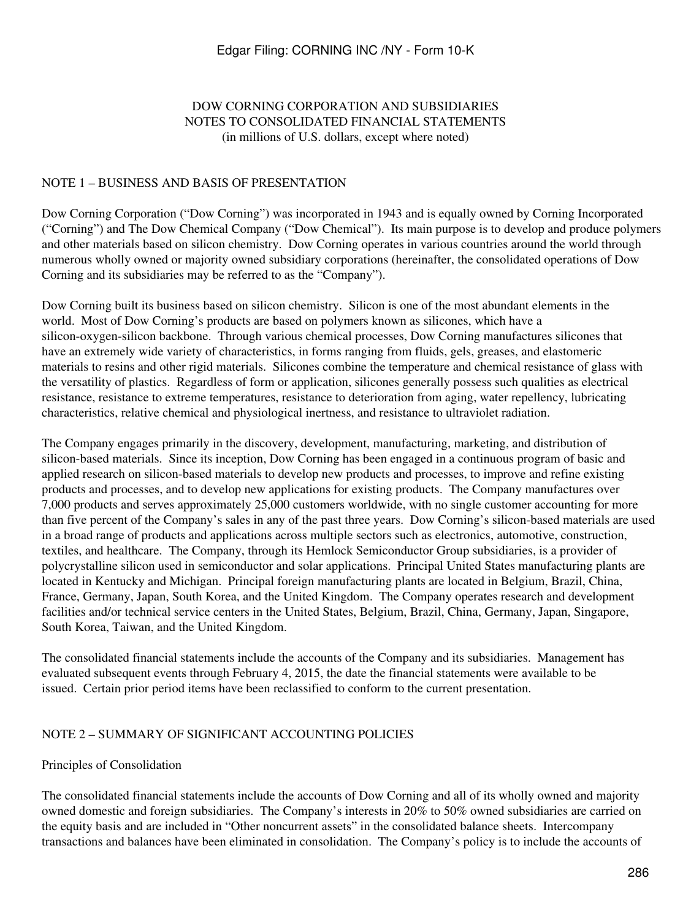# DOW CORNING CORPORATION AND SUBSIDIARIES NOTES TO CONSOLIDATED FINANCIAL STATEMENTS (in millions of U.S. dollars, except where noted)

## <span id="page-285-1"></span><span id="page-285-0"></span>NOTE 1 – BUSINESS AND BASIS OF PRESENTATION

Dow Corning Corporation ("Dow Corning") was incorporated in 1943 and is equally owned by Corning Incorporated ("Corning") and The Dow Chemical Company ("Dow Chemical"). Its main purpose is to develop and produce polymers and other materials based on silicon chemistry. Dow Corning operates in various countries around the world through numerous wholly owned or majority owned subsidiary corporations (hereinafter, the consolidated operations of Dow Corning and its subsidiaries may be referred to as the "Company").

Dow Corning built its business based on silicon chemistry. Silicon is one of the most abundant elements in the world. Most of Dow Corning's products are based on polymers known as silicones, which have a silicon-oxygen-silicon backbone. Through various chemical processes, Dow Corning manufactures silicones that have an extremely wide variety of characteristics, in forms ranging from fluids, gels, greases, and elastomeric materials to resins and other rigid materials. Silicones combine the temperature and chemical resistance of glass with the versatility of plastics. Regardless of form or application, silicones generally possess such qualities as electrical resistance, resistance to extreme temperatures, resistance to deterioration from aging, water repellency, lubricating characteristics, relative chemical and physiological inertness, and resistance to ultraviolet radiation.

The Company engages primarily in the discovery, development, manufacturing, marketing, and distribution of silicon-based materials. Since its inception, Dow Corning has been engaged in a continuous program of basic and applied research on silicon-based materials to develop new products and processes, to improve and refine existing products and processes, and to develop new applications for existing products. The Company manufactures over 7,000 products and serves approximately 25,000 customers worldwide, with no single customer accounting for more than five percent of the Company's sales in any of the past three years. Dow Corning's silicon-based materials are used in a broad range of products and applications across multiple sectors such as electronics, automotive, construction, textiles, and healthcare. The Company, through its Hemlock Semiconductor Group subsidiaries, is a provider of polycrystalline silicon used in semiconductor and solar applications. Principal United States manufacturing plants are located in Kentucky and Michigan. Principal foreign manufacturing plants are located in Belgium, Brazil, China, France, Germany, Japan, South Korea, and the United Kingdom. The Company operates research and development facilities and/or technical service centers in the United States, Belgium, Brazil, China, Germany, Japan, Singapore, South Korea, Taiwan, and the United Kingdom.

The consolidated financial statements include the accounts of the Company and its subsidiaries. Management has evaluated subsequent events through February 4, 2015, the date the financial statements were available to be issued. Certain prior period items have been reclassified to conform to the current presentation.

# <span id="page-285-2"></span>NOTE 2 – SUMMARY OF SIGNIFICANT ACCOUNTING POLICIES

#### Principles of Consolidation

The consolidated financial statements include the accounts of Dow Corning and all of its wholly owned and majority owned domestic and foreign subsidiaries. The Company's interests in 20% to 50% owned subsidiaries are carried on the equity basis and are included in "Other noncurrent assets" in the consolidated balance sheets. Intercompany transactions and balances have been eliminated in consolidation. The Company's policy is to include the accounts of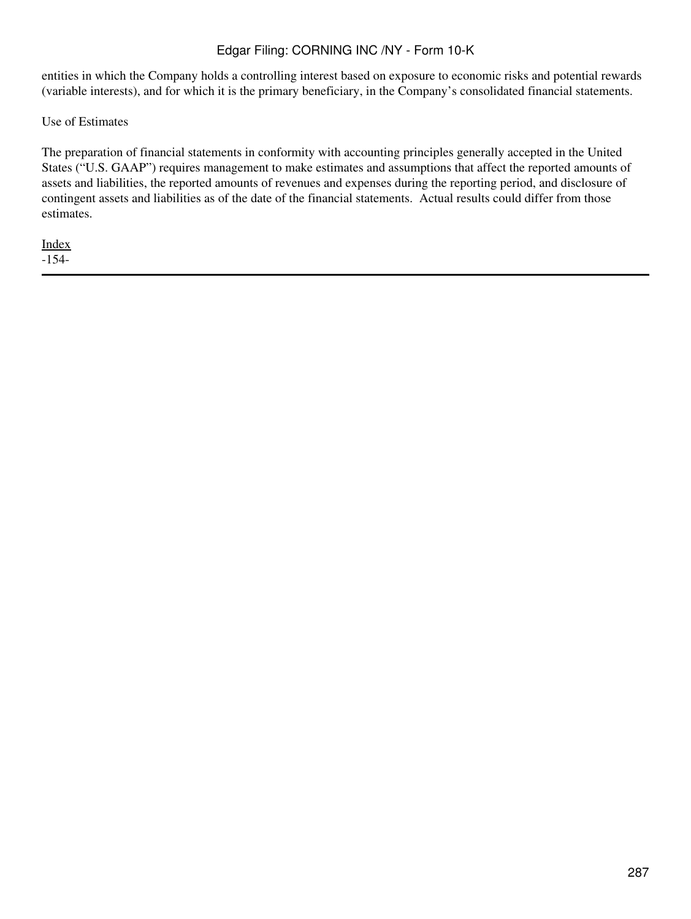entities in which the Company holds a controlling interest based on exposure to economic risks and potential rewards (variable interests), and for which it is the primary beneficiary, in the Company's consolidated financial statements.

Use of Estimates

The preparation of financial statements in conformity with accounting principles generally accepted in the United States ("U.S. GAAP") requires management to make estimates and assumptions that affect the reported amounts of assets and liabilities, the reported amounts of revenues and expenses during the reporting period, and disclosure of contingent assets and liabilities as of the date of the financial statements. Actual results could differ from those estimates.

[Index](#page-283-0) -154-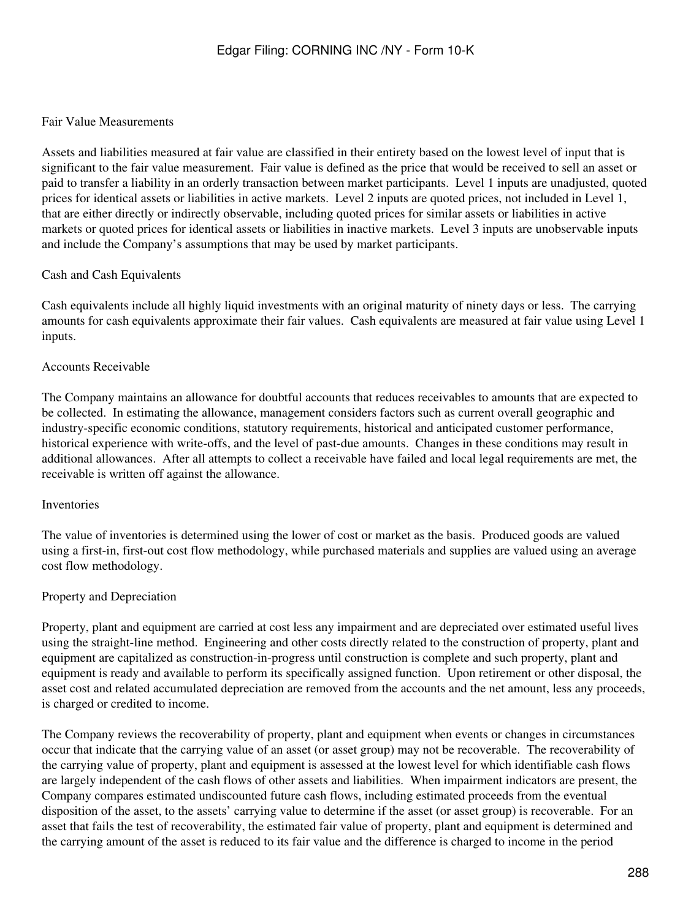## Fair Value Measurements

Assets and liabilities measured at fair value are classified in their entirety based on the lowest level of input that is significant to the fair value measurement. Fair value is defined as the price that would be received to sell an asset or paid to transfer a liability in an orderly transaction between market participants. Level 1 inputs are unadjusted, quoted prices for identical assets or liabilities in active markets. Level 2 inputs are quoted prices, not included in Level 1, that are either directly or indirectly observable, including quoted prices for similar assets or liabilities in active markets or quoted prices for identical assets or liabilities in inactive markets. Level 3 inputs are unobservable inputs and include the Company's assumptions that may be used by market participants.

## Cash and Cash Equivalents

Cash equivalents include all highly liquid investments with an original maturity of ninety days or less. The carrying amounts for cash equivalents approximate their fair values. Cash equivalents are measured at fair value using Level 1 inputs.

## Accounts Receivable

The Company maintains an allowance for doubtful accounts that reduces receivables to amounts that are expected to be collected. In estimating the allowance, management considers factors such as current overall geographic and industry-specific economic conditions, statutory requirements, historical and anticipated customer performance, historical experience with write-offs, and the level of past-due amounts. Changes in these conditions may result in additional allowances. After all attempts to collect a receivable have failed and local legal requirements are met, the receivable is written off against the allowance.

#### Inventories

The value of inventories is determined using the lower of cost or market as the basis. Produced goods are valued using a first-in, first-out cost flow methodology, while purchased materials and supplies are valued using an average cost flow methodology.

#### Property and Depreciation

Property, plant and equipment are carried at cost less any impairment and are depreciated over estimated useful lives using the straight-line method. Engineering and other costs directly related to the construction of property, plant and equipment are capitalized as construction-in-progress until construction is complete and such property, plant and equipment is ready and available to perform its specifically assigned function. Upon retirement or other disposal, the asset cost and related accumulated depreciation are removed from the accounts and the net amount, less any proceeds, is charged or credited to income.

The Company reviews the recoverability of property, plant and equipment when events or changes in circumstances occur that indicate that the carrying value of an asset (or asset group) may not be recoverable. The recoverability of the carrying value of property, plant and equipment is assessed at the lowest level for which identifiable cash flows are largely independent of the cash flows of other assets and liabilities. When impairment indicators are present, the Company compares estimated undiscounted future cash flows, including estimated proceeds from the eventual disposition of the asset, to the assets' carrying value to determine if the asset (or asset group) is recoverable. For an asset that fails the test of recoverability, the estimated fair value of property, plant and equipment is determined and the carrying amount of the asset is reduced to its fair value and the difference is charged to income in the period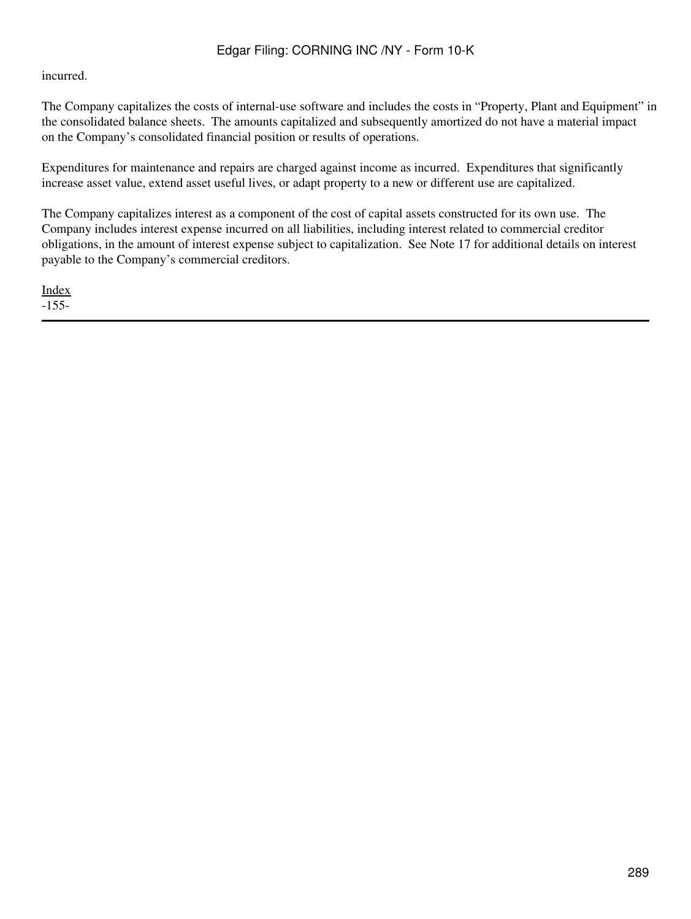#### incurred.

The Company capitalizes the costs of internal-use software and includes the costs in "Property, Plant and Equipment" in the consolidated balance sheets. The amounts capitalized and subsequently amortized do not have a material impact on the Company's consolidated financial position or results of operations.

Expenditures for maintenance and repairs are charged against income as incurred. Expenditures that significantly increase asset value, extend asset useful lives, or adapt property to a new or different use are capitalized.

The Company capitalizes interest as a component of the cost of capital assets constructed for its own use. The Company includes interest expense incurred on all liabilities, including interest related to commercial creditor obligations, in the amount of interest expense subject to capitalization. See Note 17 for additional details on interest payable to the Company's commercial creditors.

[Index](#page-283-0) -155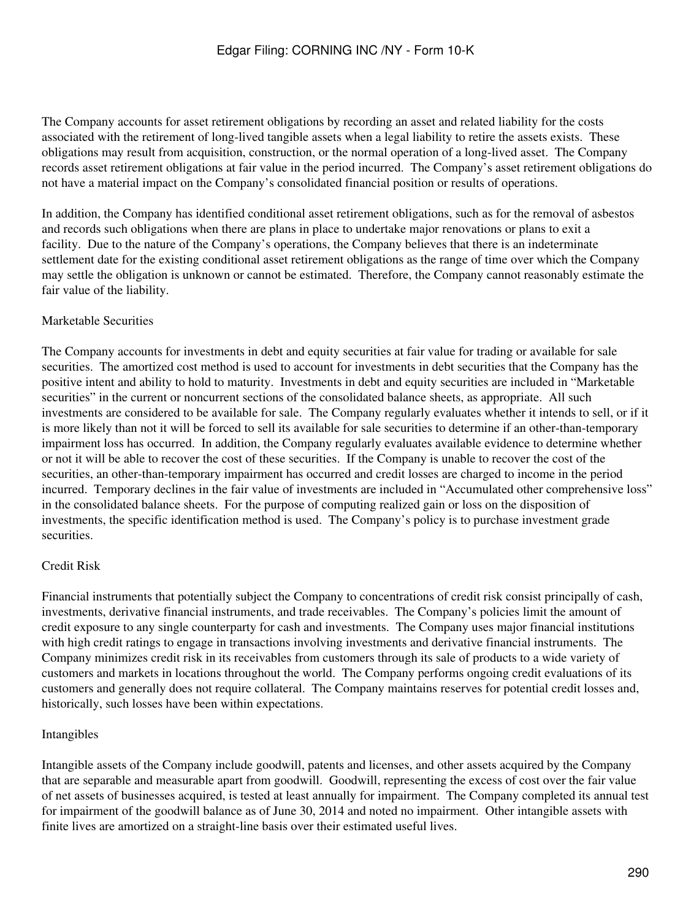The Company accounts for asset retirement obligations by recording an asset and related liability for the costs associated with the retirement of long-lived tangible assets when a legal liability to retire the assets exists. These obligations may result from acquisition, construction, or the normal operation of a long-lived asset. The Company records asset retirement obligations at fair value in the period incurred. The Company's asset retirement obligations do not have a material impact on the Company's consolidated financial position or results of operations.

In addition, the Company has identified conditional asset retirement obligations, such as for the removal of asbestos and records such obligations when there are plans in place to undertake major renovations or plans to exit a facility. Due to the nature of the Company's operations, the Company believes that there is an indeterminate settlement date for the existing conditional asset retirement obligations as the range of time over which the Company may settle the obligation is unknown or cannot be estimated. Therefore, the Company cannot reasonably estimate the fair value of the liability.

## Marketable Securities

The Company accounts for investments in debt and equity securities at fair value for trading or available for sale securities. The amortized cost method is used to account for investments in debt securities that the Company has the positive intent and ability to hold to maturity. Investments in debt and equity securities are included in "Marketable securities" in the current or noncurrent sections of the consolidated balance sheets, as appropriate. All such investments are considered to be available for sale. The Company regularly evaluates whether it intends to sell, or if it is more likely than not it will be forced to sell its available for sale securities to determine if an other-than-temporary impairment loss has occurred. In addition, the Company regularly evaluates available evidence to determine whether or not it will be able to recover the cost of these securities. If the Company is unable to recover the cost of the securities, an other-than-temporary impairment has occurred and credit losses are charged to income in the period incurred. Temporary declines in the fair value of investments are included in "Accumulated other comprehensive loss" in the consolidated balance sheets. For the purpose of computing realized gain or loss on the disposition of investments, the specific identification method is used. The Company's policy is to purchase investment grade securities.

## Credit Risk

Financial instruments that potentially subject the Company to concentrations of credit risk consist principally of cash, investments, derivative financial instruments, and trade receivables. The Company's policies limit the amount of credit exposure to any single counterparty for cash and investments. The Company uses major financial institutions with high credit ratings to engage in transactions involving investments and derivative financial instruments. The Company minimizes credit risk in its receivables from customers through its sale of products to a wide variety of customers and markets in locations throughout the world. The Company performs ongoing credit evaluations of its customers and generally does not require collateral. The Company maintains reserves for potential credit losses and, historically, such losses have been within expectations.

#### Intangibles

Intangible assets of the Company include goodwill, patents and licenses, and other assets acquired by the Company that are separable and measurable apart from goodwill. Goodwill, representing the excess of cost over the fair value of net assets of businesses acquired, is tested at least annually for impairment. The Company completed its annual test for impairment of the goodwill balance as of June 30, 2014 and noted no impairment. Other intangible assets with finite lives are amortized on a straight-line basis over their estimated useful lives.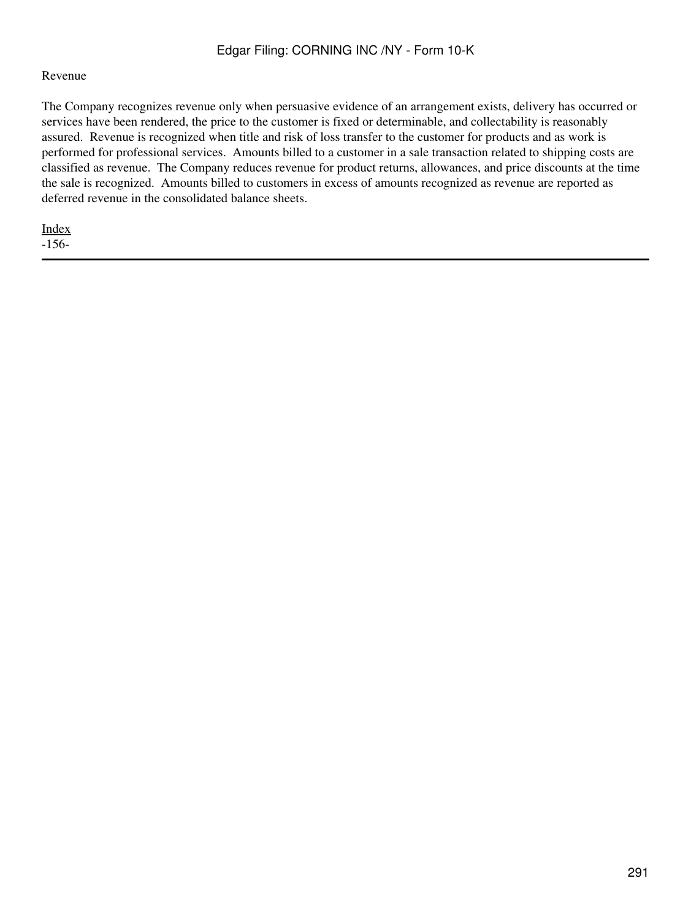#### Revenue

The Company recognizes revenue only when persuasive evidence of an arrangement exists, delivery has occurred or services have been rendered, the price to the customer is fixed or determinable, and collectability is reasonably assured. Revenue is recognized when title and risk of loss transfer to the customer for products and as work is performed for professional services. Amounts billed to a customer in a sale transaction related to shipping costs are classified as revenue. The Company reduces revenue for product returns, allowances, and price discounts at the time the sale is recognized. Amounts billed to customers in excess of amounts recognized as revenue are reported as deferred revenue in the consolidated balance sheets.

[Index](#page-283-0)

-156-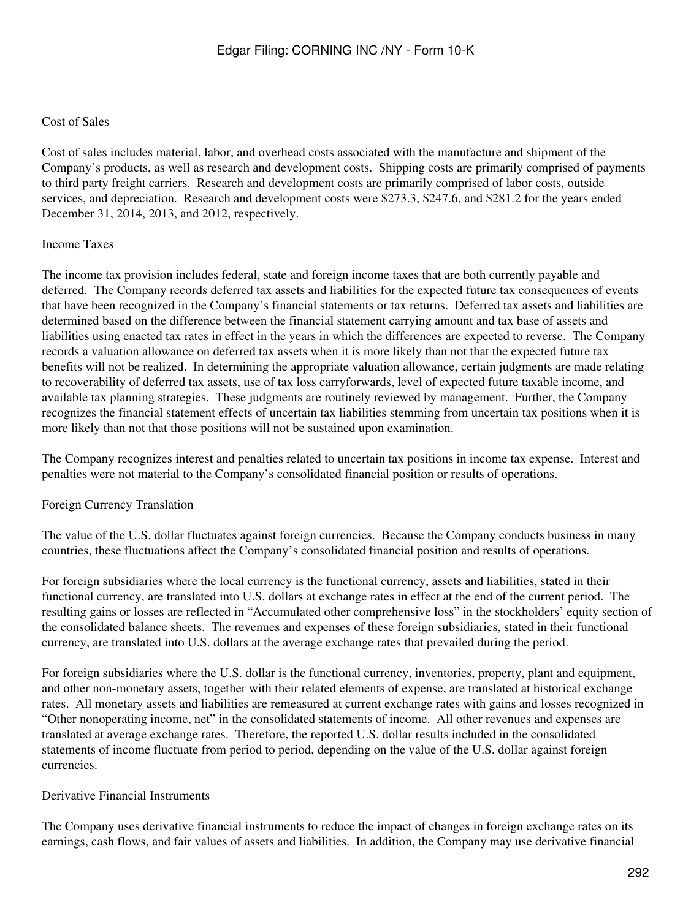### Cost of Sales

Cost of sales includes material, labor, and overhead costs associated with the manufacture and shipment of the Company's products, as well as research and development costs. Shipping costs are primarily comprised of payments to third party freight carriers. Research and development costs are primarily comprised of labor costs, outside services, and depreciation. Research and development costs were \$273.3, \$247.6, and \$281.2 for the years ended December 31, 2014, 2013, and 2012, respectively.

## Income Taxes

The income tax provision includes federal, state and foreign income taxes that are both currently payable and deferred. The Company records deferred tax assets and liabilities for the expected future tax consequences of events that have been recognized in the Company's financial statements or tax returns. Deferred tax assets and liabilities are determined based on the difference between the financial statement carrying amount and tax base of assets and liabilities using enacted tax rates in effect in the years in which the differences are expected to reverse. The Company records a valuation allowance on deferred tax assets when it is more likely than not that the expected future tax benefits will not be realized. In determining the appropriate valuation allowance, certain judgments are made relating to recoverability of deferred tax assets, use of tax loss carryforwards, level of expected future taxable income, and available tax planning strategies. These judgments are routinely reviewed by management. Further, the Company recognizes the financial statement effects of uncertain tax liabilities stemming from uncertain tax positions when it is more likely than not that those positions will not be sustained upon examination.

The Company recognizes interest and penalties related to uncertain tax positions in income tax expense. Interest and penalties were not material to the Company's consolidated financial position or results of operations.

## Foreign Currency Translation

The value of the U.S. dollar fluctuates against foreign currencies. Because the Company conducts business in many countries, these fluctuations affect the Company's consolidated financial position and results of operations.

For foreign subsidiaries where the local currency is the functional currency, assets and liabilities, stated in their functional currency, are translated into U.S. dollars at exchange rates in effect at the end of the current period. The resulting gains or losses are reflected in "Accumulated other comprehensive loss" in the stockholders' equity section of the consolidated balance sheets. The revenues and expenses of these foreign subsidiaries, stated in their functional currency, are translated into U.S. dollars at the average exchange rates that prevailed during the period.

For foreign subsidiaries where the U.S. dollar is the functional currency, inventories, property, plant and equipment, and other non-monetary assets, together with their related elements of expense, are translated at historical exchange rates. All monetary assets and liabilities are remeasured at current exchange rates with gains and losses recognized in "Other nonoperating income, net" in the consolidated statements of income. All other revenues and expenses are translated at average exchange rates. Therefore, the reported U.S. dollar results included in the consolidated statements of income fluctuate from period to period, depending on the value of the U.S. dollar against foreign currencies.

## Derivative Financial Instruments

The Company uses derivative financial instruments to reduce the impact of changes in foreign exchange rates on its earnings, cash flows, and fair values of assets and liabilities. In addition, the Company may use derivative financial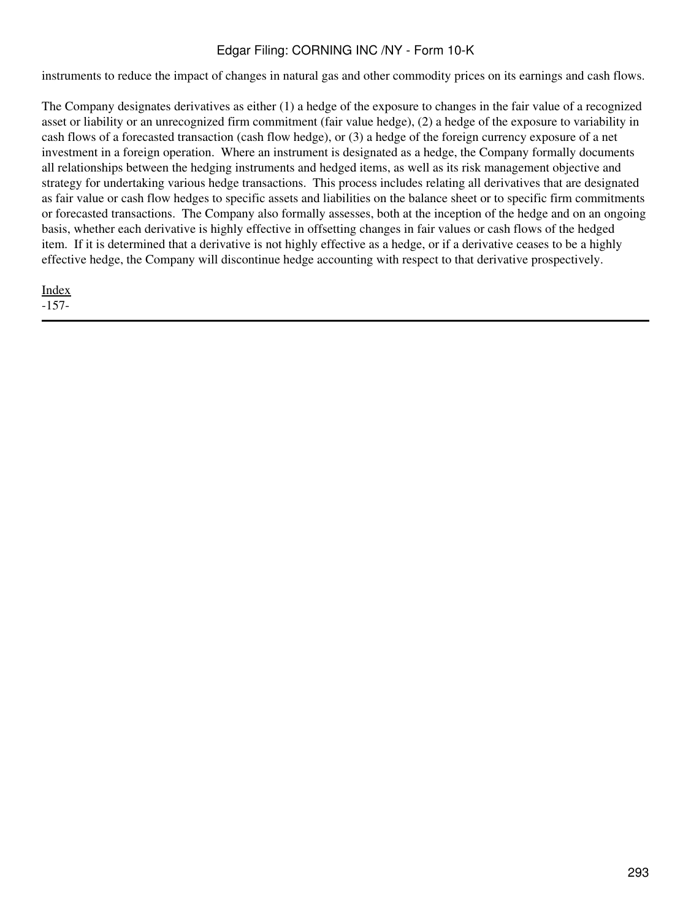instruments to reduce the impact of changes in natural gas and other commodity prices on its earnings and cash flows.

The Company designates derivatives as either (1) a hedge of the exposure to changes in the fair value of a recognized asset or liability or an unrecognized firm commitment (fair value hedge), (2) a hedge of the exposure to variability in cash flows of a forecasted transaction (cash flow hedge), or (3) a hedge of the foreign currency exposure of a net investment in a foreign operation. Where an instrument is designated as a hedge, the Company formally documents all relationships between the hedging instruments and hedged items, as well as its risk management objective and strategy for undertaking various hedge transactions. This process includes relating all derivatives that are designated as fair value or cash flow hedges to specific assets and liabilities on the balance sheet or to specific firm commitments or forecasted transactions. The Company also formally assesses, both at the inception of the hedge and on an ongoing basis, whether each derivative is highly effective in offsetting changes in fair values or cash flows of the hedged item. If it is determined that a derivative is not highly effective as a hedge, or if a derivative ceases to be a highly effective hedge, the Company will discontinue hedge accounting with respect to that derivative prospectively.

[Index](#page-283-0) -157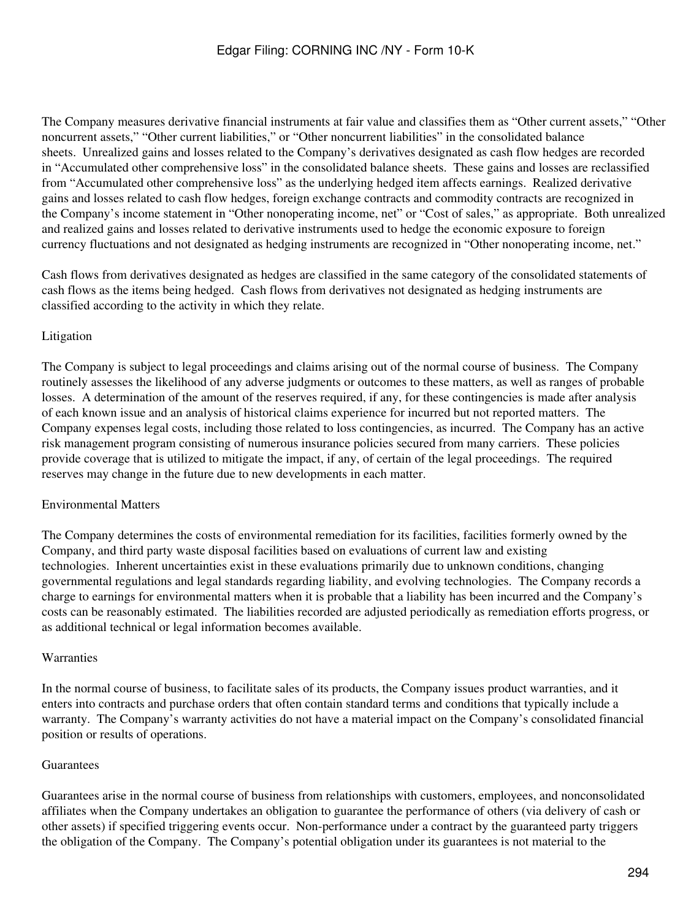The Company measures derivative financial instruments at fair value and classifies them as "Other current assets," "Other noncurrent assets," "Other current liabilities," or "Other noncurrent liabilities" in the consolidated balance sheets. Unrealized gains and losses related to the Company's derivatives designated as cash flow hedges are recorded in "Accumulated other comprehensive loss" in the consolidated balance sheets. These gains and losses are reclassified from "Accumulated other comprehensive loss" as the underlying hedged item affects earnings. Realized derivative gains and losses related to cash flow hedges, foreign exchange contracts and commodity contracts are recognized in the Company's income statement in "Other nonoperating income, net" or "Cost of sales," as appropriate. Both unrealized and realized gains and losses related to derivative instruments used to hedge the economic exposure to foreign currency fluctuations and not designated as hedging instruments are recognized in "Other nonoperating income, net."

Cash flows from derivatives designated as hedges are classified in the same category of the consolidated statements of cash flows as the items being hedged. Cash flows from derivatives not designated as hedging instruments are classified according to the activity in which they relate.

## Litigation

The Company is subject to legal proceedings and claims arising out of the normal course of business. The Company routinely assesses the likelihood of any adverse judgments or outcomes to these matters, as well as ranges of probable losses. A determination of the amount of the reserves required, if any, for these contingencies is made after analysis of each known issue and an analysis of historical claims experience for incurred but not reported matters. The Company expenses legal costs, including those related to loss contingencies, as incurred. The Company has an active risk management program consisting of numerous insurance policies secured from many carriers. These policies provide coverage that is utilized to mitigate the impact, if any, of certain of the legal proceedings. The required reserves may change in the future due to new developments in each matter.

## Environmental Matters

The Company determines the costs of environmental remediation for its facilities, facilities formerly owned by the Company, and third party waste disposal facilities based on evaluations of current law and existing technologies. Inherent uncertainties exist in these evaluations primarily due to unknown conditions, changing governmental regulations and legal standards regarding liability, and evolving technologies. The Company records a charge to earnings for environmental matters when it is probable that a liability has been incurred and the Company's costs can be reasonably estimated. The liabilities recorded are adjusted periodically as remediation efforts progress, or as additional technical or legal information becomes available.

## Warranties

In the normal course of business, to facilitate sales of its products, the Company issues product warranties, and it enters into contracts and purchase orders that often contain standard terms and conditions that typically include a warranty. The Company's warranty activities do not have a material impact on the Company's consolidated financial position or results of operations.

## Guarantees

Guarantees arise in the normal course of business from relationships with customers, employees, and nonconsolidated affiliates when the Company undertakes an obligation to guarantee the performance of others (via delivery of cash or other assets) if specified triggering events occur. Non-performance under a contract by the guaranteed party triggers the obligation of the Company. The Company's potential obligation under its guarantees is not material to the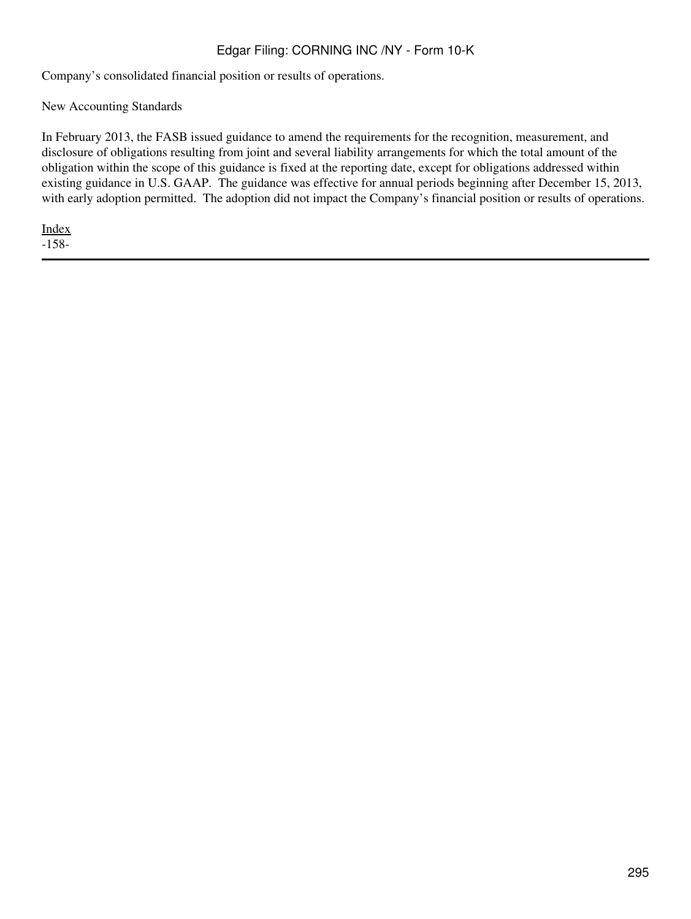Company's consolidated financial position or results of operations.

New Accounting Standards

In February 2013, the FASB issued guidance to amend the requirements for the recognition, measurement, and disclosure of obligations resulting from joint and several liability arrangements for which the total amount of the obligation within the scope of this guidance is fixed at the reporting date, except for obligations addressed within existing guidance in U.S. GAAP. The guidance was effective for annual periods beginning after December 15, 2013, with early adoption permitted. The adoption did not impact the Company's financial position or results of operations.

[Index](#page-283-0)

-158-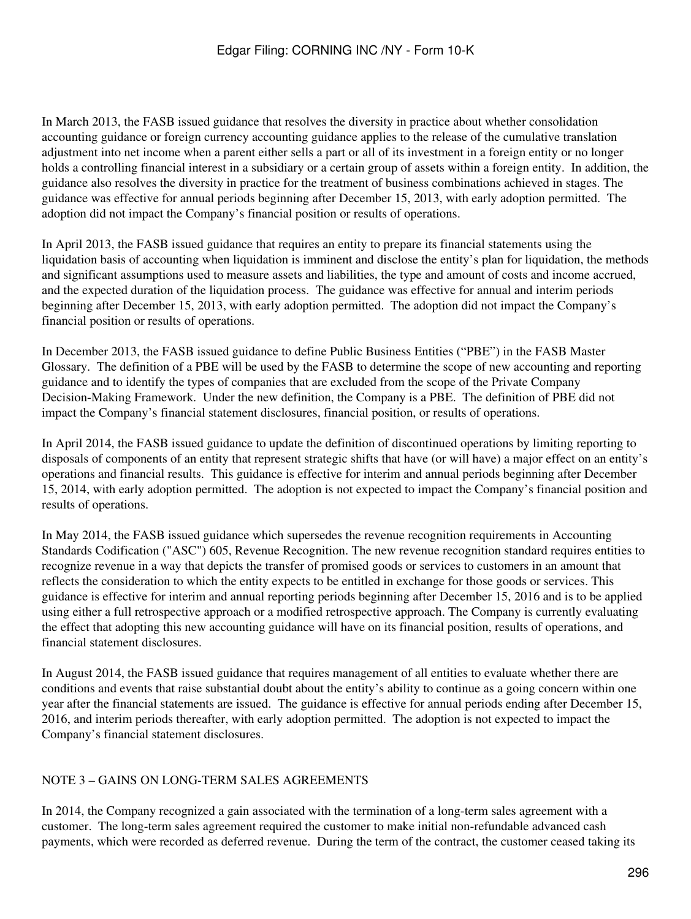In March 2013, the FASB issued guidance that resolves the diversity in practice about whether consolidation accounting guidance or foreign currency accounting guidance applies to the release of the cumulative translation adjustment into net income when a parent either sells a part or all of its investment in a foreign entity or no longer holds a controlling financial interest in a subsidiary or a certain group of assets within a foreign entity. In addition, the guidance also resolves the diversity in practice for the treatment of business combinations achieved in stages. The guidance was effective for annual periods beginning after December 15, 2013, with early adoption permitted. The adoption did not impact the Company's financial position or results of operations.

In April 2013, the FASB issued guidance that requires an entity to prepare its financial statements using the liquidation basis of accounting when liquidation is imminent and disclose the entity's plan for liquidation, the methods and significant assumptions used to measure assets and liabilities, the type and amount of costs and income accrued, and the expected duration of the liquidation process. The guidance was effective for annual and interim periods beginning after December 15, 2013, with early adoption permitted. The adoption did not impact the Company's financial position or results of operations.

In December 2013, the FASB issued guidance to define Public Business Entities ("PBE") in the FASB Master Glossary. The definition of a PBE will be used by the FASB to determine the scope of new accounting and reporting guidance and to identify the types of companies that are excluded from the scope of the Private Company Decision-Making Framework. Under the new definition, the Company is a PBE. The definition of PBE did not impact the Company's financial statement disclosures, financial position, or results of operations.

In April 2014, the FASB issued guidance to update the definition of discontinued operations by limiting reporting to disposals of components of an entity that represent strategic shifts that have (or will have) a major effect on an entity's operations and financial results. This guidance is effective for interim and annual periods beginning after December 15, 2014, with early adoption permitted. The adoption is not expected to impact the Company's financial position and results of operations.

In May 2014, the FASB issued guidance which supersedes the revenue recognition requirements in Accounting Standards Codification ("ASC") 605, Revenue Recognition. The new revenue recognition standard requires entities to recognize revenue in a way that depicts the transfer of promised goods or services to customers in an amount that reflects the consideration to which the entity expects to be entitled in exchange for those goods or services. This guidance is effective for interim and annual reporting periods beginning after December 15, 2016 and is to be applied using either a full retrospective approach or a modified retrospective approach. The Company is currently evaluating the effect that adopting this new accounting guidance will have on its financial position, results of operations, and financial statement disclosures.

In August 2014, the FASB issued guidance that requires management of all entities to evaluate whether there are conditions and events that raise substantial doubt about the entity's ability to continue as a going concern within one year after the financial statements are issued. The guidance is effective for annual periods ending after December 15, 2016, and interim periods thereafter, with early adoption permitted. The adoption is not expected to impact the Company's financial statement disclosures.

## NOTE 3 – GAINS ON LONG-TERM SALES AGREEMENTS

In 2014, the Company recognized a gain associated with the termination of a long-term sales agreement with a customer. The long-term sales agreement required the customer to make initial non-refundable advanced cash payments, which were recorded as deferred revenue. During the term of the contract, the customer ceased taking its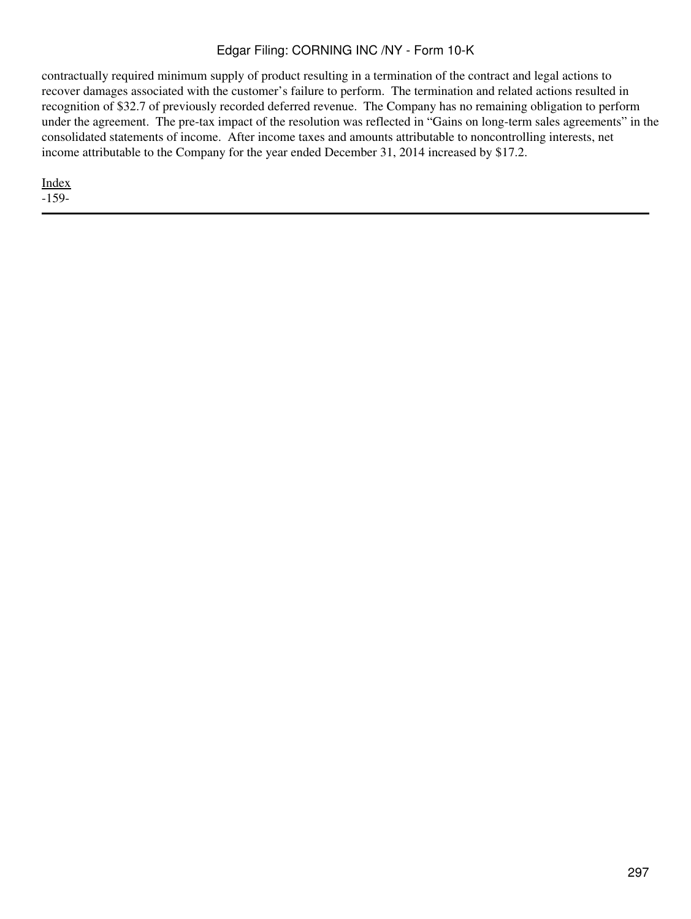contractually required minimum supply of product resulting in a termination of the contract and legal actions to recover damages associated with the customer's failure to perform. The termination and related actions resulted in recognition of \$32.7 of previously recorded deferred revenue. The Company has no remaining obligation to perform under the agreement. The pre-tax impact of the resolution was reflected in "Gains on long-term sales agreements" in the consolidated statements of income. After income taxes and amounts attributable to noncontrolling interests, net income attributable to the Company for the year ended December 31, 2014 increased by \$17.2.

[Index](#page-283-0)

-159-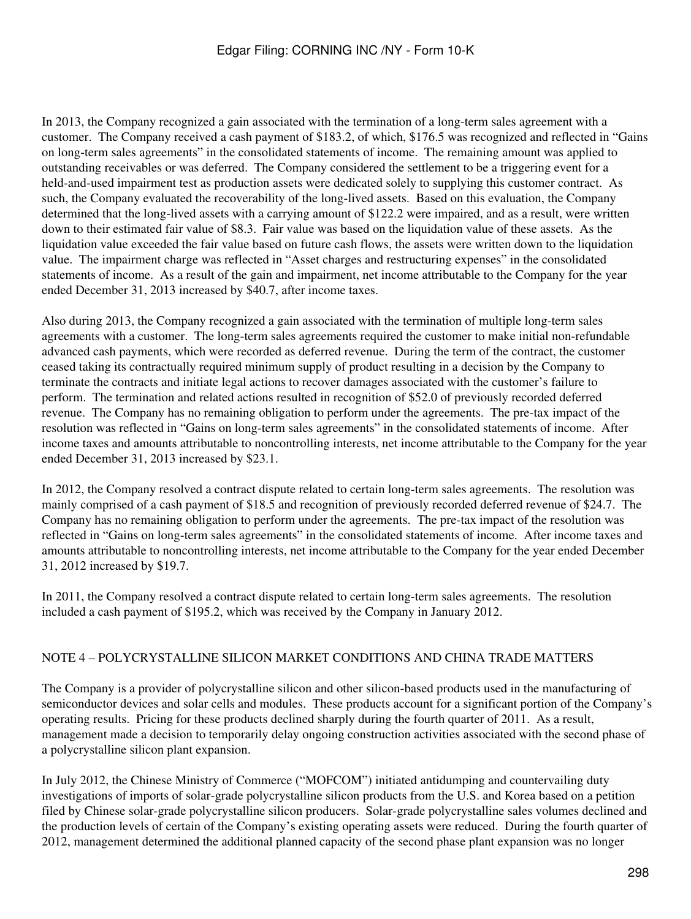In 2013, the Company recognized a gain associated with the termination of a long-term sales agreement with a customer. The Company received a cash payment of \$183.2, of which, \$176.5 was recognized and reflected in "Gains on long-term sales agreements" in the consolidated statements of income. The remaining amount was applied to outstanding receivables or was deferred. The Company considered the settlement to be a triggering event for a held-and-used impairment test as production assets were dedicated solely to supplying this customer contract. As such, the Company evaluated the recoverability of the long-lived assets. Based on this evaluation, the Company determined that the long-lived assets with a carrying amount of \$122.2 were impaired, and as a result, were written down to their estimated fair value of \$8.3. Fair value was based on the liquidation value of these assets. As the liquidation value exceeded the fair value based on future cash flows, the assets were written down to the liquidation value. The impairment charge was reflected in "Asset charges and restructuring expenses" in the consolidated statements of income. As a result of the gain and impairment, net income attributable to the Company for the year ended December 31, 2013 increased by \$40.7, after income taxes.

Also during 2013, the Company recognized a gain associated with the termination of multiple long-term sales agreements with a customer. The long-term sales agreements required the customer to make initial non-refundable advanced cash payments, which were recorded as deferred revenue. During the term of the contract, the customer ceased taking its contractually required minimum supply of product resulting in a decision by the Company to terminate the contracts and initiate legal actions to recover damages associated with the customer's failure to perform. The termination and related actions resulted in recognition of \$52.0 of previously recorded deferred revenue. The Company has no remaining obligation to perform under the agreements. The pre-tax impact of the resolution was reflected in "Gains on long-term sales agreements" in the consolidated statements of income. After income taxes and amounts attributable to noncontrolling interests, net income attributable to the Company for the year ended December 31, 2013 increased by \$23.1.

In 2012, the Company resolved a contract dispute related to certain long-term sales agreements. The resolution was mainly comprised of a cash payment of \$18.5 and recognition of previously recorded deferred revenue of \$24.7. The Company has no remaining obligation to perform under the agreements. The pre-tax impact of the resolution was reflected in "Gains on long-term sales agreements" in the consolidated statements of income. After income taxes and amounts attributable to noncontrolling interests, net income attributable to the Company for the year ended December 31, 2012 increased by \$19.7.

In 2011, the Company resolved a contract dispute related to certain long-term sales agreements. The resolution included a cash payment of \$195.2, which was received by the Company in January 2012.

## NOTE 4 – POLYCRYSTALLINE SILICON MARKET CONDITIONS AND CHINA TRADE MATTERS

The Company is a provider of polycrystalline silicon and other silicon-based products used in the manufacturing of semiconductor devices and solar cells and modules. These products account for a significant portion of the Company's operating results. Pricing for these products declined sharply during the fourth quarter of 2011. As a result, management made a decision to temporarily delay ongoing construction activities associated with the second phase of a polycrystalline silicon plant expansion.

In July 2012, the Chinese Ministry of Commerce ("MOFCOM") initiated antidumping and countervailing duty investigations of imports of solar-grade polycrystalline silicon products from the U.S. and Korea based on a petition filed by Chinese solar-grade polycrystalline silicon producers. Solar-grade polycrystalline sales volumes declined and the production levels of certain of the Company's existing operating assets were reduced. During the fourth quarter of 2012, management determined the additional planned capacity of the second phase plant expansion was no longer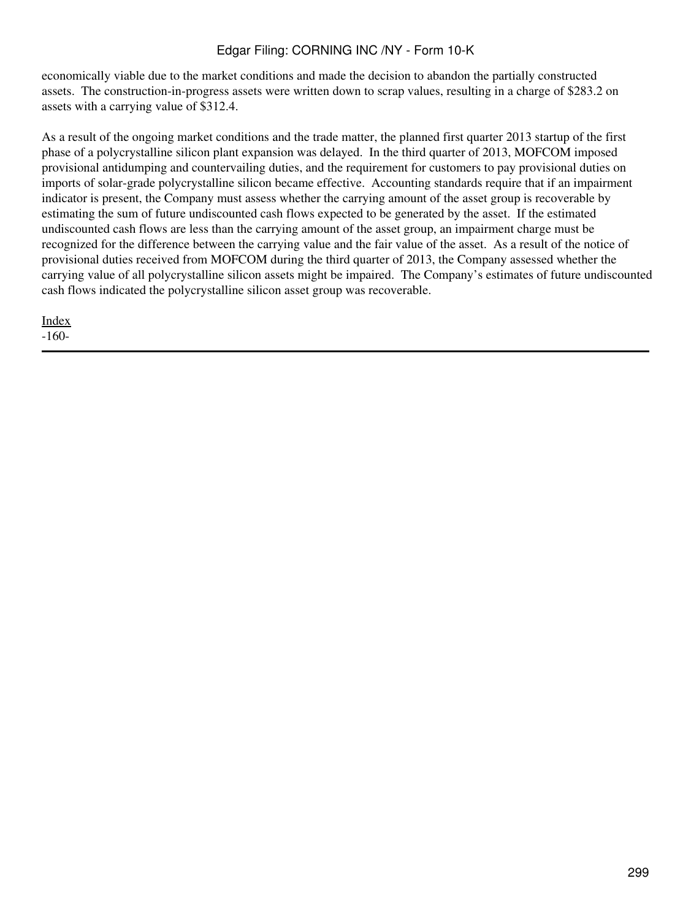economically viable due to the market conditions and made the decision to abandon the partially constructed assets. The construction-in-progress assets were written down to scrap values, resulting in a charge of \$283.2 on assets with a carrying value of \$312.4.

As a result of the ongoing market conditions and the trade matter, the planned first quarter 2013 startup of the first phase of a polycrystalline silicon plant expansion was delayed. In the third quarter of 2013, MOFCOM imposed provisional antidumping and countervailing duties, and the requirement for customers to pay provisional duties on imports of solar-grade polycrystalline silicon became effective. Accounting standards require that if an impairment indicator is present, the Company must assess whether the carrying amount of the asset group is recoverable by estimating the sum of future undiscounted cash flows expected to be generated by the asset. If the estimated undiscounted cash flows are less than the carrying amount of the asset group, an impairment charge must be recognized for the difference between the carrying value and the fair value of the asset. As a result of the notice of provisional duties received from MOFCOM during the third quarter of 2013, the Company assessed whether the carrying value of all polycrystalline silicon assets might be impaired. The Company's estimates of future undiscounted cash flows indicated the polycrystalline silicon asset group was recoverable.

[Index](#page-283-0) -160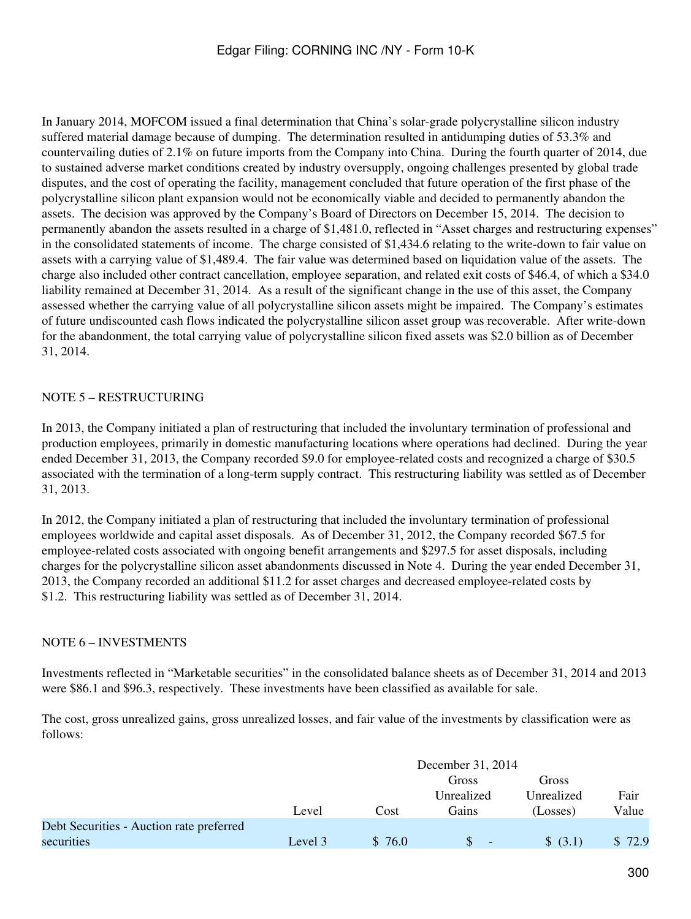In January 2014, MOFCOM issued a final determination that China's solar-grade polycrystalline silicon industry suffered material damage because of dumping. The determination resulted in antidumping duties of 53.3% and countervailing duties of 2.1% on future imports from the Company into China. During the fourth quarter of 2014, due to sustained adverse market conditions created by industry oversupply, ongoing challenges presented by global trade disputes, and the cost of operating the facility, management concluded that future operation of the first phase of the polycrystalline silicon plant expansion would not be economically viable and decided to permanently abandon the assets. The decision was approved by the Company's Board of Directors on December 15, 2014. The decision to permanently abandon the assets resulted in a charge of \$1,481.0, reflected in "Asset charges and restructuring expenses" in the consolidated statements of income. The charge consisted of \$1,434.6 relating to the write-down to fair value on assets with a carrying value of \$1,489.4. The fair value was determined based on liquidation value of the assets. The charge also included other contract cancellation, employee separation, and related exit costs of \$46.4, of which a \$34.0 liability remained at December 31, 2014. As a result of the significant change in the use of this asset, the Company assessed whether the carrying value of all polycrystalline silicon assets might be impaired. The Company's estimates of future undiscounted cash flows indicated the polycrystalline silicon asset group was recoverable. After write-down for the abandonment, the total carrying value of polycrystalline silicon fixed assets was \$2.0 billion as of December 31, 2014.

## NOTE 5 – RESTRUCTURING

In 2013, the Company initiated a plan of restructuring that included the involuntary termination of professional and production employees, primarily in domestic manufacturing locations where operations had declined. During the year ended December 31, 2013, the Company recorded \$9.0 for employee-related costs and recognized a charge of \$30.5 associated with the termination of a long-term supply contract. This restructuring liability was settled as of December 31, 2013.

In 2012, the Company initiated a plan of restructuring that included the involuntary termination of professional employees worldwide and capital asset disposals. As of December 31, 2012, the Company recorded \$67.5 for employee-related costs associated with ongoing benefit arrangements and \$297.5 for asset disposals, including charges for the polycrystalline silicon asset abandonments discussed in Note 4. During the year ended December 31, 2013, the Company recorded an additional \$11.2 for asset charges and decreased employee-related costs by \$1.2. This restructuring liability was settled as of December 31, 2014.

#### NOTE 6 – INVESTMENTS

Investments reflected in "Marketable securities" in the consolidated balance sheets as of December 31, 2014 and 2013 were \$86.1 and \$96.3, respectively. These investments have been classified as available for sale.

The cost, gross unrealized gains, gross unrealized losses, and fair value of the investments by classification were as follows:

|                                          | December 31, 2014 |        |                          |            |        |
|------------------------------------------|-------------------|--------|--------------------------|------------|--------|
|                                          |                   |        | Gross                    | Gross      |        |
|                                          |                   |        | Unrealized               | Unrealized | Fair   |
|                                          | Level             | Cost   | Gains                    | (Losses)   | Value  |
| Debt Securities - Auction rate preferred |                   |        |                          |            |        |
| securities                               | Level 3           | \$76.0 | $\overline{\phantom{0}}$ | \$ (3.1)   | \$72.9 |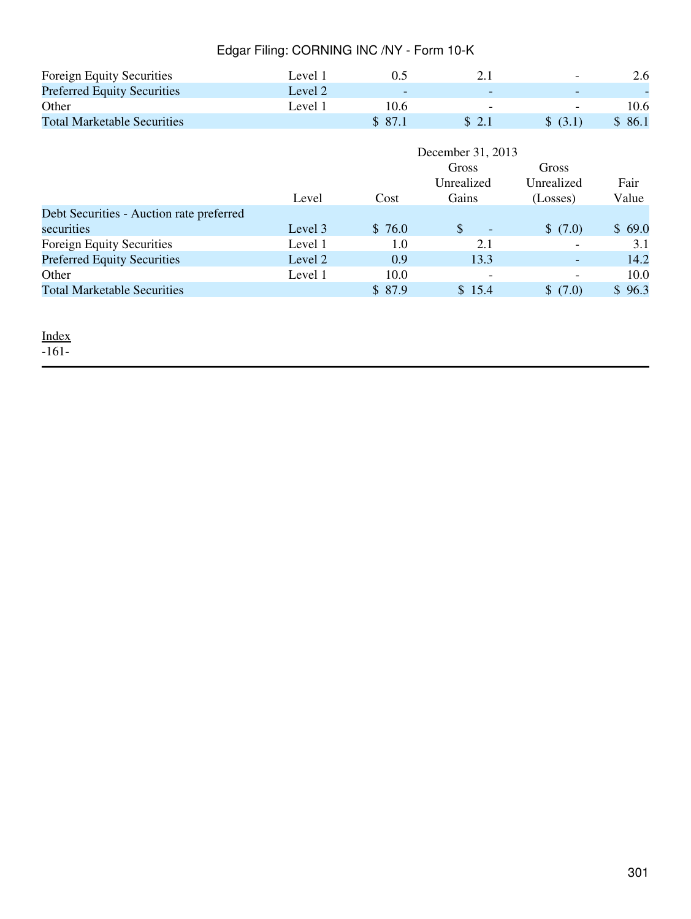| <b>Foreign Equity Securities</b>   | Level 1 |                          |   | $\overline{\phantom{0}}$ | 2.6    |
|------------------------------------|---------|--------------------------|---|--------------------------|--------|
| <b>Preferred Equity Securities</b> | Level 2 | $\overline{\phantom{0}}$ |   | $\overline{\phantom{0}}$ |        |
| Other                              | Level 1 | 10.6                     | - | $\overline{\phantom{a}}$ | 10.6   |
| <b>Total Marketable Securities</b> |         | \$ 87.1                  |   | \$ (3.1)                 | \$86.1 |

|                                          | December 31, 2013 |         |                                 |             |        |
|------------------------------------------|-------------------|---------|---------------------------------|-------------|--------|
|                                          |                   |         | Gross                           | Gross       |        |
|                                          |                   |         | Unrealized                      | Unrealized  | Fair   |
|                                          | Level             | Cost    | Gains                           | (Losses)    | Value  |
| Debt Securities - Auction rate preferred |                   |         |                                 |             |        |
| securities                               | Level 3           | \$76.0  | <sup>\$</sup><br>$\overline{a}$ | \$(7.0)     | \$69.0 |
| Foreign Equity Securities                | Level 1           | 1.0     | 2.1                             |             | 3.1    |
| <b>Preferred Equity Securities</b>       | Level 2           | 0.9     | 13.3                            |             | 14.2   |
| Other                                    | Level 1           | 10.0    | $\overline{\phantom{0}}$        | -           | 10.0   |
| <b>Total Marketable Securities</b>       |                   | \$ 87.9 | \$15.4                          | S.<br>(7.0) | 96.3   |

#### <u>[Index](#page-283-0)</u>

-161-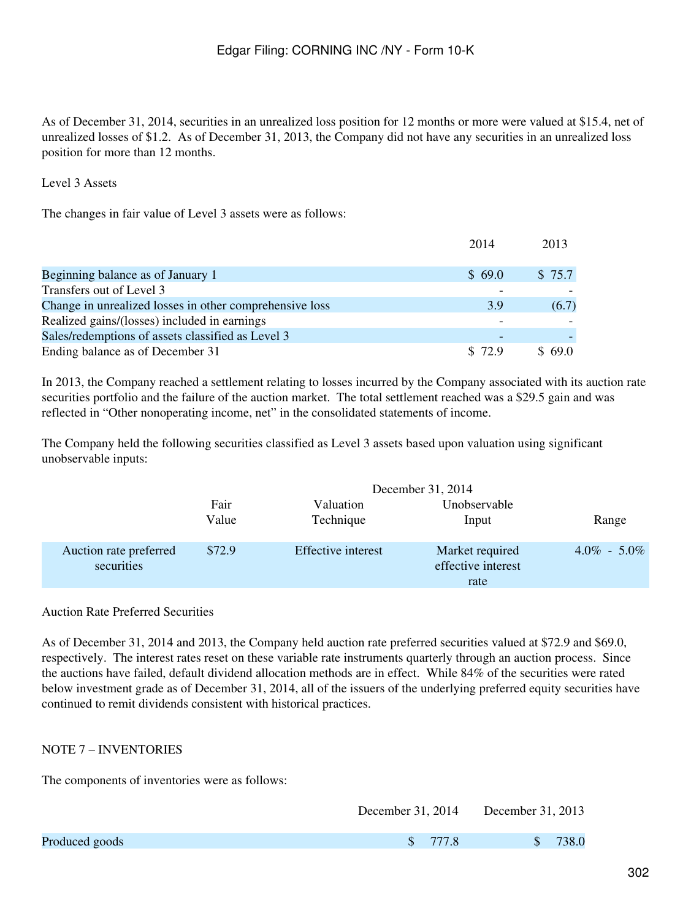As of December 31, 2014, securities in an unrealized loss position for 12 months or more were valued at \$15.4, net of unrealized losses of \$1.2. As of December 31, 2013, the Company did not have any securities in an unrealized loss position for more than 12 months.

#### Level 3 Assets

The changes in fair value of Level 3 assets were as follows:

|                                                         | 2014    | 2013   |
|---------------------------------------------------------|---------|--------|
|                                                         |         |        |
| Beginning balance as of January 1                       | \$69.0  | \$75.7 |
| Transfers out of Level 3                                |         |        |
| Change in unrealized losses in other comprehensive loss | 3.9     | (6.7)  |
| Realized gains/(losses) included in earnings            |         |        |
| Sales/redemptions of assets classified as Level 3       |         |        |
| Ending balance as of December 31                        | \$ 72.9 | \$69.0 |

In 2013, the Company reached a settlement relating to losses incurred by the Company associated with its auction rate securities portfolio and the failure of the auction market. The total settlement reached was a \$29.5 gain and was reflected in "Other nonoperating income, net" in the consolidated statements of income.

The Company held the following securities classified as Level 3 assets based upon valuation using significant unobservable inputs:

|                                      | December 31, 2014 |                        |                                               |                 |
|--------------------------------------|-------------------|------------------------|-----------------------------------------------|-----------------|
|                                      | Fair<br>Value     | Valuation<br>Technique | Unobservable<br>Input                         | Range           |
| Auction rate preferred<br>securities | \$72.9            | Effective interest     | Market required<br>effective interest<br>rate | $4.0\% - 5.0\%$ |

#### Auction Rate Preferred Securities

As of December 31, 2014 and 2013, the Company held auction rate preferred securities valued at \$72.9 and \$69.0, respectively. The interest rates reset on these variable rate instruments quarterly through an auction process. Since the auctions have failed, default dividend allocation methods are in effect. While 84% of the securities were rated below investment grade as of December 31, 2014, all of the issuers of the underlying preferred equity securities have continued to remit dividends consistent with historical practices.

## NOTE 7 – INVENTORIES

The components of inventories were as follows:

|                |          | December 31, 2014 December 31, 2013 |
|----------------|----------|-------------------------------------|
| Produced goods | \$ 777.8 | \$738.0                             |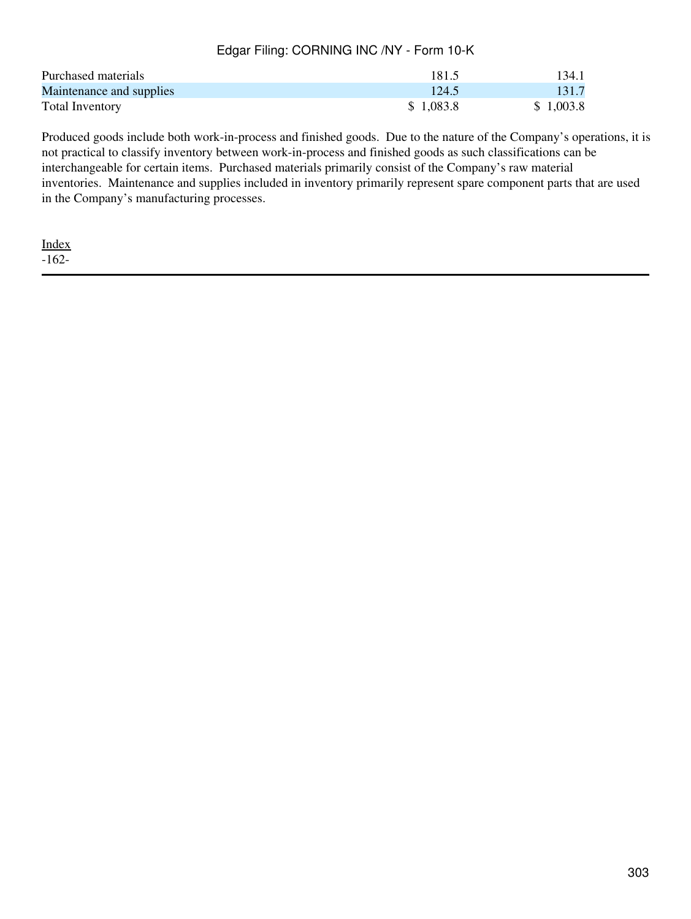| Purchased materials      | 181.5     | 134.1     |
|--------------------------|-----------|-----------|
| Maintenance and supplies | 124.5     | 131.7     |
| Total Inventory          | \$1,083.8 | \$1,003.8 |

Produced goods include both work-in-process and finished goods. Due to the nature of the Company's operations, it is not practical to classify inventory between work-in-process and finished goods as such classifications can be interchangeable for certain items. Purchased materials primarily consist of the Company's raw material inventories. Maintenance and supplies included in inventory primarily represent spare component parts that are used in the Company's manufacturing processes.

[Index](#page-283-0) -162-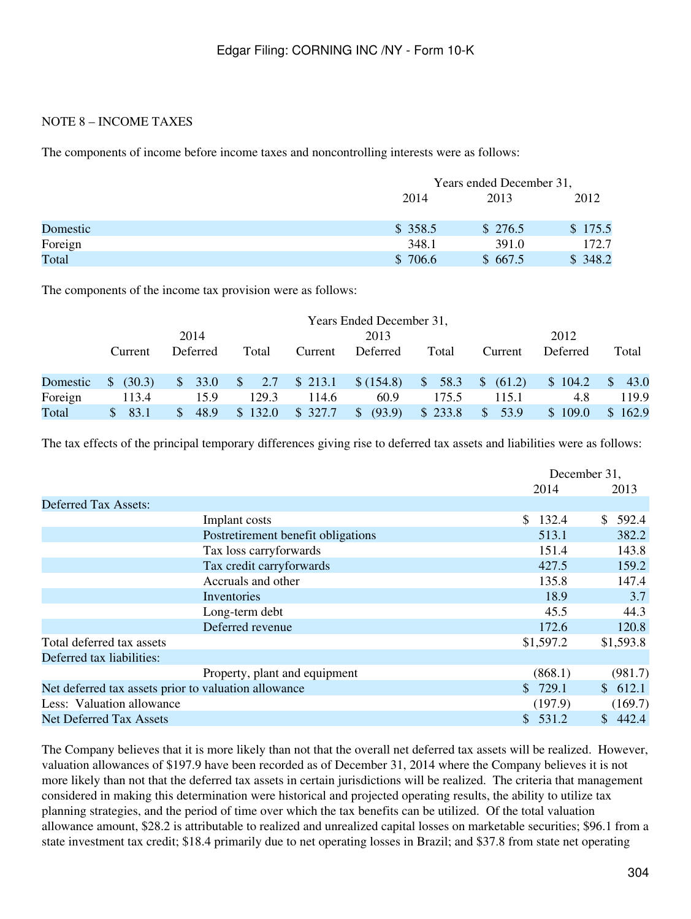#### NOTE 8 – INCOME TAXES

The components of income before income taxes and noncontrolling interests were as follows:

|          |         | Years ended December 31, |         |  |  |
|----------|---------|--------------------------|---------|--|--|
|          | 2014    | 2013                     | 2012    |  |  |
| Domestic | \$358.5 | \$276.5                  | \$175.5 |  |  |
| Foreign  | 348.1   | 391.0                    | 172.7   |  |  |
| Total    | \$706.6 | \$667.5                  | \$348.2 |  |  |

The components of the income tax provision were as follows:

|          | Years Ended December 31, |                        |                   |         |                         |         |                       |                         |                       |
|----------|--------------------------|------------------------|-------------------|---------|-------------------------|---------|-----------------------|-------------------------|-----------------------|
|          |                          | 2014                   |                   |         | 2013                    |         |                       | 2012                    |                       |
|          | Current                  | Deferred               | Total             | Current | Deferred                | Total   | Current               | Deferred                | Total                 |
| Domestic | (30.3)<br>$\mathbb{S}$   | 33.0<br>$\mathbb{S}^-$ | $\sim$ \$7<br>2.7 | \$213.1 | \$(154.8)               | \$58.3  | \$ (61.2)             | \$104.2                 | $\mathcal{S}$<br>43.0 |
| Foreign  | 113.4                    | 15.9                   | 129.3             | 114.6   | 60.9                    | 175.5   | 115.1                 | 4.8                     | 119.9                 |
| Total    | 83.1<br>SS.              | 48.9<br>S.             | \$132.0           | \$327.7 | (93.9)<br>$\mathcal{S}$ | \$233.8 | 53.9<br>$\mathcal{S}$ | 109.0<br>$\mathbb{S}^-$ | \$162.9               |

The tax effects of the principal temporary differences giving rise to deferred tax assets and liabilities were as follows:

|                                                      |                                    |           | December 31, |
|------------------------------------------------------|------------------------------------|-----------|--------------|
|                                                      |                                    | 2014      | 2013         |
| <b>Deferred Tax Assets:</b>                          |                                    |           |              |
|                                                      | Implant costs                      | \$132.4   | 592.4<br>S.  |
|                                                      | Postretirement benefit obligations | 513.1     | 382.2        |
|                                                      | Tax loss carryforwards             | 151.4     | 143.8        |
|                                                      | Tax credit carryforwards           | 427.5     | 159.2        |
|                                                      | Accruals and other                 | 135.8     | 147.4        |
|                                                      | Inventories                        | 18.9      | 3.7          |
|                                                      | Long-term debt                     | 45.5      | 44.3         |
|                                                      | Deferred revenue                   | 172.6     | 120.8        |
| Total deferred tax assets                            |                                    | \$1,597.2 | \$1,593.8    |
| Deferred tax liabilities:                            |                                    |           |              |
|                                                      | Property, plant and equipment      | (868.1)   | (981.7)      |
| Net deferred tax assets prior to valuation allowance |                                    | \$729.1   | \$612.1      |
| Less: Valuation allowance                            |                                    | (197.9)   | (169.7)      |
| <b>Net Deferred Tax Assets</b>                       |                                    | \$531.2   | \$442.4      |

The Company believes that it is more likely than not that the overall net deferred tax assets will be realized. However, valuation allowances of \$197.9 have been recorded as of December 31, 2014 where the Company believes it is not more likely than not that the deferred tax assets in certain jurisdictions will be realized. The criteria that management considered in making this determination were historical and projected operating results, the ability to utilize tax planning strategies, and the period of time over which the tax benefits can be utilized. Of the total valuation allowance amount, \$28.2 is attributable to realized and unrealized capital losses on marketable securities; \$96.1 from a state investment tax credit; \$18.4 primarily due to net operating losses in Brazil; and \$37.8 from state net operating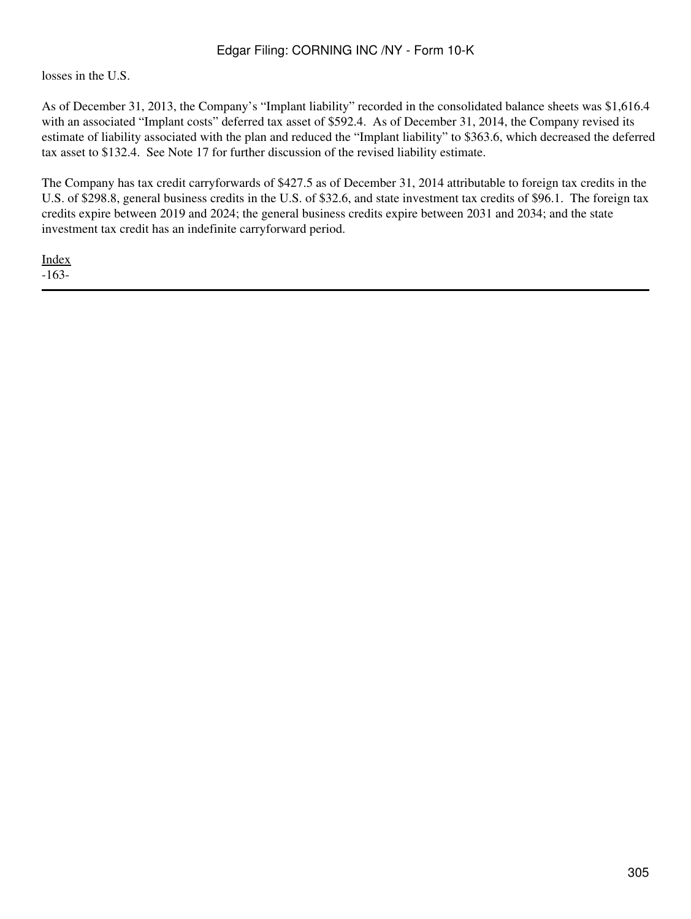losses in the U.S.

As of December 31, 2013, the Company's "Implant liability" recorded in the consolidated balance sheets was \$1,616.4 with an associated "Implant costs" deferred tax asset of \$592.4. As of December 31, 2014, the Company revised its estimate of liability associated with the plan and reduced the "Implant liability" to \$363.6, which decreased the deferred tax asset to \$132.4. See Note 17 for further discussion of the revised liability estimate.

The Company has tax credit carryforwards of \$427.5 as of December 31, 2014 attributable to foreign tax credits in the U.S. of \$298.8, general business credits in the U.S. of \$32.6, and state investment tax credits of \$96.1. The foreign tax credits expire between 2019 and 2024; the general business credits expire between 2031 and 2034; and the state investment tax credit has an indefinite carryforward period.

[Index](#page-283-0) -163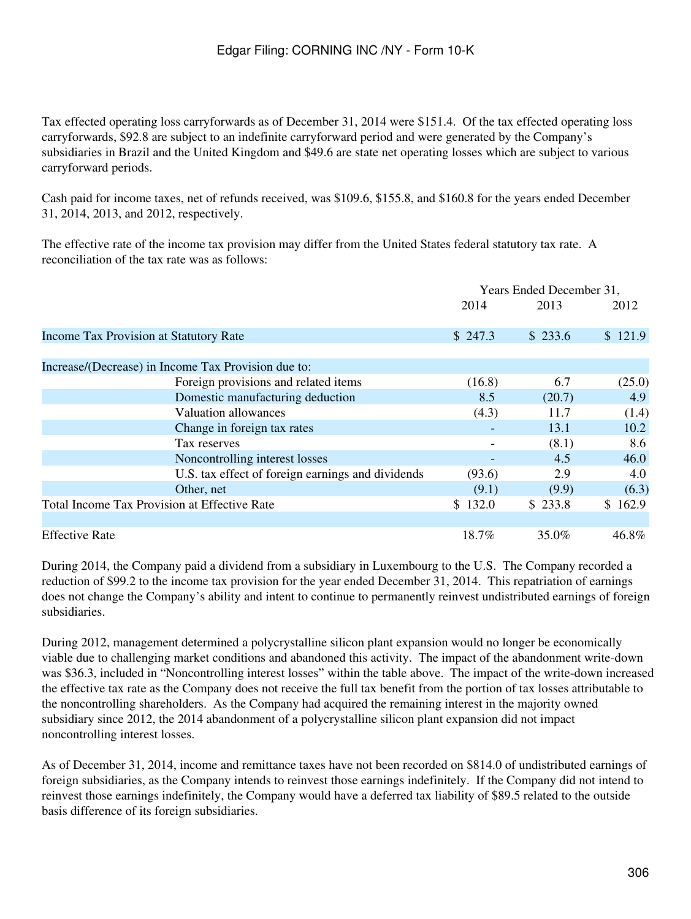Tax effected operating loss carryforwards as of December 31, 2014 were \$151.4. Of the tax effected operating loss carryforwards, \$92.8 are subject to an indefinite carryforward period and were generated by the Company's subsidiaries in Brazil and the United Kingdom and \$49.6 are state net operating losses which are subject to various carryforward periods.

Cash paid for income taxes, net of refunds received, was \$109.6, \$155.8, and \$160.8 for the years ended December 31, 2014, 2013, and 2012, respectively.

The effective rate of the income tax provision may differ from the United States federal statutory tax rate. A reconciliation of the tax rate was as follows:

|                                                     | Years Ended December 31, |         |         |
|-----------------------------------------------------|--------------------------|---------|---------|
|                                                     | 2014                     | 2013    | 2012    |
| <b>Income Tax Provision at Statutory Rate</b>       | \$247.3                  | \$233.6 | \$121.9 |
|                                                     |                          |         |         |
| Increase/(Decrease) in Income Tax Provision due to: |                          |         |         |
| Foreign provisions and related items                | (16.8)                   | 6.7     | (25.0)  |
| Domestic manufacturing deduction                    | 8.5                      | (20.7)  | 4.9     |
| <b>Valuation allowances</b>                         | (4.3)                    | 11.7    | (1.4)   |
| Change in foreign tax rates                         |                          | 13.1    | 10.2    |
| Tax reserves                                        |                          | (8.1)   | 8.6     |
| Noncontrolling interest losses                      |                          | 4.5     | 46.0    |
| U.S. tax effect of foreign earnings and dividends   | (93.6)                   | 2.9     | 4.0     |
| Other, net                                          | (9.1)                    | (9.9)   | (6.3)   |
| Total Income Tax Provision at Effective Rate        | \$132.0                  | \$233.8 | \$162.9 |
| <b>Effective Rate</b>                               | 18.7%                    | 35.0%   | 46.8%   |

During 2014, the Company paid a dividend from a subsidiary in Luxembourg to the U.S. The Company recorded a reduction of \$99.2 to the income tax provision for the year ended December 31, 2014. This repatriation of earnings does not change the Company's ability and intent to continue to permanently reinvest undistributed earnings of foreign subsidiaries.

During 2012, management determined a polycrystalline silicon plant expansion would no longer be economically viable due to challenging market conditions and abandoned this activity. The impact of the abandonment write-down was \$36.3, included in "Noncontrolling interest losses" within the table above. The impact of the write-down increased the effective tax rate as the Company does not receive the full tax benefit from the portion of tax losses attributable to the noncontrolling shareholders. As the Company had acquired the remaining interest in the majority owned subsidiary since 2012, the 2014 abandonment of a polycrystalline silicon plant expansion did not impact noncontrolling interest losses.

As of December 31, 2014, income and remittance taxes have not been recorded on \$814.0 of undistributed earnings of foreign subsidiaries, as the Company intends to reinvest those earnings indefinitely. If the Company did not intend to reinvest those earnings indefinitely, the Company would have a deferred tax liability of \$89.5 related to the outside basis difference of its foreign subsidiaries.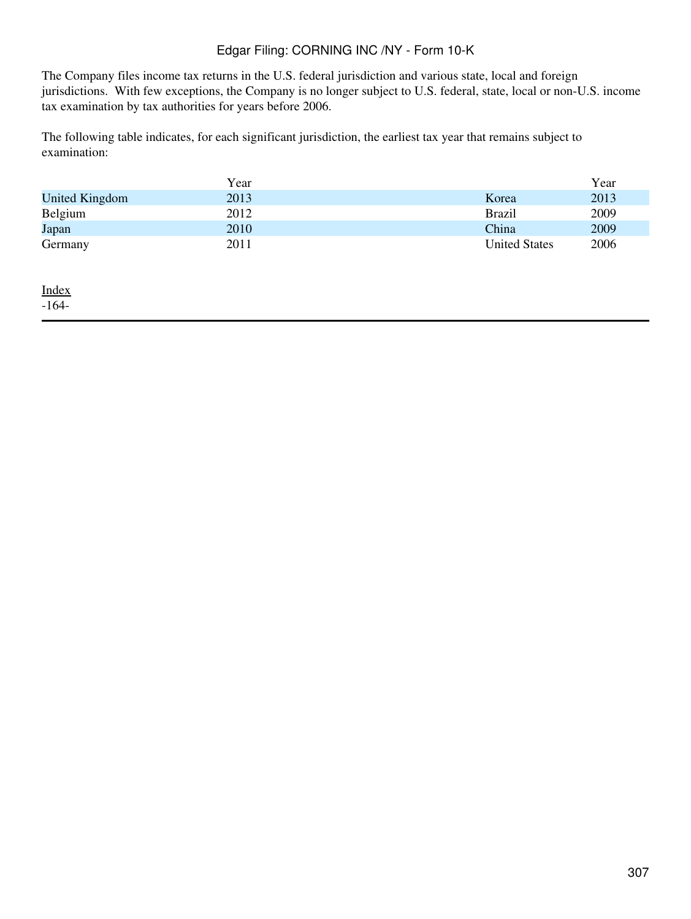The Company files income tax returns in the U.S. federal jurisdiction and various state, local and foreign jurisdictions. With few exceptions, the Company is no longer subject to U.S. federal, state, local or non-U.S. income tax examination by tax authorities for years before 2006.

The following table indicates, for each significant jurisdiction, the earliest tax year that remains subject to examination:

|                | Year |                      | Year |
|----------------|------|----------------------|------|
| United Kingdom | 2013 | Korea                | 2013 |
| Belgium        | 2012 | <b>Brazil</b>        | 2009 |
| Japan          | 2010 | China                | 2009 |
| Germany        | 2011 | <b>United States</b> | 2006 |

[Index](#page-283-0)

-164-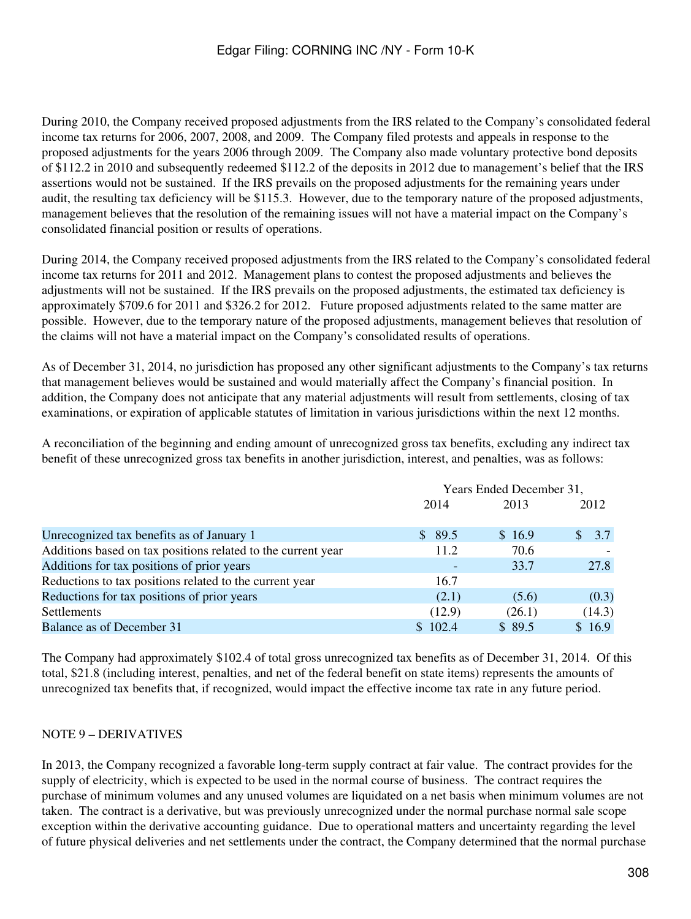During 2010, the Company received proposed adjustments from the IRS related to the Company's consolidated federal income tax returns for 2006, 2007, 2008, and 2009. The Company filed protests and appeals in response to the proposed adjustments for the years 2006 through 2009. The Company also made voluntary protective bond deposits of \$112.2 in 2010 and subsequently redeemed \$112.2 of the deposits in 2012 due to management's belief that the IRS assertions would not be sustained. If the IRS prevails on the proposed adjustments for the remaining years under audit, the resulting tax deficiency will be \$115.3. However, due to the temporary nature of the proposed adjustments, management believes that the resolution of the remaining issues will not have a material impact on the Company's consolidated financial position or results of operations.

During 2014, the Company received proposed adjustments from the IRS related to the Company's consolidated federal income tax returns for 2011 and 2012. Management plans to contest the proposed adjustments and believes the adjustments will not be sustained. If the IRS prevails on the proposed adjustments, the estimated tax deficiency is approximately \$709.6 for 2011 and \$326.2 for 2012. Future proposed adjustments related to the same matter are possible. However, due to the temporary nature of the proposed adjustments, management believes that resolution of the claims will not have a material impact on the Company's consolidated results of operations.

As of December 31, 2014, no jurisdiction has proposed any other significant adjustments to the Company's tax returns that management believes would be sustained and would materially affect the Company's financial position. In addition, the Company does not anticipate that any material adjustments will result from settlements, closing of tax examinations, or expiration of applicable statutes of limitation in various jurisdictions within the next 12 months.

A reconciliation of the beginning and ending amount of unrecognized gross tax benefits, excluding any indirect tax benefit of these unrecognized gross tax benefits in another jurisdiction, interest, and penalties, was as follows:

|                                                              |         | Years Ended December 31, |        |
|--------------------------------------------------------------|---------|--------------------------|--------|
|                                                              | 2014    | 2013                     | 2012   |
| Unrecognized tax benefits as of January 1                    | \$89.5  | \$16.9                   | \$3.7  |
| Additions based on tax positions related to the current year | 11.2    | 70.6                     |        |
| Additions for tax positions of prior years                   |         | 33.7                     | 27.8   |
| Reductions to tax positions related to the current year      | 16.7    |                          |        |
| Reductions for tax positions of prior years                  | (2.1)   | (5.6)                    | (0.3)  |
| Settlements                                                  | (12.9)  | (26.1)                   | (14.3) |
| Balance as of December 31                                    | \$102.4 | \$89.5                   | \$16.9 |

The Company had approximately \$102.4 of total gross unrecognized tax benefits as of December 31, 2014. Of this total, \$21.8 (including interest, penalties, and net of the federal benefit on state items) represents the amounts of unrecognized tax benefits that, if recognized, would impact the effective income tax rate in any future period.

## NOTE 9 – DERIVATIVES

In 2013, the Company recognized a favorable long-term supply contract at fair value. The contract provides for the supply of electricity, which is expected to be used in the normal course of business. The contract requires the purchase of minimum volumes and any unused volumes are liquidated on a net basis when minimum volumes are not taken. The contract is a derivative, but was previously unrecognized under the normal purchase normal sale scope exception within the derivative accounting guidance. Due to operational matters and uncertainty regarding the level of future physical deliveries and net settlements under the contract, the Company determined that the normal purchase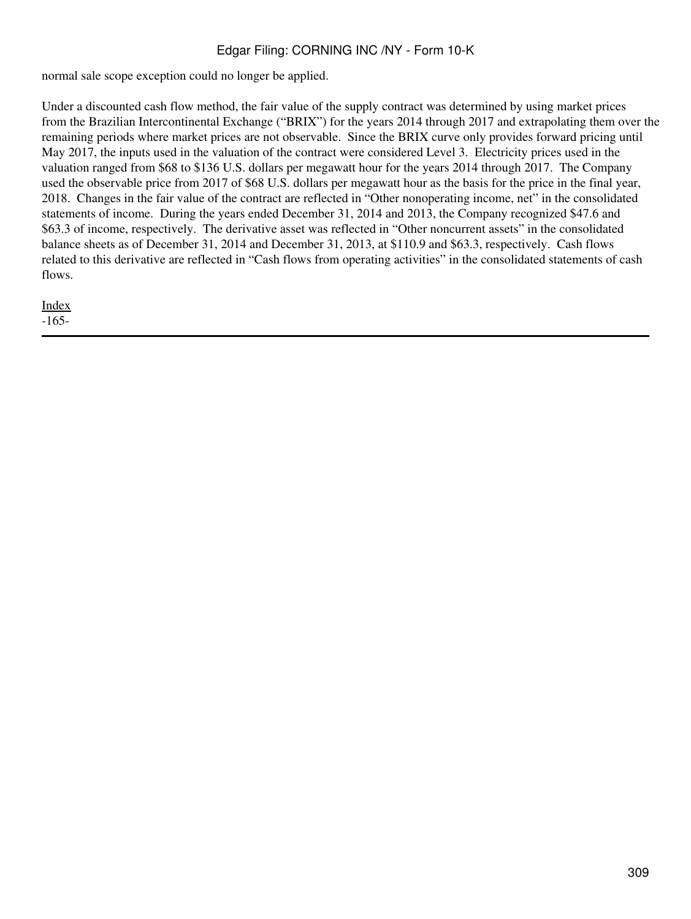normal sale scope exception could no longer be applied.

Under a discounted cash flow method, the fair value of the supply contract was determined by using market prices from the Brazilian Intercontinental Exchange ("BRIX") for the years 2014 through 2017 and extrapolating them over the remaining periods where market prices are not observable. Since the BRIX curve only provides forward pricing until May 2017, the inputs used in the valuation of the contract were considered Level 3. Electricity prices used in the valuation ranged from \$68 to \$136 U.S. dollars per megawatt hour for the years 2014 through 2017. The Company used the observable price from 2017 of \$68 U.S. dollars per megawatt hour as the basis for the price in the final year, 2018. Changes in the fair value of the contract are reflected in "Other nonoperating income, net" in the consolidated statements of income. During the years ended December 31, 2014 and 2013, the Company recognized \$47.6 and \$63.3 of income, respectively. The derivative asset was reflected in "Other noncurrent assets" in the consolidated balance sheets as of December 31, 2014 and December 31, 2013, at \$110.9 and \$63.3, respectively. Cash flows related to this derivative are reflected in "Cash flows from operating activities" in the consolidated statements of cash flows.

[Index](#page-283-0) -165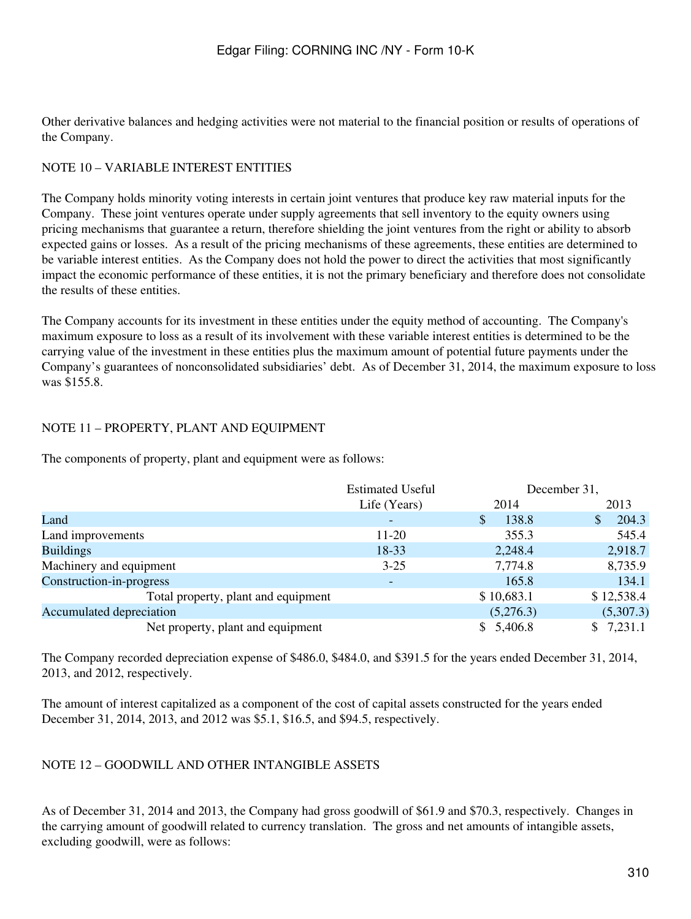Other derivative balances and hedging activities were not material to the financial position or results of operations of the Company.

## NOTE 10 – VARIABLE INTEREST ENTITIES

The Company holds minority voting interests in certain joint ventures that produce key raw material inputs for the Company. These joint ventures operate under supply agreements that sell inventory to the equity owners using pricing mechanisms that guarantee a return, therefore shielding the joint ventures from the right or ability to absorb expected gains or losses. As a result of the pricing mechanisms of these agreements, these entities are determined to be variable interest entities. As the Company does not hold the power to direct the activities that most significantly impact the economic performance of these entities, it is not the primary beneficiary and therefore does not consolidate the results of these entities.

The Company accounts for its investment in these entities under the equity method of accounting. The Company's maximum exposure to loss as a result of its involvement with these variable interest entities is determined to be the carrying value of the investment in these entities plus the maximum amount of potential future payments under the Company's guarantees of nonconsolidated subsidiaries' debt. As of December 31, 2014, the maximum exposure to loss was \$155.8.

## NOTE 11 – PROPERTY, PLANT AND EQUIPMENT

The components of property, plant and equipment were as follows:

|                                     | <b>Estimated Useful</b> | December 31,          |                                 |
|-------------------------------------|-------------------------|-----------------------|---------------------------------|
|                                     | Life (Years)            | 2014                  | 2013                            |
| Land                                |                         | 138.8<br>$\mathbb{S}$ | 204.3<br>$\sqrt{\frac{2}{\pi}}$ |
| Land improvements                   | 11-20                   | 355.3                 | 545.4                           |
| <b>Buildings</b>                    | 18-33                   | 2,248.4               | 2,918.7                         |
| Machinery and equipment             | $3 - 25$                | 7,774.8               | 8,735.9                         |
| Construction-in-progress            |                         | 165.8                 | 134.1                           |
| Total property, plant and equipment |                         | \$10,683.1            | \$12,538.4                      |
| Accumulated depreciation            |                         | (5,276.3)             | (5,307.3)                       |
| Net property, plant and equipment   |                         | \$5,406.8             | \$7,231.1                       |

The Company recorded depreciation expense of \$486.0, \$484.0, and \$391.5 for the years ended December 31, 2014, 2013, and 2012, respectively.

The amount of interest capitalized as a component of the cost of capital assets constructed for the years ended December 31, 2014, 2013, and 2012 was \$5.1, \$16.5, and \$94.5, respectively.

## NOTE 12 – GOODWILL AND OTHER INTANGIBLE ASSETS

As of December 31, 2014 and 2013, the Company had gross goodwill of \$61.9 and \$70.3, respectively. Changes in the carrying amount of goodwill related to currency translation. The gross and net amounts of intangible assets, excluding goodwill, were as follows: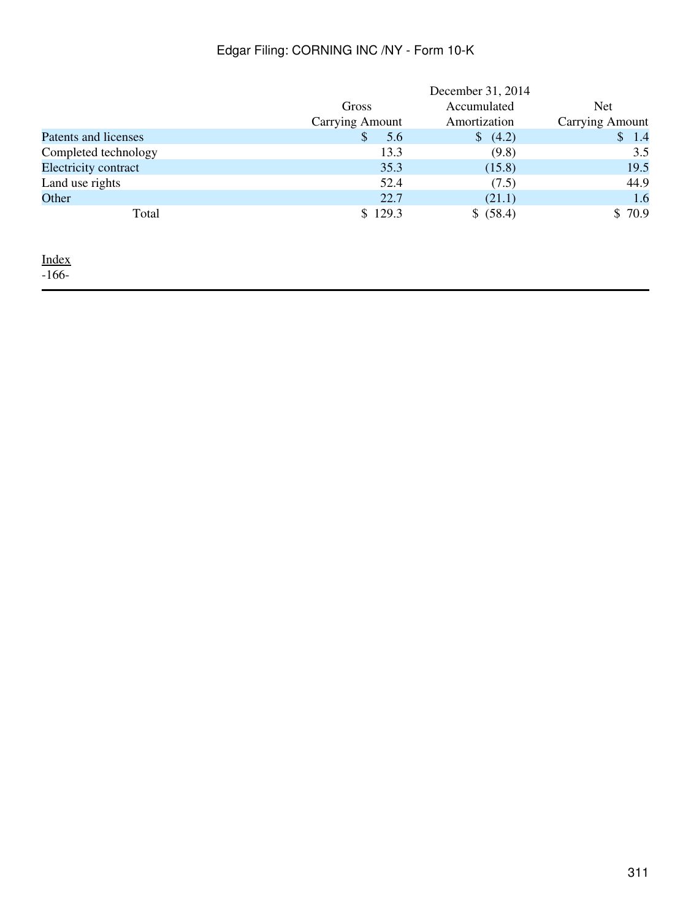|                             |                        | December 31, 2014 |                        |
|-----------------------------|------------------------|-------------------|------------------------|
|                             | Gross                  | Accumulated       | Net                    |
|                             | <b>Carrying Amount</b> | Amortization      | <b>Carrying Amount</b> |
| Patents and licenses        | \$<br>5.6              | (4.2)             | 1.4<br>$\mathbb{S}$    |
| Completed technology        | 13.3                   | (9.8)             | 3.5                    |
| <b>Electricity contract</b> | 35.3                   | (15.8)            | 19.5                   |
| Land use rights             | 52.4                   | (7.5)             | 44.9                   |
| Other                       | 22.7                   | (21.1)            | 1.6                    |
| Total                       | \$129.3                | \$ (58.4)         | \$70.9                 |

<u>[Index](#page-283-0)</u>

-166-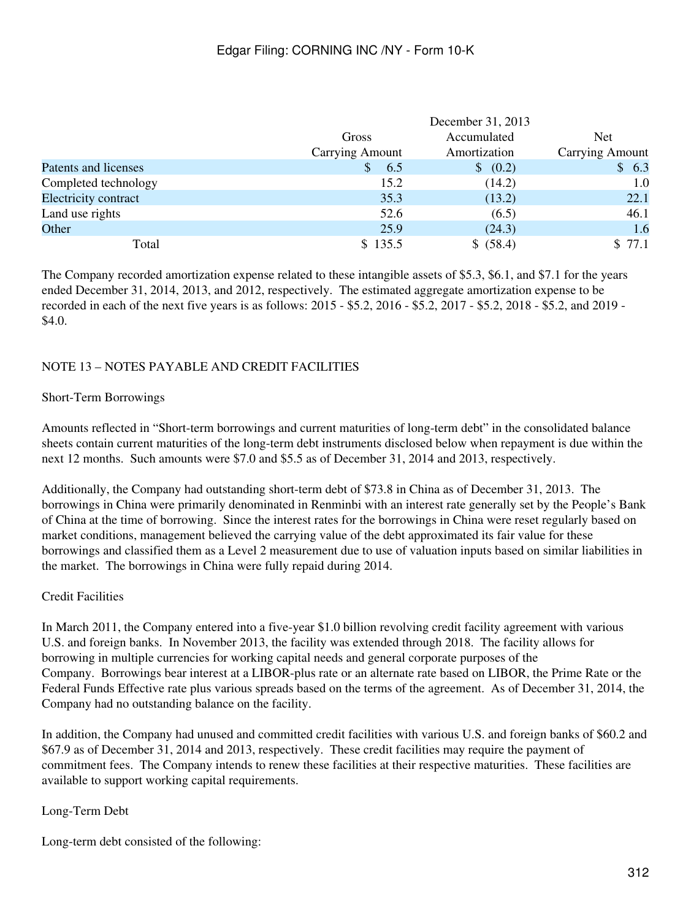|                      |                        | December 31, 2013 |                        |
|----------------------|------------------------|-------------------|------------------------|
|                      | Gross                  | Accumulated       | <b>Net</b>             |
|                      | <b>Carrying Amount</b> | Amortization      | <b>Carrying Amount</b> |
| Patents and licenses | 6.5                    | \$ (0.2)          | \$6.3                  |
| Completed technology | 15.2                   | (14.2)            | 1.0                    |
| Electricity contract | 35.3                   | (13.2)            | 22.1                   |
| Land use rights      | 52.6                   | (6.5)             | 46.1                   |
| Other                | 25.9                   | (24.3)            | 1.6                    |
| Total                | \$135.5                | \$ (58.4)         | \$77.1                 |

The Company recorded amortization expense related to these intangible assets of \$5.3, \$6.1, and \$7.1 for the years ended December 31, 2014, 2013, and 2012, respectively. The estimated aggregate amortization expense to be recorded in each of the next five years is as follows: 2015 - \$5.2, 2016 - \$5.2, 2017 - \$5.2, 2018 - \$5.2, and 2019 - \$4.0.

## NOTE 13 – NOTES PAYABLE AND CREDIT FACILITIES

#### Short-Term Borrowings

Amounts reflected in "Short-term borrowings and current maturities of long-term debt" in the consolidated balance sheets contain current maturities of the long-term debt instruments disclosed below when repayment is due within the next 12 months. Such amounts were \$7.0 and \$5.5 as of December 31, 2014 and 2013, respectively.

Additionally, the Company had outstanding short-term debt of \$73.8 in China as of December 31, 2013. The borrowings in China were primarily denominated in Renminbi with an interest rate generally set by the People's Bank of China at the time of borrowing. Since the interest rates for the borrowings in China were reset regularly based on market conditions, management believed the carrying value of the debt approximated its fair value for these borrowings and classified them as a Level 2 measurement due to use of valuation inputs based on similar liabilities in the market. The borrowings in China were fully repaid during 2014.

## Credit Facilities

In March 2011, the Company entered into a five-year \$1.0 billion revolving credit facility agreement with various U.S. and foreign banks. In November 2013, the facility was extended through 2018. The facility allows for borrowing in multiple currencies for working capital needs and general corporate purposes of the Company. Borrowings bear interest at a LIBOR-plus rate or an alternate rate based on LIBOR, the Prime Rate or the Federal Funds Effective rate plus various spreads based on the terms of the agreement. As of December 31, 2014, the Company had no outstanding balance on the facility.

In addition, the Company had unused and committed credit facilities with various U.S. and foreign banks of \$60.2 and \$67.9 as of December 31, 2014 and 2013, respectively. These credit facilities may require the payment of commitment fees. The Company intends to renew these facilities at their respective maturities. These facilities are available to support working capital requirements.

## Long-Term Debt

Long-term debt consisted of the following: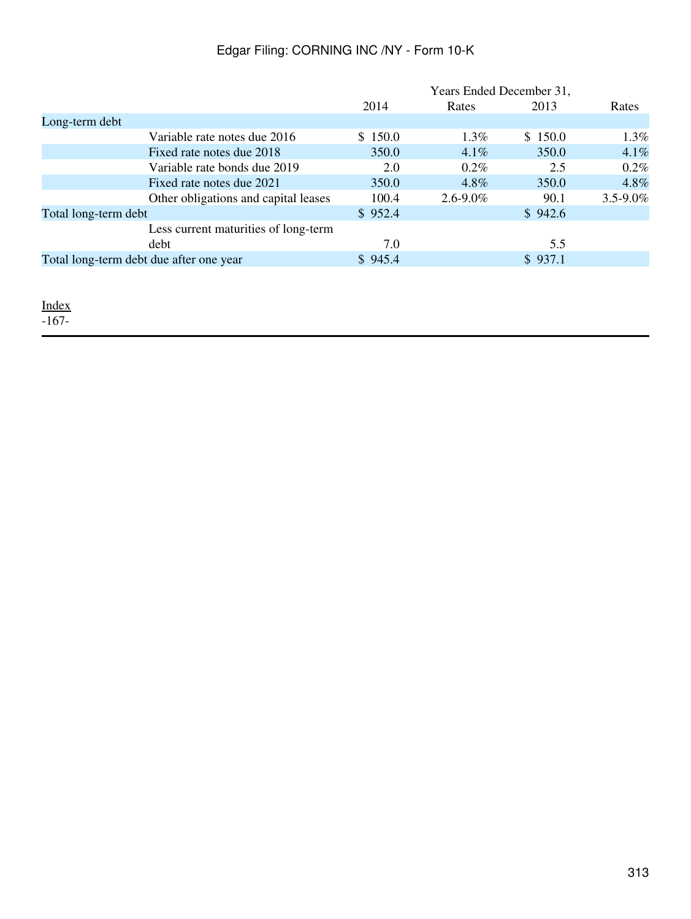|                                         |                                      |         | Years Ended December 31, |         |               |
|-----------------------------------------|--------------------------------------|---------|--------------------------|---------|---------------|
|                                         |                                      | 2014    | Rates                    | 2013    | Rates         |
| Long-term debt                          |                                      |         |                          |         |               |
|                                         | Variable rate notes due 2016         | \$150.0 | $1.3\%$                  | \$150.0 | 1.3%          |
|                                         | Fixed rate notes due 2018            | 350.0   | $4.1\%$                  | 350.0   | 4.1%          |
|                                         | Variable rate bonds due 2019         | 2.0     | $0.2\%$                  | 2.5     | 0.2%          |
|                                         | Fixed rate notes due 2021            | 350.0   | $4.8\%$                  | 350.0   | 4.8%          |
|                                         | Other obligations and capital leases | 100.4   | $2.6 - 9.0\%$            | 90.1    | $3.5 - 9.0\%$ |
| Total long-term debt                    |                                      | \$952.4 |                          | \$942.6 |               |
|                                         | Less current maturities of long-term |         |                          |         |               |
|                                         | debt                                 | 7.0     |                          | 5.5     |               |
| Total long-term debt due after one year |                                      | \$945.4 |                          | \$937.1 |               |
|                                         |                                      |         |                          |         |               |

[Index](#page-283-0)

-167-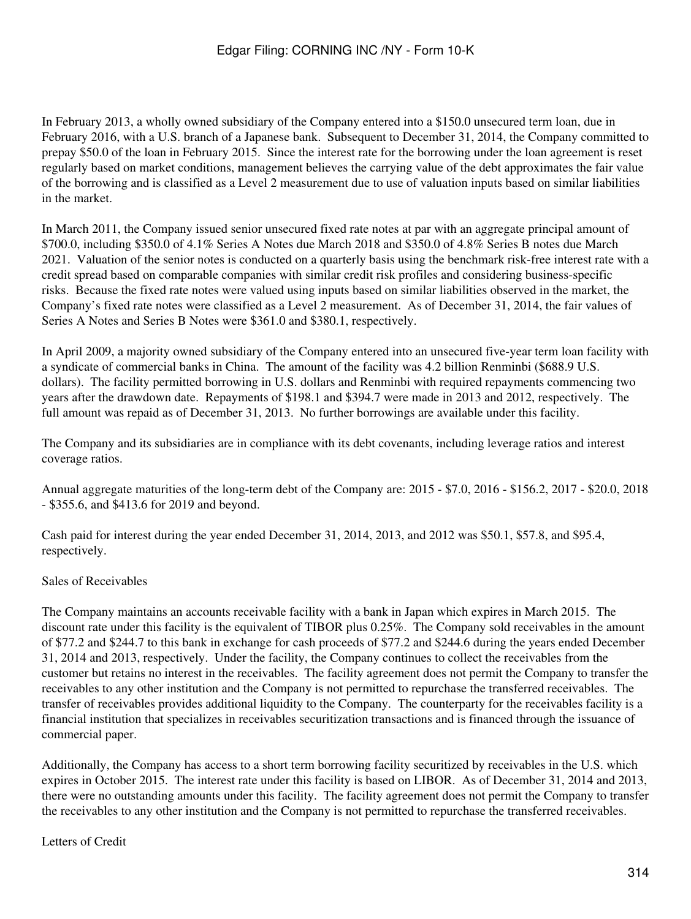In February 2013, a wholly owned subsidiary of the Company entered into a \$150.0 unsecured term loan, due in February 2016, with a U.S. branch of a Japanese bank. Subsequent to December 31, 2014, the Company committed to prepay \$50.0 of the loan in February 2015. Since the interest rate for the borrowing under the loan agreement is reset regularly based on market conditions, management believes the carrying value of the debt approximates the fair value of the borrowing and is classified as a Level 2 measurement due to use of valuation inputs based on similar liabilities in the market.

In March 2011, the Company issued senior unsecured fixed rate notes at par with an aggregate principal amount of \$700.0, including \$350.0 of 4.1% Series A Notes due March 2018 and \$350.0 of 4.8% Series B notes due March 2021. Valuation of the senior notes is conducted on a quarterly basis using the benchmark risk-free interest rate with a credit spread based on comparable companies with similar credit risk profiles and considering business-specific risks. Because the fixed rate notes were valued using inputs based on similar liabilities observed in the market, the Company's fixed rate notes were classified as a Level 2 measurement. As of December 31, 2014, the fair values of Series A Notes and Series B Notes were \$361.0 and \$380.1, respectively.

In April 2009, a majority owned subsidiary of the Company entered into an unsecured five-year term loan facility with a syndicate of commercial banks in China. The amount of the facility was 4.2 billion Renminbi (\$688.9 U.S. dollars). The facility permitted borrowing in U.S. dollars and Renminbi with required repayments commencing two years after the drawdown date. Repayments of \$198.1 and \$394.7 were made in 2013 and 2012, respectively. The full amount was repaid as of December 31, 2013. No further borrowings are available under this facility.

The Company and its subsidiaries are in compliance with its debt covenants, including leverage ratios and interest coverage ratios.

Annual aggregate maturities of the long-term debt of the Company are: 2015 - \$7.0, 2016 - \$156.2, 2017 - \$20.0, 2018 - \$355.6, and \$413.6 for 2019 and beyond.

Cash paid for interest during the year ended December 31, 2014, 2013, and 2012 was \$50.1, \$57.8, and \$95.4, respectively.

## Sales of Receivables

The Company maintains an accounts receivable facility with a bank in Japan which expires in March 2015. The discount rate under this facility is the equivalent of TIBOR plus 0.25%. The Company sold receivables in the amount of \$77.2 and \$244.7 to this bank in exchange for cash proceeds of \$77.2 and \$244.6 during the years ended December 31, 2014 and 2013, respectively. Under the facility, the Company continues to collect the receivables from the customer but retains no interest in the receivables. The facility agreement does not permit the Company to transfer the receivables to any other institution and the Company is not permitted to repurchase the transferred receivables. The transfer of receivables provides additional liquidity to the Company. The counterparty for the receivables facility is a financial institution that specializes in receivables securitization transactions and is financed through the issuance of commercial paper.

Additionally, the Company has access to a short term borrowing facility securitized by receivables in the U.S. which expires in October 2015. The interest rate under this facility is based on LIBOR. As of December 31, 2014 and 2013, there were no outstanding amounts under this facility. The facility agreement does not permit the Company to transfer the receivables to any other institution and the Company is not permitted to repurchase the transferred receivables.

## Letters of Credit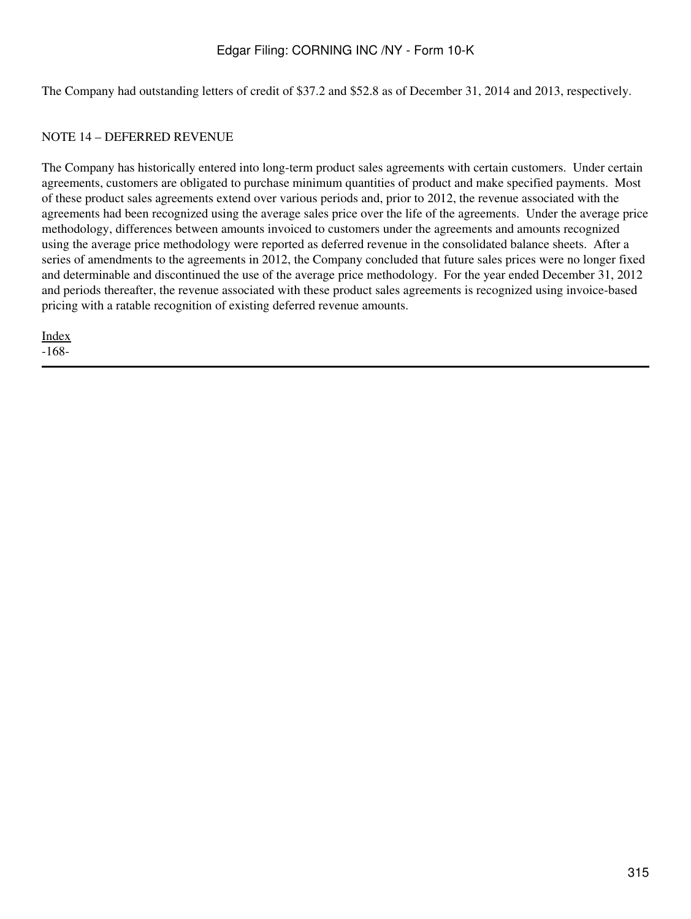The Company had outstanding letters of credit of \$37.2 and \$52.8 as of December 31, 2014 and 2013, respectively.

#### NOTE 14 – DEFERRED REVENUE

The Company has historically entered into long-term product sales agreements with certain customers. Under certain agreements, customers are obligated to purchase minimum quantities of product and make specified payments. Most of these product sales agreements extend over various periods and, prior to 2012, the revenue associated with the agreements had been recognized using the average sales price over the life of the agreements. Under the average price methodology, differences between amounts invoiced to customers under the agreements and amounts recognized using the average price methodology were reported as deferred revenue in the consolidated balance sheets. After a series of amendments to the agreements in 2012, the Company concluded that future sales prices were no longer fixed and determinable and discontinued the use of the average price methodology. For the year ended December 31, 2012 and periods thereafter, the revenue associated with these product sales agreements is recognized using invoice-based pricing with a ratable recognition of existing deferred revenue amounts.

[Index](#page-283-0) -168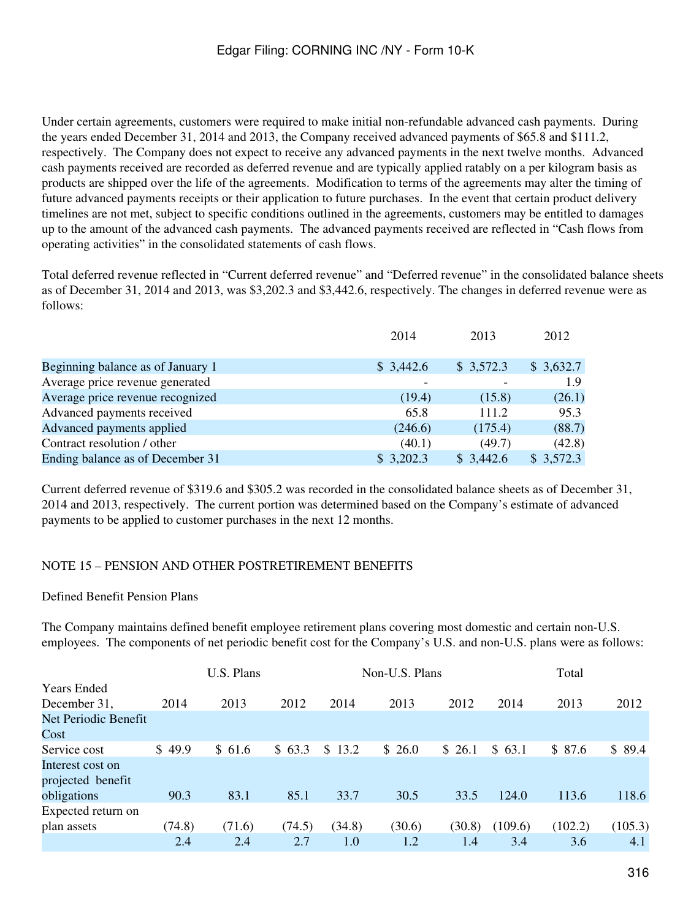Under certain agreements, customers were required to make initial non-refundable advanced cash payments. During the years ended December 31, 2014 and 2013, the Company received advanced payments of \$65.8 and \$111.2, respectively. The Company does not expect to receive any advanced payments in the next twelve months. Advanced cash payments received are recorded as deferred revenue and are typically applied ratably on a per kilogram basis as products are shipped over the life of the agreements. Modification to terms of the agreements may alter the timing of future advanced payments receipts or their application to future purchases. In the event that certain product delivery timelines are not met, subject to specific conditions outlined in the agreements, customers may be entitled to damages up to the amount of the advanced cash payments. The advanced payments received are reflected in "Cash flows from operating activities" in the consolidated statements of cash flows.

Total deferred revenue reflected in "Current deferred revenue" and "Deferred revenue" in the consolidated balance sheets as of December 31, 2014 and 2013, was \$3,202.3 and \$3,442.6, respectively. The changes in deferred revenue were as follows:

|                                   | 2014      | 2013      | 2012      |
|-----------------------------------|-----------|-----------|-----------|
|                                   |           |           |           |
| Beginning balance as of January 1 | \$3,442.6 | \$3,572.3 | \$3,632.7 |
| Average price revenue generated   |           |           | 1.9       |
| Average price revenue recognized  | (19.4)    | (15.8)    | (26.1)    |
| Advanced payments received        | 65.8      | 111.2     | 95.3      |
| Advanced payments applied         | (246.6)   | (175.4)   | (88.7)    |
| Contract resolution / other       | (40.1)    | (49.7)    | (42.8)    |
| Ending balance as of December 31  | \$3,202.3 | \$3,442.6 | \$3,572.3 |

Current deferred revenue of \$319.6 and \$305.2 was recorded in the consolidated balance sheets as of December 31, 2014 and 2013, respectively. The current portion was determined based on the Company's estimate of advanced payments to be applied to customer purchases in the next 12 months.

## NOTE 15 – PENSION AND OTHER POSTRETIREMENT BENEFITS

#### Defined Benefit Pension Plans

The Company maintains defined benefit employee retirement plans covering most domestic and certain non-U.S. employees. The components of net periodic benefit cost for the Company's U.S. and non-U.S. plans were as follows:

|                      |        | U.S. Plans |        |        | Non-U.S. Plans |        |         | Total   |         |
|----------------------|--------|------------|--------|--------|----------------|--------|---------|---------|---------|
| <b>Years Ended</b>   |        |            |        |        |                |        |         |         |         |
| December 31,         | 2014   | 2013       | 2012   | 2014   | 2013           | 2012   | 2014    | 2013    | 2012    |
| Net Periodic Benefit |        |            |        |        |                |        |         |         |         |
| Cost                 |        |            |        |        |                |        |         |         |         |
| Service cost         | \$49.9 | \$61.6     | \$63.3 | \$13.2 | \$26.0         | \$26.1 | \$63.1  | \$87.6  | \$89.4  |
| Interest cost on     |        |            |        |        |                |        |         |         |         |
| projected benefit    |        |            |        |        |                |        |         |         |         |
| obligations          | 90.3   | 83.1       | 85.1   | 33.7   | 30.5           | 33.5   | 124.0   | 113.6   | 118.6   |
| Expected return on   |        |            |        |        |                |        |         |         |         |
| plan assets          | (74.8) | (71.6)     | (74.5) | (34.8) | (30.6)         | (30.8) | (109.6) | (102.2) | (105.3) |
|                      | 2.4    | 2.4        | 2.7    | 1.0    | 1.2            | 1.4    | 3.4     | 3.6     | 4.1     |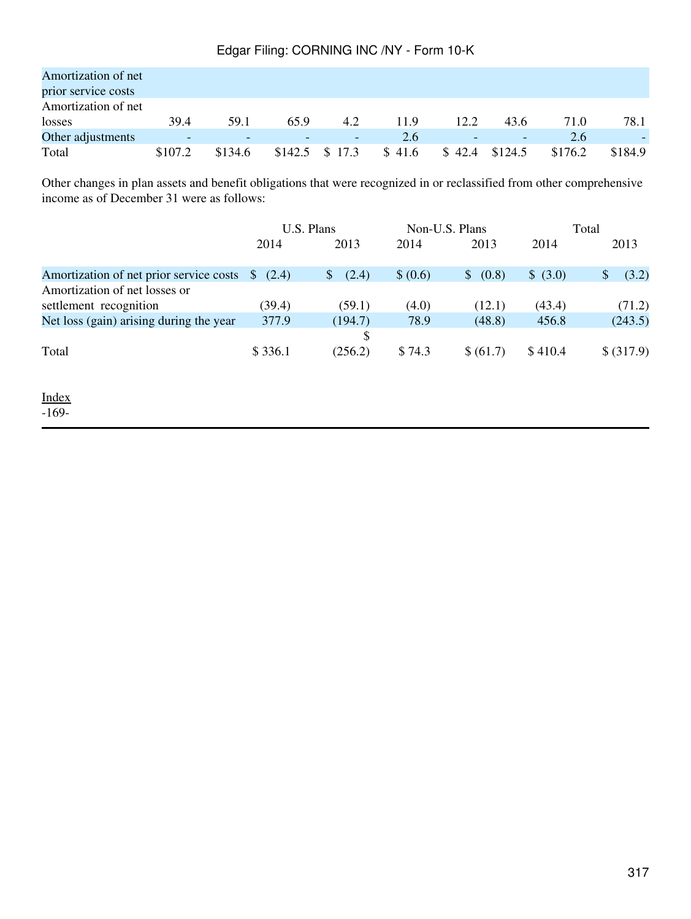| Amortization of net<br>prior service costs |         |         |      |                  |        |        |                          |         |         |
|--------------------------------------------|---------|---------|------|------------------|--------|--------|--------------------------|---------|---------|
| Amortization of net                        |         |         |      |                  |        |        |                          |         |         |
| losses                                     | 39.4    | 59.1    | 65.9 | 4.2              | 11.9   | 12.2   | 43.6                     | 71.0    | 78.1    |
| Other adjustments                          |         | -       |      | ٠                | 2.6    | -      | $\overline{\phantom{0}}$ | 2.6     |         |
| Total                                      | \$107.2 | \$134.6 |      | $$142.5$ $$17.3$ | \$41.6 | \$42.4 | \$124.5                  | \$176.2 | \$184.9 |

Other changes in plan assets and benefit obligations that were recognized in or reclassified from other comprehensive income as of December 31 were as follows:

|                                         |                | U.S. Plans  | Non-U.S. Plans |           | Total    |            |
|-----------------------------------------|----------------|-------------|----------------|-----------|----------|------------|
|                                         | 2014           | 2013        | 2014           | 2013      | 2014     | 2013       |
| Amortization of net prior service costs | $\{8, (2.4)\}$ | (2.4)<br>\$ | \$ (0.6)       | \$ (0.8)  | \$ (3.0) | (3.2)      |
| Amortization of net losses or           |                |             |                |           |          |            |
| settlement recognition                  | (39.4)         | (59.1)      | (4.0)          | (12.1)    | (43.4)   | (71.2)     |
| Net loss (gain) arising during the year | 377.9          | (194.7)     | 78.9           | (48.8)    | 456.8    | (243.5)    |
|                                         |                | \$          |                |           |          |            |
| Total                                   | \$336.1        | (256.2)     | \$74.3         | \$ (61.7) | \$410.4  | \$ (317.9) |
|                                         |                |             |                |           |          |            |

[Index](#page-283-0) -169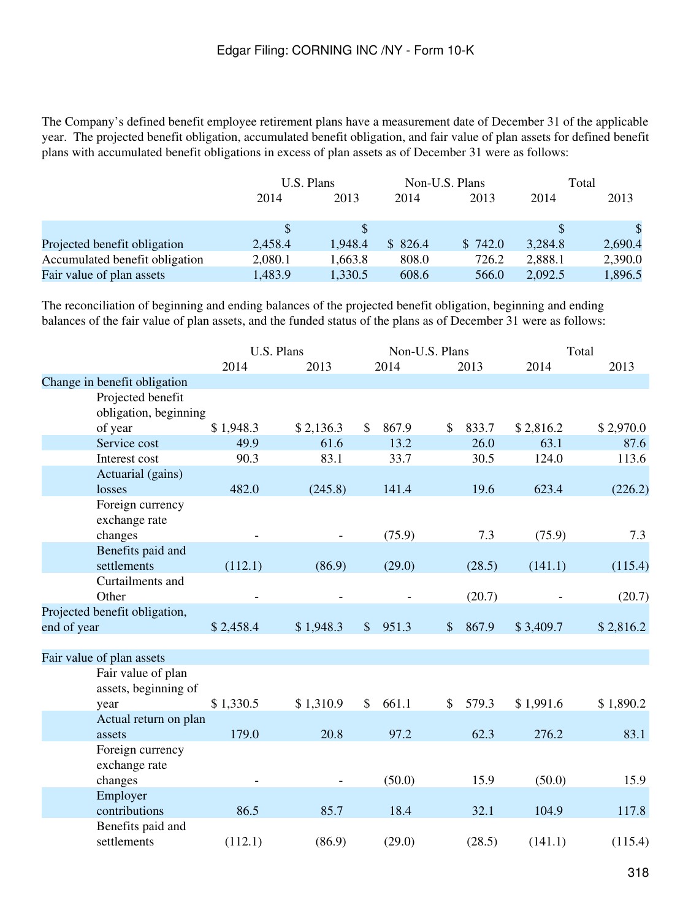The Company's defined benefit employee retirement plans have a measurement date of December 31 of the applicable year. The projected benefit obligation, accumulated benefit obligation, and fair value of plan assets for defined benefit plans with accumulated benefit obligations in excess of plan assets as of December 31 were as follows:

|                                | U.S. Plans |              | Non-U.S. Plans |         |         | Total        |
|--------------------------------|------------|--------------|----------------|---------|---------|--------------|
|                                | 2014       | 2013<br>2014 |                | 2013    | 2014    | 2013         |
|                                |            |              |                |         |         | $\mathbf{s}$ |
| Projected benefit obligation   | 2,458.4    | 1,948.4      | \$826.4        | \$742.0 | 3,284.8 | 2,690.4      |
| Accumulated benefit obligation | 2,080.1    | 1,663.8      | 808.0          | 726.2   | 2,888.1 | 2,390.0      |
| Fair value of plan assets      | 1,483.9    | 1,330.5      | 608.6          | 566.0   | 2,092.5 | 1,896.5      |

The reconciliation of beginning and ending balances of the projected benefit obligation, beginning and ending balances of the fair value of plan assets, and the funded status of the plans as of December 31 were as follows:

|                               |                                            | U.S. Plans |           |               |        | Non-U.S. Plans |        |           | Total     |  |
|-------------------------------|--------------------------------------------|------------|-----------|---------------|--------|----------------|--------|-----------|-----------|--|
|                               |                                            | 2014       | 2013      |               | 2014   |                | 2013   | 2014      | 2013      |  |
| Change in benefit obligation  |                                            |            |           |               |        |                |        |           |           |  |
|                               | Projected benefit<br>obligation, beginning |            |           |               |        |                |        |           |           |  |
| of year                       |                                            | \$1,948.3  | \$2,136.3 | \$            | 867.9  | \$             | 833.7  | \$2,816.2 | \$2,970.0 |  |
| Service cost                  |                                            | 49.9       | 61.6      |               | 13.2   |                | 26.0   | 63.1      | 87.6      |  |
| Interest cost                 |                                            | 90.3       | 83.1      |               | 33.7   |                | 30.5   | 124.0     | 113.6     |  |
|                               | Actuarial (gains)                          |            |           |               |        |                |        |           |           |  |
| losses                        |                                            | 482.0      | (245.8)   |               | 141.4  |                | 19.6   | 623.4     | (226.2)   |  |
| exchange rate                 | Foreign currency                           |            |           |               |        |                |        |           |           |  |
| changes                       |                                            |            |           |               | (75.9) |                | 7.3    | (75.9)    | 7.3       |  |
| settlements                   | Benefits paid and                          | (112.1)    | (86.9)    |               | (29.0) |                | (28.5) | (141.1)   | (115.4)   |  |
| Other                         | Curtailments and                           |            |           |               |        |                | (20.7) |           | (20.7)    |  |
| Projected benefit obligation, |                                            |            |           |               |        |                |        |           |           |  |
| end of year                   |                                            | \$2,458.4  | \$1,948.3 | $\mathcal{S}$ | 951.3  | $\frac{1}{2}$  | 867.9  | \$3,409.7 | \$2,816.2 |  |
| Fair value of plan assets     |                                            |            |           |               |        |                |        |           |           |  |
|                               | Fair value of plan<br>assets, beginning of |            |           |               |        |                |        |           |           |  |
| year                          |                                            | \$1,330.5  | \$1,310.9 | $\mathbb{S}$  | 661.1  | \$             | 579.3  | \$1,991.6 | \$1,890.2 |  |
|                               | Actual return on plan                      |            |           |               |        |                |        |           |           |  |
| assets                        |                                            | 179.0      | 20.8      |               | 97.2   |                | 62.3   | 276.2     | 83.1      |  |
| exchange rate                 | Foreign currency                           |            |           |               |        |                |        |           |           |  |
| changes                       |                                            |            |           |               | (50.0) |                | 15.9   | (50.0)    | 15.9      |  |
| Employer                      |                                            |            |           |               |        |                |        |           |           |  |
| contributions                 |                                            | 86.5       | 85.7      |               | 18.4   |                | 32.1   | 104.9     | 117.8     |  |
| settlements                   | Benefits paid and                          | (112.1)    | (86.9)    |               | (29.0) |                | (28.5) | (141.1)   | (115.4)   |  |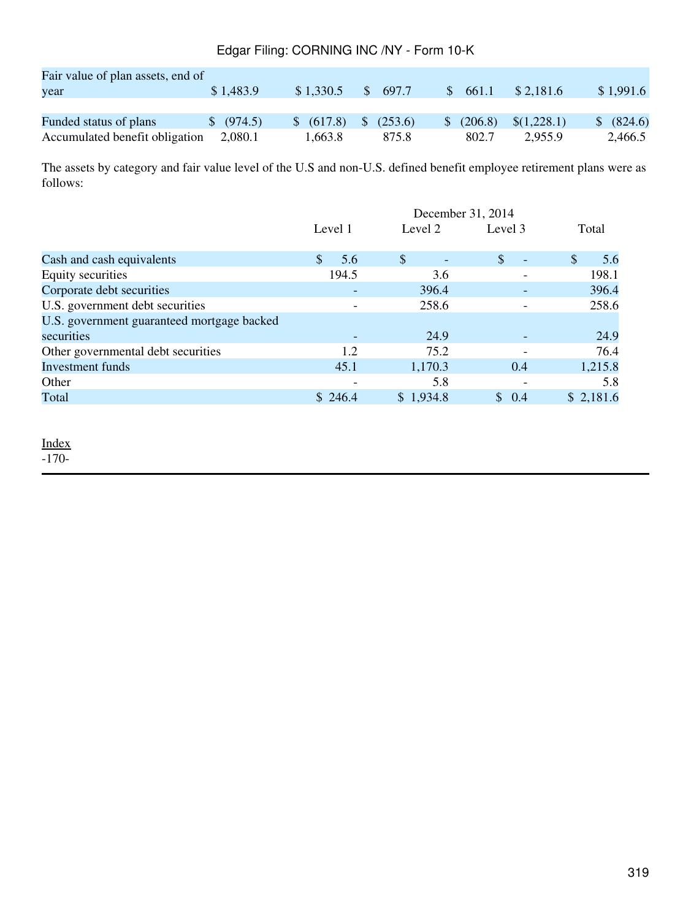| Fair value of plan assets, end of |                       |            |                       |            |                 |            |
|-----------------------------------|-----------------------|------------|-----------------------|------------|-----------------|------------|
| year                              | \$1,483.9             | \$1,330.5  | \$ 697.7              | \$661.1    | \$2,181.6       | \$1,991.6  |
|                                   |                       |            |                       |            |                 |            |
| Funded status of plans            | $\frac{1}{2}$ (974.5) | \$ (617.8) | $\frac{1}{2}$ (253.6) | \$ (206.8) | $\{(1,228.1)\}$ | \$ (824.6) |
| Accumulated benefit obligation    | 2.080.1               | 1.663.8    | 875.8                 | 802.7      | 2.955.9         | 2,466.5    |

The assets by category and fair value level of the U.S and non-U.S. defined benefit employee retirement plans were as follows:

|                                            | December 31, 2014        |               |                                |                      |  |
|--------------------------------------------|--------------------------|---------------|--------------------------------|----------------------|--|
|                                            | Level 1                  | Level 2       | Level 3                        | Total                |  |
| Cash and cash equivalents                  | $\mathcal{S}$<br>5.6     | $\mathcal{S}$ | \$<br>$\overline{\phantom{a}}$ | $\mathcal{S}$<br>5.6 |  |
| Equity securities                          | 194.5                    | 3.6           |                                | 198.1                |  |
| Corporate debt securities                  | $\overline{\phantom{a}}$ | 396.4         |                                | 396.4                |  |
| U.S. government debt securities            | $\overline{\phantom{a}}$ | 258.6         |                                | 258.6                |  |
| U.S. government guaranteed mortgage backed |                          |               |                                |                      |  |
| securities                                 |                          | 24.9          |                                | 24.9                 |  |
| Other governmental debt securities         | 1.2                      | 75.2          |                                | 76.4                 |  |
| <b>Investment</b> funds                    | 45.1                     | 1,170.3       | 0.4                            | 1,215.8              |  |
| Other                                      | $\overline{\phantom{0}}$ | 5.8           |                                | 5.8                  |  |
| Total                                      | \$246.4                  | \$1,934.8     | \$0.4                          | \$2,181.6            |  |
|                                            |                          |               |                                |                      |  |

[Index](#page-283-0)

-170-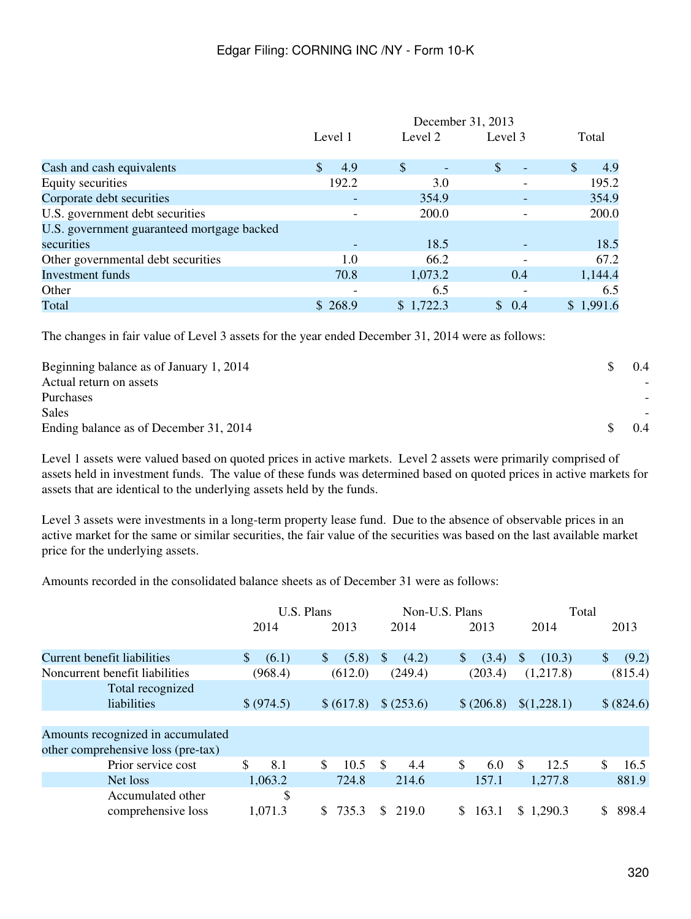|                                            | December 31, 2013    |           |                                    |                      |  |
|--------------------------------------------|----------------------|-----------|------------------------------------|----------------------|--|
|                                            | Level 1              | Level 2   | Level 3                            | Total                |  |
| Cash and cash equivalents                  | 4.9<br><sup>\$</sup> | \$        | $\mathcal{S}$<br>$\qquad \qquad -$ | $\mathcal{S}$<br>4.9 |  |
| Equity securities                          | 192.2                | 3.0       |                                    | 195.2                |  |
| Corporate debt securities                  |                      | 354.9     |                                    | 354.9                |  |
| U.S. government debt securities            |                      | 200.0     |                                    | 200.0                |  |
| U.S. government guaranteed mortgage backed |                      |           |                                    |                      |  |
| securities                                 |                      | 18.5      |                                    | 18.5                 |  |
| Other governmental debt securities         | 1.0                  | 66.2      |                                    | 67.2                 |  |
| <b>Investment</b> funds                    | 70.8                 | 1,073.2   | 0.4                                | 1,144.4              |  |
| Other                                      |                      | 6.5       |                                    | 6.5                  |  |
| Total                                      | \$268.9              | \$1,722.3 | $\mathcal{S}$<br>0.4               | \$1,991.6            |  |

The changes in fair value of Level 3 assets for the year ended December 31, 2014 were as follows:

| Beginning balance as of January 1, 2014 | $0.4^{\circ}$ |
|-----------------------------------------|---------------|
| Actual return on assets                 |               |
| Purchases                               |               |
| <b>Sales</b>                            |               |
| Ending balance as of December 31, 2014  | $0.4^{\circ}$ |

Level 1 assets were valued based on quoted prices in active markets. Level 2 assets were primarily comprised of assets held in investment funds. The value of these funds was determined based on quoted prices in active markets for assets that are identical to the underlying assets held by the funds.

Level 3 assets were investments in a long-term property lease fund. Due to the absence of observable prices in an active market for the same or similar securities, the fair value of the securities was based on the last available market price for the underlying assets.

Amounts recorded in the consolidated balance sheets as of December 31 were as follows:

|                                                                         | U.S. Plans            |                       | Non-U.S. Plans        |                       | Total                  |                       |
|-------------------------------------------------------------------------|-----------------------|-----------------------|-----------------------|-----------------------|------------------------|-----------------------|
|                                                                         | 2014                  | 2013                  | 2014                  | 2013                  | 2014                   | 2013                  |
| <b>Current benefit liabilities</b>                                      | $\mathbb{S}$<br>(6.1) | (5.8)<br><sup>S</sup> | <sup>S</sup><br>(4.2) | (3.4)<br><sup>S</sup> | <sup>S</sup><br>(10.3) | $\mathbb{S}$<br>(9.2) |
| Noncurrent benefit liabilities                                          | (968.4)               | (612.0)               | (249.4)               | (203.4)               | (1,217.8)              | (815.4)               |
| Total recognized<br>liabilities                                         | \$ (974.5)            | \$ (617.8)            | \$ (253.6)            | \$ (206.8)            | \$(1,228.1)            | \$ (824.6)            |
| Amounts recognized in accumulated<br>other comprehensive loss (pre-tax) |                       |                       |                       |                       |                        |                       |
| Prior service cost                                                      | \$<br>8.1             | $\mathbb{S}$<br>10.5  | \$<br>4.4             | \$<br>6.0             | <sup>\$</sup><br>12.5  | \$.<br>16.5           |
| Net loss                                                                | 1,063.2               | 724.8                 | 214.6                 | 157.1                 | 1,277.8                | 881.9                 |
| Accumulated other<br>comprehensive loss                                 | \$<br>1,071.3         | 735.3                 | 219.0<br>S.           | 163.1                 | \$1,290.3              | 898.4                 |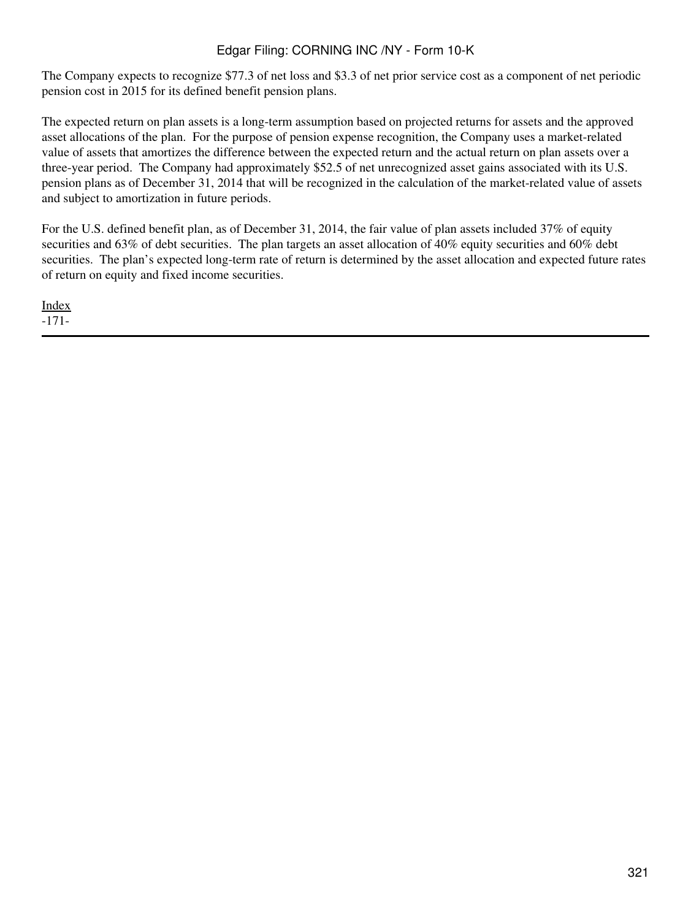The Company expects to recognize \$77.3 of net loss and \$3.3 of net prior service cost as a component of net periodic pension cost in 2015 for its defined benefit pension plans.

The expected return on plan assets is a long-term assumption based on projected returns for assets and the approved asset allocations of the plan. For the purpose of pension expense recognition, the Company uses a market-related value of assets that amortizes the difference between the expected return and the actual return on plan assets over a three-year period. The Company had approximately \$52.5 of net unrecognized asset gains associated with its U.S. pension plans as of December 31, 2014 that will be recognized in the calculation of the market-related value of assets and subject to amortization in future periods.

For the U.S. defined benefit plan, as of December 31, 2014, the fair value of plan assets included 37% of equity securities and 63% of debt securities. The plan targets an asset allocation of 40% equity securities and 60% debt securities. The plan's expected long-term rate of return is determined by the asset allocation and expected future rates of return on equity and fixed income securities.

[Index](#page-283-0) -171-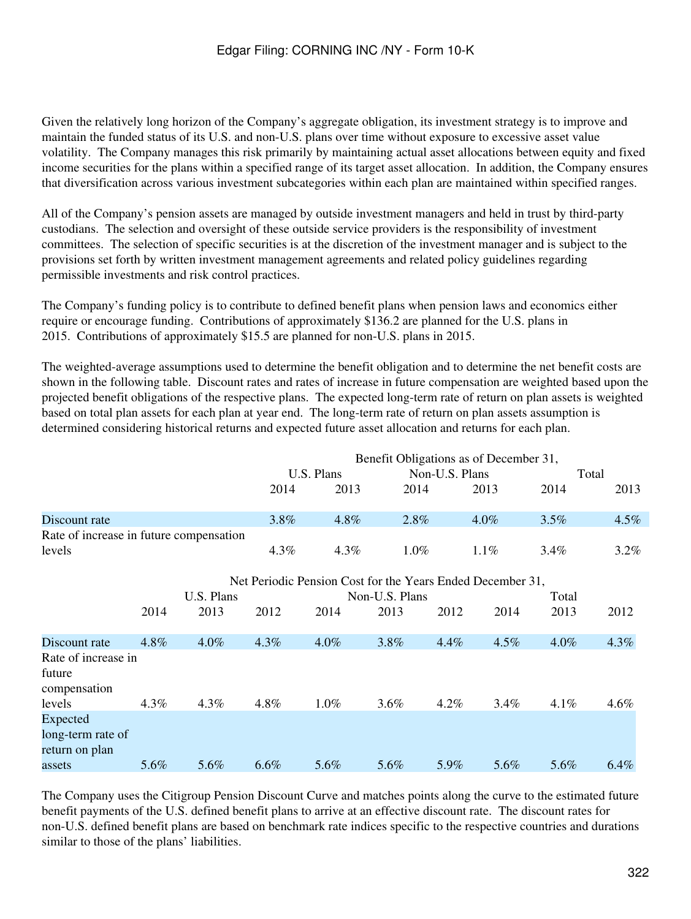Given the relatively long horizon of the Company's aggregate obligation, its investment strategy is to improve and maintain the funded status of its U.S. and non-U.S. plans over time without exposure to excessive asset value volatility. The Company manages this risk primarily by maintaining actual asset allocations between equity and fixed income securities for the plans within a specified range of its target asset allocation. In addition, the Company ensures that diversification across various investment subcategories within each plan are maintained within specified ranges.

All of the Company's pension assets are managed by outside investment managers and held in trust by third-party custodians. The selection and oversight of these outside service providers is the responsibility of investment committees. The selection of specific securities is at the discretion of the investment manager and is subject to the provisions set forth by written investment management agreements and related policy guidelines regarding permissible investments and risk control practices.

The Company's funding policy is to contribute to defined benefit plans when pension laws and economics either require or encourage funding. Contributions of approximately \$136.2 are planned for the U.S. plans in 2015. Contributions of approximately \$15.5 are planned for non-U.S. plans in 2015.

The weighted-average assumptions used to determine the benefit obligation and to determine the net benefit costs are shown in the following table. Discount rates and rates of increase in future compensation are weighted based upon the projected benefit obligations of the respective plans. The expected long-term rate of return on plan assets is weighted based on total plan assets for each plan at year end. The long-term rate of return on plan assets assumption is determined considering historical returns and expected future asset allocation and returns for each plan.

|                                                 |         |            |         |                                                            |                |                | Benefit Obligations as of December 31, |       |         |
|-------------------------------------------------|---------|------------|---------|------------------------------------------------------------|----------------|----------------|----------------------------------------|-------|---------|
|                                                 |         |            |         | U.S. Plans                                                 |                | Non-U.S. Plans |                                        |       | Total   |
|                                                 |         |            | 2014    | 2013                                                       | 2014           |                | 2013                                   | 2014  | 2013    |
| Discount rate                                   |         |            | 3.8%    | 4.8%                                                       | 2.8%           |                | $4.0\%$                                | 3.5%  | $4.5\%$ |
| Rate of increase in future compensation         |         |            |         |                                                            |                |                |                                        |       |         |
| levels                                          |         |            | 4.3%    | 4.3%                                                       | $1.0\%$        |                | 1.1%                                   | 3.4%  | $3.2\%$ |
|                                                 |         |            |         | Net Periodic Pension Cost for the Years Ended December 31, |                |                |                                        |       |         |
|                                                 |         | U.S. Plans |         |                                                            | Non-U.S. Plans |                |                                        | Total |         |
|                                                 | 2014    | 2013       | 2012    | 2014                                                       | 2013           | 2012           | 2014                                   | 2013  | 2012    |
| Discount rate                                   | 4.8%    | $4.0\%$    | 4.3%    | 4.0%                                                       | 3.8%           | 4.4%           | 4.5%                                   | 4.0%  | 4.3%    |
| Rate of increase in<br>future<br>compensation   |         |            |         |                                                            |                |                |                                        |       |         |
| levels                                          | $4.3\%$ | $4.3\%$    | 4.8%    | 1.0%                                                       | 3.6%           | 4.2%           | 3.4%                                   | 4.1%  | 4.6%    |
| Expected<br>long-term rate of<br>return on plan |         |            |         |                                                            |                |                |                                        |       |         |
| assets                                          | 5.6%    | 5.6%       | $6.6\%$ | 5.6%                                                       | 5.6%           | 5.9%           | 5.6%                                   | 5.6%  | $6.4\%$ |

The Company uses the Citigroup Pension Discount Curve and matches points along the curve to the estimated future benefit payments of the U.S. defined benefit plans to arrive at an effective discount rate. The discount rates for non-U.S. defined benefit plans are based on benchmark rate indices specific to the respective countries and durations similar to those of the plans' liabilities.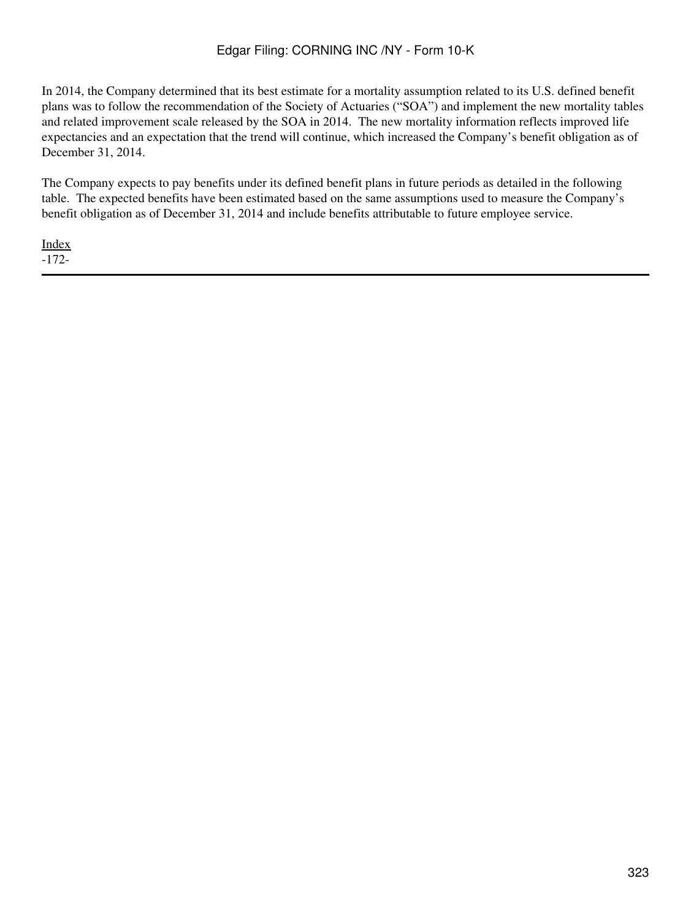In 2014, the Company determined that its best estimate for a mortality assumption related to its U.S. defined benefit plans was to follow the recommendation of the Society of Actuaries ("SOA") and implement the new mortality tables and related improvement scale released by the SOA in 2014. The new mortality information reflects improved life expectancies and an expectation that the trend will continue, which increased the Company's benefit obligation as of December 31, 2014.

The Company expects to pay benefits under its defined benefit plans in future periods as detailed in the following table. The expected benefits have been estimated based on the same assumptions used to measure the Company's benefit obligation as of December 31, 2014 and include benefits attributable to future employee service.

[Index](#page-283-0) -172-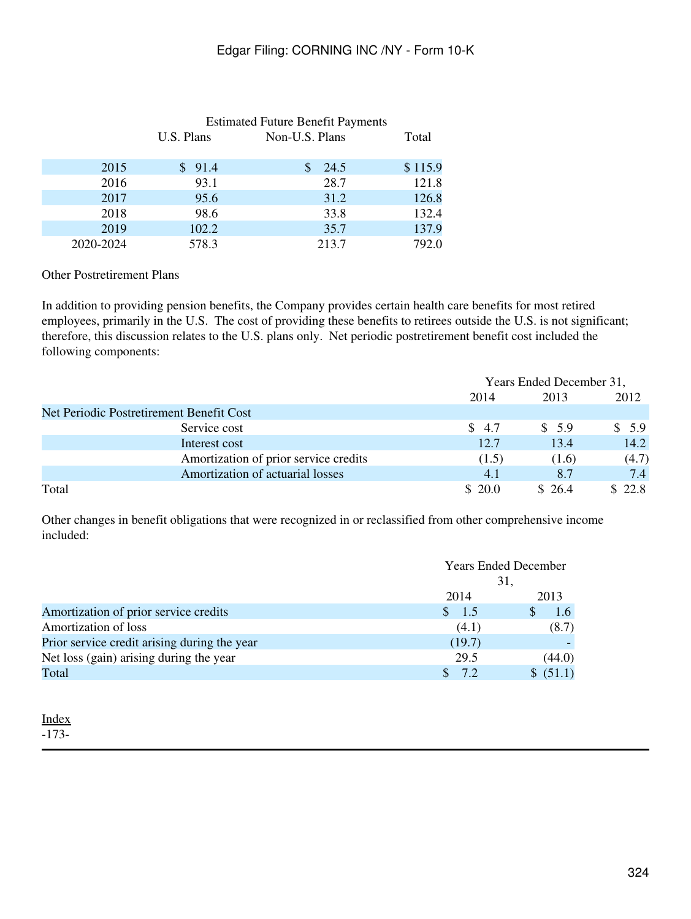|           | <b>Estimated Future Benefit Payments</b> |                |         |  |
|-----------|------------------------------------------|----------------|---------|--|
|           | U.S. Plans                               | Non-U.S. Plans | Total   |  |
| 2015      | \$91.4                                   | 24.5           | \$115.9 |  |
| 2016      | 93.1                                     | 28.7           | 121.8   |  |
| 2017      | 95.6                                     | 31.2           | 126.8   |  |
| 2018      | 98.6                                     | 33.8           | 132.4   |  |
| 2019      | 102.2                                    | 35.7           | 137.9   |  |
| 2020-2024 | 578.3                                    | 213.7          | 792.0   |  |
|           |                                          |                |         |  |

Other Postretirement Plans

In addition to providing pension benefits, the Company provides certain health care benefits for most retired employees, primarily in the U.S. The cost of providing these benefits to retirees outside the U.S. is not significant; therefore, this discussion relates to the U.S. plans only. Net periodic postretirement benefit cost included the following components:

|                                          | Years Ended December 31, |        |        |
|------------------------------------------|--------------------------|--------|--------|
|                                          | 2014                     | 2013   | 2012   |
| Net Periodic Postretirement Benefit Cost |                          |        |        |
| Service cost                             | \$ 4.7                   | \$5.9  | \$5.9  |
| Interest cost                            | 12.7                     | 13.4   | 14.2   |
| Amortization of prior service credits    | (1.5)                    | (1.6)  | (4.7)  |
| Amortization of actuarial losses         | 4.1                      | 8.7    | 7.4    |
| Total                                    | \$20.0                   | \$26.4 | \$22.8 |

Other changes in benefit obligations that were recognized in or reclassified from other comprehensive income included:

|                                              |                  | <b>Years Ended December</b> |  |  |
|----------------------------------------------|------------------|-----------------------------|--|--|
|                                              |                  | 31,                         |  |  |
|                                              | 2014             | 2013                        |  |  |
| Amortization of prior service credits        | $\frac{\$}{1.5}$ | $1.6^{\circ}$               |  |  |
| Amortization of loss                         | (4.1)            | (8.7)                       |  |  |
| Prior service credit arising during the year | (19.7)           |                             |  |  |
| Net loss (gain) arising during the year      | 29.5             | (44.0)                      |  |  |
| Total                                        | 7.2              | \$ (51.1)                   |  |  |

## [Index](#page-283-0)

-173-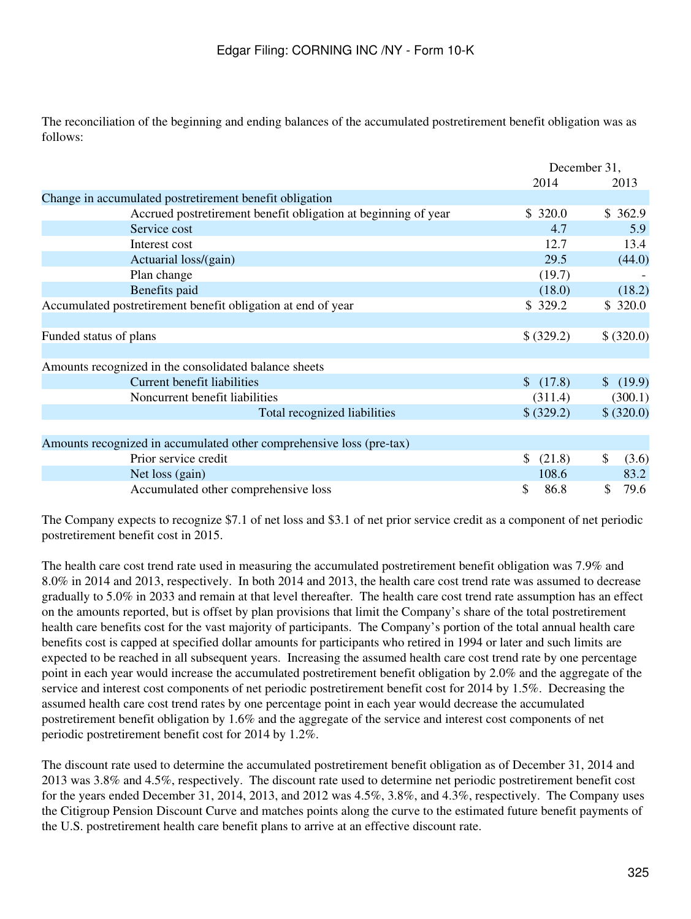The reconciliation of the beginning and ending balances of the accumulated postretirement benefit obligation was as follows:

|                                                                      | December 31, |             |
|----------------------------------------------------------------------|--------------|-------------|
|                                                                      | 2014         | 2013        |
| Change in accumulated postretirement benefit obligation              |              |             |
| Accrued postretirement benefit obligation at beginning of year       | \$320.0      | \$362.9     |
| Service cost                                                         | 4.7          | 5.9         |
| Interest cost                                                        | 12.7         | 13.4        |
| Actuarial loss/(gain)                                                | 29.5         | (44.0)      |
| Plan change                                                          | (19.7)       |             |
| Benefits paid                                                        | (18.0)       | (18.2)      |
| Accumulated postretirement benefit obligation at end of year         | \$329.2      | \$320.0     |
|                                                                      |              |             |
| Funded status of plans                                               | \$ (329.2)   | \$ (320.0)  |
|                                                                      |              |             |
| Amounts recognized in the consolidated balance sheets                |              |             |
| <b>Current benefit liabilities</b>                                   | \$(17.8)     | \$ (19.9)   |
| Noncurrent benefit liabilities                                       | (311.4)      | (300.1)     |
| Total recognized liabilities                                         | \$ (329.2)   | \$ (320.0)  |
|                                                                      |              |             |
| Amounts recognized in accumulated other comprehensive loss (pre-tax) |              |             |
| Prior service credit                                                 | \$ (21.8)    | \$<br>(3.6) |
| Net loss (gain)                                                      | 108.6        | 83.2        |
| Accumulated other comprehensive loss                                 | \$<br>86.8   | 79.6<br>\$  |

The Company expects to recognize \$7.1 of net loss and \$3.1 of net prior service credit as a component of net periodic postretirement benefit cost in 2015.

The health care cost trend rate used in measuring the accumulated postretirement benefit obligation was 7.9% and 8.0% in 2014 and 2013, respectively. In both 2014 and 2013, the health care cost trend rate was assumed to decrease gradually to 5.0% in 2033 and remain at that level thereafter. The health care cost trend rate assumption has an effect on the amounts reported, but is offset by plan provisions that limit the Company's share of the total postretirement health care benefits cost for the vast majority of participants. The Company's portion of the total annual health care benefits cost is capped at specified dollar amounts for participants who retired in 1994 or later and such limits are expected to be reached in all subsequent years. Increasing the assumed health care cost trend rate by one percentage point in each year would increase the accumulated postretirement benefit obligation by 2.0% and the aggregate of the service and interest cost components of net periodic postretirement benefit cost for 2014 by 1.5%. Decreasing the assumed health care cost trend rates by one percentage point in each year would decrease the accumulated postretirement benefit obligation by 1.6% and the aggregate of the service and interest cost components of net periodic postretirement benefit cost for 2014 by 1.2%.

The discount rate used to determine the accumulated postretirement benefit obligation as of December 31, 2014 and 2013 was 3.8% and 4.5%, respectively. The discount rate used to determine net periodic postretirement benefit cost for the years ended December 31, 2014, 2013, and 2012 was 4.5%, 3.8%, and 4.3%, respectively. The Company uses the Citigroup Pension Discount Curve and matches points along the curve to the estimated future benefit payments of the U.S. postretirement health care benefit plans to arrive at an effective discount rate.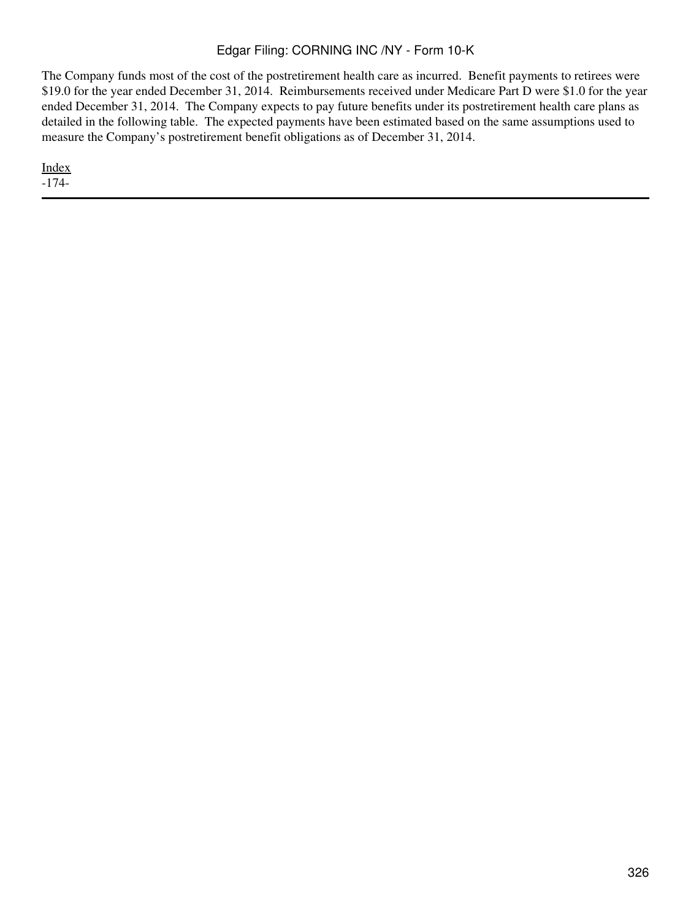The Company funds most of the cost of the postretirement health care as incurred. Benefit payments to retirees were \$19.0 for the year ended December 31, 2014. Reimbursements received under Medicare Part D were \$1.0 for the year ended December 31, 2014. The Company expects to pay future benefits under its postretirement health care plans as detailed in the following table. The expected payments have been estimated based on the same assumptions used to measure the Company's postretirement benefit obligations as of December 31, 2014.

[Index](#page-283-0) -174-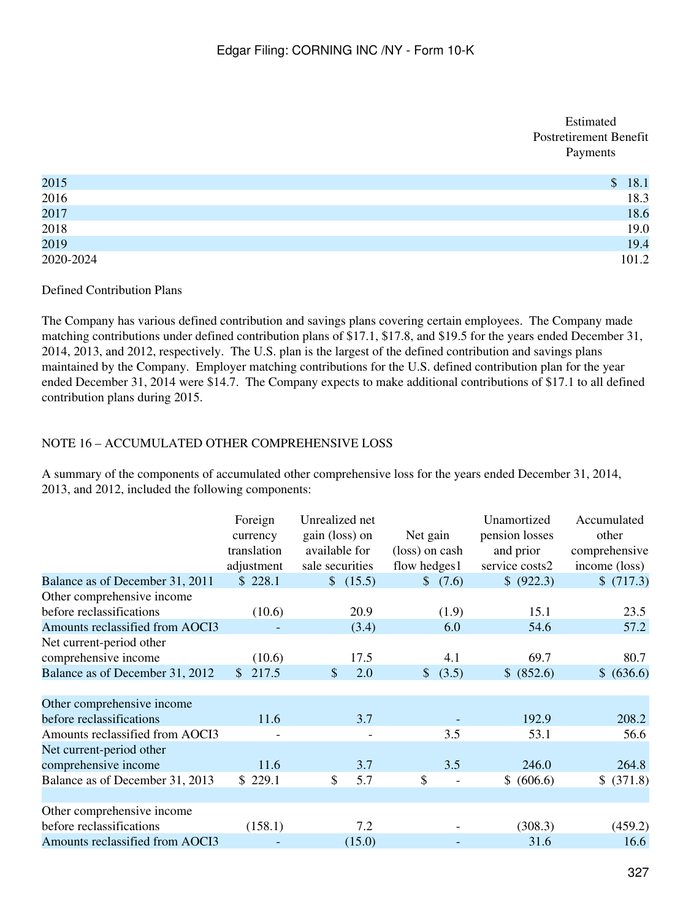## Estimated Postretirement Benefit Payments

| 2015         | 18.1<br>$\mathcal{S}$ |
|--------------|-----------------------|
| 2016<br>2017 | 18.3                  |
|              | 18.6                  |
| 2018<br>2019 | 19.0                  |
|              | 19.4                  |
| 2020-2024    | 101.2                 |

## Defined Contribution Plans

The Company has various defined contribution and savings plans covering certain employees. The Company made matching contributions under defined contribution plans of \$17.1, \$17.8, and \$19.5 for the years ended December 31, 2014, 2013, and 2012, respectively. The U.S. plan is the largest of the defined contribution and savings plans maintained by the Company. Employer matching contributions for the U.S. defined contribution plan for the year ended December 31, 2014 were \$14.7. The Company expects to make additional contributions of \$17.1 to all defined contribution plans during 2015.

# NOTE 16 – ACCUMULATED OTHER COMPREHENSIVE LOSS

A summary of the components of accumulated other comprehensive loss for the years ended December 31, 2014, 2013, and 2012, included the following components:

|                                 | Foreign<br>currency<br>translation<br>adjustment | Unrealized net<br>gain (loss) on<br>available for<br>sale securities | Net gain<br>(loss) on cash<br>flow hedges1 | Unamortized<br>pension losses<br>and prior<br>service costs2 | Accumulated<br>other<br>comprehensive<br>income (loss) |
|---------------------------------|--------------------------------------------------|----------------------------------------------------------------------|--------------------------------------------|--------------------------------------------------------------|--------------------------------------------------------|
| Balance as of December 31, 2011 | \$228.1                                          | \$ (15.5)                                                            | \$ (7.6)                                   | \$ (922.3)                                                   | \$(717.3)                                              |
| Other comprehensive income      |                                                  |                                                                      |                                            |                                                              |                                                        |
| before reclassifications        | (10.6)                                           | 20.9                                                                 | (1.9)                                      | 15.1                                                         | 23.5                                                   |
| Amounts reclassified from AOCI3 |                                                  | (3.4)                                                                | 6.0                                        | 54.6                                                         | 57.2                                                   |
| Net current-period other        |                                                  |                                                                      |                                            |                                                              |                                                        |
| comprehensive income            | (10.6)                                           | 17.5                                                                 | 4.1                                        | 69.7                                                         | 80.7                                                   |
| Balance as of December 31, 2012 | 217.5<br>$\mathbb{S}$                            | 2.0<br>$\mathbb{S}$                                                  | (3.5)<br>$\mathbb{S}^-$                    | \$ (852.6)                                                   | \$ (636.6)                                             |
|                                 |                                                  |                                                                      |                                            |                                                              |                                                        |
| Other comprehensive income      |                                                  |                                                                      |                                            |                                                              |                                                        |
| before reclassifications        | 11.6                                             | 3.7                                                                  |                                            | 192.9                                                        | 208.2                                                  |
| Amounts reclassified from AOCI3 |                                                  |                                                                      | 3.5                                        | 53.1                                                         | 56.6                                                   |
| Net current-period other        |                                                  |                                                                      |                                            |                                                              |                                                        |
| comprehensive income            | 11.6                                             | 3.7                                                                  | 3.5                                        | 246.0                                                        | 264.8                                                  |
| Balance as of December 31, 2013 | \$229.1                                          | \$<br>5.7                                                            | \$                                         | \$ (606.6)                                                   | \$ (371.8)                                             |
|                                 |                                                  |                                                                      |                                            |                                                              |                                                        |
| Other comprehensive income      |                                                  |                                                                      |                                            |                                                              |                                                        |
| before reclassifications        | (158.1)                                          | 7.2                                                                  |                                            | (308.3)                                                      | (459.2)                                                |
| Amounts reclassified from AOCI3 |                                                  | (15.0)                                                               |                                            | 31.6                                                         | 16.6                                                   |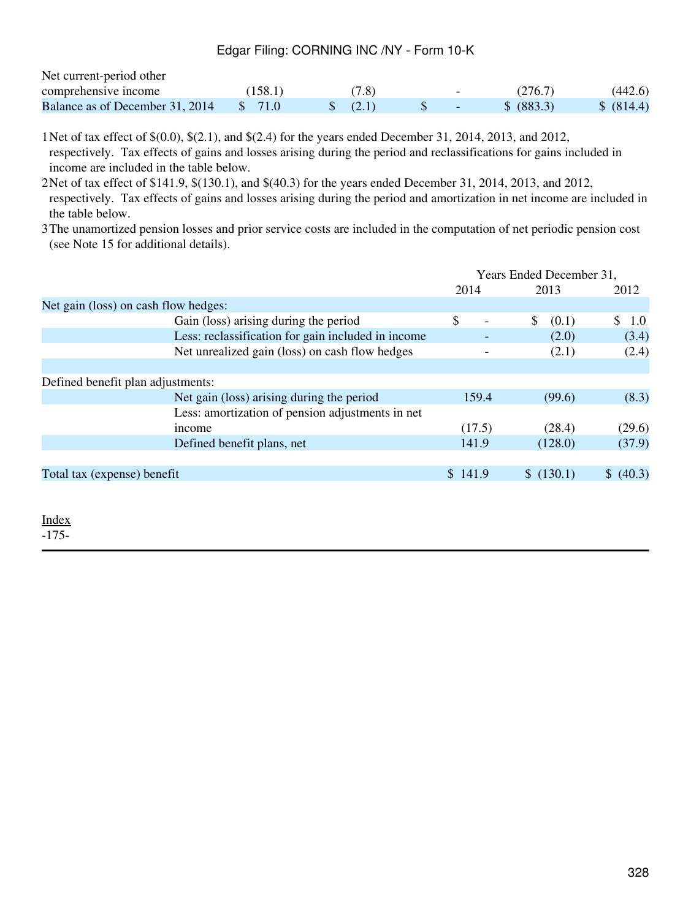| Net current-period other        |         |       |                          |            |            |
|---------------------------------|---------|-------|--------------------------|------------|------------|
| comprehensive income            | (158.1) | (7.8) | $\overline{\phantom{0}}$ | (276.7)    | (442.6)    |
| Balance as of December 31, 2014 | S 71.0  | (2.1) |                          | \$ (883.3) | \$ (814.4) |

1Net of tax effect of \$(0.0), \$(2.1), and \$(2.4) for the years ended December 31, 2014, 2013, and 2012, respectively. Tax effects of gains and losses arising during the period and reclassifications for gains included in income are included in the table below.

2Net of tax effect of \$141.9, \$(130.1), and \$(40.3) for the years ended December 31, 2014, 2013, and 2012, respectively. Tax effects of gains and losses arising during the period and amortization in net income are included in the table below.

3The unamortized pension losses and prior service costs are included in the computation of net periodic pension cost (see Note 15 for additional details).

|                                                    | Years Ended December 31, |                       |           |
|----------------------------------------------------|--------------------------|-----------------------|-----------|
|                                                    | 2014                     | 2013                  | 2012      |
| Net gain (loss) on cash flow hedges:               |                          |                       |           |
| Gain (loss) arising during the period              | \$                       | <sup>S</sup><br>(0.1) | \$1.0     |
| Less: reclassification for gain included in income |                          | (2.0)                 | (3.4)     |
| Net unrealized gain (loss) on cash flow hedges     |                          | (2.1)                 | (2.4)     |
|                                                    |                          |                       |           |
| Defined benefit plan adjustments:                  |                          |                       |           |
| Net gain (loss) arising during the period          | 159.4                    | (99.6)                | (8.3)     |
| Less: amortization of pension adjustments in net   |                          |                       |           |
| income                                             | (17.5)                   | (28.4)                | (29.6)    |
| Defined benefit plans, net                         | 141.9                    | (128.0)               | (37.9)    |
|                                                    |                          |                       |           |
| Total tax (expense) benefit                        | \$141.9                  | \$(130.1)             | \$ (40.3) |
|                                                    |                          |                       |           |

[Index](#page-283-0) -175-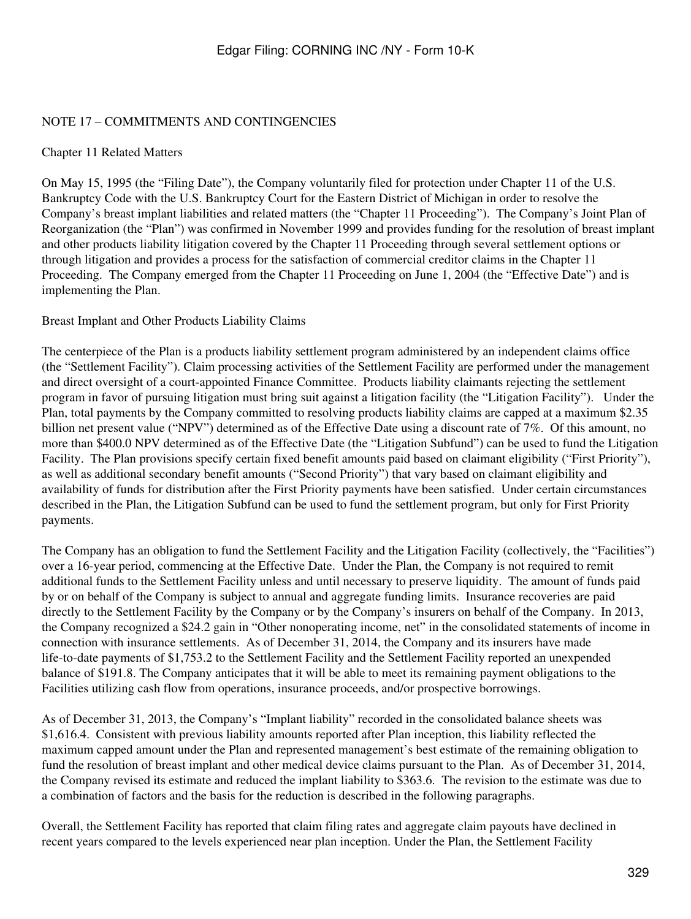## NOTE 17 – COMMITMENTS AND CONTINGENCIES

### Chapter 11 Related Matters

On May 15, 1995 (the "Filing Date"), the Company voluntarily filed for protection under Chapter 11 of the U.S. Bankruptcy Code with the U.S. Bankruptcy Court for the Eastern District of Michigan in order to resolve the Company's breast implant liabilities and related matters (the "Chapter 11 Proceeding"). The Company's Joint Plan of Reorganization (the "Plan") was confirmed in November 1999 and provides funding for the resolution of breast implant and other products liability litigation covered by the Chapter 11 Proceeding through several settlement options or through litigation and provides a process for the satisfaction of commercial creditor claims in the Chapter 11 Proceeding. The Company emerged from the Chapter 11 Proceeding on June 1, 2004 (the "Effective Date") and is implementing the Plan.

Breast Implant and Other Products Liability Claims

The centerpiece of the Plan is a products liability settlement program administered by an independent claims office (the "Settlement Facility"). Claim processing activities of the Settlement Facility are performed under the management and direct oversight of a court-appointed Finance Committee. Products liability claimants rejecting the settlement program in favor of pursuing litigation must bring suit against a litigation facility (the "Litigation Facility"). Under the Plan, total payments by the Company committed to resolving products liability claims are capped at a maximum \$2.35 billion net present value ("NPV") determined as of the Effective Date using a discount rate of 7%. Of this amount, no more than \$400.0 NPV determined as of the Effective Date (the "Litigation Subfund") can be used to fund the Litigation Facility. The Plan provisions specify certain fixed benefit amounts paid based on claimant eligibility ("First Priority"), as well as additional secondary benefit amounts ("Second Priority") that vary based on claimant eligibility and availability of funds for distribution after the First Priority payments have been satisfied. Under certain circumstances described in the Plan, the Litigation Subfund can be used to fund the settlement program, but only for First Priority payments.

The Company has an obligation to fund the Settlement Facility and the Litigation Facility (collectively, the "Facilities") over a 16-year period, commencing at the Effective Date. Under the Plan, the Company is not required to remit additional funds to the Settlement Facility unless and until necessary to preserve liquidity. The amount of funds paid by or on behalf of the Company is subject to annual and aggregate funding limits. Insurance recoveries are paid directly to the Settlement Facility by the Company or by the Company's insurers on behalf of the Company. In 2013, the Company recognized a \$24.2 gain in "Other nonoperating income, net" in the consolidated statements of income in connection with insurance settlements. As of December 31, 2014, the Company and its insurers have made life-to-date payments of \$1,753.2 to the Settlement Facility and the Settlement Facility reported an unexpended balance of \$191.8. The Company anticipates that it will be able to meet its remaining payment obligations to the Facilities utilizing cash flow from operations, insurance proceeds, and/or prospective borrowings.

As of December 31, 2013, the Company's "Implant liability" recorded in the consolidated balance sheets was \$1,616.4. Consistent with previous liability amounts reported after Plan inception, this liability reflected the maximum capped amount under the Plan and represented management's best estimate of the remaining obligation to fund the resolution of breast implant and other medical device claims pursuant to the Plan. As of December 31, 2014, the Company revised its estimate and reduced the implant liability to \$363.6. The revision to the estimate was due to a combination of factors and the basis for the reduction is described in the following paragraphs.

Overall, the Settlement Facility has reported that claim filing rates and aggregate claim payouts have declined in recent years compared to the levels experienced near plan inception. Under the Plan, the Settlement Facility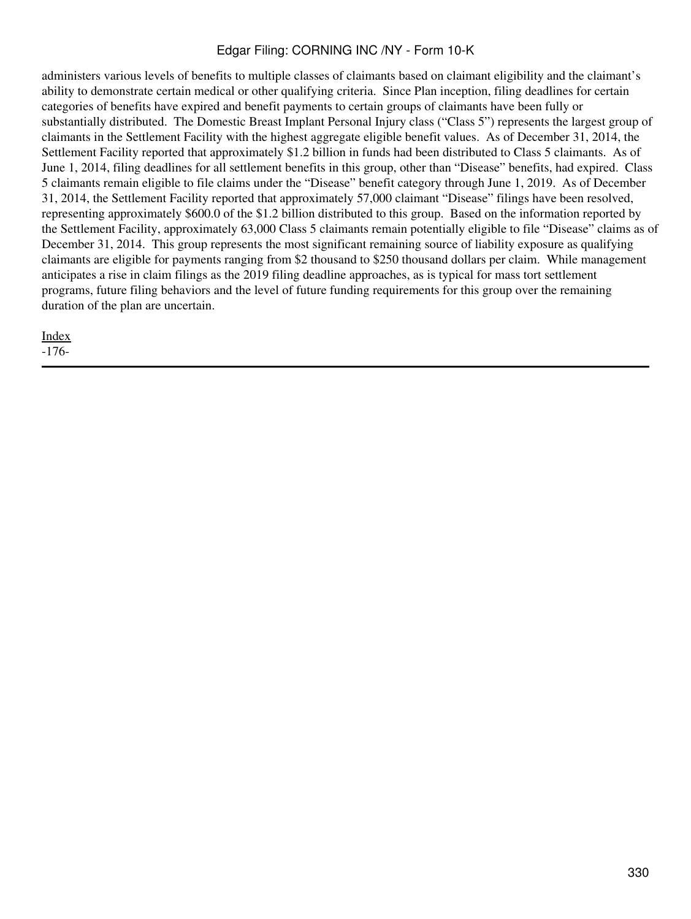administers various levels of benefits to multiple classes of claimants based on claimant eligibility and the claimant's ability to demonstrate certain medical or other qualifying criteria. Since Plan inception, filing deadlines for certain categories of benefits have expired and benefit payments to certain groups of claimants have been fully or substantially distributed. The Domestic Breast Implant Personal Injury class ("Class 5") represents the largest group of claimants in the Settlement Facility with the highest aggregate eligible benefit values. As of December 31, 2014, the Settlement Facility reported that approximately \$1.2 billion in funds had been distributed to Class 5 claimants. As of June 1, 2014, filing deadlines for all settlement benefits in this group, other than "Disease" benefits, had expired. Class 5 claimants remain eligible to file claims under the "Disease" benefit category through June 1, 2019. As of December 31, 2014, the Settlement Facility reported that approximately 57,000 claimant "Disease" filings have been resolved, representing approximately \$600.0 of the \$1.2 billion distributed to this group. Based on the information reported by the Settlement Facility, approximately 63,000 Class 5 claimants remain potentially eligible to file "Disease" claims as of December 31, 2014. This group represents the most significant remaining source of liability exposure as qualifying claimants are eligible for payments ranging from \$2 thousand to \$250 thousand dollars per claim. While management anticipates a rise in claim filings as the 2019 filing deadline approaches, as is typical for mass tort settlement programs, future filing behaviors and the level of future funding requirements for this group over the remaining duration of the plan are uncertain.

[Index](#page-283-0)

-176-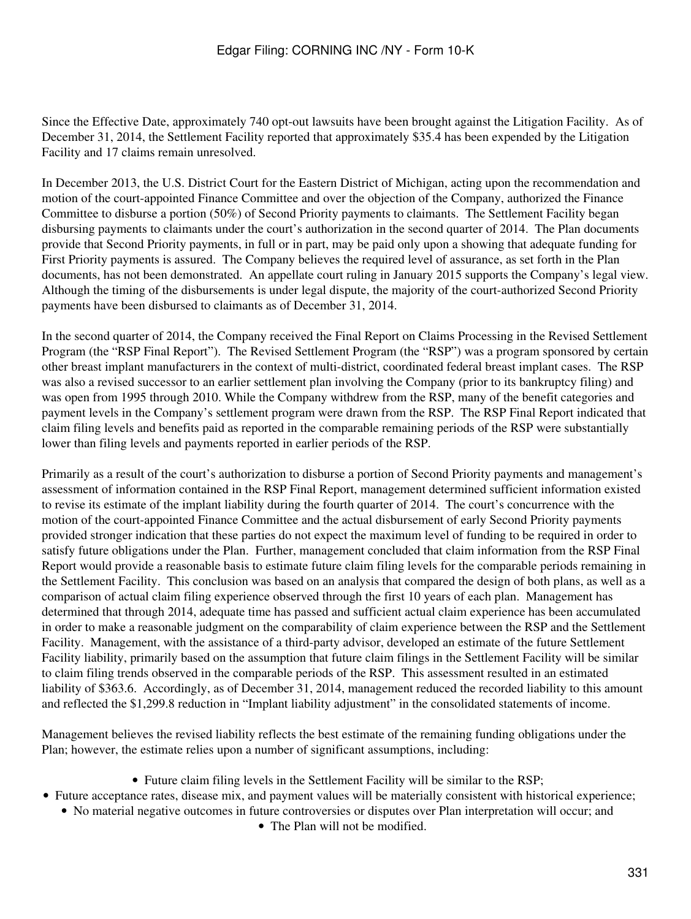Since the Effective Date, approximately 740 opt-out lawsuits have been brought against the Litigation Facility. As of December 31, 2014, the Settlement Facility reported that approximately \$35.4 has been expended by the Litigation Facility and 17 claims remain unresolved.

In December 2013, the U.S. District Court for the Eastern District of Michigan, acting upon the recommendation and motion of the court-appointed Finance Committee and over the objection of the Company, authorized the Finance Committee to disburse a portion (50%) of Second Priority payments to claimants. The Settlement Facility began disbursing payments to claimants under the court's authorization in the second quarter of 2014. The Plan documents provide that Second Priority payments, in full or in part, may be paid only upon a showing that adequate funding for First Priority payments is assured. The Company believes the required level of assurance, as set forth in the Plan documents, has not been demonstrated. An appellate court ruling in January 2015 supports the Company's legal view. Although the timing of the disbursements is under legal dispute, the majority of the court-authorized Second Priority payments have been disbursed to claimants as of December 31, 2014.

In the second quarter of 2014, the Company received the Final Report on Claims Processing in the Revised Settlement Program (the "RSP Final Report"). The Revised Settlement Program (the "RSP") was a program sponsored by certain other breast implant manufacturers in the context of multi-district, coordinated federal breast implant cases. The RSP was also a revised successor to an earlier settlement plan involving the Company (prior to its bankruptcy filing) and was open from 1995 through 2010. While the Company withdrew from the RSP, many of the benefit categories and payment levels in the Company's settlement program were drawn from the RSP. The RSP Final Report indicated that claim filing levels and benefits paid as reported in the comparable remaining periods of the RSP were substantially lower than filing levels and payments reported in earlier periods of the RSP.

Primarily as a result of the court's authorization to disburse a portion of Second Priority payments and management's assessment of information contained in the RSP Final Report, management determined sufficient information existed to revise its estimate of the implant liability during the fourth quarter of 2014. The court's concurrence with the motion of the court-appointed Finance Committee and the actual disbursement of early Second Priority payments provided stronger indication that these parties do not expect the maximum level of funding to be required in order to satisfy future obligations under the Plan. Further, management concluded that claim information from the RSP Final Report would provide a reasonable basis to estimate future claim filing levels for the comparable periods remaining in the Settlement Facility. This conclusion was based on an analysis that compared the design of both plans, as well as a comparison of actual claim filing experience observed through the first 10 years of each plan. Management has determined that through 2014, adequate time has passed and sufficient actual claim experience has been accumulated in order to make a reasonable judgment on the comparability of claim experience between the RSP and the Settlement Facility. Management, with the assistance of a third-party advisor, developed an estimate of the future Settlement Facility liability, primarily based on the assumption that future claim filings in the Settlement Facility will be similar to claim filing trends observed in the comparable periods of the RSP. This assessment resulted in an estimated liability of \$363.6. Accordingly, as of December 31, 2014, management reduced the recorded liability to this amount and reflected the \$1,299.8 reduction in "Implant liability adjustment" in the consolidated statements of income.

Management believes the revised liability reflects the best estimate of the remaining funding obligations under the Plan; however, the estimate relies upon a number of significant assumptions, including:

- Future claim filing levels in the Settlement Facility will be similar to the RSP;
- Future acceptance rates, disease mix, and payment values will be materially consistent with historical experience;
	- No material negative outcomes in future controversies or disputes over Plan interpretation will occur; and
		- The Plan will not be modified.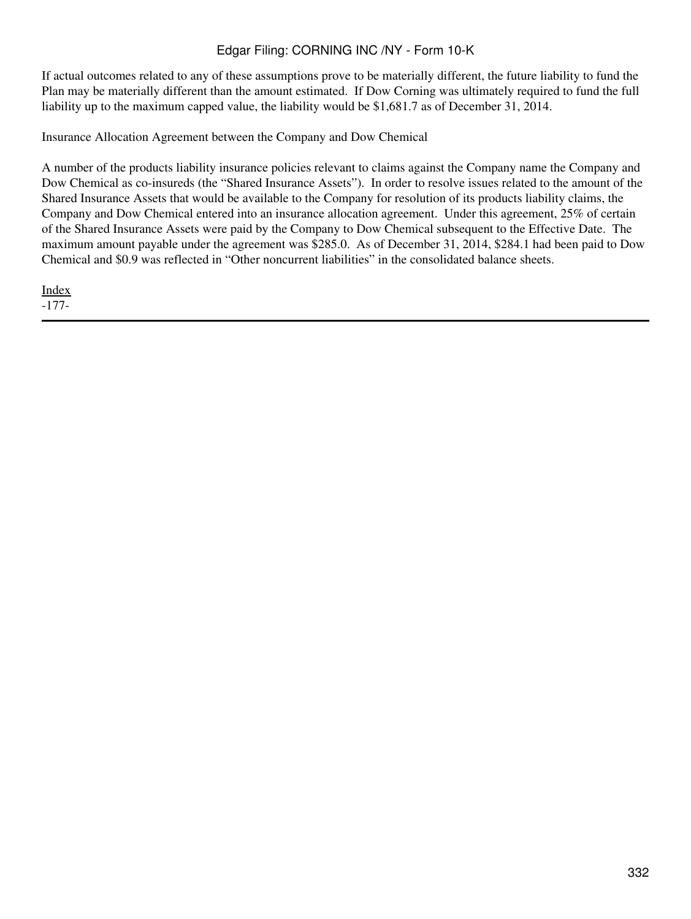If actual outcomes related to any of these assumptions prove to be materially different, the future liability to fund the Plan may be materially different than the amount estimated. If Dow Corning was ultimately required to fund the full liability up to the maximum capped value, the liability would be \$1,681.7 as of December 31, 2014.

Insurance Allocation Agreement between the Company and Dow Chemical

A number of the products liability insurance policies relevant to claims against the Company name the Company and Dow Chemical as co-insureds (the "Shared Insurance Assets"). In order to resolve issues related to the amount of the Shared Insurance Assets that would be available to the Company for resolution of its products liability claims, the Company and Dow Chemical entered into an insurance allocation agreement. Under this agreement, 25% of certain of the Shared Insurance Assets were paid by the Company to Dow Chemical subsequent to the Effective Date. The maximum amount payable under the agreement was \$285.0. As of December 31, 2014, \$284.1 had been paid to Dow Chemical and \$0.9 was reflected in "Other noncurrent liabilities" in the consolidated balance sheets.

[Index](#page-283-0) -177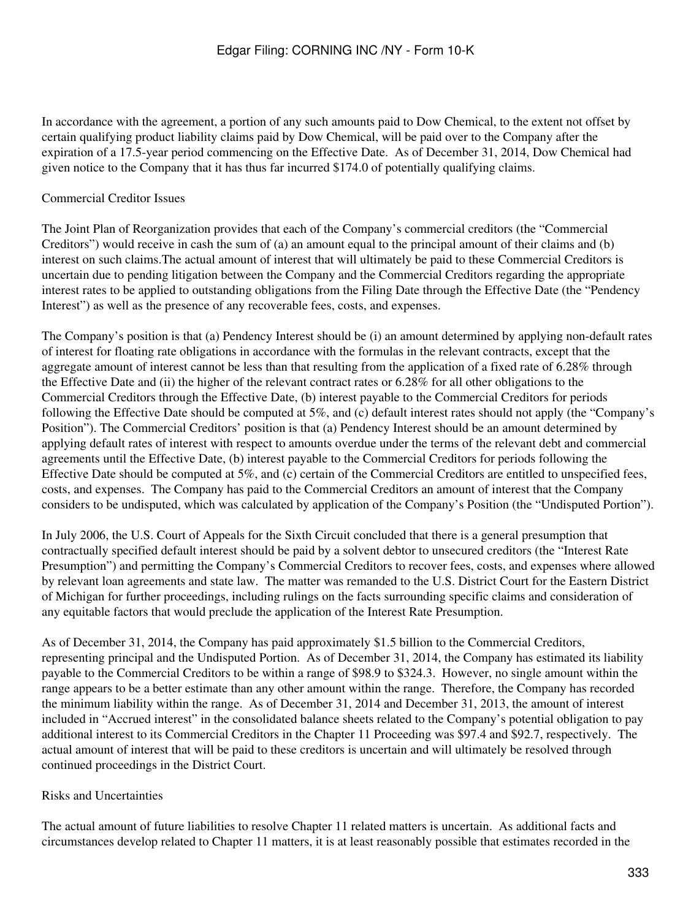In accordance with the agreement, a portion of any such amounts paid to Dow Chemical, to the extent not offset by certain qualifying product liability claims paid by Dow Chemical, will be paid over to the Company after the expiration of a 17.5-year period commencing on the Effective Date. As of December 31, 2014, Dow Chemical had given notice to the Company that it has thus far incurred \$174.0 of potentially qualifying claims.

## Commercial Creditor Issues

The Joint Plan of Reorganization provides that each of the Company's commercial creditors (the "Commercial Creditors") would receive in cash the sum of (a) an amount equal to the principal amount of their claims and (b) interest on such claims.The actual amount of interest that will ultimately be paid to these Commercial Creditors is uncertain due to pending litigation between the Company and the Commercial Creditors regarding the appropriate interest rates to be applied to outstanding obligations from the Filing Date through the Effective Date (the "Pendency Interest") as well as the presence of any recoverable fees, costs, and expenses.

The Company's position is that (a) Pendency Interest should be (i) an amount determined by applying non-default rates of interest for floating rate obligations in accordance with the formulas in the relevant contracts, except that the aggregate amount of interest cannot be less than that resulting from the application of a fixed rate of 6.28% through the Effective Date and (ii) the higher of the relevant contract rates or 6.28% for all other obligations to the Commercial Creditors through the Effective Date, (b) interest payable to the Commercial Creditors for periods following the Effective Date should be computed at 5%, and (c) default interest rates should not apply (the "Company's Position"). The Commercial Creditors' position is that (a) Pendency Interest should be an amount determined by applying default rates of interest with respect to amounts overdue under the terms of the relevant debt and commercial agreements until the Effective Date, (b) interest payable to the Commercial Creditors for periods following the Effective Date should be computed at 5%, and (c) certain of the Commercial Creditors are entitled to unspecified fees, costs, and expenses. The Company has paid to the Commercial Creditors an amount of interest that the Company considers to be undisputed, which was calculated by application of the Company's Position (the "Undisputed Portion").

In July 2006, the U.S. Court of Appeals for the Sixth Circuit concluded that there is a general presumption that contractually specified default interest should be paid by a solvent debtor to unsecured creditors (the "Interest Rate Presumption") and permitting the Company's Commercial Creditors to recover fees, costs, and expenses where allowed by relevant loan agreements and state law. The matter was remanded to the U.S. District Court for the Eastern District of Michigan for further proceedings, including rulings on the facts surrounding specific claims and consideration of any equitable factors that would preclude the application of the Interest Rate Presumption.

As of December 31, 2014, the Company has paid approximately \$1.5 billion to the Commercial Creditors, representing principal and the Undisputed Portion. As of December 31, 2014, the Company has estimated its liability payable to the Commercial Creditors to be within a range of \$98.9 to \$324.3. However, no single amount within the range appears to be a better estimate than any other amount within the range. Therefore, the Company has recorded the minimum liability within the range. As of December 31, 2014 and December 31, 2013, the amount of interest included in "Accrued interest" in the consolidated balance sheets related to the Company's potential obligation to pay additional interest to its Commercial Creditors in the Chapter 11 Proceeding was \$97.4 and \$92.7, respectively. The actual amount of interest that will be paid to these creditors is uncertain and will ultimately be resolved through continued proceedings in the District Court.

## Risks and Uncertainties

The actual amount of future liabilities to resolve Chapter 11 related matters is uncertain. As additional facts and circumstances develop related to Chapter 11 matters, it is at least reasonably possible that estimates recorded in the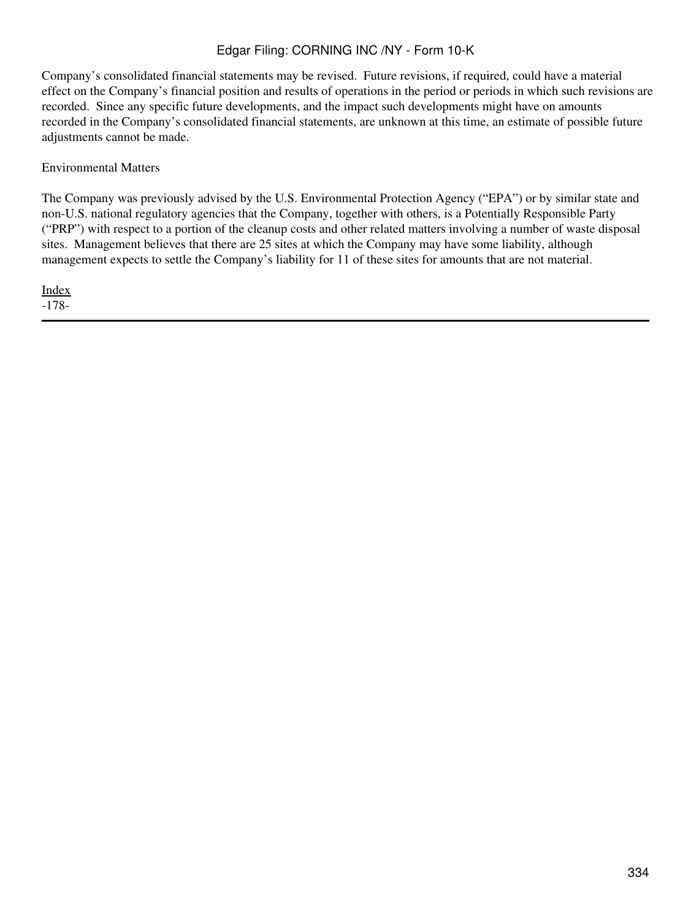Company's consolidated financial statements may be revised. Future revisions, if required, could have a material effect on the Company's financial position and results of operations in the period or periods in which such revisions are recorded. Since any specific future developments, and the impact such developments might have on amounts recorded in the Company's consolidated financial statements, are unknown at this time, an estimate of possible future adjustments cannot be made.

### Environmental Matters

The Company was previously advised by the U.S. Environmental Protection Agency ("EPA") or by similar state and non-U.S. national regulatory agencies that the Company, together with others, is a Potentially Responsible Party ("PRP") with respect to a portion of the cleanup costs and other related matters involving a number of waste disposal sites. Management believes that there are 25 sites at which the Company may have some liability, although management expects to settle the Company's liability for 11 of these sites for amounts that are not material.

[Index](#page-283-0) -178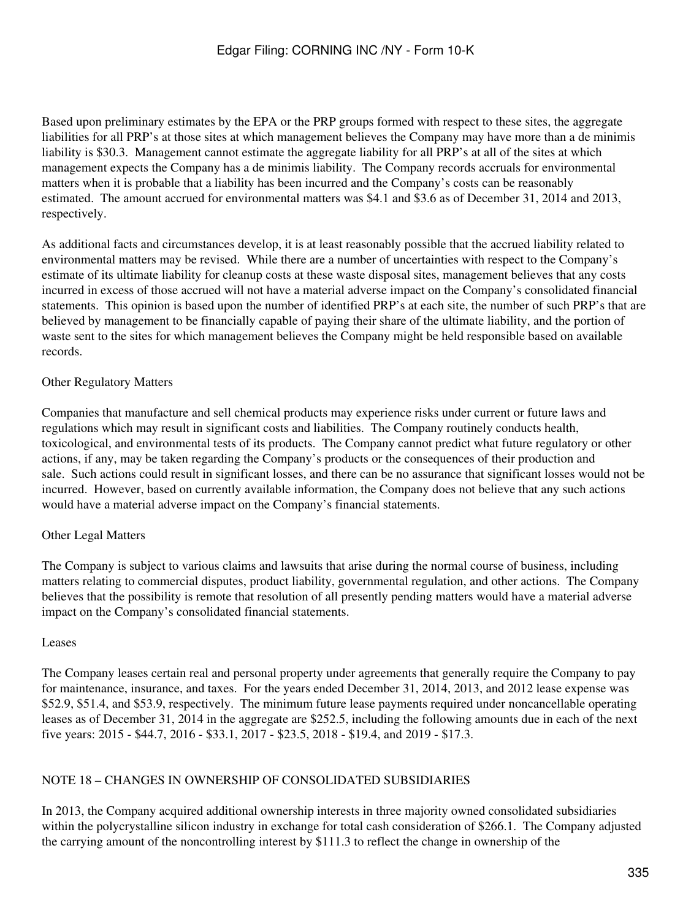Based upon preliminary estimates by the EPA or the PRP groups formed with respect to these sites, the aggregate liabilities for all PRP's at those sites at which management believes the Company may have more than a de minimis liability is \$30.3. Management cannot estimate the aggregate liability for all PRP's at all of the sites at which management expects the Company has a de minimis liability. The Company records accruals for environmental matters when it is probable that a liability has been incurred and the Company's costs can be reasonably estimated. The amount accrued for environmental matters was \$4.1 and \$3.6 as of December 31, 2014 and 2013, respectively.

As additional facts and circumstances develop, it is at least reasonably possible that the accrued liability related to environmental matters may be revised. While there are a number of uncertainties with respect to the Company's estimate of its ultimate liability for cleanup costs at these waste disposal sites, management believes that any costs incurred in excess of those accrued will not have a material adverse impact on the Company's consolidated financial statements. This opinion is based upon the number of identified PRP's at each site, the number of such PRP's that are believed by management to be financially capable of paying their share of the ultimate liability, and the portion of waste sent to the sites for which management believes the Company might be held responsible based on available records.

## Other Regulatory Matters

Companies that manufacture and sell chemical products may experience risks under current or future laws and regulations which may result in significant costs and liabilities. The Company routinely conducts health, toxicological, and environmental tests of its products. The Company cannot predict what future regulatory or other actions, if any, may be taken regarding the Company's products or the consequences of their production and sale. Such actions could result in significant losses, and there can be no assurance that significant losses would not be incurred. However, based on currently available information, the Company does not believe that any such actions would have a material adverse impact on the Company's financial statements.

## Other Legal Matters

The Company is subject to various claims and lawsuits that arise during the normal course of business, including matters relating to commercial disputes, product liability, governmental regulation, and other actions. The Company believes that the possibility is remote that resolution of all presently pending matters would have a material adverse impact on the Company's consolidated financial statements.

### Leases

The Company leases certain real and personal property under agreements that generally require the Company to pay for maintenance, insurance, and taxes. For the years ended December 31, 2014, 2013, and 2012 lease expense was \$52.9, \$51.4, and \$53.9, respectively. The minimum future lease payments required under noncancellable operating leases as of December 31, 2014 in the aggregate are \$252.5, including the following amounts due in each of the next five years: 2015 - \$44.7, 2016 - \$33.1, 2017 - \$23.5, 2018 - \$19.4, and 2019 - \$17.3.

## NOTE 18 – CHANGES IN OWNERSHIP OF CONSOLIDATED SUBSIDIARIES

In 2013, the Company acquired additional ownership interests in three majority owned consolidated subsidiaries within the polycrystalline silicon industry in exchange for total cash consideration of \$266.1. The Company adjusted the carrying amount of the noncontrolling interest by \$111.3 to reflect the change in ownership of the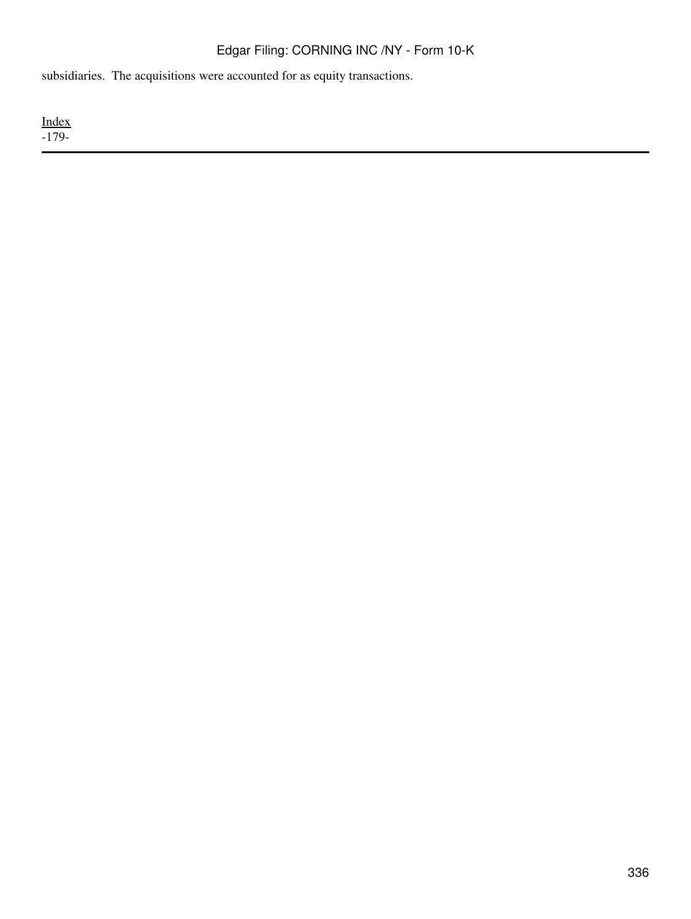subsidiaries. The acquisitions were accounted for as equity transactions.

[Index](#page-283-0) -179-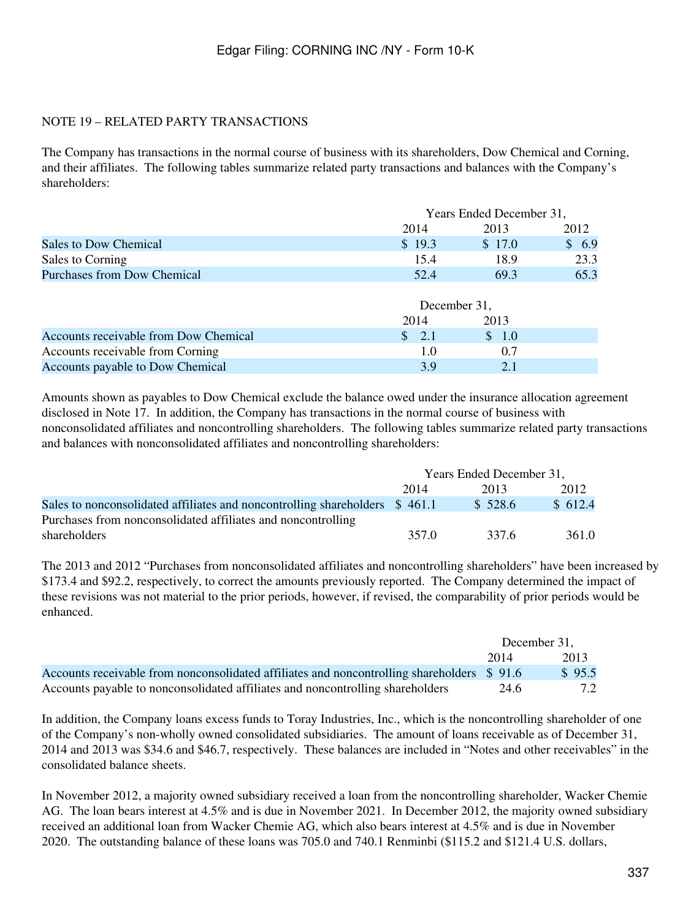## NOTE 19 – RELATED PARTY TRANSACTIONS

The Company has transactions in the normal course of business with its shareholders, Dow Chemical and Corning, and their affiliates. The following tables summarize related party transactions and balances with the Company's shareholders:

|                                       |                      | Years Ended December 31, |       |  |
|---------------------------------------|----------------------|--------------------------|-------|--|
|                                       | 2014                 | 2013                     | 2012  |  |
| Sales to Dow Chemical                 | \$19.3               | \$17.0                   | \$6.9 |  |
| Sales to Corning                      | 15.4                 | 18.9                     | 23.3  |  |
| <b>Purchases from Dow Chemical</b>    | 52.4                 | 69.3                     | 65.3  |  |
|                                       |                      |                          |       |  |
|                                       |                      | December 31,             |       |  |
|                                       | 2014                 | 2013                     |       |  |
| Accounts receivable from Dow Chemical | $\mathcal{S}$<br>2.1 | \$1.0                    |       |  |
| Accounts receivable from Corning      | 1.0                  | 0.7                      |       |  |

Accounts payable to Dow Chemical 3.9 2.1

Amounts shown as payables to Dow Chemical exclude the balance owed under the insurance allocation agreement disclosed in Note 17. In addition, the Company has transactions in the normal course of business with nonconsolidated affiliates and noncontrolling shareholders. The following tables summarize related party transactions and balances with nonconsolidated affiliates and noncontrolling shareholders:

|                                                                             | Years Ended December 31, |         |         |
|-----------------------------------------------------------------------------|--------------------------|---------|---------|
|                                                                             | 2014                     | 2013    | 2012    |
| Sales to nonconsolidated affiliates and noncontrolling shareholders \$461.1 |                          | \$528.6 | \$612.4 |
| Purchases from nonconsolidated affiliates and noncontrolling                |                          |         |         |
| shareholders                                                                | 357 O                    | 337.6   | 361.0   |

The 2013 and 2012 "Purchases from nonconsolidated affiliates and noncontrolling shareholders" have been increased by \$173.4 and \$92.2, respectively, to correct the amounts previously reported. The Company determined the impact of these revisions was not material to the prior periods, however, if revised, the comparability of prior periods would be enhanced.

|                                                                                             |      | December 31. |
|---------------------------------------------------------------------------------------------|------|--------------|
|                                                                                             | 2014 | 2013         |
| Accounts receivable from nonconsolidated affiliates and noncontrolling shareholders $$91.6$ |      | \$95.5       |
| Accounts payable to nonconsolidated affiliates and noncontrolling shareholders              | 24.6 | 7.2          |

In addition, the Company loans excess funds to Toray Industries, Inc., which is the noncontrolling shareholder of one of the Company's non-wholly owned consolidated subsidiaries. The amount of loans receivable as of December 31, 2014 and 2013 was \$34.6 and \$46.7, respectively. These balances are included in "Notes and other receivables" in the consolidated balance sheets.

In November 2012, a majority owned subsidiary received a loan from the noncontrolling shareholder, Wacker Chemie AG. The loan bears interest at 4.5% and is due in November 2021. In December 2012, the majority owned subsidiary received an additional loan from Wacker Chemie AG, which also bears interest at 4.5% and is due in November 2020. The outstanding balance of these loans was 705.0 and 740.1 Renminbi (\$115.2 and \$121.4 U.S. dollars,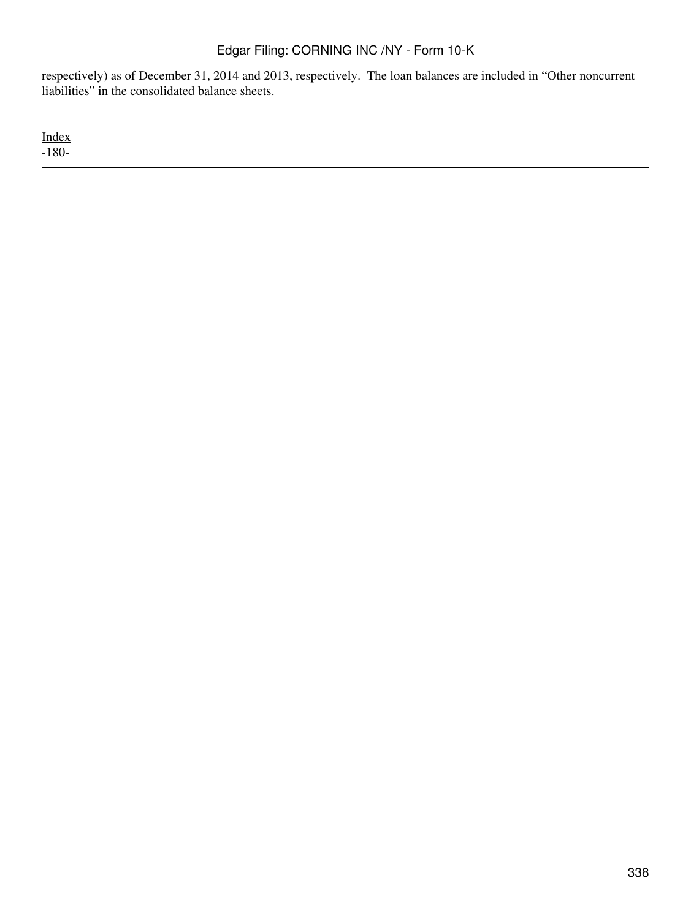respectively) as of December 31, 2014 and 2013, respectively. The loan balances are included in "Other noncurrent liabilities" in the consolidated balance sheets.

[Index](#page-283-0) -180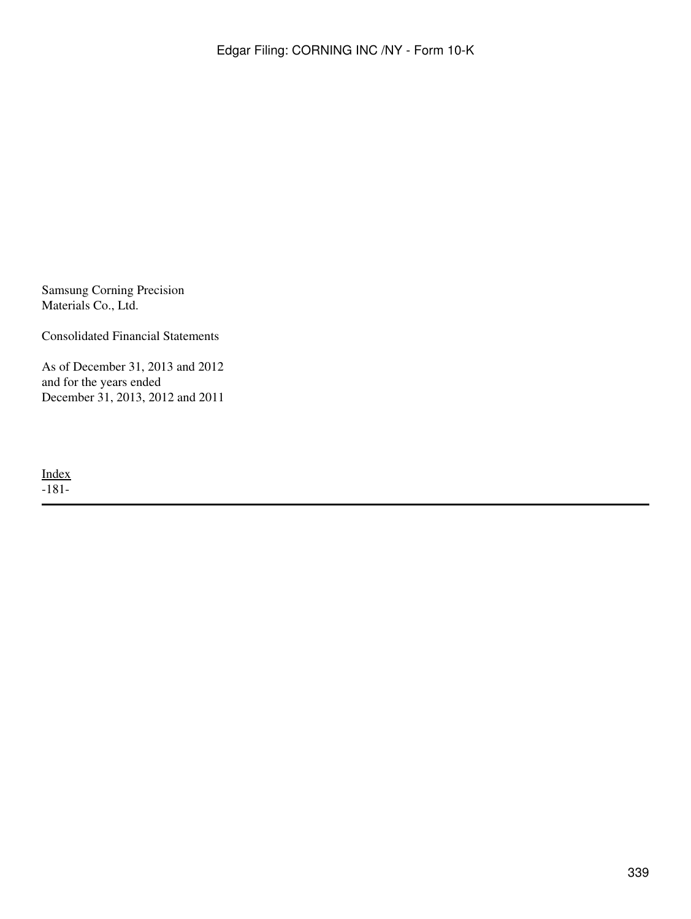Samsung Corning Precision Materials Co., Ltd.

Consolidated Financial Statements

As of December 31, 2013 and 2012 and for the years ended December 31, 2013, 2012 and 2011

[Index](#page-339-0) -181-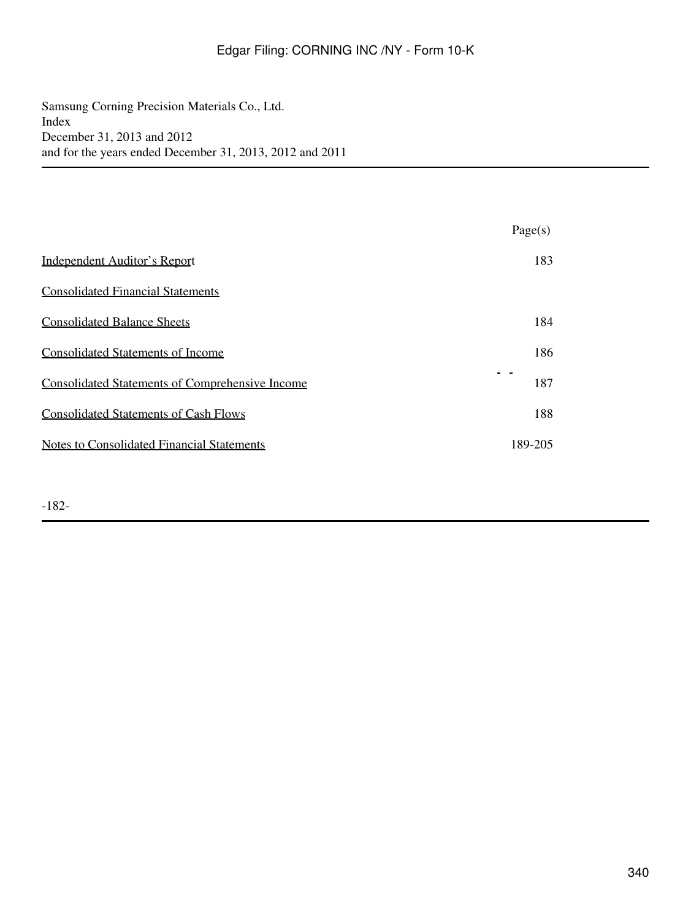<span id="page-339-0"></span>Samsung Corning Precision Materials Co., Ltd. Index December 31, 2013 and 2012 and for the years ended December 31, 2013, 2012 and 2011

|                                                        | Page(s) |
|--------------------------------------------------------|---------|
| <b>Independent Auditor's Report</b>                    | 183     |
| <b>Consolidated Financial Statements</b>               |         |
| <b>Consolidated Balance Sheets</b>                     | 184     |
| <b>Consolidated Statements of Income</b>               | 186     |
| <b>Consolidated Statements of Comprehensive Income</b> | 187     |
| <b>Consolidated Statements of Cash Flows</b>           | 188     |
| <b>Notes to Consolidated Financial Statements</b>      | 189-205 |

-182-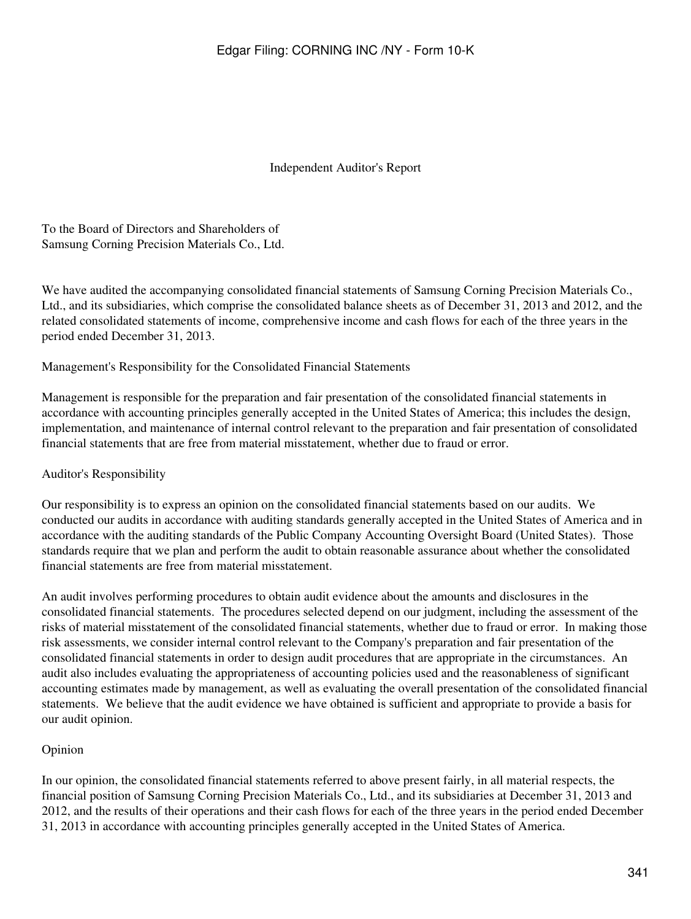Independent Auditor's Report

<span id="page-340-0"></span>To the Board of Directors and Shareholders of Samsung Corning Precision Materials Co., Ltd.

We have audited the accompanying consolidated financial statements of Samsung Corning Precision Materials Co., Ltd., and its subsidiaries, which comprise the consolidated balance sheets as of December 31, 2013 and 2012, and the related consolidated statements of income, comprehensive income and cash flows for each of the three years in the period ended December 31, 2013.

Management's Responsibility for the Consolidated Financial Statements

Management is responsible for the preparation and fair presentation of the consolidated financial statements in accordance with accounting principles generally accepted in the United States of America; this includes the design, implementation, and maintenance of internal control relevant to the preparation and fair presentation of consolidated financial statements that are free from material misstatement, whether due to fraud or error.

## Auditor's Responsibility

Our responsibility is to express an opinion on the consolidated financial statements based on our audits. We conducted our audits in accordance with auditing standards generally accepted in the United States of America and in accordance with the auditing standards of the Public Company Accounting Oversight Board (United States). Those standards require that we plan and perform the audit to obtain reasonable assurance about whether the consolidated financial statements are free from material misstatement.

An audit involves performing procedures to obtain audit evidence about the amounts and disclosures in the consolidated financial statements. The procedures selected depend on our judgment, including the assessment of the risks of material misstatement of the consolidated financial statements, whether due to fraud or error. In making those risk assessments, we consider internal control relevant to the Company's preparation and fair presentation of the consolidated financial statements in order to design audit procedures that are appropriate in the circumstances. An audit also includes evaluating the appropriateness of accounting policies used and the reasonableness of significant accounting estimates made by management, as well as evaluating the overall presentation of the consolidated financial statements. We believe that the audit evidence we have obtained is sufficient and appropriate to provide a basis for our audit opinion.

## Opinion

In our opinion, the consolidated financial statements referred to above present fairly, in all material respects, the financial position of Samsung Corning Precision Materials Co., Ltd., and its subsidiaries at December 31, 2013 and 2012, and the results of their operations and their cash flows for each of the three years in the period ended December 31, 2013 in accordance with accounting principles generally accepted in the United States of America.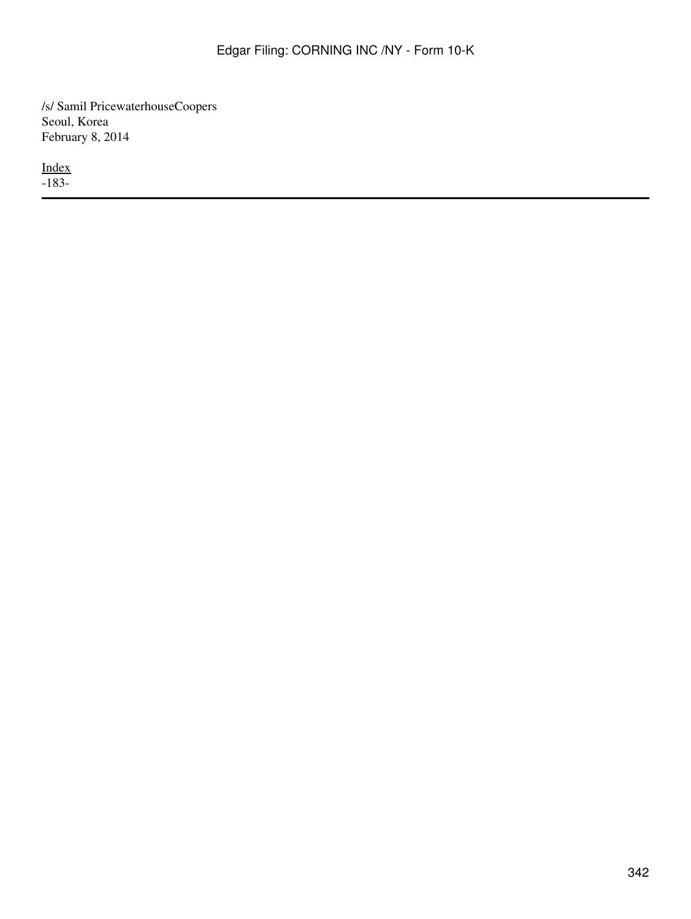/s/ Samil PricewaterhouseCoopers Seoul, Korea February 8, 2014

[Index](#page-339-0) -183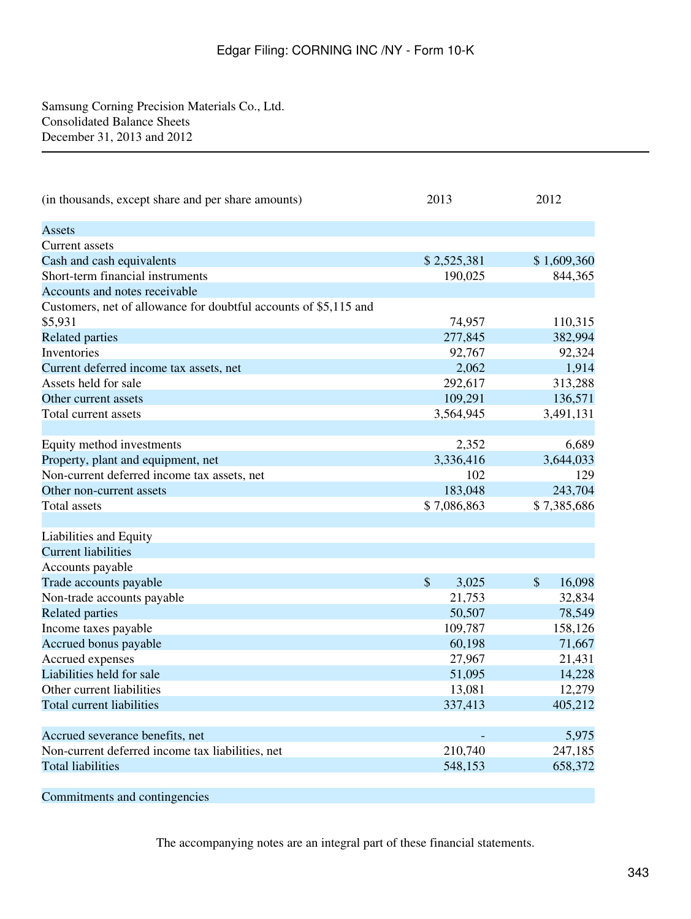<span id="page-342-1"></span><span id="page-342-0"></span>Samsung Corning Precision Materials Co., Ltd. Consolidated Balance Sheets December 31, 2013 and 2012

| (in thousands, except share and per share amounts)               | 2013        | 2012         |
|------------------------------------------------------------------|-------------|--------------|
| <b>Assets</b>                                                    |             |              |
| Current assets                                                   |             |              |
| Cash and cash equivalents                                        | \$2,525,381 | \$1,609,360  |
| Short-term financial instruments                                 | 190,025     | 844,365      |
| Accounts and notes receivable                                    |             |              |
| Customers, net of allowance for doubtful accounts of \$5,115 and |             |              |
| \$5,931                                                          | 74,957      | 110,315      |
| <b>Related parties</b>                                           | 277,845     | 382,994      |
| Inventories                                                      | 92,767      | 92,324       |
| Current deferred income tax assets, net                          | 2,062       | 1,914        |
| Assets held for sale                                             | 292,617     | 313,288      |
| Other current assets                                             | 109,291     | 136,571      |
| Total current assets                                             | 3,564,945   | 3,491,131    |
|                                                                  |             |              |
| Equity method investments                                        | 2,352       | 6,689        |
| Property, plant and equipment, net                               | 3,336,416   | 3,644,033    |
| Non-current deferred income tax assets, net                      | 102         | 129          |
| Other non-current assets                                         | 183,048     | 243,704      |
| <b>Total assets</b>                                              | \$7,086,863 | \$7,385,686  |
|                                                                  |             |              |
| Liabilities and Equity                                           |             |              |
| <b>Current liabilities</b>                                       |             |              |
| Accounts payable                                                 |             |              |
| Trade accounts payable                                           | \$<br>3,025 | 16,098<br>\$ |
| Non-trade accounts payable                                       | 21,753      | 32,834       |
| <b>Related parties</b>                                           | 50,507      | 78,549       |
| Income taxes payable                                             | 109,787     | 158,126      |
| Accrued bonus payable                                            | 60,198      | 71,667       |
| Accrued expenses                                                 | 27,967      | 21,431       |
| Liabilities held for sale                                        | 51,095      | 14,228       |
| Other current liabilities                                        | 13,081      | 12,279       |
| Total current liabilities                                        | 337,413     | 405,212      |
|                                                                  |             |              |
| Accrued severance benefits, net                                  |             | 5,975        |
| Non-current deferred income tax liabilities, net                 | 210,740     | 247,185      |
| <b>Total liabilities</b>                                         | 548,153     | 658,372      |
| Commitments and contingencies                                    |             |              |

The accompanying notes are an integral part of these financial statements.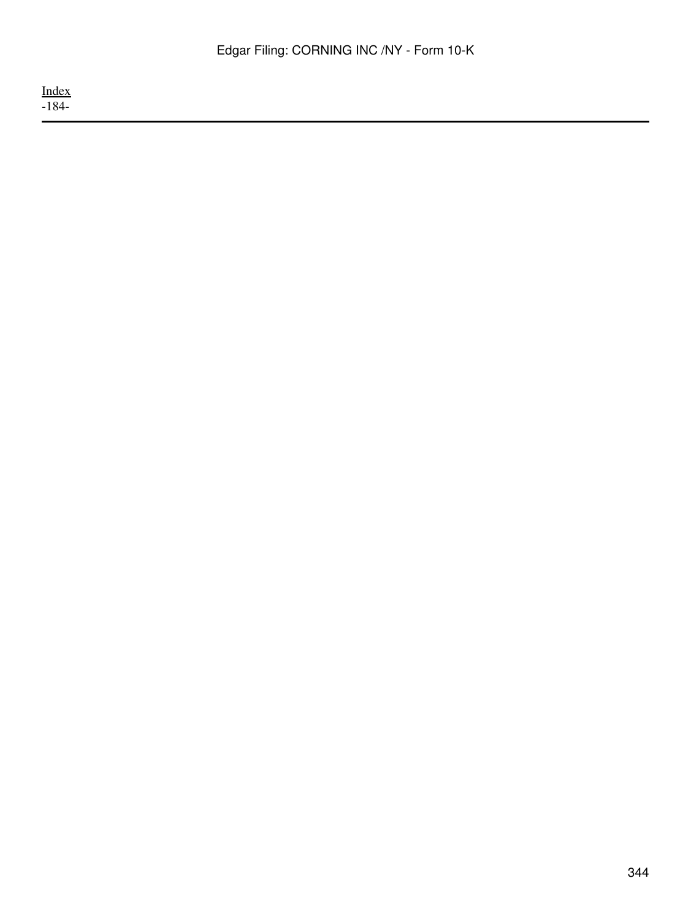[Index](#page-339-0) -184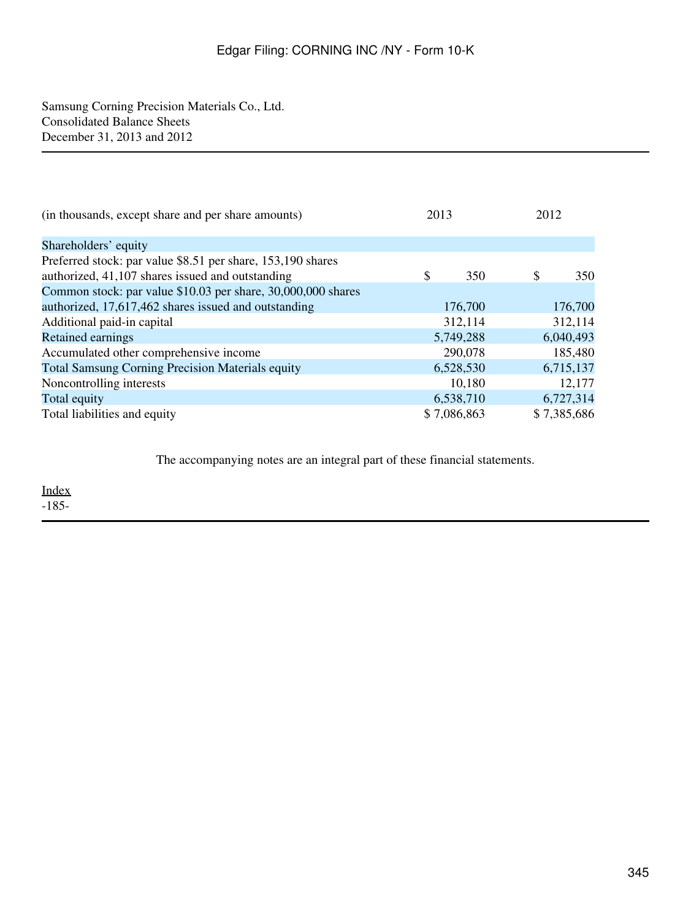Samsung Corning Precision Materials Co., Ltd. Consolidated Balance Sheets December 31, 2013 and 2012

| (in thousands, except share and per share amounts)           | 2013 |             | 2012 |             |
|--------------------------------------------------------------|------|-------------|------|-------------|
| Shareholders' equity                                         |      |             |      |             |
| Preferred stock: par value \$8.51 per share, 153,190 shares  |      |             |      |             |
| authorized, 41,107 shares issued and outstanding             | \$   | 350         | \$   | 350         |
| Common stock: par value \$10.03 per share, 30,000,000 shares |      |             |      |             |
| authorized, 17,617,462 shares issued and outstanding         |      | 176,700     |      | 176,700     |
| Additional paid-in capital                                   |      | 312,114     |      | 312,114     |
| Retained earnings                                            |      | 5,749,288   |      | 6,040,493   |
| Accumulated other comprehensive income                       |      | 290,078     |      | 185,480     |
| <b>Total Samsung Corning Precision Materials equity</b>      |      | 6,528,530   |      | 6,715,137   |
| Noncontrolling interests                                     |      | 10,180      |      | 12,177      |
| Total equity                                                 |      | 6,538,710   |      | 6,727,314   |
| Total liabilities and equity                                 |      | \$7,086,863 |      | \$7,385,686 |

The accompanying notes are an integral part of these financial statements.

[Index](#page-339-0)  $-185-$ 

345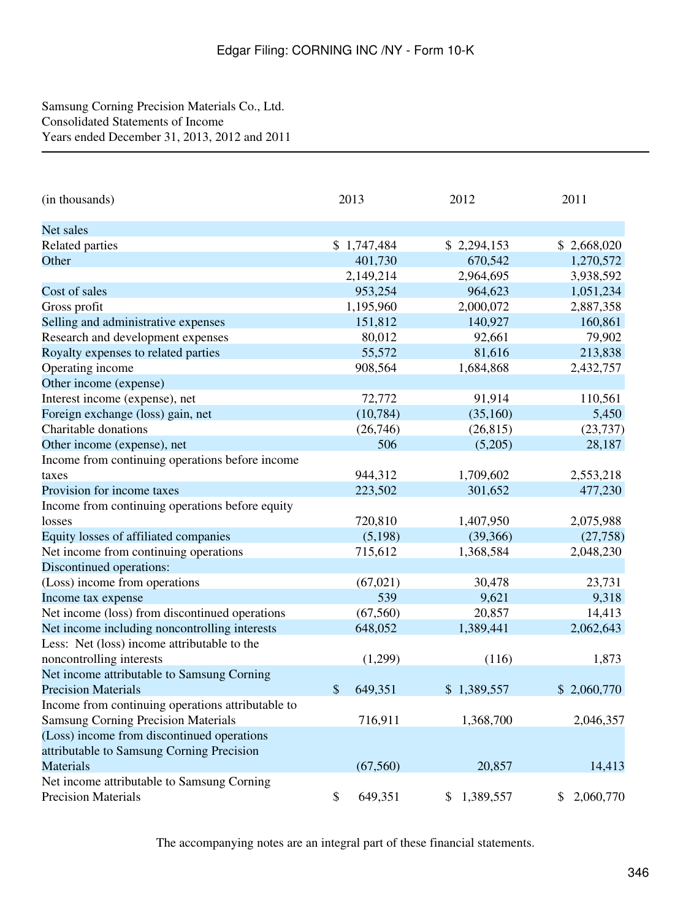## <span id="page-345-0"></span>Samsung Corning Precision Materials Co., Ltd. Consolidated Statements of Income Years ended December 31, 2013, 2012 and 2011

| (in thousands)                                    | 2013          | 2012            | 2011            |
|---------------------------------------------------|---------------|-----------------|-----------------|
| Net sales                                         |               |                 |                 |
| Related parties                                   | \$1,747,484   | \$2,294,153     | \$2,668,020     |
| Other                                             | 401,730       | 670,542         | 1,270,572       |
|                                                   | 2,149,214     | 2,964,695       | 3,938,592       |
| Cost of sales                                     | 953,254       | 964,623         | 1,051,234       |
| Gross profit                                      | 1,195,960     | 2,000,072       | 2,887,358       |
| Selling and administrative expenses               | 151,812       | 140,927         | 160,861         |
| Research and development expenses                 | 80,012        | 92,661          | 79,902          |
| Royalty expenses to related parties               | 55,572        | 81,616          | 213,838         |
| Operating income                                  | 908,564       | 1,684,868       | 2,432,757       |
| Other income (expense)                            |               |                 |                 |
| Interest income (expense), net                    | 72,772        | 91,914          | 110,561         |
| Foreign exchange (loss) gain, net                 | (10, 784)     | (35,160)        | 5,450           |
| Charitable donations                              | (26,746)      | (26, 815)       | (23, 737)       |
| Other income (expense), net                       | 506           | (5,205)         | 28,187          |
| Income from continuing operations before income   |               |                 |                 |
| taxes                                             | 944,312       | 1,709,602       | 2,553,218       |
| Provision for income taxes                        | 223,502       | 301,652         | 477,230         |
| Income from continuing operations before equity   |               |                 |                 |
| losses                                            | 720,810       | 1,407,950       | 2,075,988       |
| Equity losses of affiliated companies             | (5,198)       | (39, 366)       | (27,758)        |
| Net income from continuing operations             | 715,612       | 1,368,584       | 2,048,230       |
| Discontinued operations:                          |               |                 |                 |
| (Loss) income from operations                     | (67, 021)     | 30,478          | 23,731          |
| Income tax expense                                | 539           | 9,621           | 9,318           |
| Net income (loss) from discontinued operations    | (67, 560)     | 20,857          | 14,413          |
| Net income including noncontrolling interests     | 648,052       | 1,389,441       | 2,062,643       |
| Less: Net (loss) income attributable to the       |               |                 |                 |
| noncontrolling interests                          | (1,299)       | (116)           | 1,873           |
| Net income attributable to Samsung Corning        |               |                 |                 |
| <b>Precision Materials</b>                        | \$<br>649,351 | \$1,389,557     | \$2,060,770     |
| Income from continuing operations attributable to |               |                 |                 |
| <b>Samsung Corning Precision Materials</b>        | 716,911       | 1,368,700       | 2,046,357       |
| (Loss) income from discontinued operations        |               |                 |                 |
| attributable to Samsung Corning Precision         |               |                 |                 |
| <b>Materials</b>                                  | (67,560)      | 20,857          | 14,413          |
| Net income attributable to Samsung Corning        |               |                 |                 |
| <b>Precision Materials</b>                        | 649,351<br>\$ | 1,389,557<br>\$ | 2,060,770<br>\$ |

The accompanying notes are an integral part of these financial statements.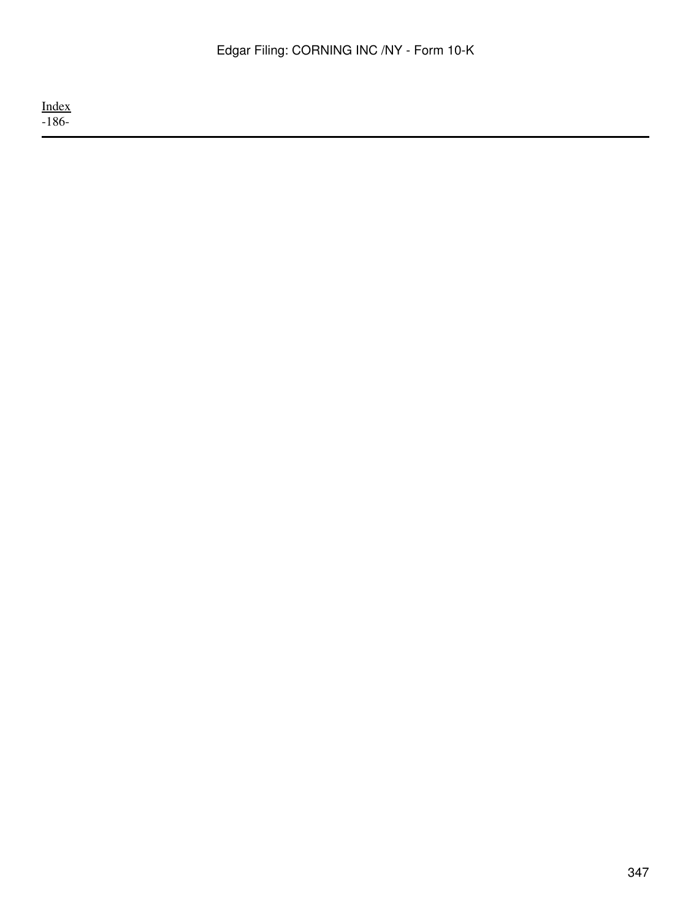<u>[Index](#page-339-0)</u> -186-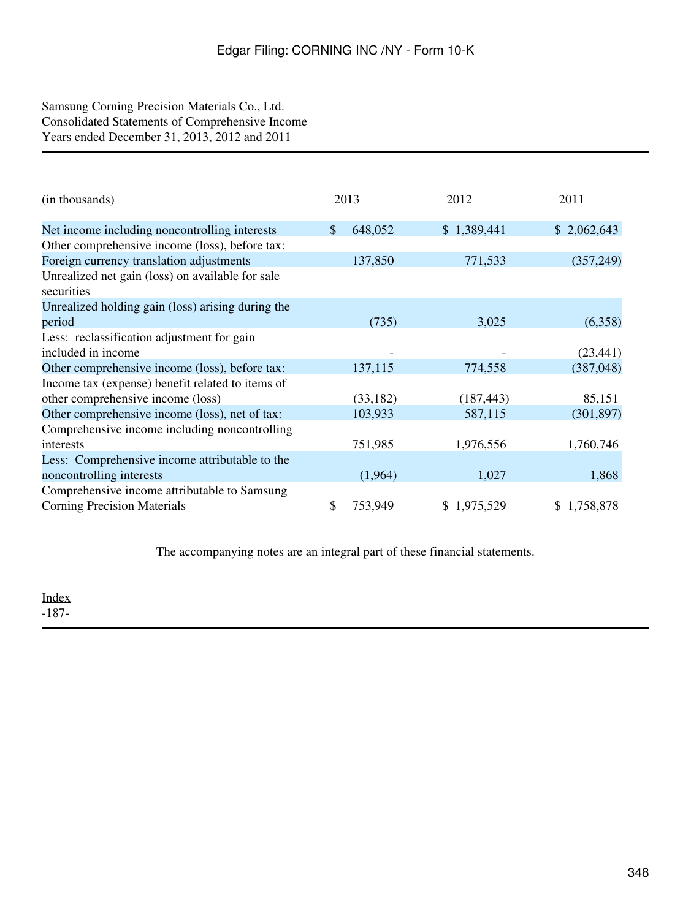## <span id="page-347-0"></span>Samsung Corning Precision Materials Co., Ltd. Consolidated Statements of Comprehensive Income Years ended December 31, 2013, 2012 and 2011

| (in thousands)                                                 | 2013          | 2012        | 2011        |  |
|----------------------------------------------------------------|---------------|-------------|-------------|--|
| Net income including noncontrolling interests                  | \$<br>648,052 | \$1,389,441 | \$2,062,643 |  |
| Other comprehensive income (loss), before tax:                 |               |             |             |  |
| Foreign currency translation adjustments                       | 137,850       | 771,533     | (357,249)   |  |
| Unrealized net gain (loss) on available for sale<br>securities |               |             |             |  |
| Unrealized holding gain (loss) arising during the              |               |             |             |  |
| period                                                         | (735)         | 3,025       | (6,358)     |  |
| Less: reclassification adjustment for gain                     |               |             |             |  |
| included in income                                             |               |             | (23, 441)   |  |
| Other comprehensive income (loss), before tax:                 | 137,115       | 774,558     | (387, 048)  |  |
| Income tax (expense) benefit related to items of               |               |             |             |  |
| other comprehensive income (loss)                              | (33, 182)     | (187, 443)  | 85,151      |  |
| Other comprehensive income (loss), net of tax:                 | 103,933       | 587,115     | (301, 897)  |  |
| Comprehensive income including noncontrolling                  |               |             |             |  |
| interests                                                      | 751,985       | 1,976,556   | 1,760,746   |  |
| Less: Comprehensive income attributable to the                 |               |             |             |  |
| noncontrolling interests                                       | (1,964)       | 1,027       | 1,868       |  |
| Comprehensive income attributable to Samsung                   |               |             |             |  |
| <b>Corning Precision Materials</b>                             | \$<br>753,949 | \$1,975,529 | \$1,758,878 |  |

The accompanying notes are an integral part of these financial statements.

[Index](#page-339-0) -187-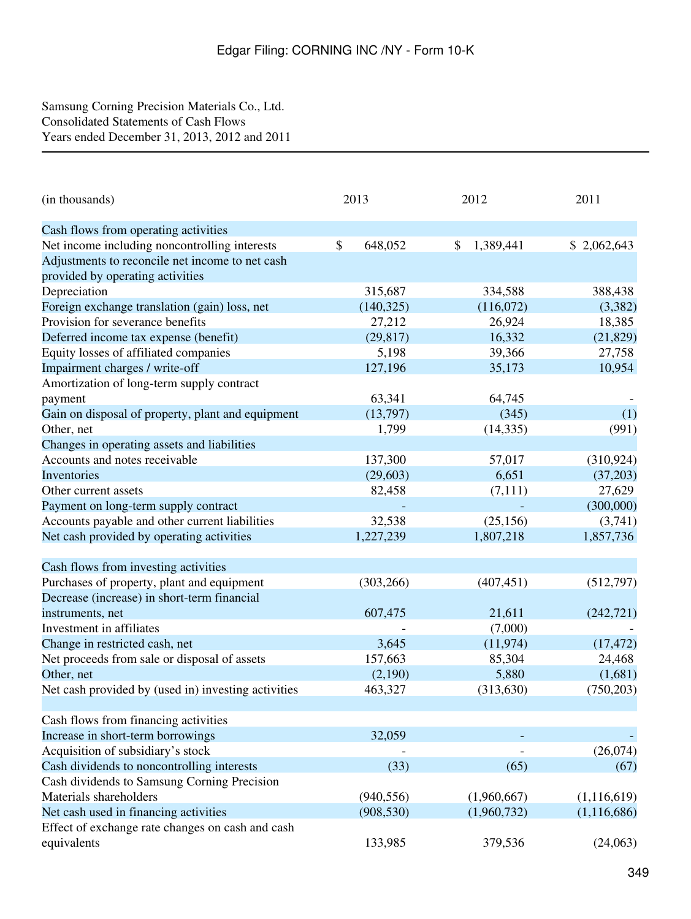## <span id="page-348-0"></span>Samsung Corning Precision Materials Co., Ltd. Consolidated Statements of Cash Flows Years ended December 31, 2013, 2012 and 2011

| (in thousands)                                      | 2013          | 2012                      | 2011          |  |
|-----------------------------------------------------|---------------|---------------------------|---------------|--|
| Cash flows from operating activities                |               |                           |               |  |
| Net income including noncontrolling interests       | \$<br>648,052 | $\mathbb{S}$<br>1,389,441 | \$2,062,643   |  |
| Adjustments to reconcile net income to net cash     |               |                           |               |  |
| provided by operating activities                    |               |                           |               |  |
| Depreciation                                        | 315,687       | 334,588                   | 388,438       |  |
| Foreign exchange translation (gain) loss, net       | (140, 325)    | (116,072)                 | (3,382)       |  |
| Provision for severance benefits                    | 27,212        | 26,924                    | 18,385        |  |
| Deferred income tax expense (benefit)               | (29, 817)     | 16,332                    | (21, 829)     |  |
| Equity losses of affiliated companies               | 5,198         | 39,366                    | 27,758        |  |
| Impairment charges / write-off                      | 127,196       | 35,173                    | 10,954        |  |
| Amortization of long-term supply contract           |               |                           |               |  |
| payment                                             | 63,341        | 64,745                    |               |  |
| Gain on disposal of property, plant and equipment   | (13,797)      | (345)                     | (1)           |  |
| Other, net                                          | 1,799         | (14, 335)                 | (991)         |  |
| Changes in operating assets and liabilities         |               |                           |               |  |
| Accounts and notes receivable                       | 137,300       | 57,017                    | (310, 924)    |  |
| Inventories                                         | (29, 603)     | 6,651                     | (37,203)      |  |
| Other current assets                                | 82,458        | (7,111)                   | 27,629        |  |
| Payment on long-term supply contract                |               |                           | (300,000)     |  |
| Accounts payable and other current liabilities      | 32,538        | (25, 156)                 | (3,741)       |  |
| Net cash provided by operating activities           | 1,227,239     | 1,807,218                 | 1,857,736     |  |
| Cash flows from investing activities                |               |                           |               |  |
| Purchases of property, plant and equipment          | (303, 266)    | (407, 451)                | (512,797)     |  |
| Decrease (increase) in short-term financial         |               |                           |               |  |
| instruments, net                                    | 607,475       | 21,611                    | (242, 721)    |  |
| Investment in affiliates                            |               | (7,000)                   |               |  |
| Change in restricted cash, net                      | 3,645         | (11, 974)                 | (17, 472)     |  |
| Net proceeds from sale or disposal of assets        | 157,663       | 85,304                    | 24,468        |  |
| Other, net                                          | (2,190)       | 5,880                     | (1,681)       |  |
| Net cash provided by (used in) investing activities | 463,327       | (313, 630)                | (750, 203)    |  |
| Cash flows from financing activities                |               |                           |               |  |
| Increase in short-term borrowings                   | 32,059        |                           |               |  |
| Acquisition of subsidiary's stock                   |               |                           | (26,074)      |  |
| Cash dividends to noncontrolling interests          | (33)          | (65)                      | (67)          |  |
| Cash dividends to Samsung Corning Precision         |               |                           |               |  |
| Materials shareholders                              | (940, 556)    | (1,960,667)               | (1,116,619)   |  |
| Net cash used in financing activities               | (908, 530)    | (1,960,732)               | (1, 116, 686) |  |
| Effect of exchange rate changes on cash and cash    |               |                           |               |  |
| equivalents                                         | 133,985       | 379,536                   | (24,063)      |  |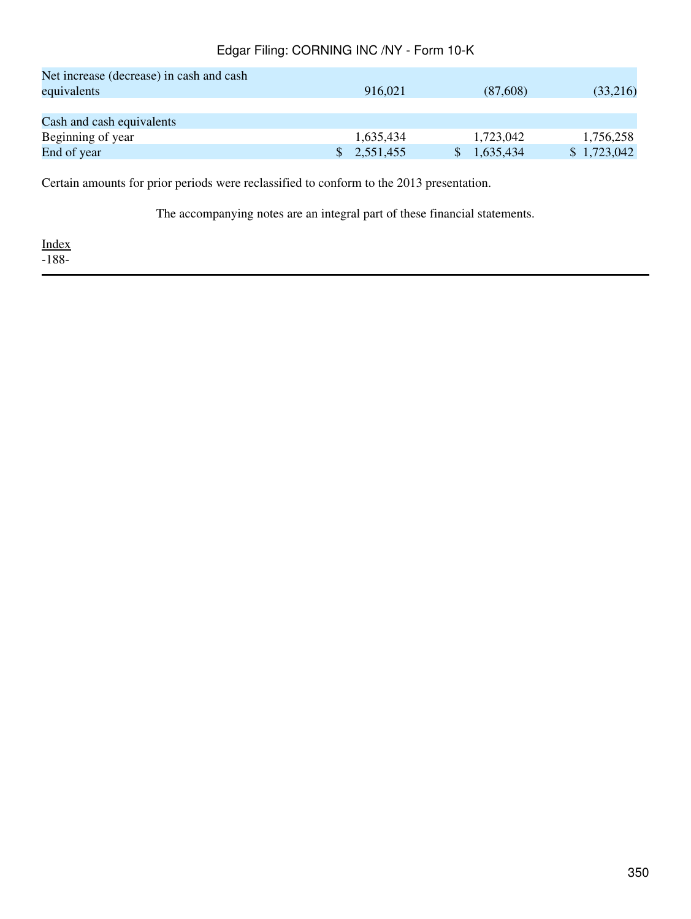| Net increase (decrease) in cash and cash |           |           |             |
|------------------------------------------|-----------|-----------|-------------|
| equivalents                              | 916,021   | (87,608)  | (33,216)    |
|                                          |           |           |             |
| Cash and cash equivalents                |           |           |             |
| Beginning of year                        | 1.635.434 | 1.723,042 | 1,756,258   |
| End of year                              | 2,551,455 | 1,635,434 | \$1,723,042 |

Certain amounts for prior periods were reclassified to conform to the 2013 presentation.

The accompanying notes are an integral part of these financial statements.

[Index](#page-339-0)  $-188-$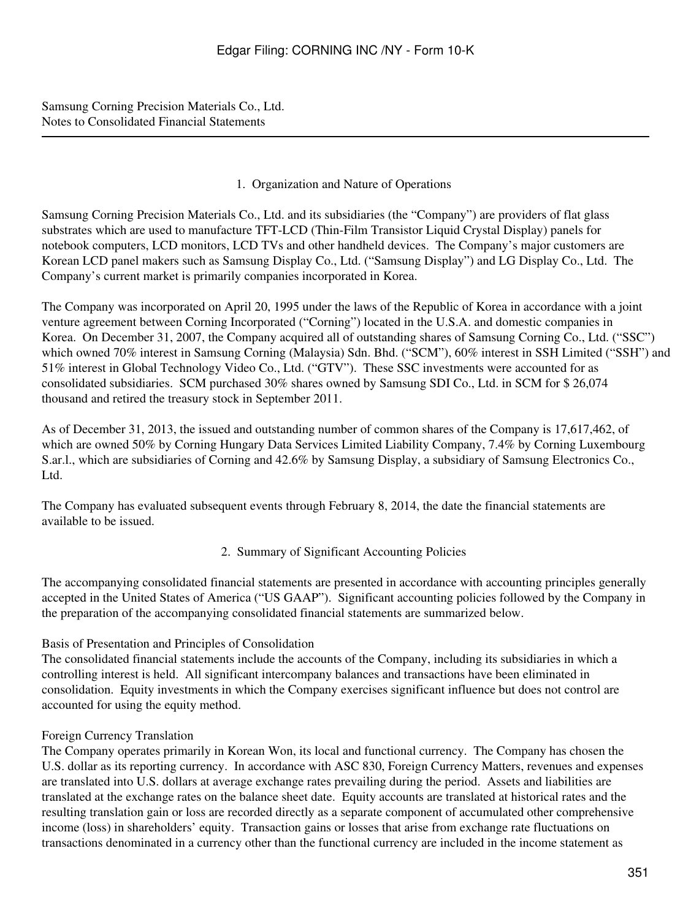<span id="page-350-0"></span>Samsung Corning Precision Materials Co., Ltd. Notes to Consolidated Financial Statements

## 1. Organization and Nature of Operations

Samsung Corning Precision Materials Co., Ltd. and its subsidiaries (the "Company") are providers of flat glass substrates which are used to manufacture TFT-LCD (Thin-Film Transistor Liquid Crystal Display) panels for notebook computers, LCD monitors, LCD TVs and other handheld devices. The Company's major customers are Korean LCD panel makers such as Samsung Display Co., Ltd. ("Samsung Display") and LG Display Co., Ltd. The Company's current market is primarily companies incorporated in Korea.

The Company was incorporated on April 20, 1995 under the laws of the Republic of Korea in accordance with a joint venture agreement between Corning Incorporated ("Corning") located in the U.S.A. and domestic companies in Korea. On December 31, 2007, the Company acquired all of outstanding shares of Samsung Corning Co., Ltd. ("SSC") which owned 70% interest in Samsung Corning (Malaysia) Sdn. Bhd. ("SCM"), 60% interest in SSH Limited ("SSH") and 51% interest in Global Technology Video Co., Ltd. ("GTV"). These SSC investments were accounted for as consolidated subsidiaries. SCM purchased 30% shares owned by Samsung SDI Co., Ltd. in SCM for \$ 26,074 thousand and retired the treasury stock in September 2011.

As of December 31, 2013, the issued and outstanding number of common shares of the Company is 17,617,462, of which are owned 50% by Corning Hungary Data Services Limited Liability Company, 7.4% by Corning Luxembourg S.ar.l., which are subsidiaries of Corning and 42.6% by Samsung Display, a subsidiary of Samsung Electronics Co., Ltd.

The Company has evaluated subsequent events through February 8, 2014, the date the financial statements are available to be issued.

2. Summary of Significant Accounting Policies

The accompanying consolidated financial statements are presented in accordance with accounting principles generally accepted in the United States of America ("US GAAP"). Significant accounting policies followed by the Company in the preparation of the accompanying consolidated financial statements are summarized below.

## Basis of Presentation and Principles of Consolidation

The consolidated financial statements include the accounts of the Company, including its subsidiaries in which a controlling interest is held. All significant intercompany balances and transactions have been eliminated in consolidation. Equity investments in which the Company exercises significant influence but does not control are accounted for using the equity method.

## Foreign Currency Translation

The Company operates primarily in Korean Won, its local and functional currency. The Company has chosen the U.S. dollar as its reporting currency. In accordance with ASC 830, Foreign Currency Matters, revenues and expenses are translated into U.S. dollars at average exchange rates prevailing during the period. Assets and liabilities are translated at the exchange rates on the balance sheet date. Equity accounts are translated at historical rates and the resulting translation gain or loss are recorded directly as a separate component of accumulated other comprehensive income (loss) in shareholders' equity. Transaction gains or losses that arise from exchange rate fluctuations on transactions denominated in a currency other than the functional currency are included in the income statement as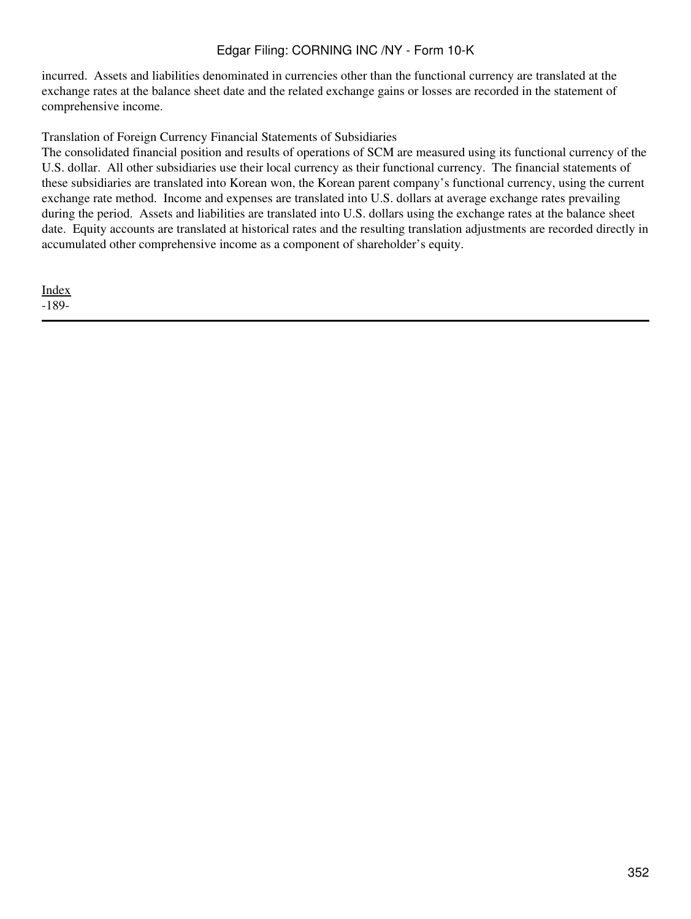incurred. Assets and liabilities denominated in currencies other than the functional currency are translated at the exchange rates at the balance sheet date and the related exchange gains or losses are recorded in the statement of comprehensive income.

Translation of Foreign Currency Financial Statements of Subsidiaries

The consolidated financial position and results of operations of SCM are measured using its functional currency of the U.S. dollar. All other subsidiaries use their local currency as their functional currency. The financial statements of these subsidiaries are translated into Korean won, the Korean parent company's functional currency, using the current exchange rate method. Income and expenses are translated into U.S. dollars at average exchange rates prevailing during the period. Assets and liabilities are translated into U.S. dollars using the exchange rates at the balance sheet date. Equity accounts are translated at historical rates and the resulting translation adjustments are recorded directly in accumulated other comprehensive income as a component of shareholder's equity.

[Index](#page-339-0) -189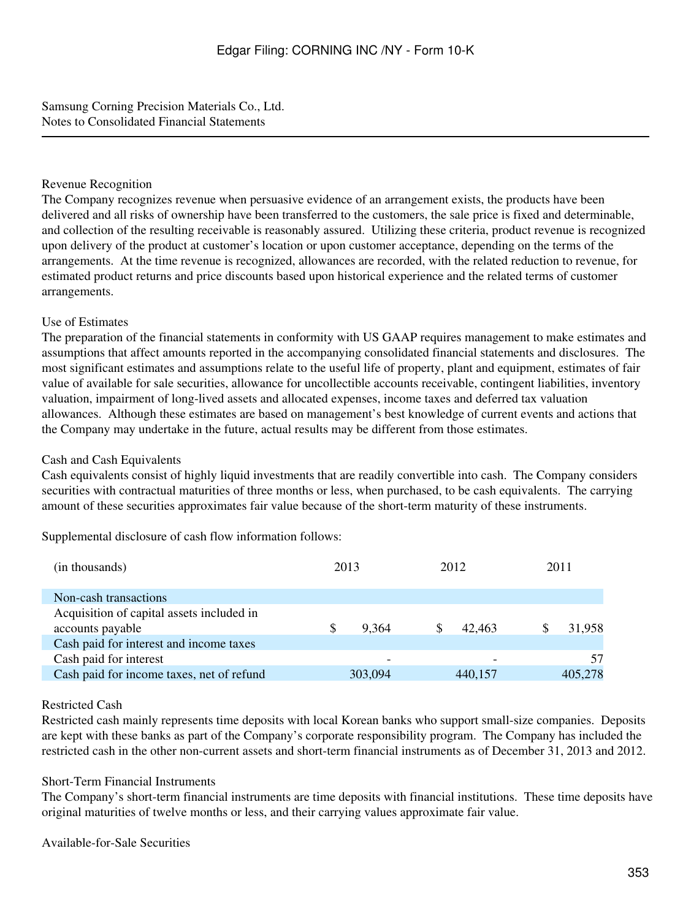Samsung Corning Precision Materials Co., Ltd. Notes to Consolidated Financial Statements

## Revenue Recognition

The Company recognizes revenue when persuasive evidence of an arrangement exists, the products have been delivered and all risks of ownership have been transferred to the customers, the sale price is fixed and determinable, and collection of the resulting receivable is reasonably assured. Utilizing these criteria, product revenue is recognized upon delivery of the product at customer's location or upon customer acceptance, depending on the terms of the arrangements. At the time revenue is recognized, allowances are recorded, with the related reduction to revenue, for estimated product returns and price discounts based upon historical experience and the related terms of customer arrangements.

## Use of Estimates

The preparation of the financial statements in conformity with US GAAP requires management to make estimates and assumptions that affect amounts reported in the accompanying consolidated financial statements and disclosures. The most significant estimates and assumptions relate to the useful life of property, plant and equipment, estimates of fair value of available for sale securities, allowance for uncollectible accounts receivable, contingent liabilities, inventory valuation, impairment of long-lived assets and allocated expenses, income taxes and deferred tax valuation allowances. Although these estimates are based on management's best knowledge of current events and actions that the Company may undertake in the future, actual results may be different from those estimates.

### Cash and Cash Equivalents

Cash equivalents consist of highly liquid investments that are readily convertible into cash. The Company considers securities with contractual maturities of three months or less, when purchased, to be cash equivalents. The carrying amount of these securities approximates fair value because of the short-term maturity of these instruments.

Supplemental disclosure of cash flow information follows:

| (in thousands)                            | 2013 |         | 2012    |  | 2011    |  |
|-------------------------------------------|------|---------|---------|--|---------|--|
| Non-cash transactions                     |      |         |         |  |         |  |
| Acquisition of capital assets included in |      |         |         |  |         |  |
| accounts payable                          | \$.  | 9.364   | 42.463  |  | 31.958  |  |
| Cash paid for interest and income taxes   |      |         |         |  |         |  |
| Cash paid for interest                    |      |         |         |  | 57      |  |
| Cash paid for income taxes, net of refund |      | 303,094 | 440,157 |  | 405,278 |  |
|                                           |      |         |         |  |         |  |

### Restricted Cash

Restricted cash mainly represents time deposits with local Korean banks who support small-size companies. Deposits are kept with these banks as part of the Company's corporate responsibility program. The Company has included the restricted cash in the other non-current assets and short-term financial instruments as of December 31, 2013 and 2012.

### Short-Term Financial Instruments

The Company's short-term financial instruments are time deposits with financial institutions. These time deposits have original maturities of twelve months or less, and their carrying values approximate fair value.

Available-for-Sale Securities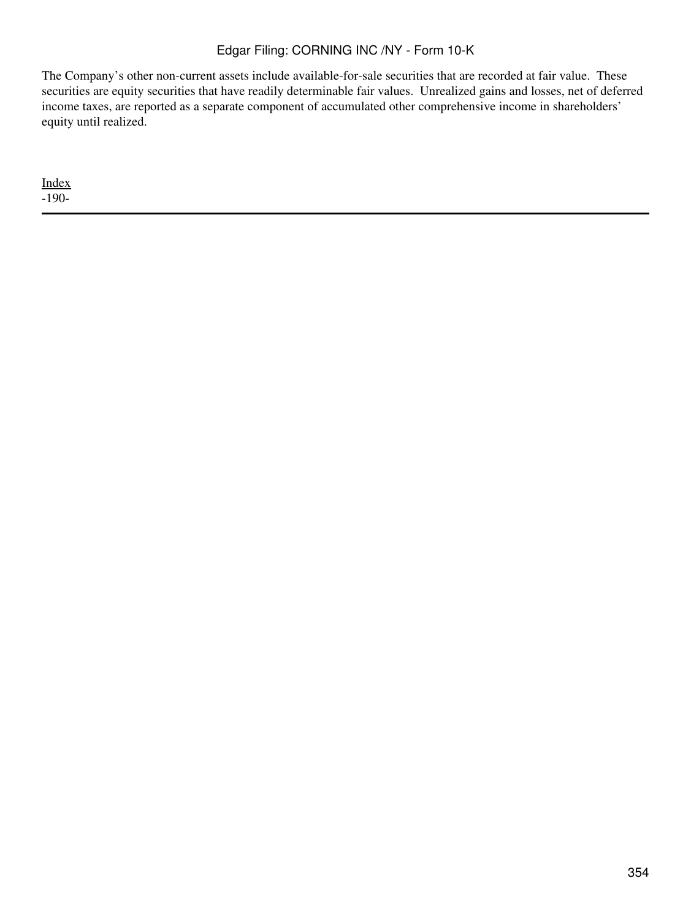The Company's other non-current assets include available-for-sale securities that are recorded at fair value. These securities are equity securities that have readily determinable fair values. Unrealized gains and losses, net of deferred income taxes, are reported as a separate component of accumulated other comprehensive income in shareholders' equity until realized.

[Index](#page-339-0) -190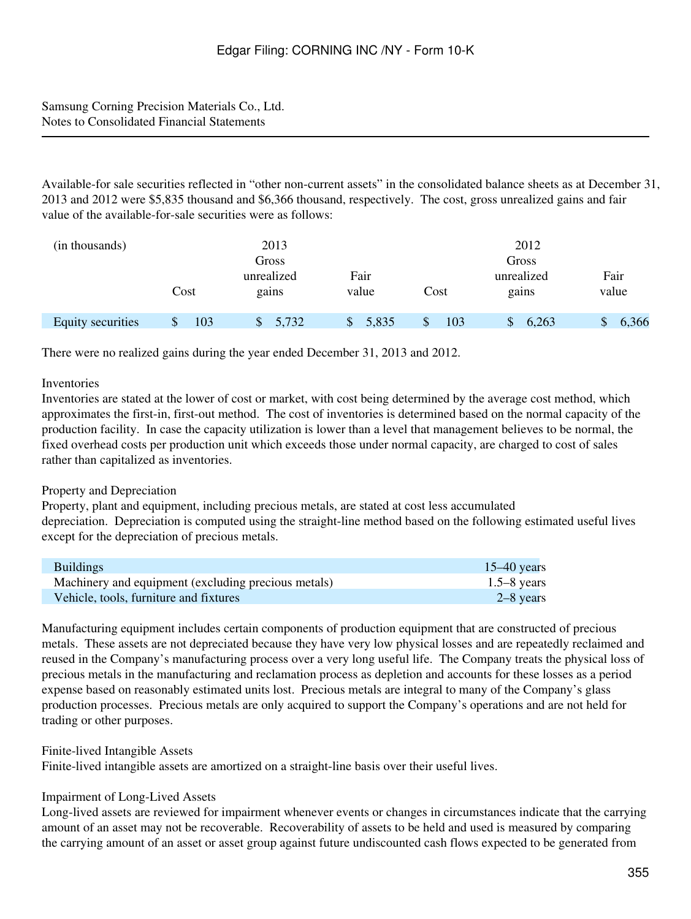Samsung Corning Precision Materials Co., Ltd. Notes to Consolidated Financial Statements

Available-for sale securities reflected in "other non-current assets" in the consolidated balance sheets as at December 31, 2013 and 2012 were \$5,835 thousand and \$6,366 thousand, respectively. The cost, gross unrealized gains and fair value of the available-for-sale securities were as follows:

| (in thousands)           |      | 2013        |       |      | 2012       |       |
|--------------------------|------|-------------|-------|------|------------|-------|
|                          |      | Gross       |       |      | Gross      |       |
|                          |      | unrealized  | Fair  |      | unrealized | Fair  |
|                          | Cost | gains       | value | Cost | gains      | value |
|                          |      |             |       |      |            |       |
| <b>Equity securities</b> | 103  | 5,732<br>\$ | 5,835 | 103  | 6,263      | 6,366 |

There were no realized gains during the year ended December 31, 2013 and 2012.

#### **Inventories**

Inventories are stated at the lower of cost or market, with cost being determined by the average cost method, which approximates the first-in, first-out method. The cost of inventories is determined based on the normal capacity of the production facility. In case the capacity utilization is lower than a level that management believes to be normal, the fixed overhead costs per production unit which exceeds those under normal capacity, are charged to cost of sales rather than capitalized as inventories.

### Property and Depreciation

Property, plant and equipment, including precious metals, are stated at cost less accumulated depreciation. Depreciation is computed using the straight-line method based on the following estimated useful lives except for the depreciation of precious metals.

| <b>Buildings</b>                                    | $15-40$ years   |
|-----------------------------------------------------|-----------------|
| Machinery and equipment (excluding precious metals) | $1.5 - 8$ years |
| Vehicle, tools, furniture and fixtures              | $2-8$ years     |

Manufacturing equipment includes certain components of production equipment that are constructed of precious metals. These assets are not depreciated because they have very low physical losses and are repeatedly reclaimed and reused in the Company's manufacturing process over a very long useful life. The Company treats the physical loss of precious metals in the manufacturing and reclamation process as depletion and accounts for these losses as a period expense based on reasonably estimated units lost. Precious metals are integral to many of the Company's glass production processes. Precious metals are only acquired to support the Company's operations and are not held for trading or other purposes.

Finite-lived Intangible Assets

Finite-lived intangible assets are amortized on a straight-line basis over their useful lives.

### Impairment of Long-Lived Assets

Long-lived assets are reviewed for impairment whenever events or changes in circumstances indicate that the carrying amount of an asset may not be recoverable. Recoverability of assets to be held and used is measured by comparing the carrying amount of an asset or asset group against future undiscounted cash flows expected to be generated from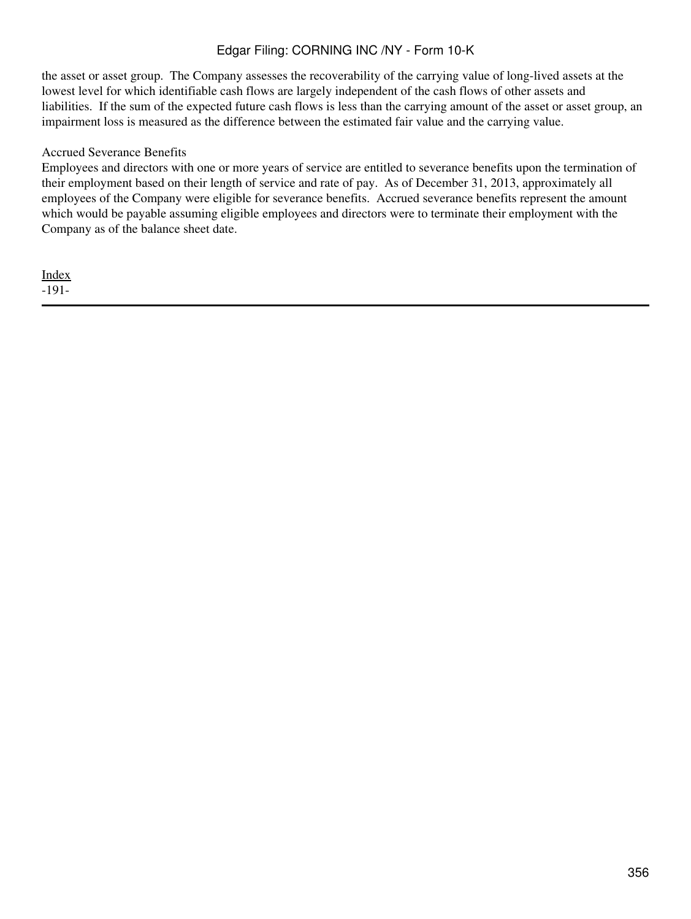the asset or asset group. The Company assesses the recoverability of the carrying value of long-lived assets at the lowest level for which identifiable cash flows are largely independent of the cash flows of other assets and liabilities. If the sum of the expected future cash flows is less than the carrying amount of the asset or asset group, an impairment loss is measured as the difference between the estimated fair value and the carrying value.

### Accrued Severance Benefits

Employees and directors with one or more years of service are entitled to severance benefits upon the termination of their employment based on their length of service and rate of pay. As of December 31, 2013, approximately all employees of the Company were eligible for severance benefits. Accrued severance benefits represent the amount which would be payable assuming eligible employees and directors were to terminate their employment with the Company as of the balance sheet date.

[Index](#page-339-0) -191-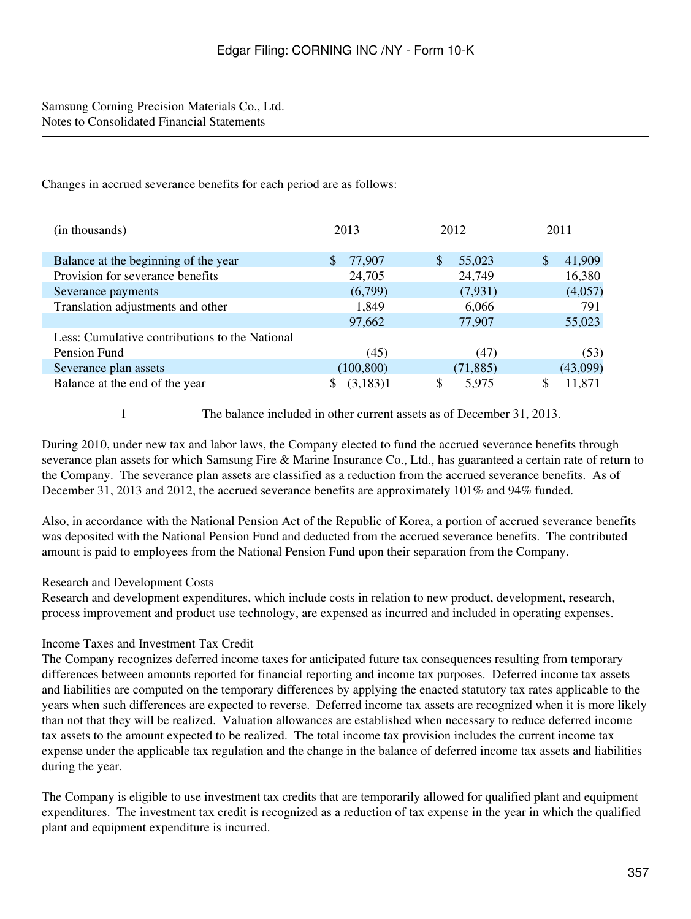## Samsung Corning Precision Materials Co., Ltd. Notes to Consolidated Financial Statements

Changes in accrued severance benefits for each period are as follows:

| (in thousands)                                 | 2013          | 2012         | 2011         |  |
|------------------------------------------------|---------------|--------------|--------------|--|
| Balance at the beginning of the year           | \$.<br>77,907 | \$<br>55,023 | 41,909<br>\$ |  |
| Provision for severance benefits               | 24,705        | 24,749       | 16,380       |  |
| Severance payments                             | (6,799)       | (7, 931)     | (4,057)      |  |
| Translation adjustments and other              | 1,849         | 6,066        | 791          |  |
|                                                | 97,662        | 77,907       | 55,023       |  |
| Less: Cumulative contributions to the National |               |              |              |  |
| Pension Fund                                   | (45)          | (47)         | (53)         |  |
| Severance plan assets                          | (100, 800)    | (71, 885)    | (43,099)     |  |
| Balance at the end of the year                 | (3,183)1<br>S | \$<br>5,975  | 11,871       |  |

1 The balance included in other current assets as of December 31, 2013.

During 2010, under new tax and labor laws, the Company elected to fund the accrued severance benefits through severance plan assets for which Samsung Fire & Marine Insurance Co., Ltd., has guaranteed a certain rate of return to the Company. The severance plan assets are classified as a reduction from the accrued severance benefits. As of December 31, 2013 and 2012, the accrued severance benefits are approximately 101% and 94% funded.

Also, in accordance with the National Pension Act of the Republic of Korea, a portion of accrued severance benefits was deposited with the National Pension Fund and deducted from the accrued severance benefits. The contributed amount is paid to employees from the National Pension Fund upon their separation from the Company.

## Research and Development Costs

Research and development expenditures, which include costs in relation to new product, development, research, process improvement and product use technology, are expensed as incurred and included in operating expenses.

## Income Taxes and Investment Tax Credit

The Company recognizes deferred income taxes for anticipated future tax consequences resulting from temporary differences between amounts reported for financial reporting and income tax purposes. Deferred income tax assets and liabilities are computed on the temporary differences by applying the enacted statutory tax rates applicable to the years when such differences are expected to reverse. Deferred income tax assets are recognized when it is more likely than not that they will be realized. Valuation allowances are established when necessary to reduce deferred income tax assets to the amount expected to be realized. The total income tax provision includes the current income tax expense under the applicable tax regulation and the change in the balance of deferred income tax assets and liabilities during the year.

The Company is eligible to use investment tax credits that are temporarily allowed for qualified plant and equipment expenditures. The investment tax credit is recognized as a reduction of tax expense in the year in which the qualified plant and equipment expenditure is incurred.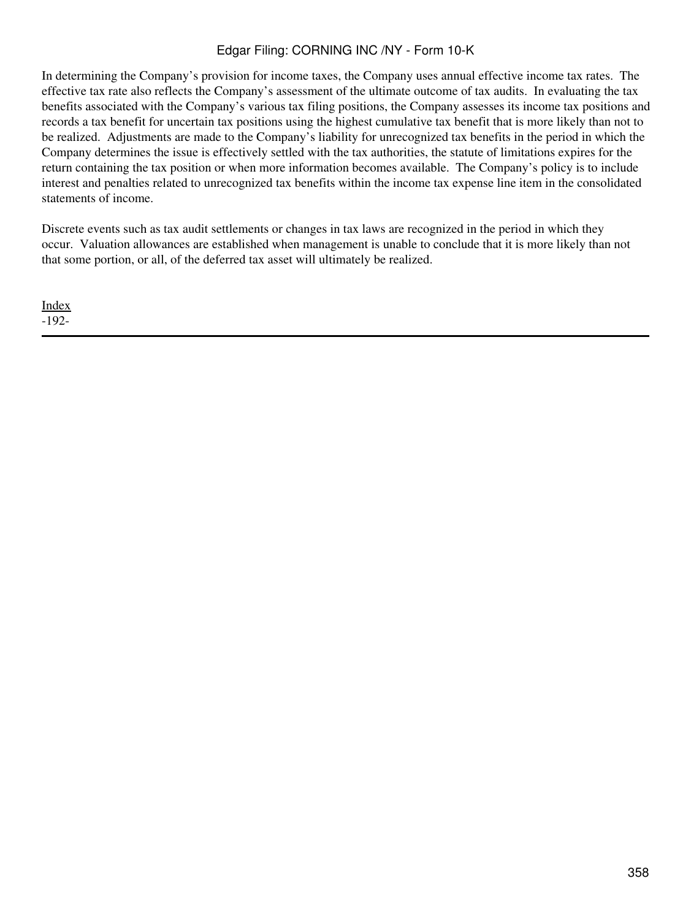In determining the Company's provision for income taxes, the Company uses annual effective income tax rates. The effective tax rate also reflects the Company's assessment of the ultimate outcome of tax audits. In evaluating the tax benefits associated with the Company's various tax filing positions, the Company assesses its income tax positions and records a tax benefit for uncertain tax positions using the highest cumulative tax benefit that is more likely than not to be realized. Adjustments are made to the Company's liability for unrecognized tax benefits in the period in which the Company determines the issue is effectively settled with the tax authorities, the statute of limitations expires for the return containing the tax position or when more information becomes available. The Company's policy is to include interest and penalties related to unrecognized tax benefits within the income tax expense line item in the consolidated statements of income.

Discrete events such as tax audit settlements or changes in tax laws are recognized in the period in which they occur. Valuation allowances are established when management is unable to conclude that it is more likely than not that some portion, or all, of the deferred tax asset will ultimately be realized.

[Index](#page-339-0) -192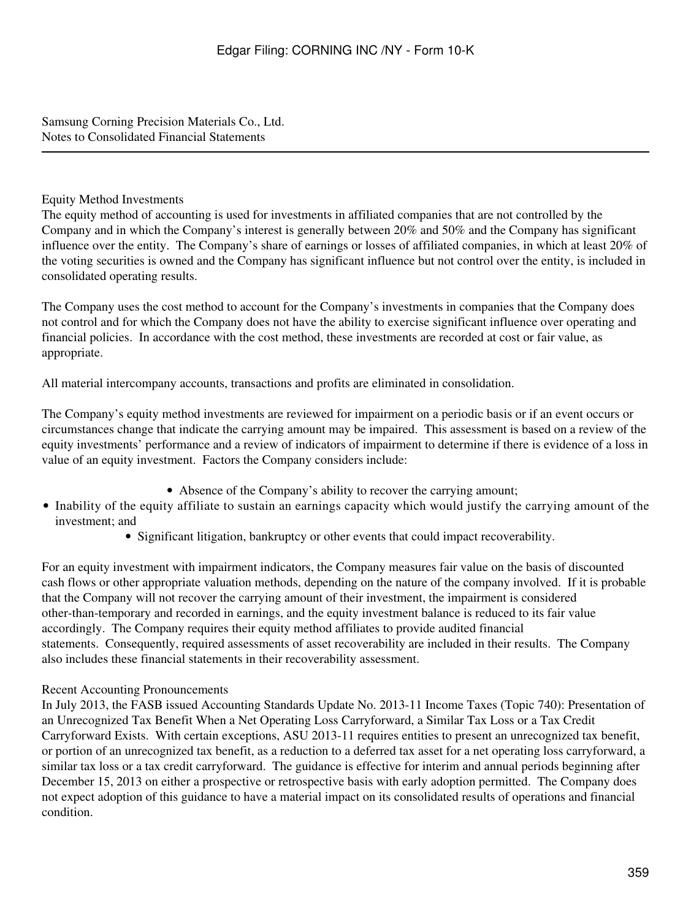Samsung Corning Precision Materials Co., Ltd. Notes to Consolidated Financial Statements

## Equity Method Investments

The equity method of accounting is used for investments in affiliated companies that are not controlled by the Company and in which the Company's interest is generally between 20% and 50% and the Company has significant influence over the entity. The Company's share of earnings or losses of affiliated companies, in which at least 20% of the voting securities is owned and the Company has significant influence but not control over the entity, is included in consolidated operating results.

The Company uses the cost method to account for the Company's investments in companies that the Company does not control and for which the Company does not have the ability to exercise significant influence over operating and financial policies. In accordance with the cost method, these investments are recorded at cost or fair value, as appropriate.

All material intercompany accounts, transactions and profits are eliminated in consolidation.

The Company's equity method investments are reviewed for impairment on a periodic basis or if an event occurs or circumstances change that indicate the carrying amount may be impaired. This assessment is based on a review of the equity investments' performance and a review of indicators of impairment to determine if there is evidence of a loss in value of an equity investment. Factors the Company considers include:

- Absence of the Company's ability to recover the carrying amount;
- Inability of the equity affiliate to sustain an earnings capacity which would justify the carrying amount of the investment; and
	- Significant litigation, bankruptcy or other events that could impact recoverability.

For an equity investment with impairment indicators, the Company measures fair value on the basis of discounted cash flows or other appropriate valuation methods, depending on the nature of the company involved. If it is probable that the Company will not recover the carrying amount of their investment, the impairment is considered other-than-temporary and recorded in earnings, and the equity investment balance is reduced to its fair value accordingly. The Company requires their equity method affiliates to provide audited financial statements. Consequently, required assessments of asset recoverability are included in their results. The Company also includes these financial statements in their recoverability assessment.

### Recent Accounting Pronouncements

In July 2013, the FASB issued Accounting Standards Update No. 2013-11 Income Taxes (Topic 740): Presentation of an Unrecognized Tax Benefit When a Net Operating Loss Carryforward, a Similar Tax Loss or a Tax Credit Carryforward Exists. With certain exceptions, ASU 2013-11 requires entities to present an unrecognized tax benefit, or portion of an unrecognized tax benefit, as a reduction to a deferred tax asset for a net operating loss carryforward, a similar tax loss or a tax credit carryforward. The guidance is effective for interim and annual periods beginning after December 15, 2013 on either a prospective or retrospective basis with early adoption permitted. The Company does not expect adoption of this guidance to have a material impact on its consolidated results of operations and financial condition.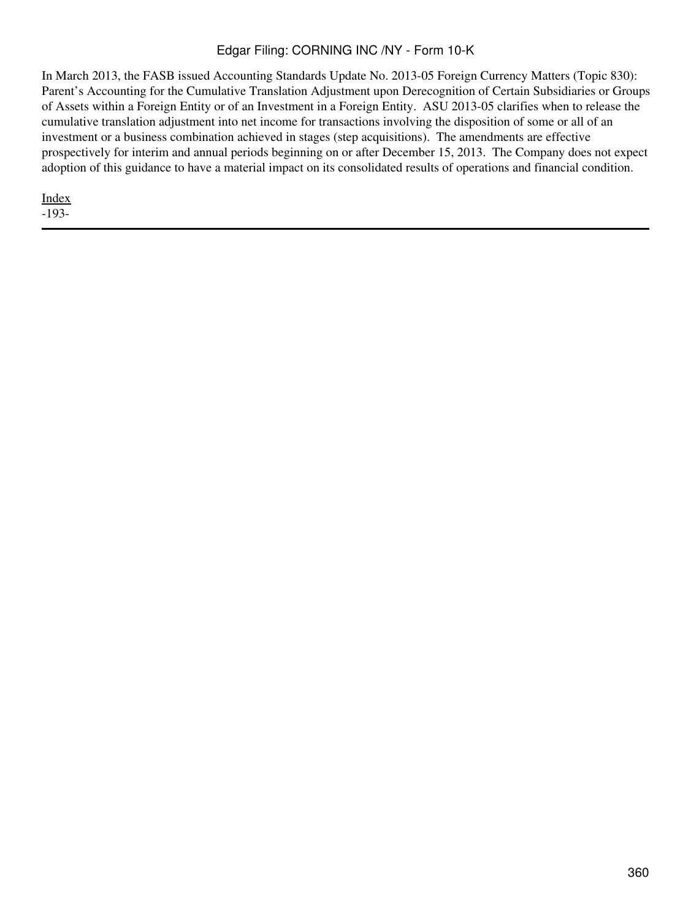In March 2013, the FASB issued Accounting Standards Update No. 2013-05 Foreign Currency Matters (Topic 830): Parent's Accounting for the Cumulative Translation Adjustment upon Derecognition of Certain Subsidiaries or Groups of Assets within a Foreign Entity or of an Investment in a Foreign Entity. ASU 2013-05 clarifies when to release the cumulative translation adjustment into net income for transactions involving the disposition of some or all of an investment or a business combination achieved in stages (step acquisitions). The amendments are effective prospectively for interim and annual periods beginning on or after December 15, 2013. The Company does not expect adoption of this guidance to have a material impact on its consolidated results of operations and financial condition.

[Index](#page-339-0) -193-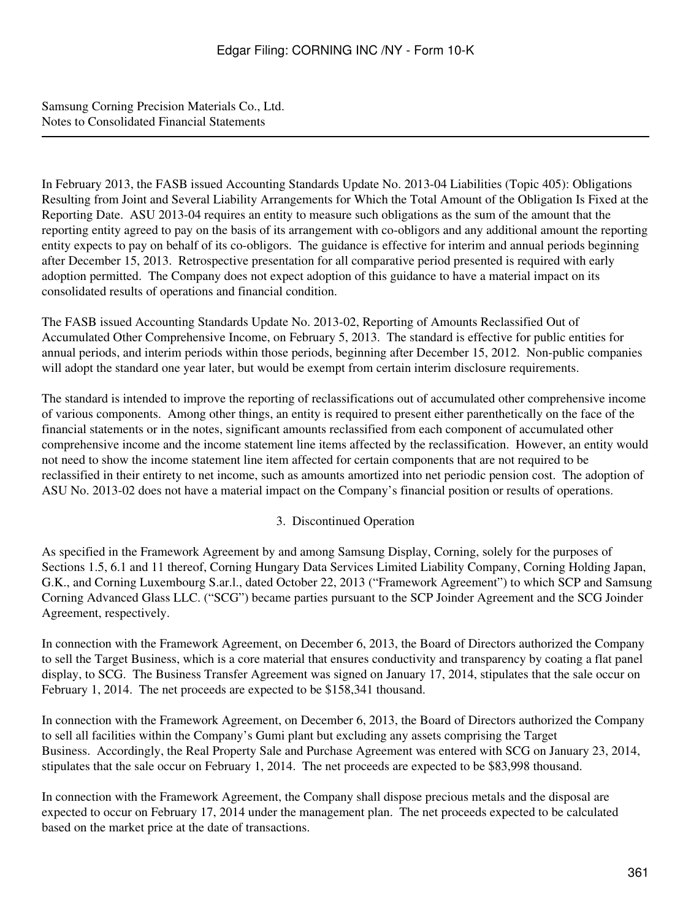In February 2013, the FASB issued Accounting Standards Update No. 2013-04 Liabilities (Topic 405): Obligations Resulting from Joint and Several Liability Arrangements for Which the Total Amount of the Obligation Is Fixed at the Reporting Date. ASU 2013-04 requires an entity to measure such obligations as the sum of the amount that the reporting entity agreed to pay on the basis of its arrangement with co-obligors and any additional amount the reporting entity expects to pay on behalf of its co-obligors. The guidance is effective for interim and annual periods beginning after December 15, 2013. Retrospective presentation for all comparative period presented is required with early adoption permitted. The Company does not expect adoption of this guidance to have a material impact on its consolidated results of operations and financial condition.

The FASB issued Accounting Standards Update No. 2013-02, Reporting of Amounts Reclassified Out of Accumulated Other Comprehensive Income, on February 5, 2013. The standard is effective for public entities for annual periods, and interim periods within those periods, beginning after December 15, 2012. Non-public companies will adopt the standard one year later, but would be exempt from certain interim disclosure requirements.

The standard is intended to improve the reporting of reclassifications out of accumulated other comprehensive income of various components. Among other things, an entity is required to present either parenthetically on the face of the financial statements or in the notes, significant amounts reclassified from each component of accumulated other comprehensive income and the income statement line items affected by the reclassification. However, an entity would not need to show the income statement line item affected for certain components that are not required to be reclassified in their entirety to net income, such as amounts amortized into net periodic pension cost. The adoption of ASU No. 2013-02 does not have a material impact on the Company's financial position or results of operations.

### 3. Discontinued Operation

As specified in the Framework Agreement by and among Samsung Display, Corning, solely for the purposes of Sections 1.5, 6.1 and 11 thereof, Corning Hungary Data Services Limited Liability Company, Corning Holding Japan, G.K., and Corning Luxembourg S.ar.l., dated October 22, 2013 ("Framework Agreement") to which SCP and Samsung Corning Advanced Glass LLC. ("SCG") became parties pursuant to the SCP Joinder Agreement and the SCG Joinder Agreement, respectively.

In connection with the Framework Agreement, on December 6, 2013, the Board of Directors authorized the Company to sell the Target Business, which is a core material that ensures conductivity and transparency by coating a flat panel display, to SCG. The Business Transfer Agreement was signed on January 17, 2014, stipulates that the sale occur on February 1, 2014. The net proceeds are expected to be \$158,341 thousand.

In connection with the Framework Agreement, on December 6, 2013, the Board of Directors authorized the Company to sell all facilities within the Company's Gumi plant but excluding any assets comprising the Target Business. Accordingly, the Real Property Sale and Purchase Agreement was entered with SCG on January 23, 2014, stipulates that the sale occur on February 1, 2014. The net proceeds are expected to be \$83,998 thousand.

In connection with the Framework Agreement, the Company shall dispose precious metals and the disposal are expected to occur on February 17, 2014 under the management plan. The net proceeds expected to be calculated based on the market price at the date of transactions.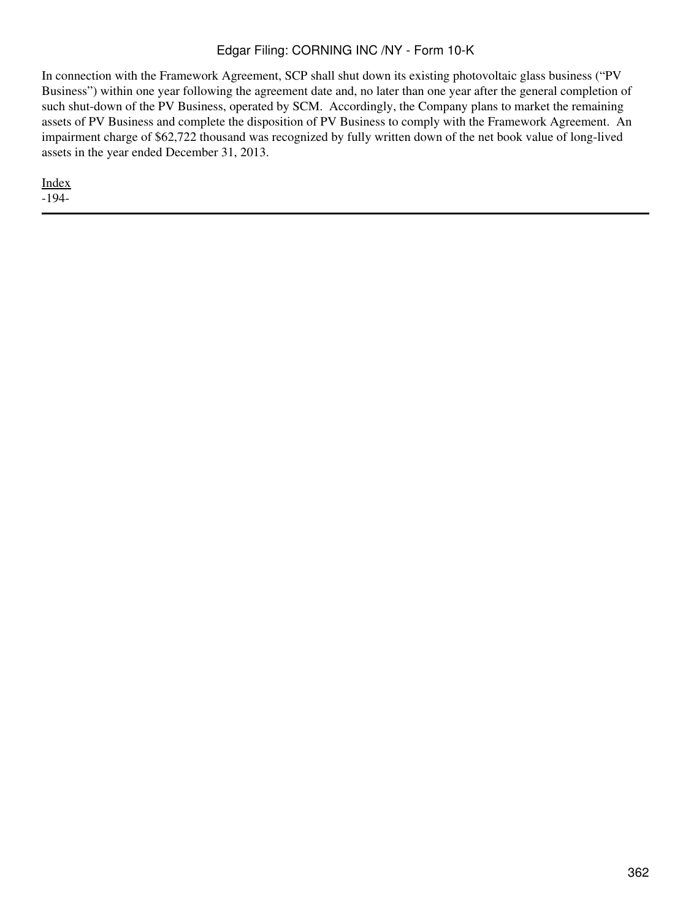In connection with the Framework Agreement, SCP shall shut down its existing photovoltaic glass business ("PV Business") within one year following the agreement date and, no later than one year after the general completion of such shut-down of the PV Business, operated by SCM. Accordingly, the Company plans to market the remaining assets of PV Business and complete the disposition of PV Business to comply with the Framework Agreement. An impairment charge of \$62,722 thousand was recognized by fully written down of the net book value of long-lived assets in the year ended December 31, 2013.

[Index](#page-339-0)

-194-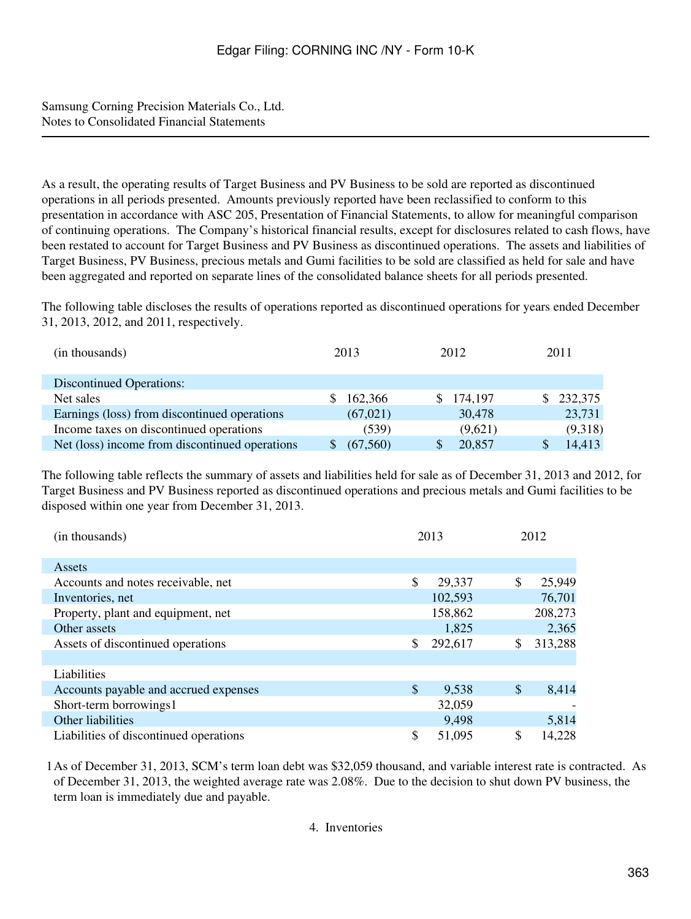As a result, the operating results of Target Business and PV Business to be sold are reported as discontinued operations in all periods presented. Amounts previously reported have been reclassified to conform to this presentation in accordance with ASC 205, Presentation of Financial Statements, to allow for meaningful comparison of continuing operations. The Company's historical financial results, except for disclosures related to cash flows, have been restated to account for Target Business and PV Business as discontinued operations. The assets and liabilities of Target Business, PV Business, precious metals and Gumi facilities to be sold are classified as held for sale and have been aggregated and reported on separate lines of the consolidated balance sheets for all periods presented.

The following table discloses the results of operations reported as discontinued operations for years ended December 31, 2013, 2012, and 2011, respectively.

| (in thousands)                                 | 2013      | 2012      | 2011    |
|------------------------------------------------|-----------|-----------|---------|
| <b>Discontinued Operations:</b>                |           |           |         |
| Net sales                                      | 162,366   | \$174,197 | 232,375 |
| Earnings (loss) from discontinued operations   | (67, 021) | 30,478    | 23,731  |
| Income taxes on discontinued operations        | (539)     | (9,621)   | (9,318) |
| Net (loss) income from discontinued operations | (67, 560) | 20,857    | 14,413  |

The following table reflects the summary of assets and liabilities held for sale as of December 31, 2013 and 2012, for Target Business and PV Business reported as discontinued operations and precious metals and Gumi facilities to be disposed within one year from December 31, 2013.

| (in thousands)                         | 2013          |               | 2012    |
|----------------------------------------|---------------|---------------|---------|
|                                        |               |               |         |
| Assets                                 |               |               |         |
| Accounts and notes receivable, net     | \$<br>29,337  | \$            | 25,949  |
| Inventories, net                       | 102,593       |               | 76,701  |
| Property, plant and equipment, net     | 158,862       |               | 208,273 |
| Other assets                           | 1,825         |               | 2,365   |
| Assets of discontinued operations      | \$<br>292,617 | \$            | 313,288 |
|                                        |               |               |         |
| Liabilities                            |               |               |         |
| Accounts payable and accrued expenses  | \$<br>9,538   | $\mathcal{S}$ | 8,414   |
| Short-term borrowings1                 | 32,059        |               |         |
| Other liabilities                      | 9,498         |               | 5,814   |
| Liabilities of discontinued operations | \$<br>51,095  | \$            | 14,228  |

1As of December 31, 2013, SCM's term loan debt was \$32,059 thousand, and variable interest rate is contracted. As of December 31, 2013, the weighted average rate was 2.08%. Due to the decision to shut down PV business, the term loan is immediately due and payable.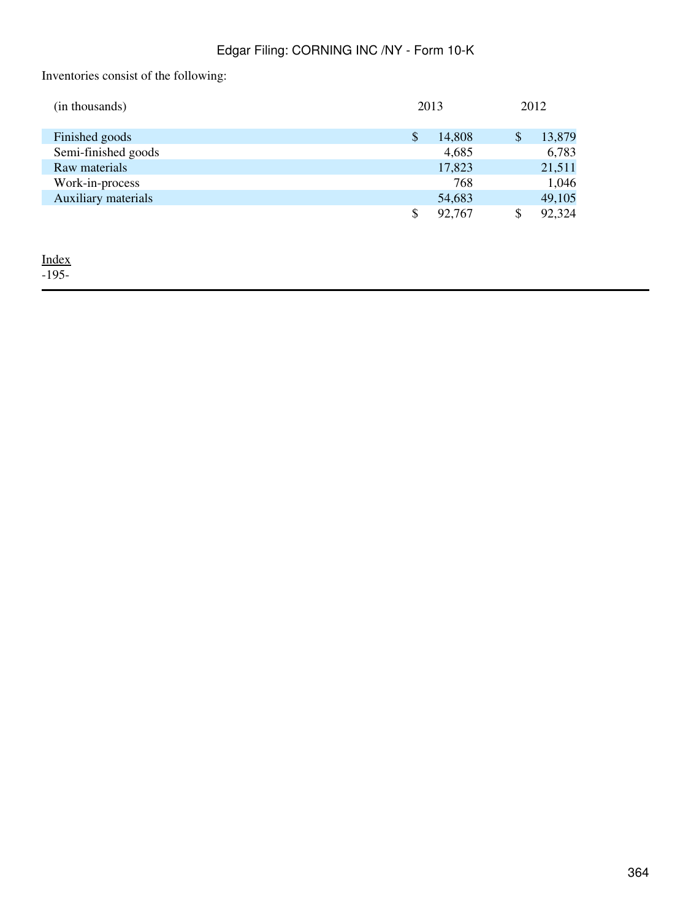Inventories consist of the following:

| (in thousands)      |    | 2013   |    | 2012   |
|---------------------|----|--------|----|--------|
| Finished goods      | S  | 14,808 | S  | 13,879 |
| Semi-finished goods |    | 4,685  |    | 6,783  |
| Raw materials       |    | 17,823 |    | 21,511 |
| Work-in-process     |    | 768    |    | 1,046  |
| Auxiliary materials |    | 54,683 |    | 49,105 |
|                     | \$ | 92,767 | \$ | 92,324 |

<u>[Index](#page-339-0)</u>

-195-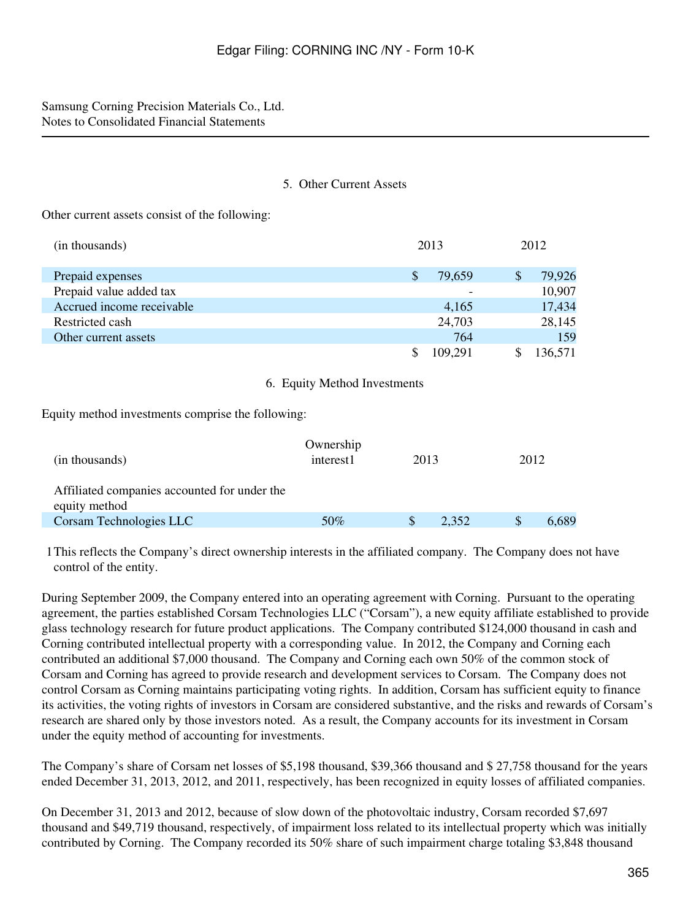### 5. Other Current Assets

Other current assets consist of the following:

| (in thousands)            |               | 2013    | 2012         |
|---------------------------|---------------|---------|--------------|
| Prepaid expenses          | <sup>\$</sup> | 79,659  | \$<br>79,926 |
| Prepaid value added tax   |               |         | 10,907       |
| Accrued income receivable |               | 4,165   | 17,434       |
| Restricted cash           |               | 24,703  | 28,145       |
| Other current assets      |               | 764     | 159          |
|                           |               | 109,291 | 136,571      |

### 6. Equity Method Investments

Equity method investments comprise the following:

| (in thousands)                                                | Ownership<br>interest1 | 2013 |       | 2012 |       |
|---------------------------------------------------------------|------------------------|------|-------|------|-------|
| Affiliated companies accounted for under the<br>equity method |                        |      |       |      |       |
| Corsam Technologies LLC                                       | 50%                    |      | 2.352 |      | 6,689 |

1This reflects the Company's direct ownership interests in the affiliated company. The Company does not have control of the entity.

During September 2009, the Company entered into an operating agreement with Corning. Pursuant to the operating agreement, the parties established Corsam Technologies LLC ("Corsam"), a new equity affiliate established to provide glass technology research for future product applications. The Company contributed \$124,000 thousand in cash and Corning contributed intellectual property with a corresponding value. In 2012, the Company and Corning each contributed an additional \$7,000 thousand. The Company and Corning each own 50% of the common stock of Corsam and Corning has agreed to provide research and development services to Corsam. The Company does not control Corsam as Corning maintains participating voting rights. In addition, Corsam has sufficient equity to finance its activities, the voting rights of investors in Corsam are considered substantive, and the risks and rewards of Corsam's research are shared only by those investors noted. As a result, the Company accounts for its investment in Corsam under the equity method of accounting for investments.

The Company's share of Corsam net losses of \$5,198 thousand, \$39,366 thousand and \$ 27,758 thousand for the years ended December 31, 2013, 2012, and 2011, respectively, has been recognized in equity losses of affiliated companies.

On December 31, 2013 and 2012, because of slow down of the photovoltaic industry, Corsam recorded \$7,697 thousand and \$49,719 thousand, respectively, of impairment loss related to its intellectual property which was initially contributed by Corning. The Company recorded its 50% share of such impairment charge totaling \$3,848 thousand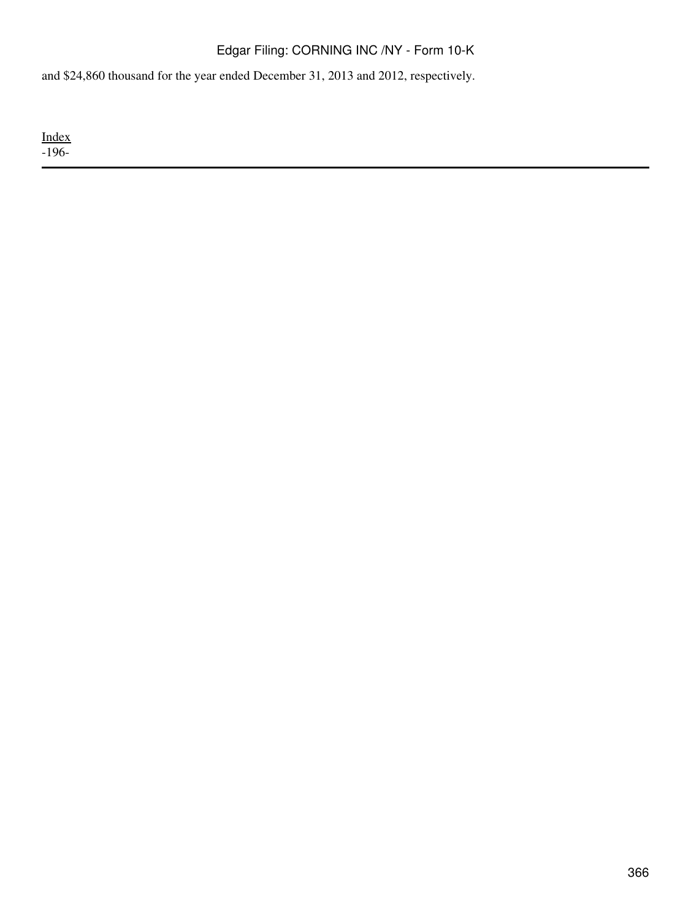and \$24,860 thousand for the year ended December 31, 2013 and 2012, respectively.

[Index](#page-339-0)  $-196-$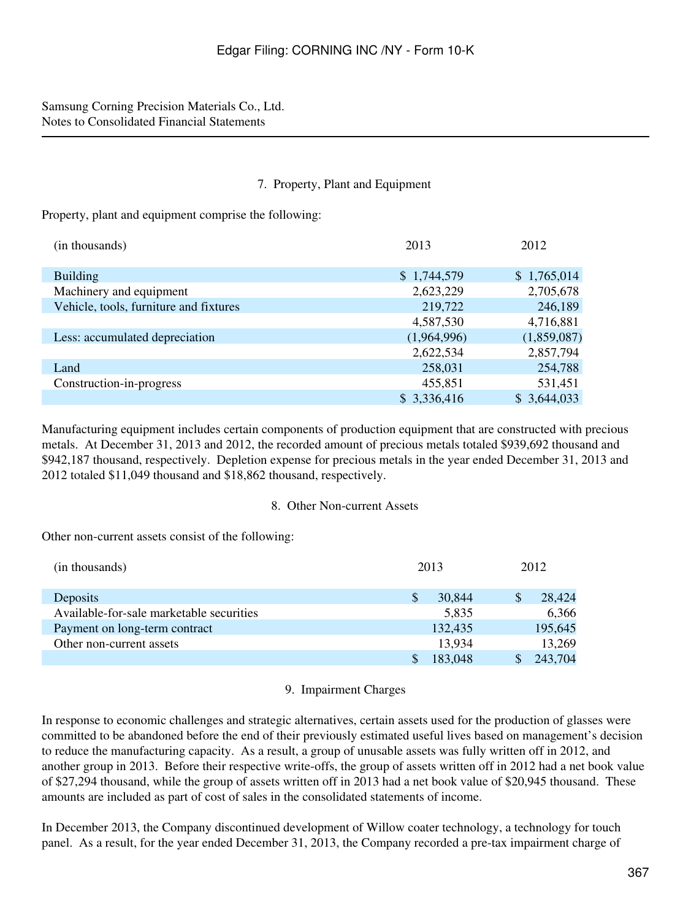### 7. Property, Plant and Equipment

Property, plant and equipment comprise the following:

| (in thousands)                         | 2013        | 2012        |
|----------------------------------------|-------------|-------------|
| <b>Building</b>                        | \$1,744,579 | \$1,765,014 |
| Machinery and equipment                | 2,623,229   | 2,705,678   |
| Vehicle, tools, furniture and fixtures | 219,722     | 246,189     |
|                                        | 4,587,530   | 4,716,881   |
| Less: accumulated depreciation         | (1,964,996) | (1,859,087) |
|                                        | 2,622,534   | 2,857,794   |
| Land                                   | 258,031     | 254,788     |
| Construction-in-progress               | 455,851     | 531,451     |
|                                        | \$3,336,416 | \$3,644,033 |

Manufacturing equipment includes certain components of production equipment that are constructed with precious metals. At December 31, 2013 and 2012, the recorded amount of precious metals totaled \$939,692 thousand and \$942,187 thousand, respectively. Depletion expense for precious metals in the year ended December 31, 2013 and 2012 totaled \$11,049 thousand and \$18,862 thousand, respectively.

### 8. Other Non-current Assets

Other non-current assets consist of the following:

| (in thousands)                           | 2013    |   | 2012    |
|------------------------------------------|---------|---|---------|
| Deposits                                 | 30,844  | S | 28,424  |
| Available-for-sale marketable securities | 5,835   |   | 6,366   |
| Payment on long-term contract            | 132,435 |   | 195,645 |
| Other non-current assets                 | 13.934  |   | 13,269  |
|                                          | 183,048 |   | 243,704 |

### 9. Impairment Charges

In response to economic challenges and strategic alternatives, certain assets used for the production of glasses were committed to be abandoned before the end of their previously estimated useful lives based on management's decision to reduce the manufacturing capacity. As a result, a group of unusable assets was fully written off in 2012, and another group in 2013. Before their respective write-offs, the group of assets written off in 2012 had a net book value of \$27,294 thousand, while the group of assets written off in 2013 had a net book value of \$20,945 thousand. These amounts are included as part of cost of sales in the consolidated statements of income.

In December 2013, the Company discontinued development of Willow coater technology, a technology for touch panel. As a result, for the year ended December 31, 2013, the Company recorded a pre-tax impairment charge of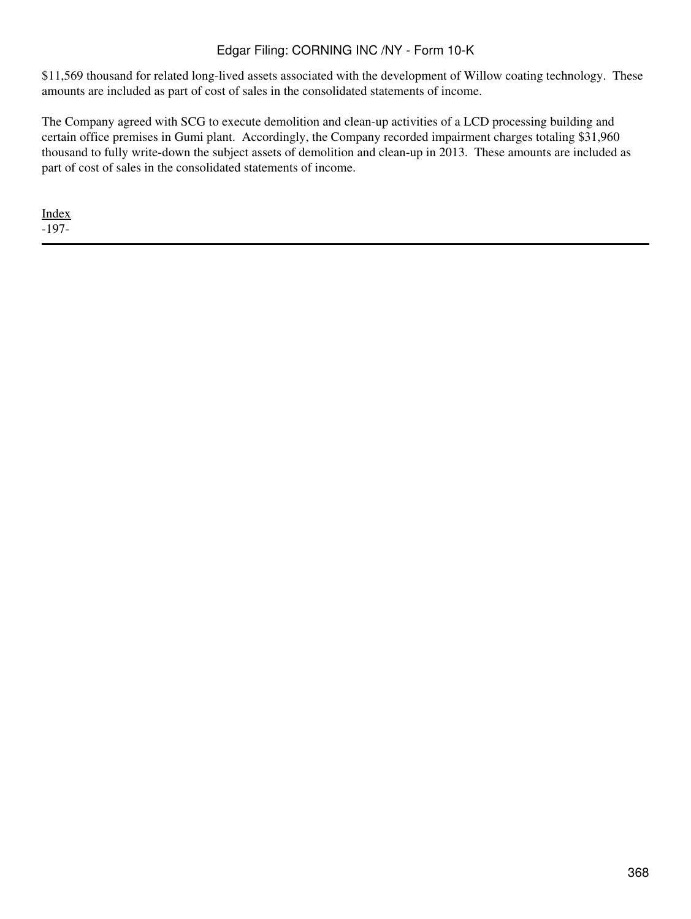\$11,569 thousand for related long-lived assets associated with the development of Willow coating technology. These amounts are included as part of cost of sales in the consolidated statements of income.

The Company agreed with SCG to execute demolition and clean-up activities of a LCD processing building and certain office premises in Gumi plant. Accordingly, the Company recorded impairment charges totaling \$31,960 thousand to fully write-down the subject assets of demolition and clean-up in 2013. These amounts are included as part of cost of sales in the consolidated statements of income.

[Index](#page-339-0) -197-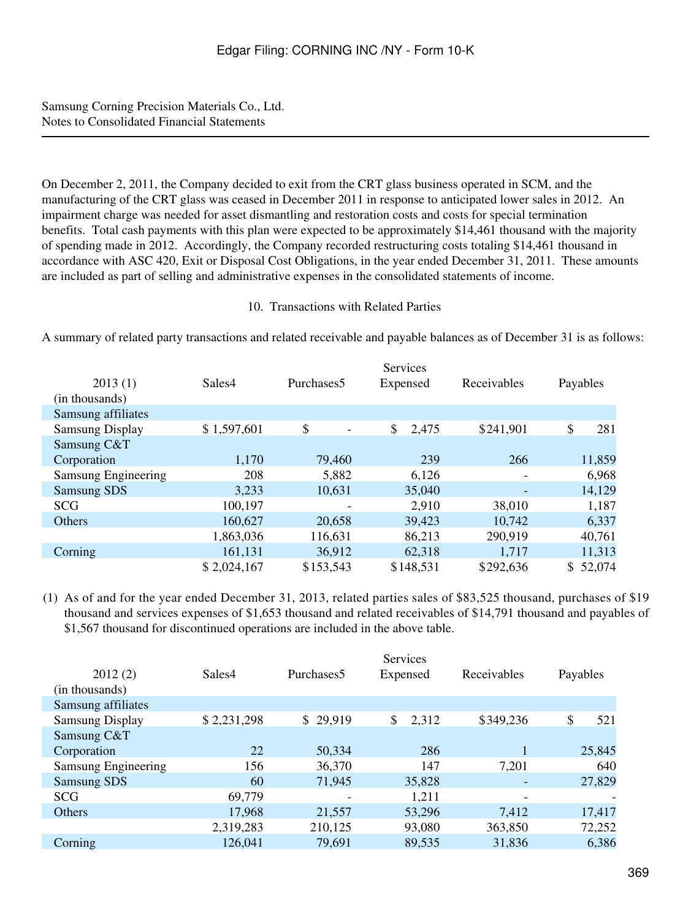On December 2, 2011, the Company decided to exit from the CRT glass business operated in SCM, and the manufacturing of the CRT glass was ceased in December 2011 in response to anticipated lower sales in 2012. An impairment charge was needed for asset dismantling and restoration costs and costs for special termination benefits. Total cash payments with this plan were expected to be approximately \$14,461 thousand with the majority of spending made in 2012. Accordingly, the Company recorded restructuring costs totaling \$14,461 thousand in accordance with ASC 420, Exit or Disposal Cost Obligations, in the year ended December 31, 2011. These amounts are included as part of selling and administrative expenses in the consolidated statements of income.

### 10. Transactions with Related Parties

A summary of related party transactions and related receivable and payable balances as of December 31 is as follows:

| 2013(1)                | Sales4      | Purchases <sub>5</sub> | Services<br>Expensed | Receivables | Payables     |
|------------------------|-------------|------------------------|----------------------|-------------|--------------|
| (in thousands)         |             |                        |                      |             |              |
| Samsung affiliates     |             |                        |                      |             |              |
| <b>Samsung Display</b> | \$1,597,601 | \$                     | \$<br>2,475          | \$241,901   | \$<br>281    |
| Samsung C&T            |             |                        |                      |             |              |
| Corporation            | 1,170       | 79,460                 | 239                  | 266         | 11,859       |
| Samsung Engineering    | 208         | 5,882                  | 6,126                |             | 6,968        |
| <b>Samsung SDS</b>     | 3,233       | 10,631                 | 35,040               |             | 14,129       |
| <b>SCG</b>             | 100,197     |                        | 2,910                | 38,010      | 1,187        |
| Others                 | 160,627     | 20,658                 | 39,423               | 10,742      | 6,337        |
|                        | 1,863,036   | 116,631                | 86,213               | 290,919     | 40,761       |
| Corning                | 161,131     | 36,912                 | 62,318               | 1,717       | 11,313       |
|                        | \$2,024,167 | \$153,543              | \$148,531            | \$292,636   | 52,074<br>\$ |

(1) As of and for the year ended December 31, 2013, related parties sales of \$83,525 thousand, purchases of \$19 thousand and services expenses of \$1,653 thousand and related receivables of \$14,791 thousand and payables of \$1,567 thousand for discontinued operations are included in the above table.

|                        |             |                          | Services    |             |           |
|------------------------|-------------|--------------------------|-------------|-------------|-----------|
| 2012(2)                | Sales4      | Purchases <sub>5</sub>   | Expensed    | Receivables | Payables  |
| (in thousands)         |             |                          |             |             |           |
| Samsung affiliates     |             |                          |             |             |           |
| <b>Samsung Display</b> | \$2,231,298 | \$29,919                 | \$<br>2,312 | \$349,236   | \$<br>521 |
| Samsung C&T            |             |                          |             |             |           |
| Corporation            | 22          | 50,334                   | 286         |             | 25,845    |
| Samsung Engineering    | 156         | 36,370                   | 147         | 7,201       | 640       |
| <b>Samsung SDS</b>     | 60          | 71,945                   | 35,828      |             | 27,829    |
| <b>SCG</b>             | 69,779      | $\overline{\phantom{a}}$ | 1,211       | ٠           |           |
| Others                 | 17,968      | 21,557                   | 53,296      | 7,412       | 17,417    |
|                        | 2,319,283   | 210,125                  | 93,080      | 363,850     | 72,252    |
| Corning                | 126,041     | 79,691                   | 89,535      | 31,836      | 6,386     |
|                        |             |                          |             |             |           |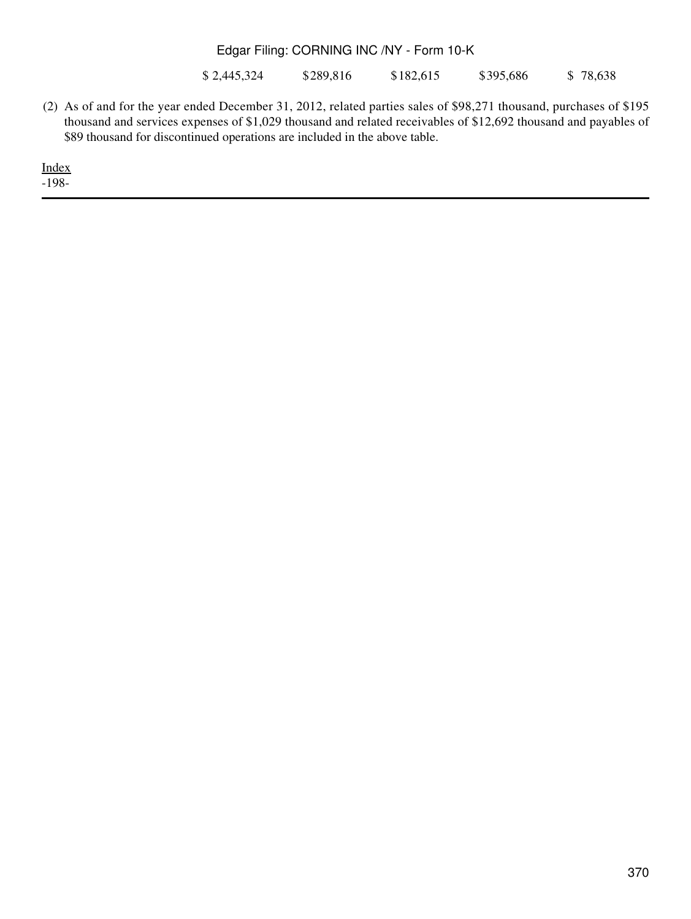\$ 2,445,324 \$289,816 \$182,615 \$395,686 \$ 78,638

(2) As of and for the year ended December 31, 2012, related parties sales of \$98,271 thousand, purchases of \$195 thousand and services expenses of \$1,029 thousand and related receivables of \$12,692 thousand and payables of \$89 thousand for discontinued operations are included in the above table.

[Index](#page-339-0) -198-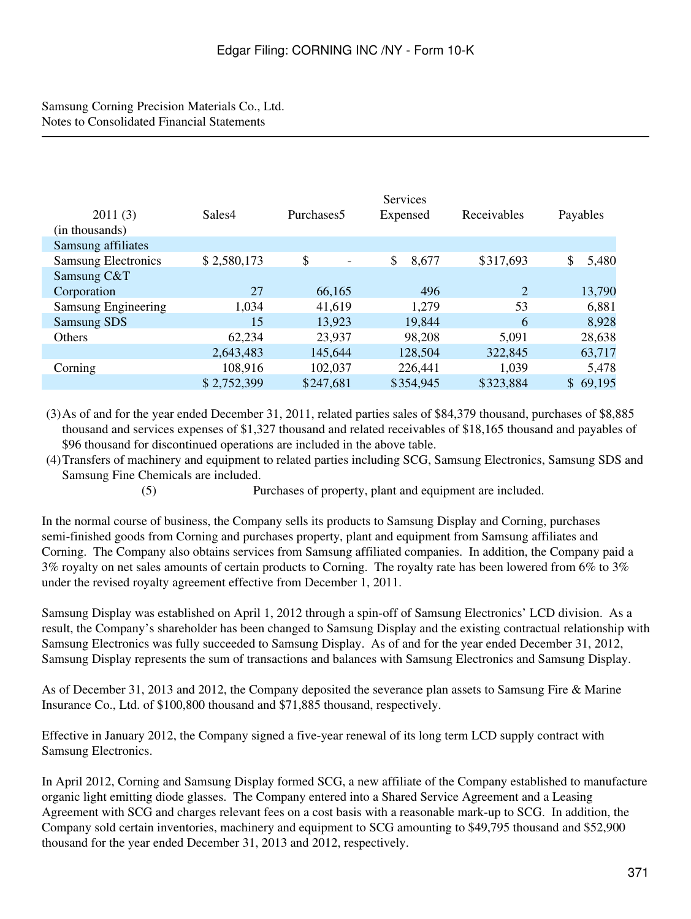| 2011(3)                    | Sales4      | Purchases <sub>5</sub> | <b>Services</b><br>Expensed | Receivables    | Payables     |
|----------------------------|-------------|------------------------|-----------------------------|----------------|--------------|
| (in thousands)             |             |                        |                             |                |              |
| Samsung affiliates         |             |                        |                             |                |              |
| <b>Samsung Electronics</b> | \$2,580,173 | \$<br>$\blacksquare$   | \$<br>8,677                 | \$317,693      | \$<br>5,480  |
| Samsung C&T                |             |                        |                             |                |              |
| Corporation                | 27          | 66,165                 | 496                         | $\overline{2}$ | 13,790       |
| Samsung Engineering        | 1,034       | 41,619                 | 1,279                       | 53             | 6,881        |
| <b>Samsung SDS</b>         | 15          | 13,923                 | 19,844                      | 6              | 8,928        |
| Others                     | 62,234      | 23,937                 | 98,208                      | 5,091          | 28,638       |
|                            | 2,643,483   | 145,644                | 128,504                     | 322,845        | 63,717       |
| Corning                    | 108,916     | 102,037                | 226,441                     | 1,039          | 5,478        |
|                            | \$2,752,399 | \$247,681              | \$354,945                   | \$323,884      | \$<br>69,195 |

(3)As of and for the year ended December 31, 2011, related parties sales of \$84,379 thousand, purchases of \$8,885 thousand and services expenses of \$1,327 thousand and related receivables of \$18,165 thousand and payables of \$96 thousand for discontinued operations are included in the above table.

(4)Transfers of machinery and equipment to related parties including SCG, Samsung Electronics, Samsung SDS and Samsung Fine Chemicals are included.

(5) Purchases of property, plant and equipment are included.

In the normal course of business, the Company sells its products to Samsung Display and Corning, purchases semi-finished goods from Corning and purchases property, plant and equipment from Samsung affiliates and Corning. The Company also obtains services from Samsung affiliated companies. In addition, the Company paid a 3% royalty on net sales amounts of certain products to Corning. The royalty rate has been lowered from 6% to 3% under the revised royalty agreement effective from December 1, 2011.

Samsung Display was established on April 1, 2012 through a spin-off of Samsung Electronics' LCD division. As a result, the Company's shareholder has been changed to Samsung Display and the existing contractual relationship with Samsung Electronics was fully succeeded to Samsung Display. As of and for the year ended December 31, 2012, Samsung Display represents the sum of transactions and balances with Samsung Electronics and Samsung Display.

As of December 31, 2013 and 2012, the Company deposited the severance plan assets to Samsung Fire & Marine Insurance Co., Ltd. of \$100,800 thousand and \$71,885 thousand, respectively.

Effective in January 2012, the Company signed a five-year renewal of its long term LCD supply contract with Samsung Electronics.

In April 2012, Corning and Samsung Display formed SCG, a new affiliate of the Company established to manufacture organic light emitting diode glasses. The Company entered into a Shared Service Agreement and a Leasing Agreement with SCG and charges relevant fees on a cost basis with a reasonable mark-up to SCG. In addition, the Company sold certain inventories, machinery and equipment to SCG amounting to \$49,795 thousand and \$52,900 thousand for the year ended December 31, 2013 and 2012, respectively.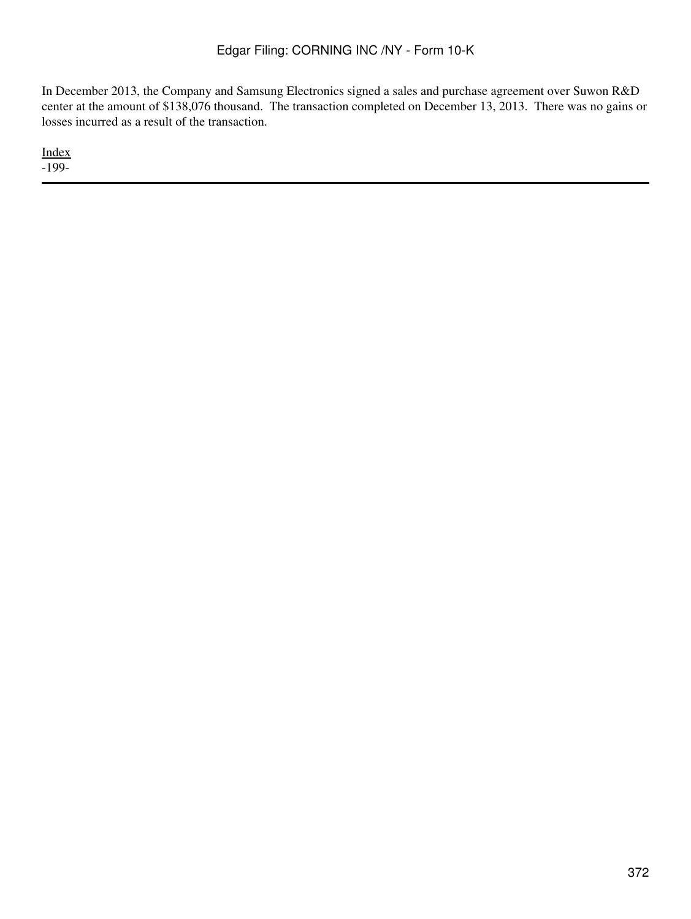In December 2013, the Company and Samsung Electronics signed a sales and purchase agreement over Suwon R&D center at the amount of \$138,076 thousand. The transaction completed on December 13, 2013. There was no gains or losses incurred as a result of the transaction.

[Index](#page-339-0) -199-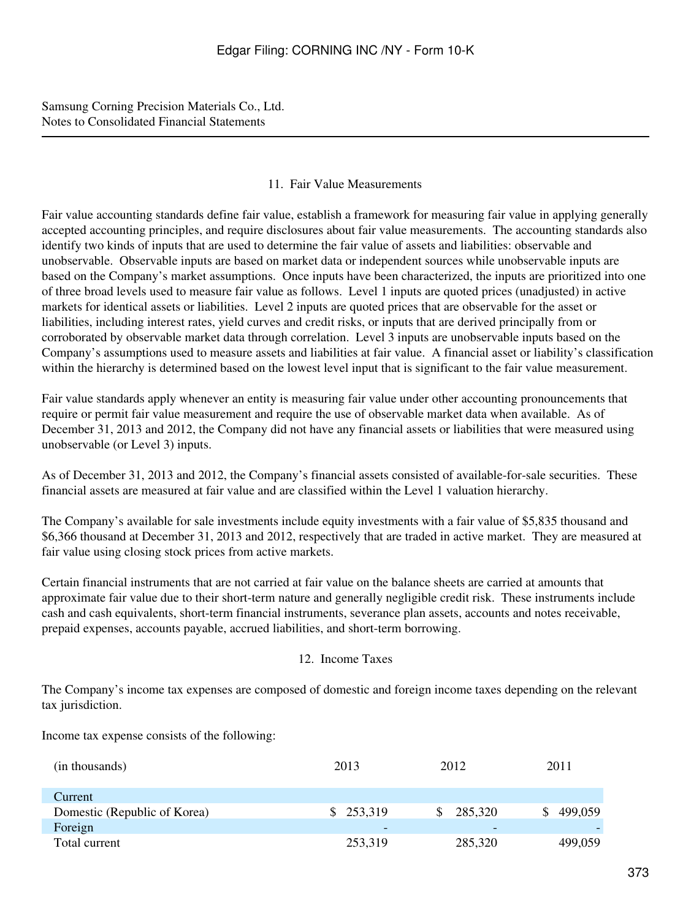### 11. Fair Value Measurements

Fair value accounting standards define fair value, establish a framework for measuring fair value in applying generally accepted accounting principles, and require disclosures about fair value measurements. The accounting standards also identify two kinds of inputs that are used to determine the fair value of assets and liabilities: observable and unobservable. Observable inputs are based on market data or independent sources while unobservable inputs are based on the Company's market assumptions. Once inputs have been characterized, the inputs are prioritized into one of three broad levels used to measure fair value as follows. Level 1 inputs are quoted prices (unadjusted) in active markets for identical assets or liabilities. Level 2 inputs are quoted prices that are observable for the asset or liabilities, including interest rates, yield curves and credit risks, or inputs that are derived principally from or corroborated by observable market data through correlation. Level 3 inputs are unobservable inputs based on the Company's assumptions used to measure assets and liabilities at fair value. A financial asset or liability's classification within the hierarchy is determined based on the lowest level input that is significant to the fair value measurement.

Fair value standards apply whenever an entity is measuring fair value under other accounting pronouncements that require or permit fair value measurement and require the use of observable market data when available. As of December 31, 2013 and 2012, the Company did not have any financial assets or liabilities that were measured using unobservable (or Level 3) inputs.

As of December 31, 2013 and 2012, the Company's financial assets consisted of available-for-sale securities. These financial assets are measured at fair value and are classified within the Level 1 valuation hierarchy.

The Company's available for sale investments include equity investments with a fair value of \$5,835 thousand and \$6,366 thousand at December 31, 2013 and 2012, respectively that are traded in active market. They are measured at fair value using closing stock prices from active markets.

Certain financial instruments that are not carried at fair value on the balance sheets are carried at amounts that approximate fair value due to their short-term nature and generally negligible credit risk. These instruments include cash and cash equivalents, short-term financial instruments, severance plan assets, accounts and notes receivable, prepaid expenses, accounts payable, accrued liabilities, and short-term borrowing.

### 12. Income Taxes

The Company's income tax expenses are composed of domestic and foreign income taxes depending on the relevant tax jurisdiction.

Income tax expense consists of the following:

| (in thousands)               | 2013      | 2012                     | 2011    |
|------------------------------|-----------|--------------------------|---------|
| Current                      |           |                          |         |
| Domestic (Republic of Korea) | \$253,319 | 285,320                  | 499,059 |
| Foreign                      |           | $\overline{\phantom{0}}$ |         |
| Total current                | 253,319   | 285,320                  | 499,059 |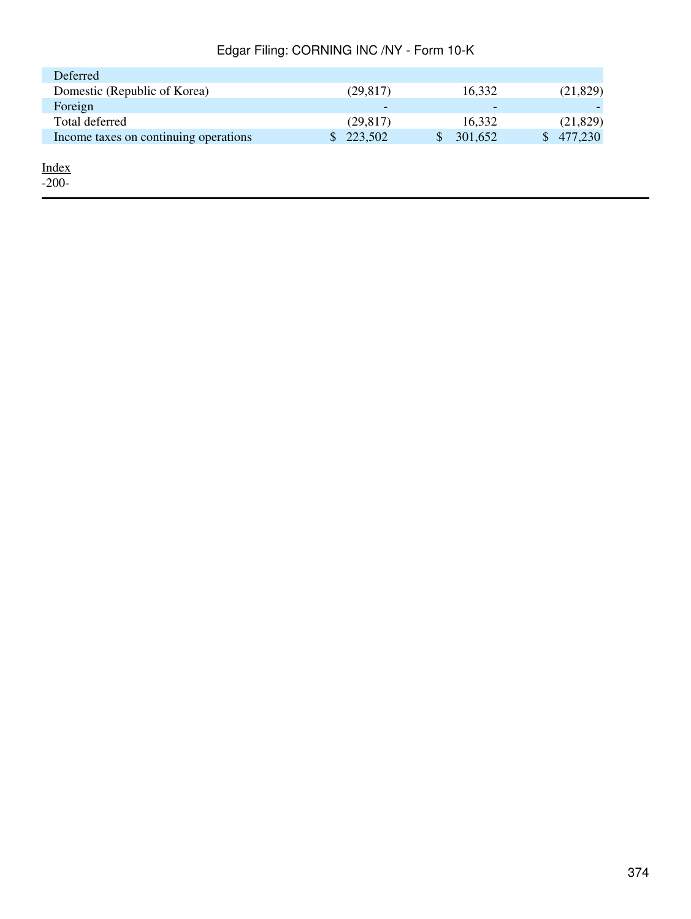| Deferred                              |                         |              |           |
|---------------------------------------|-------------------------|--------------|-----------|
| Domestic (Republic of Korea)          | (29, 817)               | 16,332       | (21, 829) |
| Foreign                               | -                       | -            |           |
| Total deferred                        | (29, 817)               | 16,332       | (21, 829) |
| Income taxes on continuing operations | 223,502<br><sup>S</sup> | 301,652<br>S | 477,230   |
| <u>Index</u><br>$-200-$               |                         |              |           |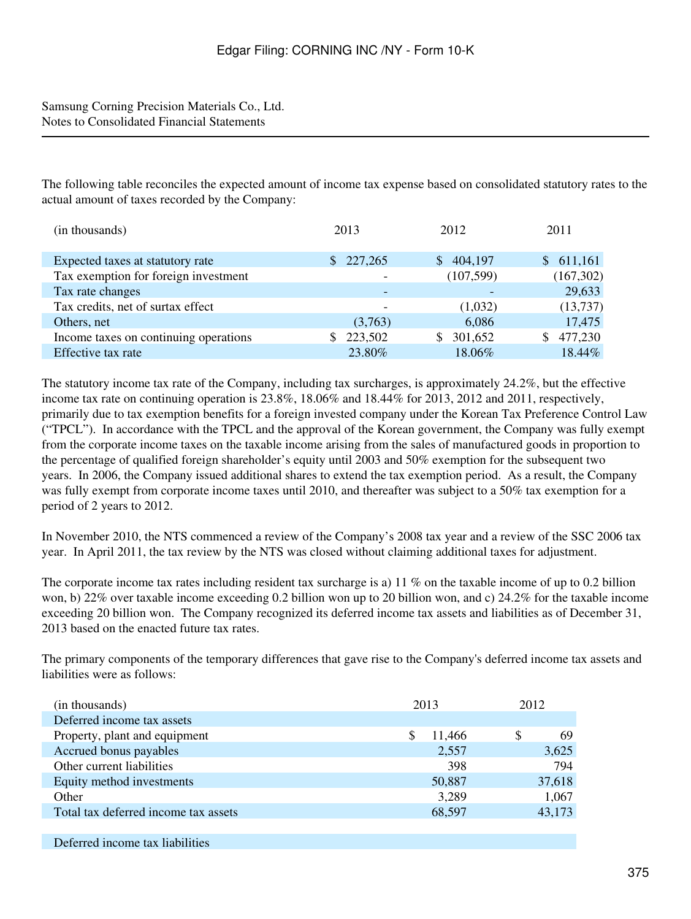The following table reconciles the expected amount of income tax expense based on consolidated statutory rates to the actual amount of taxes recorded by the Company:

| (in thousands)                        | 2013                     | 2012          | 2011          |  |
|---------------------------------------|--------------------------|---------------|---------------|--|
|                                       |                          |               |               |  |
| Expected taxes at statutory rate      | 227,265<br>S.            | 404,197<br>\$ | 611,161<br>S. |  |
| Tax exemption for foreign investment  | $\overline{\phantom{0}}$ | (107, 599)    | (167,302)     |  |
| Tax rate changes                      |                          |               | 29,633        |  |
| Tax credits, net of surtax effect     |                          | (1,032)       | (13,737)      |  |
| Others, net                           | (3,763)                  | 6,086         | 17,475        |  |
| Income taxes on continuing operations | 223,502                  | 301,652<br>\$ | 477,230       |  |
| Effective tax rate                    | 23.80%                   | 18.06%        | 18.44%        |  |

The statutory income tax rate of the Company, including tax surcharges, is approximately 24.2%, but the effective income tax rate on continuing operation is 23.8%, 18.06% and 18.44% for 2013, 2012 and 2011, respectively, primarily due to tax exemption benefits for a foreign invested company under the Korean Tax Preference Control Law ("TPCL"). In accordance with the TPCL and the approval of the Korean government, the Company was fully exempt from the corporate income taxes on the taxable income arising from the sales of manufactured goods in proportion to the percentage of qualified foreign shareholder's equity until 2003 and 50% exemption for the subsequent two years. In 2006, the Company issued additional shares to extend the tax exemption period. As a result, the Company was fully exempt from corporate income taxes until 2010, and thereafter was subject to a 50% tax exemption for a period of 2 years to 2012.

In November 2010, the NTS commenced a review of the Company's 2008 tax year and a review of the SSC 2006 tax year. In April 2011, the tax review by the NTS was closed without claiming additional taxes for adjustment.

The corporate income tax rates including resident tax surcharge is a) 11 % on the taxable income of up to 0.2 billion won, b) 22% over taxable income exceeding 0.2 billion won up to 20 billion won, and c) 24.2% for the taxable income exceeding 20 billion won. The Company recognized its deferred income tax assets and liabilities as of December 31, 2013 based on the enacted future tax rates.

The primary components of the temporary differences that gave rise to the Company's deferred income tax assets and liabilities were as follows:

| (in thousands)                       | 2013   | 2012    |
|--------------------------------------|--------|---------|
| Deferred income tax assets           |        |         |
| Property, plant and equipment        | 11,466 | S<br>69 |
| Accrued bonus payables               | 2,557  | 3,625   |
| Other current liabilities            | 398    | 794     |
| Equity method investments            | 50,887 | 37,618  |
| Other                                | 3,289  | 1,067   |
| Total tax deferred income tax assets | 68,597 | 43,173  |
|                                      |        |         |

Deferred income tax liabilities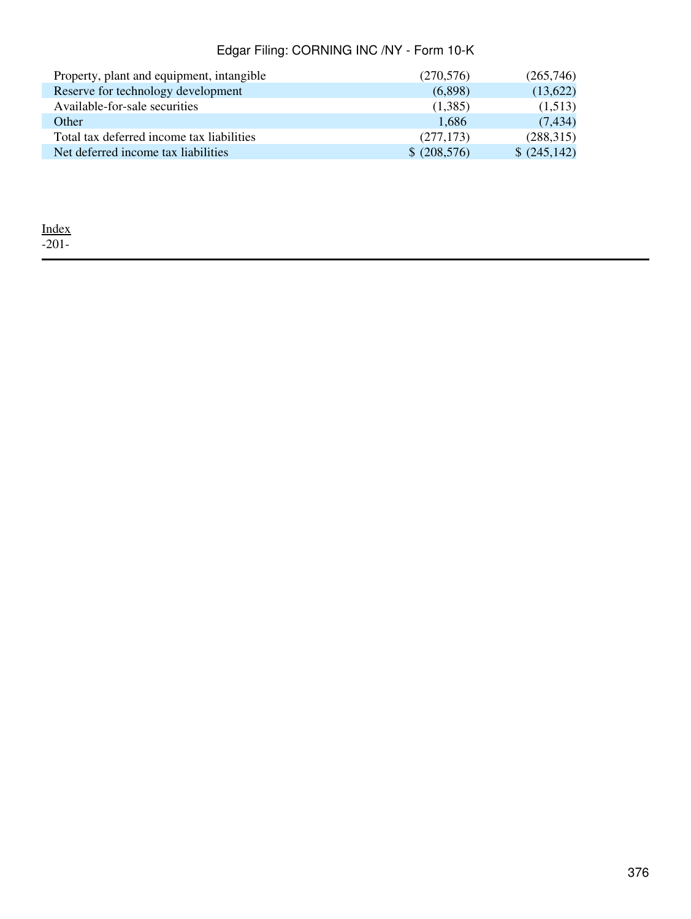| Property, plant and equipment, intangible | (270, 576)   | (265,746)   |
|-------------------------------------------|--------------|-------------|
| Reserve for technology development        | (6.898)      | (13,622)    |
| Available-for-sale securities             | (1,385)      | (1,513)     |
| Other                                     | 1,686        | (7, 434)    |
| Total tax deferred income tax liabilities | (277, 173)   | (288, 315)  |
| Net deferred income tax liabilities       | \$ (208,576) | \$(245,142) |

[Index](#page-339-0) -201-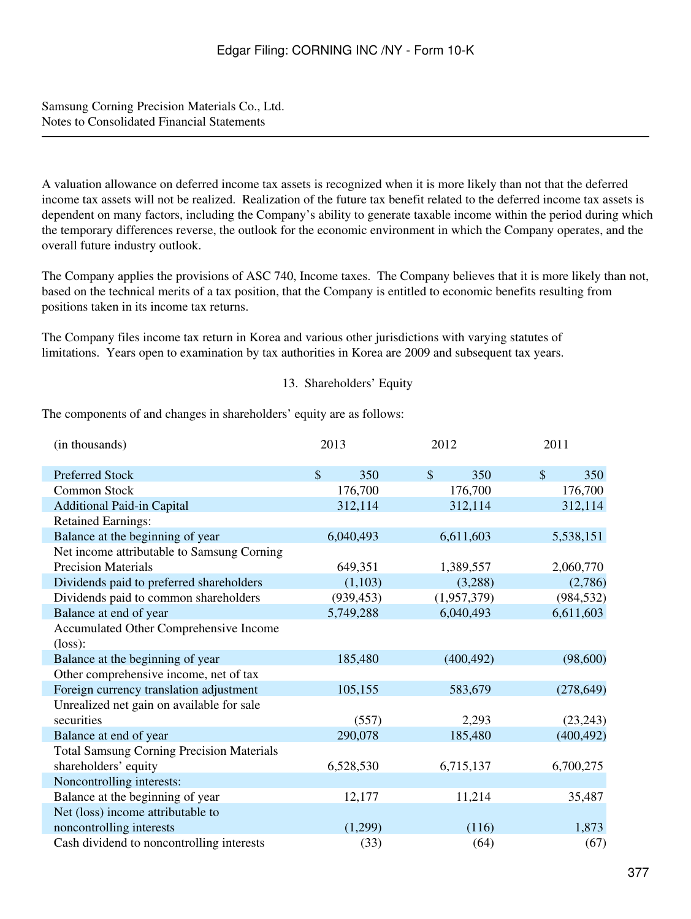A valuation allowance on deferred income tax assets is recognized when it is more likely than not that the deferred income tax assets will not be realized. Realization of the future tax benefit related to the deferred income tax assets is dependent on many factors, including the Company's ability to generate taxable income within the period during which the temporary differences reverse, the outlook for the economic environment in which the Company operates, and the overall future industry outlook.

The Company applies the provisions of ASC 740, Income taxes. The Company believes that it is more likely than not, based on the technical merits of a tax position, that the Company is entitled to economic benefits resulting from positions taken in its income tax returns.

The Company files income tax return in Korea and various other jurisdictions with varying statutes of limitations. Years open to examination by tax authorities in Korea are 2009 and subsequent tax years.

### 13. Shareholders' Equity

The components of and changes in shareholders' equity are as follows:

| (in thousands)                                   | 2013                 | 2012                 | 2011                 |
|--------------------------------------------------|----------------------|----------------------|----------------------|
| <b>Preferred Stock</b>                           | $\mathcal{S}$<br>350 | $\mathcal{S}$<br>350 | $\mathcal{S}$<br>350 |
| Common Stock                                     | 176,700              | 176,700              | 176,700              |
| <b>Additional Paid-in Capital</b>                | 312,114              | 312,114              | 312,114              |
| <b>Retained Earnings:</b>                        |                      |                      |                      |
| Balance at the beginning of year                 | 6,040,493            | 6,611,603            | 5,538,151            |
| Net income attributable to Samsung Corning       |                      |                      |                      |
| <b>Precision Materials</b>                       | 649,351              | 1,389,557            | 2,060,770            |
| Dividends paid to preferred shareholders         | (1,103)              | (3,288)              | (2,786)              |
| Dividends paid to common shareholders            | (939, 453)           | (1,957,379)          | (984, 532)           |
| Balance at end of year                           | 5,749,288            | 6,040,493            | 6,611,603            |
| Accumulated Other Comprehensive Income           |                      |                      |                      |
| $(\text{loss})$ :                                |                      |                      |                      |
| Balance at the beginning of year                 | 185,480              | (400, 492)           | (98,600)             |
| Other comprehensive income, net of tax           |                      |                      |                      |
| Foreign currency translation adjustment          | 105,155              | 583,679              | (278, 649)           |
| Unrealized net gain on available for sale        |                      |                      |                      |
| securities                                       | (557)                | 2,293                | (23, 243)            |
| Balance at end of year                           | 290,078              | 185,480              | (400, 492)           |
| <b>Total Samsung Corning Precision Materials</b> |                      |                      |                      |
| shareholders' equity                             | 6,528,530            | 6,715,137            | 6,700,275            |
| Noncontrolling interests:                        |                      |                      |                      |
| Balance at the beginning of year                 | 12,177               | 11,214               | 35,487               |
| Net (loss) income attributable to                |                      |                      |                      |
| noncontrolling interests                         | (1,299)              | (116)                | 1,873                |
| Cash dividend to noncontrolling interests        | (33)                 | (64)                 | (67)                 |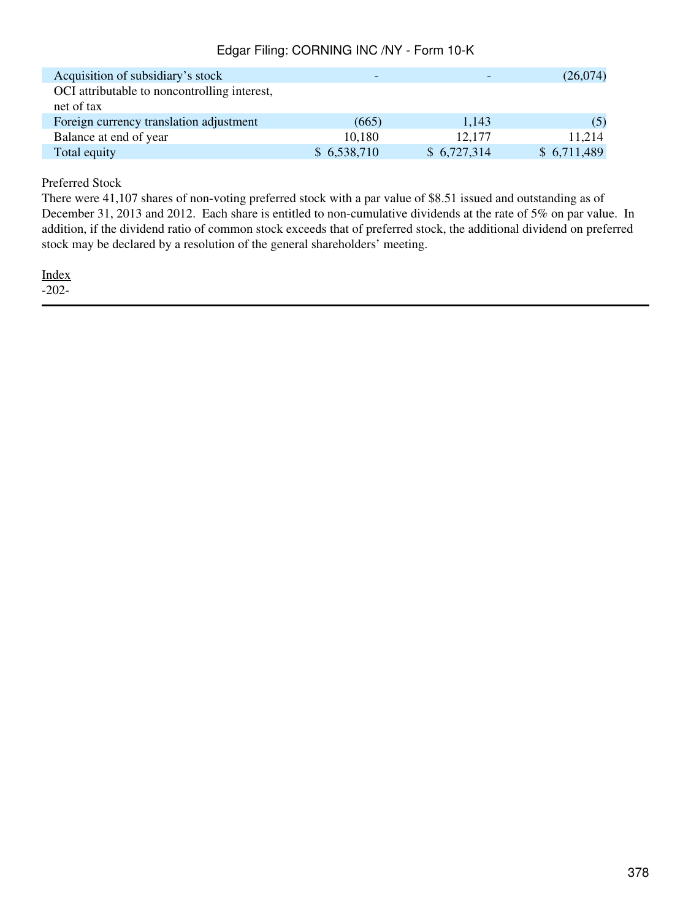| Acquisition of subsidiary's stock            |             |             | (26,074)    |
|----------------------------------------------|-------------|-------------|-------------|
| OCI attributable to noncontrolling interest, |             |             |             |
| net of tax                                   |             |             |             |
| Foreign currency translation adjustment      | (665)       | 1,143       | (5)         |
| Balance at end of year                       | 10,180      | 12,177      | 11,214      |
| Total equity                                 | \$6,538,710 | \$6,727,314 | \$6,711,489 |

Preferred Stock

There were 41,107 shares of non-voting preferred stock with a par value of \$8.51 issued and outstanding as of December 31, 2013 and 2012. Each share is entitled to non-cumulative dividends at the rate of 5% on par value. In addition, if the dividend ratio of common stock exceeds that of preferred stock, the additional dividend on preferred stock may be declared by a resolution of the general shareholders' meeting.

[Index](#page-339-0) -202-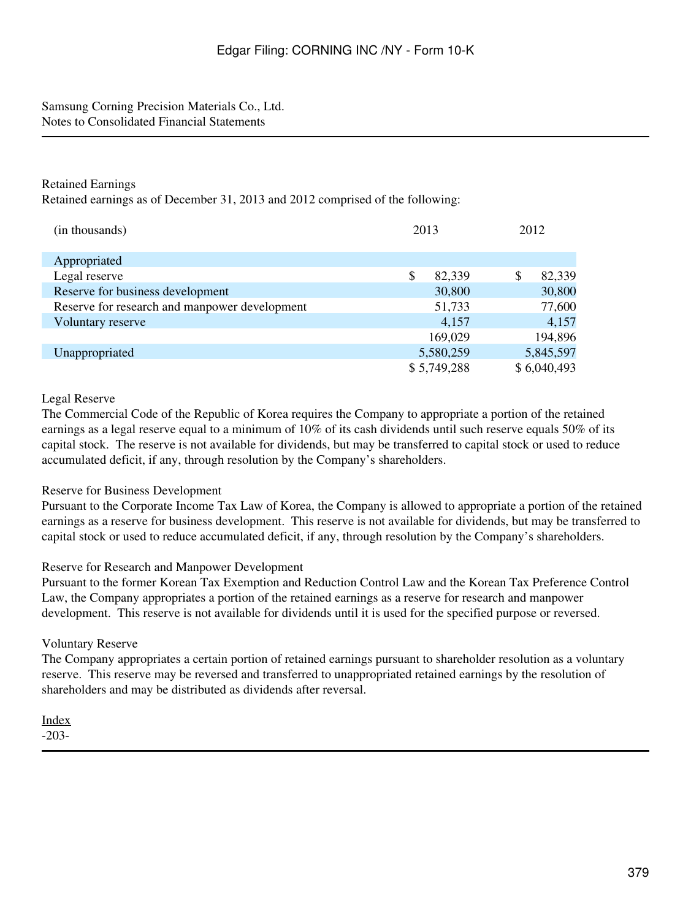### Retained Earnings

Retained earnings as of December 31, 2013 and 2012 comprised of the following:

| (in thousands)                                | 2013         | 2012         |
|-----------------------------------------------|--------------|--------------|
| Appropriated                                  |              |              |
| Legal reserve                                 | \$<br>82,339 | \$<br>82,339 |
| Reserve for business development              | 30,800       | 30,800       |
| Reserve for research and manpower development | 51,733       | 77,600       |
| Voluntary reserve                             | 4,157        | 4,157        |
|                                               | 169,029      | 194,896      |
| Unappropriated                                | 5,580,259    | 5,845,597    |
|                                               | \$5,749,288  | \$6,040,493  |

### Legal Reserve

The Commercial Code of the Republic of Korea requires the Company to appropriate a portion of the retained earnings as a legal reserve equal to a minimum of 10% of its cash dividends until such reserve equals 50% of its capital stock. The reserve is not available for dividends, but may be transferred to capital stock or used to reduce accumulated deficit, if any, through resolution by the Company's shareholders.

### Reserve for Business Development

Pursuant to the Corporate Income Tax Law of Korea, the Company is allowed to appropriate a portion of the retained earnings as a reserve for business development. This reserve is not available for dividends, but may be transferred to capital stock or used to reduce accumulated deficit, if any, through resolution by the Company's shareholders.

### Reserve for Research and Manpower Development

Pursuant to the former Korean Tax Exemption and Reduction Control Law and the Korean Tax Preference Control Law, the Company appropriates a portion of the retained earnings as a reserve for research and manpower development. This reserve is not available for dividends until it is used for the specified purpose or reversed.

### Voluntary Reserve

The Company appropriates a certain portion of retained earnings pursuant to shareholder resolution as a voluntary reserve. This reserve may be reversed and transferred to unappropriated retained earnings by the resolution of shareholders and may be distributed as dividends after reversal.

## [Index](#page-339-0)

-203-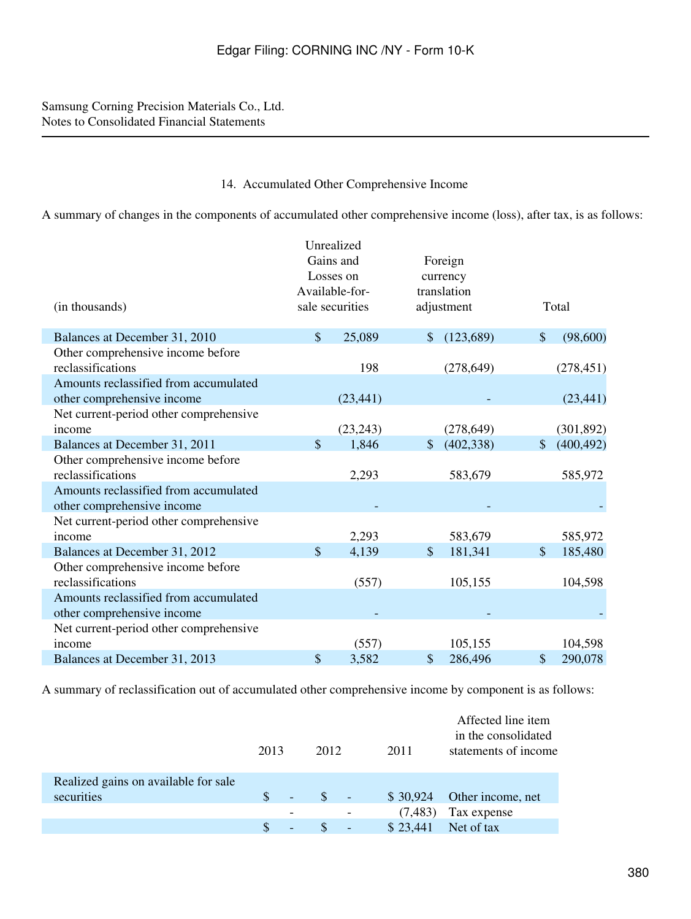#### 14. Accumulated Other Comprehensive Income

A summary of changes in the components of accumulated other comprehensive income (loss), after tax, is as follows:

|                                        |           | Unrealized      |                  |               |            |  |
|----------------------------------------|-----------|-----------------|------------------|---------------|------------|--|
|                                        | Gains and |                 | Foreign          |               |            |  |
|                                        |           | Losses on       | currency         |               |            |  |
|                                        |           | Available-for-  | translation      |               |            |  |
| (in thousands)                         |           | sale securities | adjustment       |               | Total      |  |
|                                        |           |                 |                  |               |            |  |
| Balances at December 31, 2010          | \$        | 25,089          | \$<br>(123, 689) | $\sqrt{\ }$   | (98,600)   |  |
| Other comprehensive income before      |           |                 |                  |               |            |  |
| reclassifications                      |           | 198             | (278, 649)       |               | (278, 451) |  |
| Amounts reclassified from accumulated  |           |                 |                  |               |            |  |
| other comprehensive income             |           | (23, 441)       |                  |               | (23, 441)  |  |
| Net current-period other comprehensive |           |                 |                  |               |            |  |
| income                                 |           | (23, 243)       | (278, 649)       |               | (301, 892) |  |
| Balances at December 31, 2011          | \$        | 1,846           | \$<br>(402, 338) | \$            | (400, 492) |  |
| Other comprehensive income before      |           |                 |                  |               |            |  |
| reclassifications                      |           | 2,293           | 583,679          |               | 585,972    |  |
| Amounts reclassified from accumulated  |           |                 |                  |               |            |  |
| other comprehensive income             |           |                 |                  |               |            |  |
| Net current-period other comprehensive |           |                 |                  |               |            |  |
| income                                 |           | 2,293           | 583,679          |               | 585,972    |  |
| Balances at December 31, 2012          | \$        | 4,139           | \$<br>181,341    | $\mathcal{S}$ | 185,480    |  |
| Other comprehensive income before      |           |                 |                  |               |            |  |
| reclassifications                      |           | (557)           | 105,155          |               | 104,598    |  |
| Amounts reclassified from accumulated  |           |                 |                  |               |            |  |
| other comprehensive income             |           |                 |                  |               |            |  |
| Net current-period other comprehensive |           |                 |                  |               |            |  |
| income                                 |           | (557)           | 105,155          |               | 104,598    |  |
| Balances at December 31, 2013          | \$        | 3,582           | \$<br>286,496    | \$            | 290,078    |  |

A summary of reclassification out of accumulated other comprehensive income by component is as follows:

|                                      | 2013 |                              | 2012          | 2011     | Affected line item<br>in the consolidated<br>statements of income |
|--------------------------------------|------|------------------------------|---------------|----------|-------------------------------------------------------------------|
| Realized gains on available for sale |      |                              |               |          |                                                                   |
| securities                           |      | ÷,                           | <sup>\$</sup> | \$30,924 | Other income, net                                                 |
|                                      |      | $\qquad \qquad \blacksquare$ |               | (7, 483) | Tax expense                                                       |
|                                      |      | $\overline{\phantom{0}}$     |               | \$23,441 | Net of tax                                                        |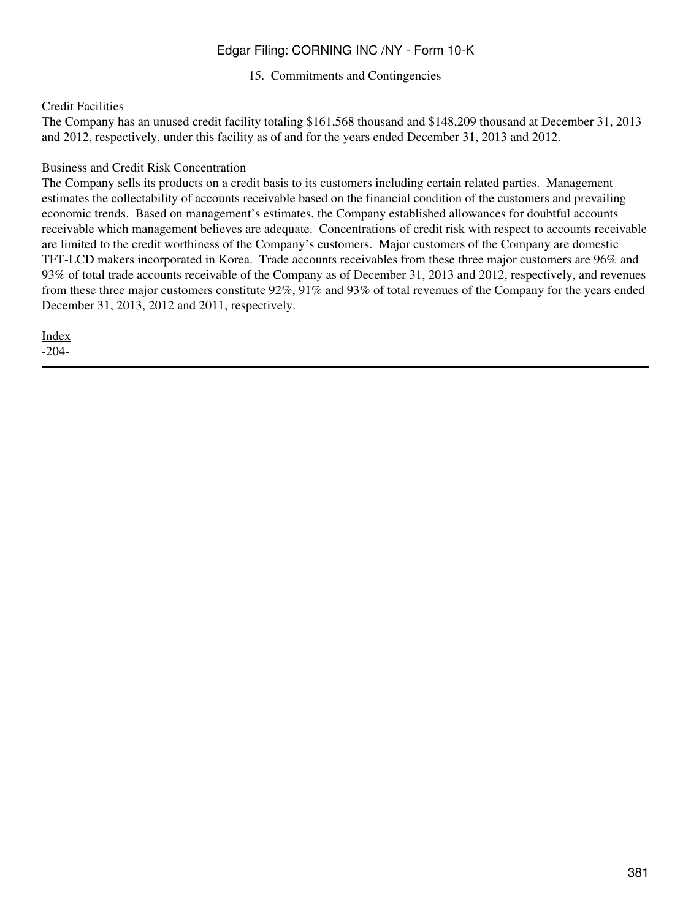15. Commitments and Contingencies

### Credit Facilities

The Company has an unused credit facility totaling \$161,568 thousand and \$148,209 thousand at December 31, 2013 and 2012, respectively, under this facility as of and for the years ended December 31, 2013 and 2012.

### Business and Credit Risk Concentration

The Company sells its products on a credit basis to its customers including certain related parties. Management estimates the collectability of accounts receivable based on the financial condition of the customers and prevailing economic trends. Based on management's estimates, the Company established allowances for doubtful accounts receivable which management believes are adequate. Concentrations of credit risk with respect to accounts receivable are limited to the credit worthiness of the Company's customers. Major customers of the Company are domestic TFT-LCD makers incorporated in Korea. Trade accounts receivables from these three major customers are 96% and 93% of total trade accounts receivable of the Company as of December 31, 2013 and 2012, respectively, and revenues from these three major customers constitute 92%, 91% and 93% of total revenues of the Company for the years ended December 31, 2013, 2012 and 2011, respectively.

[Index](#page-339-0) -204-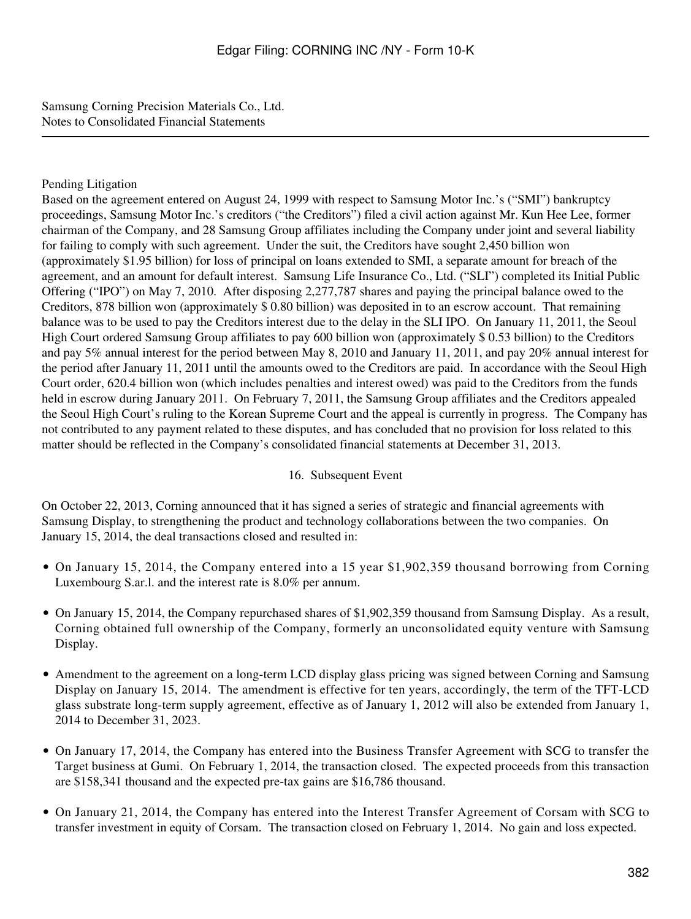### Pending Litigation

Based on the agreement entered on August 24, 1999 with respect to Samsung Motor Inc.'s ("SMI") bankruptcy proceedings, Samsung Motor Inc.'s creditors ("the Creditors") filed a civil action against Mr. Kun Hee Lee, former chairman of the Company, and 28 Samsung Group affiliates including the Company under joint and several liability for failing to comply with such agreement. Under the suit, the Creditors have sought 2,450 billion won (approximately \$1.95 billion) for loss of principal on loans extended to SMI, a separate amount for breach of the agreement, and an amount for default interest. Samsung Life Insurance Co., Ltd. ("SLI") completed its Initial Public Offering ("IPO") on May 7, 2010. After disposing 2,277,787 shares and paying the principal balance owed to the Creditors, 878 billion won (approximately \$ 0.80 billion) was deposited in to an escrow account. That remaining balance was to be used to pay the Creditors interest due to the delay in the SLI IPO. On January 11, 2011, the Seoul High Court ordered Samsung Group affiliates to pay 600 billion won (approximately \$ 0.53 billion) to the Creditors and pay 5% annual interest for the period between May 8, 2010 and January 11, 2011, and pay 20% annual interest for the period after January 11, 2011 until the amounts owed to the Creditors are paid. In accordance with the Seoul High Court order, 620.4 billion won (which includes penalties and interest owed) was paid to the Creditors from the funds held in escrow during January 2011. On February 7, 2011, the Samsung Group affiliates and the Creditors appealed the Seoul High Court's ruling to the Korean Supreme Court and the appeal is currently in progress. The Company has not contributed to any payment related to these disputes, and has concluded that no provision for loss related to this matter should be reflected in the Company's consolidated financial statements at December 31, 2013.

### 16. Subsequent Event

On October 22, 2013, Corning announced that it has signed a series of strategic and financial agreements with Samsung Display, to strengthening the product and technology collaborations between the two companies. On January 15, 2014, the deal transactions closed and resulted in:

- On January 15, 2014, the Company entered into a 15 year \$1,902,359 thousand borrowing from Corning Luxembourg S.ar.l. and the interest rate is 8.0% per annum.
- On January 15, 2014, the Company repurchased shares of \$1,902,359 thousand from Samsung Display. As a result, Corning obtained full ownership of the Company, formerly an unconsolidated equity venture with Samsung Display.
- Amendment to the agreement on a long-term LCD display glass pricing was signed between Corning and Samsung Display on January 15, 2014. The amendment is effective for ten years, accordingly, the term of the TFT-LCD glass substrate long-term supply agreement, effective as of January 1, 2012 will also be extended from January 1, 2014 to December 31, 2023.
- On January 17, 2014, the Company has entered into the Business Transfer Agreement with SCG to transfer the Target business at Gumi. On February 1, 2014, the transaction closed. The expected proceeds from this transaction are \$158,341 thousand and the expected pre-tax gains are \$16,786 thousand.
- On January 21, 2014, the Company has entered into the Interest Transfer Agreement of Corsam with SCG to transfer investment in equity of Corsam. The transaction closed on February 1, 2014. No gain and loss expected.